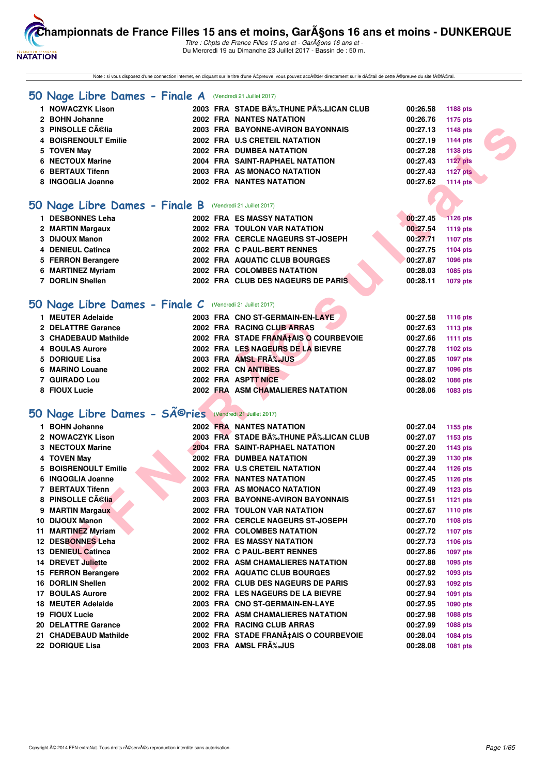

Titre : Chpts de France Filles 15 ans et - GarA§ons 16 ans et -Du Mercredi 19 au Dimanche 23 Juillet 2017 - Bassin de : 50 m.

Note : si vous disposez d'une connection internet, en cliquant sur le titre d'une ©preuve, vous pouvez acc©der directement sur le d©tail de cette ©preuve du site f©fral.

#### **[50 Nage Libre Dames - Finale A](http://www.ffnatation.fr/webffn/resultats.php?idact=nat&go=epr&idcpt=47485&idepr=1)** (Vendredi 21 Juillet 2017)

| <b>NOWACZYK Lison</b> | 2003 FRA STADE B‰THUNE P‰LICAN CLUB | 00:26.58<br>1188 pts        |
|-----------------------|-------------------------------------|-----------------------------|
| 2 BOHN Johanne        | <b>2002 FRA NANTES NATATION</b>     | 1175 pts<br>00:26.76        |
| 3 PINSOLLE Célia      | 2003 FRA BAYONNE-AVIRON BAYONNAIS   | 1148 pts<br>00:27.13        |
| 4 BOISRENOULT Emilie  | 2002 FRA U.S CRETEIL NATATION       | 1144 pts<br>00:27.19        |
| 5 TOVEN May           | <b>2002 FRA DUMBEA NATATION</b>     | 1138 pts<br>00:27.28        |
| 6 NECTOUX Marine      | 2004 FRA SAINT-RAPHAEL NATATION     | <b>1127 pts</b><br>00:27.43 |
| 6 BERTAUX Tifenn      | 2003 FRA AS MONACO NATATION         | <b>1127 pts</b><br>00:27.43 |
| 8 INGOGLIA Joanne     | <b>2002 FRA NANTES NATATION</b>     | <b>1114 pts</b><br>00:27.62 |
|                       |                                     |                             |

#### **[50 Nage Libre Dames - Finale B](http://www.ffnatation.fr/webffn/resultats.php?idact=nat&go=epr&idcpt=47485&idepr=1)** (Vendredi 21 Juillet 2017)

| 1 DESBONNES Leha   | <b>2002 FRA ES MASSY NATATION</b>   | 00:27.45 | <b>1126 pts</b> |
|--------------------|-------------------------------------|----------|-----------------|
| 2 MARTIN Margaux   | <b>2002 FRA TOULON VAR NATATION</b> | 00:27.54 | 1119 pts        |
| 3 DIJOUX Manon     | 2002 FRA CERCLE NAGEURS ST-JOSEPH   | 00:27.71 | 1107 pts        |
| 4 DENIEUL Catinca  | 2002 FRA C PAUL-BERT RENNES         | 00:27.75 | 1104 pts        |
| 5 FERRON Berangere | 2002 FRA AQUATIC CLUB BOURGES       | 00:27.87 | 1096 pts        |
| 6 MARTINEZ Myriam  | 2002 FRA COLOMBES NATATION          | 00:28.03 | 1085 pts        |
| 7 DORLIN Shellen   | 2002 FRA CLUB DES NAGEURS DE PARIS  | 00:28.11 | 1079 pts        |
|                    |                                     |          |                 |

#### **[50 Nage Libre Dames - Finale C](http://www.ffnatation.fr/webffn/resultats.php?idact=nat&go=epr&idcpt=47485&idepr=1)** (Vendredi 21 Juillet 2017)

| 1 MEUTER Adelaide    | 2003 FRA CNO ST-GERMAIN-EN-LAYE       | 00:27.58 | <b>1116 pts</b> |
|----------------------|---------------------------------------|----------|-----------------|
| 2 DELATTRE Garance   | 2002 FRA RACING CLUB ARRAS            | 00:27.63 | 1113 pts        |
| 3 CHADEBAUD Mathilde | 2002 FRA STADE FRANA‡AIS O COURBEVOIE | 00:27.66 | 1111 pts        |
| 4 BOULAS Aurore      | 2002 FRA LES NAGEURS DE LA BIEVRE     | 00:27.78 | 1102 pts        |
| 5 DORIQUE Lisa       | 2003 FRA AMSL FRA%JUS                 | 00:27.85 | 1097 pts        |
| 6 MARINO Louane      | 2002 FRA CN ANTIBES                   | 00:27.87 | 1096 pts        |
| 7 GUIRADO Lou        | 2002 FRA ASPTT NICE                   | 00:28.02 | 1086 pts        |
| 8 FIOUX Lucie        | 2002 FRA ASM CHAMALIERES NATATION     | 00:28.06 | 1083 pts        |

# 50 Nage Libre Dames - SÃ<sup>@</sup>ries (Vendredi 21 Juillet 2017)

| 3 PINSOLLE Célia                                          |  | 2003 FRA BAYONNE-AVIRON BAYONNAIS     | 00:27.13 | 1148 pts        |
|-----------------------------------------------------------|--|---------------------------------------|----------|-----------------|
| 4 BOISRENOULT Emilie                                      |  | 2002 FRA U.S CRETEIL NATATION         | 00:27.19 | <b>1144 pts</b> |
| 5 TOVEN May                                               |  | 2002 FRA DUMBEA NATATION              | 00:27.28 | 1138 pts        |
| 6 NECTOUX Marine                                          |  | 2004 FRA SAINT-RAPHAEL NATATION       | 00:27.43 | <b>1127 pts</b> |
| 6 BERTAUX Tifenn                                          |  | 2003 FRA AS MONACO NATATION           | 00:27.43 | <b>1127 pts</b> |
| 8 INGOGLIA Joanne                                         |  | <b>2002 FRA NANTES NATATION</b>       | 00:27.62 | <b>1114 pts</b> |
|                                                           |  |                                       |          |                 |
| iO Nage Libre Dames - Finale B (Vendredi 21 Juillet 2017) |  |                                       |          |                 |
| 1 DESBONNES Leha                                          |  | 2002 FRA ES MASSY NATATION            | 00:27.45 | <b>1126 pts</b> |
| 2 MARTIN Margaux                                          |  | 2002 FRA TOULON VAR NATATION          | 00:27.54 | <b>1119 pts</b> |
| 3 DIJOUX Manon                                            |  | 2002 FRA CERCLE NAGEURS ST-JOSEPH     | 00:27.71 | <b>1107 pts</b> |
| 4 DENIEUL Catinca                                         |  | 2002 FRA C PAUL-BERT RENNES           | 00:27.75 | 1104 pts        |
| 5 FERRON Berangere                                        |  | 2002 FRA AQUATIC CLUB BOURGES         | 00:27.87 | 1096 pts        |
| 6 MARTINEZ Myriam                                         |  | 2002 FRA COLOMBES NATATION            | 00:28.03 | 1085 pts        |
| 7 DORLIN Shellen                                          |  | 2002 FRA CLUB DES NAGEURS DE PARIS    | 00:28.11 | 1079 pts        |
|                                                           |  |                                       |          |                 |
| iO Nage Libre Dames - Finale C (Vendredi 21 Juillet 2017) |  |                                       |          |                 |
| 1 MEUTER Adelaide                                         |  | 2003 FRA CNO ST-GERMAIN-EN-LAYE       | 00:27.58 | 1116 pts        |
| 2 DELATTRE Garance                                        |  | 2002 FRA RACING CLUB ARRAS            | 00:27.63 | 1113 pts        |
| 3 CHADEBAUD Mathilde                                      |  | 2002 FRA STADE FRANA‡AIS O COURBEVOIE | 00:27.66 | <b>1111 pts</b> |
| 4 BOULAS Aurore                                           |  | 2002 FRA LES NAGEURS DE LA BIEVRE     | 00:27.78 | 1102 pts        |
| 5 DORIQUE Lisa                                            |  | 2003 FRA AMSL FRA%JUS                 | 00:27.85 | 1097 pts        |
| 6 MARINO Louane                                           |  | 2002 FRA CN ANTIBES                   | 00:27.87 | 1096 pts        |
| 7 GUIRADO Lou                                             |  | 2002 FRA ASPTT NICE                   | 00:28.02 | 1086 pts        |
| 8 FIOUX Lucie                                             |  | 2002 FRA ASM CHAMALIERES NATATION     | 00:28.06 | 1083 pts        |
|                                                           |  |                                       |          |                 |
| i0 Nage Libre Dames - Séries                              |  | (Vendredi 21 Juillet 2017)            |          |                 |
| 1 BOHN Johanne                                            |  | <b>2002 FRA NANTES NATATION</b>       | 00:27.04 | 1155 pts        |
| 2 NOWACZYK Lison                                          |  | 2003 FRA STADE B‰THUNE P‰LICAN CLUB   | 00:27.07 | 1153 pts        |
| 3 NECTOUX Marine                                          |  | 2004 FRA SAINT-RAPHAEL NATATION       | 00:27.20 | 1143 pts        |
| 4 TOVEN May                                               |  | 2002 FRA DUMBEA NATATION              | 00:27.39 | 1130 pts        |
| 5 BOISRENOULT Emilie                                      |  | 2002 FRA U.S CRETEIL NATATION         | 00:27.44 | 1126 pts        |
| 6 INGOGLIA Joanne                                         |  | <b>2002 FRA NANTES NATATION</b>       | 00:27.45 | <b>1126 pts</b> |
| 7 BERTAUX Tifenn                                          |  | 2003 FRA AS MONACO NATATION           | 00:27.49 | <b>1123 pts</b> |
| 8 PINSOLLE Célia                                          |  | 2003 FRA BAYONNE-AVIRON BAYONNAIS     | 00:27.51 | <b>1121 pts</b> |
| 9 MARTIN Margaux                                          |  | 2002 FRA TOULON VAR NATATION          | 00:27.67 | 1110 pts        |
| 10 DIJOUX Manon                                           |  | 2002 FRA CERCLE NAGEURS ST-JOSEPH     | 00:27.70 | 1108 pts        |
| 11 MARTINEZ Myriam                                        |  | 2002 FRA COLOMBES NATATION            | 00:27.72 | <b>1107 pts</b> |
| 12 DESBONNES Leha                                         |  | 2002 FRA ES MASSY NATATION            | 00:27.73 | 1106 pts        |
| 13 DENIEUL Catinca                                        |  | 2002 FRA C PAUL-BERT RENNES           | 00:27.86 | 1097 pts        |
| 14 DREVET Juliette                                        |  | 2002 FRA ASM CHAMALIERES NATATION     | 00:27.88 | 1095 pts        |
| 15 FERRON Berangere                                       |  | 2002 FRA AQUATIC CLUB BOURGES         | 00:27.92 | 1093 pts        |
| 16 DORLIN Shellen                                         |  | 2002 FRA CLUB DES NAGEURS DE PARIS    | 00:27.93 | 1092 pts        |
|                                                           |  |                                       |          |                 |
| <b>17 BOULAS Aurore</b>                                   |  | 2002 FRA LES NAGEURS DE LA BIEVRE     | 00:27.94 | 1091 pts        |
| 18 MEUTER Adelaide                                        |  | 2003 FRA CNO ST-GERMAIN-EN-LAYE       | 00:27.95 | 1090 pts        |
| 19 FIOUX Lucie                                            |  | 2002 FRA ASM CHAMALIERES NATATION     | 00:27.98 | <b>1088 pts</b> |
| 20 DELATTRE Garance                                       |  | 2002 FRA RACING CLUB ARRAS            | 00:27.99 | 1088 pts        |
| 21 CHADEBAUD Mathilde                                     |  | 2002 FRA STADE FRANA‡AIS O COURBEVOIE | 00:28.04 | 1084 pts        |
| 22 DORIQUE Lisa                                           |  | 2003 FRA AMSL FRA%JUS                 | 00:28.08 | <b>1081 pts</b> |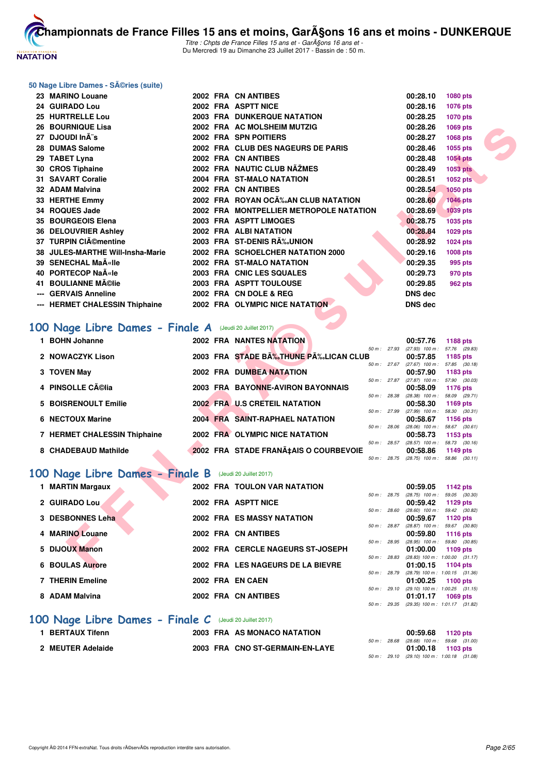

Titre : Chpts de France Filles 15 ans et - GarA§ons 16 ans et -Du Mercredi 19 au Dimanche 23 Juillet 2017 - Bassin de : 50 m.

#### **50 Nage Libre Dames - Séries (suite)**

| 23 MARINO Louane                                        |  | 2002 FRA CN ANTIBES                     |              | 00:28.10                                               | 1080 pts        |  |
|---------------------------------------------------------|--|-----------------------------------------|--------------|--------------------------------------------------------|-----------------|--|
| 24 GUIRADO Lou                                          |  | 2002 FRA ASPTT NICE                     |              | 00:28.16                                               | 1076 pts        |  |
| 25 HURTRELLE Lou                                        |  | 2003 FRA DUNKERQUE NATATION             |              | 00:28.25                                               | <b>1070 pts</b> |  |
| <b>26 BOURNIQUE Lisa</b>                                |  | 2002 FRA AC MOLSHEIM MUTZIG             |              | 00:28.26                                               | 1069 pts        |  |
| 27 DJOUDI InÄ"s                                         |  | 2002 FRA SPN POITIERS                   |              | 00:28.27                                               | 1068 pts        |  |
| 28 DUMAS Salome                                         |  | 2002 FRA CLUB DES NAGEURS DE PARIS      |              | 00:28.46                                               | 1055 pts        |  |
| 29 TABET Lyna                                           |  | 2002 FRA CN ANTIBES                     |              | 00:28.48                                               | 1054 pts        |  |
| 30 CROS Tiphaine                                        |  | 2002 FRA NAUTIC CLUB NÃŽMES             |              | 00:28.49                                               | 1053 pts        |  |
| 31 SAVART Coralie                                       |  | 2004 FRA ST-MALO NATATION               |              | 00:28.51                                               | <b>1052 pts</b> |  |
| 32 ADAM Malvina                                         |  | 2002 FRA CN ANTIBES                     |              | 00:28.54                                               | <b>1050 pts</b> |  |
| 33 HERTHE Emmy                                          |  | 2002 FRA ROYAN OC‰AN CLUB NATATION      |              | 00:28.60                                               | <b>1046 pts</b> |  |
| 34 ROQUES Jade                                          |  | 2002 FRA MONTPELLIER METROPOLE NATATION |              | 00:28.69                                               | <b>1039 pts</b> |  |
| 35 BOURGEOIS Elena                                      |  | 2003 FRA ASPTT LIMOGES                  |              | 00:28.75                                               | 1035 pts        |  |
| 36 DELOUVRIER Ashley                                    |  | 2002 FRA ALBINATATION                   |              | 00:28.84                                               | 1029 pts        |  |
| 37 TURPIN CIémentine                                    |  | 2003 FRA ST-DENIS R‰UNION               |              | 00:28.92                                               | 1024 pts        |  |
| 38 JULES-MARTHE Will-Insha-Marie                        |  | 2002 FRA SCHOELCHER NATATION 2000       |              | 00:29.16                                               | 1008 pts        |  |
| 39 SENECHAL Maīlle                                      |  | 2002 FRA ST-MALO NATATION               |              | 00:29.35                                               | 995 pts         |  |
| 40 PORTECOP Naële                                       |  | 2003 FRA CNIC LES SQUALES               |              | 00:29.73                                               | 970 pts         |  |
| 41 BOULIANNE Mélie                                      |  | 2003 FRA ASPTT TOULOUSE                 |              | 00:29.85                                               | <b>962 pts</b>  |  |
| --- GERVAIS Anneline                                    |  | 2002 FRA CN DOLE & REG                  |              | <b>DNS dec</b>                                         |                 |  |
| --- HERMET CHALESSIN Thiphaine                          |  | 2002 FRA OLYMPIC NICE NATATION          |              | <b>DNS dec</b>                                         |                 |  |
| .00 Nage Libre Dames - Finale A (Jeudi 20 Juillet 2017) |  |                                         |              |                                                        |                 |  |
| 1 BOHN Johanne                                          |  | <b>2002 FRA NANTES NATATION</b>         |              | 00:57.76                                               | 1188 pts        |  |
| 2 NOWACZYK Lison                                        |  | 2003 FRA STADE B‰THUNE P‰LICAN CLUB     |              | 50 m: 27.93 (27.93) 100 m: 57.76 (29.83)<br>00:57.85   | 1185 pts        |  |
|                                                         |  |                                         | 50 m: 27.67  | $(27.67)$ 100 m : 57.85 $(30.18)$                      |                 |  |
| 3 TOVEN May                                             |  | 2002 FRA DUMBEA NATATION                |              | 00:57.90                                               | 1183 pts        |  |
| 4 PINSOLLE Célia                                        |  | 2003 FRA BAYONNE-AVIRON BAYONNAIS       |              | 50 m: 27.87 (27.87) 100 m: 57.90 (30.03)<br>00:58.09   | 1176 pts        |  |
|                                                         |  |                                         | 50 m : 28.38 | $(28.38)$ 100 m : 58.09 $(29.71)$                      |                 |  |
| 5 BOISRENOULT Emilie                                    |  | 2002 FRA U.S CRETEIL NATATION           | 50 m : 27.99 | 00:58.30<br>$(27.99)$ 100 m : 58.30 $(30.31)$          | 1169 pts        |  |
| <b>6 NECTOUX Marine</b>                                 |  | 2004 FRA SAINT-RAPHAEL NATATION         |              | 00:58.67                                               | 1156 pts        |  |
|                                                         |  |                                         |              | 50 m: 28.06 (28.06) 100 m: 58.67 (30.61)               |                 |  |
| 7 HERMET CHALESSIN Thiphaine                            |  | 2002 FRA OLYMPIC NICE NATATION          |              | 00:58.73<br>50 m: 28.57 (28.57) 100 m: 58.73 (30.16)   | 1153 pts        |  |
| 8 CHADEBAUD Mathilde                                    |  | 2002 FRA STADE FRANA‡AIS O COURBEVOIE   |              | 00:58.86                                               | 1149 pts        |  |
|                                                         |  |                                         |              | 50 m: 28.75 (28.75) 100 m: 58.86 (30.11)               |                 |  |
| 00 Nage Libre Dames - Finale B (Jeudi 20 Juillet 2017)  |  |                                         |              |                                                        |                 |  |
| 1 MARTIN Margaux                                        |  | <b>2002 FRA TOULON VAR NATATION</b>     |              | 00:59.05                                               | 1142 pts        |  |
| 2 GUIRADO Lou                                           |  | 2002 FRA ASPTT NICE                     | 50 m : 28.75 | $(28.75)$ 100 m : 59.05 $(30.30)$<br>00:59.42          | 1129 pts        |  |
| 3 DESBONNES Leha                                        |  | 2002 FRA ES MASSY NATATION              | 50 m : 28.60 | $(28.60)$ 100 m : 59.42 $(30.82)$<br>00:59.67          | 1120 pts        |  |
|                                                         |  | 2002 FRA CN ANTIBES                     | 50 m: 28.87  | $(28.87)$ 100 m : 59.67 $(30.80)$                      |                 |  |
| 4 MARINO Louane                                         |  |                                         |              | 00:59.80<br>50 m: 28.95 (28.95) 100 m: 59.80 (30.85)   | <b>1116 pts</b> |  |
| 5 DIJOUX Manon                                          |  | 2002 FRA CERCLE NAGEURS ST-JOSEPH       |              | 01:00.00                                               | 1109 pts        |  |
| <b>6 BOULAS Aurore</b>                                  |  | 2002 FRA LES NAGEURS DE LA BIEVRE       |              | 50 m: 28.83 (28.83) 100 m: 1:00.00 (31.17)<br>01:00.15 | 1104 pts        |  |
|                                                         |  |                                         |              |                                                        |                 |  |

# [100 Nage Libre Dames - Finale A](http://www.ffnatation.fr/webffn/resultats.php?idact=nat&go=epr&idcpt=47485&idepr=2) (Jeudi 20 Juillet 2017)

| <b>BOHN Johanne</b>          |          | <b>2002 FRA NANTES NATATION</b>        |                | 00:57.76          | <b>1188 pts</b> |  |
|------------------------------|----------|----------------------------------------|----------------|-------------------|-----------------|--|
|                              |          |                                        | 50 m: 27.93    | $(27.93)$ 100 m : | 57.76 (29.83)   |  |
| 2 NOWACZYK Lison             |          | 2003 FRA STADE BA%THUNE PA%.LICAN CLUB |                | 00:57.85          | 1185 pts        |  |
|                              |          |                                        | $50 m$ : 27.67 | $(27.67)$ 100 m : | 57.85 (30.18)   |  |
| 3 TOVEN May                  |          | 2002 FRA DUMBEA NATATION               |                | 00:57.90          | 1183 $pts$      |  |
|                              |          |                                        | 50 m: 27.87    | $(27.87)$ 100 m : | 57.90 (30.03)   |  |
| 4 PINSOLLE Célia             | 2003 FRA | <b>BAYONNE-AVIRON BAYONNAIS</b>        |                | 00:58.09          | 1176 pts        |  |
|                              |          |                                        | 50 m: 28.38    | $(28.38)$ 100 m : | 58.09 (29.71)   |  |
| 5 BOISRENOULT Emilie         |          | 2002 FRA U.S CRETEIL NATATION          |                | 00:58.30          | 1169 $pts$      |  |
|                              |          |                                        | 50 m: 27.99    | $(27.99)$ 100 m : | 58.30 (30.31)   |  |
| 6 NECTOUX Marine             |          | 2004 FRA SAINT-RAPHAEL NATATION        |                | 00:58.67          | <b>1156 pts</b> |  |
|                              |          |                                        | 50 m: 28.06    | $(28.06)$ 100 m : | 58.67 (30.61)   |  |
| 7 HERMET CHALESSIN Thiphaine |          | 2002 FRA OLYMPIC NICE NATATION         |                | 00:58.73          | 1153 $pts$      |  |
|                              |          |                                        | 50 m: 28.57    | $(28.57)$ 100 m : | 58.73 (30.16)   |  |
| 8 CHADEBAUD Mathilde         |          | 2002 FRA STADE FRANA‡AIS O COURBEVOIE  |                | 00:58.86          | 1149 $pts$      |  |
|                              |          |                                        | 50 m : 28.75   | $(28.75)$ 100 m : | 58.86 (30.11)   |  |

# **[100 Nage Libre Dames - Finale B](http://www.ffnatation.fr/webffn/resultats.php?idact=nat&go=epr&idcpt=47485&idepr=2)** (Jeudi 20 Juillet 2017)

| 1 MARTIN Margaux        | 2002 FRA TOULON VAR NATATION      |                            | 00:59.05<br>1142 $pts$                                                                            |
|-------------------------|-----------------------------------|----------------------------|---------------------------------------------------------------------------------------------------|
| 2 GUIRADO Lou           | 2002 FRA ASPTT NICE               | 50 m: 28.75                | 59.05 (30.30)<br>$(28.75)$ 100 m :<br>00:59.42<br>1129 pts                                        |
| 3 DESBONNES Leha        | <b>2002 FRA ES MASSY NATATION</b> | 50 m : 28.60               | $(28.60)$ 100 m :<br>59.42 (30.82)<br>00:59.67<br>1120 $pts$                                      |
| 4 MARINO Louane         | 2002 FRA CN ANTIBES               | 50 m: 28.87                | $(28.87)$ 100 m :<br>59.67 (30.80)<br>00:59.80<br>1116 pts                                        |
| 5 DIJOUX Manon          | 2002 FRA CERCLE NAGEURS ST-JOSEPH | 50 m: 28.95<br>50 m: 28.83 | $(28.95)$ 100 m :<br>59.80 (30.85)<br>01:00.00<br>1109 pts<br>$(28.83)$ 100 m : 1:00.00 $(31.17)$ |
| <b>6 BOULAS Aurore</b>  | 2002 FRA LES NAGEURS DE LA BIEVRE | 50 m: 28.79                | 01:00.15<br>1104 pts<br>(28.79) 100 m: 1:00.15 (31.36)                                            |
| <b>7 THERIN Emeline</b> | 2002 FRA EN CAEN                  | 50 m: 29.10                | 01:00.25<br>1100 pts                                                                              |
| 8 ADAM Malvina          | 2002 FRA CN ANTIBES               |                            | $(29.10)$ 100 m : 1:00.25 $(31.15)$<br>01:01.17<br>1069 pts                                       |
|                         |                                   | 50 m : 29.35               | $(29.35)$ 100 m : 1:01.17 $(31.82)$                                                               |

#### **[100 Nage Libre Dames - Finale C](http://www.ffnatation.fr/webffn/resultats.php?idact=nat&go=epr&idcpt=47485&idepr=2)** (Jeudi 20 Juillet 2017)

| <b>BERTAUX Tifenn</b> | 2003 FRA AS MONACO NATATION     | 00:59.68 1120 pts                            |  |
|-----------------------|---------------------------------|----------------------------------------------|--|
|                       |                                 | 50 m : 28.68 (28.68) 100 m : 59.68 (31.00)   |  |
| 2 MEUTER Adelaide     | 2003 FRA CNO ST-GERMAIN-EN-LAYE | $01:00.18$ 1103 pts                          |  |
|                       |                                 | 50 m : 29.10 (29.10) 100 m : 1:00.18 (31.08) |  |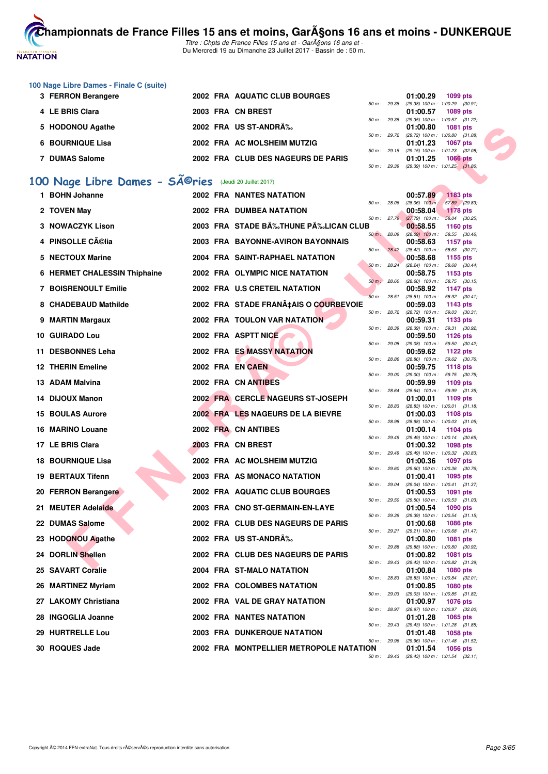

Titre : Chpts de France Filles 15 ans et - GarA§ons 16 ans et -Du Mercredi 19 au Dimanche 23 Juillet 2017 - Bassin de : 50 m.

| 100 Nage Libre Dames - Finale C (suite) |                   |                                    |                        |                                     |                 |
|-----------------------------------------|-------------------|------------------------------------|------------------------|-------------------------------------|-----------------|
| 3 FERRON Berangere                      |                   | 2002 FRA AQUATIC CLUB BOURGES      |                        | 01:00.29                            | 1099 pts        |
|                                         |                   |                                    | $50 \text{ m}$ : 29.38 | $(29.38)$ 100 m : 1:00.29 $(30.91)$ |                 |
| 4 LE BRIS Clara                         | 2003 FRA CN BREST |                                    |                        | 01:00.57                            | 1089 pts        |
|                                         |                   |                                    | $50 m$ : 29.35         | (29.35) 100 m : 1:00.57 (31.22)     |                 |
| 5 HODONOU Agathe                        |                   | 2002 FRA US ST-ANDRÉ               |                        | 01:00.80                            | 1081 pts        |
|                                         |                   |                                    | $50 m$ : 29.72         | $(29.72)$ 100 m : 1:00.80 $(31.08)$ |                 |
| 6 BOURNIQUE Lisa                        |                   | 2002 FRA AC MOLSHEIM MUTZIG        |                        | 01:01.23                            | <b>1067 pts</b> |
|                                         |                   |                                    | $50 m$ : 29.15         | $(29.15)$ 100 m : 1:01.23 $(32.08)$ |                 |
| <b>DUMAS Salome</b>                     |                   | 2002 FRA CLUB DES NAGEURS DE PARIS |                        | 01:01.25                            | <b>1066 pts</b> |
|                                         |                   |                                    | $50 \text{ m}$ : 29.39 | $(29.39)$ 100 m : 1:01.25 $(31.86)$ |                 |

# 100 Nage Libre Dames - SÃ<sup>@</sup>ries (Jeudi 20 Juillet 2017)

| 5 HODONOU Agathe                                                   |  | 2002 FRA US ST-ANDRA%                   |              |              | 01:00.80                               | <b>1081 pts</b>                                               |  |
|--------------------------------------------------------------------|--|-----------------------------------------|--------------|--------------|----------------------------------------|---------------------------------------------------------------|--|
| <b>6 BOURNIQUE Lisa</b>                                            |  | 2002 FRA AC MOLSHEIM MUTZIG             |              |              | 01:01.23                               | 50 m: 29.72 (29.72) 100 m: 1:00.80 (31.08)<br><b>1067 pts</b> |  |
| 7 DUMAS Salome                                                     |  | 2002 FRA CLUB DES NAGEURS DE PARIS      | 50 m : 29.15 |              | 01:01.25                               | (29.15) 100 m: 1:01.23 (32.08)<br>1066 pts                    |  |
|                                                                    |  |                                         | 50 m : 29.39 |              |                                        | (29.39) 100 m: 1:01.25 (31.86)                                |  |
| 00 Nage Libre Dames - SÃ <sup>@</sup> ries (Jeudi 20 Juillet 2017) |  |                                         |              |              |                                        |                                                               |  |
| 1 BOHN Johanne                                                     |  | <b>2002 FRA NANTES NATATION</b>         |              |              | 00:57.89                               | 1183 pts                                                      |  |
| 2 TOVEN May                                                        |  | 2002 FRA DUMBEA NATATION                |              | 50 m : 28.06 | $(28.06)$ 100 m :<br>00:58.04          | 57.89 (29.83)<br><b>1178 pts</b>                              |  |
| 3 NOWACZYK Lison                                                   |  | 2003 FRA STADE BĉTHUNE PĉLICAN CLUB     |              |              | 50 m: 27.79 (27.79) 100 m:<br>00:58.55 | 58.04 (30.25)<br>1160 pts                                     |  |
|                                                                    |  |                                         | 50 m : 28.09 |              |                                        | $(28.09)$ 100 m : 58.55 $(30.46)$                             |  |
| 4 PINSOLLE Célia                                                   |  | 2003 FRA BAYONNE-AVIRON BAYONNAIS       | 50 m : 28.42 |              | 00:58.63                               | 1157 pts<br>$(28.42)$ 100 m : 58.63 $(30.21)$                 |  |
| 5 NECTOUX Marine                                                   |  | 2004 FRA SAINT-RAPHAEL NATATION         | 50 m: 28.24  |              | 00:58.68                               | 1155 pts<br>$(28.24)$ 100 m : 58.68 $(30.44)$                 |  |
| 6 HERMET CHALESSIN Thiphaine                                       |  | 2002 FRA OLYMPIC NICE NATATION          |              |              | 00:58.75                               | 1153 pts                                                      |  |
| <b>7 BOISRENOULT Emilie</b>                                        |  | 2002 FRA U.S CRETEIL NATATION           | 50 m: 28.60  |              | 00:58.92                               | $(28.60)$ 100 m : 58.75 $(30.15)$<br><b>1147 pts</b>          |  |
| 8 CHADEBAUD Mathilde                                               |  | 2002 FRA STADE FRANÇAIS O COURBEVOIE    | 50 m: 28.51  |              | 00:59.03                               | $(28.51)$ 100 m : 58.92 $(30.41)$<br>1143 pts                 |  |
|                                                                    |  |                                         |              |              |                                        | 50 m : 28.72 (28.72) 100 m : 59.03 (30.31)                    |  |
| 9 MARTIN Margaux                                                   |  | 2002 FRA TOULON VAR NATATION            | 50 m: 28.39  |              | 00:59.31                               | 1133 pts<br>$(28.39)$ 100 m : 59.31 $(30.92)$                 |  |
| 10 GUIRADO Lou                                                     |  | 2002 FRA ASPTT NICE                     | 50 m : 29.08 |              | 00:59.50                               | 1126 pts<br>(29.08) 100 m: 59.50 (30.42)                      |  |
| 11 DESBONNES Leha                                                  |  | 2002 FRA ES MASSY NATATION              |              |              | 00:59.62                               | <b>1122 pts</b>                                               |  |
| <b>12 THERIN Emeline</b>                                           |  | 2002 FRA EN CAEN                        | 50 m : 28.86 |              | 00:59.75                               | (28.86) 100 m: 59.62 (30.76)<br><b>1118 pts</b>               |  |
| 13 ADAM Malvina                                                    |  | 2002 FRA CN ANTIBES                     | 50 m : 29.00 |              | 00:59.99                               | (29.00) 100 m: 59.75 (30.75)<br>1109 pts                      |  |
| 14 DIJOUX Manon                                                    |  | 2002 FRA CERCLE NAGEURS ST-JOSEPH       | 50 m : 28.64 |              | 01:00.01                               | $(28.64)$ 100 m : 59.99 $(31.35)$<br>1109 pts                 |  |
|                                                                    |  |                                         | 50 m : 28.83 |              |                                        | $(28.83)$ 100 m : 1:00.01 $(31.18)$                           |  |
| <b>15 BOULAS Aurore</b>                                            |  | 2002 FRA LES NAGEURS DE LA BIEVRE       | 50 m : 28.98 |              | 01:00.03                               | 1108 pts<br>$(28.98)$ 100 m : 1:00.03 $(31.05)$               |  |
| 16 MARINO Louane                                                   |  | 2002 FRA CN ANTIBES                     | 50 m: 29.49  |              | 01:00.14                               | 1104 pts<br>(29.49) 100 m: 1:00.14 (30.65)                    |  |
| 17 LE BRIS Clara                                                   |  | 2003 FRA CN BREST                       |              |              | 01:00.32                               | 1098 pts                                                      |  |
| <b>18 BOURNIQUE Lisa</b>                                           |  | 2002 FRA AC MOLSHEIM MUTZIG             | 50 m : 29.49 |              | 01:00.36                               | (29.49) 100 m: 1:00.32 (30.83)<br>1097 pts                    |  |
| <b>19 BERTAUX Tifenn</b>                                           |  | 2003 FRA AS MONACO NATATION             | 50 m : 29.60 |              | 01:00.41                               | (29.60) 100 m: 1:00.36 (30.76)<br>1095 pts                    |  |
|                                                                    |  | 2002 FRA AQUATIC CLUB BOURGES           | 50 m : 29.04 |              |                                        | (29.04) 100 m: 1:00.41 (31.37)                                |  |
| 20 FERRON Berangere                                                |  |                                         | 50 m : 29.50 |              | 01:00.53                               | <b>1091 pts</b><br>(29.50) 100 m: 1:00.53 (31.03)             |  |
| 21 MEUTER Adelaide                                                 |  | 2003 FRA CNO ST-GERMAIN-EN-LAYE         | 50 m : 29.39 |              | 01:00.54                               | 1090 pts<br>$(29.39)$ 100 m : 1:00.54 $(31.15)$               |  |
| 22 DUMAS Salome                                                    |  | 2002 FRA CLUB DES NAGEURS DE PARIS      |              |              | 01:00.68                               | <b>1086 pts</b><br>50 m: 29.21 (29.21) 100 m: 1:00.68 (31.47) |  |
| 23 HODONOU Agathe                                                  |  | 2002 FRA US ST-ANDRÉ                    |              |              | 01:00.80                               | 1081 pts                                                      |  |
| 24 DORLIN Shellen                                                  |  | 2002 FRA CLUB DES NAGEURS DE PARIS      | 50 m : 29.88 |              | 01:00.82                               | (29.88) 100 m : 1:00.80 (30.92)<br><b>1081 pts</b>            |  |
| 25 SAVART Coralie                                                  |  | 2004 FRA ST-MALO NATATION               |              | 50 m : 29.43 | 01:00.84                               | (29.43) 100 m: 1:00.82 (31.39)<br><b>1080 pts</b>             |  |
|                                                                    |  |                                         | 50 m : 28.83 |              |                                        | (28.83) 100 m : 1:00.84 (32.01)                               |  |
| 26 MARTINEZ Myriam                                                 |  | 2002 FRA COLOMBES NATATION              | 50 m : 29.03 |              | 01:00.85                               | <b>1080 pts</b><br>(29.03) 100 m: 1:00.85 (31.82)             |  |
| 27 LAKOMY Christiana                                               |  | 2002 FRA VAL DE GRAY NATATION           | 50 m : 28.97 |              | 01:00.97                               | <b>1076 pts</b><br>(28.97) 100 m: 1:00.97 (32.00)             |  |
| 28 INGOGLIA Joanne                                                 |  | <b>2002 FRA NANTES NATATION</b>         |              |              | 01:01.28                               | 1065 pts                                                      |  |
| 29 HURTRELLE Lou                                                   |  | <b>2003 FRA DUNKERQUE NATATION</b>      | 50 m: 29.43  |              | 01:01.48                               | (29.43) 100 m: 1:01.28 (31.85)<br>1058 pts                    |  |
| 30 ROQUES Jade                                                     |  | 2002 FRA MONTPELLIER METROPOLE NATATION | 50 m: 29.96  |              | 01:01.54                               | (29.96) 100 m: 1:01.48 (31.52)<br>1056 pts                    |  |
|                                                                    |  |                                         |              | 50 m : 29.43 |                                        | $(29.43)$ 100 m : 1:01.54 $(32.11)$                           |  |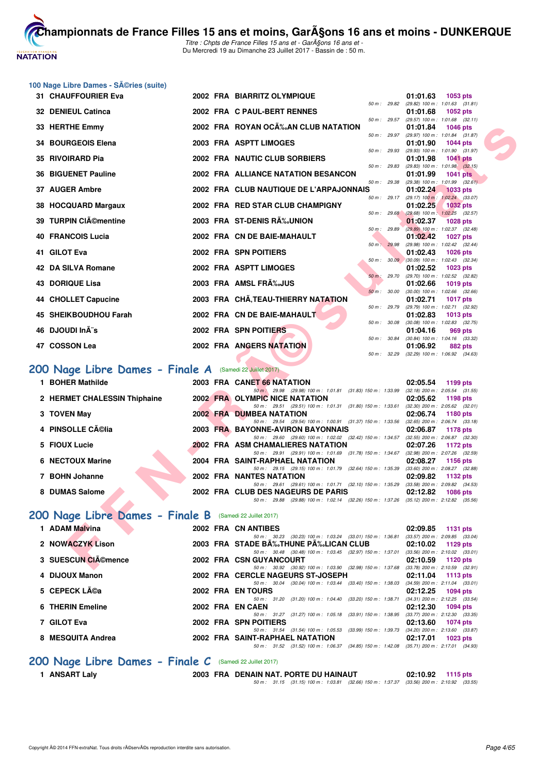

Titre : Chpts de France Filles 15 ans et - GarA§ons 16 ans et -Du Mercredi 19 au Dimanche 23 Juillet 2017 - Bassin de : 50 m.

#### 100 Nage Libre Dames - Séries (suite)

|   | 31 CHAUFFOURIER Eva                                      |  | 2002 FRA BIARRITZ OLYMPIQUE                                                                                                          |              | 01:01.63<br>1053 pts                                                        |
|---|----------------------------------------------------------|--|--------------------------------------------------------------------------------------------------------------------------------------|--------------|-----------------------------------------------------------------------------|
|   | 32 DENIEUL Catinca                                       |  | 2002 FRA C PAUL-BERT RENNES                                                                                                          | 50 m: 29.82  | $(29.82)$ 100 m : 1:01.63 $(31.81)$<br>01:01.68<br>1052 pts                 |
|   | 33 HERTHE Emmy                                           |  | 2002 FRA ROYAN OCA‰AN CLUB NATATION                                                                                                  | 50 m : 29.57 | $(29.57)$ 100 m : 1:01.68 $(32.11)$<br>01:01.84<br><b>1046 pts</b>          |
|   |                                                          |  |                                                                                                                                      | 50 m: 29.97  | (29.97) 100 m: 1:01.84 (31.87)                                              |
|   | 34 BOURGEOIS Elena                                       |  | 2003 FRA ASPTT LIMOGES                                                                                                               | 50 m: 29.93  | 01:01.90<br><b>1044 pts</b><br>(29.93) 100 m: 1:01.90 (31.97)               |
|   | 35 RIVOIRARD Pia                                         |  | 2002 FRA NAUTIC CLUB SORBIERS                                                                                                        |              | 01:01.98<br>$1041$ pts                                                      |
|   | <b>36 BIGUENET Pauline</b>                               |  | 2002 FRA ALLIANCE NATATION BESANCON                                                                                                  | 50 m : 29.83 | $(29.83)$ 100 m : 1:01.98 $(32.15)$<br>01:01.99<br><b>1041 pts</b>          |
|   | 37 AUGER Ambre                                           |  | 2002 FRA CLUB NAUTIQUE DE L'ARPAJONNAIS                                                                                              | 50 m : 29.38 | $(29.38)$ 100 m : 1:01.99 $(32.61)$<br>01:02.24                             |
|   |                                                          |  |                                                                                                                                      | 50 m : 29.17 | <b>1033 pts</b><br>$(29.17)$ 100 m : 1:02.24 $(33.07)$                      |
|   | 38 HOCQUARD Margaux                                      |  | 2002 FRA RED STAR CLUB CHAMPIGNY                                                                                                     | 50 m : 29.68 | 01:02.25<br><b>1032 pts</b><br>$(29.68)$ 100 m : 1:02.25 $(32.57)$          |
|   | 39 TURPIN CIémentine                                     |  | 2003 FRA ST-DENIS RA%JUNION                                                                                                          |              | 01:02.37<br><b>1028 pts</b>                                                 |
|   | <b>40 FRANCOIS Lucia</b>                                 |  | 2002 FRA CN DE BAIE-MAHAULT                                                                                                          | 50 m : 29.89 | (29.89) 100 m : 1:02.37 (32.48)<br>01:02.42<br><b>1027 pts</b>              |
|   |                                                          |  |                                                                                                                                      | 50 m: 29.98  | (29.98) 100 m: 1:02.42 (32.44)                                              |
|   | 41 GILOT Eva                                             |  | 2002 FRA SPN POITIERS                                                                                                                |              | 01:02.43<br><b>1026 pts</b><br>50 m : 30.09 (30.09) 100 m : 1:02.43 (32.34) |
|   | 42 DA SILVA Romane                                       |  | 2002 FRA ASPTT LIMOGES                                                                                                               |              | 01:02.52<br>1023 pts                                                        |
|   |                                                          |  |                                                                                                                                      | 50 m : 29.70 | (29.70) 100 m : 1:02.52 (32.82)                                             |
|   | <b>43 DORIQUE Lisa</b>                                   |  | 2003 FRA AMSL FRA%JUS                                                                                                                | 50 m: 30.00  | 01:02.66<br><b>1019 pts</b><br>$(30.00)$ 100 m : 1:02.66 $(32.66)$          |
|   | 44 CHOLLET Capucine                                      |  | 2003 FRA CHÂ, TEAU-THIERRY NATATION                                                                                                  |              | 01:02.71<br><b>1017 pts</b>                                                 |
|   |                                                          |  |                                                                                                                                      | 50 m : 29.79 | (29.79) 100 m : 1:02.71 (32.92)                                             |
|   | 45 SHEIKBOUDHOU Farah                                    |  | 2002 FRA CN DE BAIE-MAHAULT                                                                                                          | 50 m : 30.08 | 01:02.83<br><b>1013 pts</b><br>$(30.08)$ 100 m : 1:02.83 $(32.75)$          |
|   | 46 DJOUDI InÃ"s                                          |  | 2002 FRA SPN POITIERS                                                                                                                |              | 01:04.16<br>969 pts                                                         |
|   |                                                          |  |                                                                                                                                      | 50 m : 30.84 | (30.84) 100 m: 1:04.16 (33.32)                                              |
|   | 47 COSSON Lea                                            |  | 2002 FRA ANGERS NATATION                                                                                                             | 50 m: 32.29  | 01:06.92<br>882 pts<br>$(32.29)$ 100 m : 1:06.92 $(34.63)$                  |
|   | 200 Nage Libre Dames - Finale A (Samedi 22 Juillet 2017) |  |                                                                                                                                      |              |                                                                             |
|   |                                                          |  |                                                                                                                                      |              |                                                                             |
|   | 1 BOHER Mathilde                                         |  | 2003 FRA CANET 66 NATATION<br>50 m · 29.98 (29.98) 100 m · 1.01.81 (31.83) 150 m · 1.33.99 (32.18) 200 m · 2.05.54 (31.55)           |              | 02:05.54<br>1199 pts                                                        |
|   | 2 HERMET CHALESSIN Thiphaine                             |  | 2002 FRA OLYMPIC NICE NATATION                                                                                                       |              | 02:05.62<br>1198 pts                                                        |
|   |                                                          |  | 50 m: 29.51 (29.51) 100 m: 1:01.31 (31.80) 150 m: 1:33.61 (32.30) 200 m: 2:05.62 (32.01)                                             |              |                                                                             |
|   | 3 TOVEN May                                              |  | <b>2002 FRA DUMBEA NATATION</b><br>50 m : 29.54 (29.54) 100 m : 1:00.91 (31.37) 150 m : 1:33.56 (32.65) 200 m : 2:06.74 (33.18)      |              | 02:06.74<br>1180 pts                                                        |
|   | 4 PINSOLLE Célia                                         |  | 2003 FRA BAYONNE-AVIRON BAYONNAIS                                                                                                    |              | 02:06.87<br>1178 pts                                                        |
|   |                                                          |  | 50 m: 29.60 (29.60) 100 m: 1:02.02 (32.42) 150 m: 1:34.57 (32.55) 200 m: 2:06.87 (32.30)                                             |              |                                                                             |
|   | 5 FIOUX Lucie                                            |  | <b>2002 FRA ASM CHAMALIERES NATATION</b><br>50 m: 29.91 (29.91) 100 m: 1:01.69 (31.78) 150 m: 1:34.67 (32.98) 200 m: 2:07.26 (32.59) |              | 02:07.26<br>1172 pts                                                        |
| 6 | <b>NECTOUX Marine</b>                                    |  | 2004 FRA SAINT-RAPHAEL NATATION                                                                                                      |              | 02:08.27<br>1156 pts                                                        |
|   | 7 BOHN Johanne                                           |  | 50 m: 29.15 (29.15) 100 m: 1:01.79 (32.64) 150 m: 1:35.39 (33.60) 200 m: 2:08.27 (32.88)<br><b>2002 FRA NANTES NATATION</b>          |              | 02:09.82<br>1132 pts                                                        |
|   |                                                          |  | 50 m: 29.61 (29.61) 100 m: 1:01.71 (32.10) 150 m: 1:35.29 (33.58) 200 m: 2:09.82 (34.53)                                             |              |                                                                             |
|   | 8 DUMAS Salome                                           |  | 2002 FRA CLUB DES NAGEURS DE PARIS                                                                                                   |              | 02:12.82<br><b>1086 pts</b>                                                 |
|   |                                                          |  | 50 m: 29.88 (29.88) 100 m: 1:02.14 (32.26) 150 m: 1:37.26 (35.12) 200 m: 2:12.82 (35.56)                                             |              |                                                                             |
|   | 200 Nage Libre Dames - Finale B (Samedi 22 Juillet 2017) |  |                                                                                                                                      |              |                                                                             |
|   | 1 ADAM Malvina                                           |  | 2002 FRA CN ANTIBES                                                                                                                  |              | 02:09.85<br>1131 pts                                                        |
|   | 2 NOWACZYK Lison                                         |  | 50 m: 30.23 (30.23) 100 m: 1:03.24 (33.01) 150 m: 1:36.81 (33.57) 200 m: 2:09.85 (33.04)<br>2003 FRA STADE BĉTHUNE PĉLICAN CLUB      |              | 02:10.02<br>1129 pts                                                        |
|   |                                                          |  | 50 m: 30.48 (30.48) 100 m: 1:03.45 (32.97) 150 m: 1:37.01 (33.56) 200 m: 2:10.02 (33.01)                                             |              |                                                                             |
|   | 3 SUESCUN CIA©mence                                      |  | 2002 FRA CSN GUYANCOURT                                                                                                              |              | 02:10.59<br>1120 pts                                                        |
|   |                                                          |  | 50 m : 30.92 (30.92) 100 m : 1:03.90 (32.98) 150 m : 1:37.68 (33.78) 200 m : 2:10.59 (32.91)                                         |              |                                                                             |

# **[200 Nage Libre Dames - Finale A](http://www.ffnatation.fr/webffn/resultats.php?idact=nat&go=epr&idcpt=47485&idepr=3)** (Samedi 22 Juillet 2017)

| 1 BOHER Mathilde             |  | 2003 FRA CANET 66 NATATION                                                                            | 02:05.54 | 1199 $pts$                                               |
|------------------------------|--|-------------------------------------------------------------------------------------------------------|----------|----------------------------------------------------------|
| 2 HERMET CHALESSIN Thiphaine |  | 50 m : 29.98 (29.98) 100 m : 1:01.81 (31.83) 150 m : 1:33.99<br>2002 FRA OLYMPIC NICE NATATION        | 02:05.62 | $(32.18)$ 200 m : 2:05.54 $(31.55)$<br>1198 pts          |
| 3 TOVEN May                  |  | 50 m: 29.51 (29.51) 100 m: 1:01.31 (31.80) 150 m: 1:33.61<br><b>2002 FRA DUMBEA NATATION</b>          | 02:06.74 | $(32.30)$ 200 m : $2.05.62$ $(32.01)$<br>1180 pts        |
| 4 PINSOLLE Célia             |  | 50 m: 29.54 (29.54) 100 m: 1:00.91 (31.37) 150 m: 1:33.56<br>2003 FRA BAYONNE-AVIRON BAYONNAIS        |          | $(32.65)$ 200 m : 2:06.74 $(33.18)$<br>02:06.87 1178 pts |
| 5 FIOUX Lucie                |  | 50 m: 29.60 (29.60) 100 m: 1:02.02 (32.42) 150 m: 1:34.57<br><b>2002 FRA ASM CHAMALIERES NATATION</b> | 02:07.26 | (32.55) 200 m : 2:06.87 (32.30<br>1172 pts               |
| 6 NECTOUX Marine             |  | 50 m: 29.91 (29.91) 100 m: 1:01.69 (31.78) 150 m: 1:34.67<br>2004 FRA SAINT-RAPHAEL NATATION          |          | (32.98) 200 m : 2:07.26 (32.59)<br>02:08.27 1156 pts     |
| 7 BOHN Johanne               |  | 50 m: 29.15 (29.15) 100 m: 1:01.79 (32.64) 150 m: 1:35.39<br>2002 FRA NANTES NATATION                 | 02:09.82 | $(33.60)$ 200 m : 2:08.27 $(32.88)$<br><b>1132 pts</b>   |
| 8 DUMAS Salome               |  | 50 m: 29.61 (29.61) 100 m: 1:01.71 (32.10) 150 m: 1:35.29<br>2002 FRA CLUB DES NAGEURS DE PARIS       | 02:12.82 | (33.58) 200 m : 2:09.82 (34.53<br>1086 pts               |
|                              |  | 50 m: 29.88 (29.88) 100 m: 1:02.14 (32.26) 150 m: 1:37.26                                             |          | $(35.12)$ 200 m : 2:12.82 $(35.56)$                      |

# **[200 Nage Libre Dames - Finale B](http://www.ffnatation.fr/webffn/resultats.php?idact=nat&go=epr&idcpt=47485&idepr=3)** (Samedi 22 Juillet 2017)

| 1 ADAM Malvina     |  | 2002 FRA CN ANTIBES                                                 | 02:09.85                            | 1131 $pts$                          |
|--------------------|--|---------------------------------------------------------------------|-------------------------------------|-------------------------------------|
|                    |  | 50 m: 30.23 (30.23) 100 m: 1:03.24 (33.01) 150 m: 1:36.81           | $(33.57)$ 200 m : 2:09.85 $(33.04)$ |                                     |
| 2 NOWACZYK Lison   |  | 2003 FRA STADE B‰THUNE P‰LICAN CLUB                                 | 02:10.02                            | 1129 pts                            |
|                    |  | 50 m: 30.48 (30.48) 100 m: 1:03.45 (32.97) 150 m: 1:37.01           |                                     | $(33.56)$ 200 m : 2:10.02 $(33.01)$ |
| 3 SUESCUN CIémence |  | 2002 FRA CSN GUYANCOURT                                             | 02:10.59                            | 1120 pts                            |
|                    |  | 50 m: 30.92 (30.92) 100 m: 1:03.90 (32.98) 150 m: 1:37.68           | $(33.78)$ 200 m : 2:10.59 $(32.91)$ |                                     |
| 4 DIJOUX Manon     |  | 2002 FRA CERCLE NAGEURS ST-JOSEPH                                   | 02:11.04                            | 1113 $pts$                          |
|                    |  | $(30.04)$ 100 m : 1:03.44 $(33.40)$ 150 m : 1:38.03<br>50 m : 30.04 |                                     | $(34.59)$ 200 m : 2:11.04 $(33.01)$ |
| 5 CEPECK Léa       |  | 2002 FRA EN TOURS                                                   | 02:12.25                            | 1094 pts                            |
|                    |  | 50 m : 31.20 (31.20) 100 m : 1:04.40 (33.20) 150 m : 1:38.71        | $(34.31)$ 200 m : 2:12.25 $(33.54)$ |                                     |
| 6 THERIN Emeline   |  | 2002 FRA EN CAEN                                                    | 02:12.30                            | 1094 pts                            |
|                    |  | (33.91) 150 m : 1:38.95<br>50 m : 31.27 (31.27) 100 m : 1:05.18     | $(33.77)$ 200 m : 2:12.30 $(33.35)$ |                                     |
| 7 GILOT Eva        |  | 2002 FRA SPN POITIERS                                               | 02:13.60                            | 1074 pts                            |
|                    |  | 50 m: 31.54 (31.54) 100 m: 1:05.53 (33.99) 150 m: 1:39.73           |                                     | $(34.20)$ 200 m : 2:13.60 $(33.87)$ |
| 8 MESQUITA Andrea  |  | 2002 FRA SAINT-RAPHAEL NATATION                                     | 02:17.01                            | 1023 pts                            |
|                    |  | (31.52) 100 m : 1:06.37 (34.85) 150 m : 1:42.08<br>50 m : 31.52     | $(35.71)$ 200 m : 2:17.01 $(34.93)$ |                                     |
|                    |  |                                                                     |                                     |                                     |

#### **[200 Nage Libre Dames - Finale C](http://www.ffnatation.fr/webffn/resultats.php?idact=nat&go=epr&idcpt=47485&idepr=3)** (Samedi 22 Juillet 2017)

**1 ANSART Laly 2003 FRA DENAIN NAT. PORTE DU HAINAUT 02:10.92 1115 pts**

50 m : 31.15 (31.15) 100 m : 1:03.81 (32.66) 150 m : 1:37.37 (33.56) 200 m : 2:10.92 (33.55)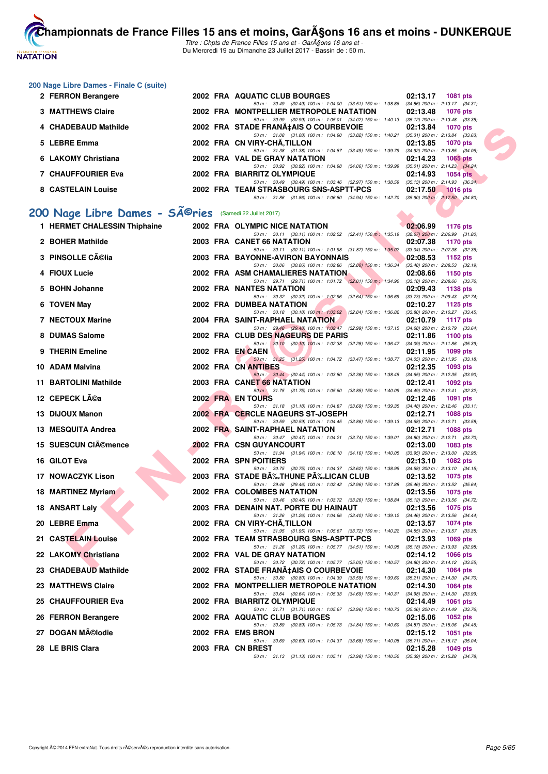

Titre : Chpts de France Filles 15 ans et - GarA§ons 16 ans et -Du Mercredi 19 au Dimanche 23 Juillet 2017 - Bassin de : 50 m.

#### **200 Nage Libre Dames - Finale C (suite)**

| 2 FERRON Berangere        |  | 2002 FRA AQUATIC CLUB BOURGES                                                            | 02:13.17            | <b>1081 pts</b>                     |
|---------------------------|--|------------------------------------------------------------------------------------------|---------------------|-------------------------------------|
|                           |  | 50 m: 30.49 (30.49) 100 m: 1:04.00 (33.51) 150 m: 1:38.86                                |                     | $(34.86)$ 200 m : 2:13.17 $(34.31)$ |
| <b>3 MATTHEWS Claire</b>  |  | 2002 FRA MONTPELLIER METROPOLE NATATION                                                  | 02:13.48 1076 pts   |                                     |
|                           |  | 50 m : 30.99 (30.99) 100 m : 1:05.01 (34.02) 150 m : 1:40.13                             |                     | $(35.12)$ 200 m : 2:13.48 $(33.35)$ |
| 4 CHADEBAUD Mathilde      |  | 2002 FRA STADE FRANA‡AIS O COURBEVOIE                                                    | 02:13.84 1070 pts   |                                     |
|                           |  | 50 m: 31.08 (31.08) 100 m: 1:04.90 (33.82) 150 m: 1:40.21                                |                     | $(35.31)$ 200 m : 2:13.84 $(33.63)$ |
| 5 LEBRE Emma              |  | 2002 FRA CN VIRY-CHA.TILLON                                                              |                     | 02:13.85 1070 pts                   |
|                           |  | 50 m: 31.38 (31.38) 100 m: 1:04.87 (33.49) 150 m: 1:39.79                                |                     | $(34.92)$ 200 m : 2:13.85 $(34.06)$ |
| 6 LAKOMY Christiana       |  | 2002 FRA VAL DE GRAY NATATION                                                            | $02:14.23$ 1065 pts |                                     |
|                           |  | 50 m: 30.92 (30.92) 100 m: 1:04.98 (34.06) 150 m: 1:39.99                                |                     | $(35.01)$ 200 m : 2:14.23 $(34.24)$ |
| <b>7 CHAUFFOURIER Eva</b> |  | 2002 FRA BIARRITZ OLYMPIQUE                                                              |                     | $02:14.93$ 1054 pts                 |
|                           |  | 50 m: 30.49 (30.49) 100 m: 1:03.46 (32.97) 150 m: 1:38.59                                |                     | $(35.13)$ 200 m : 2:14.93 $(36.34)$ |
| 8 CASTELAIN Louise        |  | 2002 FRA TEAM STRASBOURG SNS-ASPTT-PCS                                                   | 02:17.50 1016 pts   |                                     |
|                           |  | 50 m: 31.86 (31.86) 100 m: 1.06.80 (34.94) 150 m: 1.42.70 (35.90) 200 m: 2:17.50 (34.80) |                     |                                     |

# 200 Nage Libre Dames - SÃ<sup>@</sup>ries (Samedi 22 Juillet 2017)

| 4 CHADEBAUD Mathilde                                                |  | 2002 FRA STADE FRANA‡AIS O COURBEVOIE                                                                                                   | 02:13.84 | 1070 pts                                               |
|---------------------------------------------------------------------|--|-----------------------------------------------------------------------------------------------------------------------------------------|----------|--------------------------------------------------------|
| 5 LEBRE Emma                                                        |  | 50 m: 31.08 (31.08) 100 m: 1:04.90 (33.82) 150 m: 1:40.21 (35.31) 200 m: 2:13.84 (33.63)<br>2002 FRA CN VIRY-CHA, TILLON                | 02:13.85 | 1070 pts                                               |
| 6 LAKOMY Christiana                                                 |  | 50 m: 31.38 (31.38) 100 m: 1:04.87 (33.49) 150 m: 1:39.79 (34.92) 200 m: 2:13.85 (34.06)<br>2002 FRA VAL DE GRAY NATATION               | 02:14.23 | 1065 $pts$                                             |
| 7 CHAUFFOURIER Eva                                                  |  | 50 m: 30.92 (30.92) 100 m: 1:04.98 (34.06) 150 m: 1:39.99 (35.01) 200 m: 2:14.23 (34.24)<br>2002 FRA BIARRITZ OLYMPIQUE                 | 02:14.93 | <b>1054 pts</b>                                        |
|                                                                     |  | 50 m: 30.49 (30.49) 100 m: 1:03.46 (32.97) 150 m: 1:38.59 (35.13) 200 m: 2:14.93 (36.34)                                                |          |                                                        |
| 8 CASTELAIN Louise                                                  |  | 2002 FRA TEAM STRASBOURG SNS-ASPTT-PCS<br>50 m: 31.86 (31.86) 100 m: 1:06.80 (34.94) 150 m: 1:42.70 (35.90) 200 m: 2:17.50 (34.80)      | 02:17.50 | $1016$ pts                                             |
| 00 Nage Libre Dames - SÃ <sup>©</sup> ries (Samedi 22 Juillet 2017) |  |                                                                                                                                         |          |                                                        |
| 1 HERMET CHALESSIN Thiphaine                                        |  |                                                                                                                                         |          |                                                        |
|                                                                     |  | 2002 FRA OLYMPIC NICE NATATION<br>50 m: 30.11 (30.11) 100 m: 1:02.52 (32.41) 150 m: 1:35.19 (32.67) 200 m: 2:06.99 (31.80)              | 02:06.99 | 1176 pts                                               |
| 2 BOHER Mathilde                                                    |  | 2003 FRA CANET 66 NATATION<br>50 m: 30.11 (30.11) 100 m: 1:01.98 (31.87) 150 m: 1:35.02 (33.04) 200 m: 2:07.38 (32.36)                  | 02:07.38 | 1170 pts                                               |
| 3 PINSOLLE Célia                                                    |  | 2003 FRA BAYONNE-AVIRON BAYONNAIS<br>50 m: 30.06 (30.06) 100 m: 1:02.86 (32.80) 150 m: 1:36.34 (33.48) 200 m: 2:08.53 (32.19)           | 02:08.53 | 1152 pts                                               |
| 4 FIOUX Lucie                                                       |  | 2002 FRA ASM CHAMALIERES NATATION                                                                                                       | 02:08.66 | 1150 pts                                               |
| 5 BOHN Johanne                                                      |  | 50 m: 29.71 (29.71) 100 m: 1:01.72 (32.01) 150 m: 1:34.90 (33.18) 200 m: 2:08.66 (33.76)<br>2002 FRA NANTES NATATION                    | 02:09.43 | 1138 pts                                               |
| 6 TOVEN May                                                         |  | 50 m: 30.32 (30.32) 100 m: 1:02.96 (32.64) 150 m: 1:36.69 (33.73) 200 m: 2:09.43 (32.74)<br>2002 FRA DUMBEA NATATION                    | 02:10.27 | 1125 pts                                               |
|                                                                     |  | 50 m: 30.18 (30.18) 100 m: 1.03.02 (32.84) 150 m: 1.36.82 (33.80) 200 m: 2.10.27 (33.45)                                                |          |                                                        |
| <b>7 NECTOUX Marine</b>                                             |  | 2004 FRA SAINT-RAPHAEL NATATION                                                                                                         | 02:10.79 | <b>1117 pts</b>                                        |
| 8 DUMAS Salome                                                      |  | 50 m: 29.48 (29.48) 100 m: 1:02.47 (32.99) 150 m: 1:37.15 (34.68) 200 m: 2:10.79 (33.64)<br>2002 FRA CLUB DES NAGEURS DE PARIS          | 02:11.86 | 1100 pts                                               |
| 9 THERIN Emeline                                                    |  | 50 m: 30.10 (30.10) 100 m: 1:02.38 (32.28) 150 m: 1:36.47 (34.09) 200 m: 2:11.86 (35.39)<br>2002 FRA EN CAEN                            |          |                                                        |
|                                                                     |  | 50 m: 31.25 (31.25) 100 m: 1:04.72 (33.47) 150 m: 1:38.77 (34.05) 200 m: 2:11.95 (33.18)                                                | 02:11.95 | 1099 pts                                               |
| 10 ADAM Malvina                                                     |  | 2002 FRA CN ANTIBES                                                                                                                     | 02:12.35 | 1093 pts                                               |
| 11 BARTOLINI Mathilde                                               |  | 50 m : 30.44 (30.44) 100 m : 1:03.80 (33.36) 150 m : 1:38.45 (34.65) 200 m : 2:12.35 (33.90)<br>2003 FRA CANET 66 NATATION              | 02:12.41 | 1092 pts                                               |
| 12 CEPECK Léa                                                       |  | 50 m . 31.75 (31.75) 100 m : 1:05.60 (33.85) 150 m : 1:40.09 (34.49) 200 m : 2:12.41 (32.32)<br>2002 FRA EN TOURS                       | 02:12.46 | 1091 pts                                               |
| 13 DIJOUX Manon                                                     |  | 50 m: 31.18 (31.18) 100 m: 1:04.87 (33.69) 150 m: 1:39.35 (34.48) 200 m: 2:12.46 (33.11)<br>2002 FRA CERCLE NAGEURS ST-JOSEPH           | 02:12.71 | <b>1088 pts</b>                                        |
|                                                                     |  | 50 m: 30.59 (30.59) 100 m: 1:04.45 (33.86) 150 m: 1:39.13 (34.68) 200 m: 2:12.71 (33.58)                                                |          |                                                        |
| 13 MESQUITA Andrea                                                  |  | 2002 FRA SAINT-RAPHAEL NATATION<br>50 m: 30.47 (30.47) 100 m: 1:04.21 (33.74) 150 m: 1:39.01 (34.80) 200 m: 2:12.71 (33.70)             | 02:12.71 | 1088 pts                                               |
| 15 SUESCUN CIémence                                                 |  | <b>2002 FRA CSN GUYANCOURT</b>                                                                                                          | 02:13.00 | 1083 pts                                               |
| 16 GILOT Eva                                                        |  | 50 m: 31.94 (31.94) 100 m: 1:06.10 (34.16) 150 m: 1:40.05 (33.95) 200 m: 2:13.00 (32.95)<br>2002 FRA SPN POITIERS                       | 02:13.10 | 1082 pts                                               |
| 17 NOWACZYK Lison                                                   |  | 50 m: 30.75 (30.75) 100 m: 1:04.37 (33.62) 150 m: 1:38.95 (34.58) 200 m: 2:13.10 (34.15)<br>2003 FRA STADE BĉTHUNE PĉLICAN CLUB         | 02:13.52 | 1075 pts                                               |
|                                                                     |  | 50 m: 29.46 (29.46) 100 m: 1:02.42 (32.96) 150 m: 1:37.88 (35.46) 200 m: 2:13.52 (35.64)                                                |          |                                                        |
| 18 MARTINEZ Myriam                                                  |  | 2002 FRA COLOMBES NATATION<br>50 m: 30.46 (30.46) 100 m: 1:03.72 (33.26) 150 m: 1:38.84 (35.12) 200 m: 2:13.56 (34.72)                  | 02:13.56 | 1075 pts                                               |
| 18 ANSART Laly                                                      |  | 2003 FRA DENAIN NAT. PORTE DU HAINAUT<br>50 m: 31.26 (31.26) 100 m: 1:04.66 (33.40) 150 m: 1:39.12 (34.46) 200 m: 2:13.56 (34.44)       | 02:13.56 | 1075 pts                                               |
| 20 LEBRE Emma                                                       |  | 2002 FRA CN VIRY-CHA, TILLON                                                                                                            | 02:13.57 | 1074 pts                                               |
| 21 CASTELAIN Louise                                                 |  | 50 m: 31.95 (31.95) 100 m: 1:05.67 (33.72) 150 m: 1:40.22 (34.55) 200 m: 2:13.57 (33.35)<br>2002 FRA TEAM STRASBOURG SNS-ASPIT-PCS      | 02:13.93 | 1069 pts                                               |
| 22 LAKOMY Christiana                                                |  | 50 m: 31.26 (31.26) 100 m: 1:05.77 (34.51) 150 m: 1:40.95<br>2002 FRA VAL DE GRAY NATATION                                              | 02:14.12 | $(35.18)$ 200 m : 2:13.93 $(32.98)$<br>1066 pts        |
|                                                                     |  | 50 m: 30.72 (30.72) 100 m: 1:05.77 (35.05) 150 m: 1:40.57 (34.80) 200 m: 2:14.12 (33.55)                                                |          |                                                        |
| 23 CHADEBAUD Mathilde                                               |  | 2002 FRA STADE FRANA‡AIS O COURBEVOIE<br>50 m: 30.80 (30.80) 100 m: 1:04.39 (33.59) 150 m: 1:39.60 (35.21) 200 m: 2:14.30 (34.70)       | 02:14.30 | 1064 pts                                               |
| 23 MATTHEWS Claire                                                  |  | 2002 FRA MONTPELLIER METROPOLE NATATION<br>50 m : 30.64 (30.64) 100 m : 1:05.33 (34.69) 150 m : 1:40.31 (34.98) 200 m : 2:14.30 (33.99) | 02:14.30 | 1064 pts                                               |
| 25 CHAUFFOURIER Eva                                                 |  | 2002 FRA BIARRITZ OLYMPIQUE<br>50 m: 31.71 (31.71) 100 m: 1:05.67 (33.96) 150 m: 1:40.73                                                | 02:14.49 | <b>1061 pts</b><br>$(35.06)$ 200 m : 2:14.49 $(33.76)$ |
| 26 FERRON Berangere                                                 |  | 2002 FRA AQUATIC CLUB BOURGES                                                                                                           | 02:15.06 | 1052 pts                                               |
| 27 DOGAN Mélodie                                                    |  | 50 m: 30.89 (30.89) 100 m: 1:05.73 (34.84) 150 m: 1:40.60<br>2002 FRA EMS BRON                                                          | 02:15.12 | $(34.87)$ 200 m : 2:15.06 $(34.46)$<br>1051 pts        |
|                                                                     |  | 50 m : 30.69 (30.69) 100 m : 1:04.37 (33.68) 150 m : 1:40.08                                                                            |          | $(35.71)$ 200 m : 2:15.12 $(35.04)$                    |
| 28 LE BRIS Clara                                                    |  | 2003 FRA CN BREST<br>50 m: 31.13 (31.13) 100 m: 1:05.11 (33.98) 150 m: 1:40.50 (35.39) 200 m: 2:15.28 (34.78)                           | 02:15.28 | 1049 pts                                               |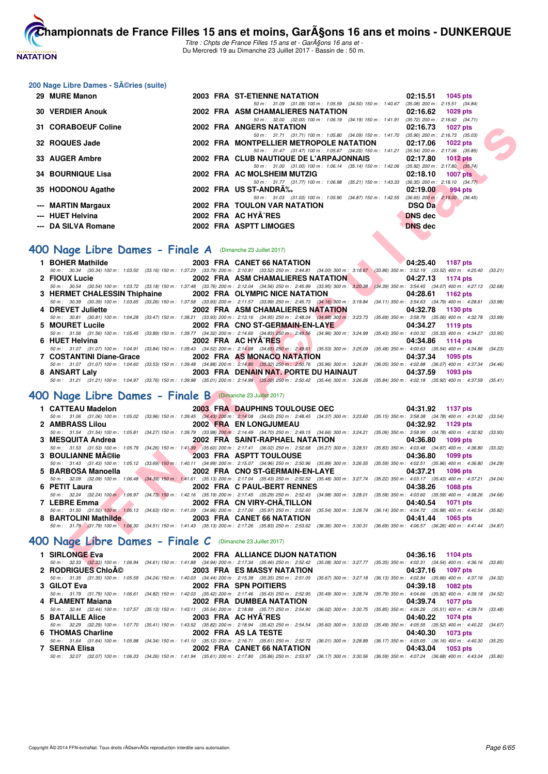

Titre : Chpts de France Filles 15 ans et - GarA§ons 16 ans et -Du Mercredi 19 au Dimanche 23 Juillet 2017 - Bassin de : 50 m.

#### 200 Nage Libre Dames - Séries (suite)

| 29 MURE Manon            |  | 2003 FRA ST-ETIENNE NATATION                                                             | 02:15.51 1045 pts                   |
|--------------------------|--|------------------------------------------------------------------------------------------|-------------------------------------|
|                          |  | 50 m: 31.09 (31.09) 100 m: 1:05.59 (34.50) 150 m: 1:40.67                                | $(35.08)$ 200 m : 2:15.51 $(34.84)$ |
| <b>30 VERDIER Anouk</b>  |  | 2002 FRA ASM CHAMALIERES NATATION                                                        | 02:16.62 1029 pts                   |
|                          |  | 50 m: 32.00 (32.00) 100 m: 1:06.19 (34.19) 150 m: 1:41.91 (35.72) 200 m: 2:16.62 (34.71) |                                     |
| 31 CORABOEUF Coline      |  | 2002 FRA ANGERS NATATION                                                                 | 02:16.73 1027 pts                   |
|                          |  | 50 m: 31.71 (31.71) 100 m: 1:05.80 (34.09) 150 m: 1:41.70 (35.90) 200 m: 2:16.73 (35.03) |                                     |
| 32 ROQUES Jade           |  | 2002 FRA MONTPELLIER METROPOLE NATATION                                                  | $02:17.06$ 1022 pts                 |
|                          |  | 50 m: 31.47 (31.47) 100 m: 1:05.67 (34.20) 150 m: 1:41.21                                | $(35.54)$ 200 m : 2:17.06 $(35.85)$ |
| 33 AUGER Ambre           |  | 2002 FRA CLUB NAUTIQUE DE L'ARPAJONNAIS                                                  | 02:17.80 1012 pts                   |
|                          |  | 50 m: 31.00 (31.00) 100 m: 1:06.14 (35.14) 150 m: 1:42.06 (35.92) 200 m: 2:17.80 (35.74) |                                     |
| <b>34 BOURNIQUE Lisa</b> |  | 2002 FRA AC MOLSHEIM MUTZIG                                                              | 02:18.10<br>1007 $pts$              |
|                          |  | 50 m: 31.77 (31.77) 100 m: 1:06.98 (35.21) 150 m: 1:43.33                                | $(36.35)$ 200 m : 2:18.10 $(34.77)$ |
| 35 HODONOU Agathe        |  | 2002 FRA US ST-ANDRA%                                                                    | 02:19.00<br>994 pts                 |
|                          |  | 50 m: 31.03 (31.03) 100 m: 1:05.90 (34.87) 150 m: 1:42.55                                | $(36.65)$ 200 m : 2:19.00 $(36.45)$ |
| --- MARTIN Margaux       |  | 2002 FRA TOULON VAR NATATION                                                             | <b>DSQ Da</b>                       |
| --- HUET Helvina         |  | 2002 FRA AC HYA^RES                                                                      | <b>DNS</b> dec                      |
| --- DA SILVA Romane      |  | 2002 FRA ASPTT LIMOGES                                                                   | <b>DNS</b> dec                      |

#### **[400 Nage Libre Dames - Finale A](http://www.ffnatation.fr/webffn/resultats.php?idact=nat&go=epr&idcpt=47485&idepr=4)** (Dimanche 23 Juillet 2017)

| <b>31 CORABOEUF Coline</b>                                            | 2002 FRA ANGERS NATATION                                                                                                                                                                                                                                                                                                                                                                                  | 02:16.73<br>1027 pts        |  |
|-----------------------------------------------------------------------|-----------------------------------------------------------------------------------------------------------------------------------------------------------------------------------------------------------------------------------------------------------------------------------------------------------------------------------------------------------------------------------------------------------|-----------------------------|--|
| 32 ROQUES Jade                                                        | 50 m: 31.71 (31.71) 100 m: 1:05.80 (34.09) 150 m: 1:41.70 (35.90) 200 m: 2:16.73 (35.03)<br>2002 FRA MONTPELLIER METROPOLE NATATION                                                                                                                                                                                                                                                                       | 02:17.06<br><b>1022 pts</b> |  |
| 33 AUGER Ambre                                                        | 50 m: 31.47 (31.47) 100 m: 1:05.67 (34.20) 150 m: 1:41.21 (35.54) 200 m: 2:17.06 (35.85)<br>2002 FRA CLUB NAUTIQUE DE L'ARPAJONNAIS                                                                                                                                                                                                                                                                       | 02:17.80<br>1012 pts        |  |
| <b>34 BOURNIQUE Lisa</b>                                              | 50 m: 31.00 (31.00) 100 m: 1:06.14 (35.14) 150 m: 1:42.06 (35.92) 200 m: 2:17.80 (35.74)<br>2002 FRA AC MOLSHEIM MUTZIG                                                                                                                                                                                                                                                                                   | 02:18.10<br>$1007$ pts      |  |
| 35 HODONOU Agathe                                                     | 50 m: 31.77 (31.77) 100 m: 1:06.98 (35.21) 150 m: 1:43.33 (36.35) 200 m: 2:18.10 (34.77)<br>2002 FRA US ST-ANDRA%                                                                                                                                                                                                                                                                                         | 02:19.00<br>994 pts         |  |
| --- MARTIN Margaux                                                    | 50 m: 31.03 (31.03) 100 m: 1.05.90 (34.87) 150 m: 1.42.55 (36.65) 200 m: 2:19.00 (36.45)<br>2002 FRA TOULON VAR NATATION                                                                                                                                                                                                                                                                                  | <b>DSQ Da</b>               |  |
| --- HUET Helvina                                                      | 2002 FRA AC HYA RES                                                                                                                                                                                                                                                                                                                                                                                       | <b>DNS</b> dec              |  |
| --- DA SILVA Romane                                                   | 2002 FRA ASPTT LIMOGES                                                                                                                                                                                                                                                                                                                                                                                    | <b>DNS</b> dec              |  |
|                                                                       |                                                                                                                                                                                                                                                                                                                                                                                                           |                             |  |
| <b>00 Nage Libre Dames - Finale A</b> (Dimanche 23 Juillet 2017)      |                                                                                                                                                                                                                                                                                                                                                                                                           |                             |  |
| 1 BOHER Mathilde                                                      | 2003 FRA CANET 66 NATATION<br>50 m: 30.34 (30.34) 100 m: 1:03.50 (33.16) 150 m: 1:37.29 (33.79) 200 m: 2:10.81 (33.52) 250 m: 2:44.81 (34.00) 300 m: 3:18.67 (33.86) 350 m: 3:52.19 (33.52) 400 m: 4:25.40 (33.21)                                                                                                                                                                                        | 04:25.40 1187 pts           |  |
| 2 FIOUX Lucie                                                         | 2002 FRA ASM CHAMALIERES NATATION                                                                                                                                                                                                                                                                                                                                                                         | 04:27.13 1174 pts           |  |
|                                                                       | 50 m: 30.54 (30.54) 100 m: 1:03.72 (33.18) 150 m: 1:37.48 (33.76) 200 m: 2:12.04 (34.56) 250 m: 2:45.99 (33.95) 300 m: 3:20.38 (34.39) 350 m: 3:54.45 (34.07) 400 m: 4:27.13 (32.68)                                                                                                                                                                                                                      |                             |  |
| 3 HERMET CHALESSIN Thiphaine                                          | 2002 FRA OLYMPIC NICE NATATION                                                                                                                                                                                                                                                                                                                                                                            | 04:28.61<br>1162 pts        |  |
|                                                                       | 50 m : 30.39 (30.39) 100 m : 1:03.65 (33.26) 150 m : 1:37.58 (33.93) 200 m : 2:11.57 (33.99) 250 m : 2:45.73 (34.16) 300 m : 3:19.84 (34.11) 350 m : 3:54.63 (34.79) 400 m : 4:28.61                                                                                                                                                                                                                      | (33.98)                     |  |
| 4 DREVET Juliette                                                     | 2002 FRA ASM CHAMALIERES NATATION<br>50 m : 30.81 (30.81) 100 m : 1:04.28 (33.47) 150 m : 1:38.21 (33.93) 200 m : 2:13.16 (34.95) 250 m : 2:48.04 (34.88) 300 m : 3:23.73 (35.69) 350 m : 3:58.79 (35.06) 400 m : 4:32.78 (33.99)                                                                                                                                                                         | 04:32.78<br>1130 pts        |  |
| 5 MOURET Lucile                                                       | 2002 FRA CNO ST-GERMAIN-EN-LAYE                                                                                                                                                                                                                                                                                                                                                                           | 04:34.27<br>1119 pts        |  |
|                                                                       | 50 m: 31.56 (31.56) 100 m: 1:05.45 (33.89) 150 m: 1:39.77 (34.32) 200 m: 2:14.60 (34.83) 250 m: 2:49.56 (34.96) 300 m: 3:24.99 (35.43) 350 m: 4:00.32 (35.33) 400 m: 4:34.27 (33.95)                                                                                                                                                                                                                      |                             |  |
| 6 HUET Helvina                                                        | 2002 FRA AC HYA^RES<br>$\blacksquare$                                                                                                                                                                                                                                                                                                                                                                     | 04:34.86<br>1114 pts        |  |
|                                                                       | 50 m : 31.07 (31.07) 100 m : 1:04.91 (33.84) 150 m : 1:39.43 (34.52) 200 m : 2:14.08 (34.65) 250 m : 2:49.61 (35.53) 300 m : 3:25.09 (35.48) 350 m : 4:00.63 (35.54) 400 m : 4:34.86 (34.23)                                                                                                                                                                                                              |                             |  |
| 7 COSTANTINI Diane-Grace                                              | 2002 FRA AS MONACO NATATION                                                                                                                                                                                                                                                                                                                                                                               | 04:37.34<br>1095 pts        |  |
| 8 ANSART Laly                                                         | 50 m: 31.07 (31.07) 100 m: 1:04.60 (33.53) 150 m: 1:39.48 (34.88) 200 m: 2:14.80 (35.32) 250 m: 2:50.76 (35.96) 300 m: 3:26.81 (36.05) 350 m: 4:02.88 (36.07) 400 m: 4:37.34 (34.46)<br>2003 FRA DENAIN NAT. PORTE DU HAINAUT                                                                                                                                                                             | 04:37.59<br>1093 pts        |  |
|                                                                       | 50 m: 31.21 (31.21) 100 m: 1:04.97 (33.76) 150 m: 1:39.98 (35.01) 200 m: 2:14.98 (35.00) 250 m: 2:50.42 (35.44) 300 m: 3:26.26 (35.84) 350 m: 4:02.18 (35.92) 400 m: 4:37.59 (35.41)                                                                                                                                                                                                                      |                             |  |
| 00 Nage Libre Dames - Finale B (Dimanche 23 Juillet 2017)             |                                                                                                                                                                                                                                                                                                                                                                                                           |                             |  |
|                                                                       |                                                                                                                                                                                                                                                                                                                                                                                                           |                             |  |
| 1 CATTEAU Madelon                                                     | <b>2003 FRA DAUPHINS TOULOUSE OEC</b><br>50 m: 31.06 (31.06) 100 m: 1:05.02 (33.96) 150 m: 1:39.45 (34.43) 200 m: 2:14.08 (34.63) 250 m: 2:48.45 (34.37) 300 m: 3:23.60 (35.15) 350 m: 3:58.38 (34.78) 400 m: 4:31.92 (33.54)                                                                                                                                                                             | 04:31.92 1137 pts           |  |
| 2 AMBRASS Lilou                                                       | 2002 FRA EN LONGJUMEAU                                                                                                                                                                                                                                                                                                                                                                                    | 04:32.92<br>1129 pts        |  |
|                                                                       | 50 m: 31.54 (31.54) 100 m: 1:05.81 (34.27) 150 m: 1:39.79 (33.98) 200 m: 2:14.49 (34.70) 250 m: 2:49.15 (34.66) 300 m: 3:24.21 (35.06) 350 m: 3:58.99 (34.78) 400 m: 4:32.92 (33.93)                                                                                                                                                                                                                      |                             |  |
| 3 MESQUITA Andrea                                                     | 2002 FRA SAINT-RAPHAEL NATATION                                                                                                                                                                                                                                                                                                                                                                           | 04:36.80<br>1099 pts        |  |
|                                                                       | 50 m : 31.53 (31.53) 100 m : 1:05.79 (34.26) 150 m : 1:41.39 (35.60) 200 m : 2:17.41 (36.02) 250 m : 2:52.68 (35.27) 300 m : 3:28.51 (35.83) 350 m : 4:03.48 (34.97) 400 m : 4:36.80                                                                                                                                                                                                                      | (33.32)                     |  |
| <u>and the second second second</u><br><b>3 BOULIANNE MA©lie</b>      | 2003 FRA ASPTT TOULOUSE                                                                                                                                                                                                                                                                                                                                                                                   | 04:36.80<br>1099 pts        |  |
| the contract of the contract of the contract of<br>5 BARBOSA Manoella | 50 m: 31.43 (31.43) 100 m: 1:05.12 (33.69) 150 m: 1:40.11 (34.99) 200 m: 2:15.07 (34.96) 250 m: 2:50.96 (35.89) 300 m: 3:26.55 (35.59) 350 m: 4:02.51 (35.96) 400 m: 4:36.80 (34.29)<br>2002 FRA CNO ST-GERMAIN-EN-LAYE                                                                                                                                                                                   | 04:37.21<br><b>1096 pts</b> |  |
|                                                                       | 50 m : 32.09 (32.09) 100 m : 1:06.48 (34.39) 150 m : 1:41.61 (35.13) 200 m : 2:17.04 (35.43) 250 m : 2:52.52 (35.48) 300 m : 3:27.74 (35.22) 350 m : 4:03.17 (35.43) 400 m : 4:37.21 (34.04)                                                                                                                                                                                                              |                             |  |
| 6 PETIT Laura                                                         | 2002 FRA C PAUL-BERT RENNES                                                                                                                                                                                                                                                                                                                                                                               | 04:38.26<br>1088 pts        |  |
|                                                                       | 50 m: 32.24 (32.24) 100 m: 1:06.97 (34.73) 150 m: 1:42.16 (35.19) 200 m: 2:17.45 (35.29) 250 m: 2:52.43 (34.98) 300 m: 3:28.01 (35.58) 350 m: 4:03.60 (35.59) 400 m: 4:38.26 (34.66)                                                                                                                                                                                                                      |                             |  |
| 7 LEBRE Emma                                                          | 2002 FRA CN VIRY-CHÂ, TILLON                                                                                                                                                                                                                                                                                                                                                                              | 04:40.54<br><b>1071 pts</b> |  |
|                                                                       | 50 m: 31.50 (31.50) 100 m: 1:06.13 (34.63) 150 m: 1:41.09 (34.96) 200 m: 2:17.06 (35.97) 250 m: 2:52.60 (35.54) 300 m: 3:28.74 (36.14) 350 m: 4:04.72 (35.98) 400 m: 4:40.54 (35.82)                                                                                                                                                                                                                      |                             |  |
| 8 BARTOLINI Mathilde                                                  | 2003 FRA CANET 66 NATATION                                                                                                                                                                                                                                                                                                                                                                                | 04:41.44<br><b>1065 pts</b> |  |
|                                                                       | 50 m: 31.79 (31.79) 100 m: 1:06.30 (34.51) 150 m: 1:41.43 (35.13) 200 m: 2:17.26 (35.83) 250 m: 2:53.62 (36.36) 300 m: 3:30.31 (36.69) 350 m: 4:06.57 (36.26) 400 m: 4:41.44 (34.87)                                                                                                                                                                                                                      |                             |  |
| 00 Nage Libre Dames - Finale $C$ (Dimanche 23 Juillet 2017)           |                                                                                                                                                                                                                                                                                                                                                                                                           |                             |  |
| 1 SIRLONGE Eva                                                        | 2002 FRA ALLIANCE DIJON NATATION                                                                                                                                                                                                                                                                                                                                                                          | 04:36.16 1104 pts           |  |
|                                                                       | 50 m: 32.33 (32.33) 100 m: 1:06.94 (34.61) 150 m: 1:41.88 (34.94) 200 m: 2:17.34 (35.46) 250 m: 2:52.42 (35.08) 300 m: 3:27.77 (35.35) 350 m: 4:02.31 (34.54) 400 m: 4:36.16 (33.85)                                                                                                                                                                                                                      |                             |  |
|                                                                       | $\alpha$ Donnicular $\alpha$ - $\alpha$ - $\alpha$ - $\alpha$ - $\alpha$ - $\alpha$ - $\alpha$ - $\alpha$ - $\alpha$ - $\alpha$ - $\alpha$ - $\alpha$ - $\alpha$ - $\alpha$ - $\alpha$ - $\alpha$ - $\alpha$ - $\alpha$ - $\alpha$ - $\alpha$ - $\alpha$ - $\alpha$ - $\alpha$ - $\alpha$ - $\alpha$ - $\alpha$ - $\alpha$ - $\alpha$ - $\alpha$ - $\alpha$ - $\alpha$ - $\alpha$ - $\alpha$ - $\alpha$ - |                             |  |

# **[400 Nage Libre Dames - Finale B](http://www.ffnatation.fr/webffn/resultats.php?idact=nat&go=epr&idcpt=47485&idepr=4)** (Dimanche 23 Juillet 2017)

| 1 CATTEAU Madelon                               | 2003 FRA DAUPHINS TOULOUSE OEC                                                                                                                                                               | 04:31.92 1137 pts |
|-------------------------------------------------|----------------------------------------------------------------------------------------------------------------------------------------------------------------------------------------------|-------------------|
|                                                 | 50 m: 31.06 (31.06) 100 m: 1:05.02 (33.96) 150 m: 1:39.45 (34.43) 200 m: 2:14.08 (34.63) 250 m: 2:48.45 (34.37) 300 m: 3:23.60 (35.15) 350 m: 3:58.38 (34.78) 400 m: 4:31.92 (33.54)         |                   |
| 2 AMBRASS Lilou                                 | 2002 FRA EN LONGJUMEAU                                                                                                                                                                       | 04:32.92 1129 pts |
|                                                 | 50 m: 31.54 (31.54) 100 m: 1:05.81 (34.27) 150 m: 1:39.79 (33.98) 200 m: 2:14.49 (34.70) 250 m: 2:49.15 (34.66) 300 m: 3:24.21 (35.06) 350 m: 3:58.99 (34.78) 400 m: 4:32.92 (33.93)         |                   |
| 3 MESQUITA Andrea                               | 2002 FRA SAINT-RAPHAEL NATATION                                                                                                                                                              | 04:36.80 1099 pts |
|                                                 | 50 m: 31.53 (31.53) 100 m: 1:05.79 (34.26) 150 m: 1:41.39 (35.60) 200 m: 2:17.41 (36.02) 250 m: 2:52.68 (35.27) 300 m: 3:28.51 (35.83) 350 m: 4:03.48 (34.97) 400 m: 4:36.80 (33.32)         |                   |
| 3 BOULIANNE MAClie                              | <b>2003 FRA ASPTT TOULOUSE</b>                                                                                                                                                               | 04:36.80 1099 pts |
|                                                 | 50 m: 31.43 (31.43) 100 m: 1:05.12 (33.69) 150 m: 1:40.11 (34.99) 200 m: 2:15.07 (34.96) 250 m: 2:50.96 (35.89) 300 m: 3:26.55 (35.59) 350 m: 4:02.51 (35.96) 400 m: 4:36.80 (34.29)         |                   |
| 5 BARBOSA Manoella                              | 2002 FRA CNO ST-GERMAIN-EN-LAYE                                                                                                                                                              | 04:37.21 1096 pts |
|                                                 |                                                                                                                                                                                              |                   |
|                                                 | 50 m: 32.09 (32.09) 100 m: 1:06.48 (34.39) 150 m: 1:41.61 (35.13) 200 m: 2:17.04 (35.43) 250 m: 2:52.52 (35.48) 300 m: 3:27.74 (35.22) 350 m: 4:03.17 (35.43) 400 m: 4:37.21 (34.04)         |                   |
| 6 PETIT Laura                                   | 2002 FRA C PAUL-BERT RENNES                                                                                                                                                                  | 04:38.26 1088 pts |
|                                                 | 50 m : 32.24 (32.24) 100 m : 1:06.97 (34.73) 150 m : 1:42.16 (35.19) 200 m : 2:17.45 (35.29) 250 m : 2:52.43 (34.98) 300 m : 3:28.01 (35.58) 350 m : 4:03.60 (35.59) 400 m : 4:03.60 (34.86) |                   |
| 7 LEBRE Emma                                    | <b>EXAMPLE 2002 FRA CN VIRY-CHÂ, TILLON</b>                                                                                                                                                  | 04:40.54 1071 pts |
|                                                 | 50 m: 31.50 (31.50) 100 m: 1:06.13 (34.63) 150 m: 1:41.09 (34.96) 200 m: 2:17.06 (35.97) 250 m: 2:52.60 (35.54) 300 m: 3:28.74 (36.14) 350 m: 4:04.72 (35.98) 400 m: 4:40.54 (35.82)         |                   |
| 8 BARTOLINI Mathilde 2003 FRA CANET 66 NATATION |                                                                                                                                                                                              | 04:41.44 1065 pts |

# **[400 Nage Libre Dames - Finale C](http://www.ffnatation.fr/webffn/resultats.php?idact=nat&go=epr&idcpt=47485&idepr=4)** (Dimanche 23 Juillet 2017)

| 1 SIRLONGE Eva    | 2002 FRA ALLIANCE DIJON NATATION | 04:36.16 1104 pts                                                                                                                                                                            |
|-------------------|----------------------------------|----------------------------------------------------------------------------------------------------------------------------------------------------------------------------------------------|
|                   |                                  | 50 m: 32.33 (32.33) 100 m: 1:06.94 (34.61) 150 m: 1:41.88 (34.94) 200 m: 2:17.34 (35.46) 250 m: 2:52.42 (35.08) 300 m: 3:27.77 (35.35) 350 m: 4:02.31 (34.54) 400 m: 4:36.16 (33.85)         |
|                   |                                  | 04:37.16 1097 pts                                                                                                                                                                            |
|                   |                                  | 50 m: 31.35 (31.35) 100 m: 1:05.59 (34.24) 150 m: 1:40.03 (34.44) 200 m: 2:15.38 (35.35) 250 m: 2:51.05 (35.67) 300 m: 3:27.18 (36.13) 350 m: 4:02.84 (35.66) 400 m: 4:37.16 (34.32)         |
| 3 GILOT Eva       | 2002 FRA SPN POITIERS            | 04:39.18 1082 pts                                                                                                                                                                            |
|                   |                                  | 50 m : 31.79 (31.79) 100 m : 1:06.61 (34.82) 150 m : 1:42.03 (35.42) 200 m : 2:17.46 (35.43) 250 m : 2:52.95 (35.49) 300 m : 3:28.74 (35.79) 350 m : 4:04.66 (35.92) 400 m : 4:39.18 (34.52) |
| 4 FLAMENT Maiana  | 2002 FRA DUMBEA NATATION         | 04:39.74 1077 pts                                                                                                                                                                            |
|                   |                                  | 50 m: 32.44 (32.44) 100 m: 1:07.57 (35.13) 150 m: 1:43.11 (35.54) 200 m: 2:18.88 (35.77) 250 m: 2:54.90 (36.02) 300 m: 3:30.75 (35.85) 350 m: 4:06.26 (35.51) 400 m: 4:39.74 (33.48)         |
| 5 BATAILLE Alice  | 2003 FRA AC HYA^RES              | 04:40.22 1074 pts                                                                                                                                                                            |
|                   |                                  | 50 m : 32.29 (32.29) 100 m : 1:07.70 (35.41) 150 m : 1:43.52 (35.82) 200 m : 2:18.94 (35.42) 250 m : 2:54.54 (35.60) 300 m : 3:30.03 (35.49) 350 m : 4:05.55 (35.52) 400 m : 4:40.22 (34.67) |
| 6 THOMAS Charline | 2002 FRA AS LA TESTE             | 04:40.30 1073 pts                                                                                                                                                                            |
|                   |                                  | 50 m: 31.64 (31.64) 100 m: 1:05.98 (34.34) 150 m: 1:41.10 (35.12) 200 m: 2:16.71 (35.61) 250 m: 2:52.72 (36.01) 300 m: 3:28.89 (36.17) 350 m: 4:05.05 (36.16) 400 m: 4:40.30 (35.25)         |
| 7 SERNA Elisa     | 2002 FRA CANET 66 NATATION       | 04:43.04 1053 pts                                                                                                                                                                            |
|                   |                                  | 50 m: 32.07 (32.07) 100 m: 1:06.33 (34.26) 150 m: 1:41.94 (35.61) 200 m: 2:17.80 (35.86) 250 m: 2:53.97 (36.17) 300 m: 3:30.56 (36.59) 350 m: 4:07.24 (36.68) 400 m: 4:43.04 (35.80)         |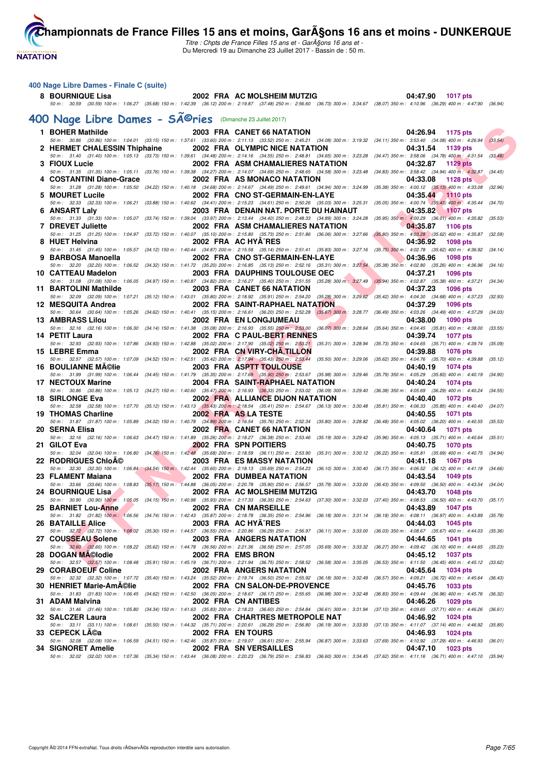

Titre : Chpts de France Filles 15 ans et - GarA§ons 16 ans et -Du Mercredi 19 au Dimanche 23 Juillet 2017 - Bassin de : 50 m.

# **400 Nage Libre Dames - Finale C (suite)**

**8 BOURNIQUE Lisa 2002 FRA AC MOLSHEIM MUTZIG 04:47.90 1017 pts** 50 m : 30.59 (30.59) 100 m : 1:06.27 (35.68) 150 m : 1:42.39 (36.12) 200 m : 2:19.87 (37.48) 250 m : 2:56.60 (36.73) 300 m : 3:34.67 (38.07) 350 m : 4:10.96 (36.29) 400 m : 4:47.90 (36.94)

# 400 Nage Libre Dames - SÃ<sup>@</sup>ries (Dimanche 23 Juillet 2017)

|   | 1 BOHER Mathilde             |  | 2003 FRA CANET 66 NATATION                                                                                                                                                                                                                                                                                                                                                                              | 04:26.94 1175 pts                                                              |         |
|---|------------------------------|--|---------------------------------------------------------------------------------------------------------------------------------------------------------------------------------------------------------------------------------------------------------------------------------------------------------------------------------------------------------------------------------------------------------|--------------------------------------------------------------------------------|---------|
|   | 2 HERMET CHALESSIN Thiphaine |  | 50 m: 30.86 (30.86) 100 m: 1:04.01 (33.15) 150 m: 1:37.61 (33.60) 200 m: 2:11.13 (33.52) 250 m: 2:45.21 (34.08) 300 m: 3:19.32 (34.11) 350 m: 3:53.40 (34.08) 400 m: 4:26.94<br>2002 FRA OLYMPIC NICE NATATION                                                                                                                                                                                          | 04:31.54<br>1139 pts                                                           | (33.54) |
|   | 3 FIOUX Lucie                |  | 50 m: 31.40 (31.40) 100 m: 1:05.13 (33.73) 150 m: 1:39.61 (34.48) 200 m: 2:14.16 (34.55) 250 m: 2:48.81 (34.65) 300 m: 3:23.28 (34.47) 350 m: 3:58.06 (34.78) 400 m: 4:31.54<br>2002 FRA ASM CHAMALIERES NATATION                                                                                                                                                                                       | 04:32.87<br>1129 pts                                                           | (33.48) |
|   | 4 COSTANTINI Diane-Grace     |  | 50 m: 31.35 (31.35) 100 m: 1:05.11 (33.76) 150 m: 1:39.38 (34.27) 200 m: 2:14.07 (34.69) 250 m: 2:48.65 (34.58) 300 m: 3:23.48 (34.83) 350 m: 3:58.42 (34.94) 400 m: 4:32.87 (34.45)<br>2002 FRA AS MONACO NATATION                                                                                                                                                                                     | 04:33.08<br>1128 pts                                                           |         |
|   | 5 MOURET Lucile              |  | 50 m: 31.28 (31.28) 100 m: 1:05.50 (34.22) 150 m: 1:40.18 (34.68) 200 m: 2:14.67 (34.49) 250 m: 2:49.61 (34.94) 300 m: 3:24.99 (35.38) 350 m: 4:00.12 (35.13) 400 m: 4:33.08 (32.96)<br>2002 FRA CNO ST-GERMAIN-EN-LAYE                                                                                                                                                                                 | 04:35.44<br>1110 pts                                                           |         |
| 6 | <b>ANSART Laly</b>           |  | 50 m: 32.33 (32.33) 100 m: 1:06.21 (33.88) 150 m: 1:40.62 (34.41) 200 m: 2:15.23 (34.61) 250 m: 2:50.26 (35.03) 300 m: 3:25.31 (35.05) 350 m: 4:00.74 (35.43) 400 m: 4:35.44 (34.70)<br>2003 FRA DENAIN NAT. PORTE DU HAINAUT                                                                                                                                                                           | 04:35.82<br>$-1107$ pts                                                        |         |
|   | <b>7 DREVET Juliette</b>     |  | 50 m: 31.33 (31.33) 100 m: 1:05.07 (33.74) 150 m: 1:39.04 (33.97) 200 m: 2:13.44 (34.40) 250 m: 2:48.33 (34.89) 300 m: 3:24.28 (35.95) 350 m: 4:00.29 (36.01) 400 m: 4:35.82 (35.53)<br>2002 FRA ASM CHAMALIERES NATATION                                                                                                                                                                               | 04:35.87<br>1106 pts                                                           |         |
|   | 8 HUET Helvina               |  | 50 m: 31.25 (31.25) 100 m: 1:04.97 (33.72) 150 m: 1:40.07 (35.10) 200 m: 2:15.80 (35.73) 250 m: 2:51.86 (36.06) 300 m: 3:27.66 (35.80) 350 m: 4:03.28 (35.62) 400 m: 4:35.87 (32.59)<br>2002 FRA AC HYA^RES                                                                                                                                                                                             | 04:36.92<br>1098 pts                                                           |         |
| 9 | <b>BARBOSA Manoella</b>      |  | 50 m: 31.45 (31.45) 100 m: 1:05.57 (34.12) 150 m: 1:40.44 (34.87) 200 m: 2:15.58 (35.14) 250 m: 2:51.41 (35.83) 300 m: 3:27.16 (35.75) 350 m: 4:02.78 (35.62) 400 m: 4:36.92 (34.14)<br>2002 FRA CNO ST-GERMAIN-EN-LAYE                                                                                                                                                                                 | 04:36.96<br><b>1098 pts</b>                                                    |         |
|   | 10 CATTEAU Madelon           |  | 50 m: 32.20 (32.20) 100 m: 1:06.52 (34.32) 150 m: 1:41.72 (35.20) 200 m: 2:16.85 (35.13) 250 m: 2:52.16 (35.31) 300 m: 3:27.54 (35.38) 350 m: 4:02.80 (35.26) 400 m: 4:36.96<br>2003 FRA DAUPHINS TOULOUSE OEC                                                                                                                                                                                          | 04:37.21<br><b>1096 pts</b>                                                    | (34.16) |
|   | 11 BARTOLINI Mathilde        |  | 50 m: 31.08 (31.08) 100 m: 1:06.05 (34.97) 150 m: 1:40.87 (34.82) 200 m: 2:16.27 (35.40) 250 m: 2:51.55 (35.28) 300 m: 3:27.49 (35.94) 350 m: 4:02.87 (35.38) 400 m: 4:37.21 (34.34)<br>2003 FRA CANET 66 NATATION                                                                                                                                                                                      | 04:37.23<br><b>1096 pts</b>                                                    |         |
|   | 12 MESQUITA Andrea           |  | 50 m : 32.09 (32.09) 100 m : 1:07.21 (35.12) 150 m : 1:43.01 (35.80) 200 m : 2:18.92 (35.91) 250 m : 2:54.20 (35.28) 300 m : 3:29.62 (35.42) 350 m : 4:04.30 (34.68) 400 m : 4:37.23 (32.93)<br>2002 FRA SAINT-RAPHAEL NATATION                                                                                                                                                                         | 04:37.29<br>1096 pts                                                           |         |
|   | <b>13 AMBRASS Lilou</b>      |  | 50 m: 30.64 (30.64) 100 m: 1:05.26 (34.62) 150 m: 1:40.41 (35.15) 200 m: 2:16.61 (36.20) 250 m: 2:52.28 (35.67) 300 m: 3:28.77 (36.49) 350 m: 4:03.26 (34.49) 400 m: 4:37.29<br>2002 FRA EN LONGJUMEAU                                                                                                                                                                                                  | 04:38.00<br>1090 pts                                                           | (34.03) |
|   | 14 PETIT Laura               |  | 50 m: 32.16 (32.16) 100 m: 1:06.30 (34.14) 150 m: 1:41.38 (35.08) 200 m: 2:16.93 (35.55) 250 m: 2:53.00 (36.07) 300 m: 3:28.64 (35.64) 350 m: 4:04.45 (35.81) 400 m: 4:38.00 (33.55)<br>2002 FRA C PAUL-BERT RENNES                                                                                                                                                                                     | 04:39.74<br><b>1077 pts</b>                                                    |         |
|   | 15 LEBRE Emma                |  | 50 m : 32.93 (32.93) 100 m : 1:07.86 (34.93) 150 m : 1:42.88 (35.02) 200 m : 2:17,90 (35.02) 250 m : 2:53.21 (35.31) 300 m : 3:28.94 (35.73) 350 m : 4:04.65 (35.71) 400 m : 4:39.74<br>2002 FRA CN VIRY-CHA, TILLON                                                                                                                                                                                    | 04:39.88<br><b>1076 pts</b>                                                    | (35.09) |
|   | <b>16 BOULIANNE MA©lie</b>   |  | 50 m: 32.57 (32.57) 100 m: 1:07.09 (34.52) 150 m: 1:42.51 (35.42) 200 m: 2:17.94 (35.43) 250 m: 2:53.44 (35.50) 300 m: 3:29.06 (35.62) 350 m: 4:04.76 (35.70) 400 m: 4:39.88<br>2003 FRA ASPTT TOULOUSE<br>50 m : 31.99 (31.99) 100 m : 1:06.44 (34.45) 150 m : 1:41.79 (35.35) 200 m : 2:17.69 (35.90) 250 m : 2:53.67 (35.98) 300 m : 3:29.46 (35.79) 350 m : 4:05.29 (35.83) 400 m : 4:40.19 (34.90) | 04:40.19<br>1074 pts                                                           | (35.12) |
|   | 17 NECTOUX Marine            |  | 2004 FRA SAINT-RAPHAEL NATATION<br>50 m: 30.86 (30.86) 100 m: 1:05.13 (34.27) 150 m: 1:40.60 (35.47) 200 m: 2:16.93 (36.33) 250 m: 2:53.02 (36.09) 300 m: 3:29.40 (36.38) 350 m: 4:05.69 (36.29) 400 m: 4:40.24 (34.55)                                                                                                                                                                                 | 04:40.24<br>1074 pts                                                           |         |
|   | <b>18 SIRLONGE Eva</b>       |  | 2002 FRA ALLIANCE DIJON NATATION<br>50 m : 32.58 (32.58) 100 m : 1:07.70 (35.12) 150 m : 1:43.13 (35.43) 200 m : 2:18.54 (35.41) 250 m : 2:54.67 (36.13) 300 m : 3:30.48 (35.81) 350 m : 4:06.33 (35.85) 400 m : 4:40.40 (34.07)                                                                                                                                                                        | 04:40.40<br><b>1072 pts</b>                                                    |         |
|   | 19 THOMAS Charline           |  | 2002 FRA AS LA TESTE                                                                                                                                                                                                                                                                                                                                                                                    | 04:40.55<br><b>1071 pts</b>                                                    |         |
|   | 20 SERNA Elisa               |  | 50 m: 31.87 (31.87) 100 m: 1:05.89 (34.02) 150 m: 1:40.78 (34.89) 200 m: 2:16.54 (35.76) 250 m: 2:52.34 (35.80) 300 m: 3:28.82 (36.48) 350 m: 4:05.02 (36.20) 400 m: 4:40.55 (35.53)<br>2002 FRA CANET 66 NATATION<br>50 m: 32.16 (32.16) 100 m: 1:06.63 (34.47) 150 m: 1:41.89 (35.26) 200 m: 2:18.27 (36.38) 250 m: 2:53.46 (35.19) 300 m: 3:29.42 (35.96) 350 m: 4:05.13 (35.71) 400 m: 4:40.64      | 04:40.64<br><b>1071 pts</b>                                                    | (35.51) |
|   | 21 GILOT Eva                 |  | <b>2002 FRA SPN POITIERS</b><br>50 m: 32.04 (32.04) 100 m: 1:06.80 (34.76) 150 m: 1:42.48 (35.68) 200 m: 2:18.59 (36.11) 250 m: 2:53.90 (35.31) 300 m: 3:30.12 (36.22) 350 m: 4:05.81 (35.69) 400 m: 4:40.75 (34.94)                                                                                                                                                                                    | 04:40.75<br><b>1070 pts</b>                                                    |         |
|   | <b>22 RODRIGUES ChloA©</b>   |  | 2003 FRA ES MASSY NATATION<br>50 m: 32.30 (32.30) 100 m: 1:06.84 (34.54) 150 m: 1:42.44 (35.60) 200 m: 2:18.13 (35.69) 250 m: 2:54.23 (36.10) 300 m: 3:30.40 (36.17) 350 m: 4:06.52 (36.12) 400 m: 4:41.18 (34.66)                                                                                                                                                                                      | 04:41.18<br><b>1067 pts</b>                                                    |         |
|   | 23 FLAMENT Maiana            |  | 2002 FRA DUMBEA NATATION<br>50 m : 33.66 (33.66) 100 m : 1:08.83 (35.17) 150 m : 1:44.88 (36.05) 200 m : 2:20.78 (35.90) 250 m : 2:56.57 (35.79) 300 m : 3:33.00 (36.43) 350 m : 4:09.50 (36.50) 400 m : 4:43.54 (34.04)                                                                                                                                                                                | 04:43.54<br>1049 pts                                                           |         |
|   | 24 BOURNIQUE Lisa            |  | 2002 FRA AC MOLSHEIM MUTZIG<br>50 m : 30.90 (30.90) 100 m : 1:05.05 (34.15) 150 m : 1:40.98 (35.93) 200 m : 2:17.33 (36.35) 250 m : 2:54.63 (37.30) 300 m : 3:32.03 (37.40) 350 m : 4:08.53 (36.50) 400 m : 4:43.70 (35.17)                                                                                                                                                                             | 04:43.70<br><b>1048 pts</b>                                                    |         |
|   | 25 BARNIET Lou-Anne          |  | 2002 FRA CN MARSEILLE<br>50 m: 31.82 (31.82) 100 m: 1:06.56 (34.74) 150 m: 1:42.43 (35.87) 200 m: 2:18.78 (36.35) 250 m: 2:54.96 (36.18) 300 m: 3:31.14 (36.18) 350 m: 4:08.11 (36.97) 400 m: 4:43.89 (35.78)                                                                                                                                                                                           | 04:43.89<br>1047 pts                                                           |         |
|   | <b>26 BATAILLE Alice</b>     |  | 2003 FRA AC HYA^RES<br>50 m: 32.72 (32.72) 100 m: 1:08.02 (35.30) 150 m: 1:44.57 (36.55) 200 m: 2:20.86 (36.29) 250 m: 2:56.97 (36.11) 300 m: 3:33.00 (36.03) 350 m: 4:08.67 (35.67) 400 m: 4:44.03 (35.36)                                                                                                                                                                                             | 04:44.03<br>1045 pts                                                           |         |
|   | 27 COUSSEAU Solene           |  | 2003 FRA ANGERS NATATION<br>50 m: 32.60 (32.60) 100 m: 1:08.22 (35.62) 150 m: 1:44.78 (36.56) 200 m: 2:21.36 (36.58) 250 m: 2:57.05 (35.69) 300 m: 3:33.32 (36.27) 350 m: 4:09.42 (36.10) 400 m: 4:44.65 (35.23)                                                                                                                                                                                        | 04:44.65<br>1041 pts                                                           |         |
|   | 28 DOGAN MA©lodie            |  | 2002 FRA EMS BRON<br>50 m : 32.57 (32.57) 100 m : 1:08.48 (35.91) 150 m : 1:45.19 (36.71) 200 m : 2:21.94 (36.75) 250 m : 2:58.52 (36.58) 300 m : 3:35.05 (36.53) 350 m : 4:11.50 (36.45) 400 m : 4:45.12 (33.62)                                                                                                                                                                                       | 04:45.12<br><b>1037 pts</b>                                                    |         |
|   | 29 CORABOEUF Coline          |  | 2002 FRA ANGERS NATATION<br>50 m : 32.32 (32.32) 100 m : 1:07.72 (35.40) 150 m : 1:43.24 (35.52) 200 m : 2:19.74 (36.50) 250 m : 2:55.92 (36.18) 300 m : 3:32.49                                                                                                                                                                                                                                        | 04:45.64<br>1034 pts<br>(36.57) 350 m : 4:09.21 (36.72) 400 m : 4:45.64        | (36.43) |
|   | 30 HENRIET Marie-AmA©lie     |  | 2002 FRA CN SALON-DE-PROVENCE<br>50 m : 31.83 (31.83) 100 m : 1:06.45 (34.62) 150 m : 1:42.50 (36.05) 200 m : 2:18.67 (36.17) 250 m : 2:55.65 (36.98) 300 m : 3:32.48                                                                                                                                                                                                                                   | 04:45.76<br>1033 pts<br>(36.83) 350 m : 4:09.44 (36.96) 400 m : 4:45.76        | (36.32) |
|   | 31 ADAM Malvina              |  | 2002 FRA CN ANTIBES<br>50 m : 31.46 (31.46) 100 m : 1:05.80 (34.34) 150 m : 1:41.63 (35.83) 200 m : 2:18.23 (36.60) 250 m : 2:54.84 (36.61) 300 m : 3:31.94 (37.10) 350 m : 4:09.65 (37.71) 400 m : 4:46.26                                                                                                                                                                                             | 04:46.26<br>1029 pts                                                           | (36.61) |
|   | 32 SALCZER Laura             |  | 2002 FRA CHARTRES METROPOLE NAT<br>50 m: 33.11 (33.11) 100 m: 1:08.61 (35.50) 150 m: 1:44.32 (35.71) 200 m: 2:20.61 (36.29) 250 m: 2:56.80 (36.19) 300 m: 3:33.93                                                                                                                                                                                                                                       | 04:46.92<br><b>1024 pts</b><br>(37.13) 350 m : 4:11.07 (37.14) 400 m : 4:46.92 | (35.85) |
|   | 33   CEPECK LA©a             |  | 2002 FRA EN TOURS<br>50 m : 32.08 (32.08) 100 m : 1:06.59 (34.51) 150 m : 1:42.46 (35.87) 200 m : 2:19.07 (36.61) 250 m : 2:55.94 (36.87) 300 m : 3:33.63                                                                                                                                                                                                                                               | 04:46.93<br>1024 pts<br>$(37.69)$ 350 m : 4:10.92 $(37.29)$ 400 m : 4:46.93    | (36.01) |
|   | 34 SIGNORET Amelie           |  | 2002 FRA SN VERSAILLES<br>50 m: 32.02 (32.02) 100 m: 1:07.36 (35.34) 150 m: 1:43.44 (36.08) 200 m: 2:20.23 (36.79) 250 m: 2:56.83 (36.60) 300 m: 3:34.45 (37.62) 350 m: 4:11.16 (36.71) 400 m: 4:47.10 (35.94)                                                                                                                                                                                          | 04:47.10<br>1023 pts                                                           |         |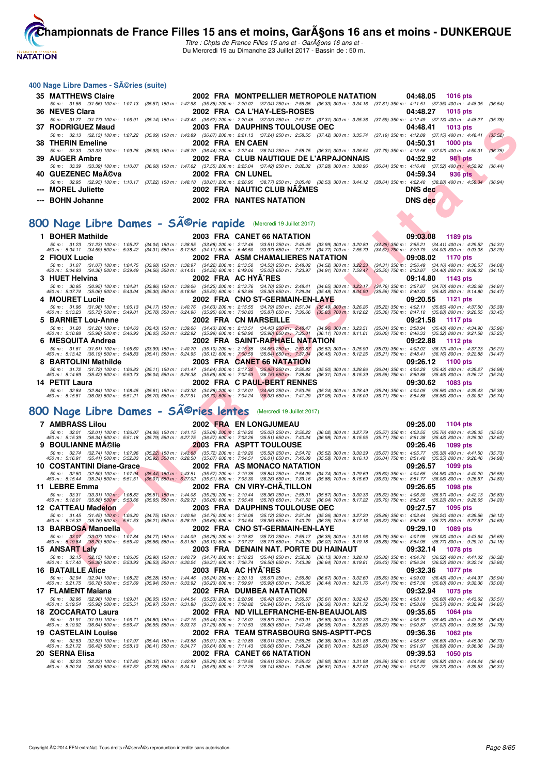

Titre : Chpts de France Filles 15 ans et - GarA§ons 16 ans et -Du Mercredi 19 au Dimanche 23 Juillet 2017 - Bassin de : 50 m.

#### **400 Nage Libre Dames - Séries (suite)**

| 35 MATTHEWS Claire |                          | 2002 FRA MONTPELLIER METROPOLE NATATION 04:48.05 1016 pts                                                                                                                                    |                            |
|--------------------|--------------------------|----------------------------------------------------------------------------------------------------------------------------------------------------------------------------------------------|----------------------------|
|                    |                          | 50 m: 31.56 (31.56) 100 m: 1:07.13 (35.57) 150 m: 1:42.98 (35.85) 200 m: 2:20.02 (37.04) 250 m: 2:56.35 (36.33) 300 m: 3:34.16 (37.81) 350 m: 4:11.51 (37.35) 400 m: 4:48.05 (36.54)         |                            |
| 36 NEVES Clara     |                          | 2002 FRA CA L'HAY-LES-ROSES                                                                                                                                                                  | 04:48.27<br>1015 pts       |
|                    |                          | 50 m: 31.77 (31.77) 100 m: 1:06.91 (35.14) 150 m: 1:43.43 (36.52) 200 m: 2:20.46 (37.03) 250 m: 2:57.77 (37.31) 300 m: 3:35.36 (37.59) 350 m: 4:12.49 (37.13) 400 m: 4:48.27 (35.78)         |                            |
| 37 RODRIGUEZ Maud  |                          | 2003 FRA DAUPHINS TOULOUSE OEC                                                                                                                                                               | 04:48.41<br>$1013$ pts     |
|                    |                          | 50 m: 32.13 (32.13) 100 m: 1:07.22 (35.09) 150 m: 1:43.89 (36.67) 200 m: 2:21.13 (37.24) 250 m: 2:58.55 (37.42) 300 m: 3:35.74 (37.19) 350 m: 4:12.89 (37.15) 400 m: 4:48.41 (35.52)         |                            |
| 38 THERIN Emeline  | 2002 FRA EN CAEN         |                                                                                                                                                                                              | 04:50.31<br>$1000$ pts     |
|                    |                          | 50 m: 33.33 (33.33) 100 m: 1:09.26 (35.93) 150 m: 1:45.70 (36.44) 200 m: 2:22.44 (36.74) 250 m: 2:58.75 (36.31) 300 m: 3:36.54 (37.79) 350 m: 4:13.56 (37.02) 400 m: 4:50.31                 | (36.75)                    |
| 39 AUGER Ambre     |                          | 2002 FRA CLUB NAUTIQUE DE L'ARPAJONNAIS                                                                                                                                                      | 04:52.92<br><b>981 pts</b> |
|                    |                          | 50 m: 33.39 (33.39) 100 m: 1:10.07 (36.68) 150 m: 1:47.62 (37.55) 200 m: 2:25.04 (37.42) 250 m: 3:02.32 (37.28) 300 m: 3:38.96 (36.64) 350 m: 4:16.48 (37.52) 400 m: 4:52.92 (36.44)         |                            |
| 40 GUEZENEC MaA©va | <b>2002 FRA CN LUNEL</b> |                                                                                                                                                                                              | 04:59.34<br>936 pts        |
|                    |                          | 50 m : 32.95 (32.95) 100 m : 1:10.17 (37.22) 150 m : 1:48.18 (38.01) 200 m : 2:26.95 (38.77) 250 m : 3:05.48 (38.53) 300 m : 3:44.12 (38.64) 350 m : 4:22.40 (38.28) 400 m : 4:59.34 (36.94) |                            |
| --- MOREL Juliette |                          | 2002 FRA NAUTIC CLUB NAZMES                                                                                                                                                                  | <b>DNS</b> dec             |
| --- BOHN Johanne   |                          | <b>2002 FRA NANTES NATATION</b>                                                                                                                                                              | DNS dec                    |
|                    |                          |                                                                                                                                                                                              |                            |

# 800 Nage Libre Dames - SÃ<sup>@</sup>rie rapide (Mercredi 19 Juillet 2017)

|    | 37 RODRIGUEZ Maud                                                                  |                                                                                                                                                       | 2003 FRA DAUPHINS TOULOUSE OEC                                                                                                                                                                                                                        | 04:48.41<br><b>1013 pts</b>                                                                                      |                    |
|----|------------------------------------------------------------------------------------|-------------------------------------------------------------------------------------------------------------------------------------------------------|-------------------------------------------------------------------------------------------------------------------------------------------------------------------------------------------------------------------------------------------------------|------------------------------------------------------------------------------------------------------------------|--------------------|
|    |                                                                                    |                                                                                                                                                       | 50 m : 32.13 (32.13) 100 m : 1:07.22 (35.09) 150 m : 1:43.89 (36.67) 200 m : 2:21.13 (37.24) 250 m : 2:58.55 (37.42) 300 m : 3:35.74 (37.19) 350 m : 4:12.89 (37.15) 400 m : 4:48.41                                                                  |                                                                                                                  | (35.52)            |
| 38 | <b>THERIN Emeline</b>                                                              | 2002 FRA EN CAEN                                                                                                                                      |                                                                                                                                                                                                                                                       | 04:50.31<br><b>1000 pts</b>                                                                                      |                    |
| 39 | <b>AUGER Ambre</b>                                                                 |                                                                                                                                                       | 50 m : 33.33 (33.33) 100 m : 1:09.26 (35.93) 150 m : 1:45.70 (36.44) 200 m : 2:22.44 (36.74) 250 m : 2:58.75 (36.31) 300 m : 3:36.54 (37.79) 350 m : 4:13.56 (37.02) 400 m : 4:50.31<br>2002 FRA CLUB NAUTIQUE DE L'ARPAJONNAIS                       | 04:52.92<br><b>981 pts</b>                                                                                       | (36.75)            |
|    |                                                                                    |                                                                                                                                                       | 50 m: 33.39 (33.39) 100 m: 1:10.07 (36.68) 150 m: 1:47.62 (37.55) 200 m: 2:25.04 (37.42) 250 m: 3:02.32 (37.28) 300 m: 3:38.96                                                                                                                        | (36.64) 350 m : 4:16.48 (37.52) 400 m : 4:52.92                                                                  | (36.44)            |
|    | 40 GUEZENEC MaA©va                                                                 |                                                                                                                                                       | 2002 FRA CN LUNEL                                                                                                                                                                                                                                     | 04:59.34<br>936 pts                                                                                              |                    |
|    |                                                                                    |                                                                                                                                                       | 50 m: 32.95 (32.95) 100 m: 1:10.17 (37.22) 150 m: 1:48.18 (38.01) 200 m: 2:26.95 (38.77) 250 m: 3:05.48 (38.53) 300 m: 3:44.12 (38.64) 350 m: 4:22.40 (38.28) 400 m: 4:59.34 (36.94)                                                                  |                                                                                                                  |                    |
|    | <b>MOREL Juliette</b>                                                              |                                                                                                                                                       | 2002 FRA NAUTIC CLUB NAZMES                                                                                                                                                                                                                           | <b>DNS</b> dec                                                                                                   |                    |
|    | <b>BOHN Johanne</b>                                                                |                                                                                                                                                       | <b>2002 FRA NANTES NATATION</b>                                                                                                                                                                                                                       | <b>DNS dec</b>                                                                                                   |                    |
|    |                                                                                    |                                                                                                                                                       |                                                                                                                                                                                                                                                       |                                                                                                                  |                    |
|    | 00 Nage Libre Dames - Série rapide                                                 |                                                                                                                                                       | (Mercredi 19 Juillet 2017)                                                                                                                                                                                                                            |                                                                                                                  |                    |
|    |                                                                                    |                                                                                                                                                       |                                                                                                                                                                                                                                                       |                                                                                                                  |                    |
|    | 1 BOHER Mathilde<br>50 m : 31.23 (31.23) 100 m : 1:05.27                           |                                                                                                                                                       | 2003 FRA CANET 66 NATATION<br>(34.04) 150 m: 1:38.95 (33.68) 200 m: 2:12.46 (33.51) 250 m: 2:46.45 (33.99) 300 m: 3:20.80 (34.35) 350 m: 3:55.21 (34.41) 400 m: 4:29.52                                                                               | 09:03.08<br>1189 pts                                                                                             | (34.31)            |
|    | 450 m : 5:04.11 (34.59) 500 m : 5:38.42                                            |                                                                                                                                                       | (34.31) 550 m : 6:12.53 (34.11) 600 m : 6:46.50 (33.97) 650 m : 7:21.27 (34.77) 700 m : 7:55.79                                                                                                                                                       | $(34.52)$ 750 m : 8:29.79 $(34.00)$ 800 m : 9:03.08                                                              | (33.29)            |
|    | 2 FIOUX Lucie                                                                      |                                                                                                                                                       | 2002 FRA ASM CHAMALIERES NATATION                                                                                                                                                                                                                     | 09:08.02<br><b>1170 pts</b>                                                                                      |                    |
|    | 50 m: 31.07 (31.07) 100 m: 1:04.75<br>450 m : 5:04.93 (34.36) 500 m : 5:39.49      |                                                                                                                                                       | $(33.68)$ 150 m : 1:38.97 $(34.22)$ 200 m : 2:13.50 $(34.53)$ 250 m : 2:48.02 $(34.52)$ 300 m : 3:22.33<br>(34.56) 550 m : 6:14.01 (34.52) 600 m : 6:49.06 (35.05) 650 m : 7:23.97 (34.91) 700 m : 7:59.47                                            | $(34.31)$ 350 m : 3:56.49<br>$(34.16)$ 400 m : 4:30.57<br>$(35.50)$ 750 m : 8:33.87<br>$(34.40)$ 800 m : 9:08.02 | (34.08)<br>(34.15) |
|    | 3 HUET Helvina                                                                     |                                                                                                                                                       | 2002 FRA AC HYA^RES                                                                                                                                                                                                                                   | 09:14.80<br>1143 pts                                                                                             |                    |
|    | 50 m: 30.95 (30.95) 100 m: 1:04.81                                                 | $(33.86)$ 150 m : 1:39.06                                                                                                                             | (34.25) 200 m : 2:13.76 (34.70) 250 m : 2:48.41<br>$(34.65)$ 300 m : 3:23.17                                                                                                                                                                          | $(34.76)$ 350 m : 3:57.87 $(34.70)$ 400 m : 4:32.68                                                              | (34.81)            |
|    | 450 m: 5:07.74 (35.06) 500 m: 5:43.04<br>4   MOURET Lucile                         | $(35.30)$ 550 m : 6:18.56                                                                                                                             | $(35.52)$ 600 m : 6:53.86 $(35.30)$ 650 m : 7:29.34 $(35.48)$ 700 m : 8:04.90<br>2002 FRA CNO ST-GERMAIN-EN-LAYE                                                                                                                                      | $(35.56)$ 750 m : 8:40.33<br>$(35.43)$ 800 m : 9:14.80<br>09:20.55<br>1121 pts                                   | (34.47)            |
|    | 50 m: 31.96 (31.96) 100 m: 1:06.13                                                 | (34.17) 150 m : 1:40.76 (34.63) 200 m : 2:15.55 (34.79) 250 m : 2:51.04                                                                               | $(35.49)$ 300 m : 3:26.26                                                                                                                                                                                                                             | (35.22) 350 m: 4:02.11 (35.85) 400 m: 4:37.50                                                                    | (35.39)            |
|    | 450 m : 5:13.23 (35.73) 500 m : 5:49.01                                            | (35.78) 550 m : 6:24.96 (35.95) 600 m : 7:00.83 (35.87) 650 m : 7:36.66                                                                               | $(35.83)$ 700 m : 8:12.02                                                                                                                                                                                                                             | $(35.36)$ 750 m : 8:47.10<br>$(35.08)$ 800 m : 9:20.55                                                           | (33.45)            |
|    | <b>BARNIET Lou-Anne</b>                                                            |                                                                                                                                                       | 2002 FRA CN MARSEILLE                                                                                                                                                                                                                                 | 09:21.58<br>1117 pts<br>$(35.04)$ 350 m : 3:58.94 $(35.43)$ 400 m : 4:34.90                                      |                    |
|    | 50 m: 31.20 (31.20) 100 m: 1:04.63<br>450 m: 5:10.88 (35.98) 500 m: 5:46.93        | (33.43) 150 m : 1:39.06 (34.43) 200 m : 2:13.51 (34.45) 250 m : 2:48.47<br>(36.05) 550 m : 6:22.92 (35.99) 600 m : 6:58.90 (35.98) 650 m : 7:35.01    | $(34.96)$ 300 m : 3:23.51<br>$(36.11)$ 700 m : 8:11.01                                                                                                                                                                                                | $(36.00)$ 750 m : 8:46.33<br>$(35.32)$ 800 m : 9:21.58                                                           | (35.96)<br>(35.25) |
|    | 6 MESQUITA Andrea                                                                  |                                                                                                                                                       | 2002 FRA SAINT-RAPHAEL NATATION                                                                                                                                                                                                                       | 09:22.88<br>1112 pts                                                                                             |                    |
|    | 50 m: 31.61 (31.61) 100 m: 1:05.60<br>450 m : 5:13.42 (36.19) 500 m : 5:48.83      | $(33.99)$ 150 m : 1:40.70 $(35.10)$ 200 m : 2:15.35 $(34.65)$ 250 m : 2:50.87<br>(35.41) 550 m: 6:24.95 (36.12) 600 m: 7:00.59 (35.64) 650 m: 7:37.04 | $(35.52)$ 300 m : 3:25.90<br>$(36.45)$ 700 m : 8:12.25                                                                                                                                                                                                | $(35.03)$ 350 m : 4:02.02 $(36.12)$ 400 m : 4:37.23<br>(35.21) 750 m : 8:48.41<br>$(36.16)$ 800 m : 9:22.88      | (35.21)<br>(34.47) |
| 8  | <b>BARTOLINI Mathilde</b>                                                          |                                                                                                                                                       | 2003 FRA CANET 66 NATATION                                                                                                                                                                                                                            | 09:26.12<br>1100 pts                                                                                             |                    |
|    | 50 m: 31.72 (31.72) 100 m: 1:06.83                                                 | (35.11) 150 m: 1:41.47 (34.64) 200 m: 2:17.32 (35.85) 250 m: 2:52.82                                                                                  | $(35.50)$ 300 m : 3:28.86                                                                                                                                                                                                                             | $(35.43)$ 400 m : 4:39.27<br>$(36.04)$ 350 m : 4:04.29                                                           | (34.98)            |
|    | 450 m : 5:14.69 (35.42) 500 m : 5:50.73<br>14 PETIT Laura                          | (36.04) 550 m: 6:26.38 (35.65) 600 m: 7:02.53 (36.15) 650 m: 7:38.84                                                                                  | $(36.31)$ 700 m : 8:15.39<br>2002 FRA C PAUL-BERT RENNES                                                                                                                                                                                              | $(36.55)$ 750 m : 8:50.88<br>$(35.49)$ 800 m : 9:26.12<br>09:30.62<br><b>1083 pts</b>                            | (35.24)            |
|    | 50 m: 32.84 (32.84) 100 m: 1:08.45                                                 |                                                                                                                                                       | $(35.61) 150\ m:~~1.43.33~~(34.88)~200\ m:~~2.18.01~~(34.68)~250\ m:~~2.53.25~~(35.24)~300\ m:~~3.28.49~~(35.70)~650\ m:~~6.27.91~~(36.70)~600\ m:~~7.04.24~~(36.33)~650\ m:~~7.41.29~~(37.05)~700\ m:~~8.18.001~(37.01)~(38.02)~(39.03)~(39.04)~(39$ | $(35.24)$ 350 m : 4:04.05 $(35.56)$ 400 m : 4:39.43                                                              | (35.38)            |
|    | $(36.08)$ 500 m : 5:51.21<br>450 m : 5:15.51                                       |                                                                                                                                                       |                                                                                                                                                                                                                                                       | (36.71) 750 m : 8.54.88<br>$(36.88)$ 800 m : 9:30.62                                                             | (35.74)            |
|    | <b>100 Nage Libre Dames - Sĩries lentes</b>                                        |                                                                                                                                                       | (Mercredi 19 Juillet 2017)                                                                                                                                                                                                                            |                                                                                                                  |                    |
|    |                                                                                    |                                                                                                                                                       |                                                                                                                                                                                                                                                       |                                                                                                                  |                    |
|    | <b>7 AMBRASS Lilou</b>                                                             |                                                                                                                                                       | 2002 FRA EN LONGJUMEAU                                                                                                                                                                                                                                | 09:25.00<br>1104 pts                                                                                             |                    |
|    | 50 m : 32.01 (32.01) 100 m : 1:06.07<br>450 m : 5:15.39 (36.34) 500 m : 5:51.18    | $(35.79)$ 550 m : 6:27.75 $(36.57)$ 600 m : 7:03.26 $(35.51)$ 650 m : 7:40.24                                                                         | $(34.06)$ 150 m : 1:41.15 $(35.08)$ 200 m : 2:16.20 $(35.05)$ 250 m : 2:52.22 $(36.02)$ 300 m : 3:27.79<br>(36.98) 700 m : 8:15.95                                                                                                                    | $(35.57)$ 350 m : 4:03.55 $(35.76)$ 400 m : 4:39.05<br>(35.71) 750 m : 8:51.38 (35.43) 800 m : 9:25.00           | (35.50)<br>(33.62) |
| 9  | <b>BOULIANNE MA©lie</b>                                                            |                                                                                                                                                       | <b>2003 FRA ASPTT TOULOUSE</b>                                                                                                                                                                                                                        | 09:26.46<br>1099 pts                                                                                             |                    |
|    | 50 m: 32.74 (32.74) 100 m: 1:07.96<br>450 m : 5:16.91 (35.41) 500 m : 5:52.83      | $(35.22)$ 150 m : 1:43.68<br>(35.92) 550 m: 6:28.50 (35.67) 600 m: 7:04.51 (36.01) 650 m: 7:40.09                                                     | (35.72) 200 m : 2:19.20 (35.52) 250 m : 2:54.72<br>$(35.52)$ 300 m : 3:30.39<br>$(35.58)$ 700 m : 8:16.13                                                                                                                                             | (35.67) 350 m: 4:05.77 (35.38) 400 m: 4:41.50<br>$(36.04)$ 750 m : $8:51.48$<br>$(35.35)$ 800 m : 9:26.46        | (35.73)<br>(34.98) |
|    | 10 COSTANTINI Diane-Grace                                                          |                                                                                                                                                       | 2002 FRA AS MONACO NATATION                                                                                                                                                                                                                           | 09:26.57<br>1099 pts                                                                                             |                    |
|    | 50 m: 32.50 (32.50) 100 m: 1:07.94                                                 | (35.44) 150 m: 1:43.51 (35.57) 200 m: 2:19.35 (35.84) 250 m: 2:54.09                                                                                  | $(34.74)$ 300 m : 3:29.69                                                                                                                                                                                                                             | $(35.60)$ 350 m : 4:04.65 $(34.96)$ 400 m : 4:40.20                                                              | (35.55)            |
|    | 450 m : 5:15.44 (35.24) 500 m : 5:51.51                                            | $(36.07)$ 550 m : 6:27.02 $(35.51)$ 600 m : 7:03.30                                                                                                   | (36.28) 650 m : 7:39.16<br>$(35.86)$ 700 m : 8:15.69                                                                                                                                                                                                  | $(36.53)$ 750 m : $8.51.77$<br>$(36.08)$ 800 m : 9:26.57                                                         | (34.80)            |
|    | 11 LEBRE Emma<br>50 m: 33.31 (33.31) 100 m: 1:08.82                                | (35.51) 150 m: 1:44.08 (35.26) 200 m: 2:19.44 (35.36) 250 m: 2:55.01                                                                                  | 2002 FRA CN VIRY-CHA, TILLON<br>$(35.57)$ 300 m : 3:30.33                                                                                                                                                                                             | 09:26.65<br>1098 pts<br>$(35.32)$ 350 m : 4:06.30 $(35.97)$ 400 m : 4:42.13                                      | (35.83)            |
|    | 450 m: 5:18.01 (35.88) 500 m: 5:53.66                                              | (35.65) 550 m: 6:29.72 (36.06) 600 m: 7:05.48 (35.76) 650 m: 7:41.52                                                                                  | $(36.04)$ 700 m : 8:17.22                                                                                                                                                                                                                             | $(35.70)$ 750 m : 8:52.45<br>$(35.23)$ 800 m : 9:26.65                                                           | (34.20)            |
|    | 12 CATTEAU Madelon                                                                 |                                                                                                                                                       | 2003 FRA DAUPHINS TOULOUSE OEC                                                                                                                                                                                                                        | 09:27.57<br>1095 pts                                                                                             |                    |
|    | 50 m: 31.45 (31.45) 100 m: 1:06.20<br>450 m : 5:15.32<br>$(35.76)$ 500 m : 5:51.53 |                                                                                                                                                       | (34.75) 150 m: 1:40.96 (34.76) 200 m: 2:16.08 (35.12) 250 m: 2:51.34 (35.26) 300 m: 3:27.20<br>(36.21) 550 m : 6:28.19 (36.66) 600 m : 7:04.54 (36.35) 650 m : 7:40.79 (36.25) 700 m : 8:17.16                                                        | $(35.86)$ 350 m : 4:03.44 $(36.24)$ 400 m : 4:39.56<br>(36.37) 750 m : 8:52.88 (35.72) 800 m : 9:27.57           | (36.12)<br>(34.69) |
|    | 13 BARBOSA Manoella                                                                |                                                                                                                                                       | 2002 FRA CNO ST-GERMAIN-EN-LAYE                                                                                                                                                                                                                       | 09:29.10<br>1089 pts                                                                                             |                    |
|    | 50 m: 33.07 (33.07) 100 m: 1:07.84                                                 | $(34.77)$ 150 m : 1:44.09                                                                                                                             | (36.25) 200 m : 2:19.82 (35.73) 250 m : 2:56.17 (36.35) 300 m : 3:31.96                                                                                                                                                                               | $(35.79)$ 350 m : 4:07.99<br>$(36.03)$ 400 m : 4:43.64                                                           | (35.65)            |
|    | 450 m : 5:19.84<br>$(36.20)$ 500 m : 5:55.40<br><b>15 ANSART Laly</b>              | $(35.56)$ 550 m : 6:31.50                                                                                                                             | (36.10) 600 m : 7:07.27 (35.77) 650 m : 7:43.29 (36.02) 700 m : 8:19.18<br>2003 FRA DENAIN NAT. PORTE DU HAINAUT                                                                                                                                      | $(35.89)$ 750 m : $8.54.95$<br>$(35.77)$ 800 m : 9:29.10<br>09:32.14<br><b>1078 pts</b>                          | (34.15)            |
|    | 50 m : 32.15 (32.15) 100 m : 1:06.05                                               |                                                                                                                                                       | (33.90) 150 m : 1:40.79 (34.74) 200 m : 2:16.23 (35.44) 250 m : 2:52.36 (36.13) 300 m : 3:28.18 (35.82) 350 m : 4:04.70 (36.52) 400 m : 4:41.02                                                                                                       |                                                                                                                  | (36.32)            |
|    |                                                                                    |                                                                                                                                                       | 450 m : 5:17.40 (36.38) 500 m : 5:53.93 (36.53) 550 m : 6:30.24 (36.31) 600 m : 7:06.74 (36.50) 650 m : 7:43.38 (36.64) 700 m : 8:19.81 (36.43) 750 m : 8:56.34 (36.53) 800 m : 9:32.14<br>$0.000$ $FDA$ $AO$ $UV$ $7$ $DFA$                          | 00.000                                                                                                           | (35.80)            |
|    |                                                                                    |                                                                                                                                                       |                                                                                                                                                                                                                                                       |                                                                                                                  |                    |

# 800 Nage Libre Dames - SÃ<sup>@</sup>ries lentes (Mercredi 19 Juillet 2017)

| <b>7 AMBRASS Lilou</b>                                                                                                                                                               |                                                                                                                                                                                                        | 2002 FRA EN LONGJUMEAU                                                                                                                                                                         |                                                                                                                                                                              | 09:25.00                                                                                                       | 1104 pts                                        |
|--------------------------------------------------------------------------------------------------------------------------------------------------------------------------------------|--------------------------------------------------------------------------------------------------------------------------------------------------------------------------------------------------------|------------------------------------------------------------------------------------------------------------------------------------------------------------------------------------------------|------------------------------------------------------------------------------------------------------------------------------------------------------------------------------|----------------------------------------------------------------------------------------------------------------|-------------------------------------------------|
| 50 m : 32.01<br>450 m : 5:15.39 (36.34) 500 m : 5:51.18 (35.79) 550 m : 6:27.75 (36.57) 600 m : 7:03.26 (35.51) 650 m : 7:40.24 (36.98) 700 m : 8:15.95                              | $(32.01)$ 100 m : 1.06.07 $(34.06)$ 150 m : 1.41.15 $(35.08)$ 200 m : 2.16.20                                                                                                                          | $(35.05)$ 250 m : 2:52.22                                                                                                                                                                      | (36.02) 300 m : 3:27.79                                                                                                                                                      | $(35.57)$ 350 m : 4:03.55 $(35.76)$ 400 m : 4:39.05<br>$(35.71)$ 750 m : $8.51.38$ $(35.43)$ 800 m : $9.25.00$ | (35.50)<br>(33.62)                              |
| 9 BOULIANNE MAClie                                                                                                                                                                   |                                                                                                                                                                                                        | <b>2003 FRA ASPTT TOULOUSE</b>                                                                                                                                                                 |                                                                                                                                                                              | 09:26.46                                                                                                       | 1099 pts                                        |
| 50 m : 32.74<br>$(32.74)$ 100 m : 1:07.96<br>450 m : 5:16.91 (35.41) 500 m : 5:52.83                                                                                                 |                                                                                                                                                                                                        | (35.22) 150 m: 1:43.68 (35.72) 200 m: 2:19.20 (35.52) 250 m: 2:54.72 (35.52) 300 m: 3:30.39<br>(35.92) 550 m : 6:28.50 (35.67) 600 m : 7:04.51 (36.01) 650 m : 7:40.09 (35.58) 700 m : 8:16.13 |                                                                                                                                                                              | (35.67) 350 m : 4:05.77 (35.38) 400 m : 4:41.50<br>(36.04) 750 m : 8:51.48 (35.35) 800 m : 9:26.46             | (35.73)<br>(34.98)                              |
| 10 COSTANTINI Diane-Grace                                                                                                                                                            |                                                                                                                                                                                                        | 2002 FRA AS MONACO NATATION                                                                                                                                                                    |                                                                                                                                                                              | 09:26.57                                                                                                       | 1099 pts                                        |
| 50 m: 32.50 (32.50) 100 m: 1:07.94<br>450 m : 5:15.44 (35.24) 500 m : 5:51.51 (36.07) 550 m : 6:27.02 (35.51) 600 m : 7:03.30 (36.28) 650 m : 7:39.16 (35.86) 700 m : 8:15.69        | (35.44) 150 m: 1:43.51 (35.57) 200 m: 2:19.35 (35.84) 250 m: 2:54.09 (34.74) 300 m: 3:29.69                                                                                                            |                                                                                                                                                                                                |                                                                                                                                                                              | $(35.60)$ 350 m : 4:04.65 $(34.96)$ 400 m : 4:40.20<br>(36.53) 750 m : 8:51.77 (36.08) 800 m : 9:26.57         | (35.55)<br>(34.80)                              |
| 11 LEBRE Emma                                                                                                                                                                        |                                                                                                                                                                                                        | 2002 FRA CN VIRY-CHÂ, TILLON                                                                                                                                                                   |                                                                                                                                                                              | 09:26.65                                                                                                       | <b>1098 pts</b>                                 |
| 50 m : 33.31<br>$(33.31)$ 100 m : 1:08.82<br>450 m : 5:18.01 (35.88) 500 m : 5:53.66                                                                                                 | (35.51) 150 m: 1:44.08 (35.26) 200 m: 2:19.44 (35.36) 250 m: 2:55.01 (35.57) 300 m: 3:30.33<br>(35.65) 550 m : 6:29.72 (36.06) 600 m : 7:05.48 (35.76) 650 m : 7:41.52 (36.04) 700 m : 8:17.22         |                                                                                                                                                                                                |                                                                                                                                                                              | $(35.32)$ 350 m : 4:06.30 $(35.97)$ 400 m : 4:42.13<br>$(35.70)$ 750 m : 8:52.45 $(35.23)$ 800 m : 9:26.65     | (35, 83)<br>(34.20)                             |
| 12 CATTEAU Madelon                                                                                                                                                                   |                                                                                                                                                                                                        | <b>2003 FRA DAUPHINS TOULOUSE OEC</b>                                                                                                                                                          |                                                                                                                                                                              | 09:27.57                                                                                                       | <b>1095 pts</b>                                 |
| 50 m : 31.45<br>$(31.45)$ 100 m : 1:06.20<br>450 m : 5:15.32 (35.76) 500 m : 5:51.53 (36.21) 550 m : 6:28.19 (36.66) 600 m : 7:04.54 (36.35) 650 m : 7:40.79 (36.25) 700 m : 8:17.16 | $(34.75)$ 150 m : 1:40.96 $(34.76)$ 200 m : 2:16.08                                                                                                                                                    | $(35.12)$ 250 m : 2:51.34 $(35.26)$ 300 m : 3:27.20                                                                                                                                            |                                                                                                                                                                              | $(35.86)$ 350 m : 4:03.44 $(36.24)$ 400 m : 4:39.56<br>(36.37) 750 m : 8:52.88 (35.72) 800 m : 9:27.57         | (36.12)<br>(34.69)                              |
| 13 BARBOSA Manoella                                                                                                                                                                  |                                                                                                                                                                                                        | 2002 FRA CNO ST-GERMAIN-EN-LAYE                                                                                                                                                                |                                                                                                                                                                              | 09:29.10                                                                                                       | <b>1089 pts</b>                                 |
| $50 \text{ m}$ : $33.07$<br>(33.07) 100 m : 1:07.84<br>$450 \text{ m}$ : $5:19.84$<br>$(36.20)$ 500 m : 5:55.40                                                                      | $(34.77)$ 150 m : 1:44.09                                                                                                                                                                              | (36.25) 200 m : 2.19.82 (35.73) 250 m : 2.56.17 (36.35) 300 m : 3:31.96                                                                                                                        | $(35.79)$ 350 m : 4:07.99<br>(35.56) 550 m : 6:31.50 (36.10) 600 m : 7:07.27 (35.77) 650 m : 7:43.29 (36.02) 700 m : 8:19.18 (35.89) 750 m : 8:54.95 (35.77) 800 m : 9:29.10 |                                                                                                                | $(36.03)$ 400 m : 4:43.64<br>(35.65)<br>(34.15) |
| <b>15 ANSART Laly</b>                                                                                                                                                                |                                                                                                                                                                                                        | 2003 FRA DENAIN NAT. PORTE DU HAINAUT                                                                                                                                                          |                                                                                                                                                                              | 09:32.14                                                                                                       | <b>1078 pts</b>                                 |
| 50 m : 32.15 (32.15) 100 m : 1:06.05<br>450 m : 5:17.40 (36.38) 500 m : 5:53.93                                                                                                      | $(33.90)$ 150 m : 1:40.79 $(34.74)$ 200 m : 2:16.23 $(35.44)$ 250 m : 2:52.36 $(36.13)$ 300 m : 3:28.18<br>(36.53) 550 m: 6:30.24 (36.31) 600 m: 7:06.74 (36.50) 650 m: 7:43.38 (36.64) 700 m: 8:19.81 |                                                                                                                                                                                                |                                                                                                                                                                              | (35.82) 350 m : 4:04.70 (36.52) 400 m : 4:41.02<br>(36.43) 750 m : 8:56.34 (36.53) 800 m : 9:32.14             | (36.32)<br>(35.80)                              |
| <b>16 BATAILLE Alice</b>                                                                                                                                                             |                                                                                                                                                                                                        | 2003 FRA AC HYA^RES                                                                                                                                                                            |                                                                                                                                                                              | 09:32.36                                                                                                       | <b>1077 pts</b>                                 |
| 50 m : 32.94<br>$(32.94)$ 100 m : 1:08.22<br>450 m : 5:21.75 (36.78) 500 m : 5:57.69                                                                                                 | (35.28) 150 m : 1:44.46 (36.24) 200 m : 2:20.13 (35.67) 250 m : 2:56.80<br>$(35.94)$ 550 m $: 6.33.92$ $(36.23)$ 600 m $: 7.09.91$ $(35.99)$ 650 m $: 7.46.35$ $(36.44)$ 700 m $: 8.21.76$             |                                                                                                                                                                                                | $(36.67)$ 300 m : 3:32.60                                                                                                                                                    | $(35.80)$ 350 m : 4:09.03 $(36.43)$ 400 m : 4:44.97<br>(35.41) 750 m : 8:57.36 (35.60) 800 m : 9:32.36         | (35.94)<br>(35,00)                              |
| 17 FLAMENT Maiana                                                                                                                                                                    | 2002 FRA                                                                                                                                                                                               | <b>DUMBEA NATATION</b>                                                                                                                                                                         |                                                                                                                                                                              | 09:32.94                                                                                                       | <b>1075 pts</b>                                 |
| 50 m : 32.96<br>$(32.96)$ 100 m : 1:09.01<br>450 m : 5:19.54 (35.92) 500 m : 5:55.51                                                                                                 | $(36.05)$ 150 m : 1:44.54 $(35.53)$ 200 m : 2:20.96<br>(35.97) 550 m : 6:31.88 (36.37) 600 m : 7:08.82 (36.94) 650 m : 7:45.18 (36.36) 700 m : 8:21.72                                                 | $(36.42)$ 250 m : 2:56.57                                                                                                                                                                      | $(35.61)$ 300 m : 3:32.43                                                                                                                                                    | $(35.86)$ 350 m : 4:08.11 $(35.68)$ 400 m : 4:43.62<br>(36.54) 750 m : 8:58.09 (36.37) 800 m : 9:32.94         | (35.51)<br>(34.85)                              |
| 18 ZOCCARATO Laura                                                                                                                                                                   |                                                                                                                                                                                                        | 2002 FRA ND VILLEFRANCHE-EN-BEAUJOLAIS                                                                                                                                                         |                                                                                                                                                                              | 09:35.65                                                                                                       | <b>1064 pts</b>                                 |
| 50 m: 31.91 (31.91) 100 m: 1:06.71<br>450 m : 5:19.92 (36.64) 500 m : 5:56.47                                                                                                        | (36.55) 550 m : 6:33.73 (37.26) 600 m : 7:10.53 (36.80) 650 m : 7:47.48 (36.95) 700 m : 8:23.85                                                                                                        | (34.80) 150 m: 1:42.15 (35.44) 200 m: 2:18.02 (35.87) 250 m: 2:53.91 (35.89) 300 m: 3:30.33                                                                                                    |                                                                                                                                                                              | $(36.42)$ 350 m : 4:06.79 $(36.46)$ 400 m : 4:43.28<br>$(36.37)$ 750 m : $9.00.87$ $(37.02)$ 800 m : $9.35.65$ | (36.49)<br>(34, 78)                             |
| <b>19 CASTELAIN Louise</b>                                                                                                                                                           |                                                                                                                                                                                                        | 2002 FRA TEAM STRASBOURG SNS-ASPTT-PCS                                                                                                                                                         |                                                                                                                                                                              | 09:36.36                                                                                                       | <b>1062 pts</b>                                 |
| 50 m : 32.53 (32.53) 100 m : 1:07.97<br>450 m : 5:21.72 (36.42) 500 m : 5:58.13 (36.41) 550 m : 6:34.77 (36.64) 600 m : 7:11.43 (36.66) 650 m : 7:48.24                              | (35.44) 150 m: 1:43.88 (35.91) 200 m: 2:19.89 (36.01) 250 m: 2:56.25 (36.36) 300 m: 3:31.88                                                                                                            |                                                                                                                                                                                                | $(36.81)$ 700 m : 8:25.08                                                                                                                                                    | $(35.63)$ 350 m : 4:08.57 $(36.69)$ 400 m : 4:45.30<br>(36.84) 750 m : 9:01.97 (36.89) 800 m : 9:36.36         | (36.73)<br>(34.39)                              |
| 20 SERNA Elisa                                                                                                                                                                       |                                                                                                                                                                                                        | 2002 FRA CANET 66 NATATION                                                                                                                                                                     |                                                                                                                                                                              | 09:39.53                                                                                                       | <b>1050 pts</b>                                 |
| 50 m : 32.23 (32.23) 100 m : 1:07.60 (35.37) 150 m : 1:42.89 (35.29) 200 m : 2:19.50 (36.61) 250 m : 2:55.42 (35.92) 300 m : 3:31.98                                                 | 450 m : 5:20.24 (36.00) 500 m : 5:57.52 (37.28) 550 m : 6:34.11 (36.59) 600 m : 7:12.25 (38.14) 650 m : 7:49.06 (36.81) 700 m : 8:27.00 (37.94) 750 m : 9:03.22 (36.22) 800 m : 9:39.53                |                                                                                                                                                                                                |                                                                                                                                                                              | (36.56) 350 m : 4:07.80 (35.82) 400 m : 4:44.24                                                                | (36.44)<br>(36.31)                              |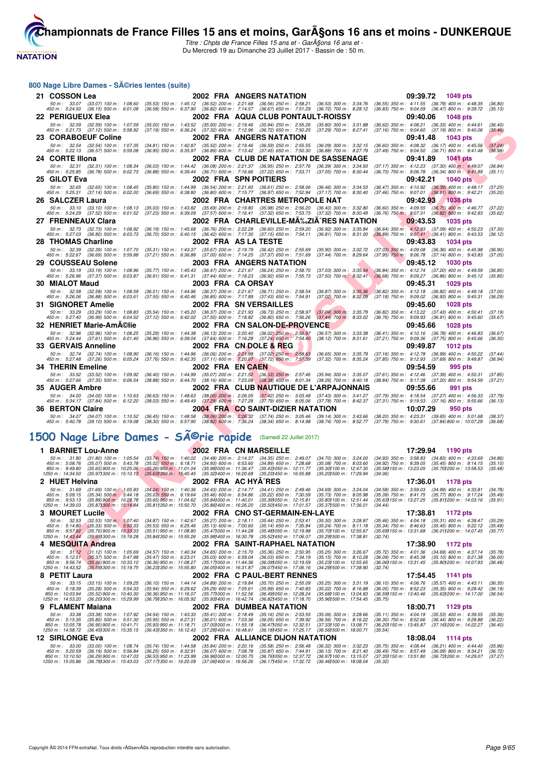

**[Cham](http://www.ffnatation.fr/webffn/index.php)pionnats de France Filles 15 ans et moins, Garçons 16 ans et moins - DUNKERQUE** Titre : Chpts de France Filles 15 ans et - Garçons 16 ans et -

Du Mercredi 19 au Dimanche 23 Juillet 2017 - Bassin de : 50 m.

#### 800 Nage Libre Dames - Séries lentes (suite)

|     | $\frac{1}{2}$                                                                  |                                                                        |                                                                                |                                                      |                                                                                                                                                                     |                                                          |                                                          |          |                                                                                                            |                    |
|-----|--------------------------------------------------------------------------------|------------------------------------------------------------------------|--------------------------------------------------------------------------------|------------------------------------------------------|---------------------------------------------------------------------------------------------------------------------------------------------------------------------|----------------------------------------------------------|----------------------------------------------------------|----------|------------------------------------------------------------------------------------------------------------|--------------------|
|     | 21 COSSON Lea                                                                  |                                                                        |                                                                                |                                                      | 2002 FRA ANGERS NATATION                                                                                                                                            |                                                          |                                                          | 09:39.72 | 1049 pts                                                                                                   |                    |
|     | 50 m : 33.07                                                                   | $(33.07)$ 100 m : 1:08.60                                              |                                                                                |                                                      | (35.53) 150 m : 1:45.12 (36.52) 200 m : 2:21.68 (36.56) 250 m : 2:58.21<br>(36.58) 550 m: 6:37.90 (36.82) 600 m: 7:14.57 (36.67) 650 m: 7:51.29                     | (36.53) 300 m : 3:34.76 (36.55) 350 m : 4:11.55          |                                                          |          | $(36.79)$ 400 m : 4:48.35                                                                                  | (36.80)            |
|     | 450 m : 5:24.50 (36.15) 500 m : 6:01.08<br>22 PERIGUEUX Elea                   |                                                                        |                                                                                |                                                      | 2002 FRA AQUA CLUB PONTAULT-ROISSY                                                                                                                                  | (36.72) 700 m : 8:28.12 (36.83) 750 m : 9:04.59          |                                                          | 09:40.06 | $(36.47)$ 800 m : 9:39.72<br>1048 pts                                                                      | (35.13)            |
|     |                                                                                | 50 m: 32.59 (32.59) 100 m: 1:07.59                                     |                                                                                |                                                      | (35.00) 150 m: 1:43.52 (35.93) 200 m: 2:19.46 (35.94) 250 m: 2:55.26                                                                                                | $(35.80)$ 300 m : 3:31.88                                | $(36.62)$ 350 m : 4:08.21                                |          | $(36.33)$ 400 m : 4:44.61                                                                                  | (36.40)            |
|     | 450 m : 5:21.73 (37.12) 500 m : 5:58.92                                        |                                                                        | $(37.19)$ 550 m : 6:36.24                                                      |                                                      | (37.32) 600 m : 7:12.96 (36.72) 650 m : 7:50.25                                                                                                                     | $(37.29)$ 700 m : 8:27.41                                | $(37.16)$ 750 m : $9:04.60$                              |          | $(37.19)$ 800 m : 9:40.06                                                                                  | (35.46)            |
|     | 23 CORABOEUF Coline                                                            |                                                                        |                                                                                |                                                      | 2002 FRA ANGERS NATATION                                                                                                                                            |                                                          |                                                          | 09:41.48 | 1043 pts                                                                                                   |                    |
|     | 450 m : 5:22.13 (36.57) 500 m : 5:59.08                                        | 50 m: 32.54 (32.54) 100 m: 1:07.35                                     |                                                                                |                                                      | (34.81) 150 m: 1:42.87 (35.52) 200 m: 2:19.46 (36.59) 250 m: 2:55.55 (36.09) 300 m: 3:32.15<br>(36.95) 550 m: 6:35.97 (36.89) 600 m: 7:13.42 (37.45) 650 m: 7:50.30 | $(36.88)$ 700 m : 8:27.79                                | $(36.60)$ 350 m : 4:08.32<br>$(37.49)$ 750 m : 9:04.50   |          | $(36.17)$ 400 m : 4:45.56<br>$(36.71)$ 800 m : 9:41.48                                                     | (37.24)<br>(36.98) |
|     | 24 CORTE Illona                                                                |                                                                        |                                                                                |                                                      | 2002 FRA CLUB DE NATATION DE SASSENAGE                                                                                                                              |                                                          |                                                          | 09:41.89 | <b>1041 pts</b>                                                                                            |                    |
|     | 50 m : 32.31                                                                   | $(32.31)$ 100 m : 1:08.34                                              |                                                                                |                                                      | (36.03) 150 m: 1:44.42 (36.08) 200 m: 2:21.37 (36.95) 250 m: 2:57.76                                                                                                | $(36.39)$ 300 m : 3:34.93                                | (37.17) 350 m : 4:12.23                                  |          | $(37.30)$ 400 m : 4:49.07                                                                                  | (36.84)            |
|     | 450 m :   5:25.85     (36.78)  500 m :   6:02.73                               |                                                                        |                                                                                |                                                      | (36.88) 550 m : 6:39.44 (36.71) 600 m : 7:16.66 (37.22) 650 m : 7:53.71                                                                                             | (37.05) 700 m : 8:30.44                                  | $(36.73)$ 750 m : $9:06.78$                              |          | $(36.34)$ 800 m : $9:41.89$                                                                                | (35.11)            |
|     | 25 GILOT Eva                                                                   |                                                                        |                                                                                | 2002 FRA SPN POITIERS                                |                                                                                                                                                                     |                                                          |                                                          | 09:42.21 | <b>1040 pts</b>                                                                                            |                    |
|     | 450 m : 5:25.31 (37.14) 500 m : 6:02.00                                        | 50 m: 32.65 (32.65) 100 m: 1:08.45                                     |                                                                                |                                                      | (35.80) 150 m : 1:44.99 (36.54) 200 m : 2:21.60 (36.61) 250 m : 2:58.06<br>(36.69) 550 m: 6:38.80 (36.80) 600 m: 7:15.77 (36.97) 650 m: 7:52.94                     | $(36.46)$ 300 m : 3:34.53<br>$(37.17)$ 700 m : 8:30.40   | $(36.47)$ 350 m : 4:10.92<br>$(37.46)$ 750 m : $9.07.01$ |          | $(36.39)$ 400 m : 4:48.17<br>$(36.61)$ 800 m : 9:42.21                                                     | (37.25)<br>(35.20) |
|     | 26 SALCZER Laura                                                               |                                                                        |                                                                                |                                                      | 2002 FRA CHARTRES METROPOLE NAT                                                                                                                                     |                                                          |                                                          | 09:42.93 | <b>1038 pts</b>                                                                                            |                    |
|     |                                                                                | 50 m: 33.10 (33.10) 100 m: 1:08.13                                     |                                                                                |                                                      | (35.03) 150 m : 1:43.82 (35.69) 200 m : 2:19.80 (35.98) 250 m : 2:56.20 (36.40) 300 m : 3:32.80                                                                     |                                                          | (36.60) 350 m : 4:09.55                                  |          | $(36.75)$ 400 m : 4:46.77                                                                                  | (37.22)            |
|     | 450 m : 5:24.29 (37.52) 500 m : 6:01.52                                        |                                                                        | $(37.23)$ 550 m : 6:39.09                                                      |                                                      | $(37.57)$ 600 m : 7:16.41 $(37.32)$ 650 m : 7:53.73                                                                                                                 | $(37.32)$ 700 m : 8:30.49                                | $(36.76)$ 750 m : 9:07.31                                |          | $(36.82)$ 800 m : 9:42.93                                                                                  | (35.62)            |
|     | 27 FRENNEAUX Clara                                                             |                                                                        |                                                                                |                                                      | 2002 FRA CHARLEVILLE-MA‰ZIA^RES NATATION                                                                                                                            |                                                          |                                                          | 09:43.53 | <b>1035 pts</b>                                                                                            |                    |
|     | 450 m : 5:27.03 (36.80) 500 m : 6:03.73                                        | 50 m: 32.73 (32.73) 100 m: 1:08.92                                     |                                                                                |                                                      | (36.19) 150 m : 1:45.68 (36.76) 200 m : 2:22.28 (36.60) 250 m : 2:59.20<br>(36.70) 550 m : 6:40.15 (36.42) 600 m : 7:17.30 (37.15) 650 m : 7:54.11                  | $(36.92)$ 300 m : 3:35.84<br>$(36.81)$ 700 m : $8:31.00$ |                                                          |          | (36.64) 350 m : 4:12.93 (37.09) 400 m : 4:50.23<br>$(36.89)$ 750 m : $9:07.41$ $(36.41)$ 800 m : $9:43.53$ | (37.30)<br>(36.12) |
|     | <b>28 THOMAS Charline</b>                                                      |                                                                        |                                                                                | 2002 FRA AS LA TESTE                                 |                                                                                                                                                                     |                                                          |                                                          | 09:43.83 | 1034 pts                                                                                                   |                    |
|     | 50 m : 32.39                                                                   | $(32.39)$ 100 m : 1:07.70                                              |                                                                                |                                                      | (35.31) 150 m: 1:43.37 (35.67) 200 m: 2:19.79 (36.42) 250 m: 2:55.69                                                                                                | $(35.90)$ 300 m : 3:32.72                                | $(37.03)$ 350 m : 4:09.08                                |          | $(36.36)$ 400 m : 4:45.98                                                                                  | (36.90)            |
|     | 450 m: 5:22.67 (36.69) 500 m: 5:59.88                                          |                                                                        |                                                                                |                                                      | (37.21) 550 m: 6:36.88 (37.00) 600 m: 7:14.25 (37.37) 650 m: 7:51.69                                                                                                | $(37.44)$ 700 m : 8:29.64                                |                                                          |          | $(37.95)$ 750 m : 9:06.78 $(37.14)$ 800 m : 9:43.83                                                        | (37.05)            |
| 29. | <b>COUSSEAU Solene</b>                                                         | 50 m: 33.19 (33.19) 100 m: 1:08.96                                     |                                                                                |                                                      | 2003 FRA ANGERS NATATION<br>(35.77) 150 m: 1:45.43 (36.47) 200 m: 2:21.67 (36.24) 250 m: 2:58.70                                                                    | $(37.03)$ 300 m : 3:35.54                                |                                                          | 09:45.12 | 1030 pts<br>(36.84) 350 m : 4:12.74 (37.20) 400 m : 4:49.59                                                | (36.85)            |
|     | 450 m : 5:26.96 (37.37) 500 m : 6:03.87                                        |                                                                        |                                                                                |                                                      | (36.91) 550 m: 6:41.31 (37.44) 600 m: 7:18.23 (36.92) 650 m: 7:55.73                                                                                                | $(37.50)$ 700 m : 8:32.41                                |                                                          |          | $(36.68)$ 750 m : 9:09.27 $(36.86)$ 800 m : 9:45.12                                                        | (35.85)            |
|     | 30 MIALOT Maud                                                                 |                                                                        |                                                                                | 2003 FRA CAORSAY                                     |                                                                                                                                                                     |                                                          |                                                          | 09:45.31 | 1029 pts                                                                                                   |                    |
|     | 450 m : 5:26.06 (36.88) 500 m : 6:03.61                                        | 50 m: 32.58 (32.58) 100 m: 1:08.59                                     | $(37.55)$ 550 m : 6:40.46                                                      |                                                      | (36.01) 150 m: 1:44.96 (36.37) 200 m: 2:21.67 (36.71) 250 m: 2:58.54<br>$(36.85)$ 600 m $: 7.17.89$ $(37.43)$ 650 m $: 7.54.91$                                     | $(36.87)$ 300 m : 3:35.36<br>$(37.02)$ 700 m : 8:32.09   | $(36.82)$ 350 m : 4:12.18<br>$(37.18)$ 750 m : 9:09.02   |          | $(36.82)$ 400 m : 4:49.18<br>$(36.93)$ 800 m : 9:45.31                                                     | (37.00)            |
|     | <b>31 SIGNORET Amelie</b>                                                      |                                                                        |                                                                                |                                                      | 2002 FRA SN VERSAILLES                                                                                                                                              |                                                          |                                                          | 09:45.60 | 1028 pts                                                                                                   | (36.29)            |
|     |                                                                                | 50 m: 33.29 (33.29) 100 m: 1:08.83                                     |                                                                                |                                                      | (35.54) 150 m: 1:45.20 (36.37) 200 m: 2:21.93 (36.73) 250 m: 2:58.97                                                                                                | $(37.04)$ 300 m : 3:35.79                                |                                                          |          | (36.82) 350 m: 4:13.22 (37.43) 400 m: 4:50.41                                                              | (37.19)            |
|     | 450 m : 5:27.40 (36.99) 500 m : 6:04.52                                        |                                                                        | $(37.12)$ 550 m : 6:42.02                                                      |                                                      | (37.50) 600 m : 7:18.82 (36.80) 650 m : 7:56.26                                                                                                                     | $(37.44)$ 700 m : 8:33.02                                | (36.76) 750 m : 9:09.93                                  |          | $(36.91)$ 800 m : 9:45.60                                                                                  | (35.67)            |
|     | 32 HENRIET Marie-AmA©lie                                                       |                                                                        |                                                                                |                                                      | 2002 FRA CN SALON-DE-PROVENCE                                                                                                                                       |                                                          |                                                          | 09:45.66 | 1028 pts                                                                                                   |                    |
|     | 450 m : 5:24.44 (37.61) 500 m : 6:01.40                                        | 50 m: 32.96 (32.96) 100 m: 1:08.25                                     |                                                                                |                                                      | (35.29) 150 m : 1:44.38 (36.13) 200 m : 2:20.40 (36.02) 250 m : 2:56.97<br>(36.96) 550 m: 6:39.04 (37.64) 600 m: 7:16.28 (37.24) 650 m: 7:54.40                     | $(36.57)$ 300 m : 3:33.38<br>$(38.12)$ 700 m : $8:31.61$ | $(36.41)$ 350 m : 4:10.16<br>$(37.21)$ 750 m : 9:09.36   |          | $(36.78)$ 400 m : 4:46.83<br>$(37.75)$ 800 m : 9:45.66                                                     | (36.67)<br>(36.30) |
|     | 33 GERVAIS Anneline                                                            |                                                                        |                                                                                |                                                      | 2002 FRA CN DOLE & REG                                                                                                                                              |                                                          |                                                          | 09:49.87 | 1012 pts                                                                                                   |                    |
|     |                                                                                | 50 m : 32.74 (32.74) 100 m : 1:08.90                                   |                                                                                |                                                      | (36.16) 150 m: 1:44.96 (36.06) 200 m: 2:21.98 (37.02) 250 m: 2:58.63                                                                                                | $(36.65)$ 300 m : 3:35.79                                | (37.16) 350 m : 4:12.78                                  |          | $(36.99)$ 400 m : 4:50.22                                                                                  | (37.44)            |
|     | 450 m : 5:27.48 (37.26) 500 m : 6:05.24                                        |                                                                        |                                                                                |                                                      | (37.76) 550 m : 6:42.35 (37.11) 600 m : 7:20.07 (37.72) 650 m : 7:57.39                                                                                             | $(37.32)$ 700 m : 8:35.24                                |                                                          |          | (37.85) 750 m : 9:12.93 (37.69) 800 m : 9:49.87                                                            | (36.94)            |
|     | 34 THERIN Emeline                                                              |                                                                        |                                                                                | 2002 FRA EN CAEN                                     |                                                                                                                                                                     |                                                          |                                                          | 09:54.59 | 995 pts                                                                                                    |                    |
|     | 450 m : 5:27.66 (37.35) 500 m : 6:06.54                                        | 50 m: 33.52 (33.52) 100 m: 1:09.92                                     |                                                                                |                                                      | (36.40) 150 m: 1:44.99 (35.07) 200 m: 2:21.52 (36.53) 250 m: 2:57.46<br>(38.88) 550 m: 6:44.70 (38.16) 600 m: 7:23.08 (38.38) 650 m: 8:01.34                        | (35.94) 300 m : 3:35.07<br>$(38.26)$ 700 m : $8:40.18$   | $(38.84)$ 750 m : $9:17.38$                              |          | $(37.61)$ 350 m : 4:12.46 $(37.39)$ 400 m : 4:50.31<br>(37.20) 800 m : 9:54.59                             | (37.85)<br>(37.21) |
|     | 35 AUGER Ambre                                                                 |                                                                        |                                                                                |                                                      | 2002 FRA CLUB NAUTIQUE DE L'ARPAJONNAIS                                                                                                                             |                                                          |                                                          | 09:55.66 | 991 pts                                                                                                    |                    |
|     |                                                                                | 50 m: 34.00 (34.00) 100 m: 1:10.63                                     |                                                                                |                                                      | (36.63) 150 m : 1:48.63 (38.00) 200 m : 2:26.05 (37.42) 250 m : 3:03.48 (37.43) 300 m : 3:41.27                                                                     |                                                          |                                                          |          | (37.79) 350 m : 4:18.54 (37.27) 400 m : 4:56.33                                                            | (37.79)            |
|     | 450 m : 5:34.17 (37.84) 500 m : 6:12.20<br><b>36 BERTON Claire</b>             |                                                                        | $(38.03)$ 550 m : 6:49.49                                                      |                                                      | $(37.29)$ 600 m : 7:27.28 $(37.79)$ 650 m : 8:05.06                                                                                                                 | (37.78) 700 m : 8:42.37                                  |                                                          | 10:07.29 | (37.31) 750 m : 9:19.53 (37.16) 800 m : 9:55.66                                                            | (36.13)            |
|     |                                                                                | 50 m: 34.07 (34.07) 100 m: 1:10.52                                     |                                                                                |                                                      | 2004 FRA CO SAINT-DIZIER NATATION<br>(36.45) 150 m : 1:48.58 (38.06) 200 m : 2:26.32 (37.74) 250 m : 3:05.46 (39.14) 300 m : 3:43.66                                |                                                          | $(38.20)$ 350 m : 4:23.31                                |          | 950 pts<br>$(39.65)$ 400 m : 5:01.68                                                                       | (38.37)            |
|     | 450 m: 5:40.78 (39.10) 500 m: 6:19.08                                          |                                                                        |                                                                                |                                                      | (38.30) 550 m : 6:57.90 (38.82) 600 m : 7:36.24 (38.34) 650 m : 8:14.98 (38.74) 700 m : 8:52.77                                                                     |                                                          | $(37.79)$ 750 m : $9:30.61$                              |          | (37.84) 800 m : 10:07.29                                                                                   | (36.68)            |
|     |                                                                                |                                                                        |                                                                                |                                                      |                                                                                                                                                                     |                                                          |                                                          |          |                                                                                                            |                    |
|     | 1500 Nage Libre Dames - SÄ <sup>©</sup> rie rapide                             |                                                                        |                                                                                |                                                      | (Samedi 22 Juillet 2017)                                                                                                                                            |                                                          |                                                          |          |                                                                                                            |                    |
|     | 1 BARNIET Lou-Anne                                                             |                                                                        |                                                                                |                                                      | 2002 FRA CN MARSEILLE                                                                                                                                               |                                                          |                                                          | 17:29.94 | 1190 pts                                                                                                   |                    |
|     | 50 m : 31.80                                                                   | $(31.80)$ 100 m : 1:05.54                                              | (33.74) 150 m : 1:40.02 (34.48) 200 m : 2:14.37                                |                                                      | $(34.35)$ 250 m : 2:49.07                                                                                                                                           | $(34.70)$ 300 m : 3:24.00                                | (34.93) 350 m : 3:58.83                                  |          | $(34.83)$ 400 m : 4:33.69                                                                                  | (34.86)            |
|     | 450 m : 5:08.76<br>850 m : 9:49.80                                             | $(35.07)$ 500 m : 5:43.78<br>$(35.65)$ 900 m : 10:25.06                | $(35.02)$ 550 m : 6:18.71<br>$(35.26)$ 950 m : 11:01.04                        | $(34.93)$ 600 m : 6:53.60<br>(35.98) 000 m: 11:36.47 | $(34.89)$ 650 m : 7:28.68<br>(35.43) 050 m: 12:11.77                                                                                                                | $(35.08)$ 700 m : 8:03.60<br>(35.30) 100 m : 12:47.35    | $(34.92)$ 750 m : 8:39.05<br>(35.581150 m : 13:23.05     |          | $(35.45)$ 800 m : 9:14.15<br>(35.70) 200 m : 13:58.53                                                      | (35.10)<br>(35.48) |
|     | 1250 m : 14:34.50                                                              | $(35.971300 \text{ m} : 15.10.13$                                      | $(35.631350 \text{ m} : 15.45.45)$                                             | (35.32) 400 m : 16:20.68                             | (35.231450 m : 16:55.88                                                                                                                                             | (35.201500 m: 17:29.94                                   | (34.06)                                                  |          |                                                                                                            |                    |
|     | 2 HUET Helvina                                                                 |                                                                        |                                                                                | 2002 FRA AC HYA^RES                                  |                                                                                                                                                                     |                                                          |                                                          | 17:36.01 | 1178 pts                                                                                                   |                    |
|     | 50 m : 31.69<br>450 m : 5:09.15                                                | $(31.69)$ 100 m $: 1.05.93$<br>$(35.34) 500 \text{ m}$ : 5:44.18       | $(35.03)$ 550 m : 6:19.64                                                      |                                                      | (34.24) 150 m : 1:40.36 (34.43) 200 m : 2:14.77 (34.41) 250 m : 2:49.46 (34.69) 300 m : 3:24.04<br>(35.46) 600 m : 6:54.86 (35.22) 650 m : 7:30.59                  | $(35.73)$ 700 m : 8:05.98                                |                                                          |          | (34.58) 350 m : 3:59.03 (34.99) 400 m : 4:33.81<br>(35.39) 750 m : 8:41.75 (35.77) 800 m : 9:17.24         | (34.78)<br>(35.49) |
|     | 850 m : 9:53.13<br>1250 m: 14:39.03 (35.871300 m: 15:14.84)                    | (35.89) 900 m : 10:28.78                                               | $(35.65)$ 950 m : 11:04.62                                                     | (35.841000 m : 11:40.01                              | (35.391050 m : 12:15.81<br>(35.811350 m : 15:50.70 (35.861400 m : 16:26.20 (35.501450 m : 17:01.57                                                                  | (35.80) 100 m : 12:51.44<br>(35.371500 m : 17:36.01      | (34.44)                                                  |          | (35.63) 150 m: 13:27.25 (35.81) 200 m: 14:03.16                                                            | (35.91)            |
|     | 3 MOURET Lucile                                                                |                                                                        |                                                                                |                                                      | 2002 FRA CNO ST-GERMAIN-EN-LAYE                                                                                                                                     |                                                          |                                                          | 17:38.81 | 1172 pts                                                                                                   |                    |
|     | 50 m : 32.53                                                                   | $(32.53)$ 100 m : 1:07.40                                              | $(34.87)$ 150 m : 1:42.67                                                      | $(35.27)$ 200 m : 2:18.11                            | $(35.44)$ 250 m : 2:53.41                                                                                                                                           | $(35.30)$ 300 m : 3:28.87                                |                                                          |          | $(35.46)$ 350 m : 4:04.18 $(35.31)$ 400 m : 4:39.47                                                        | (35.29)            |
|     | 450 m : 5:14.80<br>850 m : 9:57.82                                             | $(35.33) 500 \text{ m}$ : 5:50.33<br>$(35.70)900 \text{ m}$ : 10:33.33 | $(35.53)$ 550 m : 6:25.46<br>$(35.51)$ 950 m : 11:08.80                        | $(35.13)$ 600 m : 7:00.60<br>(35.471000 m: 11:44.28) | $(35.14)$ 650 m : 7:35.84<br>(35.481050 m: 12:19.98)                                                                                                                | $(35.24)$ 700 m : 8:11.18<br>(35.70) 100 m : 12:55.67    |                                                          |          | (35.34) 750 m : 8:46.63 (35.45) 800 m : 9:22.12<br>(35.69) 150 m : 13:31.68 (36.01) 200 m : 14:07.45       | (35.49)<br>(35.77) |
|     | 1250 m: 14:43.44 (35.991300 m: 15:19.28)                                       |                                                                        | (35.841350 m : 15:55.26                                                        | (35.981400 m : 16:30.78                              | (35.52) 450 m : 17:06.07                                                                                                                                            | (35.291500 m: 17:38.81                                   | (32.74)                                                  |          |                                                                                                            |                    |
|     | 4 MESQUITA Andrea                                                              |                                                                        |                                                                                |                                                      | 2002 FRA SAINT-RAPHAEL NATATION                                                                                                                                     |                                                          |                                                          | 17:38.90 | 1172 pts                                                                                                   |                    |
|     |                                                                                |                                                                        |                                                                                |                                                      |                                                                                                                                                                     |                                                          |                                                          |          |                                                                                                            |                    |
|     |                                                                                | 50 m: 31.12 (31.12) 100 m: 1:05.69                                     | $(34.57)$ 150 m : 1:40.34                                                      | $(34.65)$ 200 m : 2:15.70                            | $(35.36)$ 250 m : 2:50.95<br>$(36.03)$ 650 m : 7:34.19                                                                                                              | (35.25) 300 m : 3:26.67                                  | (35.72) 350 m : 4:01.36<br>$(36.09)$ 750 m : 8:45.38     |          | $(34.69)$ 400 m : 4:37.14                                                                                  | (35.78)            |
|     | 450 m : 5:12.51<br>850 m : 9:56.74<br>1250 m: 14:43.52 (35.591300 m: 15:19.75) | (35.37) 500 m : 5:47.98<br>$(35.36)$ 900 m : 10:33.10                  | (35.47) 550 m : 6:23.01<br>(36.36) 950 m : 11:08.27<br>(36.231350 m : 15:55.80 | $(35.03)$ 600 m : 6:59.04<br>(35.171000 m: 11:44.36  | (36.09) 050 m : 12:19.59<br>(36.051400 m: 16:31.87 (36.071450 m: 17:06.16 (34.291500 m: 17:38.90)                                                                   | $(35.15)$ 700 m : 8:10.28<br>(35.23) 100 m : 12:55.65    | (32.74)                                                  |          | $(35.10)$ 800 m : 9:21.38<br>(36.06) 150 m : 13:31.45 (35.80) 200 m : 14:07.93                             | (36.00)<br>(36.48) |

 $\textbf{8 PETIT Laura} \hspace{1.5cm} \textbf{2002 FRA C PAUL-BERT RENNES} \hspace{1.5cm} \textbf{17:54.45} \hspace{1.5cm} \textbf{17:54.45} \hspace{1.5cm} \textbf{1141 pts} \hspace{1.5cm} \textbf{17:54.45} \hspace{1.5cm} \textbf{1141 pts} \hspace{1.5cm} \textbf{119} \hspace{1.5cm} \textbf{12:528} \hspace{1.5cm} \textbf{131} \hspace{1.5cm} \textbf{143} \hspace{1.$ **9 FLAMENT Maiana** (33.18) 100 m: 1:09.25 (36.10) 150 m: 1:44.14 (34.89) 200 m: 2:19.84 (35.70) 250 m: 2:55.09 (35.25) 300 m: 3:31.19 (36.10) 350 m: 4:05.76 (35.57) 400 m: 4:43.11<br>
450 m: 5:18.39 (35.29) 500 m: 10:43.30 (3 50 m : 33.38 (33.38) 100 m : 1:07.92 (34.54) 150 m : 1:43.33 (35.41) 200 m : 2:18.49 (35.16) 250 m : 2:53.55 (35.06) 300 m : 3:28.66 (35.11) 350 m : 4:04.19 (35.53) 400 m : 4:39.55 (35.36)<br>450 m : 5:15.35 (35.80) 500 m : 5

# **12 SIRLONGE Eva 2002 FRA ALLIANCE DIJON NATATION 13:08.23** (35.75) 350 m : 33.00 (33.00) 100 m : 1:08.74 (35.74) 150 m : 1:44.58 (35.84) 200 m : 2:20.16 (35.58) 250 m : 2:56.48 (36.32) 300 m : 3:32.23 (35.75) 350 m : 4: 50 m : 33.00 (33.00) 100 m : 1:08.74 (35.74) 150 m : 1:44.58 (35.84) 200 m : 2:20.16 (35.58) 250 m : 2:56.48 (36.32) 300 m : 3:32.23 (35.75) 350 m : 4:08.44 (36.21) 400 m : 4:44.40 (35.96)<br>450 m : 5:20.59 (36.19) 500 m : 5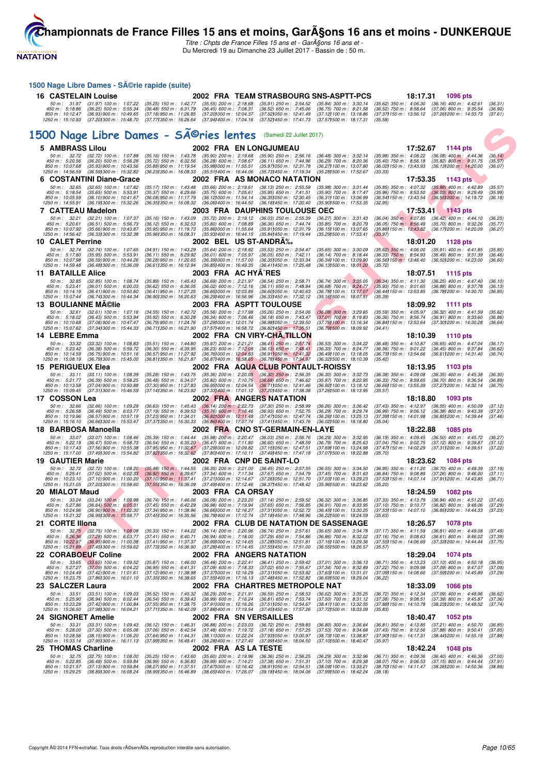

Titre : Chpts de France Filles 15 ans et - Garçons 16 ans et -Du Mercredi 19 au Dimanche 23 Juillet 2017 - Bassin de : 50 m.

**F F N - R é s u l t a t s** 1500 Nage Libre Dames - Série rapide (suite) **16 CASTELAIN Louise 2002 FRA TEAM STRASBOURG SNS-ASPTT-PCS 18:17.31 1096 pts** 50 m : 31.97 (31.97) 100 m : 1:07.22 (35.25) 150 m : 1:42.77 (35.55) 200 m : 2:18.68 (35.91) 250 m : 2:54.52 (35.84) 300 m : 3:30.14 (35.62) 350 m : 4:06.30 (36.16) 400 m : 4:42.61 (36.31)<br>450 m : 5:18.86 (36.25) 500 m : 5 1500 Nage Libre Dames - SÃ<sup>@</sup>ries lentes (Samedi 22 Juillet 2017) **5 AMBRASS Lilou 2002 FRA EN LONGJUMEAU 17:52.67 1144 pts** 50 m : 32.72 (32.72) 100 m : 1:07.88 (35.16) 150 m : 1:43.78 (35.90) 200 m : 2:19.68 (35.90) 250 m : 2:56.16 (36.49) 300 m : 3:32.14 (35.99) 350 m : 4:08.22 (36.08) 400 m : 4:44.36 (36.14)<br>450 m : 5:20.56 (36.20) 500 m : 5 **6 COSTANTINI Diane-Grace** 2002 FRA AS MONACO NATATION 17:53.35 1143 pts<br>
50 m: 32.65 (32.65) 100 m: 1:07.82 (35.17) 150 m: 1:43.48 (35.66) 200 m: 2:19.61 (36.13) 250 m: 2:55.59 (35.98) 300 m: 3:31.44 (35.85) 350 m: 4:07.3 50 m : 32.65 (32.65) 100 m : 1:07.82 (35.17) 150 m : 1:43.48 (35.66) 200 m : 2:19.61 (36.13) 250 m : 2:55.59 (35.89) 300 m : 3:31.44 (35.85) 350 m : 4:07.32 (35.88) 400 m : 4:42.89 (35.57)<br>450 m : 5:18.54 (35.65) 500 m : 5 **7 CATTEAU Madelon** 2003 FRA DAUPHINS TOULOUSE OEC 17:53.41 1143 pts<br>
50 m: 32.21 (32.21) 100 m: 1:07.37 (35.16) 150 m: 1:43.09 (35.72) 200 m: 2:19.12 (36.03) 250 m: 2:55.39 (36.27) 300 m: 3:31.43 (36.04) 350 m: 4:40.16<br>
4 50 m : 3221 (32.21) 100 m : 1:07.37 (35.16) 150 m : 1:43.09 (35.72) 200 m : 2:19.12 (36.03) 250 m : 2:55.39 (36.27) 300 m : 3:31.43 (36.04) 350 m : 4:07.85 (36.42) 400 m : 4:44.10 (36.25<br>450 m : 10:07.92 (36.51) 500 m : 5: **10 CALET Perrine** 2002 BEL US ST-ANDRÉ 18:01.20 1128 pts<br>
50 m : 32.74 (32.74) 100 m : 1:07.65 (34.91) 150 m : 1:43.29 (35.64) 200 m : 2:18.82 (35.53) 250 m : 2:54.47 (35.65) 300 m : 3:30.09 (35.62) 350 m : 4:06.00 (35.9 50 m : 32.74 (32.74) 100 m : 1:07.65 (34.91) 150 m : 1:43.29 (35.64) 200 m : 2:18.82 (35.53) 250 m : 2:5447 (35.65) 300 m : 3:30.09 (35.62) 350 m : 4:06.00 (35.91) 400 m : 4:41.85 (35.85<br>450 m : 10:07.98 (35.59)900 m : 1:3 **11 BATAILLE Alice 2003 FRA AC HYÃ RES 18:07.51 1115 pts**<br>
50 m : 32.85 (32.85) 100 m : 1:08.74 (35.89) 150 m : 1:45.43 (36.69) 200 m : 2:21.97 (36.54) 250 m : 2:58.71 (36.74) 300 m : 3:35.05 (36.34) 350 m : 4:11.30 (36. 50 m : 32.85 (32.85) 100 m : 1:08.74 (35.89) 150 m : 1:45.43 (36.69) 200 m : 2:51.97 (36.54) 250 m : 2:58.71 (36.74) 300 m : 3:35.05 (36.34) 350 m : 4:11.30 (36.25) 400 m : 4:47.40 (36.10)<br>450 m : 5:23.41 (36.01) 500 m : 6 **13 BOULIANNE M©lie**<br>
50 m : 32.61 (32.61) 100 m : 1:07.16 (34.55) 150 m : 1:42.72 (35.56) 200 m : 2:17.98 (35.26) 250 m : 2:54.06 (36.08) 300 m : 3:29.65 (35.59) 350 m : 4:05.97 (36.32) 400 m : 4:41.59<br>
450 m : 5:18.02 ( 50 m : 32.61 (32.61) 100 m : 1:07.16 (34.55) 150 m : 1:42.72 (35.56) 200 m : 2:17.98 (35.26) 250 m : 2:54.06 (36.08) 300 m : 3:29.65 (35.59) 350 m : 4:05.97 (36.32) 400 m : 4:41.59 (35.62) 400 m : 4:41.59 (35.62) 400 m : 5 **14 LEBRE Emma** 2002 FRA CN VIRY-CHÂ, TILLON 18:10.39 1110 pts<br>
50 m : 33.32 (33.32) 100 m : 1:08.83 (35.51) 150 m : 1:44.80 (35.97) 200 m : 2:21.21 (36.41) 250 m : 2:57.74 (36.53) 300 m : 3:34.22 (36.48) 350 m : 4:10.87 ( 50 m : 33.32 (33.32) 100 m : 1:08.83 (35.51) 150 m : 1:44.80 (35.97) 200 m : 2:21.21 (36.41) 250 m : 2:57.74 (36.53) 300 m : 3:34.22 (36.48) 350 m : 4:10.87 (36.65) 400 m : 4:47.04 (36.17<br>450 m : 10:14.59 (36.38) 500 m : 5 **15 PERIGUEUX Elea** 2002 FRA AQUA CLUB PONTAULT-ROISSY 18:13.95 1103 pts<br>
50 m : 33.11 (33.11) 100 m : 1:08.39 (35.28) 150 m : 1:43.75 (35.36) 200 m : 2:20.05 (36.30) 250 m : 2:56.35 (36.30) 300 m : 3:32.73 (36.38) 350 m : 50 m : 33.11 (33.11) 100 m : 1:08.39 (35.28) 150 m : 1:43.75 (35.36) 200 m : 2:20.05 (36.30) 250 m : 2:56.35 (36.30) 300 m : 3:32.73 (36.38) 350 m : 4:09.08 (36.35) 400 m : 4:45.38 (36.30) 300 m : 3:32.73 (36.38) 350 m : 4 **17 COSSON Lea 2002 FRA ANGERS NATATION 18:18.80 1093 pts** 50 m : 32.66 (32.66) 100 m : 1:09.29 (36.63) 150 m : 1:45.43 (36.14) 200 m : 2:22.73 (37.30) 250 m : 2:58.99 (36.26) 300 m : 3:36.42 (37.43) 350 m : 4:12.97 (36.55) 400 m : 4:50.09 (37.12)<br>450 m : 5:26.58 (36.49) 500 m : 6 **18 BARBOSA Manoella** 2002 FRA CNO ST-GERMAIN-EN-LAYE 18:22.88 1085 pts<br>
50 m: 33.07 (33.07) 100 m: 1:08.46 (35.39) 150 m: 1:44.44 (35.98) 200 m: 2:20.47 (36.03) 250 m: 2:56.76 (36.29) 300 m: 3:32.95 (36.19) 350 m: 4:09.45 50 m : 33.07 (33.07) 100 m : 1:08 46 (35.39) 150 m : 1:44.44 (35.98) 200 m : 2:20.47 (36.03) 250 m : 2:56.76 (36.29) 300 m : 3:32.95 (36.19) 350 m : 4:09.45 (36.50) 400 m : 4:45.72 (36.27)<br>450 m : 5:22.19 (36.45/) 500 m : **19 GAUTIER Marie** 2002 FRA CNP DE SAINT-LO<br>
50 m: 32.72 (32.72) 100 m: 1:08.20 (35.48) 150 m: 1:44.55 (36.35) 200 m: 2:21.00 (36.45) 250 m: 2:57.55 (36.55) 300 m: 3:34.50 (36.95) 350 m: 4:11.20 (36.70) 400 m: 4:48.39<br>
450 50 m : 32.72 (32.72) 100 m : 1:08.20 (35.48) 150 m > 1:44.55 (36.35) 200 m : 2:51.00 (36.45) 250 m : 2:57.55 (36.55) 300 m : 3:34.50 (36.95) 350 m : 4:11.20 (36.70) 400 m : 4:48.39 (37.19)<br>450 m : 10:23.10 (37.10)900 m : 6 **20 MIALOT Maud**<br> **2003 FRA CA ORSAY 12:55.52** (36.32) 300 m: 3:36.85 (37.33) 350 m: 4:15.79 (36.94) 400 m: 4:16.22<br> **2003 FRA CA ORSAY** (37.14) 250 m: 2:59.52 (36.32) 300 m: 3:36.85 (37.33) 350 m: 4:15.79 (36.94) 400 m: 50 m : 3324 (3324) 100 m : 1:09 98 (36.74) 150 m : 1:46.06 (36.08) 200 m : 2:23.20 (37.14) 250 m : 2:59.52 (36.32) 300 m : 3:36.85 (37.33) 350 m : 4:13.79 (36.94) 400 m : 4:51.22 (37.43)<br>450 m : 5:27.86 (36.64) 500 m : 6:0 **21 CORTE IIIona 2002 FRA CLUB DE NATATION DE SASSENAGE 18:26.57 1078 pts**<br>
50 m : 32,75 (32.75) 100 m : 1:08.08 (35.33) 150 m : 1:44.22 (36.14) 200 m : 2:20.96 (36.74) 250 m : 2:57.61 (36.65) 300 m : 3:34.78 (37.17) 3 50 m : 32.75 (32.75) 100 m : 108.08 (35.33) 150 m : 1:44.22 (36.14) 200 m : 2:50.96 (36.74) 250 m : 2:57.61 (36.65) 300 m : 3:34.78 (37.17) 350 m : 4:11.59 (36.81) 400 m : 4:49.08 (37.49<br>450 m : 5:26.86 (37.28) 500 m : 6:0 **22 CORABOEUF Coline**<br>
50 m: 33.65 (33.65) 100 m: 1:09.52 (35.87) 150 m: 1:46.00 (36.48) 200 m: 2:22.41 (36.41) 250 m: 2:59.42 (37.01) 300 m: 3:36.13 (36.71) 350 m: 4:13.23 (37.10) 400 m: 4:50.18<br>
450 m: 5:22.27 (37.02) 50 50 m : 33.65 (33.65) 100 m : 1:09.52 (35.87) 150 m : 1:46.00 (36.48) 200 m : 2:22.41 (36.41) 250 m : 2:59.42 (37.01) 300 m : 3:36.13 (36.71) 350 m : 4:13.23 (37.10) 400 m : 4:50.18 (36.95)<br>450 m : 5:27.27 (37.09) 500 m : 6 **23 SALCZER Laura** 2002 FRA CHARTRES METROPOLE NAT 18:33.09 1066 pts<br>
50 m: 525.90 (36.54) 100 m: 1:09.03 (35.52) 150 m: 1:48.36 (36.89) 200 m: 2:16.24 (36.81) 650 m: 7:53.74 (37.50) 700 m: 8:31.12 (37.39) 750 m: 9:08.51 ( 50 m : 33,51 (33,51) 100 m : 1:09.03 (35,52) 150 m : 1:45.32 (36.29) 200 m : 2:51.91 (36.59) 250 m : 2:58.53 (36.62) 300 m : 3:35.25 (36.72) 350 m : 4:12.34 (37.09) 400 m : 4:48.96 (36.62)<br>450 m : 10:23.29 (36.49) 500 m : **24 SIGNORET Amelie** 2002 FRA SN VERSAILLES 18:40.47 1052 pts<br>
50 m: 33.31 (33.31) 100 m: 1:09.43 (36.12) 150 m: 1:46.31 (36.88) 200 m: 2:23.03 (36.72) 250 m: 2:59.83 (36.80) 300 m: 3:36.64 (36.81) 350 m: 4:13.85 (37.21) 4 – 50 m : 33.31 (33.31) 100 m : 1:09.43 – (36.89 (36.81) (36.89 (36.89 (36.72) (36.72) (36.89 (36.80) 300 m : 3:36.64 – (36.81) 35.664 (37.81) 460 m : 4:0.85 (37.81) 400 m : 4:50.41 – 4:0.56 (37.81) 400 m : 4:50.41 (36.85, 850 m : 10:28.56 (38.15)900 m : 11:06.20 (37.69)950 m : 11:44.31 (38.211)000 m : 10:38100 m (38.39100 m : 10:0.97 (37.91)050 m : 14:17.31 (38.441200 m : 14:55.19 (37.88, 17.27.40 (37.99)450 m : 18:04.50 (3 **25 THOMAS Charline**<br> **26 THOMAS Charline** 2002 FRA AS LA TESTE (36.26) 250 m : 2:19.96 (36.36) 250 m : 2:56.25 (36.29) 300 m : 3:32.96 (36.71) 350 m : 4:09.36 (36.40) 400 m : 4:46.36<br>
450 m : 522.85 (38.49) 500 m : 5:32.9 50 m : 32.75 (32.75) 100 m : 1:08.00 (35.25) 150 m : 1:43.60 (35.60) 200 m : 2:19.96 (36.36) 250 m : 2:56.25 (36.29) 300 m : 3:32.96 (36.71) 350 m : 4:09.36 (36.40) 400 m : 4:46.36 (37.00)<br>450 m : 5:22.85 (36.49) 500 m : 5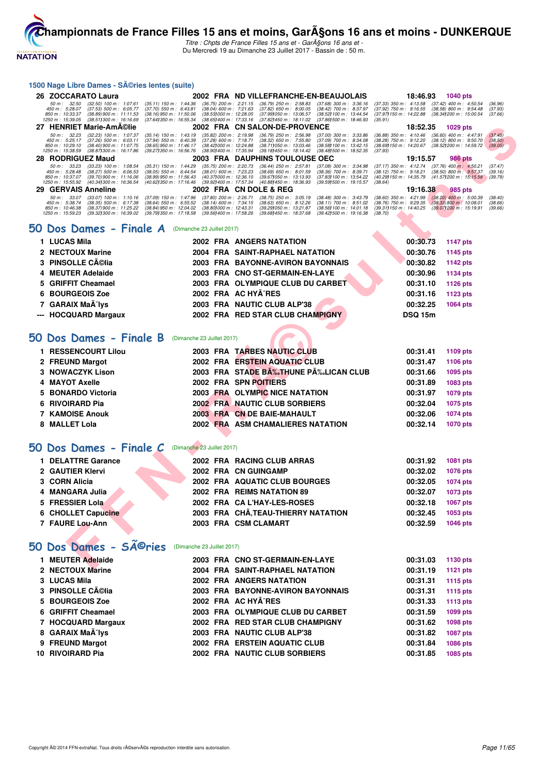

Titre : Chpts de France Filles 15 ans et - GarA§ons 16 ans et -Du Mercredi 19 au Dimanche 23 Juillet 2017 - Bassin de : 50 m.

#### **1500 Nage Libre Dames - Séries lentes (suite)**

**NATATION** 

|   | 26 ZOCCARATO Laura                                                                                                                                                                     |                                                                                                                                                                                                                                         | 2002 FRA ND VILLEFRANCHE-EN-BEAUJOLAIS                                                                                                                                                                                           | 18:46.93                                                                                                                | 1040 pts                                                                                                            |
|---|----------------------------------------------------------------------------------------------------------------------------------------------------------------------------------------|-----------------------------------------------------------------------------------------------------------------------------------------------------------------------------------------------------------------------------------------|----------------------------------------------------------------------------------------------------------------------------------------------------------------------------------------------------------------------------------|-------------------------------------------------------------------------------------------------------------------------|---------------------------------------------------------------------------------------------------------------------|
|   | 50 m: 32.50<br>$(32.50)$ 100 m : 1:07.61<br>450 m : 5:28.07<br>$(37.53)$ 500 m : 6:05.77<br>850 m: 10:33.37<br>(38.89) 900 m : 11:11.53<br>1250 m: 15:39.05<br>(38.511300 m: 16:16.69) | $(36.75)$ 200 m : 2:21.15<br>$(35.11)$ 150 m : 1:44.36<br>(38.04) 600 m: 7:21.63<br>$(37.70)$ 550 m : 6:43.81<br>$(38.16)$ 950 m : 11:50.06<br>$(38.53)000 \text{ m}$ : 12:28.05<br>(37.641350 m : 16:55.34<br>(38.65) 400 m : 17:33.16 | $(36.79)$ 250 m : 2:58.83<br>$(37.68)$ 300 m : 3:36.16<br>$(37.82)$ 650 m : 8:00.05<br>(38.42) 700 m : 8:37.97<br>(37.99) 050 m : 13:06.57<br>(38.52) 100 m : 13:44.54<br>(37.82) 450 m : 18:11.02<br>(37.861500 m: 18:46.93)    | $(37.33)$ 350 m : 4:13.58<br>$(37.92)$ 750 m : $9:16.55$<br>(37.97) 150 m : 14:22.88<br>(35.91)                         | (37.42) 400 m : 4:50.54<br>(36.96)<br>$(38.58)$ 800 m : 9:54.48<br>(37.93)<br>(38.34) 200 m : 15:00.54<br>(37.66)   |
|   | 27 HENRIET Marie-AmA©lie                                                                                                                                                               |                                                                                                                                                                                                                                         | 2002 FRA CN SALON-DE-PROVENCE                                                                                                                                                                                                    | 18:52.35                                                                                                                | 1029 pts                                                                                                            |
|   | (32.23) 100 m : 1:07.37<br>50 m: 32.23<br>450 m: 5:25.17<br>$(37.26)$ 500 m : 6:03.11<br>850 m: 10:29.10<br>$(38.40)$ 900 m : 11:07.75<br>1250 m: 15:38.59<br>(38.87) 300 m : 16:17.86 | $(35.14)$ 150 m : 1:43.19<br>$(35.82)$ 200 m : 2:19.98<br>$(37.94)$ 550 m : 6:40.39<br>$(37.28)$ 600 m : 7:18.71<br>(38.42) 000 m: 12:24.88<br>(38.65) 950 m : 11:46.17<br>(39.27) 350 m : 16:56.76<br>(38.90) 400 m : 17:35.94         | $(36.79)$ 250 m : 2:56.98<br>$(37.00)$ 300 m : 3:33.86<br>$(38.32)$ 650 m : 7:55.80<br>$(37.09)$ 700 m : 8:34.08<br>(38.71) 050 m : 13:03.46<br>(38.58) 100 m : 13:42.15<br>(39.18) 450 m : 18:14.42<br>(38.48) 500 m : 18:52.35 | $(36.88)$ 350 m : 4:10.46<br>$(38.28)$ 750 m : 9:12.20<br>(38.69) 150 m : 14:20.67<br>(37.93)                           | $(36.60)$ 400 m : 4:47.91<br>(37.45)<br>$(38.12)$ 800 m : 9:50.70<br>(38.50)<br>(38.52) 200 m : 14:59.72<br>(39.05) |
|   | 28 RODRIGUEZ Maud                                                                                                                                                                      |                                                                                                                                                                                                                                         | 2003 FRA DAUPHINS TOULOUSE OEC                                                                                                                                                                                                   | 19:15.57                                                                                                                | <b>986 pts</b>                                                                                                      |
|   | 50 m: 33.23<br>(33.23) 100 m: 1:08.54<br>450 m: 5:28.48<br>$(38.27)$ 500 m : 6:06.53<br>850 m: 10:37.07<br>(39.70) 900 m : 11:16.06<br>1250 m: 15:55.92<br>(40.34) 300 m : 16:36.54    | (35.31) 150 m : 1:44.29<br>$(35.75)$ 200 m : 2:20.73<br>$(38.05)$ 550 m : 6:44.54<br>(38.01) 600 m : 7:23.23<br>(38.99) 950 m : 11:56.43<br>(40.37) 000 m : 12:36.10<br>(40.62) 350 m : 17:16.46<br>(39.92) 400 m : 17:57.34            | $(36.44)$ 250 m : 2:57.81<br>(37.08) 300 m : 3:34.98<br>$(38.69)$ 650 m : 8:01.59<br>(38.36) 700 m : 8:39.71<br>(39.67) 050 m : 13:13.93<br>(37.83) 100 m : 13:54.22<br>(40.88) 450 m : 18:36.93<br>(39.59) 500 m : 19:15.57     | $(37.17)$ 350 m : 4:12.74<br>$(38.12)$ 750 m : $9:18.21$<br>(40.29) 150 m : 14:35.79<br>(38.64)                         | $(37.76)$ 400 m : 4:50.21<br>(37.47)<br>$(38.50)$ 800 m : 9:57.37<br>(39.16)<br>(41.57) 200 m : 15:15.58<br>(39.79) |
|   | 29 GERVAIS Anneline                                                                                                                                                                    |                                                                                                                                                                                                                                         | 2002 FRA CN DOLE & REG                                                                                                                                                                                                           | 19:16.38                                                                                                                | 985 pts                                                                                                             |
|   | 50 m: 33.07<br>$(33.07)$ 100 m : 1:10.16<br>(38.35) 500 m : 6:17.38<br>450 m: 5:38.74<br>(38.37) 900 m : 11:25.22<br>850 m : 10:46.38<br>1250 m: 15:59.23<br>(39.32) 300 m : 16:39.02  | $(37.80)$ 200 m : 2:26.71<br>$(37.09)$ 150 m : 1:47.96<br>$(38.14)$ 600 m : 7:34.15<br>(38.64) 550 m : 6.55.52<br>(38.84) 950 m : 12:04.02<br>(38.80) 000 m : 12:43.31<br>(39.79) 350 m : 17:18.58<br>(39.56) 400 m : 17:58.26          | $(38.75)$ 250 m : 3:05.19<br>$(38.48)$ 300 m : 3:43.79<br>$(38.11)$ 700 m : 8:51.02<br>$(38.63)$ 650 m : 8:12.26<br>(39.29) 050 m : 13:21.87<br>(38.56) 100 m : 14:01.18<br>(39.68) 450 m : 18:37.68<br>(39.42) 500 m : 19:16.38 | $(38.60)$ 350 m : 4:21.99 $(38.20)$ 400 m : 5:00.39<br>$(38.76)$ 750 m : 9:29.35<br>(39.31) 150 m : 14:40.25<br>(38.70) | (38.40)<br>$(38.33) 800$ m : 10:08.01<br>(38.66)<br>(39.071200 m : 15:19.91<br>(39.66)                              |
|   | $50$ Dos Dames - Finale A (Dimanche 23 Juillet 2017)                                                                                                                                   |                                                                                                                                                                                                                                         |                                                                                                                                                                                                                                  |                                                                                                                         |                                                                                                                     |
|   | 1 LUCAS Mila                                                                                                                                                                           |                                                                                                                                                                                                                                         | <b>2002 FRA ANGERS NATATION</b>                                                                                                                                                                                                  | 00:30.73                                                                                                                | <b>1147 pts</b>                                                                                                     |
|   | 2 NECTOUX Marine                                                                                                                                                                       |                                                                                                                                                                                                                                         | 2004 FRA SAINT-RAPHAEL NATATION                                                                                                                                                                                                  | 00:30.76                                                                                                                | 1145 pts                                                                                                            |
| 3 | <b>PINSOLLE Célia</b>                                                                                                                                                                  | 2003 FRA                                                                                                                                                                                                                                | <b>BAYONNE-AVIRON BAYONNAIS</b>                                                                                                                                                                                                  | 00:30.82                                                                                                                | 1142 pts                                                                                                            |
| 4 | <b>MEUTER Adelaide</b>                                                                                                                                                                 |                                                                                                                                                                                                                                         | 2003 FRA CNO ST-GERMAIN-EN-LAYE                                                                                                                                                                                                  | 00:30.96                                                                                                                | <b>1134 pts</b>                                                                                                     |
| 5 | <b>GRIFFIT Cheamael</b>                                                                                                                                                                |                                                                                                                                                                                                                                         | 2003 FRA OLYMPIQUE CLUB DU CARBET                                                                                                                                                                                                | 00:31.10                                                                                                                | 1126 pts                                                                                                            |
| 6 | <b>BOURGEOIS Zoe</b>                                                                                                                                                                   |                                                                                                                                                                                                                                         | 2002 FRA AC HYA^RES                                                                                                                                                                                                              | 00:31.16                                                                                                                | 1123 pts                                                                                                            |
| 7 | <b>GARAIX MaA-Ivs</b>                                                                                                                                                                  |                                                                                                                                                                                                                                         | 2003 FRA NAUTIC CLUB ALP'38                                                                                                                                                                                                      | 00:32.25                                                                                                                | 1064 pts                                                                                                            |
|   | --- HOCQUARD Margaux                                                                                                                                                                   |                                                                                                                                                                                                                                         | 2002 FRA RED STAR CLUB CHAMPIGNY                                                                                                                                                                                                 | <b>DSQ 15m</b>                                                                                                          |                                                                                                                     |
|   | 50 Dos Dames - Finale B<br>1 RESSENCOURT Lilou                                                                                                                                         | (Dimanche 23 Juillet 2017)                                                                                                                                                                                                              | 2003 FRA TARBES NAUTIC CLUB                                                                                                                                                                                                      | 00:31.41                                                                                                                | 1109 pts                                                                                                            |
|   | 2 FREUND Margot                                                                                                                                                                        |                                                                                                                                                                                                                                         | 2002 FRA ERSTEIN AQUATIC CLUB                                                                                                                                                                                                    | 00:31.47                                                                                                                | 1106 pts                                                                                                            |
| 3 | <b>NOWACZYK Lison</b>                                                                                                                                                                  |                                                                                                                                                                                                                                         | 2003 FRA STADE BA‰THUNE PĉLICAN CLUB                                                                                                                                                                                             | 00:31.66                                                                                                                | 1095 pts                                                                                                            |
| 4 | <b>MAYOT Axelle</b>                                                                                                                                                                    |                                                                                                                                                                                                                                         | 2002 FRA SPN POITIERS                                                                                                                                                                                                            | 00:31.89                                                                                                                | 1083 pts                                                                                                            |
| 5 | <b>BONARDO Victoria</b>                                                                                                                                                                |                                                                                                                                                                                                                                         | 2003 FRA OLYMPIC NICE NATATION                                                                                                                                                                                                   | 00:31.97                                                                                                                | 1079 pts                                                                                                            |
| 6 | <b>RIVOIRARD Pia</b>                                                                                                                                                                   |                                                                                                                                                                                                                                         | <b>2002 FRA NAUTIC CLUB SORBIERS</b>                                                                                                                                                                                             | 00:32.04                                                                                                                | 1075 pts                                                                                                            |
|   | <b>7 KAMOISE Anouk</b>                                                                                                                                                                 |                                                                                                                                                                                                                                         | 2003 FRA CN DE BAIE-MAHAULT                                                                                                                                                                                                      | 00:32.06                                                                                                                | 1074 pts                                                                                                            |
| 8 | <b>MALLET Lola</b>                                                                                                                                                                     |                                                                                                                                                                                                                                         | 2002 FRA ASM CHAMALIERES NATATION                                                                                                                                                                                                | 00:32.14                                                                                                                | <b>1070 pts</b>                                                                                                     |
|   | 50 Dos Dames - Finale <i>C</i>                                                                                                                                                         | (Dimanche 23 Juillet 2017)                                                                                                                                                                                                              |                                                                                                                                                                                                                                  |                                                                                                                         |                                                                                                                     |
|   | 1 DELATTRE Garance                                                                                                                                                                     |                                                                                                                                                                                                                                         | 2002 FRA RACING CLUB ARRAS                                                                                                                                                                                                       | 00:31.92                                                                                                                | 1081 pts                                                                                                            |
|   | 2 GAUTIER Klervi                                                                                                                                                                       |                                                                                                                                                                                                                                         | 2002 FRA CNGUINGAMP                                                                                                                                                                                                              | 00:32.02                                                                                                                | <b>1076 pts</b>                                                                                                     |
| 3 | <b>CORN Alicia</b>                                                                                                                                                                     |                                                                                                                                                                                                                                         | <b>2002 FRA AQUATIC CLUB BOURGES</b>                                                                                                                                                                                             | 00:32.05                                                                                                                | <b>1074 pts</b>                                                                                                     |
| 4 | <b>MANGARA Julia</b>                                                                                                                                                                   |                                                                                                                                                                                                                                         | 2002 FRA REIMS NATATION 89                                                                                                                                                                                                       | 00:32.07                                                                                                                | <b>1073 pts</b>                                                                                                     |
| 5 | <b>FRESSIER Lola</b>                                                                                                                                                                   |                                                                                                                                                                                                                                         | 2002 FRA CA L'HAY-LES-ROSES                                                                                                                                                                                                      | 00:32.18                                                                                                                | 1067 pts                                                                                                            |
| 6 | <b>CHOLLET Capucine</b>                                                                                                                                                                |                                                                                                                                                                                                                                         | 2003 FRA CHÂ, TEAU-THIERRY NATATION                                                                                                                                                                                              | 00:32.45                                                                                                                | 1053 pts                                                                                                            |
|   | 7 FAURE Lou-Ann                                                                                                                                                                        |                                                                                                                                                                                                                                         | 2003 FRA CSM CLAMART                                                                                                                                                                                                             | 00:32.59                                                                                                                | <b>1046 pts</b>                                                                                                     |
|   | <b>SÃ<sup>©</sup>ries</b><br>50 Dos Dames -                                                                                                                                            | (Dimanche 23 Juillet 2017)                                                                                                                                                                                                              |                                                                                                                                                                                                                                  |                                                                                                                         |                                                                                                                     |
|   | 1 MEUTER Adelaide                                                                                                                                                                      |                                                                                                                                                                                                                                         | 2003 FRA CNO ST-GERMAIN-EN-LAYE                                                                                                                                                                                                  | 00:31.03                                                                                                                | 1130 pts                                                                                                            |
|   | <b>CALLOTALIVAL</b>                                                                                                                                                                    |                                                                                                                                                                                                                                         | <b>COOL FRA CAINT BABUAEL NATATION</b>                                                                                                                                                                                           | 00.01.10                                                                                                                | <b>AMON ARE</b>                                                                                                     |

#### **[50 Dos Dames - Finale A](http://www.ffnatation.fr/webffn/resultats.php?idact=nat&go=epr&idcpt=47485&idepr=11)** (Dimanche 23 Juillet 2017)

| 1 LUCAS Mila                  |  | 2002 FRA ANGERS NATATION          | 00:30.73       | 1147 pts |
|-------------------------------|--|-----------------------------------|----------------|----------|
| 2 NECTOUX Marine              |  | 2004 FRA SAINT-RAPHAEL NATATION   | 00:30.76       | 1145 pts |
| 3 PINSOLLE Célia              |  | 2003 FRA BAYONNE-AVIRON BAYONNAIS | 00:30.82       | 1142 pts |
| 4 MEUTER Adelaide             |  | 2003 FRA CNO ST-GERMAIN-EN-LAYE   | 00:30.96       | 1134 pts |
| 5 GRIFFIT Cheamael            |  | 2003 FRA OLYMPIQUE CLUB DU CARBET | 00:31.10       | 1126 pts |
| 6 BOURGEOIS Zoe               |  | 2002 FRA AC HYA^RES               | 00:31.16       | 1123 pts |
| 7 GARAIX MaÃ <sup>-</sup> lys |  | 2003 FRA NAUTIC CLUB ALP'38       | 00:32.25       | 1064 pts |
| --- HOCQUARD Margaux          |  | 2002 FRA RED STAR CLUB CHAMPIGNY  | <b>DSQ 15m</b> |          |
|                               |  |                                   |                |          |

# **[50 Dos Dames - Finale B](http://www.ffnatation.fr/webffn/resultats.php?idact=nat&go=epr&idcpt=47485&idepr=11)** (Dimanche 23 Juillet 2017)

| 1 RESSENCOURT Lilou    |  | 2003 FRA TARBES NAUTIC CLUB         | 00:31.41 | 1109 pts |
|------------------------|--|-------------------------------------|----------|----------|
| 2 FREUND Margot        |  | 2002 FRA ERSTEIN AQUATIC CLUB       | 00:31.47 | 1106 pts |
| 3 NOWACZYK Lison       |  | 2003 FRA STADE B‰THUNE P‰LICAN CLUB | 00:31.66 | 1095 pts |
| 4 MAYOT Axelle         |  | 2002 FRA SPN POITIERS               | 00:31.89 | 1083 pts |
| 5 BONARDO Victoria     |  | 2003 FRA OLYMPIC NICE NATATION      | 00:31.97 | 1079 pts |
| 6 RIVOIRARD Pia        |  | 2002 FRA NAUTIC CLUB SORBIERS       | 00:32.04 | 1075 pts |
| <b>7 KAMOISE Anouk</b> |  | 2003 FRA CN DE BAIE-MAHAULT         | 00:32.06 | 1074 pts |
| 8 MALLET Lola          |  | 2002 FRA ASM CHAMALIERES NATATION   | 00:32.14 | 1070 pts |

#### **50 Dos Dames - Finale C** (Dimanche 23 Juillet 2017)

| 1 DELATTRE Garance |  | 2002 FRA RACING CLUB ARRAS          | 00:31.92 | 1081 pts |
|--------------------|--|-------------------------------------|----------|----------|
| 2 GAUTIER Klervi   |  | 2002 FRA CN GUINGAMP                | 00:32.02 | 1076 pts |
| 3 CORN Alicia      |  | 2002 FRA AQUATIC CLUB BOURGES       | 00:32.05 | 1074 pts |
| 4 MANGARA Julia    |  | 2002 FRA REIMS NATATION 89          | 00:32.07 | 1073 pts |
| 5 FRESSIER Lola    |  | 2002 FRA CA L'HAY-LES-ROSES         | 00:32.18 | 1067 pts |
| 6 CHOLLET Capucine |  | 2003 FRA CHÃ, TEAU-THIERRY NATATION | 00:32.45 | 1053 pts |
| 7 FAURE Lou-Ann    |  | 2003 FRA CSM CLAMART                | 00:32.59 | 1046 pts |
|                    |  |                                     |          |          |

#### 50 Dos Dames - SÃ<sup>©</sup>ries (Dimanche 23 Juillet 2017)

| 1 MEUTER Adelaide             |  | 2003 FRA CNO ST-GERMAIN-EN-LAYE   | 00:31.03 | 1130 pts        |
|-------------------------------|--|-----------------------------------|----------|-----------------|
| 2 NECTOUX Marine              |  | 2004 FRA SAINT-RAPHAEL NATATION   | 00:31.19 | 1121 pts        |
| 3 LUCAS Mila                  |  | 2002 FRA ANGERS NATATION          | 00:31.31 | <b>1115 pts</b> |
| 3 PINSOLLE Célia              |  | 2003 FRA BAYONNE-AVIRON BAYONNAIS | 00:31.31 | <b>1115 pts</b> |
| 5 BOURGEOIS Zoe               |  | 2002 FRA AC HYA^RES               | 00:31.33 | <b>1113 pts</b> |
| 6 GRIFFIT Cheamael            |  | 2003 FRA OLYMPIQUE CLUB DU CARBET | 00:31.59 | <b>1099 pts</b> |
| 7 HOCQUARD Margaux            |  | 2002 FRA RED STAR CLUB CHAMPIGNY  | 00:31.62 | <b>1098 pts</b> |
| 8 GARAIX MaA <sup>-</sup> lys |  | 2003 FRA NAUTIC CLUB ALP'38       | 00:31.82 | <b>1087 pts</b> |
| 9 FREUND Margot               |  | 2002 FRA ERSTEIN AQUATIC CLUB     | 00:31.84 | <b>1086 pts</b> |
| 10 RIVOIRARD Pia              |  | 2002 FRA NAUTIC CLUB SORBIERS     | 00:31.85 | 1085 pts        |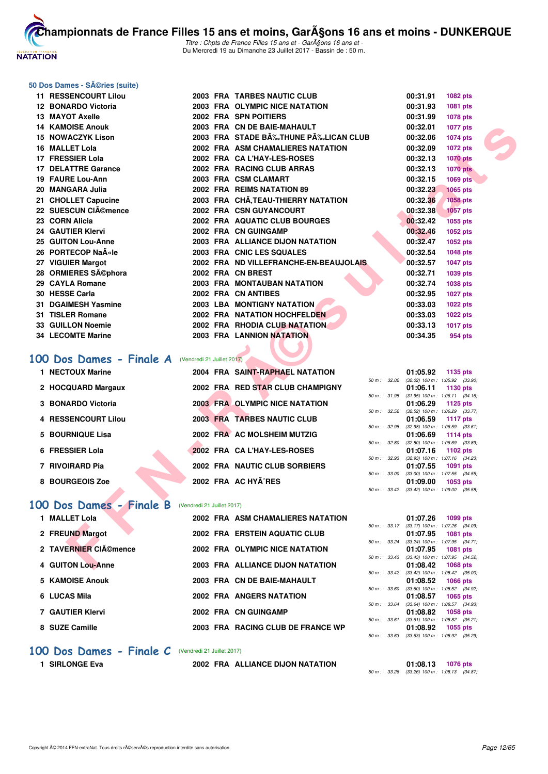

Titre : Chpts de France Filles 15 ans et - Gar $\tilde{A}$ gons 16 ans et -Du Mercredi 19 au Dimanche 23 Juillet 2017 - Bassin de : 50 m.

#### **50 Dos Dames - Séries (suite)**

| 11 RESSENCOURT Lilou                                      |  | 2003 FRA TARBES NAUTIC CLUB            |              | 00:31.91 | 1082 pts                                                      |  |
|-----------------------------------------------------------|--|----------------------------------------|--------------|----------|---------------------------------------------------------------|--|
| 12 BONARDO Victoria                                       |  | 2003 FRA OLYMPIC NICE NATATION         |              | 00:31.93 | 1081 pts                                                      |  |
| 13 MAYOT Axelle                                           |  | 2002 FRA SPN POITIERS                  |              | 00:31.99 | 1078 pts                                                      |  |
| <b>14 KAMOISE Anouk</b>                                   |  | 2003 FRA CN DE BAIE-MAHAULT            |              | 00:32.01 | 1077 pts                                                      |  |
| 15 NOWACZYK Lison                                         |  | 2003 FRA STADE BĉTHUNE PĉLICAN CLUB    |              | 00:32.06 | 1074 pts                                                      |  |
| 16 MALLET Lola                                            |  | 2002 FRA ASM CHAMALIERES NATATION      |              | 00:32.09 | 1072 pts                                                      |  |
| 17 FRESSIER Lola                                          |  | 2002 FRA CA L'HAY-LES-ROSES            |              | 00:32.13 | <b>1070 pts</b>                                               |  |
| <b>17 DELATTRE Garance</b>                                |  | 2002 FRA RACING CLUB ARRAS             |              | 00:32.13 | <b>1070 pts</b>                                               |  |
| 19 FAURE Lou-Ann                                          |  | 2003 FRA CSM CLAMART                   |              | 00:32.15 | <b>1069 pts</b>                                               |  |
| 20   MANGARA Julia                                        |  | 2002 FRA REIMS NATATION 89             |              | 00:32.23 | <b>1065 pts</b>                                               |  |
| 21 CHOLLET Capucine                                       |  | 2003 FRA CHA, TEAU-THIERRY NATATION    |              | 00:32.36 | <b>1058 pts</b>                                               |  |
| 22 SUESCUN CIĩmence                                       |  | 2002 FRA CSN GUYANCOURT                |              | 00:32.38 | <b>1057 pts</b>                                               |  |
| 23 CORN Alicia                                            |  | 2002 FRA AQUATIC CLUB BOURGES          |              | 00:32.42 | 1055 pts                                                      |  |
| 24 GAUTIER Klervi                                         |  | 2002 FRA CN GUINGAMP                   |              | 00:32.46 | 1052 pts                                                      |  |
| <b>25 GUITON Lou-Anne</b>                                 |  | 2003 FRA ALLIANCE DIJON NATATION       |              | 00:32.47 | 1052 pts                                                      |  |
| 26 PORTECOP Naīle                                         |  | 2003 FRA CNIC LES SQUALES              |              | 00:32.54 | 1048 pts                                                      |  |
| 27 VIGUIER Margot                                         |  | 2002 FRA ND VILLEFRANCHE-EN-BEAUJOLAIS |              | 00:32.57 | 1047 pts                                                      |  |
| 28 ORMIERES Séphora                                       |  | 2002 FRA CN BREST                      |              | 00:32.71 | 1039 pts                                                      |  |
| 29 CAYLA Romane                                           |  | 2003 FRA MONTAUBAN NATATION            |              | 00:32.74 | <b>1038 pts</b>                                               |  |
| 30 HESSE Carla                                            |  | 2002 FRA CN ANTIBES                    |              | 00:32.95 | <b>1027 pts</b>                                               |  |
| 31 DGAIMESH Yasmine                                       |  | <b>2003 LBA MONTIGNY NATATION</b>      |              | 00:33.03 | <b>1022 pts</b>                                               |  |
| 31 TISLER Romane                                          |  | 2002 FRA NATATION HOCHFELDEN           |              | 00:33.03 | 1022 pts                                                      |  |
| 33 GUILLON Noemie                                         |  | 2002 FRA RHODIA CLUB NATATION          |              | 00:33.13 | <b>1017 pts</b>                                               |  |
| 34 LECOMTE Marine                                         |  | <b>2003 FRA LANNION NATATION</b>       |              | 00:34.35 | 954 pts                                                       |  |
|                                                           |  |                                        |              |          |                                                               |  |
| <b>00 Dos Dames - Finale A</b> (Vendredi 21 Juillet 2017) |  |                                        |              |          |                                                               |  |
| 1 NECTOUX Marine                                          |  | 2004 FRA SAINT-RAPHAEL NATATION        |              | 01:05.92 | 1135 pts                                                      |  |
|                                                           |  |                                        |              |          | 50 m : 32.02 (32.02) 100 m : 1:05.92 (33.90)                  |  |
| 2 HOCQUARD Margaux                                        |  | 2002 FRA RED STAR CLUB CHAMPIGNY       |              | 01:06.11 | 1130 pts<br>50 m: 31.95 (31.95) 100 m: 1:06.11 (34.16)        |  |
| 3 BONARDO Victoria                                        |  | <b>2003 FRA OLYMPIC NICE NATATION</b>  |              | 01:06.29 | 1125 pts                                                      |  |
|                                                           |  |                                        |              |          | 50 m : 32.52 (32.52) 100 m : 1:06.29 (33.77)                  |  |
| 4 RESSENCOURT Lilou                                       |  | 2003 FRA TARBES NAUTIC CLUB            |              | 01:06.59 | 1117 pts<br>50 m: 32.98 (32.98) 100 m: 1:06.59 (33.61)        |  |
| 5 BOURNIQUE Lisa                                          |  | 2002 FRA AC MOLSHEIM MUTZIG            |              | 01:06.69 | 1114 pts                                                      |  |
|                                                           |  |                                        | 50 m: 32.80  |          | $(32.80)$ 100 m : 1:06.69 $(33.89)$                           |  |
| 6 FRESSIER Lola                                           |  | 2002 FRA CA L'HAY-LES-ROSES            |              | 01:07.16 | 1102 pts<br>50 m: 32.93 (32.93) 100 m: 1:07.16 (34.23)        |  |
| 7 RIVOIRARD Pia                                           |  | 2002 FRA NAUTIC CLUB SORBIERS          |              | 01:07.55 | 1091 pts                                                      |  |
|                                                           |  |                                        | 50 m : 33.00 |          | $(33.00)$ 100 m : 1:07.55 $(34.55)$                           |  |
| 8 BOURGEOIS Zoe                                           |  | 2002 FRA AC HYA^RES                    |              | 01:09.00 | 1053 pts<br>50 m: 33.42 (33.42) 100 m: 1:09.00 (35.58)        |  |
|                                                           |  |                                        |              |          |                                                               |  |
| <b>00 Dos Dames - Finale B</b> (Vendredi 21 Juillet 2017) |  |                                        |              |          |                                                               |  |
| 1 MALLET Lola                                             |  | 2002 FRA ASM CHAMALIERES NATATION      |              | 01:07.26 | 1099 pts                                                      |  |
|                                                           |  |                                        |              |          | 50 m: 33.17 (33.17) 100 m: 1:07.26 (34.09)                    |  |
| 2 FREUND Margot                                           |  | 2002 FRA ERSTEIN AQUATIC CLUB          |              | 01:07.95 | <b>1081 pts</b><br>50 m: 33.24 (33.24) 100 m: 1:07.95 (34.71) |  |
| 2 TAVERNIER CIémence                                      |  | 2002 FRA OLYMPIC NICE NATATION         |              | 01:07.95 | <b>1081 pts</b>                                               |  |
|                                                           |  |                                        | 50 m: 33.43  |          | $(33.43)$ 100 m : 1:07.95 $(34.52)$                           |  |
| 4 GUITON Lou-Anne                                         |  | 2003 FRA ALLIANCE DIJON NATATION       |              | 01:08.42 | <b>1068 pts</b>                                               |  |

#### **[100 Dos Dames - Finale A](http://www.ffnatation.fr/webffn/resultats.php?idact=nat&go=epr&idcpt=47485&idepr=12)** (Vendredi 21 Juillet 2017)

| 1 NECTOUX Marine    |  | 2004 FRA SAINT-RAPHAEL NATATION  |              | 01:05.92                                       | 1135 pts        |  |
|---------------------|--|----------------------------------|--------------|------------------------------------------------|-----------------|--|
| 2 HOCQUARD Margaux  |  | 2002 FRA RED STAR CLUB CHAMPIGNY | 50 m: 32.02  | $(32.02)$ 100 m : 1:05.92 $(33.$<br>01:06.11   | 1130 pts        |  |
| 3 BONARDO Victoria  |  | 2003 FRA OLYMPIC NICE NATATION   | 50 m : 31.95 | $(31.95)$ 100 m : 1:06.11 $(34.$<br>01:06.29   | 1125 pts        |  |
|                     |  | 2003 FRA TARBES NAUTIC CLUB      | 50 m: 32.52  | $(32.52)$ 100 m : 1:06.29 (33.                 |                 |  |
| 4 RESSENCOURT Lilou |  |                                  | 50 m: 32.98  | 01:06.59<br>$(32.98)$ 100 m : 1:06.59 (33.     | 1117 pts        |  |
| 5 BOURNIQUE Lisa    |  | 2002 FRA AC MOLSHEIM MUTZIG      | 50 m : 32.80 | 01:06.69<br>$(32.80)$ 100 m : 1:06.69 (33.     | 1114 pts        |  |
| 6 FRESSIER Lola     |  | 2002 FRA CAL'HAY-LES-ROSES       | 50 m : 32.93 | 01:07.16<br>$(32.93)$ 100 m : 1:07.16 $(34.$   | 1102 pts        |  |
| 7 RIVOIRARD Pia     |  | 2002 FRA NAUTIC CLUB SORBIERS    | 50 m : 33.00 | 01:07.55<br>$(33.00)$ 100 m : 1:07.55 $(34.1)$ | <b>1091 pts</b> |  |
| 8 BOURGEOIS Zoe     |  | 2002 FRA AC HYÃ^RES              |              | 01:09.00                                       | 1053 pts        |  |
|                     |  |                                  |              | 50 m: 33.42 (33.42) 100 m: 1:09.00 (35.        |                 |  |

#### [100 Dos Dames - Finale B](http://www.ffnatation.fr/webffn/resultats.php?idact=nat&go=epr&idcpt=47485&idepr=12) (Vendredi 21 Juillet 2017)

| 1 MALLET Lola        | 2002 FRA ASM CHAMALIERES NATATION |
|----------------------|-----------------------------------|
| 2 FREUND Margot      | 2002 FRA ERSTEIN AQUATIC CLUB     |
| 2 TAVERNIER CIémence | 2002 FRA OLYMPIC NICE NATATION    |
| 4 GUITON Lou-Anne    | 2003 FRA ALLIANCE DIJON NATATION  |
| 5 KAMOISE Anouk      | 2003 FRA CN DE BAIE-MAHAULT       |
| 6 LUCAS Mila         | 2002 FRA ANGERS NATATION          |
| 7 GAUTIER Klervi     | 2002 FRA CN GUINGAMP              |
| 8 SUZE Camille       | 2003 FRA RACING CLUB DE FRANCE WP |

#### **[100 Dos Dames - Finale C](http://www.ffnatation.fr/webffn/resultats.php?idact=nat&go=epr&idcpt=47485&idepr=12)** (Vendredi 21 Juillet 2017)

**1 SIRLONGE Eva 2002 FRA ALLIANCE DIJON NATATION 01:08.13 1076 pts**

50 m : 33.26 (33.26) 100 m : 1:08.13 (34.87)

50 m : 33.60 (33.60) 100 m : 1:08.52 (34.92) **6 COMPT 1065 pts**<br>**6 LUCAS 106 Mila 2002 500 pts**<br>**6 COMPT 1:08.57** (34.9)

**7 GAUGE 1058 pts**<br>**7 GD** m: 33.61 (33.61) 100 m: 1:08.82 (35.2

50 m : 33.63 (33.63) 100 m : 1:08.92 (35.29)

 $(33.24)$  100 m : 1:07.95  $(34.71)$ **2 TAVERNIER Clémence 2002 FRA OLYMPIC NICE NATATION 01:07.95 1081 pts** 50 m : 33.43 (33.43) 100 m : 1:07.95 (34.52) **4 GUITON 1068 pts**<br>**4 GUITE:** 33.42 (33.42) **4 GUITE:** 1:08.42 (35.0

 $(33.42)$  100 m : 1:08.42  $(35.00)$ **5 KAMOISE Anouk 2003 FRA CN DE BAIE-MAHAULT 01:08.52 1066 pts**

 $(33.64)$  100 m : 1:08.57  $(34.93)$ 

 $(33.61)$  100 m : 1:08.82  $(35.21)$ **8 SUZE Camille 2003 FRA RACING CLUB DE FRANCE WP 01:08.92 1055 pts**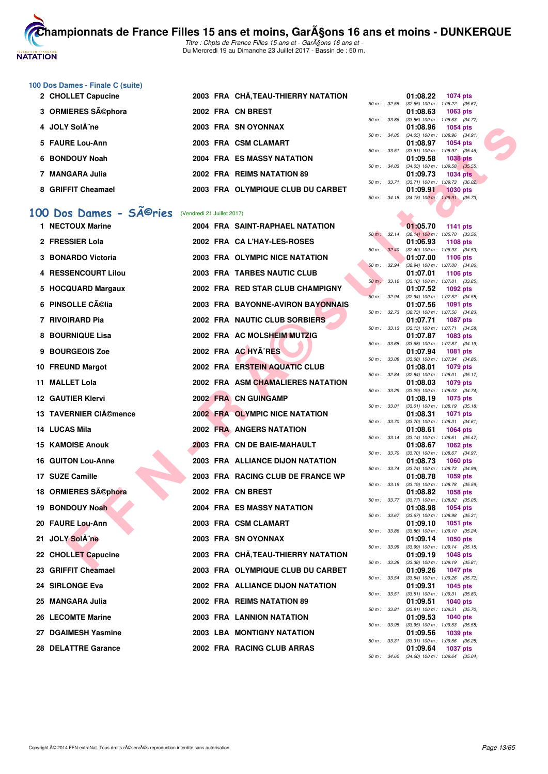

# **100 Dos Dames - Finale C (suite)**

| 2 CHOLLET Capucine | 2003 FRA CHÃ, TEAU-THIERRY NATATION |                        | 01:08.22<br>1074 pts                                            |
|--------------------|-------------------------------------|------------------------|-----------------------------------------------------------------|
| 3 ORMIERES Séphora | 2002 FRA CN BREST                   |                        | 50 m: 32.55 (32.55) 100 m: 1:08.22 (35.<br>01:08.63<br>1063 pts |
|                    |                                     | 50 m : 33.86           | $(33.86)$ 100 m : 1:08.63 (34.                                  |
| 4 JOLY Sol¨ne      | 2003 FRA SN OYONNAX                 |                        | 01:08.96<br>1054 pts<br>50 m: 34.05 (34.05) 100 m: 1:08.96 (34. |
| 5 FAURE Lou-Ann    | 2003 FRA CSM CLAMART                | $50 m$ : $33.51$       | 01:08.97<br>1054 pts<br>$(33.51)$ 100 m : 1:08.97 (35.          |
| 6 BONDOUY Noah     | 2004 FRA ES MASSY NATATION          |                        | 1038 pts<br>01:09.58                                            |
| 7 MANGARA Julia    | 2002 FRA REIMS NATATION 89          | $50 \text{ m}$ : 34.03 | $(34.03)$ 100 m : 1:09.58 (35.<br>01:09.73<br><b>1034 pts</b>   |
| 8 GRIFFIT Cheamael | 2003 FRA OLYMPIQUE CLUB DU CARBET   | 50 m: 33.71            | $(33.71)$ 100 m : 1:09.73 (36.<br>01:09.91<br><b>1030 pts</b>   |
|                    |                                     |                        |                                                                 |

# 100 Dos Dames - SÃ<sup>@</sup>ries (Vendredi 21 Juillet 2017)

| 4  | <b>JOLY SolA</b> "ne                                           |  | 2003 FRA SN OYONNAX                 |              | 01:08.96<br>1054 pts                                                        |
|----|----------------------------------------------------------------|--|-------------------------------------|--------------|-----------------------------------------------------------------------------|
|    | 5 FAURE Lou-Ann                                                |  | 2003 FRA CSM CLAMART                | 50 m : 34.05 | $(34.05)$ 100 m : 1:08.96 $(34.91)$<br>01:08.97<br><b>1054 pts</b>          |
| 6. | <b>BONDOUY Noah</b>                                            |  | <b>2004 FRA ES MASSY NATATION</b>   | 50 m: 33.51  | $(33.51)$ 100 m : 1:08.97 $(35.46)$<br>01:09.58<br>1038 pts                 |
|    | 7 MANGARA Julia                                                |  | 2002 FRA REIMS NATATION 89          | 50 m: 34.03  | $(34.03)$ 100 m : 1:09.58 $(35.55)$<br>01:09.73<br><b>1034 pts</b>          |
|    |                                                                |  |                                     | 50 m : 33.71 | $(33.71)$ 100 m : 1:09.73 $(36.02)$                                         |
|    | 8 GRIFFIT Cheamael                                             |  | 2003 FRA OLYMPIQUE CLUB DU CARBET   |              | 01:09.91<br><b>1030 pts</b><br>50 m : 34.18 (34.18) 100 m : 1:09.91 (35.73) |
|    | 00 Dos Dames - SÃ <sup>@</sup> ries (Vendredi 21 Juillet 2017) |  |                                     |              |                                                                             |
|    | 1 NECTOUX Marine                                               |  | 2004 FRA SAINT-RAPHAEL NATATION     |              | 01:05.70<br>1141 pts                                                        |
|    | 2 FRESSIER Lola                                                |  | 2002 FRA CA L'HAY-LES-ROSES         | 50 m : 32.14 | $(32.14)$ 100 m : 1:05.70 $(33.56)$                                         |
|    |                                                                |  |                                     | 50 m : 32.40 | 01:06.93<br>1108 pts<br>(32.40) 100 m: 1:06.93 (34.53)                      |
|    | 3 BONARDO Victoria                                             |  | 2003 FRA OLYMPIC NICE NATATION      | 50 m: 32.94  | 01:07.00<br><b>1106 pts</b><br>$(32.94)$ 100 m : 1:07.00 $(34.06)$          |
|    | 4 RESSENCOURT Lilou                                            |  | 2003 FRA TARBES NAUTIC CLUB         | 50 m : 33.16 | 01:07.01<br>1106 pts<br>$(33.16)$ 100 m : 1:07.01 $(33.85)$                 |
|    | 5 HOCQUARD Margaux                                             |  | 2002 FRA RED STAR CLUB CHAMPIGNY    |              | 01:07.52<br>1092 pts                                                        |
|    | 6 PINSOLLE Célia                                               |  | 2003 FRA BAYONNE-AVIRON BAYONNAIS   | 50 m: 32.94  | (32.94) 100 m: 1:07.52 (34.58)<br>01:07.56<br>1091 pts                      |
|    | 7 RIVOIRARD Pia                                                |  | 2002 FRA NAUTIC CLUB SORBIERS       | 50 m : 32.73 | $(32.73)$ 100 m : 1:07.56 $(34.83)$<br>01:07.71<br>1087 pts                 |
|    |                                                                |  |                                     | 50 m: 33.13  | $(33.13)$ 100 m : 1:07.71 $(34.58)$                                         |
|    | 8 BOURNIQUE Lisa                                               |  | 2002 FRA AC MOLSHEIM MUTZIG         | 50 m : 33.68 | 01:07.87<br>1083 pts<br>$(33.68)$ 100 m : 1:07.87 $(34.19)$                 |
|    | 9 BOURGEOIS Zoe                                                |  | 2002 FRA AC HYA^RES                 | 50 m : 33.08 | 01:07.94<br><b>1081 pts</b><br>$(33.08)$ 100 m : 1:07.94 $(34.86)$          |
|    | 10 FREUND Margot                                               |  | 2002 FRA ERSTEIN AQUATIC CLUB       |              | 01:08.01<br>1079 pts                                                        |
|    | 11 MALLET Lola                                                 |  | 2002 FRA ASM CHAMALIERES NATATION   | 50 m : 32.84 | $(32.84)$ 100 m : 1:08.01 $(35.17)$<br>01:08.03<br>1079 pts                 |
|    | <b>12 GAUTIER Klervi</b>                                       |  | <b>2002 FRA CN GUINGAMP</b>         | 50 m : 33.29 | $(33.29)$ 100 m : 1:08.03 $(34.74)$<br>01:08.19<br>1075 pts                 |
|    | 13 TAVERNIER CIAO mence                                        |  | 2002 FRA OLYMPIC NICE NATATION      | 50 m : 33.01 | $(33.01)$ 100 m : 1:08.19 $(35.18)$<br>01:08.31<br>1071 pts                 |
|    | 14 LUCAS Mila                                                  |  | <b>2002 FRA ANGERS NATATION</b>     | 50 m : 33.70 | $(33.70)$ 100 m : 1:08.31 $(34.61)$<br>01:08.61                             |
|    |                                                                |  |                                     | 50 m: 33.14  | 1064 pts<br>$(33.14)$ 100 m : 1:08.61 $(35.47)$                             |
|    | <b>15 KAMOISE Anouk</b>                                        |  | 2003 FRA CN DE BAIE-MAHAULT         | 50 m : 33.70 | 01:08.67<br><b>1062 pts</b><br>(33.70) 100 m : 1:08.67 (34.97)              |
|    | <b>16 GUITON Lou-Anne</b>                                      |  | 2003 FRA ALLIANCE DIJON NATATION    | 50 m : 33.74 | 01:08.73<br><b>1060 pts</b><br>(33.74) 100 m : 1:08.73 (34.99)              |
|    | 17 SUZE Camille                                                |  | 2003 FRA RACING CLUB DE FRANCE WP   |              | 01:08.78<br>1059 pts                                                        |
|    | 18 ORMIERES Séphora                                            |  | 2002 FRA CN BREST                   | 50 m : 33.19 | $(33.19)$ 100 m : 1:08.78 $(35.59)$<br>01:08.82<br>1058 pts                 |
|    | 19 BONDOUY Noah                                                |  | 2004 FRA ES MASSY NATATION          | 50 m : 33.77 | (33.77) 100 m : 1:08.82 (35.05)<br>01:08.98<br>1054 pts                     |
|    | 20 FAURE Lou-Ann                                               |  | 2003 FRA CSM CLAMART                | 50 m : 33.67 | $(33.67)$ 100 m : 1:08.98 $(35.31)$<br>01:09.10<br><b>1051 pts</b>          |
|    |                                                                |  |                                     |              | 50 m: 33.86 (33.86) 100 m: 1:09.10 (35.24)                                  |
|    | 21 JOLY SolA ne                                                |  | 2003 FRA SNOYONNAX                  | 50 m : 33.99 | 1050 pts<br>V1:09.14<br>$(33.99)$ 100 m : 1:09.14 $(35.15)$                 |
|    | 22 CHOLLET Capucine                                            |  | 2003 FRA CHÂ, TEAU-THIERRY NATATION | 50 m : 33.38 | 01:09.19<br><b>1048 pts</b><br>$(33.38)$ 100 m : 1:09.19 $(35.81)$          |
|    | 23 GRIFFIT Cheamael                                            |  | 2003 FRA OLYMPIQUE CLUB DU CARBET   | 50 m : 33.54 | 01:09.26<br><b>1047 pts</b><br>(33.54) 100 m: 1:09.26 (35.72)               |
|    | 24 SIRLONGE Eva                                                |  | 2002 FRA ALLIANCE DIJON NATATION    |              | 01:09.31<br>1045 pts                                                        |
|    | 25 MANGARA Julia                                               |  | 2002 FRA REIMS NATATION 89          | 50 m : 33.51 | $(33.51)$ 100 m : 1:09.31 $(35.80)$<br>01:09.51<br>1040 pts                 |
|    | 26 LECOMTE Marine                                              |  | 2003 FRA LANNION NATATION           | 50 m : 33.81 | $(33.81)$ 100 m : 1:09.51 $(35.70)$<br>01:09.53<br><b>1040 pts</b>          |
|    | 27 DGAIMESH Yasmine                                            |  | 2003 LBA MONTIGNY NATATION          | 50 m : 33.95 | $(33.95)$ 100 m : 1:09.53 $(35.58)$<br>01:09.56<br>1039 pts                 |
|    | 28 DELATTRE Garance                                            |  | 2002 FRA RACING CLUB ARRAS          | 50 m : 33.31 | $(33.31)$ 100 m : 1:09.56 $(36.25)$<br>01:09.64<br><b>1037 pts</b>          |
|    |                                                                |  |                                     |              |                                                                             |

|          |       | 01:08.22                            | 1074 pts            |  |
|----------|-------|-------------------------------------|---------------------|--|
| $50 m$ : | 32.55 | $(32.55)$ 100 m :                   | 1:08.22 (35.67)     |  |
|          |       | 01:08.63 1063 pts                   |                     |  |
| $50 m$ : | 33.86 | $(33.86)$ 100 m :                   | $1:08.63$ $(34.77)$ |  |
|          |       | 01:08.96 1054 pts                   |                     |  |
| $50 m$ : | 34.05 | $(34.05)$ 100 m :                   | 1:08.96 (34.91)     |  |
|          |       | 01:08.97 1054 pts                   |                     |  |
| $50 m$ : | 33.51 | $(33.51)$ 100 m :                   | 1:08.97 (35.46)     |  |
|          |       | 01:09.58 1038 pts                   |                     |  |
| $50 m$ : | 34.03 | $(34.03)$ 100 m :                   | $1:09.58$ $(35.55)$ |  |
|          |       | 01:09.73 1034 pts                   |                     |  |
| $50 m$ : | 33.71 | $(33.71)$ 100 m :                   | $1:09.73$ $(36.02)$ |  |
|          |       | 01:09.91 1030 pts                   |                     |  |
| $50 m$ : | 34.18 | $(34.18)$ 100 m : 1.09.91 $(35.73)$ |                     |  |
|          |       |                                     |                     |  |

|          |       | 01:05.70          | 1141            | pts     |
|----------|-------|-------------------|-----------------|---------|
| $50 m$ : | 32.14 | $(32.14) 100 m$ : | 1:05.70         | (33.56) |
|          |       | 01:06.93          | 1108 pts        |         |
| 50 m :   | 32.40 | $(32.40)$ 100 m : | 1:06.93         | (34.53) |
|          |       | 01:07.00          | 1106            | pts     |
| $50 m$ : | 32.94 | $(32.94)$ 100 m : | 1:07.00         | (34.06) |
|          |       | 01:07.01          | 1106            | pts     |
| $50 m$ : | 33.16 | $(33.16) 100 m$ : | 1:07.01         | (33.85) |
|          |       | 01:07.52          | 1092 pts        |         |
| $50 m$ : | 32.94 | $(32.94)$ 100 m : | 1:07.52         | (34.58) |
|          |       | 01:07.56          | 1091            | pts     |
| $50 m$ : | 32.73 | $(32.73) 100 m$ : | 1:07.56         | (34.83) |
|          |       | 01:07.71          | 1087            | pts     |
| $50 m$ : | 33.13 | $(33.13) 100 m$ : | 1:07.71         | (34.58) |
|          |       | 01:07.87          | 1083 pts        |         |
| $50 m$ : | 33.68 | $(33.68) 100 m$ : | 1:07.87         | (34.19) |
|          |       | 01:07.94          | 1081            | pts     |
| $50 m$ : | 33.08 | $(33.08) 100 m$ : | 1:07.94         | (34.86) |
|          |       | 01:08.01          | 1079 pts        |         |
| $50 m$ : | 32.84 | $(32.84) 100 m$ : | 1:08.01         | (35.17) |
|          |       | 01:08.03          | 1079 pts        |         |
| $50 m$ : | 33.29 | $(33.29)$ 100 m : | 1:08.03         | (34.74) |
|          |       | 01:08.19          | 1075            | pts     |
| $50 m$ : | 33.01 | $(33.01)$ 100 m : | 1:08.19         | (35.18) |
|          |       | 01:08.31          | 1071            | pts     |
| $50 m$ : | 33.70 | $(33.70)$ 100 m : | 1:08.31         | (34.61) |
|          |       | 01:08.61          | 1064 pts        |         |
| $50 m$ : | 33.14 | $(33.14) 100 m$ : | 1:08.61         | (35.47) |
|          |       | 01:08.67          | 1062 pts        |         |
| $50 m$ : | 33.70 | $(33.70)$ 100 m : | 1:08.67         | (34.97) |
|          |       | 01:08.73          | <b>1060 pts</b> |         |
| $50 m$ : | 33.74 | $(33.74) 100 m$ : | 1:08.73         | (34.99) |
|          |       | 01:08.78          | 1059 pts        |         |
| $50 m$ : | 33.19 | $(33.19) 100 m$ : | 1:08.78         | (35.59) |
|          |       | 01:08.82          | 1058            | pts     |
| $50 m$ : | 33.77 | $(33.77)$ 100 m : | 1:08.82         | (35.05) |
|          |       | 01:08.98          | 1054 pts        |         |
| $50 m$ : | 33.67 | $(33.67) 100 m$ : | 1:08.98         | (35.31) |
|          |       | 01:09.10          | 1051            | pts     |
| $50 m$ : | 33.86 | $(33.86) 100 m$ : | 1:09.10         | (35.24) |
|          |       | 01:09.14          | 1050            | pts     |
| 50 m :   | 33.99 | $(33.99)$ 100 m : | 1:09.14         | (35.15) |
|          |       | 01:09.19          | 1048 pts        |         |
| $50 m$ : | 33.38 | $(33.38) 100 m$ : | 1:09.19         | (35.81) |
|          |       | 01:09.26          | 1047            | pts     |
| $50 m$ : | 33.54 | $(33.54) 100 m$ : | 1:09.26         | (35.72) |
|          |       | 01:09.31          | 1045 pts        |         |
| $50 m$ : | 33.51 | $(33.51)$ 100 m : | 1:09.31         | (35.80) |
|          |       | 01:09.51          | 1040            | pts     |
| $50 m$ : | 33.81 | $(33.81)$ 100 m : | 1:09.51         | (35.70) |
|          |       | 01:09.53          | 1040 pts        |         |
| $50 m$ : | 33.95 | $(33.95) 100 m$ : | 1:09.53         | (35.58) |
|          |       | 01:09.56          | 1039 pts        |         |
| $50 m$ : | 33.31 | $(33.31)$ 100 m : | 1:09.56         | (36.25) |
|          |       | 01:09.64          | 1037            | pts     |
| $50 m$ : | 34.60 | $(34.60)$ 100 m : | 1:09.64         | (35.04) |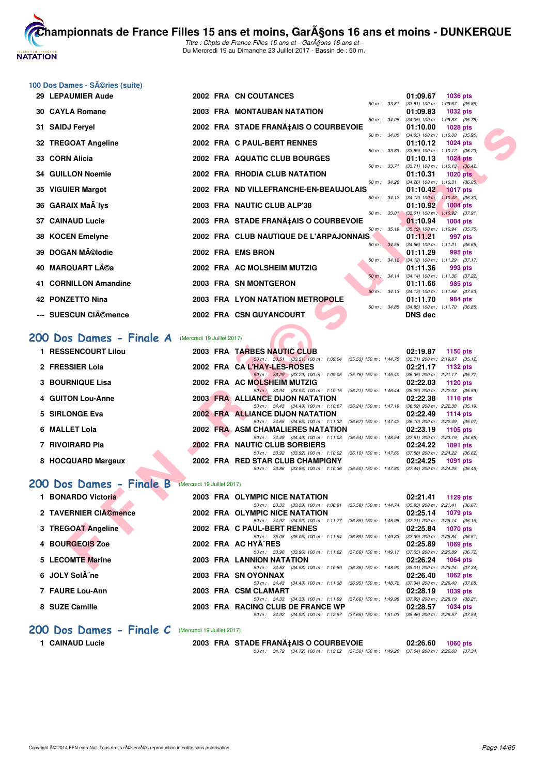

**[Cham](http://www.ffnatation.fr/webffn/index.php)pionnats de France Filles 15 ans et moins, GarA§ons 16 ans et moins - DUNKERQUE** Titre : Chpts de France Filles 15 ans et - GarA§ons 16 ans et -

Du Mercredi 19 au Dimanche 23 Juillet 2017 - Bassin de : 50 m.

# **100 Dos Dames - Séries (suite)**

|     | 29 LEPAUMIER Aude                                   |                            | 2002 FRA CN COUTANCES                                                                                                         | 01:09.67<br><b>1036 pts</b>                                                 |
|-----|-----------------------------------------------------|----------------------------|-------------------------------------------------------------------------------------------------------------------------------|-----------------------------------------------------------------------------|
|     | <b>30 CAYLA Romane</b>                              |                            | <b>2003 FRA MONTAUBAN NATATION</b>                                                                                            | 50 m: 33.81 (33.81) 100 m: 1:09.67 (35.86)<br>01:09.83<br>1032 pts          |
|     |                                                     |                            | $50 m$ : $34.05$                                                                                                              | (34.05) 100 m: 1:09.83 (35.78)                                              |
|     | 31 SAIDJ Feryel                                     |                            | 2002 FRA STADE FRANA‡AIS O COURBEVOIE<br>$50 m$ : $34.05$                                                                     | 01:10.00<br>1028 pts<br>$(34.05)$ 100 m : 1:10.00 $(35.95)$                 |
|     | 32 TREGOAT Angeline                                 |                            | 2002 FRA C PAUL-BERT RENNES                                                                                                   | 01:10.12<br>$1024$ pts                                                      |
|     | 33 CORN Alicia                                      |                            | 50 m : 33.89<br>2002 FRA AQUATIC CLUB BOURGES                                                                                 | $(33.89)$ 100 m : 1:10.12 $(36.23)$<br>01:10.13<br><b>1024 pts</b>          |
|     |                                                     |                            | 50 m : 33.71                                                                                                                  | $(33.71)$ 100 m : 1:10.13 $(36.42)$                                         |
|     | <b>34 GUILLON Noemie</b>                            |                            | 2002 FRA RHODIA CLUB NATATION                                                                                                 | 01:10.31<br><b>1020 pts</b><br>50 m : 34.26 (34.26) 100 m : 1:10.31 (36.05) |
|     | 35 VIGUIER Margot                                   |                            | 2002 FRA ND VILLEFRANCHE-EN-BEAUJOLAIS                                                                                        | 01:10.42<br><b>1017 pts</b>                                                 |
|     | 36 GARAIX MaA <sup>-</sup> lys                      |                            | $50 \text{ m}$ : $34.12$<br>2003 FRA NAUTIC CLUB ALP'38                                                                       | $(34.12)$ 100 m : 1:10.42 $(36.30)$<br>01:10.92<br><b>1004 pts</b>          |
|     |                                                     |                            |                                                                                                                               | 50 m: 33.01 (33.01) 100 m: 1:10.92 (37.91)                                  |
|     | <b>37 CAINAUD Lucie</b>                             |                            | 2003 FRA STADE FRANA‡AIS O COURBEVOIE<br>50 m : 35.19                                                                         | 01:10.94<br>1004 pts<br>(35.19) 100 m : 1:10.94 (35.75)                     |
|     | 38 KOCEN Emelyne                                    |                            | 2002 FRA CLUB NAUTIQUE DE L'ARPAJONNAIS                                                                                       | 01:11.21<br>997 pts                                                         |
|     | 39 DOGAN Mĩlodie                                    |                            | 2002 FRA EMS BRON                                                                                                             | 50 m: 34.56 (34.56) 100 m: 1:11.21 (36.65)<br>01:11.29<br>995 pts           |
|     |                                                     |                            |                                                                                                                               | 50 m: 34.12 (34.12) 100 m: 1:11.29 (37.17)                                  |
| 40. | MARQUART Léa                                        |                            | 2002 FRA AC MOLSHEIM MUTZIG                                                                                                   | 01:11.36<br>993 pts<br>50 m: 34.14 (34.14) 100 m: 1:11.36 (37.22)           |
|     | 41 CORNILLON Amandine                               |                            | 2003 FRA SN MONTGERON                                                                                                         | 01:11.66<br>985 pts                                                         |
|     | 42 PONZETTO Nina                                    |                            | 2003 FRA LYON NATATION METROPOLE                                                                                              | 50 m: 34.13 (34.13) 100 m: 1:11.66 (37.53)<br>01:11.70                      |
|     |                                                     |                            | 50 m: 34.85                                                                                                                   | 984 pts<br>$(34.85)$ 100 m : 1:11.70 $(36.85)$                              |
|     | <b>SUESCUN CIémence</b>                             |                            | 2002 FRA CSN GUYANCOURT                                                                                                       | DNS dec                                                                     |
|     | 200 Dos Dames - Finale A (Mercredi 19 Juillet 2017) |                            |                                                                                                                               |                                                                             |
|     | 1 RESSENCOURT Lilou                                 |                            | 2003 FRA TARBES NAUTIC CLUB<br>50 m: 33.51 (33.51) 100 m: 1:09.04 (35.53) 150 m: 1:44.75 (35.71) 200 m: 2:19.87 (35.12)       | 02:19.87<br>1150 pts                                                        |
|     | 2 FRESSIER Lola                                     |                            | 2002 FRA CAL'HAY-LES-ROSES                                                                                                    | 02:21.17<br>1132 pts                                                        |
|     | <b>3 BOURNIQUE Lisa</b>                             |                            | 50 m : 33.29 (33.29) 100 m : 1:09.05 (35.76) 150 m : 1:45.40 (36.35) 200 m : 2:21.17 (35.77)<br>2002 FRA AC MOLSHEIM MUTZIG   | 02:22.03<br>1120 pts                                                        |
|     |                                                     |                            | 50 m : 33.94 (33.94) 100 m : 1:10.15 (36.21) 150 m : 1:46.44 (36.29) 200 m : 2:22.03 (35.59)                                  |                                                                             |
|     | 4 GUITON Lou-Anne                                   |                            | 2003 FRA ALLIANCE DIJON NATATION<br>50 m: 34.43 (34.43) 100 m: 1:10.67 (36.24) 150 m: 1:47.19 (36.52) 200 m: 2:22.38 (35.19)  | 02:22.38<br><b>1116 pts</b>                                                 |
|     | 5 SIRLONGE Eva                                      |                            |                                                                                                                               |                                                                             |
|     |                                                     |                            | 2002 FRA ALLIANCE DIJON NATATION                                                                                              | 02:22.49<br><b>1114 pts</b>                                                 |
|     |                                                     |                            | 50 m: 34.65 (34.65) 100 m: 1:11.32 (36.67) 150 m: 1:47.42 (36.10) 200 m: 2:22.49 (35.07)                                      |                                                                             |
|     | 6 MALLET Lola                                       |                            | 2002 FRA ASM CHAMALIERES NATATION<br>50 m: 34.49 (34.49) 100 m: 1:11.03 (36.54) 150 m: 1:48.54 (37.51) 200 m: 2:23.19 (34.65) | 02:23.19<br>1105 pts                                                        |
|     | 7 RIVOIRARD Pia                                     |                            | <b>2002 FRA NAUTIC CLUB SORBIERS</b>                                                                                          | 02:24.22<br><b>1091 pts</b>                                                 |
|     |                                                     |                            | 50 m: 33.92 (33.92) 100 m: 1:10.02 (36.10) 150 m: 1:47.60 (37.58) 200 m: 2:24.22 (36.62)                                      |                                                                             |
|     | 8 HOCQUARD Margaux                                  |                            | 2002 FRA RED STAR CLUB CHAMPIGNY<br>50 m: 33.86 (33.86) 100 m: 1:10.36 (36.50) 150 m: 1:47.80 (37.44) 200 m: 2:24.25 (36.45)  | 02:24.25<br>1091 pts                                                        |
|     | 200 Dos Dames - Finale B                            | (Mercredi 19 Juillet 2017) |                                                                                                                               |                                                                             |
|     | 1 BONARDO Victoria                                  |                            | 2003 FRA OLYMPIC NICE NATATION                                                                                                | 02:21.41<br>1129 pts                                                        |
|     | 2 TAVERNIER CIémence                                |                            | 50 m: 33.33 (33.33) 100 m: 1:08.91 (35.58) 150 m: 1:44.74 (35.83) 200 m: 2:21.41 (36.67)<br>2002 FRA OLYMPIC NICE NATATION    | 02:25.14<br>1079 pts                                                        |
|     |                                                     |                            | 50 m: 34.92 (34.92) 100 m: 1:11.77 (36.85) 150 m: 1:48.98 (37.21) 200 m: 2:25.14 (36.16)                                      |                                                                             |
|     | 3 TREGOAT Angeline                                  |                            | 2002 FRA C PAUL-BERT RENNES<br>50 m: 35.05 (35.05) 100 m: 1:11.94 (36.89) 150 m: 1:49.33 (37.39) 200 m: 2:25.84 (36.51)       | 02:25.84<br><b>1070 pts</b>                                                 |
|     | 4 BOURGEOIS Zoe                                     |                            | 2002 FRA AC HYA^RES                                                                                                           | 02:25.89<br><b>1069 pts</b>                                                 |
|     | <b>5 LECOMTE Marine</b>                             |                            | 50 m: 33.96 (33.96) 100 m: 1:11.62 (37.66) 150 m: 1:49.17 (37.55) 200 m: 2:25.89 (36.72)<br>2003 FRA LANNION NATATION         | 02:26.24<br>1064 pts                                                        |

#### [200 Dos Dames - Finale A](http://www.ffnatation.fr/webffn/resultats.php?idact=nat&go=epr&idcpt=47485&idepr=13) (Mercredi 19 Juillet 2017)

|                   | 1 RESSENCOURT Lilou |  | 2003 FRA TARBES NAUTIC CLUB       |                                                                                         |  | 02:19.87                            |          | $1150$ pts |
|-------------------|---------------------|--|-----------------------------------|-----------------------------------------------------------------------------------------|--|-------------------------------------|----------|------------|
|                   |                     |  |                                   | 50 m: 33.51 (33.51) 100 m: 1:09.04 (35.53) 150 m: 1:44.75 (35.71) 200 m: 2:19.87 (35.12 |  |                                     |          |            |
| 2 FRESSIER Lola   |                     |  | 2002 FRA CAL'HAY-LES-ROSES        |                                                                                         |  | 02:21.17                            |          | 1132 pts   |
|                   |                     |  |                                   | 50 m : 33.29 (33.29) 100 m : 1:09.05 (35.76) 150 m : 1:45.40                            |  | (36.35) 200 m : 2:21.17 (35.77      |          |            |
| 3 BOURNIQUE Lisa  |                     |  | 2002 FRA AC MOLSHEIM MUTZIG       |                                                                                         |  | 02:22.03                            | 1120 pts |            |
|                   |                     |  |                                   | 50 m: 33.94 (33.94) 100 m: 1:10.15 (36.21) 150 m: 1:46.44                               |  | $(36.29)$ 200 m : 2:22.03 $(35.59)$ |          |            |
| 4 GUITON Lou-Anne |                     |  | 2003 FRA ALLIANCE DIJON NATATION  |                                                                                         |  | 02:22.38                            |          | 1116 pts   |
|                   |                     |  |                                   | 50 m: 34.43 (34.43) 100 m: 1:10.67 (36.24) 150 m: 1:47.19                               |  | (36.52) 200 m : 2:22.38 (35.19)     |          |            |
| 5 SIRLONGE Eva    |                     |  | 2002 FRA ALLIANCE DIJON NATATION  |                                                                                         |  | 02:22.49                            | 1114 pts |            |
|                   |                     |  |                                   | 50 m: 34.65 (34.65) 100 m: 1:11.32 (36.67) 150 m: 1:47.42                               |  | (36.10) 200 m : 2:22.49 (35.07      |          |            |
| 6 MALLET Lola     |                     |  | 2002 FRA ASM CHAMALIERES NATATION |                                                                                         |  | 02:23.19                            |          | 1105 pts   |
|                   |                     |  |                                   | 50 m: 34.49 (34.49) 100 m: 1:11.03 (36.54) 150 m: 1:48.54                               |  | $(37.51)$ 200 m : 2:23.19 $(34.65)$ |          |            |
| 7 RIVOIRARD Pia   |                     |  | 2002 FRA NAUTIC CLUB SORBIERS     |                                                                                         |  | 02:24.22                            |          | 1091 pts   |
|                   |                     |  |                                   | 50 m : 33.92 (33.92) 100 m : 1:10.02 (36.10) 150 m : 1:47.60                            |  | (37.58) 200 m : 2:24.22 (36.62      |          |            |
|                   | 8 HOCQUARD Margaux  |  | 2002 FRA RED STAR CLUB CHAMPIGNY  |                                                                                         |  | 02:24.25                            |          | 1091 pts   |
|                   |                     |  |                                   | 50 m : 33.86 (33.86) 100 m : 1:10.36 (36.50) 150 m : 1:47.80                            |  | (37.44) 200 m : 2:24.25 (36.45      |          |            |

# **[200 Dos Dames - Finale B](http://www.ffnatation.fr/webffn/resultats.php?idact=nat&go=epr&idcpt=47485&idepr=13)** (Mercredi 19 Juillet 2017)

| 1 BONARDO Victoria    | 2003 FRA OLYMPIC NICE NATATION                                                          | 02:21.41<br>1129 $pts$              |
|-----------------------|-----------------------------------------------------------------------------------------|-------------------------------------|
|                       | (35.58) 150 m : 1:44.74<br>50 m : 33.33 (33.33) 100 m : 1:08.91                         | $(35.83)$ 200 m : 2:21.41 $(36.67)$ |
| 2 TAVERNIER CIA©mence | 2002 FRA OLYMPIC NICE NATATION                                                          | 02:25.14<br>1079 pts                |
|                       | (36.85) 150 m : 1:48.98<br>50 m: 34.92 (34.92) 100 m: 1:11.77                           | $(37.21)$ 200 m : 2:25.14 $(36.16)$ |
| 3 TREGOAT Angeline    | 2002 FRA C PAUL-BERT RENNES                                                             | 02:25.84<br>1070 pts                |
|                       | 50 m: 35.05 (35.05) 100 m: 1:11.94 (36.89) 150 m: 1:49.33                               | $(37.39)$ 200 m : 2:25.84 $(36.51)$ |
| 4 BOURGEOIS Zoe       | 2002 FRA AC HYA RES                                                                     | 02:25.89<br>$1069$ pts              |
|                       | 50 m: 33.96 (33.96) 100 m: 1:11.62 (37.66) 150 m: 1:49.17                               | $(37.55)$ 200 m : 2:25.89 $(36.72)$ |
| 5 LECOMTE Marine      | <b>2003 FRA LANNION NATATION</b>                                                        | 02:26.24<br>1064 pts                |
|                       | 50 m: 34.53 (34.53) 100 m: 1:10.89 (36.36) 150 m: 1:48.90                               | $(38.01)$ 200 m : 2:26.24 $(37.34)$ |
| 6 JOLY Sol¨ne         | 2003 FRA SN OYONNAX                                                                     | 02:26.40<br>1062 $pts$              |
|                       | 50 m: 34.43 (34.43) 100 m: 1:11.38<br>(36.95) 150 m : 1:48.72                           | $(37.34)$ 200 m : 2:26.40 $(37.68)$ |
| 7 FAURE Lou-Ann       | 2003 FRA CSM CLAMART                                                                    | 02:28.19<br>1039 pts                |
|                       | 50 m: 34.33 (34.33) 100 m: 1:11.99 (37.66) 150 m: 1:49.98                               | (37.99) 200 m : 2:28.19 (38.21)     |
| 8 SUZE Camille        | 2003 FRA RACING CLUB DE FRANCE WP                                                       | 02:28.57<br>1034 pts                |
|                       | 50 m: 34.92 (34.92) 100 m: 1:12.57 (37.65) 150 m: 1:51.03 (38.46) 200 m: 2:28.57 (37.54 |                                     |

#### [200 Dos Dames - Finale C](http://www.ffnatation.fr/webffn/resultats.php?idact=nat&go=epr&idcpt=47485&idepr=13) (Mercredi 19 Juillet 2017)

1 CAINAUD Lucie 2003 FRA STADE FRANÇAIS O COURBEVOIE 02:26.60 **1060 pts** 

50 m : 34.72 (34.72) 100 m : 1:12.22 (37.50) 150 m : 1:49.26 (37.04) 200 m : 2:26.60 (37.34)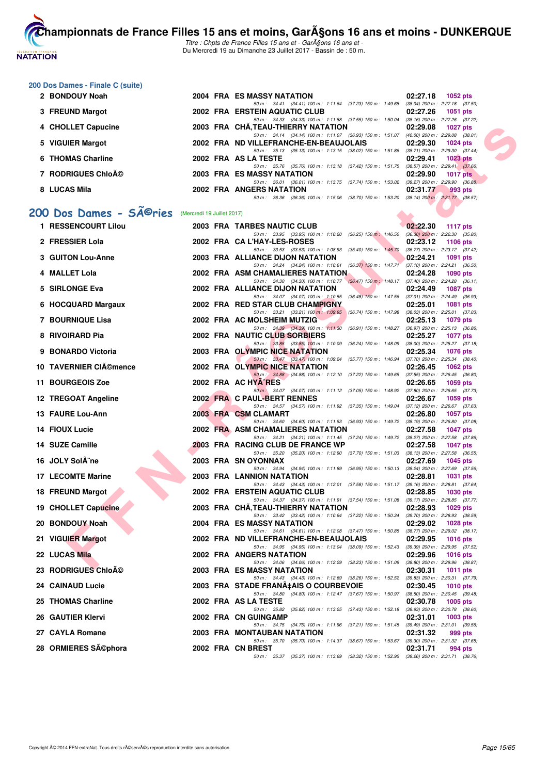# **NATATION FRANÇAISE**

**[Cham](http://www.ffnatation.fr/webffn/index.php)pionnats de France Filles 15 ans et moins, GarA§ons 16 ans et moins - DUNKERQUE** 

Titre : Chpts de France Filles 15 ans et - GarA§ons 16 ans et -Du Mercredi 19 au Dimanche 23 Juillet 2017 - Bassin de : 50 m.

#### **200 Dos Dames - Finale C (suite)**

| 2 BONDOUY Noah   |                    | 2004 FRA ES MASSY NATATION             |                                                           |                                                              | 02:27.18            | 1052 pts                            |
|------------------|--------------------|----------------------------------------|-----------------------------------------------------------|--------------------------------------------------------------|---------------------|-------------------------------------|
|                  |                    |                                        | 50 m: 34.41 (34.41) 100 m: 1:11.64 (37.23) 150 m: 1:49.68 |                                                              |                     | $(38.04)$ 200 m : 2:27.18 $(37.50)$ |
| 3 FREUND Margot  |                    | 2002 FRA ERSTEIN AQUATIC CLUB          |                                                           |                                                              | 02:27.26 1051 pts   |                                     |
|                  |                    |                                        |                                                           | 50 m: 34.33 (34.33) 100 m: 1:11.88 (37.55) 150 m: 1:50.04    |                     | $(38.16)$ 200 m : 2:27.26 $(37.22)$ |
|                  | 4 CHOLLET Capucine | 2003 FRA CHA, TEAU-THIERRY NATATION    |                                                           |                                                              | 02:29.08            | 1027 pts                            |
|                  |                    |                                        |                                                           | 50 m: 34.14 (34.14) 100 m: 1:11.07 (36.93) 150 m: 1:51.07    |                     | $(40.00)$ 200 m : 2:29.08 $(38.01)$ |
| 5 VIGUIER Margot |                    | 2002 FRA ND VILLEFRANCHE-EN-BEAUJOLAIS |                                                           |                                                              |                     | 02:29.30 1024 pts                   |
|                  |                    |                                        |                                                           | 50 m: 35.13 (35.13) 100 m: 1:13.15 (38.02) 150 m: 1:51.86    |                     | $(38.71)$ 200 m : 2:29.30 $(37.44)$ |
|                  | 6 THOMAS Charline  | 2002 FRA AS LA TESTE                   |                                                           |                                                              | $02:29.41$ 1023 pts |                                     |
|                  |                    |                                        |                                                           | 50 m: 35.76 (35.76) 100 m: 1:13.18 (37.42) 150 m: 1:51.75    |                     | $(38.57)$ 200 m : 2:29.41 $(37.66)$ |
|                  | 7 RODRIGUES Chloé  | 2003 FRA ES MASSY NATATION             |                                                           |                                                              | 02:29.90            | $1017$ pts                          |
|                  |                    |                                        | 50 m: 36.01 (36.01) 100 m: 1:13.75 (37.74) 150 m: 1:53.02 |                                                              |                     | $(39.27)$ 200 m : 2:29.90 $(36.88)$ |
| 8 LUCAS Mila     |                    | 2002 FRA ANGERS NATATION               |                                                           |                                                              | 02:31.77            | 993 pts                             |
|                  |                    |                                        |                                                           | 50 m : 36.36 (36.36) 100 m : 1:15.06 (38.70) 150 m : 1:53.20 |                     | $(38.14)$ 200 m : 2:31.77 $(38.57)$ |

# 200 Dos Dames - SÃ<sup>@</sup>ries (Mercredi 19 Juillet 2017)

| 4 CHOLLET Capucine                                                         |  | 2003 FRA CHA,TEAU-THIERRY NATATION                                                                                                   | 02:29.08 | 1027 pts          |
|----------------------------------------------------------------------------|--|--------------------------------------------------------------------------------------------------------------------------------------|----------|-------------------|
| 5 VIGUIER Margot                                                           |  | 50 m: 34.14 (34.14) 100 m: 1:11.07 (36.93) 150 m: 1:51.07 (40.00) 200 m: 2:29.08 (38.01)<br>2002 FRA ND VILLEFRANCHE-EN-BEAUJOLAIS   | 02:29.30 | 1024 pts          |
| 6 THOMAS Charline                                                          |  | 50 m: 35.13 (35.13) 100 m: 1:13.15 (38.02) 150 m: 1:51.86 (38.71) 200 m: 2:29.30 (37.44)<br>2002 FRA AS LA TESTE                     | 02:29.41 | 1023 pts          |
| <b>7 RODRIGUES Chloĩ</b>                                                   |  | 50 m: 35.76 (35.76) 100 m: 1:13.18 (37.42) 150 m: 1:51.75 (38.57) 200 m: 2:29.41 (37.66)<br>2003 FRA ES MASSY NATATION               | 02:29.90 | 1017 $pts$        |
|                                                                            |  | 50 m: 36.01 (36.01) 100 m: 1:13.75 (37.74) 150 m: 1:53.02 (39.27) 200 m: 2:29.90 (36.88)                                             |          |                   |
| 8 LUCAS Mila                                                               |  | 2002 FRA ANGERS NATATION<br>50 m: 36.36 (36.36) 100 m: 1:15.06 (38.70) 150 m: 1:53.20 (38.14) 200 m: 2:31.77 (38.57)                 | 02:31.77 | 993 pts           |
| 00 Dos Dames - $S\widetilde{A}^{\bigcirc}$ ries (Mercredi 19 Juillet 2017) |  |                                                                                                                                      |          |                   |
| 1 RESSENCOURT Lilou                                                        |  | 2003 FRA TARBES NAUTIC CLUB                                                                                                          | 02:22.30 | 1117 pts          |
| 2 FRESSIER Lola                                                            |  | 50 m: 33.95 (33.95) 100 m: 1:10.20 (36.25) 150 m: 1:46.50 (36.30) 200 m: 2:22.30 (35.80)<br>2002 FRA CA L'HAY-LES-ROSES              |          | 02:23.12 1106 pts |
| 3 GUITON Lou-Anne                                                          |  | 50 m: 33.53 (33.53) 100 m: 1:08.93 (35.40) 150 m: 1:45.70 (36.77) 200 m: 2:23.12 (37.42)<br>2003 FRA ALLIANCE DIJON NATATION         | 02:24.21 | 1091 pts          |
|                                                                            |  | 50 m: 34.24 (34.24) 100 m: 1:10.61 (36.37) 150 m: 1:47.71 (37.10) 200 m: 2:24.21 (36.50)                                             |          |                   |
| 4 MALLET Lola                                                              |  | <b>2002 FRA ASM CHAMALIERES NATATION</b><br>50 m: 34.30 (34.30) 100 m: 1:10.77 (36.47) 150 m: 1:48.17 (37.40) 200 m: 2:24.28 (36.11) | 02:24.28 | 1090 pts          |
| 5 SIRLONGE Eva                                                             |  | 2002 FRA ALLIANCE DIJON NATATION<br>50 m: 34.07 (34.07) 100 m: 1:10.55 (36.48) 150 m: 1:47.56 (37.01) 200 m: 2:24.49 (36.93)         | 02:24.49 | 1087 pts          |
| 6 HOCQUARD Margaux                                                         |  | 2002 FRA RED STAR CLUB CHAMPIGNY                                                                                                     | 02:25.01 | 1081 pts          |
| 7 BOURNIQUE Lisa                                                           |  | 50 m: 33.21 (33.21) 100 m: 1:09.95 (36.74) 150 m: 1:47.98 (38.03) 200 m: 2:25.01 (37.03)<br>2002 FRA AC MOLSHEIM MUTZIG              | 02:25.13 | 1079 pts          |
|                                                                            |  | 50 m: 34.39 (34.39) 100 m: 1:11.30 (36.91) 150 m: 1:48.27 (36.97) 200 m: 2:25.13 (36.86)                                             |          |                   |
| 8 RIVOIRARD Pia                                                            |  | 2002 FRA NAUTIC CLUB SORBIERS<br>50 m: 33.85 (33.85) 100 m: 1:10.09 (36.24) 150 m: 1:48.09 (38.00) 200 m: 2:25.27 (37.18)            | 02:25.27 | <b>1077 pts</b>   |
| 9 BONARDO Victoria                                                         |  | 2003 FRA OLYMPIC NICE NATATION<br>50 m: 33.47 (33.47) 100 m: 1:09.24 (35.77) 150 m: 1:46.94 (37.70) 200 m: 2:25.34 (38.40)           | 02:25.34 | 1076 pts          |
| 10 TAVERNIER CIA©mence                                                     |  | 2002 FRA OLYMPIC NICE NATATION                                                                                                       | 02:26.45 | 1062 pts          |
| <b>11 BOURGEOIS Zoe</b>                                                    |  | 50 m : 34.88 (34.88) 100 m : 1:12.10 (37.22) 150 m : 1:49.65 (37.55) 200 m : 2:26.45 (36.80)<br>2002 FRA AC HYA^RES                  | 02:26.65 | 1059 pts          |
| 12 TREGOAT Angeline                                                        |  | 50 m · 34.07 (34.07) 100 m · 1:11.12 (37.05) 150 m · 1:48.92 (37.80) 200 m · 2:26.65 (37.73)<br>2002 FRA C PAUL-BERT RENNES          | 02:26.67 | 1059 pts          |
| <b>13 FAURE Lou-Ann</b>                                                    |  | 50 m: 34.57 (34.57) 100 m: 1:11.92 (37.35) 150 m: 1:49.04 (37.12) 200 m: 2:26.67 (37.63)<br>2003 FRA CSM CLAMART                     | 02:26.80 | 1057 pts          |
|                                                                            |  | 50 m: 34.60 (34.60) 100 m: 1:11.53 (36.93) 150 m: 1:49.72 (38.19) 200 m: 2:26.80 (37.08)                                             |          |                   |
| 14 FIOUX Lucie                                                             |  | 2002 FRA ASM CHAMALIERES NATATION<br>50 m: 34.21 (34.21) 100 m: 1:11.45 (37.24) 150 m: 1:49.72 (38.27) 200 m: 2:27.58 (37.86)        | 02:27.58 | 1047 pts          |
| 14 SUZE Camille                                                            |  | 2003 FRA RACING CLUB DE FRANCE WP<br>50 m: 35.20 (35.20) 100 m: 1:12.90 (37.70) 150 m: 1:51.03 (38.13) 200 m: 2:27.58 (36.55)        | 02:27.58 | <b>1047 pts</b>   |
| 16 JOLY SolA¨ne                                                            |  | 2003 FRA SN OYONNAX                                                                                                                  | 02:27.69 | 1045 pts          |
| 17 LECOMTE Marine                                                          |  | 50 m: 34.94 (34.94) 100 m: 1:11.89 (36.95) 150 m: 1:50.13 (38.24) 200 m: 2:27.69 (37.56)<br>2003 FRA LANNION NATATION                | 02:28.81 | <b>1031 pts</b>   |
| 18 FREUND Margot                                                           |  | 50 m: 34.43 (34.43) 100 m: 1:12.01 (37.58) 150 m: 1:51.17 (39.16) 200 m: 2:28.81 (37.64)<br>2002 FRA ERSTEIN AQUATIC CLUB            | 02:28.85 | 1030 pts          |
|                                                                            |  | 50 m: 34.37 (34.37) 100 m: 1:11.91 (37.54) 150 m: 1:51.08 (39.17) 200 m: 2:28.85 (37.77)                                             |          |                   |
| 19 CHOLLET Capucine                                                        |  | 2003 FRA CHA, TEAU-THIERRY NATATION<br>50 m: 33.42 (33.42) 100 m: 1:10.64 (37.22) 150 m: 1:50.34 (39.70) 200 m: 2:28.93 (38.59)      | 02:28.93 | 1029 pts          |
| 20 BONDOUY Noah                                                            |  | 2004 FRA ES MASSY NATATION                                                                                                           | 02:29.02 | 1028 pts          |
| 21 VIGUIER Margot                                                          |  | 50 m: 34.61 (34.61) 100 m: 1:12.08 (37.47) 150 m: 1:50.85 (38.77) 200 m: 2:29.02 (38.17)<br>2002 FRA ND VILLEFRANCHE-EN-BEAUJOLAIS   | 02:29.95 | 1016 pts          |
| 22 LUCAS Mila                                                              |  | 50 m: 34.95 (34.95) 100 m: 1:13.04 (38.09) 150 m: 1:52.43 (39.39) 200 m: 2:29.95 (37.52)<br>2002 FRA ANGERS NATATION                 | 02:29.96 | <b>1016 pts</b>   |
| 23 RODRIGUES ChloA©                                                        |  | 50 m: 34.06 (34.06) 100 m: 1:12.29 (38.23) 150 m: 1:51.09 (38.80) 200 m: 2:29.96 (38.87)<br>2003 FRA ES MASSY NATATION               | 02:30.31 | 1011 pts          |
| <b>24 CAINAUD Lucie</b>                                                    |  | 50 m: 34.43 (34.43) 100 m: 1:12.69 (38.26) 150 m: 1:52.52 (39.83) 200 m: 2:30.31 (37.79)                                             |          |                   |
|                                                                            |  | 2003 FRA STADE FRANA‡AIS O COURBEVOIE<br>50 m: 34.80 (34.80) 100 m: 1:12.47 (37.67) 150 m: 1:50.97 (38.50) 200 m: 2:30.45 (39.48)    | 02:30.45 | 1010 pts          |
| 25 THOMAS Charline                                                         |  | 2002 FRA AS LA TESTE<br>50 m: 35.82 (35.82) 100 m: 1:13.25 (37.43) 150 m: 1:52.18 (38.93) 200 m: 2:30.78 (38.60)                     | 02:30.78 | 1005 pts          |
| 26 GAUTIER Klervi                                                          |  | 2002 FRA CN GUINGAMP<br>50 m: 34.75 (34.75) 100 m: 1:11.96 (37.21) 150 m: 1:51.45 (39.49) 200 m: 2:31.01 (39.56)                     | 02:31.01 | $1003$ pts        |
| 27 CAYLA Romane                                                            |  | 2003 FRA MONTAUBAN NATATION                                                                                                          | 02:31.32 | 999 pts           |
| 28 ORMIERES Séphora                                                        |  | 50 m: 35.70 (35.70) 100 m: 1:14.37 (38.67) 150 m: 1:53.67 (39.30) 200 m: 2:31.32 (37.65)<br>2002 FRA CN BREST                        | 02:31.71 | 994 pts           |
|                                                                            |  | 50 m: 35.37 (35.37) 100 m: 1:13.69 (38.32) 150 m: 1:52.95 (39.26) 200 m: 2:31.71 (38.76)                                             |          |                   |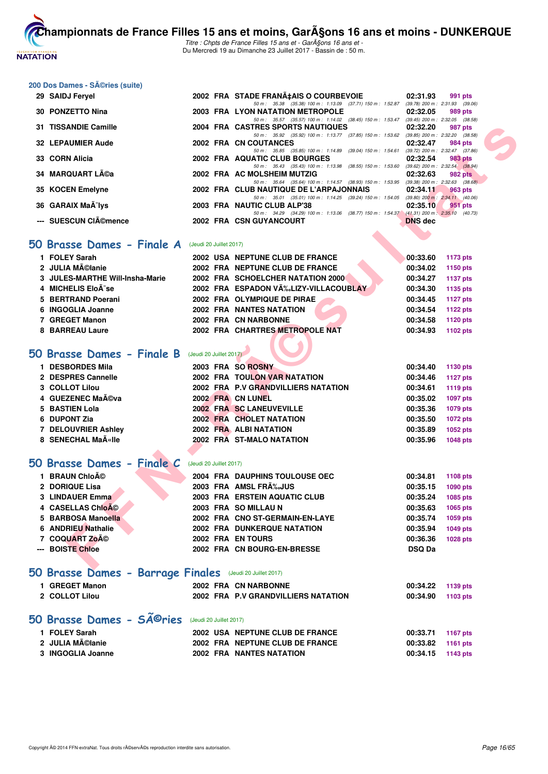

Titre : Chpts de France Filles 15 ans et - GarA§ons 16 ans et -Du Mercredi 19 au Dimanche 23 Juillet 2017 - Bassin de : 50 m.

# **200 Dos Dames - Séries (suite)**

| 29 SAIDJ Feryel                 |                         | 2002 FRA STADE FRANA‡AIS O COURBEVOIE                                                                                                | 02:31.93       | 991 pts                                        |
|---------------------------------|-------------------------|--------------------------------------------------------------------------------------------------------------------------------------|----------------|------------------------------------------------|
| 30 PONZETTO Nina                |                         | 50 m: 35.38 (35.38) 100 m: 1:13.09 (37.71) 150 m: 1:52.87 (39.78) 200 m: 2:31.93 (39.06)<br><b>2003 FRA LYON NATATION METROPOLE</b>  | 02:32.05       | 989 pts                                        |
|                                 |                         | 50 m: 35.57 (35.57) 100 m: 1:14.02 (38.45) 150 m: 1:53.47                                                                            |                | $(39.45)$ 200 m : 2:32.05 $(38.58)$            |
| 31 TISSANDIE Camille            |                         | <b>2004 FRA CASTRES SPORTS NAUTIQUES</b><br>50 m: 35.92 (35.92) 100 m: 1:13.77 (37.85) 150 m: 1:53.62 (39.85) 200 m: 2:32.20 (38.58) | 02:32.20       | 987 pts                                        |
| <b>32 LEPAUMIER Aude</b>        |                         | 2002 FRA CN COUTANCES                                                                                                                | 02:32.47       | 984 pts                                        |
| 33 CORN Alicia                  |                         | 50 m: 35.85 (35.85) 100 m: 1:14.89 (39.04) 150 m: 1:54.61<br>2002 FRA AQUATIC CLUB BOURGES                                           | 02:32.54       | (39.72) 200 m : 2:32.47 (37.86)<br>983 pts     |
| 34 MARQUART Léa                 |                         | 50 m: 35.43 (35.43) 100 m: 1:13.98 (38.55) 150 m: 1:53.60<br>2002 FRA AC MOLSHEIM MUTZIG                                             | 02:32.63       | $(39.62)$ 200 m : 2:32.54 $(38.94)$<br>982 pts |
|                                 |                         | 50 m: 35.64 (35.64) 100 m: 1:14.57 (38.93) 150 m: 1:53.95 (39.38) 200 m: 2:32.63 (38.68)                                             |                |                                                |
| 35 KOCEN Emelyne                |                         | 2002 FRA CLUB NAUTIQUE DE L'ARPAJONNAIS                                                                                              | 02:34.11       | <b>963 pts</b>                                 |
| 36 GARAIX MaÃ <sup>-</sup> lys  |                         | 50 m: 35.01 (35.01) 100 m: 1:14.25 (39.24) 150 m: 1:54.05<br>2003 FRA NAUTIC CLUB ALP'38                                             | 02:35.10       | $(39.80)$ 200 m : 2:34.11 $(40.06)$<br>951 pts |
| --- SUESCUN CIémence            |                         | 50 m: 34.29 (34.29) 100 m: 1:13.06 (38.77) 150 m: 1:54.37 (41.31) 200 m: 2:35.10 (40.73)<br>2002 FRA CSN GUYANCOURT                  | <b>DNS dec</b> |                                                |
|                                 |                         |                                                                                                                                      |                |                                                |
| i0 Brasse Dames - Finale A      |                         |                                                                                                                                      |                |                                                |
|                                 | (Jeudi 20 Juillet 2017) |                                                                                                                                      |                |                                                |
| 1 FOLEY Sarah                   |                         | 2002 USA NEPTUNE CLUB DE FRANCE                                                                                                      | 00:33.60       | 1173 pts                                       |
| 2 JULIA Mélanie                 |                         | 2002 FRA NEPTUNE CLUB DE FRANCE                                                                                                      | 00:34.02       | 1150 pts                                       |
| 3 JULES-MARTHE Will-Insha-Marie |                         | <b>2002 FRA SCHOELCHER NATATION 2000</b>                                                                                             | 00:34.27       | <b>1137 pts</b>                                |
| 4 MICHELIS EloÃ <sup>-</sup> se |                         | 2002 FRA ESPADON VĉLIZY-VILLACOUBLAY                                                                                                 | 00:34.30       | 1135 pts                                       |
| 5 BERTRAND Poerani              |                         | 2002 FRA OLYMPIQUE DE PIRAE                                                                                                          | 00:34.45       | <b>1127 pts</b>                                |
| 6 INGOGLIA Joanne               |                         | <b>2002 FRA NANTES NATATION</b>                                                                                                      | 00:34.54       | 1122 pts                                       |
| 7 GREGET Manon                  |                         | 2002 FRA CN NARBONNE                                                                                                                 | 00:34.58       | 1120 pts                                       |
| 8 BARREAU Laure                 |                         | 2002 FRA CHARTRES METROPOLE NAT                                                                                                      | 00:34.93       | 1102 pts                                       |
|                                 |                         |                                                                                                                                      |                |                                                |
| i0 Brasse Dames - Finale B      | (Jeudi 20 Juillet 2017) |                                                                                                                                      |                |                                                |
| 1 DESBORDES Mila                |                         | 2003 FRA SO ROSNY                                                                                                                    | 00:34.40       | 1130 pts                                       |
| 2 DESPRES Cannelle              |                         | <b>2002 FRA TOULON VAR NATATION</b>                                                                                                  | 00:34.46       | <b>1127 pts</b>                                |
| 3 COLLOT Lilou                  |                         | 2002 FRA P.V GRANDVILLIERS NATATION                                                                                                  | 00:34.61       | 1119 pts                                       |
| 4 GUEZENEC Maéva                |                         | 2002 FRA CN LUNEL                                                                                                                    | 00:35.02       | <b>1097 pts</b>                                |
| 5 BASTIEN Lola                  |                         | 2002 FRA SC LANEUVEVILLE                                                                                                             | 00:35.36       | 1079 pts                                       |
| 6 DUPONT Zia                    |                         | 2002 FRA CHOLET NATATION                                                                                                             | 00:35.50       | <b>1072 pts</b>                                |
| 7 DELOUVRIER Ashley             |                         | 2002 FRA ALBI NATATION                                                                                                               | 00:35.89       | 1052 pts                                       |
| 8 SENECHAL MaA«lle              |                         | 2002 FRA ST-MALO NATATION                                                                                                            | 00:35.96       | <b>1048 pts</b>                                |
|                                 |                         |                                                                                                                                      |                |                                                |
| iO Brasse Dames - Finale C      | (Jeudi 20 Juillet 2017) |                                                                                                                                      |                |                                                |
| 1 BRAUN Chloé                   |                         | 2004 FRA DAUPHINS TOULOUSE OEC                                                                                                       | 00:34.81       | 1108 pts                                       |
| 2 DORIQUE Lisa                  |                         | 2003 FRA AMSL FRA‰JUS                                                                                                                | 00:35.15       | 1090 pts                                       |
| 3 LINDAUER Emma                 |                         | 2003 FRA ERSTEIN AQUATIC CLUB                                                                                                        | 00:35.24       | 1085 pts                                       |
| 4 CASELLAS Chloé                |                         | 2003 FRA SO MILLAU N                                                                                                                 | 00:35.63       | 1065 pts                                       |
| 5 BARBOSA Manoella              |                         | 2002 FRA CNO ST-GERMAIN-EN-LAYE                                                                                                      | 00:35.74       | 1059 pts                                       |
| 6 ANDRIEU Nathalie              |                         | <b>2002 FRA DUNKERQUE NATATION</b>                                                                                                   | 00:35.94       | 1049 pts                                       |
| 7 COQUART Zoé                   |                         | 2002 FRA EN TOURS                                                                                                                    | 00:36.36       | <b>1028 pts</b>                                |
| --- BOISTE Chloe                |                         | 2002 FRA CN BOURG-EN-BRESSE                                                                                                          | <b>DSQ Da</b>  |                                                |
|                                 |                         |                                                                                                                                      |                |                                                |
|                                 |                         |                                                                                                                                      |                |                                                |

#### **50 Brasse Dames - Finale A** (Jeudi 20 Juillet 2017)

| 1 FOLEY Sarah                   | 2002 USA NEPTUNE CLUB DE FRANCE      | 00:33.60 | 1173 pts        |
|---------------------------------|--------------------------------------|----------|-----------------|
| 2 JULIA Mélanie                 | 2002 FRA NEPTUNE CLUB DE FRANCE      | 00:34.02 | 1150 pts        |
| 3 JULES-MARTHE Will-Insha-Marie | 2002 FRA SCHOELCHER NATATION 2000    | 00:34.27 | <b>1137 pts</b> |
| 4 MICHELIS EloÃ <sup>-</sup> se | 2002 FRA ESPADON VÉLIZY-VILLACOUBLAY | 00:34.30 | 1135 pts        |
| 5 BERTRAND Poerani              | 2002 FRA OLYMPIQUE DE PIRAE          | 00:34.45 | 1127 pts        |
| 6 INGOGLIA Joanne               | <b>2002 FRA NANTES NATATION</b>      | 00:34.54 | 1122 pts        |
| 7 GREGET Manon                  | 2002 FRA CN NARBONNE                 | 00:34.58 | 1120 pts        |
| 8 BARREAU Laure                 | 2002 FRA CHARTRES METROPOLE NAT      | 00:34.93 | 1102 pts        |

# **[50 Brasse Dames - Finale B](http://www.ffnatation.fr/webffn/resultats.php?idact=nat&go=epr&idcpt=47485&idepr=21)** (Jeudi 20 Juillet 2017)

| 1 DESBORDES Mila    |  | 2003 FRA SO ROSNY                   | 00:34.40 | 1130 pts |
|---------------------|--|-------------------------------------|----------|----------|
| 2 DESPRES Cannelle  |  | <b>2002 FRA TOULON VAR NATATION</b> | 00:34.46 | 1127 pts |
| 3 COLLOT Lilou      |  | 2002 FRA P.V GRANDVILLIERS NATATION | 00:34.61 | 1119 pts |
| 4 GUEZENEC Maéva    |  | 2002 FRA CN LUNEL                   | 00:35.02 | 1097 pts |
| 5 BASTIEN Lola      |  | 2002 FRA SC LANEUVEVILLE            | 00:35.36 | 1079 pts |
| 6 DUPONT Zia        |  | 2002 FRA CHOLET NATATION            | 00:35.50 | 1072 pts |
| 7 DELOUVRIER Ashley |  | 2002 FRA ALBI NATATION              | 00:35.89 | 1052 pts |
| 8 SENECHAL MaA«lle  |  | 2002 FRA ST-MALO NATATION           | 00:35.96 | 1048 pts |
|                     |  |                                     |          |          |

#### **50 Brasse Dames - Finale C** (Jeudi 20 Juillet 2017)

| 1 BRAUN Chloé      |  | 2004 FRA DAUPHINS TOULOUSE OEC  | 00:34.81      | 1108 pts |
|--------------------|--|---------------------------------|---------------|----------|
| 2 DORIQUE Lisa     |  | 2003 FRA AMSL FRA‰JUS           | 00:35.15      | 1090 pts |
| 3 LINDAUER Emma    |  | 2003 FRA ERSTEIN AQUATIC CLUB   | 00:35.24      | 1085 pts |
| 4 CASELLAS Chloé   |  | 2003 FRA SO MILLAU N            | 00:35.63      | 1065 pts |
| 5 BARBOSA Manoella |  | 2002 FRA CNO ST-GERMAIN-EN-LAYE | 00:35.74      | 1059 pts |
| 6 ANDRIEU Nathalie |  | 2002 FRA DUNKERQUE NATATION     | 00:35.94      | 1049 pts |
| 7 COQUART ZOÃO     |  | 2002 FRA EN TOURS               | 00:36.36      | 1028 pts |
| --- BOISTE Chloe   |  | 2002 FRA CN BOURG-EN-BRESSE     | <b>DSQ Da</b> |          |
|                    |  |                                 |               |          |

# **[50 Brasse Dames - Barrage Finales](http://www.ffnatation.fr/webffn/resultats.php?idact=nat&go=epr&idcpt=47485&idepr=21)** (Jeudi 20 Juillet 2017)

| <b>GREGET Manon</b> | 2002 FRA CN NARBONNE                | 00:34.22 1139 pts |  |
|---------------------|-------------------------------------|-------------------|--|
| 2 COLLOT Lilou      | 2002 FRA P.V GRANDVILLIERS NATATION | 00:34.90 1103 pts |  |

#### 50 Brasse Dames - SÃ<sup>©</sup>ries (Jeudi 20 Juillet 2017)

| 1 FOLEY Sarah     | 2002 USA NEPTUNE CLUB DE FRANCE | 00:33.71 1167 pts |  |
|-------------------|---------------------------------|-------------------|--|
| 2 JULIA MéIanie   | 2002 FRA NEPTUNE CLUB DE FRANCE | 00:33.82 1161 pts |  |
| 3 INGOGLIA Joanne | <b>2002 FRA NANTES NATATION</b> | 00:34.15 1143 pts |  |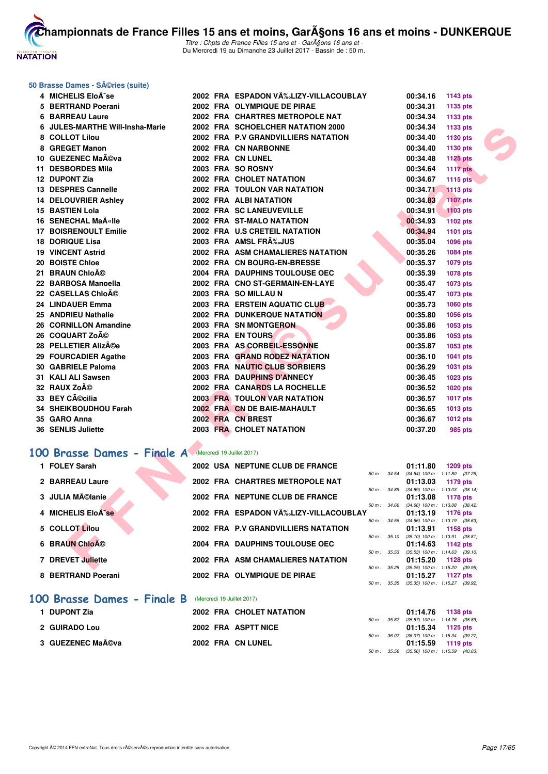

Titre : Chpts de France Filles 15 ans et - GarA§ons 16 ans et -Du Mercredi 19 au Dimanche 23 Juillet 2017 - Bassin de : 50 m.

#### **50 Brasse Dames - Séries (suite)**

| 4 MICHELIS EloÄ <sup>-</sup> se                              |  | 2002 FRA ESPADON VĉLIZY-VILLACOUBLAY |                | 00:34.16                            | 1143 pts                                               |  |
|--------------------------------------------------------------|--|--------------------------------------|----------------|-------------------------------------|--------------------------------------------------------|--|
| 5 BERTRAND Poerani                                           |  | 2002 FRA OLYMPIQUE DE PIRAE          |                | 00:34.31                            | 1135 pts                                               |  |
| <b>6 BARREAU Laure</b>                                       |  | 2002 FRA CHARTRES METROPOLE NAT      |                | 00:34.34                            | 1133 pts                                               |  |
| 6 JULES-MARTHE Will-Insha-Marie                              |  | 2002 FRA SCHOELCHER NATATION 2000    |                | 00:34.34                            | 1133 pts                                               |  |
| 8 COLLOT Lilou                                               |  | 2002 FRA P.V GRANDVILLIERS NATATION  |                | 00:34.40                            | 1130 pts                                               |  |
| 8 GREGET Manon                                               |  | 2002 FRA CN NARBONNE                 |                | 00:34.40                            | 1130 pts                                               |  |
| 10 GUEZENEC Maéva                                            |  | 2002 FRA CN LUNEL                    |                | 00:34.48                            | 1125 pts                                               |  |
| 11 DESBORDES Mila                                            |  | 2003 FRA SO ROSNY                    |                | 00:34.64                            | <b>1117 pts</b>                                        |  |
| 12 DUPONT Zia                                                |  | 2002 FRA CHOLET NATATION             |                | 00:34.67                            | 1115 pts                                               |  |
| 13 DESPRES Cannelle                                          |  | <b>2002 FRA TOULON VAR NATATION</b>  |                | 00:34.71                            | <b>1113 pts</b>                                        |  |
| <b>14 DELOUVRIER Ashley</b>                                  |  | 2002 FRA ALBINATATION                |                | 00:34.83                            | 1107 pts                                               |  |
| <b>15 BASTIEN Lola</b>                                       |  | 2002 FRA SC LANEUVEVILLE             |                | 00:34.91                            | <b>1103 pts</b>                                        |  |
| 16 SENECHAL MaA«lle                                          |  | 2002 FRA ST-MALO NATATION            |                | 00:34.93                            | 1102 pts                                               |  |
| <b>17 BOISRENOULT Emilie</b>                                 |  | 2002 FRA U.S CRETEIL NATATION        |                | 00:34.94                            | 1101 pts                                               |  |
| <b>18 DORIQUE Lisa</b>                                       |  | 2003 FRA AMSL FRA‰JUS                |                | 00:35.04                            | <b>1096 pts</b>                                        |  |
| <b>19 VINCENT Astrid</b>                                     |  | 2002 FRA ASM CHAMALIERES NATATION    |                | 00:35.26                            | 1084 pts                                               |  |
| 20 BOISTE Chloe                                              |  | 2002 FRA CN BOURG-EN-BRESSE          |                | 00:35.37                            | 1079 pts                                               |  |
| 21 BRAUN Chloé                                               |  | 2004 FRA DAUPHINS TOULOUSE OEC       |                | 00:35.39                            | 1078 pts                                               |  |
| 22 BARBOSA Manoella                                          |  | 2002 FRA CNO ST-GERMAIN-EN-LAYE      |                | 00:35.47                            | 1073 pts                                               |  |
| 22 CASELLAS ChloAO                                           |  | 2003 FRA SO MILLAU N                 |                | 00:35.47                            | 1073 pts                                               |  |
| 24 LINDAUER Emma                                             |  | 2003 FRA ERSTEIN AQUATIC CLUB        |                | 00:35.73                            | 1060 pts                                               |  |
| 25 ANDRIEU Nathalie                                          |  | 2002 FRA DUNKERQUE NATATION          |                | 00:35.80                            | 1056 pts                                               |  |
| 26 CORNILLON Amandine                                        |  | 2003 FRA SN MONTGERON                |                | 00:35.86                            | 1053 pts                                               |  |
| 26 COQUART Zoé                                               |  | 2002 FRA EN TOURS                    |                | 00:35.86                            | 1053 pts                                               |  |
| 28 PELLETIER Alizée                                          |  | 2003 FRA AS CORBEIL-ESSONNE          |                | 00:35.87                            | 1053 pts                                               |  |
| 29 FOURCADIER Agathe                                         |  | 2003 FRA GRAND RODEZ NATATION        |                | 00:36.10                            | 1041 pts                                               |  |
| 30 GABRIELE Paloma                                           |  | 2003 FRA NAUTIC CLUB SORBIERS        |                | 00:36.29                            | <b>1031 pts</b>                                        |  |
| 31 KALI ALI Sawsen                                           |  | <b>2003 FRA DAUPHINS D'ANNECY</b>    |                | 00:36.45                            | 1023 pts                                               |  |
| 32 RAUX Zoé                                                  |  | 2002 FRA CANARDS LA ROCHELLE         |                | 00:36.52                            | 1020 pts                                               |  |
| 33 BEY Cécilia                                               |  | <b>2003 FRA TOULON VAR NATATION</b>  |                | 00:36.57                            | <b>1017 pts</b>                                        |  |
| 34 SHEIKBOUDHOU Farah                                        |  | 2002 FRA CN DE BAIE-MAHAULT          |                | 00:36.65                            | 1013 pts                                               |  |
| 35 GARO Anna                                                 |  | 2002 FRA CN BREST                    |                | 00:36.67                            | 1012 pts                                               |  |
| <b>36 SENLIS Juliette</b>                                    |  | 2003 FRA CHOLET NATATION             |                | 00:37.20                            | 985 pts                                                |  |
|                                                              |  |                                      |                |                                     |                                                        |  |
| <b>00 Brasse Dames - Finale A</b> (Mercredi 19 Juillet 2017) |  |                                      |                |                                     |                                                        |  |
| 1 FOLEY Sarah                                                |  | 2002 USA NEPTUNE CLUB DE FRANCE      | 50 m : 34.54   | 01:11.80                            | <b>1209 pts</b><br>$(34.54)$ 100 m : 1:11.80 $(37.26)$ |  |
| 2 BARREAU Laure                                              |  | 2002 FRA CHARTRES METROPOLE NAT      |                | 01:13.03                            | 1179 pts                                               |  |
| 3 JULIA Mélanie                                              |  | 2002 FRA NEPTUNE CLUB DE FRANCE      | 50 m : 34.89   | 01:13.08                            | $(34.89)$ 100 m : 1:13.03 $(38.14)$<br>1178 pts        |  |
| 4 MICHELIS Eloà se                                           |  | 2002 FRA ESPADON VÉLIZY-VILLACOUBLAY | $50 m$ : 34.66 | 01:13.19                            | $(34.66)$ 100 m : 1:13.08 $(38.42)$<br>1176 pts        |  |
| 5 COLLOT Lilou                                               |  | 2002 FRA P.V GRANDVILLIERS NATATION  | 50 m : 34.56   | 01:13.91                            | $(34.56)$ 100 m : 1:13.19 $(38.63)$<br>1158 pts        |  |
| 6 BRAUN ChloA©                                               |  | 2004 FRA DAUPHINS TOULOUSE OEC       | 50 m: 35.10    | 01:14.63                            | $(35.10)$ 100 m : 1:13.91 $(38.81)$<br>1142 pts        |  |
|                                                              |  |                                      | 50 m: 35.53    | $(35.53)$ 100 m : 1:14.63 $(39.10)$ |                                                        |  |
| 7 DREVET Juliette                                            |  | 2002 FRA ASM CHAMALIERES NATATION    |                | 01:15.20                            | 1128 pts                                               |  |
|                                                              |  |                                      |                |                                     | 50 m : 35.25 (35.25) 100 m : 1:15.20 (39.95)           |  |

# [100 Brasse Dames - Finale A](http://www.ffnatation.fr/webffn/resultats.php?idact=nat&go=epr&idcpt=47485&idepr=22) Mercredi 19 Juillet 2017)

| 1 FOLEY Sarah               |                            | 2002 USA NEPTUNE CLUB DE FRANCE      |                  | 01:11.80                                        | 1209 pts        |  |
|-----------------------------|----------------------------|--------------------------------------|------------------|-------------------------------------------------|-----------------|--|
| 2 BARREAU Laure             |                            | 2002 FRA CHARTRES METROPOLE NAT      | 50 m: 34.54      | $(34.54)$ 100 m : 1:11.80 $(37.26)$<br>01:13.03 | 1179 pts        |  |
| 3 JULIA Mélanie             |                            | 2002 FRA NEPTUNE CLUB DE FRANCE      | 50 m: 34.89      | $(34.89)$ 100 m : 1:13.03 $(38.14)$<br>01:13.08 | 1178 pts        |  |
| 4 MICHELIS Eloà se          |                            | 2002 FRA ESPADON VÉLIZY-VILLACOUBLAY | $50 m$ : 34.66   | $(34.66)$ 100 m : 1:13.08 $(38.42)$<br>01:13.19 | 1176 pts        |  |
| 5 COLLOT Lilou              |                            | 2002 FRA P.V GRANDVILLIERS NATATION  | 50 m: 34.56      | $(34.56)$ 100 m : 1:13.19 $(38.63)$             |                 |  |
|                             |                            |                                      | 50 m: 35.10      | 01:13.91<br>$(35.10)$ 100 m : 1:13.91 $(38.81)$ | 1158 pts        |  |
| 6 BRAUN ChloA <sup>©</sup>  |                            | 2004 FRA DAUPHINS TOULOUSE OEC       | 50 m: 35.53      | 01:14.63<br>$(35.53)$ 100 m : 1:14.63 (39.10    | 1142 pts        |  |
| 7 DREVET Juliette           |                            | 2002 FRA ASM CHAMALIERES NATATION    | $50 m$ : $35.25$ | 01:15.20<br>$(35.25)$ 100 m : 1:15.20 $(39.95)$ | 1128 pts        |  |
| 8 BERTRAND Poerani          |                            | 2002 FRA OLYMPIQUE DE PIRAE          | $50 m$ : $35.35$ | 01:15.27<br>$(35.35)$ 100 m : 1:15.27 $(39.92)$ | 1127 $p$ ts     |  |
| 100 Brasse Dames - Finale B | (Mercredi 19 Juillet 2017) |                                      |                  |                                                 |                 |  |
| 1 DUPONT Zia                |                            | 2002 FRA CHOLET NATATION             |                  | 01:14.76                                        | <b>1138 pts</b> |  |

|  |  |  | <b>IUU DI'USSE DUINES - I INUIE D</b> (Meiclear 13 Juliet 2017) |
|--|--|--|-----------------------------------------------------------------|
|  |  |  |                                                                 |

| 2002 FRA CHOLET NATATION | 01:14.76 1138 pts                          |
|--------------------------|--------------------------------------------|
|                          | 50 m: 35.87 (35.87) 100 m: 1:14.76 (38.89) |
| 2002 FRA ASPTT NICE      | 01:15.34 1125 pts                          |
|                          | 50 m: 36.07 (36.07) 100 m: 1:15.34 (39.27) |
| 2002 FRA CN LUNEL        | 01:15.59 1119 pts                          |
|                          | 50 m: 35.56 (35.56) 100 m: 1:15.59 (40.03) |
|                          |                                            |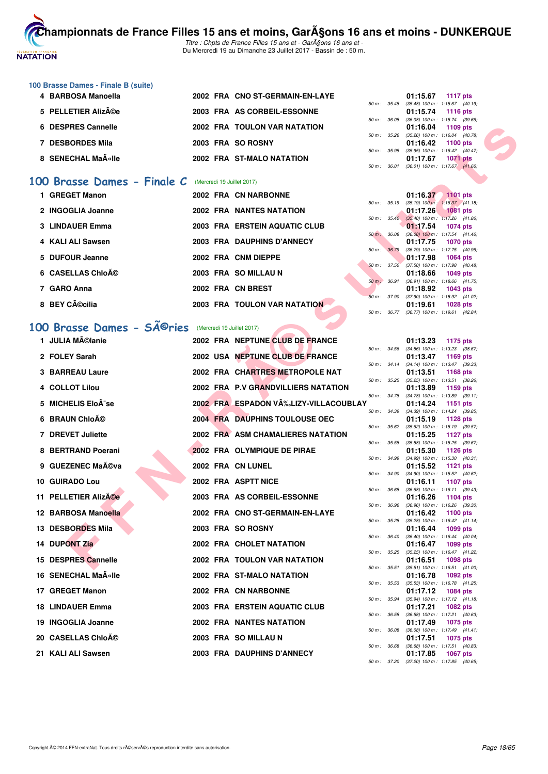

Titre : Chpts de France Filles 15 ans et - GarA§ons 16 ans et -Du Mercredi 19 au Dimanche 23 Juillet 2017 - Bassin de : 50 m.

#### **100 Brasse Dames - Finale B (suite)**

| 4 BARBOSA Manoella |  | 2002 FRA CNO ST-GERMAIN-EN-LAYE |  | 01:15.67 1117 pts                       |                 |  |
|--------------------|--|---------------------------------|--|-----------------------------------------|-----------------|--|
|                    |  |                                 |  | 50 m: 35.48 (35.48) 100 m: 1:15.67 (40. |                 |  |
| 5 PELLETIER Alizée |  | 2003 FRA AS CORBEIL-ESSONNE     |  | 01:15.74 1116 pts                       |                 |  |
|                    |  |                                 |  | 50 m: 36.08 (36.08) 100 m: 1:15.74 (39. |                 |  |
| 6 DESPRES Cannelle |  | 2002 FRA TOULON VAR NATATION    |  | 01:16.04 1109 pts                       |                 |  |
|                    |  |                                 |  | 50 m: 35.26 (35.26) 100 m: 1:16.04 (40. |                 |  |
| 7 DESBORDES Mila   |  | 2003 FRA SO ROSNY               |  | 01:16.42 1100 pts                       |                 |  |
|                    |  |                                 |  | 50 m: 35.95 (35.95) 100 m: 1:16.42 (40. |                 |  |
| 8 SENECHAL MaA«lle |  | 2002 FRA ST-MALO NATATION       |  | 01:17.67                                | <b>1071 pts</b> |  |
|                    |  |                                 |  |                                         |                 |  |

#### [100 Brasse Dames - Finale C](http://www.ffnatation.fr/webffn/resultats.php?idact=nat&go=epr&idcpt=47485&idepr=22) (Mercredi 19 Juillet 2017)

| 1 GREGET Manon    | 2002 FRA CN NARBONNE            | 01:16.37                                               | 1101 pts |
|-------------------|---------------------------------|--------------------------------------------------------|----------|
|                   |                                 | $(35.19) 100 \text{ m}$ : 1:16.37 (41.<br>50 m : 35.19 |          |
| 2 INGOGLIA Joanne | <b>2002 FRA NANTES NATATION</b> | 01:17.26 1081 pts                                      |          |
|                   |                                 | $(35.40)$ 100 m : 1:17.26 (41.<br>$50 m$ : $35.40$     |          |
| 3 LINDAUER Emma   | 2003 FRA ERSTEIN AQUATIC CLUB   | 01:17.54                                               | 1074 pts |
|                   |                                 | $(36.08)$ 100 m : 1:17.54 (41.<br>$50 m$ :<br>36.08    |          |
| 4 KALI ALI Sawsen | 2003 FRA DAUPHINS D'ANNECY      | 01:17.75 1070 pts                                      |          |
|                   |                                 | $(36.79)$ 100 m : 1:17.75 (40.<br>50 m:<br>36.79       |          |
| 5 DUFOUR Jeanne   | 2002 FRA CNM DIEPPE             | 01:17.98 1064 pts                                      |          |
| 6 CASELLAS Chloé  | 2003 FRA SO MILLAU N            | 50 m: 37.50<br>$(37.50)$ 100 m : 1:17.98 (40.          |          |
|                   |                                 | 01:18.66 1049 pts<br>$50 m$ :<br>36.91                 |          |
| 7 GARO Anna       | 2002 FRA CN BREST               | $(36.91)$ 100 m : 1:18.66 (41.<br>01:18.92             | 1043 pts |
|                   |                                 | $(37.90)$ 100 m : 1:18.92 (41.<br>37.90<br>$50 m$ :    |          |
| 8 BEY Cécilia     | 2003 FRA TOULON VAR NATATION    | 01:19.61                                               | 1028 pts |
|                   |                                 |                                                        |          |

# 100 Brasse Dames - SÃ<sup>@</sup>ries (Mercredi 19 Juillet 2017)

| 6 DESPRES Cannelle                                           |  | 2002 FRA TOULON VAR NATATION          |              | 01:16.04<br>1109 pts                                                      |
|--------------------------------------------------------------|--|---------------------------------------|--------------|---------------------------------------------------------------------------|
| 7 DESBORDES Mila                                             |  | 2003 FRA SO ROSNY                     | 50 m: 35.26  | $(35.26)$ 100 m : 1:16.04 $(40.78)$<br>01:16.42<br>1100 pts               |
| 8 SENECHAL MaA«lle                                           |  | 2002 FRA ST-MALO NATATION             | 50 m: 35.95  | $(35.95)$ 100 m : 1:16.42 $(40.47)$<br><b>1071 pts</b>                    |
|                                                              |  |                                       | 50 m : 36.01 | 01:17.67<br>$(36.01)$ 100 m : 1:17.67 $(41.66)$                           |
| <b>00 Brasse Dames - Finale C</b> (Mercredi 19 Juillet 2017) |  |                                       |              |                                                                           |
| 1 GREGET Manon                                               |  | 2002 FRA CN NARBONNE                  |              | $01:16.37$ 1101 pts                                                       |
| 2 INGOGLIA Joanne                                            |  | <b>2002 FRA NANTES NATATION</b>       |              | 50 m : 35.19 (35.19) 100 m : 1:16.37 (41.18)<br>01:17.26<br>1081 pts      |
|                                                              |  |                                       |              | 50 m : 35.40 (35.40) 100 m : 1:17.26 (41.86)                              |
| 3 LINDAUER Emma                                              |  | 2003 FRA ERSTEIN AQUATIC CLUB         | 50 m: 36.08  | 01:17.54<br><b>1074 pts</b><br>$(36.08)$ 100 m : 1:17.54 $(41.46)$        |
| 4 KALI ALI Sawsen                                            |  | 2003 FRA DAUPHINS D'ANNECY            | 50 m : 36.79 | 01:17.75<br>1070 pts<br>(36.79) 100 m: 1:17.75 (40.96)                    |
| 5 DUFOUR Jeanne                                              |  | 2002 FRA CNM DIEPPE                   |              | 01:17.98<br>1064 pts                                                      |
| 6 CASELLAS Chloé                                             |  | 2003 FRA SO MILLAU N                  | 50 m: 37.50  | $(37.50)$ 100 m : 1:17.98 $(40.48)$<br>01:18.66<br>1049 pts               |
| 7 GARO Anna                                                  |  | 2002 FRA CN BREST                     | 50 m : 36.91 | $(36.91)$ 100 m : 1:18.66 $(41.75)$<br>01:18.92<br>1043 pts               |
| 8 BEY Cécilia                                                |  |                                       |              | 50 m: 37.90 (37.90) 100 m: 1:18.92 (41.02)                                |
|                                                              |  | <b>2003 FRA TOULON VAR NATATION</b>   |              | 01:19.61<br><b>1028 pts</b><br>50 m: 36.77 (36.77) 100 m: 1:19.61 (42.84) |
| 00 Brasse Dames - SÃ <sup>©</sup> ries                       |  | (Mercredi 19 Juillet 2017)            |              |                                                                           |
| 1 JULIA Mĩlanie                                              |  | 2002 FRA NEPTUNE CLUB DE FRANCE       |              | 01:13.23<br>1175 pts                                                      |
| 2 FOLEY Sarah                                                |  | 2002 USA NEPTUNE CLUB DE FRANCE       |              | 50 m: 34.56 (34.56) 100 m: 1:13.23 (38.67)<br>01:13.47<br>1169 pts        |
|                                                              |  |                                       |              | 50 m: 34.14 (34.14) 100 m: 1:13.47 (39.33)                                |
| 3 BARREAU Laure                                              |  | 2002 FRA CHARTRES METROPOLE NAT       |              | 01:13.51<br><b>1168 pts</b><br>50 m: 35.25 (35.25) 100 m: 1:13.51 (38.26) |
| 4 COLLOT Lilou                                               |  | 2002 FRA P.V GRANDVILLIERS NATATION   |              | 01:13.89<br>1159 pts                                                      |
| 5 MICHELIS Eloà se                                           |  | 2002 FRA ESPADON VÉLIZY-VILLACOUBLAY  |              | 50 m: 34.78 (34.78) 100 m: 1:13.89 (39.11)<br>01:14.24<br>1151 pts        |
| 6 BRAUN Chloĩ                                                |  | <b>2004 FRA DAUPHINS TOULOUSE OEC</b> |              | 50 m: 34.39 (34.39) 100 m: 1:14.24 (39.85)<br>01:15.19<br>1128 pts        |
| 7 DREVET Juliette                                            |  | 2002 FRA ASM CHAMALIERES NATATION     | 50 m: 35.62  | $(35.62)$ 100 m : 1:15.19 $(39.57)$<br>01:15.25<br>1127 $pts$             |
| 8 BERTRAND Poerani                                           |  | 2002 FRA OLYMPIQUE DE PIRAE           | 50 m : 35.58 | $(35.58)$ 100 m : 1:15.25 $(39.67)$<br>01:15.30<br><b>1126 pts</b>        |
|                                                              |  |                                       | 50 m : 34.99 | $(34.99)$ 100 m : 1:15.30 $(40.31)$                                       |
| 9 GUEZENEC Maéva                                             |  | 2002 FRA CN LUNEL                     | 50 m : 34.90 | 01:15.52<br>1121 pts<br>$(34.90)$ 100 m : 1:15.52 $(40.62)$               |
| 10 GUIRADO Lou                                               |  | 2002 FRA ASPTT NICE                   | 50 m : 36.68 | 01:16.11<br>1107 pts<br>$(36.68)$ 100 m : 1:16.11 $(39.43)$               |
| 11 PELLETIER AlizÃCe                                         |  | 2003 FRA AS CORBEIL-ESSONNE           |              | 01:16.26<br>1104 pts                                                      |
| 12 BARBOSA Manoella                                          |  | 2002 FRA CNO ST-GERMAIN-EN-LAYE       | 50 m : 36.96 | (36.96) 100 m : 1:16.26 (39.30)<br>01:16.42<br>1100 pts                   |
| 13 DESBORDES Mila                                            |  | 2003 FRA SO ROSNY                     | 50 m : 35.28 | $(35.28)$ 100 m : 1:16.42 $(41.14)$<br>01:16.44<br>1099 pts               |
| 14 DUPONT Zia                                                |  | 2002 FRA CHOLET NATATION              |              | 50 m: 36.40 (36.40) 100 m: 1:16.44 (40.04)<br>01:16.47 1099 pts           |
|                                                              |  |                                       |              | 50 m: 35.25 (35.25) 100 m: 1:16.47 (41.22)                                |
| 15 DESPRES Cannelle                                          |  | <b>2002 FRA TOULON VAR NATATION</b>   |              | 01:16.51<br>1098 pts<br>50 m: 35.51 (35.51) 100 m: 1:16.51 (41.00)        |
| 16 SENECHAL MaA«Ile                                          |  | 2002 FRA ST-MALO NATATION             |              | 01:16.78<br>1092 pts<br>50 m: 35.53 (35.53) 100 m: 1:16.78 (41.25)        |
| 17 GREGET Manon                                              |  | 2002 FRA CN NARBONNE                  |              | $01:17.12$ 1084 pts                                                       |
| 18 LINDAUER Emma                                             |  | <b>2003 FRA ERSTEIN AQUATIC CLUB</b>  |              | 50 m: 35.94 (35.94) 100 m: 1:17.12 (41.18)<br>01:17.21<br>1082 pts        |
| 19 INGOGLIA Joanne                                           |  | <b>2002 FRA NANTES NATATION</b>       |              | 50 m: 36.58 (36.58) 100 m: 1:17.21 (40.63)<br>01:17.49 1075 pts           |
| 20 CASELLAS ChloAO                                           |  | 2003 FRA SO MILLAU N                  | 50 m : 36.08 | $(36.08)$ 100 m : 1:17.49 $(41.41)$<br>01:17.51<br><b>1075 pts</b>        |
|                                                              |  |                                       |              | 50 m: 36.68 (36.68) 100 m: 1:17.51 (40.83)                                |
| 21 KALI ALI Sawsen                                           |  | 2003 FRA DAUPHINS D'ANNECY            |              | 01:17.85 1067 pts                                                         |

|              |                   | $01:15.67$ 1117 pts                        |
|--------------|-------------------|--------------------------------------------|
|              |                   | 50 m: 35.48 (35.48) 100 m: 1:15.67 (40.19) |
|              | 01:15.74 1116 pts |                                            |
| 50 m : 36.08 |                   | $(36.08)$ 100 m : 1:15.74 $(39.66)$        |
|              |                   | 01:16.04 1109 pts                          |
|              |                   | 50 m: 35.26 (35.26) 100 m: 1:16.04 (40.78) |
|              |                   | 01:16.42 1100 pts                          |
| 50 m : 35.95 |                   | $(35.95)$ 100 m : 1:16.42 $(40.47)$        |
|              |                   | 01:17.67 1071 pts                          |
|              |                   | 50 m: 36.01 (36.01) 100 m: 1:17.67 (41.66) |

|          |       | 01:16.37          | <b>1101 pts</b>     |  |
|----------|-------|-------------------|---------------------|--|
| $50 m$ : | 35.19 | $(35.19) 100 m$ ; | $1:16.37$ (41.18)   |  |
|          |       | 01:17.26          | 1081 pts            |  |
| $50 m$ : | 35.40 | $(35.40)$ 100 m : | $1:17.26$ $(41.86)$ |  |
|          |       | 01:17.54          | <b>1074 pts</b>     |  |
| $50 m$ : | 36.08 | $(36.08) 100 m$ : | $1:17.54$ $(41.46)$ |  |
|          |       | 01:17.75          | 1070 pts            |  |
| $50 m$ : | 36.79 | $(36.79)$ 100 m : | $1:17.75$ (40.96)   |  |
|          |       |                   |                     |  |
|          |       | 01:17.98          | 1064 pts            |  |
| $50 m$ : | 37.50 | $(37.50)$ 100 m : | $1:17.98$ $(40.48)$ |  |
|          |       | 01:18.66          | 1049 pts            |  |
| $50 m$ : | 36.91 | $(36.91)$ 100 m : | $1:18.66$ $(41.75)$ |  |
|          |       | 01:18.92          | 1043 pts            |  |
| $50 m$ : | 37.90 | $(37.90)$ 100 m : | $1:18.92$ $(41.02)$ |  |
|          |       | 01:19.61          | 1028 pts            |  |
| 50 m :   | 36.77 | (36.77) 100 m :   | $1:19.61$ $(42.84)$ |  |

|          |       | 01:13.23          | 1175 pts        |         |
|----------|-------|-------------------|-----------------|---------|
| $50 m$ : | 34.56 | $(34.56)$ 100 m : | 1:13.23         | (38.67) |
|          |       | 01:13.47          | 1169 pts        |         |
| $50 m$ : | 34.14 | $(34.14) 100 m$ : | 1:13.47         | (39.33) |
|          |       | 01:13.51          | 1168 pts        |         |
| $50 m$ : | 35.25 | $(35.25)$ 100 m : | 1:13.51         | (38.26) |
|          |       | 01:13.89          | 1159 pts        |         |
| $50 m$ : | 34.78 | $(34.78) 100 m$ : | 1:13.89         | (39.11) |
|          |       | 01:14.24          | 1151 pts        |         |
| $50 m$ : | 34.39 | $(34.39) 100 m$ : | 1:14.24         | (39.85) |
|          |       | 01:15.19          | 1128 pts        |         |
| $50 m$ : | 35.62 | $(35.62)$ 100 m : | 1:15.19         | (39.57) |
|          |       | 01:15.25          | 1127            | pts     |
| $50 m$ : | 35.58 | $(35.58) 100 m$ : | 1:15.25         | (39.67) |
|          |       | 01:15.30          | <b>1126 pts</b> |         |
| $50 m$ : | 34.99 | $(34.99)$ 100 m : | 1:15.30         | (40.31) |
|          |       | 01:15.52          | 1121            | pts     |
| $50 m$ : | 34.90 | $(34.90)$ 100 m : | 1:15.52         | (40.62) |
|          |       | 01:16.11          | <b>1107 pts</b> |         |
| $50 m$ : | 36.68 | $(36.68) 100 m$ : | 1:16.11         | (39.43) |
|          |       | 01:16.26          | 1104 pts        |         |
| $50 m$ : | 36.96 | $(36.96) 100 m$ : | 1:16.26         | (39.30) |
|          |       | 01:16.42          | <b>1100 pts</b> |         |
| $50 m$ : | 35.28 | $(35.28) 100 m$ : | 1:16.42         | (41.14) |
|          |       | 01:16.44          | 1099 pts        |         |
| $50 m$ : | 36.40 | $(36.40)$ 100 m : | 1:16.44         | (40.04) |
|          |       | 01:16.47          | 1099 pts        |         |
| $50 m$ : | 35.25 | $(35.25)$ 100 m : | 1:16.47         | (41.22) |
|          |       | 01:16.51          | 1098            | pts     |
| $50 m$ : | 35.51 | $(35.51)$ 100 m : | 1:16.51         | (41.00) |
|          |       | 01:16.78          | 1092 pts        |         |
| $50 m$ : | 35.53 | $(35.53) 100 m$ : | 1:16.78         | (41.25) |
|          |       | 01:17.12          | 1084 pts        |         |
| $50 m$ : | 35.94 | $(35.94) 100 m$ : | 1:17.12         | (41.18) |
|          |       | 01:17.21          | 1082 pts        |         |
| $50 m$ : | 36.58 | $(36.58) 100 m$ : | 1:17.21         | (40.63) |
|          |       | 01:17.49          | 1075 pts        |         |
| $50 m$ : | 36.08 | $(36.08) 100 m$ : | 1:17.49         | (41.41) |
|          |       | 01:17.51          | 1075 pts        |         |
| $50 m$ : | 36.68 | $(36.68) 100 m$ : | 1:17.51         | (40.83) |
|          |       | 01:17.85          | 1067 pts        |         |
| $50 m$ : | 37.20 | $(37.20)$ 100 m : | 1:17.85         | (40.65) |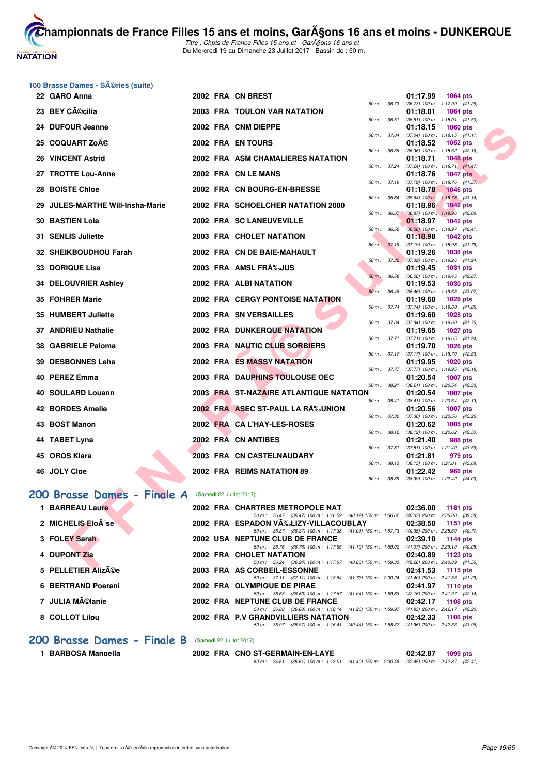

**[Cham](http://www.ffnatation.fr/webffn/index.php)pionnats de France Filles 15 ans et moins, GarA§ons 16 ans et moins - DUNKERQUE** Titre : Chpts de France Filles 15 ans et - GarA§ons 16 ans et -

Du Mercredi 19 au Dimanche 23 Juillet 2017 - Bassin de : 50 m.

# **100 Brasse Dames - Séries (suite)**

| 22 GARO Anna                                               |  | 2002 FRA CN BREST                                                                                                                 | 01:17.99 | 1064 pts                                                      |  |
|------------------------------------------------------------|--|-----------------------------------------------------------------------------------------------------------------------------------|----------|---------------------------------------------------------------|--|
| 23 BEY CA©cilia                                            |  | $50 m$ : $36.73$<br>2003 FRA TOULON VAR NATATION                                                                                  | 01:18.01 | (36.73) 100 m: 1:17.99 (41.26)<br><b>1064 pts</b>             |  |
|                                                            |  | 50 m: 36.51                                                                                                                       |          | $(36.51)$ 100 m : 1:18.01 $(41.50)$                           |  |
| 24 DUFOUR Jeanne                                           |  | 2002 FRA CNM DIEPPE<br>50 m : 37.04                                                                                               | 01:18.15 | <b>1060 pts</b><br>$(37.04)$ 100 m : 1:18.15 $(41.11)$        |  |
| 25 COQUART Zoĩ                                             |  | 2002 FRA EN TOURS                                                                                                                 | 01:18.52 | 1052 pts                                                      |  |
| <b>26 VINCENT Astrid</b>                                   |  | 50 m : 36.36<br>2002 FRA ASM CHAMALIERES NATATION                                                                                 | 01:18.71 | $(36.36)$ 100 m : 1:18.52 $(42.16)$<br><b>1048 pts</b>        |  |
| 27 TROTTE Lou-Anne                                         |  | 50 m : 37.24<br>2002 FRA CN LE MANS                                                                                               | 01:18.76 | $(37.24)$ 100 m : 1:18.71 $(41.47)$<br><b>1047 pts</b>        |  |
|                                                            |  | 50 m: 37.19                                                                                                                       |          | $(37.19)$ 100 m : 1:18.76 $(41.57)$                           |  |
| 28 BOISTE Chloe                                            |  | 2002 FRA CN BOURG-EN-BRESSE<br>50 m : 35.64                                                                                       | 01:18.78 | <b>1046 pts</b><br>$(35.64)$ 100 m : 1:18.78 $(43.14)$        |  |
| 29 JULES-MARTHE Will-Insha-Marie                           |  | 2002 FRA SCHOELCHER NATATION 2000<br>50 m : 36.87                                                                                 | 01:18.96 | <b>1042 pts</b><br>$(36.87)$ 100 m : 1:18.96 $(42.09)$        |  |
| <b>30 BASTIEN Lola</b>                                     |  | 2002 FRA SC LANEUVEVILLE                                                                                                          | 01:18.97 | <b>1042 pts</b>                                               |  |
| 31 SENLIS Juliette                                         |  | 50 m : 36.56<br>2003 FRA CHOLET NATATION                                                                                          |          | $(36.56)$ 100 m : 1:18.97 $(42.41)$                           |  |
|                                                            |  | 50 m : 37.19                                                                                                                      | 01:18.98 | <b>1042 pts</b><br>(37.19) 100 m: 1:18.98 (41.79)             |  |
| 32 SHEIKBOUDHOU Farah                                      |  | 2002 FRA CN DE BAIE-MAHAULT                                                                                                       | 01:19.26 | <b>1036 pts</b>                                               |  |
| 33 DORIQUE Lisa                                            |  | 2003 FRA AMSL FRA‰JUS                                                                                                             | 01:19.45 | 50 m: 37.32 (37.32) 100 m: 1:19.26 (41.94)<br><b>1031 pts</b> |  |
|                                                            |  | 50 m: 36.58                                                                                                                       |          | (36.58) 100 m: 1:19.45 (42.87)                                |  |
| 34 DELOUVRIER Ashley                                       |  | 2002 FRA ALBINATATION                                                                                                             | 01:19.53 | 1030 pts                                                      |  |
| 35 FOHRER Marie                                            |  | $50 m$ : 36.46<br><b>2002 FRA CERGY PONTOISE NATATION</b>                                                                         | 01:19.60 | (36.46) 100 m: 1:19.53 (43.07)<br><b>1028 pts</b>             |  |
|                                                            |  | 50 m : 37.74                                                                                                                      |          | $(37.74)$ 100 m : 1:19.60 $(41.86)$                           |  |
| 35 HUMBERT Juliette                                        |  | 2003 FRA SN VERSAILLES<br>50 m: 37.84                                                                                             | 01:19.60 | 1028 pts<br>$(37.84)$ 100 m : 1:19.60 $(41.76)$               |  |
| <b>37 ANDRIEU Nathalie</b>                                 |  | 2002 FRA DUNKERQUE NATATION                                                                                                       | 01:19.65 | <b>1027 pts</b>                                               |  |
| 38 GABRIELE Paloma                                         |  | 50 m : 37.71<br>2003 FRA NAUTIC CLUB SORBIERS                                                                                     | 01:19.70 | $(37.71)$ 100 m : 1:19.65 $(41.94)$<br><b>1026 pts</b>        |  |
|                                                            |  | 50 m: 37.17                                                                                                                       |          | $(37.17)$ 100 m : 1:19.70 $(42.53)$                           |  |
| 39 DESBONNES Leha                                          |  | 2002 FRA ES MASSY NATATION                                                                                                        | 01:19.95 | <b>1020 pts</b><br>50 m: 37.77 (37.77) 100 m: 1:19.95 (42.18) |  |
| 40 PEREZ Emma                                              |  | 2003 FRA DAUPHINS TOULOUSE OEC                                                                                                    | 01:20.54 | <b>1007 pts</b>                                               |  |
|                                                            |  | 50 m : 38.21                                                                                                                      |          | (38.21) 100 m: 1:20.54 (42.33)                                |  |
| 40 SOULARD Louann                                          |  | 2003 FRA ST-NAZAIRE ATLANTIQUE NATATION<br>50 m : 38.41                                                                           | 01:20.54 | <b>1007 pts</b><br>$(38.41)$ 100 m : 1:20.54 $(42.13)$        |  |
| <b>42 BORDES Amelie</b>                                    |  | 2002 FRA ASEC ST-PAUL LA RA%JUNION                                                                                                | 01:20.56 | 1007 pts                                                      |  |
|                                                            |  | 50 m: 37.30                                                                                                                       |          | (37.30) 100 m: 1:20.56 (43.26)                                |  |
| 43 BOST Manon                                              |  | 2002 FRA CA L'HAY-LES-ROSES                                                                                                       | 01:20.62 | 1005 pts<br>50 m: 38.12 (38.12) 100 m: 1:20.62 (42.50)        |  |
| 44 TABET Lyna                                              |  | 2002 FRA CN ANTIBES                                                                                                               | 01:21.40 | 988 pts                                                       |  |
| 45 OROS Klara                                              |  | 50 m : 37.81<br>2003 FRA CN CASTELNAUDARY                                                                                         | 01:21.81 | $(37.81)$ 100 m : 1:21.40 $(43.59)$<br>979 pts                |  |
|                                                            |  |                                                                                                                                   |          | 50 m: 38.13 (38.13) 100 m: 1:21.81 (43.68)                    |  |
| 46 JOLY Cloe                                               |  | 2002 FRA REIMS NATATION 89                                                                                                        | 01:22.42 | 966 pts                                                       |  |
|                                                            |  | 50 m : 38.39                                                                                                                      |          | (38.39) 100 m: 1:22.42 (44.03)                                |  |
| <b>00 Brasse Dames - Finale A</b> (Samedi 22 Juillet 2017) |  |                                                                                                                                   |          |                                                               |  |
| 1 BARREAU Laure                                            |  | 2002 FRA CHARTRES METROPOLE NAT                                                                                                   | 02:36.00 | <b>1181 pts</b>                                               |  |
|                                                            |  | 50 m: 36.47 (36.47) 100 m: 1:16.59 (40.12) 150 m: 1:56.62 (40.03) 200 m: 2:36.00 (39.38)                                          |          |                                                               |  |
| 2 MICHELIS EloÄ-se                                         |  | 2002 FRA ESPADON VA‰LIZY-VILLACOUBLAY<br>50 m: 36.37 (36.37) 100 m: 1:17.38 (41.01) 150 m: 1:57.73 (40.35) 200 m: 2:38.50 (40.77) | 02:38.50 | 1151 pts                                                      |  |
| 3 FOLEY Sarah                                              |  | 2002 USA NEPTUNE CLUB DE FRANCE                                                                                                   | 02:39.10 | 1144 pts                                                      |  |
| 4 DUPONT Zia                                               |  | 50 m: 36.76 (36.76) 100 m: 1:17.95 (41.19) 150 m: 1:59.02 (41.07) 200 m: 2:39.10 (40.08)<br>2002 FRA CHOLET NATATION              | 02:40.89 | 1123 pts                                                      |  |
|                                                            |  | 50 m: 36.24 (36.24) 100 m: 1:17.07 (40.83) 150 m: 1:59.33 (42.26) 200 m: 2:40.89 (41.56)                                          |          |                                                               |  |
| $E$ DELLETIED ALLA $\alpha$                                |  | 0000 FBA AC OOBBEIL FOCONNIE                                                                                                      | 00.44E   |                                                               |  |

#### [200 Brasse Dames - Finale A](http://www.ffnatation.fr/webffn/resultats.php?idact=nat&go=epr&idcpt=47485&idepr=23) (Samedi 22 Juillet 2017)

| 1 BARREAU Laure     |  | 2002 FRA CHARTRES METROPOLE NAT                                                                                                                                     | 02:36.00 | 1181 pts                                                                          |
|---------------------|--|---------------------------------------------------------------------------------------------------------------------------------------------------------------------|----------|-----------------------------------------------------------------------------------|
| 2 MICHELIS EloÃ-se  |  | 50 m: 36.47 (36.47) 100 m: 1:16.59 (40.12) 150 m: 1:56.62<br>2002 FRA ESPADON VĉLIZY-VILLACOUBLAY 02:38.50                                                          |          | $(40.03)$ 200 m : 2:36.00 $(39.38)$<br>1151 $pts$                                 |
| 3 FOLEY Sarah       |  | 50 m: 36.37 (36.37) 100 m: 1:17.38 (41.01) 150 m: 1:57.73<br>2002 USA NEPTUNE CLUB DE FRANCE                                                                        | 02:39.10 | (40.35) 200 m : 2:38.50 (40.77<br>1144 pts<br>$(41.07)$ 200 m : 2:39.10 $(40.08)$ |
| 4 DUPONT Zia        |  | 50 m: 36.76 (36.76) 100 m: 1:17.95 (41.19) 150 m: 1:59.02<br>2002 FRA CHOLET NATATION<br>50 m: 36.24 (36.24) 100 m: 1:17.07 (40.83) 150 m: 1:59.33                  | 02:40.89 | 1123 pts<br>$(42.26)$ 200 m : 2:40.89 $(41.56)$                                   |
| 5 PELLETIER AlizACe |  | 2003 FRA AS CORBEIL-ESSONNE                                                                                                                                         | 02:41.53 | 1115 $pts$<br>$(41.40)$ 200 m : 2:41.53 $(41.29)$                                 |
| 6 BERTRAND Poerani  |  | 50 m: 37.11 (37.11) 100 m: 1:18.84 (41.73) 150 m: 2:00.24<br>2002 FRA OLYMPIQUE DE PIRAE                                                                            |          | 02:41.97 1110 pts                                                                 |
| 7 JULIA Mélanie     |  | 50 m: 36.63 (36.63) 100 m: 1:17.67 (41.04) 150 m: 1:59.83<br>2002 FRA NEPTUNE CLUB DE FRANCE                                                                        | 02:42.17 | (42.16) 200 m : 2:41.97 (42.14<br>1108 $pts$                                      |
| 8 COLLOT Lilou      |  | 50 m: 36.88 (36.88) 100 m: 1:18.14 (41.26) 150 m: 1:59.97<br>2002 FRA P.V GRANDVILLIERS NATATION<br>(35.97) 100 m : 1:16.41 (40.44) 150 m : 1:58.37<br>50 m : 35.97 | 02:42.33 | (41.83) 200 m : 2:42.17 (42.20<br>1106 $pts$<br>(41.96) 200 m : 2:42.33 (43.96    |
|                     |  |                                                                                                                                                                     |          |                                                                                   |

#### [200 Brasse Dames - Finale B](http://www.ffnatation.fr/webffn/resultats.php?idact=nat&go=epr&idcpt=47485&idepr=23) (Samedi 22 Juillet 2017)

**1 BARBOSA Manoella 2002 FRA CNO ST-GERMAIN-EN-LAYE 02:42.87 1099 pts** 50 m : 36.61 (36.61) 100 m : 1:18.01 (41.40) 150 m : 2:00.46 (42.45) 200 m : 2:42.87 (42.41)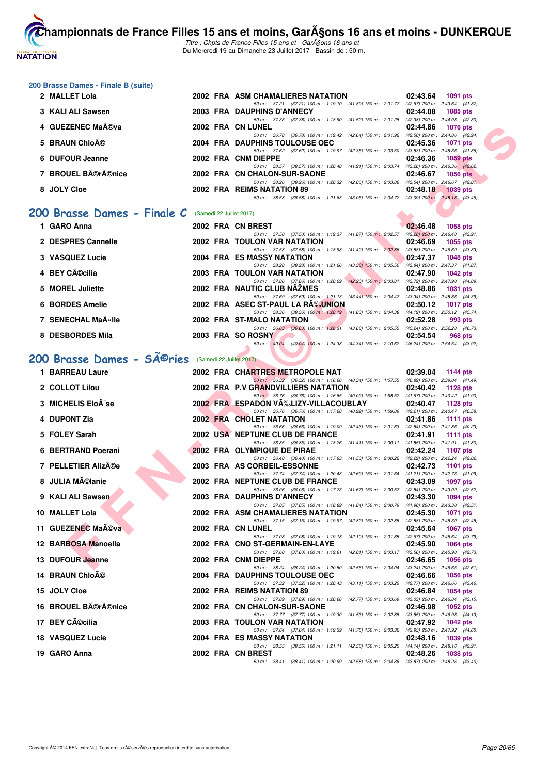

Titre : Chpts de France Filles 15 ans et - GarA§ons 16 ans et -Du Mercredi 19 au Dimanche 23 Juillet 2017 - Bassin de : 50 m.

#### **200 Brasse Dames - Finale B (suite)**

| 2 MALLET Lola                                        |  | 2002 FRA ASM CHAMALIERES NATATION                            |                                                     | 02:43.64 | 1091 pts                            |  |
|------------------------------------------------------|--|--------------------------------------------------------------|-----------------------------------------------------|----------|-------------------------------------|--|
|                                                      |  | 50 m: 37.21 (37.21) 100 m: 1:19.10 (41.89) 150 m: 2:01.77    |                                                     |          | $(42.67)$ 200 m : 2:43.64 $(41.87)$ |  |
| 3 KALI ALI Sawsen                                    |  | 2003 FRA DAUPHINS D'ANNECY                                   |                                                     | 02:44.08 | 1085 pts                            |  |
|                                                      |  | 50 m : 37.38                                                 | (37.38) 100 m : 1:18.90 (41.52) 150 m : 2:01.28     |          | $(42.38)$ 200 m : 2:44.08 $(42.80)$ |  |
| 4 GUEZENEC Maéva                                     |  | 2002 FRA CN LUNEL                                            |                                                     | 02:44.86 | 1076 pts                            |  |
|                                                      |  | 50 m : 36.78 (36.78) 100 m : 1:19.42 (42.64) 150 m : 2:01.92 |                                                     |          | (42.50) 200 m : 2:44.86 (42.94)     |  |
| 5 BRAUN Chloé                                        |  | 2004 FRA DAUPHINS TOULOUSE OEC                               |                                                     | 02:45.36 | <b>1071 pts</b>                     |  |
|                                                      |  | 50 m: 37.62 (37.62) 100 m: 1:19.97 (42.35) 150 m: 2:03.50    |                                                     |          | $(43.53)$ 200 m : 2:45.36 $(41.86)$ |  |
| 6 DUFOUR Jeanne                                      |  | 2002 FRA CNM DIEPPE                                          |                                                     | 02:46.36 | 1059 pts                            |  |
|                                                      |  | 50 m: 38.57 (38.57) 100 m: 1:20.48 (41.91) 150 m: 2:03.74    |                                                     |          | $(43.26)$ 200 m : 2:46.36 $(42.62)$ |  |
| 7 BROUEL Bérénice                                    |  | 2002 FRA CN CHALON-SUR-SAONE                                 |                                                     | 02:46.67 | <b>1056 pts</b>                     |  |
|                                                      |  | 50 m: 38.26 (38.26) 100 m: 1:20.32 (42.06) 150 m: 2:03.86    |                                                     |          | $(43.54)$ 200 m : 2:46.67 $(42.81)$ |  |
| 8 JOLY Cloe                                          |  | 2002 FRA REIMS NATATION 89                                   |                                                     | 02:48.18 | $1039$ pts                          |  |
|                                                      |  | 50 m : 38.58                                                 | $(38.58)$ 100 m : 1:21.63 $(43.05)$ 150 m : 2:04.72 |          | $(43.09)$ 200 m : 2:48.18 $(43.46)$ |  |
|                                                      |  |                                                              |                                                     |          |                                     |  |
| 200 Brasse Dames - Finale C (Samedi 22 Juillet 2017) |  |                                                              |                                                     |          |                                     |  |
|                                                      |  |                                                              |                                                     |          |                                     |  |

#### **1 GARO Anna 2002 FRA CN BREST 02:46.48 1058 pts**

| I GARVAIIIA        |  | ZUVZ FRA CN BRESI                                                                        |                                                                              | <b>02.40.40</b>                     | າ ບວດ ນເຣ  |  |
|--------------------|--|------------------------------------------------------------------------------------------|------------------------------------------------------------------------------|-------------------------------------|------------|--|
|                    |  | 50 m: 37.50 (37.50) 100 m: 1:19.37 (41.87) 150 m: 2:02.57 (43.20) 200 m: 2:46.48 (43.91) |                                                                              |                                     |            |  |
| 2 DESPRES Cannelle |  | <b>2002 FRA TOULON VAR NATATION</b>                                                      |                                                                              | 02:46.69                            | 1055 pts   |  |
|                    |  | 50 m: 37.58 (37.58) 100 m: 1:18.98 (41.40) 150 m: 2:02.86                                |                                                                              | $(43.88)$ 200 m : 2:46.69 $(43.83)$ |            |  |
| 3 VASQUEZ Lucie    |  | 2004 FRA ES MASSY NATATION                                                               |                                                                              | 02:47.37                            | 1048 pts   |  |
|                    |  | 50 m: 38.28 (38.28) 100 m: 1:21.66 (43.38) 150 m: 2:05.50                                |                                                                              | $(43.84)$ 200 m : 2:47.37 $(41.87)$ |            |  |
| 4 BEY Cécilia      |  | <b>2003 FRA TOULON VAR NATATION</b>                                                      |                                                                              | 02:47.90                            | $1042$ pts |  |
|                    |  | 50 m: 37.86 (37.86) 100 m: 1:20.09 (42.23) 150 m: 2:03.81                                |                                                                              | (43.72) 200 m : 2:47.90 (44.09)     |            |  |
| 5 MOREL Juliette   |  | 2002 FRA NAUTIC CLUB NAZMES                                                              |                                                                              | 02:48.86                            | 1031 pts   |  |
|                    |  | 50 m: 37.69 (37.69) 100 m: 1:21.13 (43.44) 150 m: 2:04.47                                |                                                                              | $(43.34)$ 200 m : 2:48.86 $(44.39)$ |            |  |
| 6 BORDES Amelie    |  | 2002 FRA ASEC ST-PAUL LA RA%JUNION                                                       |                                                                              | 02:50.12                            | 1017 pts   |  |
|                    |  | 50 m : 38.36 (38.36) 100 m : 1:20.19                                                     | $(41.83)$ 150 m : 2:04.38                                                    | $(44.19)$ 200 m : 2:50.12 $(45.74)$ |            |  |
| 7 SENECHAL MaA«lle |  | 2002 FRA ST-MALO NATATION                                                                |                                                                              | 02:52.28                            | 993 pts    |  |
|                    |  | 50 m : 36.63 (36.63) 100 m : 1:20.31                                                     | (43.68) 150 m : 2:05.55                                                      | $(45.24)$ 200 m : 2:52.28 $(46.73)$ |            |  |
| 8 DESBORDES Mila   |  | 2003 FRA SO ROSNY                                                                        |                                                                              | 02:54.54                            | 968 pts    |  |
|                    |  | 50 m: 40.04                                                                              | (40.04) 100 m: 1:24.38 (44.34) 150 m: 2:10.62 (46.24) 200 m: 2:54.54 (43.92) |                                     |            |  |

#### 200 Brasse Dames - SÃ<sup>@</sup>ries (Samedi 22 Juillet 2017)

| 4 GUEZENEC MaA©va                                               |  | 2002 FRA CN LUNEL                                                                                                                              | 02:44.86 | 1076 pts          |
|-----------------------------------------------------------------|--|------------------------------------------------------------------------------------------------------------------------------------------------|----------|-------------------|
| 5 BRAUN ChloAO                                                  |  | 50 m: 36.78 (36.78) 100 m: 1:19.42 (42.64) 150 m: 2:01.92 (42.50) 200 m: 2:44.86 (42.94)<br>2004 FRA DAUPHINS TOULOUSE OEC                     | 02:45.36 | 1071 pts          |
| 6 DUFOUR Jeanne                                                 |  | 50 m: 37.62 (37.62) 100 m: 1:19.97 (42.35) 150 m: 2:03.50 (43.53) 200 m: 2:45.36 (41.86)<br>2002 FRA CNM DIEPPE                                | 02:46.36 | 1059 pts          |
| 7 BROUEL Bérénice                                               |  | 50 m: 38.57 (38.57) 100 m: 1:20.48 (41.91) 150 m: 2:03.74 (43.26) 200 m: 2:46.36 (42.62)<br>2002 FRA CN CHALON-SUR-SAONE                       | 02:46.67 | <b>1056 pts</b>   |
|                                                                 |  | 50 m: 38.26 (38.26) 100 m: 1:20.32 (42.06) 150 m: 2:03.86 (43.54) 200 m: 2:46.67 (42.81)                                                       |          |                   |
| 8 JOLY Cloe                                                     |  | 2002 FRA REIMS NATATION 89<br>50 m: 38.58 (38.58) 100 m: 1:21.63 (43.05) 150 m: 2:04.72 (43.09) 200 m: 2:48.18 (43.46)                         |          | 02:48.18 1039 pts |
| <b>00 Brasse Dames - Finale C</b> (Samedi 22 Juillet 2017)      |  |                                                                                                                                                |          |                   |
| 1 GARO Anna                                                     |  | 2002 FRA CN BREST                                                                                                                              | 02:46.48 | 1058 pts          |
| 2 DESPRES Cannelle                                              |  | 50 m: 37.50 (37.50) 100 m: 1:19.37 (41.87) 150 m: 2:02.57 (43.20) 200 m: 2:46.48 (43.91)<br>2002 FRA TOULON VAR NATATION                       | 02:46.69 | 1055 pts          |
| 3 VASQUEZ Lucie                                                 |  | 50 m: 37.58 (37.58) 100 m: 1:18.98 (41.40) 150 m: 2:02.86 (43.88) 200 m: 2:46.69 (43.83)<br>2004 FRA ES MASSY NATATION                         | 02:47.37 | 1048 pts          |
| 4 BEY Cécilia                                                   |  | 50 m: 38.28 (38.28) 100 m: 1:21.66 (43.38) 150 m: 2:05.50 (43.84) 200 m: 2:47.37 (41.87)<br>2003 FRA TOULON VAR NATATION                       | 02:47.90 | 1042 pts          |
|                                                                 |  | 50 m: 37.86 (37.86) 100 m: 1:20.09 (42.23) 150 m: 2:03.81 (43.72) 200 m: 2:47.90 (44.09)                                                       |          |                   |
| 5 MOREL Juliette                                                |  | 2002 FRA NAUTIC CLUB NAZMES<br>50 m: 37.69 (37.69) 100 m: 1:21.13 (43.44) 150 m: 2:04.47 (43.34) 200 m: 2:48.86 (44.39)                        | 02:48.86 | 1031 pts          |
| 6 BORDES Amelie                                                 |  | 2002 FRA ASEC ST-PAUL LA RA‰UNION<br>50 m: 38.36 (38.36) 100 m: 1:20.19 (41.83) 150 m: 2:04.38 (44.19) 200 m: 2:50.12 (45.74)                  | 02:50.12 | 1017 pts          |
| 7 SENECHAL MaA«Ile                                              |  | 2002 FRA ST-MALO NATATION                                                                                                                      | 02:52.28 | 993 pts           |
| 8 DESBORDES Mila                                                |  | 50 m: 36.63 (36.63) 100 m: 1:20.31 (43.68) 150 m: 2:05.55 (45.24) 200 m: 2:52.28 (46.73)<br>2003 FRA SO ROSNY<br><b>The Contract of Street</b> | 02:54.54 | 968 pts           |
|                                                                 |  | 50 m: 40.04 (40.04) 100 m: 1:24.38 (44.34) 150 m: 2:10.62 (46.24) 200 m: 2:54.54 (43.92)                                                       |          |                   |
| 00 Brasse Dames - SÃ <sup>©</sup> ries (Samedi 22 Juillet 2017) |  |                                                                                                                                                |          |                   |
| 1 BARREAU Laure                                                 |  | 2002 FRA CHARTRES METROPOLE NAT                                                                                                                |          | 02:39.04 1144 pts |
| 2 COLLOT Lilou                                                  |  | 50 m: 36.32 (36.32) 100 m: 1:16.66 (40.34) 150 m: 1:57.55 (40.89) 200 m: 2:39.04 (41.49)<br>2002 FRA P.V GRANDVILLIERS NATATION                |          | 02:40.42 1128 pts |
| 3 MICHELIS EloÃ-se                                              |  | 50 m : 36.76 (36.76) 100 m : 1:16.85 (40.09) 150 m : 1:58.52 (41.67) 200 m : 2:40.42 (41.90)<br>2002 FRA ESPADON VA‰LIZY-VILLACOUBLAY          |          | 02:40.47 1128 pts |
| 4 DUPONT Zia                                                    |  | 50 m: 36.76 (36.76) 100 m: 1:17.68 (40.92) 150 m: 1:59.89 (42.21) 200 m: 2:40.47 (40.58)<br><b>2002 FRA CHOLET NATATION</b>                    |          | 02:41.86 1111 pts |
| 5 FOLEY Sarah                                                   |  | 50 m: 36.66 (36.66) 100 m: 1:19.09 (42.43) 150 m: 2:01.63 (42.54) 200 m: 2:41.86 (40.23)<br>2002 USA NEPTUNE CLUB DE FRANCE                    | 02:41.91 |                   |
|                                                                 |  | 50 m: 36.85 (36.85) 100 m: 1:18.26 (41.41) 150 m: 2:00.11 (41.85) 200 m: 2:41.91 (41.80)                                                       |          | 1111 pts          |
| 6 BERTRAND Poerani                                              |  | 2002 FRA OLYMPIQUE DE PIRAE<br>50 m: 36.40 (36.40) 100 m: 1:17.93 (41.53) 150 m: 2:00.22 (42.29) 200 m: 2:42.24 (42.02)                        | 02:42.24 | 1107 pts          |
| 7 PELLETIER Alizĩe                                              |  | 2003 FRA AS CORBEIL-ESSONNE                                                                                                                    | 02:42.73 | 1101 pts          |
| 8 JULIA Mélanie                                                 |  | 50 m: 37.74 (37.74) 100 m: 1:20.43 (42.69) 150 m: 2:01.64 (41.21) 200 m: 2:42.73 (41.09)<br>2002 FRA NEPTUNE CLUB DE FRANCE                    | 02:43.09 | 1097 pts          |
| 9 KALI ALI Sawsen                                               |  | 50 m: 36.06 (36.06) 100 m: 1:17.73 (41.67) 150 m: 2:00.57 (42.84) 200 m: 2:43.09 (42.52)<br>2003 FRA DAUPHINS D'ANNECY                         | 02:43.30 | 1094 pts          |
|                                                                 |  | 50 m: 37.05 (37.05) 100 m: 1:18.89 (41.84) 150 m: 2:00.79 (41.90) 200 m: 2:43.30 (42.51)                                                       |          |                   |
| 10 MALLET Lola                                                  |  | 2002 FRA ASM CHAMALIERES NATATION<br>50 m: 37.15 (37.15) 100 m: 1:19.97 (42.82) 150 m: 2:02.85 (42.88) 200 m: 2:45.30 (42.45)                  | 02:45.30 | 1071 pts          |
| 11 GUEZENEC Maéva                                               |  | 2002 FRA CN LUNEL                                                                                                                              |          | 02:45.64 1067 pts |
| 12 BARBOSA Manoella                                             |  | 50 m: 37.08 (37.08) 100 m: 1:19.18 (42.10) 150 m: 2:01.85 (42.67) 200 m: 2:45.64 (43.79)<br>2002 FRA CNO ST-GERMAIN-EN-LAYE                    |          | 02:45.90 1064 pts |
| 13 DUFOUR Jeanne                                                |  | 50 m: 37.60 (37.60) 100 m: 1:19.61 (42.01) 150 m: 2:03.17 (43.56) 200 m: 2:45.90 (42.73)<br>2002 FRA CNM DIEPPE                                | 02:46.65 | 1056 pts          |
| 14 BRAUN Chloé                                                  |  | 50 m: 38.24 (38.24) 100 m: 1:20.80 (42.56) 150 m: 2:04.04 (43.24) 200 m: 2:46.65 (42.61)<br><b>2004 FRA DAUPHINS TOULOUSE OEC</b>              | 02:46.66 | 1056 pts          |
| 15 JOLY Cloe                                                    |  | 50 m: 37.32 (37.32) 100 m: 1:20.43 (43.11) 150 m: 2:03.20 (42.77) 200 m: 2:46.66 (43.46)<br>2002 FRA REIMS NATATION 89                         |          | 02:46.84 1054 pts |
| 16 BROUEL Bérénice                                              |  | 50 m: 37.89 (37.89) 100 m: 1:20.66 (42.77) 150 m: 2:03.69 (43.03) 200 m: 2:46.84 (43.15)<br>2002 FRA CN CHALON-SUR-SAONE                       | 02:46.98 | 1052 pts          |
| 17 BEY Cécilia                                                  |  | 50 m: 37.77 (37.77) 100 m: 1:19.30 (41.53) 150 m: 2:02.85 (43.55) 200 m: 2:46.98 (44.13)<br>2003 FRA TOULON VAR NATATION                       |          | 02:47.92 1042 pts |
|                                                                 |  | 50 m: 37.64 (37.64) 100 m: 1:19.39 (41.75) 150 m: 2:03.32 (43.93) 200 m: 2:47.92 (44.60)                                                       |          |                   |
| <b>18 VASQUEZ Lucie</b>                                         |  | 2004 FRA ES MASSY NATATION<br>50 m: 38.55 (38.55) 100 m: 1:21.11 (42.56) 150 m: 2:05.25 (44.14) 200 m: 2:48.16 (42.91)                         | 02:48.16 | 1039 pts          |
| 19 GARO Anna                                                    |  | 2002 FRA CN BREST                                                                                                                              | 02:48.26 | 1038 pts          |
|                                                                 |  | 50 m: 38.41 (38.41) 100 m: 1:20.99 (42.58) 150 m: 2:04.86 (43.87) 200 m: 2:48.26 (43.40)                                                       |          |                   |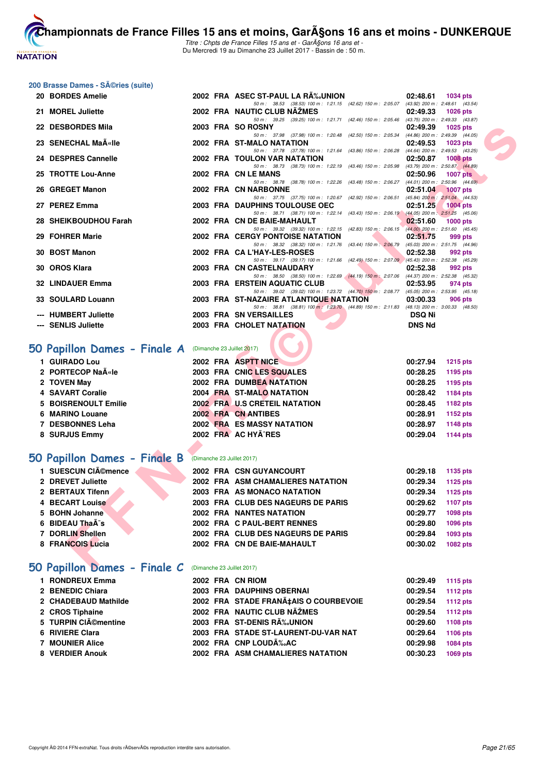

Titre : Chpts de France Filles 15 ans et - GarA§ons 16 ans et -Du Mercredi 19 au Dimanche 23 Juillet 2017 - Bassin de : 50 m.

#### **200 Brasse Dames - Séries (suite)**

| 20 BORDES Amelie                                       |  | 2002 FRA ASEC ST-PAUL LA RA‰UNION                                                                                          | 02:48.61      | <b>1034 pts</b>                                        |
|--------------------------------------------------------|--|----------------------------------------------------------------------------------------------------------------------------|---------------|--------------------------------------------------------|
| 21 MOREL Juliette                                      |  | 50 m: 38.53 (38.53) 100 m: 1:21.15 (42.62) 150 m: 2:05.07<br>2002 FRA NAUTIC CLUB NAZMES                                   | 02:49.33      | $(43.92)$ 200 m : 2:48.61 $(43.54)$<br><b>1026 pts</b> |
|                                                        |  | 50 m: 39.25 (39.25) 100 m: 1:21.71 (42.46) 150 m: 2:05.46 (43.75) 200 m: 2:49.33 (43.87)                                   |               |                                                        |
| 22 DESBORDES Mila                                      |  | 2003 FRA SO ROSNY<br>50 m: 37.98 (37.98) 100 m: 1:20.48 (42.50) 150 m: 2:05.34 (44.86) 200 m: 2:49.39 (44.05)              | 02:49.39      | 1025 $pts$                                             |
| 23 SENECHAL Ma«lle                                     |  | 2002 FRA ST-MALO NATATION                                                                                                  | 02:49.53      | <b>1023 pts</b>                                        |
|                                                        |  | 50 m: 37.78 (37.78) 100 m: 1:21.64 (43.86) 150 m: 2:06.28 (44.64) 200 m: 2:49.53 (43.25)                                   |               |                                                        |
| 24 DESPRES Cannelle                                    |  | 2002 FRA TOULON VAR NATATION<br>50 m: 38.73 (38.73) 100 m: 1:22.19 (43.46) 150 m: 2:05.98                                  | 02:50.87      | <b>1008 pts</b>                                        |
| 25 TROTTE Lou-Anne                                     |  | 2002 FRA CN LE MANS                                                                                                        | 02:50.96      | (43.79) 200 m : 2:50.87 (44.89)<br><b>1007 pts</b>     |
|                                                        |  | 50 m : 38.78 (38.78) 100 m : 1:22.26 (43.48) 150 m : 2:06.27                                                               |               | $(44.01)$ 200 m : 2:50.96 $(44.69)$                    |
| 26 GREGET Manon                                        |  | 2002 FRA CN NARBONNE                                                                                                       | 02:51.04      | <b>1007 pts</b>                                        |
| 27 PEREZ Emma                                          |  | 50 m: 37.75 (37.75) 100 m: 1:20.67 (42.92) 150 m: 2:06.51 (45.84) 200 m: 2:51.04 (44.53)<br>2003 FRA DAUPHINS TOULOUSE OEC | 02:51.25      | <b>1004 pts</b>                                        |
|                                                        |  | 50 m: 38.71 (38.71) 100 m: 1:22.14 (43.43) 150 m: 2:06.19 (44.05) 200 m: 2:51.25 (45.06)                                   |               |                                                        |
| 28 SHEIKBOUDHOU Farah                                  |  | 2002 FRA CN DE BAIE-MAHAULT                                                                                                | 02:51.60      | <b>1000 pts</b>                                        |
| 29 FOHRER Marie                                        |  | 50 m: 39.32 (39.32) 100 m: 1:22.15 (42.83) 150 m: 2:06.15 (44.00) 200 m: 2:51.60 (45.45)                                   |               |                                                        |
|                                                        |  | <b>2002 FRA CERGY PONTOISE NATATION</b><br>50 m: 38.32 (38.32) 100 m: 1:21.76 (43.44) 150 m: 2:06.79                       | 02:51.75      | 999 pts<br>(45.03) 200 m : 2:51.75 (44.96)             |
| 30 BOST Manon                                          |  | 2002 FRA CAL'HAY-LES-ROSES                                                                                                 | 02:52.38      | 992 pts                                                |
|                                                        |  | 50 m: 39.17 (39.17) 100 m: 1:21.66 (42.49) 150 m: 2:07.09 (45.43) 200 m: 2:52.38 (45.29)                                   |               |                                                        |
| 30 OROS Klara                                          |  | 2003 FRA CN CASTELNAUDARY<br>50 m : 38.50 (38.50) 100 m : 1:22.69 (44.19) 150 m : 2:07.06                                  | 02:52.38      | 992 pts                                                |
| 32 LINDAUER Emma                                       |  | 2003 FRA ERSTEIN AQUATIC CLUB                                                                                              | 02:53.95      | (44.37) 200 m : 2:52.38 (45.32)<br>974 pts             |
|                                                        |  | 50 m: 39.02 (39.02) 100 m: 1:23.72 (44.70) 150 m: 2:08.77 (45.05) 200 m: 2:53.95 (45.18)                                   |               |                                                        |
| 33 SOULARD Louann                                      |  | 2003 FRA ST-NAZAIRE ATLANTIQUE NATATION                                                                                    | 03:00.33      | 906 pts                                                |
| --- HUMBERT Juliette                                   |  | 50 m: 38.81 (38.81) 100 m: 1:23.70 (44.89) 150 m: 2:11.83 (48.13) 200 m: 3:00.33 (48.50)<br>2003 FRA SN VERSAILLES         | <b>DSQ Ni</b> |                                                        |
| --- SENLIS Juliette                                    |  | 2003 FRA CHOLET NATATION                                                                                                   | <b>DNS Nd</b> |                                                        |
|                                                        |  |                                                                                                                            |               |                                                        |
|                                                        |  |                                                                                                                            |               |                                                        |
| O Papillon Dames - Finale A (Dimanche 23 Juillet 2017) |  |                                                                                                                            |               |                                                        |
| 1 GUIRADO Lou                                          |  | 2002 FRA ASPTT NICE                                                                                                        | 00:27.94      | 1215 pts                                               |
| 2 PORTECOP Naële                                       |  | 2003 FRA CNIC LES SQUALES                                                                                                  | 00:28.25      | 1195 pts                                               |
| 2 TOVEN May                                            |  | 2002 FRA DUMBEA NATATION                                                                                                   | 00:28.25      | 1195 pts                                               |
| 4 SAVART Coralie                                       |  | 2004 FRA ST-MALO NATATION                                                                                                  | 00:28.42      | 1184 pts                                               |
| 5 BOISRENOULT Emilie                                   |  | 2002 FRA U.S CRETEIL NATATION                                                                                              | 00:28.45      | 1182 pts                                               |
| 6 MARINO Louane                                        |  | 2002 FRA CN ANTIBES                                                                                                        | 00:28.91      | 1152 pts                                               |
| 7 DESBONNES Leha                                       |  | 2002 FRA ES MASSY NATATION                                                                                                 | 00:28.97      | <b>1148 pts</b>                                        |
| 8 SURJUS Emmy                                          |  | 2002 FRA AC HYA^RES                                                                                                        | 00:29.04      | <b>1144 pts</b>                                        |
|                                                        |  |                                                                                                                            |               |                                                        |
| O Papillon Dames - Finale B                            |  | (Dimanche 23 Juillet 2017)                                                                                                 |               |                                                        |
|                                                        |  |                                                                                                                            |               |                                                        |
| 1 SUESCUN CIémence                                     |  | 2002 FRA CSN GUYANCOURT                                                                                                    | 00:29.18      | 1135 pts                                               |
| 2 DREVET Juliette                                      |  | 2002 FRA ASM CHAMALIERES NATATION                                                                                          | 00:29.34      | 1125 pts                                               |
| 2 BERTAUX Tifenn                                       |  | 2003 FRA AS MONACO NATATION                                                                                                | 00:29.34      | 1125 pts                                               |
| 4 BECART Louise                                        |  | 2003 FRA CLUB DES NAGEURS DE PARIS                                                                                         | 00:29.62      | <b>1107 pts</b>                                        |
| 5 BOHN Johanne                                         |  | 2002 FRA NANTES NATATION                                                                                                   | 00:29.77      | 1098 pts                                               |
| 6 BIDEAU ThaÂ-s                                        |  | 2002 FRA C PAUL-BERT RENNES                                                                                                | 00:29.80      | <b>1096 pts</b>                                        |
| 7 DORLIN Shellen                                       |  | 2002 FRA CLUB DES NAGEURS DE PARIS                                                                                         | 00:29.84      | 1093 pts                                               |
| 8 FRANCOIS Lucia                                       |  |                                                                                                                            |               |                                                        |
|                                                        |  | 2002 FRA CN DE BAIE-MAHAULT                                                                                                | 00:30.02      | <b>1082 pts</b>                                        |
|                                                        |  |                                                                                                                            |               |                                                        |

# **[50 Papillon Dames - Finale A](http://www.ffnatation.fr/webffn/resultats.php?idact=nat&go=epr&idcpt=47485&idepr=31)** (Dimanche 23 Juillet 2017)

| 1 GUIRADO Lou        |  | 2002 FRA ASPTT NICE           | 00:27.94          | 1215 pts |
|----------------------|--|-------------------------------|-------------------|----------|
| 2 PORTECOP Naële     |  | 2003 FRA CNIC LES SQUALES     | 00:28.25          | 1195 pts |
| 2 TOVEN May          |  | 2002 FRA DUMBEA NATATION      | 00:28.25          | 1195 pts |
| 4 SAVART Coralie     |  | 2004 FRA ST-MALO NATATION     | 00:28.42 1184 pts |          |
| 5 BOISRENOULT Emilie |  | 2002 FRA U.S CRETEIL NATATION | 00:28.45 1182 pts |          |
| 6 MARINO Louane      |  | 2002 FRA CN ANTIBES           | 00:28.91          | 1152 pts |
| 7 DESBONNES Leha     |  | 2002 FRA ES MASSY NATATION    | 00:28.97          | 1148 pts |
| 8 SURJUS Emmy        |  | 2002 FRA AC HYA^RES           | 00:29.04          | 1144 pts |
|                      |  |                               |                   |          |

#### **[50 Papillon Dames - Finale B](http://www.ffnatation.fr/webffn/resultats.php?idact=nat&go=epr&idcpt=47485&idepr=31)** (Dimanche 23 Juillet 2017)

| 1 SUESCUN CIémence               | 2002 FRA CSN GUYANCOURT            | 00:29.18 | 1135 pts |
|----------------------------------|------------------------------------|----------|----------|
| 2 DREVET Juliette                | 2002 FRA ASM CHAMALIERES NATATION  | 00:29.34 | 1125 pts |
| 2 BERTAUX Tifenn                 | 2003 FRA AS MONACO NATATION        | 00:29.34 | 1125 pts |
| 4 BECART Louise                  | 2003 FRA CLUB DES NAGEURS DE PARIS | 00:29.62 | 1107 pts |
| 5 BOHN Johanne                   | <b>2002 FRA NANTES NATATION</b>    | 00:29.77 | 1098 pts |
| 6   BIDEAU ThaÃ <sup>-</sup> s . | 2002 FRA C PAUL-BERT RENNES        | 00:29.80 | 1096 pts |
| 7 DORLIN Shellen                 | 2002 FRA CLUB DES NAGEURS DE PARIS | 00:29.84 | 1093 pts |
| 8 FRANCOIS Lucia                 | 2002 FRA CN DE BAIE-MAHAULT        | 00:30.02 | 1082 pts |
|                                  |                                    |          |          |

#### **[50 Papillon Dames - Finale C](http://www.ffnatation.fr/webffn/resultats.php?idact=nat&go=epr&idcpt=47485&idepr=31)** (Dimanche 23 Juillet 2017)

| 1 RONDREUX Emma        |  | 2002 FRA CN RIOM                     | 00:29.49 | 1115 pts |
|------------------------|--|--------------------------------------|----------|----------|
| 2 BENEDIC Chiara       |  | 2003 FRA DAUPHINS OBERNAI            | 00:29.54 | 1112 pts |
| 2 CHADEBAUD Mathilde   |  | 2002 FRA STADE FRANÇAIS O COURBEVOIE | 00:29.54 | 1112 pts |
| 2 CROS Tiphaine        |  | 2002 FRA NAUTIC CLUB NAŽMES          | 00:29.54 | 1112 pts |
| 5 TURPIN CIémentine    |  | 2003 FRA ST-DENIS R‰UNION            | 00:29.60 | 1108 pts |
| 6 RIVIERE Clara        |  | 2003 FRA STADE ST-LAURENT-DU-VAR NAT | 00:29.64 | 1106 pts |
| <b>7 MOUNIER Alice</b> |  | 2002 FRA CNP LOUDÉAC                 | 00:29.98 | 1084 pts |
| 8 VERDIER Anouk        |  | 2002 FRA ASM CHAMALIERES NATATION    | 00:30.23 | 1069 pts |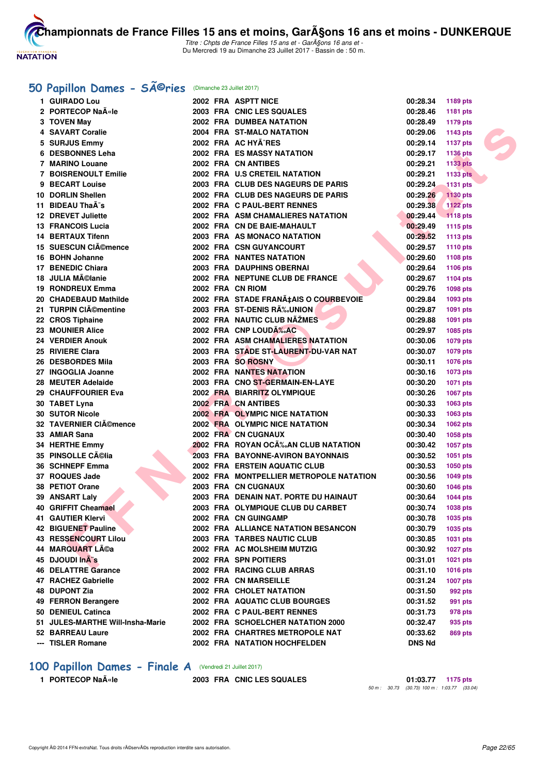

Titre : Chpts de France Filles 15 ans et - GarA§ons 16 ans et -Du Mercredi 19 au Dimanche 23 Juillet 2017 - Bassin de : 50 m.

# 50 Papillon Dames - SÃ<sup>@</sup>ries (Dimanche 23 Juillet 2017)

| 1 GUIRADO Lou                        |  | 2002 FRA ASPTT NICE                      | 00:28.34             | 1189 pts        |  |
|--------------------------------------|--|------------------------------------------|----------------------|-----------------|--|
| 2 PORTECOP Naële                     |  | 2003 FRA CNIC LES SQUALES                | 00:28.46             | 1181 pts        |  |
| 3 TOVEN May                          |  | 2002 FRA DUMBEA NATATION                 | 00:28.49             | <b>1179 pts</b> |  |
| 4 SAVART Coralie                     |  | 2004 FRA ST-MALO NATATION                | 00:29.06             | <b>1143 pts</b> |  |
| 5 SURJUS Emmy                        |  | 2002 FRA AC HYÃ^RES                      | 00:29.14             | <b>1137 pts</b> |  |
| 6 DESBONNES Leha                     |  | <b>2002 FRA ES MASSY NATATION</b>        | 00:29.17             | <b>1136 pts</b> |  |
| 7 MARINO Louane                      |  | 2002 FRA CN ANTIBES                      | 00:29.21             | 1133 pts        |  |
| <b>7 BOISRENOULT Emilie</b>          |  | 2002 FRA U.S CRETEIL NATATION            | 00:29.21             | 1133 pts        |  |
| <b>BECART Louise</b>                 |  | 2003 FRA CLUB DES NAGEURS DE PARIS       | 00:29.24             | <b>1131 pts</b> |  |
| 10 DORLIN Shellen                    |  | 2002 FRA CLUB DES NAGEURS DE PARIS       | 00:29.26             | 1130 pts        |  |
| 11 BIDEAU ThaÂ <sup>-</sup> s        |  | 2002 FRA C PAUL-BERT RENNES              | 00:29.38             | <b>1122 pts</b> |  |
| 12 DREVET Juliette                   |  | 2002 FRA ASM CHAMALIERES NATATION        | 00:29.44             | $-1118$ pts     |  |
| <b>13 FRANCOIS Lucia</b>             |  | 2002 FRA CN DE BAIE-MAHAULT              | 00:29.49             | <b>1115 pts</b> |  |
| 14 BERTAUX Tifenn                    |  | 2003 FRA AS MONACO NATATION              | 00:29.52             | <b>1113 pts</b> |  |
| 15 SUESCUN CIA©mence                 |  | 2002 FRA CSN GUYANCOURT                  | 00:29.57             | 1110 pts        |  |
| 16 BOHN Johanne                      |  | <b>2002 FRA NANTES NATATION</b>          | 00:29.60             | <b>1108 pts</b> |  |
| 17 BENEDIC Chiara                    |  | 2003 FRA DAUPHINS OBERNAI                | 00:29.64             | 1106 pts        |  |
| 18 JULIA Mélanie                     |  | 2002 FRA NEPTUNE CLUB DE FRANCE          | 00:29.67             |                 |  |
| 19 RONDREUX Emma                     |  | 2002 FRA CN RIOM                         |                      | <b>1104 pts</b> |  |
| 20 CHADEBAUD Mathilde                |  | 2002 FRA STADE FRANA‡AIS O COURBEVOIE    | 00:29.76<br>00:29.84 | 1098 pts        |  |
| 21 TURPIN CIémentine                 |  | 2003 FRA ST-DENIS RÉUNION                | 00:29.87             | 1093 pts        |  |
|                                      |  | 2002 FRA NAUTIC CLUB NAZMES              |                      | 1091 pts        |  |
| 22 CROS Tiphaine                     |  | 2002 FRA CNP LOUDA% AC                   | 00:29.88             | 1091 pts        |  |
| 23 MOUNIER Alice<br>24 VERDIER Anouk |  |                                          | 00:29.97             | <b>1085 pts</b> |  |
|                                      |  | <b>2002 FRA ASM CHAMALIERES NATATION</b> | 00:30.06             | 1079 pts        |  |
| 25 RIVIERE Clara                     |  | 2003 FRA STADE ST-LAURENT-DU-VAR NAT     | 00:30.07             | 1079 pts        |  |
| 26 DESBORDES Mila                    |  | 2003 FRA SO ROSNY                        | 00:30.11             | 1076 pts        |  |
| 27 INGOGLIA Joanne                   |  | <b>2002 FRA NANTES NATATION</b>          | 00:30.16             | <b>1073 pts</b> |  |
| 28 MEUTER Adelaide                   |  | 2003 FRA CNO ST-GERMAIN-EN-LAYE          | 00:30.20             | <b>1071 pts</b> |  |
| 29 CHAUFFOURIER Eva                  |  | 2002 FRA BIARRITZ OLYMPIQUE              | 00:30.26             | 1067 pts        |  |
| 30 TABET Lyna                        |  | <b>2002 FRA CN ANTIBES</b>               | 00:30.33             | 1063 pts        |  |
| <b>30 SUTOR Nicole</b>               |  | 2002 FRA OLYMPIC NICE NATATION           | 00:30.33             | 1063 pts        |  |
| 32 TAVERNIER CIémence                |  | 2002 FRA OLYMPIC NICE NATATION           | 00:30.34             | <b>1062 pts</b> |  |
| 33 AMIAR Sana                        |  | <b>2002 FRA CN CUGNAUX</b>               | 00:30.40             | 1058 pts        |  |
| 34 HERTHE Emmy                       |  | 2002 FRA ROYAN OCÉAN CLUB NATATION       | 00:30.42             | <b>1057 pts</b> |  |
| 35 PINSOLLE Célia                    |  | 2003 FRA BAYONNE-AVIRON BAYONNAIS        | 00:30.52             | <b>1051 pts</b> |  |
| 36 SCHNEPF Emma                      |  | <b>2002 FRA ERSTEIN AQUATIC CLUB</b>     | 00:30.53             | <b>1050 pts</b> |  |
| 37 ROQUES Jade                       |  | 2002 FRA MONTPELLIER METROPOLE NATATION  | 00:30.56             | <b>1049 pts</b> |  |
| 38 PETIOT Orane                      |  | 2003 FRA CN CUGNAUX                      | 00:30.60             | <b>1046 pts</b> |  |
| 39 ANSART Laly                       |  | 2003 FRA DENAIN NAT. PORTE DU HAINAUT    | 00:30.64             | <b>1044 pts</b> |  |
| 40 GRIFFIT Cheamael                  |  | 2003 FRA OLYMPIQUE CLUB DU CARBET        | 00:30.74             | 1038 pts        |  |
| 41 GAUTIER Klervi                    |  | 2002 FRA CN GUINGAMP                     | 00:30.78             | 1035 pts        |  |
| 42 BIGUENET Pauline                  |  | 2002 FRA ALLIANCE NATATION BESANCON      | 00:30.79             | 1035 pts        |  |
| <b>43 RESSENCOURT Lilou</b>          |  | <b>2003 FRA TARBES NAUTIC CLUB</b>       | 00:30.85             | <b>1031 pts</b> |  |
| 44 MARQUART Léa                      |  | 2002 FRA AC MOLSHEIM MUTZIG              | 00:30.92             | <b>1027 pts</b> |  |
| 45 DJOUDI InA's                      |  | 2002 FRA SPN POITIERS                    | 00:31.01             | <b>1021 pts</b> |  |
| 46 DELATTRE Garance                  |  | 2002 FRA RACING CLUB ARRAS               | 00:31.10             | <b>1016 pts</b> |  |
| 47 RACHEZ Gabrielle                  |  | 2002 FRA CN MARSEILLE                    | 00:31.24             | <b>1007 pts</b> |  |
| <b>48 DUPONT Zia</b>                 |  | <b>2002 FRA CHOLET NATATION</b>          | 00:31.50             | 992 pts         |  |
| 49 FERRON Berangere                  |  | 2002 FRA AQUATIC CLUB BOURGES            | 00:31.52             | 991 pts         |  |
| 50 DENIEUL Catinca                   |  | 2002 FRA C PAUL-BERT RENNES              | 00:31.73             | 978 pts         |  |
| 51 JULES-MARTHE Will-Insha-Marie     |  | 2002 FRA SCHOELCHER NATATION 2000        | 00:32.47             | 935 pts         |  |
| 52 BARREAU Laure                     |  | 2002 FRA CHARTRES METROPOLE NAT          | 00:33.62             | 869 pts         |  |
| --- TISLER Romane                    |  | 2002 FRA NATATION HOCHFELDEN             | <b>DNS Nd</b>        |                 |  |

# **100 Papillon Dames - Finale A** (Vendredi 21 Juillet 2017)<br>1 PORTECOP Naële 2003 FRA CNIC LE

**1 PORTECOP Naële 2003 FRA CNIC LES SQUALES 01:03.77 1175 pts** 50 m : 30.73 (30.73) 100 m : 1:03.77 (33.04)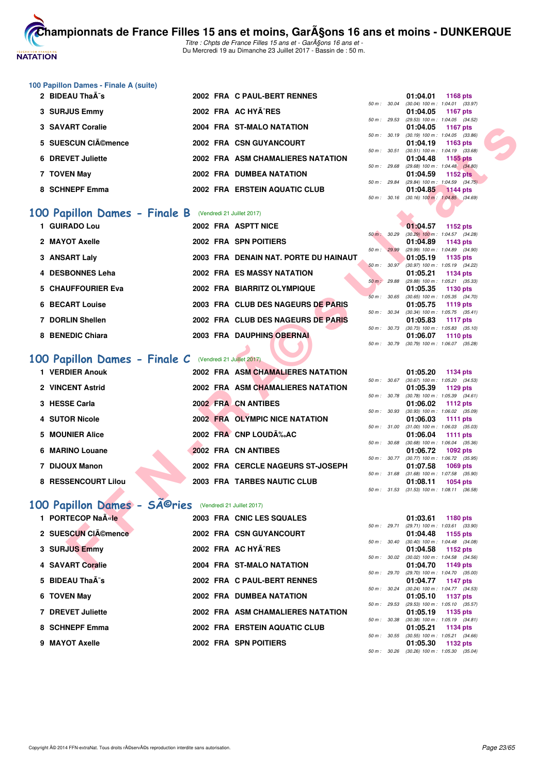

Titre : Chpts de France Filles 15 ans et - GarA§ons 16 ans et -Du Mercredi 19 au Dimanche 23 Juillet 2017 - Bassin de : 50 m.

# **100 Papillon Dames - Finale A (suite)**

| 2 BIDEAU Thaà s    | 2002 FRA C PAUL-BERT RENNES       |                          | 1168 pts<br>01:04.01                                           |
|--------------------|-----------------------------------|--------------------------|----------------------------------------------------------------|
| 3 SURJUS Emmy      | 2002 FRA AC HYA^RES               | $50 \text{ m}$ : $30.04$ | $(30.04)$ 100 m : 1:04.01 (33.                                 |
|                    |                                   |                          | 01:04.05 1167 pts<br>50 m: 29.53 (29.53) 100 m: 1:04.05 (34.   |
| 3 SAVART Coralie   | 2004 FRA ST-MALO NATATION         |                          | 01:04.05 1167 pts                                              |
| 5 SUESCUN CIémence | 2002 FRA CSN GUYANCOURT           |                          | 50 m: 30.19 (30.19) 100 m: 1:04.05 (33.<br>01:04.19 1163 pts   |
| 6 DREVET Juliette  | 2002 FRA ASM CHAMALIERES NATATION | $50 m$ : $30.51$         | $(30.51)$ 100 m : 1:04.19 $(33.$<br>01:04.48 1155 pts          |
| 7 TOVEN May        | 2002 FRA DUMBEA NATATION          |                          | 50 m : 29.68 (29.68) 100 m : 1:04.48 (34.<br>01:04.59 1152 pts |
| 8 SCHNEPF Emma     | 2002 FRA ERSTEIN AQUATIC CLUB     | 50 m: 29.84              | (29.84) 100 m : 1:04.59 (34.<br>01:04.85 1144 pts              |

# **[100 Papillon Dames - Finale B](http://www.ffnatation.fr/webffn/resultats.php?idact=nat&go=epr&idcpt=47485&idepr=32)** (Vendredi 21 Juillet 2017)

| 3 SAVART Coralie                                               |  | 2004 FRA ST-MALO NATATION             |                | 01:04.05<br>1167 pts                                                 |
|----------------------------------------------------------------|--|---------------------------------------|----------------|----------------------------------------------------------------------|
| 5 SUESCUN CIA©mence                                            |  | 2002 FRA CSN GUYANCOURT               | 50 m: 30.19    | $(30.19)$ 100 m : 1:04.05 $(33.86)$<br>01:04.19<br>1163 pts          |
| 6 DREVET Juliette                                              |  | 2002 FRA ASM CHAMALIERES NATATION     | 50 m : 30.51   | $(30.51)$ 100 m : 1:04.19 $(33.68)$<br>01:04.48<br>1155 pts          |
| 7 TOVEN May                                                    |  | 2002 FRA DUMBEA NATATION              | 50 m : 29.68   | (29.68) 100 m : 1:04.48 (34.80)<br>01:04.59<br><b>1152 pts</b>       |
|                                                                |  |                                       | $50 m$ : 29.84 | (29.84) 100 m: 1:04.59 (34.75)                                       |
| 8 SCHNEPF Emma                                                 |  | 2002 FRA ERSTEIN AQUATIC CLUB         |                | 01:04.85<br>1144 pts<br>50 m : 30.16 (30.16) 100 m : 1:04.85 (34.69) |
|                                                                |  |                                       |                |                                                                      |
| <b>00 Papillon Dames - Finale B</b> (Vendredi 21 Juillet 2017) |  |                                       |                |                                                                      |
| 1 GUIRADO Lou                                                  |  | 2002 FRA ASPTT NICE                   |                | 01:04.57<br>1152 pts                                                 |
| 2 MAYOT Axelle                                                 |  | 2002 FRA SPN POITIERS                 | 50 m : 30.29   | $(30.29)$ 100 m : 1:04.57 $(34.28)$<br>01:04.89<br>1143 pts          |
|                                                                |  |                                       | 50 m : 29.99   | (29.99) 100 m: 1:04.89 (34.90)                                       |
| 3 ANSART Laly                                                  |  | 2003 FRA DENAIN NAT. PORTE DU HAINAUT |                | 01:05.19<br>1135 pts                                                 |
| 4 DESBONNES Leha                                               |  | 2002 FRA ES MASSY NATATION            | 50 m: 30.97    | (30.97) 100 m: 1:05.19 (34.22)<br>01:05.21<br>1134 pts               |
|                                                                |  |                                       | 50 m: 29.88    | (29.88) 100 m: 1:05.21 (35.33)                                       |
| <b>5 CHAUFFOURIER Eva</b>                                      |  | 2002 FRA BIARRITZ OLYMPIQUE           |                | 01:05.35<br>1130 pts                                                 |
|                                                                |  |                                       | 50 m: 30.65    | $(30.65)$ 100 m : 1:05.35 $(34.70)$                                  |
| <b>6 BECART Louise</b>                                         |  | 2003 FRA CLUB DES NAGEURS DE PARIS    | 50 m: 30.34    | 01:05.75<br>1119 pts<br>$(30.34)$ 100 m : 1:05.75 $(35.41)$          |
| 7 DORLIN Shellen                                               |  | 2002 FRA CLUB DES NAGEURS DE PARIS    |                | 01:05.83<br><b>1117 pts</b>                                          |
|                                                                |  |                                       |                | 50 m: 30.73 (30.73) 100 m: 1:05.83 (35.10)                           |
| 8 BENEDIC Chiara                                               |  | 2003 FRA DAUPHINS OBERNAI             | 50 m : 30.79   | 01:06.07<br>1110 pts<br>$(30.79)$ 100 m : 1:06.07 $(35.28)$          |
| OO Papillon Dames - Finale C (Vendredi 21 Juillet 2017)        |  |                                       |                |                                                                      |
| 1 VERDIER Anouk                                                |  |                                       |                |                                                                      |
|                                                                |  | 2002 FRA ASM CHAMALIERES NATATION     | 50 m: 30.67    | 01:05.20<br>1134 pts<br>$(30.67)$ 100 m : 1:05.20 $(34.53)$          |
| 2 VINCENT Astrid                                               |  | 2002 FRA ASM CHAMALIERES NATATION     |                | 01:05.39<br>1129 pts                                                 |
|                                                                |  |                                       | 50 m : 30.78   | $(30.78)$ 100 m : 1:05.39 $(34.61)$                                  |
| 3 HESSE Carla                                                  |  | 2002 FRA CN ANTIBES                   | 50 m : 30.93   | 01:06.02<br><b>1112 pts</b><br>$(30.93)$ 100 m : 1:06.02 $(35.09)$   |
| 4 SUTOR Nicole                                                 |  | 2002 FRA OLYMPIC NICE NATATION        |                | 01:06.03<br>1111 pts                                                 |
|                                                                |  |                                       | 50 m: 31.00    | $(31.00)$ 100 m : 1:06.03 $(35.03)$                                  |
| 5 MOUNIER Alice                                                |  | 2002 FRA CNP LOUDA% AC                | 50 m : 30.68   | 01:06.04<br><b>1111 pts</b><br>$(30.68)$ 100 m : 1:06.04 $(35.36)$   |
| 6 MARINO Louane                                                |  | 2002 FRA CN ANTIBES                   |                | 01:06.72<br>1092 pts                                                 |
|                                                                |  |                                       | 50 m : 30.77   | $(30.77)$ 100 m : 1:06.72 $(35.95)$                                  |
| 7 DIJOUX Manon                                                 |  | 2002 FRA CERCLE NAGEURS ST-JOSEPH     |                | 01:07.58<br>1069 pts                                                 |
| 8 RESSENCOURT Lilou                                            |  | 2003 FRA TARBES NAUTIC CLUB           | 50 m: 31.68    | $(31.68)$ 100 m : 1:07.58 $(35.90)$<br>01:08.11<br><b>1054 pts</b>   |
|                                                                |  |                                       |                | 50 m: 31.53 (31.53) 100 m: 1:08.11 (36.58)                           |
| 00 Papillon Dames - SA©ries (Vendredi 21 Juillet 2017)         |  |                                       |                |                                                                      |
| 1 PORTECOP Naële                                               |  | 2003 FRA CNIC LES SQUALES             |                | 01:03.61<br>1180 pts                                                 |
|                                                                |  |                                       | 50 m : 29.71   | $(29.71)$ 100 m : 1:03.61 $(33.90)$                                  |
| 2 SUESCUN CIémence                                             |  | 2002 FRA CSN GUYANCOURT               |                | 01:04.48<br>1155 pts                                                 |
| 3 SURJUS Emmy                                                  |  | 2002 FRA AC HYA^RES                   | 50 m : 30.40   | $(30.40)$ 100 m : 1:04.48 $(34.08)$<br>01:04.58<br>1152 pts          |
|                                                                |  |                                       |                | 50 m : 30.02 (30.02) 100 m : 1:04.58 (34.56)                         |
| 4 SAVART Coralie                                               |  | 2004 FRA ST-MALO NATATION             |                | 01:04.70<br>1149 pts                                                 |

# **[100 Papillon Dames - Finale C](http://www.ffnatation.fr/webffn/resultats.php?idact=nat&go=epr&idcpt=47485&idepr=32)** (Vendredi 21 Juillet 2017)

| 1 VERDIER Anouk     |  | 2002 FRA ASM CHAMALIERES NATATION |             |              | 01:05.20                                     | 1134 pts        |  |
|---------------------|--|-----------------------------------|-------------|--------------|----------------------------------------------|-----------------|--|
| 2 VINCENT Astrid    |  | 2002 FRA ASM CHAMALIERES NATATION |             | 50 m : 30.67 | $(30.67)$ 100 m : 1:05.20 $(34.$<br>01:05.39 |                 |  |
|                     |  |                                   |             | 50 m : 30.78 | $(30.78)$ 100 m : 1:05.39 $(34.$             | 1129 pts        |  |
| 3 HESSE Carla       |  | 2002 FRA CN ANTIBES               |             |              | 01:06.02                                     | 1112 pts        |  |
|                     |  |                                   |             | 50 m: 30.93  | $(30.93)$ 100 m : 1:06.02 (35.               |                 |  |
| 4 SUTOR Nicole      |  | 2002 FRA OLYMPIC NICE NATATION    |             |              | 01:06.03                                     | <b>1111 pts</b> |  |
|                     |  |                                   |             | 50 m: 31.00  | $(31.00)$ 100 m : 1:06.03 (35.               |                 |  |
| 5 MOUNIER Alice     |  | 2002 FRA CNP LOUDA %. AC          |             |              | 01:06.04                                     | 1111 pts        |  |
|                     |  |                                   |             | 50 m: 30.68  | $(30.68)$ 100 m : 1:06.04 $(35.$             |                 |  |
| 6 MARINO Louane     |  | 2002 FRA CN ANTIBES               |             |              | 01:06.72                                     | 1092 pts        |  |
|                     |  |                                   | 50 m :      | 30.77        | $(30.77)$ 100 m : 1:06.72 (35.               |                 |  |
| 7 DIJOUX Manon      |  | 2002 FRA CERCLE NAGEURS ST-JOSEPH |             |              | 01:07.58                                     | 1069 pts        |  |
|                     |  |                                   | 50 m: 31.68 |              | $(31.68)$ 100 m : 1:07.58 (35.               |                 |  |
| 8 RESSENCOURT Lilou |  | 2003 FRA TARBES NAUTIC CLUB       |             |              | 01:08.11                                     | 1054 pts        |  |
|                     |  |                                   |             |              |                                              |                 |  |

# 100 Papillon Dames - SÃ<sup>©</sup>ries (Vendredi 21 Juillet 2017)

| 01:03.61 1180 pts                                              |
|----------------------------------------------------------------|
| $(29.71)$ 100 m : 1:03.61 (33.<br>01:04.48 1155 pts            |
| $(30.40)$ 100 m : 1:04.48 $(34.$<br>01:04.58 1152 pts          |
| 50 m : 30.02 (30.02) 100 m : 1:04.58 (34.<br>01:04.70 1149 pts |
| (29.70) 100 m : 1:04.70 (35.<br>01:04.77 1147 pts              |
| (30.24) 100 m : 1:04.77 (34.<br>01:05.10 1137 pts              |
| $(29.53)$ 100 m : 1:05.10 $(35.1)$<br>01:05.19 1135 pts        |
| $(30.38)$ 100 m : 1:05.19 $(34.$<br>01:05.21 1134 pts          |
| $(30.55)$ 100 m : 1:05.21 $(34.$<br>1132 pts                   |
|                                                                |

|          |       | 01:04.01                            | 1168 pts            |  |
|----------|-------|-------------------------------------|---------------------|--|
| $50 m$ : | 30.04 | $(30.04)$ 100 m : 1:04.01 $(33.97)$ |                     |  |
|          |       | 01:04.05                            | 1167 pts            |  |
| $50 m$ : | 29.53 | $(29.53)$ 100 m :                   | $1:04.05$ $(34.52)$ |  |
|          |       | 01:04.05                            | <b>1167 pts</b>     |  |
| $50 m$ : | 30.19 | $(30.19) 100 m$ :                   | $1:04.05$ $(33.86)$ |  |
|          |       | 01:04.19                            | 1163 pts            |  |
| $50 m$ : | 30.51 | $(30.51)$ 100 m :                   | $1:04.19$ $(33.68)$ |  |
|          |       | 01:04.48                            | 1155 pts            |  |
| $50 m$ : | 29.68 | $(29.68) 100 m$ :                   | $1:04.48$ $(34.80)$ |  |
|          |       | 01:04.59                            | <b>1152 pts</b>     |  |
| $50 m$ : | 29.84 | $(29.84)$ 100 m : 1:04.59 $(34.75)$ |                     |  |
|          |       | 01:04.85 1144 pts                   |                     |  |
| $50 m$ : | 30.16 | $(30.16)$ 100 m : 1.04.85 $(34.69)$ |                     |  |
|          |       |                                     |                     |  |

|                        |       | 01:04.57          | 1152 pts            |  |
|------------------------|-------|-------------------|---------------------|--|
| $50 m$ :               | 30.29 | $(30.29)$ 100 m : | 1:04.57 (34.28)     |  |
|                        |       | 01:04.89          | 1143 pts            |  |
| 50 m:                  | 29.99 | (29.99) 100 m :   | 1:04.89 (34.90)     |  |
|                        |       | 01:05.19          | 1135 pts            |  |
| $50 m$ : $30.97$       |       | $(30.97)$ 100 m : | 1:05.19 (34.22)     |  |
|                        |       | 01:05.21          | 1134 pts            |  |
| $50 \text{ m}$ : 29.88 |       | $(29.88) 100 m$ : | $1:05.21$ $(35.33)$ |  |
|                        |       | 01:05.35          | 1130 pts            |  |
| $50 m$ : 30.65         |       | $(30.65)$ 100 m : | $1:05.35$ $(34.70)$ |  |
|                        |       | 01:05.75          | 1119 pts            |  |
| 50 m: 30.34            |       | $(30.34)$ 100 m : | $1:05.75$ $(35.41)$ |  |
|                        |       | 01:05.83          | <b>1117 pts</b>     |  |
| 50 m: 30.73            |       | $(30.73)$ 100 m : | $1:05.83$ $(35.10)$ |  |
|                        |       | 01:06.07          | 1110 pts            |  |
| 50 m : 30.79           |       | $(30.79)$ 100 m : | 1:06.07 (35.28)     |  |

|             |       | 01:05.20          | <b>1134 pts</b> |
|-------------|-------|-------------------|-----------------|
| $50 m$ :    | 30.67 | $(30.67)$ 100 m : | 1:05.20 (34.53) |
|             |       | 01:05.39          | 1129 pts        |
| 50 m: 30.78 |       | $(30.78)$ 100 m : | 1:05.39 (34.61) |
|             |       | 01:06.02          | <b>1112 pts</b> |
| 50 m :      | 30.93 | $(30.93)$ 100 m : | 1:06.02 (35.09) |
|             |       | 01:06.03          | 1111 pts        |
| $50 m$ :    | 31.00 | $(31.00)$ 100 m : | 1:06.03 (35.03) |
|             |       | 01:06.04          | 1111 pts        |
| 50 m: 30.68 |       | $(30.68)$ 100 m : | 1:06.04 (35.36) |
|             |       | 01:06.72          | 1092 pts        |
| 50 m: 30.77 |       | $(30.77)$ 100 m : | 1:06.72 (35.95) |
|             |       | 01:07.58          | 1069 pts        |
| $50 m$ :    | 31.68 | $(31.68) 100 m$ : | 1:07.58 (35.90) |
|             |       | 01:08.11          | 1054 pts        |
| $50 m$ :    | 31.53 | $(31.53)$ 100 m : | 1:08.11 (36.58) |

|             |              | 01:03.61                            | <b>1180 pts</b>     |  |
|-------------|--------------|-------------------------------------|---------------------|--|
|             | 50 m : 29.71 | $(29.71)$ 100 m :                   | 1:03.61 (33.90)     |  |
|             |              | 01:04.48                            | 1155 $pts$          |  |
| 50 m: 30.40 |              | $(30.40)$ 100 m :                   | 1:04.48 (34.08)     |  |
|             |              | 01:04.58                            | 1152 pts            |  |
| 50 m: 30.02 |              | $(30.02)$ 100 m :                   | 1:04.58 (34.56)     |  |
|             |              | 01:04.70                            | 1149 pts            |  |
| 50 m: 29.70 |              | $(29.70)$ 100 m :                   | 1:04.70 (35.00)     |  |
|             |              | 01:04.77                            | 1147 pts            |  |
| 50 m: 30.24 |              | $(30.24)$ 100 m :                   | $1:04.77$ $(34.53)$ |  |
|             |              | 01:05.10                            | 1137 pts            |  |
| 50 m: 29.53 |              | $(29.53)$ 100 m :                   | $1:05.10$ $(35.57)$ |  |
|             |              | 01:05.19                            | 1135 pts            |  |
| 50 m: 30.38 |              | $(30.38)$ 100 m :                   | $1:05.19$ $(34.81)$ |  |
|             |              | 01:05.21                            | 1134 pts            |  |
|             | 50 m : 30.55 | $(30.55)$ 100 m : 1:05.21 $(34.66)$ |                     |  |
|             |              | 01:05.30                            | 1132 pts            |  |
| 50 m: 30.26 |              | $(30.26)$ 100 m :                   | 1:05.30 (35.04)     |  |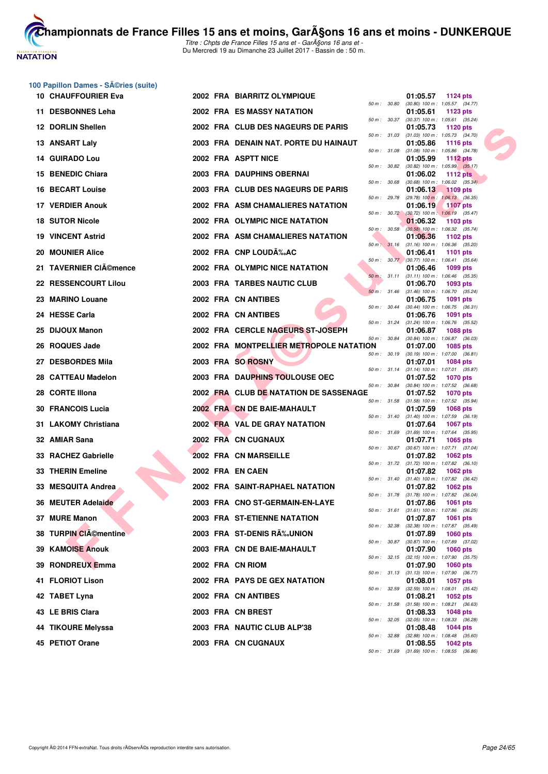

#### **100 Papillon Dames - Séries (suite)**

| <b>10 CHAUFFOURIER Eva</b> |  | 2002 FRA BIARRITZ OLYMPIQUE             |              |              | 01:05.57<br>1124 pts                                                      |
|----------------------------|--|-----------------------------------------|--------------|--------------|---------------------------------------------------------------------------|
| 11 DESBONNES Leha          |  | 2002 FRA ES MASSY NATATION              |              |              | 50 m: 30.80 (30.80) 100 m: 1:05.57 (34.77)<br>01:05.61<br>1123 pts        |
| 12 DORLIN Shellen          |  | 2002 FRA CLUB DES NAGEURS DE PARIS      |              |              | 50 m: 30.37 (30.37) 100 m: 1:05.61 (35.24)<br>01:05.73<br>1120 pts        |
| 13 ANSART Laly             |  | 2003 FRA DENAIN NAT. PORTE DU HAINAUT   |              |              | 50 m: 31.03 (31.03) 100 m: 1:05.73 (34.70)<br>01:05.86<br>1116 pts        |
| 14 GUIRADO Lou             |  | 2002 FRA ASPTT NICE                     | 50 m: 31.08  |              | $(31.08)$ 100 m : 1:05.86 $(34.78)$<br>01:05.99<br><b>1112 pts</b>        |
| 15 BENEDIC Chiara          |  | 2003 FRA DAUPHINS OBERNAI               | 50 m : 30.82 |              | $(30.82)$ 100 m : 1:05.99 $(35.17)$<br>01:06.02<br>1112 $pts$             |
| <b>16 BECART Louise</b>    |  | 2003 FRA CLUB DES NAGEURS DE PARIS      | 50 m : 30.68 |              | $(30.68)$ 100 m : 1:06.02 $(35.34)$<br>01:06.13<br><b>1109 pts</b>        |
| 17 VERDIER Anouk           |  | 2002 FRA ASM CHAMALIERES NATATION       |              | 50 m : 29.78 | $(29.78)$ 100 m : 1:06.13 $(36.35)$<br>01:06.19<br>1107 pts               |
| <b>18 SUTOR Nicole</b>     |  | 2002 FRA OLYMPIC NICE NATATION          |              |              | 50 m : 30.72 (30.72) 100 m : 1:06.19 (35.47)<br>01:06.32<br>1103 pts      |
| <b>19 VINCENT Astrid</b>   |  | 2002 FRA ASM CHAMALIERES NATATION       |              |              | 50 m : 30.58 (30.58) 100 m : 1:06.32 (35.74)<br>01:06.36<br>1102 pts      |
| <b>20 MOUNIER Alice</b>    |  | 2002 FRA CNP LOUDA %. AC                |              |              | 50 m: 31.16 (31.16) 100 m: 1:06.36 (35.20)<br>01:06.41<br><b>1101 pts</b> |
| 21 TAVERNIER CIémence      |  | 2002 FRA OLYMPIC NICE NATATION          |              |              | 50 m : 30.77 (30.77) 100 m : 1:06.41 (35.64)<br>01:06.46<br>1099 pts      |
| 22 RESSENCOURT Lilou       |  | 2003 FRA TARBES NAUTIC CLUB             |              |              | 50 m: 31.11 (31.11) 100 m: 1:06.46 (35.35)<br>01:06.70<br>1093 pts        |
| 23 MARINO Louane           |  | 2002 FRA CN ANTIBES                     |              |              | 50 m: 31.46 (31.46) 100 m: 1:06.70 (35.24)<br>01:06.75<br>1091 pts        |
| 24 HESSE Carla             |  | 2002 FRA CN ANTIBES                     |              | 50 m : 30.44 | $(30.44)$ 100 m : 1:06.75 $(36.31)$<br>01:06.76<br>1091 pts               |
| 25 DIJOUX Manon            |  | 2002 FRA CERCLE NAGEURS ST-JOSEPH       |              |              | 50 m: 31.24 (31.24) 100 m: 1:06.76 (35.52)<br>01:06.87<br><b>1088 pts</b> |
| 26 ROQUES Jade             |  | 2002 FRA MONTPELLIER METROPOLE NATATION | 50 m : 30.84 |              | $(30.84)$ 100 m : 1:06.87 $(36.03)$<br>01:07.00<br>1085 pts               |
| 27 DESBORDES Mila          |  | 2003 FRA SO ROSNY                       | 50 m: 30.19  |              | $(30.19)$ 100 m : 1:07.00 $(36.81)$<br>01:07.01<br>1084 pts               |
| 28 CATTEAU Madelon         |  | 2003 FRA DAUPHINS TOULOUSE OEC          |              |              | 50 m: 31.14 (31.14) 100 m: 1:07.01 (35.87)<br>01:07.52<br>1070 pts        |
| 28 CORTE Illona            |  | 2002 FRA CLUB DE NATATION DE SASSENAGE  | 50 m : 30.84 |              | (30.84) 100 m : 1:07.52 (36.68)<br>01:07.52<br><b>1070 pts</b>            |
| <b>30 FRANCOIS Lucia</b>   |  | 2002 FRA CN DE BAIE-MAHAULT             |              |              | 50 m: 31.58 (31.58) 100 m: 1:07.52 (35.94)<br>01:07.59<br>1068 pts        |
| 31 LAKOMY Christiana       |  | 2002 FRA VAL DE GRAY NATATION           |              |              | 50 m: 31.40 (31.40) 100 m: 1:07.59 (36.19)<br>01:07.64<br><b>1067 pts</b> |
| 32 AMIAR Sana              |  | 2002 FRA CN CUGNAUX                     | 50 m : 31.69 |              | $(31.69)$ 100 m : 1:07.64 $(35.95)$<br>01:07.71<br>1065 pts               |
| 33 RACHEZ Gabrielle        |  | 2002 FRA CN MARSEILLE                   | 50 m : 30.67 |              | $(30.67)$ 100 m : 1:07.71 $(37.04)$<br>01:07.82<br>1062 pts               |
| 33 THERIN Emeline          |  | 2002 FRA EN CAEN                        |              |              | 50 m: 31.72 (31.72) 100 m: 1:07.82 (36.10)<br>01:07.82<br>1062 pts        |
| 33 MESQUITA Andrea         |  | 2002 FRA SAINT-RAPHAEL NATATION         |              |              | 50 m: 31.40 (31.40) 100 m: 1:07.82 (36.42)<br>01:07.82<br>1062 pts        |
| 36 MEUTER Adelaide         |  | 2003 FRA CNO ST-GERMAIN-EN-LAYE         |              |              | 50 m: 31.78 (31.78) 100 m: 1:07.82 (36.04)<br>01:07.86 1061 pts           |
| 37 MURE Manon              |  | 2003 FRA ST-ETIENNE NATATION            |              |              | 50 m: 31.61 (31.61) 100 m: 1:07.86 (36.25)<br>01:07.87<br>1061 pts        |
| 38 TURPIN CIémentine       |  | 2003 FRA ST-DENIS RÉUNION               |              |              | 50 m: 32.38 (32.38) 100 m: 1:07.87 (35.49)<br>01:07.89                    |
|                            |  |                                         |              |              | 1060 pts<br>50 m: 30.87 (30.87) 100 m: 1:07.89 (37.02)                    |
| 39 KAMOISE Anouk           |  | 2003 FRA CN DE BAIE-MAHAULT             |              |              | 01:07.90<br>1060 pts<br>50 m: 32.15 (32.15) 100 m: 1:07.90 (35.75)        |
| 39 RONDREUX Emma           |  | 2002 FRA CN RIOM                        |              |              | 01:07.90<br>1060 pts<br>50 m: 31.13 (31.13) 100 m: 1:07.90 (36.77)        |
| 41 FLORIOT Lison           |  | 2002 FRA PAYS DE GEX NATATION           |              |              | 01:08.01<br>1057 pts<br>50 m: 32.59 (32.59) 100 m: 1:08.01 (35.42)        |
| 42 TABET Lyna              |  | 2002 FRA CN ANTIBES                     |              |              | 01:08.21<br>1052 pts<br>50 m: 31.58 (31.58) 100 m: 1:08.21 (36.63)        |
| 43 LE BRIS Clara           |  | 2003 FRA CN BREST                       |              |              | 01:08.33<br>1048 pts<br>50 m: 32.05 (32.05) 100 m: 1:08.33 (36.28)        |
| 44 TIKOURE Melyssa         |  | 2003 FRA NAUTIC CLUB ALP'38             |              |              | 01:08.48<br>1044 pts<br>50 m : 32.88 (32.88) 100 m : 1:08.48 (35.60)      |
| 45 PETIOT Orane            |  | 2003 FRA CN CUGNAUX                     |              |              | 01:08.55<br>1042 pts<br>50 m: 31.69 (31.69) 100 m: 1:08.55 (36.86)        |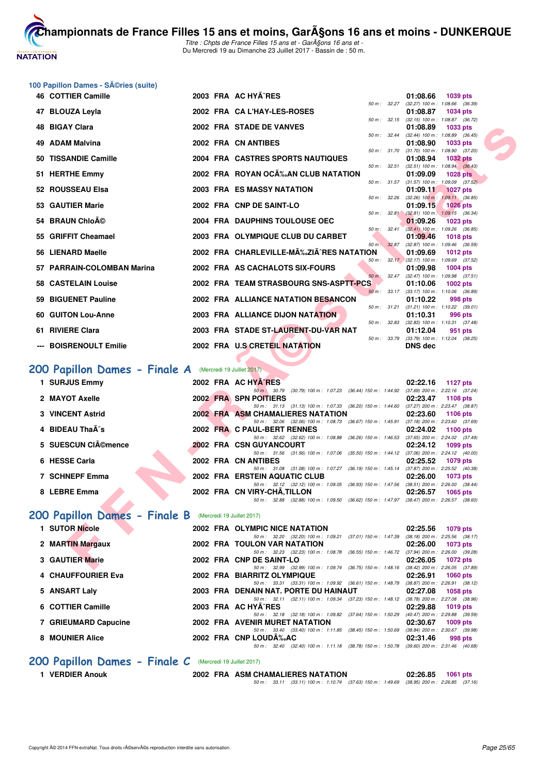

Titre : Chpts de France Filles 15 ans et - GarA§ons 16 ans et -Du Mercredi 19 au Dimanche 23 Juillet 2017 - Bassin de : 50 m.

#### **100 Papillon Dames - Séries (suite)**

| 46 COTTIER Camille                                       |  | 2003 FRA AC HYA^RES                                                                                                           | 01:08.66<br><b>1039 pts</b>                                        |
|----------------------------------------------------------|--|-------------------------------------------------------------------------------------------------------------------------------|--------------------------------------------------------------------|
| 47 BLOUZA Leyla                                          |  | $50 m$ : $32.27$<br>2002 FRA CAL'HAY-LES-ROSES                                                                                | (32.27) 100 m: 1:08.66 (36.39)<br>01:08.87<br><b>1034 pts</b>      |
|                                                          |  |                                                                                                                               | 50 m: 32.15 (32.15) 100 m: 1:08.87 (36.72)                         |
| 48 BIGAY Clara                                           |  | 2002 FRA STADE DE VANVES<br>50 m: 32.44                                                                                       | 01:08.89<br>1033 pts<br>(32.44) 100 m: 1:08.89 (36.45)             |
| 49 ADAM Malvina                                          |  | 2002 FRA CN ANTIBES                                                                                                           | 01:08.90<br>1033 pts                                               |
| 50 TISSANDIE Camille                                     |  | 50 m: 31.70<br>2004 FRA CASTRES SPORTS NAUTIQUES                                                                              | $(31.70)$ 100 m : 1:08.90 $(37.20)$<br>01:08.94<br><b>1032 pts</b> |
| 51 HERTHE Emmy                                           |  | 50 m: 32.51<br>2002 FRA ROYAN OC‰AN CLUB NATATION                                                                             | $(32.51)$ 100 m : 1:08.94 $(36.43)$<br>01:09.09<br><b>1028 pts</b> |
|                                                          |  | 50 m: 31.57                                                                                                                   | $(31.57)$ 100 m : 1:09.09 $(37.52)$                                |
| 52 ROUSSEAU Elsa                                         |  | 2003 FRA ES MASSY NATATION<br>50 m : 32.26                                                                                    | 01:09.11<br><b>1027 pts</b><br>$(32.26)$ 100 m : 1:09.11 $(36.85)$ |
| 53 GAUTIER Marie                                         |  | 2002 FRA CNP DE SAINT-LO                                                                                                      | 01:09.15<br><b>1026 pts</b>                                        |
| 54 BRAUN Chloé                                           |  | 50 m : 32.81<br>2004 FRA DAUPHINS TOULOUSE OEC                                                                                | $(32.81)$ 100 m : 1:09.15 $(36.34)$<br>01:09.26<br>1023 pts        |
|                                                          |  | 50 m: 32.41                                                                                                                   | (32.41) 100 m : 1:09.26 (36.85)                                    |
| 55 GRIFFIT Cheamael                                      |  | 2003 FRA OLYMPIQUE CLUB DU CARBET                                                                                             | 01:09.46<br><b>1018 pts</b>                                        |
| 56 LIENARD Maelle                                        |  | 50 m: 32.87<br>2002 FRA CHARLEVILLE-M‰ZIÂ^RES NATATION                                                                        | (32.87) 100 m : 1:09.46 (36.59)<br>01:09.69<br><b>1012 pts</b>     |
|                                                          |  |                                                                                                                               | 50 m: 32.17 (32.17) 100 m: 1:09.69 (37.52)                         |
| 57 PARRAIN-COLOMBAN Marina                               |  | 2002 FRA AS CACHALOTS SIX-FOURS<br>50 m: 32.47                                                                                | 01:09.98<br><b>1004 pts</b><br>$(32.47)$ 100 m : 1:09.98 $(37.51)$ |
| 58 CASTELAIN Louise                                      |  | 2002 FRA TEAM STRASBOURG SNS-ASPTT-PCS                                                                                        | 01:10.06<br><b>1002 pts</b>                                        |
| 59 BIGUENET Pauline                                      |  | 2002 FRA ALLIANCE NATATION BESANCON                                                                                           | 50 m: 33.17 (33.17) 100 m: 1:10.06 (36.89)<br>01:10.22<br>998 pts  |
|                                                          |  | 50 m : 31.21                                                                                                                  | $(31.21)$ 100 m : 1:10.22 $(39.01)$                                |
| 60 GUITON Lou-Anne                                       |  | 2003 FRA ALLIANCE DIJON NATATION                                                                                              | 01:10.31<br>996 pts                                                |
| 61 RIVIERE Clara                                         |  | 50 m: 32.83<br>2003 FRA STADE ST-LAURENT-DU-VAR NAT                                                                           | $(32.83)$ 100 m : 1:10.31 $(37.48)$<br>01:12.04<br>951 pts         |
|                                                          |  |                                                                                                                               | 50 m: 33.79 (33.79) 100 m: 1:12.04 (38.25)                         |
| --- BOISRENOULT Emilie                                   |  | 2002 FRA U.S CRETEIL NATATION                                                                                                 | <b>DNS dec</b>                                                     |
|                                                          |  |                                                                                                                               |                                                                    |
| 200 Papillon Dames - Finale A (Mercredi 19 Juillet 2017) |  |                                                                                                                               |                                                                    |
| 1 SURJUS Emmy                                            |  | 2002 FRA AC HYA^RES                                                                                                           | 02:22.16<br>1127 pts                                               |
| 2 MAYOT Axelle                                           |  | 50 m · 30.79 (30.79) 100 m · 1:07.23 (36.44) 150 m · 1:44.92 (37.69) 200 m · 2:22.16 (37.24)<br>2002 FRA SPN POITIERS         | 02:23.47<br><b>1108 pts</b>                                        |
|                                                          |  | 50 m: 31.13 (31.13) 100 m: 1:07.33 (36.20) 150 m: 1:44.60 (37.27) 200 m: 2:23.47 (38.87)                                      |                                                                    |
| <b>3 VINCENT Astrid</b>                                  |  | 2002 FRA ASM CHAMALIERES NATATION<br>50 m: 32.06 (32.06) 100 m: 1:08.73 (36.67) 150 m: 1:45.91 (37.18) 200 m: 2:23.60 (37.69) | 02:23.60<br><b>1106 pts</b>                                        |
| 4 BIDEAU Thaà s                                          |  | 2002 FRA C PAUL-BERT RENNES                                                                                                   | 02:24.02<br>1100 pts                                               |
|                                                          |  | 50 m: 32.62 (32.62) 100 m: 1:08.88 (36.26) 150 m: 1:46.53 (37.65) 200 m: 2:24.02 (37.49)                                      |                                                                    |
| 5 SUESCUN CIA©mence                                      |  | <b>2002 FRA CSN GUYANCOURT</b><br>50 m: 31.56 (31.56) 100 m: 1:07.06 (35.50) 150 m: 1:44.12 (37.06) 200 m: 2:24.12 (40.00)    | 02:24.12<br>1099 pts                                               |
| 6 HESSE Carla                                            |  | 2002 FRA CN ANTIBES                                                                                                           | 02:25.52<br>1079 pts                                               |
| 7 SCHNEPF Emma                                           |  | 50 m: 31.08 (31.08) 100 m: 1:07.27 (36.19) 150 m: 1:45.14 (37.87) 200 m: 2:25.52 (40.38)<br>2002 FRA ERSTEIN AQUATIC CLUB     | 02:26.00<br><b>1073 pts</b>                                        |
|                                                          |  | 50 m: 32.12 (32.12) 100 m: 1:09.05 (36.93) 150 m: 1:47.56 (38.51) 200 m: 2:26.00 (38.44)                                      |                                                                    |
| 8 LEBRE Emma                                             |  | 2002 FRA CN VIRY-CHA, TILLON                                                                                                  | 02:26.57<br>1065 pts                                               |
|                                                          |  | 50 m: 32.88 (32.88) 100 m: 1.09.50 (36.62) 150 m: 1.47.97 (38.47) 200 m: 2.26.57 (38.60)                                      |                                                                    |
| 200 Papillon Dames - Finale B (Mercredi 19 Juillet 2017) |  |                                                                                                                               |                                                                    |
| 1 SUTOR Nicole                                           |  | 2002 FRA OLYMPIC NICE NATATION                                                                                                | 02:25.56<br>1079 pts                                               |
|                                                          |  | 50 m: 32.20 (32.20) 100 m: 1:09.21 (37.01) 150 m: 1:47.39 (38.18) 200 m: 2:25.56 (38.17)                                      |                                                                    |
| 2 MARTIN Margaux                                         |  | 2002 FRA TOULON VAR NATATION<br>50 m: 32.23 (32.23) 100 m: 1:08.78 (36.55) 150 m: 1:46.72 (37.94) 200 m: 2:26.00 (39.28)      | 02:26.00<br><b>1073 pts</b>                                        |
| 3 GAUTIER Marie                                          |  | 2002 FRA CNP DE SAINT-LO                                                                                                      | 02:26.05<br>1072 pts                                               |
|                                                          |  | 50 m : 32.99 (32.99) 100 m : 1:09.74 (36.75) 150 m : 1:48.16 (38.42) 200 m : 2:26.05 (37.89)                                  |                                                                    |

# **[200 Papillon Dames - Finale A](http://www.ffnatation.fr/webffn/resultats.php?idact=nat&go=epr&idcpt=47485&idepr=33)** (Mercredi 19 Juillet 2017)

| 1 SURJUS Emmy                | 2002 FRA AC HYA'RES                                                                                  | 02:22.16<br>1127 $p$ ts                                     |
|------------------------------|------------------------------------------------------------------------------------------------------|-------------------------------------------------------------|
| 2 MAYOT Axelle               | (30.79) 100 m : 1:07.23 (36.44) 150 m : 1:44.92<br>$50 \text{ m}$ ; $30.79$<br>2002 FRA SPN POITIERS | $(37.69)$ 200 m : 2:22.16 $(37.24)$<br>02:23.47<br>1108 pts |
|                              | 50 m: 31.13 (31.13) 100 m: 1:07.33 (36.20) 150 m: 1:44.60                                            | (37.27) 200 m : 2:23.47 (38.87)                             |
| 3 VINCENT Astrid             | 2002 FRA ASM CHAMALIERES NATATION<br>50 m: 32.06 (32.06) 100 m: 1:08.73 (36.67) 150 m: 1:45.91       | 02:23.60<br>1106 pts<br>$(37.18)$ 200 m : 2:23.60 $(37.69)$ |
| 4 BIDEAU ThaÂ <sup>-</sup> s | 2002 FRA C PAUL-BERT RENNES<br>50 m: 32.62 (32.62) 100 m: 1:08.88 (36.26) 150 m: 1:46.53             | 02:24.02<br>1100 pts<br>$(37.65)$ 200 m : 2:24.02 $(37.49)$ |
| 5 SUESCUN CIémence           | <b>2002 FRA CSN GUYANCOURT</b>                                                                       | 02:24.12<br>1099 pts                                        |
| 6 HESSE Carla                | 50 m: 31.56 (31.56) 100 m: 1:07.06 (35.50) 150 m: 1:44.12<br>2002 FRA CN ANTIBES                     | $(37.06)$ 200 m : 2:24.12 $(40.00)$<br>02:25.52<br>1079 pts |
| 7 SCHNEPF Emma               | 50 m: 31.08 (31.08) 100 m: 1:07.27 (36.19) 150 m: 1:45.14<br>2002 FRA ERSTEIN AQUATIC CLUB           | $(37.87)$ 200 m : 2:25.52 $(40.38)$<br>02:26.00<br>1073 pts |
|                              | 50 m: 32.12 (32.12) 100 m: 1:09.05 (36.93) 150 m: 1:47.56                                            | $(38.51)$ 200 m : 2:26.00 $(38.44)$                         |
| 8 LEBRE Emma                 | 2002 FRA CN VIRY-CHA, TILLON<br>50 m : 32.88 (32.88) 100 m : 1:09.50 (36.62) 150 m : 1:47.97         | 02:26.57<br>1065 pts<br>$(38.47)$ 200 m : 2:26.57 $(38.60)$ |

# [200 Papillon Dames - Finale B](http://www.ffnatation.fr/webffn/resultats.php?idact=nat&go=epr&idcpt=47485&idepr=33) (Mercredi 19 Juillet 2017)

| 1 SUTOR Nicole                                                                                                   |  | 2002 FRA OLYMPIC NICE NATATION                               |                                                 | 02:25.56                            | 1079 pts                       |
|------------------------------------------------------------------------------------------------------------------|--|--------------------------------------------------------------|-------------------------------------------------|-------------------------------------|--------------------------------|
|                                                                                                                  |  | 50 m: 32.20 (32.20) 100 m: 1:09.21 (37.01) 150 m: 1:47.39    |                                                 |                                     | (38.18) 200 m : 2:25.56 (38.17 |
| 2 MARTIN Margaux                                                                                                 |  | <b>2002 FRA TOULON VAR NATATION</b>                          |                                                 | 02:26.00                            | 1073 pts                       |
|                                                                                                                  |  | 50 m: 32.23 (32.23) 100 m: 1:08.78 (36.55) 150 m: 1:46.72    |                                                 | $(37.94)$ 200 m : 2:26.00 $(39.28)$ |                                |
| 3 GAUTIER Marie                                                                                                  |  | 2002 FRA CNP DE SAINT-LO                                     |                                                 | 02:26.05                            | 1072 pts                       |
|                                                                                                                  |  | 50 m: 32.99 (32.99) 100 m: 1:09.74 (36.75) 150 m: 1:48.16    |                                                 |                                     | (38.42) 200 m : 2:26.05 (37.89 |
| <b>4 CHAUFFOURIER Eva</b>                                                                                        |  | 2002 FRA BIARRITZ OLYMPIQUE                                  |                                                 | 02:26.91                            | 1060 $pts$                     |
|                                                                                                                  |  | 50 m: 33.31 (33.31) 100 m: 1:09.92 (36.61) 150 m: 1:48.79    |                                                 |                                     | (38.87) 200 m : 2:26.91 (38.12 |
| 5 ANSART Laly                                                                                                    |  | 2003 FRA DENAIN NAT, PORTE DU HAINAUT                        |                                                 | 02:27.08                            | 1058 pts                       |
|                                                                                                                  |  | 50 m : 32.11 (32.11) 100 m : 1:09.34 (37.23) 150 m : 1:48.12 |                                                 | (38.78) 200 m : 2:27.08 (38.96      |                                |
| 6 COTTIER Camille                                                                                                |  | 2003 FRA AC HYA RES                                          |                                                 | 02:29.88                            | 1019 $pts$                     |
|                                                                                                                  |  | 50 m: 32.18 (32.18) 100 m: 1:09.82 (37.64) 150 m: 1:50.29    |                                                 |                                     | (40.47) 200 m : 2:29.88 (39.59 |
| 7 GRIEUMARD Capucine                                                                                             |  | 2002 FRA AVENIR MURET NATATION                               |                                                 | 02:30.67                            | $1009$ pts                     |
|                                                                                                                  |  | 50 m: 33.40 (33.40) 100 m: 1:11.85 (38.45) 150 m: 1:50.69    |                                                 | $(38.84)$ 200 m : 2:30.67 (39.98)   |                                |
| 8 MOUNIER Alice                                                                                                  |  | 2002 FRA CNP LOUDA%AC                                        |                                                 | 02:31.46                            | 998 pts                        |
|                                                                                                                  |  | 50 m : 32.40                                                 | (32.40) 100 m : 1:11.18 (38.78) 150 m : 1:50.78 | $(39.60)$ 200 m : 2:31.46 $(40.68)$ |                                |
| 000 December National Phone 2012 Committee Committee Committee Committee Committee Committee Committee Committee |  |                                                              |                                                 |                                     |                                |

#### **[200 Papillon Dames - Finale C](http://www.ffnatation.fr/webffn/resultats.php?idact=nat&go=epr&idcpt=47485&idepr=33)** (Mercredi 19 Juillet 2017)

**1 VERDIER Anouk 2002 FRA ASM CHAMALIERES NATATION 02:26.85 1061 pts**

50 m : 33.11 (33.11) 100 m : 1:10.74 (37.63) 150 m : 1:49.69 (38.95) 200 m : 2:26.85 (37.16)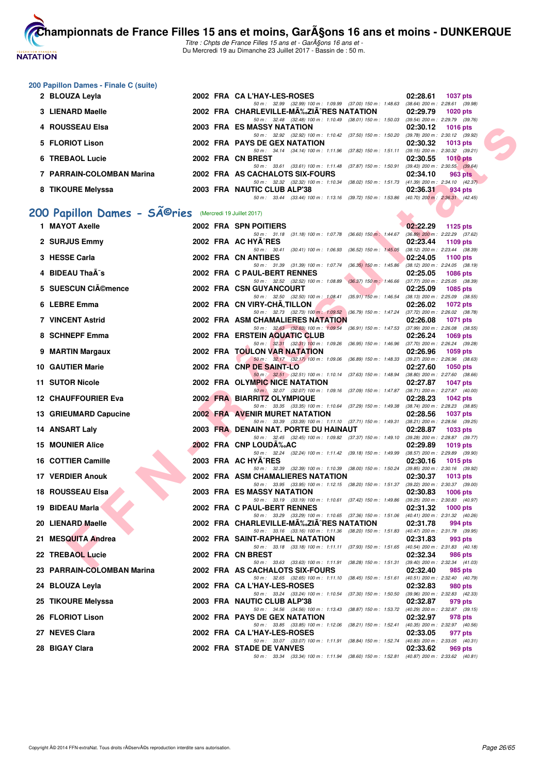

Titre : Chpts de France Filles 15 ans et - GarA§ons 16 ans et -Du Mercredi 19 au Dimanche 23 Juillet 2017 - Bassin de : 50 m.

#### **200 Papillon Dames - Finale C (suite)**

| 2 BLOUZA Leyla<br>2002 FRA CA L'HAY-LES-ROSES                       | 02:28.61 | <b>1037 pts</b>                     |
|---------------------------------------------------------------------|----------|-------------------------------------|
| 50 m: 32.99 (32.99) 100 m: 1:09.99 (37.00) 150 m: 1:48.63           |          | $(38.64)$ 200 m : 2:28.61 $(39.98)$ |
| 2002 FRA CHARLEVILLE-MÉZIÃ^RES NATATION<br>3 LIENARD Maelle         | 02:29.79 | $1020$ pts                          |
| 50 m: 32.48 (32.48) 100 m: 1:10.49 (38.01) 150 m: 1:50.03           |          | $(39.54)$ 200 m : 2:29.79 $(39.76)$ |
| 4 ROUSSEAU Elsa<br>2003 FRA ES MASSY NATATION                       | 02:30.12 | $1016$ pts                          |
| 50 m: 32.92 (32.92) 100 m: 1:10.42 (37.50) 150 m: 1:50.20           |          | $(39.78)$ 200 m : 2:30.12 $(39.92)$ |
| 5 FLORIOT Lison<br>2002 FRA PAYS DE GEX NATATION                    | 02:30.32 | 1013 pts                            |
| 50 m: 34.14 (34.14) 100 m: 1:11.96 (37.82) 150 m: 1:51.11           |          | $(39.15)$ 200 m : 2:30.32 $(39.21)$ |
| 6 TREBAOL Lucie<br>2002 FRA CN BREST                                | 02:30.55 | $1010$ pts                          |
| 50 m: 33.61 (33.61) 100 m: 1:11.48 (37.87) 150 m: 1:50.91           |          | $(39.43)$ 200 m : 2:30.55 $(39.64)$ |
| 7 PARRAIN-COLOMBAN Marina<br>2002 FRA AS CACHALOTS SIX-FOURS        | 02:34.10 | 963 pts                             |
| (38.02) 150 m : 1:51.73<br>50 m : 32.32 (32.32) 100 m : 1:10.34     |          | $(41.39)$ 200 m : 2:34.10 $(42.37)$ |
| 8 TIKOURE Melyssa<br>2003 FRA NAUTIC CLUB ALP'38                    | 02:36.31 | 934 pts                             |
| $(33.44)$ 100 m : 1:13.16 $(39.72)$ 150 m : 1:53.86<br>50 m : 33.44 |          | $(40.70)$ 200 m : 2:36.31 $(42.45)$ |
|                                                                     |          |                                     |
| 00 Papillon Dames - SÃ <sup>@</sup> ries (Mercredi 19 Juillet 2017) |          |                                     |
| $4$ MAVOT Avalla<br><b>2002 EDA CON DOITIEDS</b>                    | nn.nn nn | $A$ $A$ $B$ $E$ $A$ $A$ $A$         |

# 200 Papillon Dames - SÃ<sup>@</sup>ries (Mercredi 19 Juillet 2017)

| 4 ROUSSEAU Elsa                                                     |  | <b>2003 FRA ES MASSY NATATION</b>                                                                                                    | 02:30.12 | 1016 pts        |
|---------------------------------------------------------------------|--|--------------------------------------------------------------------------------------------------------------------------------------|----------|-----------------|
| 5 FLORIOT Lison                                                     |  | 50 m: 32.92 (32.92) 100 m: 1:10.42 (37.50) 150 m: 1:50.20 (39.78) 200 m: 2:30.12 (39.92)<br>2002 FRA PAYS DE GEX NATATION            | 02:30.32 | $1013$ pts      |
| 6 TREBAOL Lucie                                                     |  | 50 m: 34.14 (34.14) 100 m: 1:11.96 (37.82) 150 m: 1:51.11 (39.15) 200 m: 2:30.32 (39.21)<br>2002 FRA CN BREST                        | 02:30.55 | 1010 $pts$      |
| 7 PARRAIN-COLOMBAN Marina                                           |  | 50 m: 33.61 (33.61) 100 m: 1:11.48 (37.87) 150 m: 1:50.91 (39.43) 200 m: 2:30.55 (39.64)<br>2002 FRA AS CACHALOTS SIX-FOURS          | 02:34.10 | 963 pts         |
|                                                                     |  | 50 m: 32.32 (32.32) 100 m: 1:10.34 (38.02) 150 m: 1:51.73 (41.39) 200 m: 2:34.10 (42.37)                                             |          |                 |
| 8 TIKOURE Melyssa                                                   |  | 2003 FRA NAUTIC CLUB ALP'38<br>50 m: 33.44 (33.44) 100 m: 1:13.16 (39.72) 150 m: 1:53.86 (40.70) 200 m: 2:36.31 (42.45)              | 02:36.31 | 934 pts         |
| 00 Papillon Dames - SÃ <sup>©</sup> ries (Mercredi 19 Juillet 2017) |  |                                                                                                                                      |          |                 |
| 1 MAYOT Axelle                                                      |  | 2002 FRA SPN POITIERS                                                                                                                | 02:22.29 | 1125 pts        |
| 2 SURJUS Emmy                                                       |  | 50 m: 31.18 (31.18) 100 m: 1:07.78 (36.60) 150 m: 1:44.67 (36.89) 200 m: 2:22.29 (37.62)<br>2002 FRA AC HYA^RES                      | 02:23.44 | 1109 pts        |
| 3 HESSE Carla                                                       |  | 50 m: 30.41 (30.41) 100 m: 1:06.93 (36.52) 150 m: 1:45.05 (38.12) 200 m: 2:23.44 (38.39)<br>2002 FRA CN ANTIBES                      | 02:24.05 | 1100 pts        |
| 4 BIDEAU Tha s                                                      |  | 50 m: 31.39 (31.39) 100 m: 1:07.74 (36.35) 150 m: 1:45.86 (38.12) 200 m: 2:24.05 (38.19)<br>2002 FRA C PAUL-BERT RENNES              | 02:25.05 | 1086 pts        |
| 5 SUESCUN CIémence                                                  |  | 50 m: 32.52 (32.52) 100 m: 1:08.89 (36.37) 150 m: 1:46.66 (37.77) 200 m: 2:25.05 (38.39)<br>2002 FRA CSN GUYANCOURT                  | 02:25.09 | 1085 pts        |
| 6 LEBRE Emma                                                        |  | 50 m: 32.50 (32.50) 100 m: 1:08.41 (35.91) 150 m: 1:46.54 (38.13) 200 m: 2:25.09 (38.55)<br>2002 FRA CN VIRY-CHA, TILLON             |          |                 |
|                                                                     |  | 50 m: 32.73 (32.73) 100 m: 1:09.52 (36.79) 150 m: 1:47.24 (37.72) 200 m: 2:26.02 (38.78)                                             | 02:26.02 | 1072 pts        |
| 7 VINCENT Astrid                                                    |  | 2002 FRA ASM CHAMALIERES NATATION<br>50 m: 32.63 (32.63) 100 m: 1.09.54 (36.91) 150 m: 1.47.53 (37.99) 200 m: 2:26.08 (38.55)        | 02:26.08 | 1071 pts        |
| 8 SCHNEPF Emma                                                      |  | 2002 FRA ERSTEIN AQUATIC CLUB                                                                                                        | 02:26.24 | 1069 $pts$      |
| 9 MARTIN Margaux                                                    |  | 50 m: 32.31 (32.31) 100 m: 1:09.26 (36.95) 150 m: 1:46.96 (37.70) 200 m: 2:26.24 (39.28)<br>2002 FRA TOULON VAR NATATION             | 02:26.96 | 1059 pts        |
| 10 GAUTIER Marie                                                    |  | 50 m: 32.17 (32.17) 100 m: 1.09.06 (36.89) 150 m: 1.48.33 (39.27) 200 m: 2:26.96 (38.63)<br>2002 FRA CNP DE SAINT-LO                 | 02:27.60 | 1050 pts        |
| 11 SUTOR Nicole                                                     |  | 50 m : 32.51 (32.51) 100 m : 1:10.14 (37.63) 150 m : 1:48.94 (38.80) 200 m : 2:27.60 (38.66)<br>2002 FRA OLYMPIC NICE NATATION       | 02:27.87 | 1047 pts        |
| <b>12 CHAUFFOURIER Eva</b>                                          |  | $50 \text{ m}$ : 32.07 (32.07) 100 m: 1:09.16 (37.09) 150 m: 1:47.87 (38.71) 200 m: 2:27.87 (40.00)<br>2002 FRA BIARRITZ OLYMPIQUE   | 02:28.23 | 1042 pts        |
|                                                                     |  | 50 m: 33.35 (33.35) 100 m: 1:10.64 (37.29) 150 m: 1:49.38 (38.74) 200 m: 2:28.23 (38.85)                                             |          |                 |
| 13 GRIEUMARD Capucine                                               |  | <b>2002 FRA AVENIR MURET NATATION</b><br>50 m: 33.39 (33.39) 100 m: 1:11.10 (37.71) 150 m: 1:49.31 (38.21) 200 m: 2:28.56 (39.25)    | 02:28.56 | 1037 pts        |
| 14 ANSART Laly                                                      |  | 2003 FRA DENAIN NAT. PORTE DU HAINAUT<br>50 m: 32.45 (32.45) 100 m: 1:09.82 (37.37) 150 m: 1:49.10 (39.28) 200 m: 2:28.87 (39.77)    | 02:28.87 | 1033 pts        |
| <b>15 MOUNIER Alice</b>                                             |  | 2002 FRA CNP LOUDA‰AC<br>50 m: 32.24 (32.24) 100 m: 1:11.42 (39.18) 150 m: 1:49.99 (38.57) 200 m: 2:29.89 (39.90)                    | 02:29.89 | 1019 pts        |
| 16 COTTIER Camille                                                  |  | 2003 FRA AC HYA^RES<br>50 m: 32.39 (32.39) 100 m: 1:10.39 (38.00) 150 m: 1:50.24 (39.85) 200 m: 2:30.16 (39.92)                      | 02:30.16 | 1015 pts        |
| 17 VERDIER Anouk                                                    |  | 2002 FRA ASM CHAMALIERES NATATION                                                                                                    | 02:30.37 | $1013$ pts      |
| <b>18 ROUSSEAU Elsa</b>                                             |  | 50 m: 33.95 (33.95) 100 m: 1:12.15 (38.20) 150 m: 1:51.37 (39.22) 200 m: 2:30.37 (39.00)<br><b>2003 FRA ES MASSY NATATION</b>        | 02:30.83 | 1006 pts        |
| 19 BIDEAU Marla                                                     |  | 50 m: 33.19 (33.19) 100 m: 1:10.61 (37.42) 150 m: 1:49.86 (39.25) 200 m: 2:30.83 (40.97)<br>2002 FRA C PAUL-BERT RENNES              | 02:31.32 | <b>1000 pts</b> |
|                                                                     |  | 50 m: 33.29 (33.29) 100 m: 1:10.65 (37.36) 150 m: 1:51.06 (40.41) 200 m: 2:31.32 (40.26)                                             |          |                 |
| 20 LIENARD Maelle                                                   |  | 2002 FRA CHARLEVILLE-MA‰ZIA^RES NATATION<br>50 m: 33.16 (33.16) 100 m: 1:11.36 (38.20) 150 m: 1:51.83 (40.47) 200 m: 2:31.78 (39.95) | 02:31.78 | 994 pts         |
| 21 MESQUITA Andrea                                                  |  | 2002 FRA SAINT-RAPHAEL NATATION<br>50 m: 33.18 (33.18) 100 m: 1:11.11 (37.93) 150 m: 1:51.65 (40.54) 200 m: 2:31.83 (40.18)          | 02:31.83 | 993 pts         |
| 22 TREBAOL Lucie                                                    |  | 2002 FRA CN BREST<br>50 m: 33.63 (33.63) 100 m: 1:11.91 (38.28) 150 m: 1:51.31 (39.40) 200 m: 2:32.34 (41.03)                        | 02:32.34 | 986 pts         |
| 23 PARRAIN-COLOMBAN Marina                                          |  | 2002 FRA AS CACHALOTS SIX-FOURS                                                                                                      | 02:32.40 | 985 pts         |
| 24 BLOUZA Leyla                                                     |  | 50 m: 32.65 (32.65) 100 m: 1:11.10 (38.45) 150 m: 1:51.61 (40.51) 200 m: 2:32.40 (40.79)<br>2002 FRA CA L'HAY-LES-ROSES              | 02:32.83 | 980 pts         |
| 25 TIKOURE Melyssa                                                  |  | 50 m: 33.24 (33.24) 100 m: 1:10.54 (37.30) 150 m: 1:50.50 (39.96) 200 m: 2:32.83 (42.33)<br>2003 FRA NAUTIC CLUB ALP'38              | 02:32.87 | 979 pts         |
| 26 FLORIOT Lison                                                    |  | 50 m: 34.56 (34.56) 100 m: 1:13.43 (38.87) 150 m: 1:53.72 (40.29) 200 m: 2:32.87 (39.15)<br>2002 FRA PAYS DE GEX NATATION            | 02:32.97 | 978 pts         |
| 27 NEVES Clara                                                      |  | 50 m: 33.85 (33.85) 100 m: 1:12.06 (38.21) 150 m: 1:52.41 (40.35) 200 m: 2:32.97 (40.56)<br>2002 FRA CA L'HAY-LES-ROSES              | 02:33.05 | 977 pts         |
|                                                                     |  | 50 m: 33.07 (33.07) 100 m: 1:11.91 (38.84) 150 m: 1:52.74 (40.83) 200 m: 2:33.05 (40.31)                                             |          |                 |
| 28 BIGAY Clara                                                      |  | 2002 FRA STADE DE VANVES<br>50 m: 33.34 (33.34) 100 m: 1:11.94 (38.60) 150 m: 1:52.81 (40.87) 200 m: 2:33.62 (40.81)                 | 02:33.62 | 969 pts         |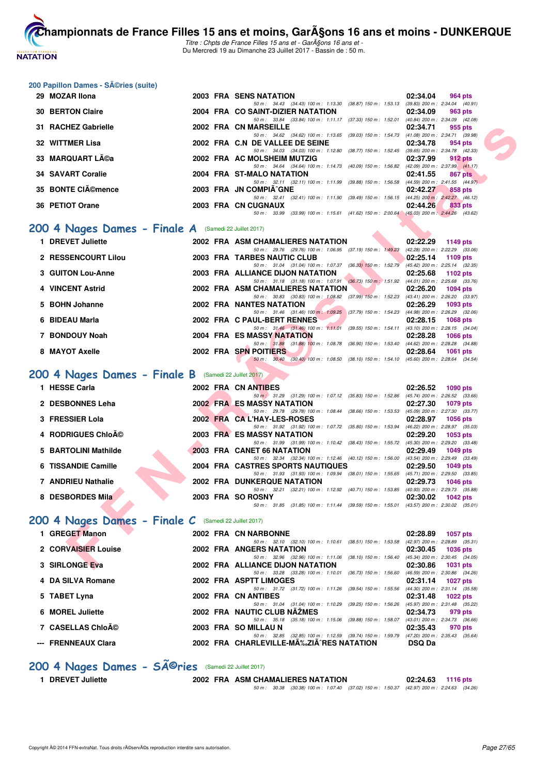

**.**<br>Thampionnats de France Filles 15 ans et moins, Garçons 16 ans et moins - DUNKERQUE Titre : Chpts de France Filles 15 ans et - Garçons 16 ans et -

Du Mercredi 19 au Dimanche 23 Juillet 2017 - Bassin de : 50 m.

#### 200 Papillon Dames - Séries (suite)

| 29 MOZAR Ilona           |  | 2003 FRA SENS NATATION                                                                      | 02:34.04 | 964 pts                             |  |
|--------------------------|--|---------------------------------------------------------------------------------------------|----------|-------------------------------------|--|
|                          |  | 50 m: 34.43 (34.43) 100 m: 1:13.30 (38.87) 150 m: 1:53.13                                   |          | $(39.83)$ 200 m : 2:34.04 $(40.91)$ |  |
| <b>30 BERTON Claire</b>  |  | 2004 FRA CO SAINT-DIZIER NATATION                                                           | 02:34.09 | 963 pts                             |  |
|                          |  | 50 m: 33.84 (33.84) 100 m: 1:11.17 (37.33) 150 m: 1:52.01                                   |          | $(40.84)$ 200 m : 2:34.09 $(42.08)$ |  |
| 31 RACHEZ Gabrielle      |  | 2002 FRA CN MARSEILLE                                                                       | 02:34.71 | 955 pts                             |  |
|                          |  | 50 m: 34.62 (34.62) 100 m: 1:13.65 (39.03) 150 m: 1:54.73                                   |          | $(41.08)$ 200 m : 2:34.71 $(39.98)$ |  |
| 32 WITTMER Lisa          |  | 2002 FRA C.N DE VALLEE DE SEINE                                                             | 02:34.78 | 954 pts                             |  |
|                          |  | 50 m: 34.03 (34.03) 100 m: 1:12.80 (38.77) 150 m: 1:52.45                                   |          | $(39.65)$ 200 m : 2:34.78 $(42.33)$ |  |
| 33 MARQUART Léa          |  | 2002 FRA AC MOLSHEIM MUTZIG                                                                 | 02:37.99 | 912 pts                             |  |
|                          |  | 50 m: 34.64 (34.64) 100 m: 1:14.73 (40.09) 150 m: 1:56.82                                   |          | $(42.09)$ 200 m : 2:37.99 $(41.17)$ |  |
| <b>34 SAVART Coralie</b> |  | 2004 FRA ST-MALO NATATION                                                                   | 02:41.55 | 867 pts                             |  |
|                          |  | 50 m: 32.11 (32.11) 100 m: 1:11.99 (39.88) 150 m: 1:56.58                                   |          | $(44.59)$ 200 m : 2:41.55 $(44.97)$ |  |
| 35 BONTE CIémence        |  | 2003 FRA JN COMPIA GNE                                                                      | 02:42.27 | 858 pts                             |  |
|                          |  | (32.41) 100 m : 1:11.90 (39.49) 150 m : 1:56.15<br>$50 \text{ m}$ : 32.41                   |          | $(44.25)$ 200 m : 2:42.27 $(46.12)$ |  |
| 36 PETIOT Orane          |  | 2003 FRA CN CUGNAUX                                                                         | 02:44.26 | 833 pts                             |  |
|                          |  | (33.99) 100 m: 1:15.61 (41.62) 150 m: 2:00.64 (45.03) 200 m: 2:44.26 (43.62)<br>50 m: 33.99 |          |                                     |  |

#### [200 4 Nages Dames - Finale A](http://www.ffnatation.fr/webffn/resultats.php?idact=nat&go=epr&idcpt=47485&idepr=41) (Samedi 22 Juillet 2017)

| 1 DREVET Juliette        | 2002 FRA ASM CHAMALIERES NATATION                                                | 02:22.29<br>1149 pts                |
|--------------------------|----------------------------------------------------------------------------------|-------------------------------------|
|                          | 50 m: 29.76 (29.76) 100 m: 1:06.95<br>$(37.19)$ 150 m : 1:49.23                  | $(42.28)$ 200 m : 2:22.29 $(33.06)$ |
| 2 RESSENCOURT Lilou      | 2003 FRA TARBES NAUTIC CLUB                                                      | 02:25.14<br>1109 $pts$              |
|                          | 50 m: 31.04 (31.04) 100 m: 1:07.37 (36.33) 150 m: 1:52.79                        | (45.42) 200 m : 2:25.14 (32.35)     |
| <b>3 GUITON Lou-Anne</b> | 2003 FRA ALLIANCE DIJON NATATION                                                 | 02:25.68<br>1102 $p$ ts             |
|                          | 50 m: 31.18 (31.18) 100 m: 1:07.91 (36.73) 150 m: 1:51.92                        | $(44.01)$ 200 m : 2:25.68 $(33.76)$ |
| 4 VINCENT Astrid         | 2002 FRA ASM CHAMALIERES NATATION                                                | 02:26.20<br>$1094$ pts              |
|                          | $(37.99)$ 150 m : 1:52.23<br>50 m : 30.83 (30.83) 100 m : 1:08.82                | $(43.41)$ 200 m : 2:26.20 $(33.97)$ |
| 5 BOHN Johanne           | <b>2002 FRA NANTES NATATION</b>                                                  | 02:26.29<br>1093 pts                |
|                          | $(37.79)$ 150 m : 1:54.23<br>50 m: 31.46 (31.46) 100 m: 1:09.25                  | $(44.98)$ 200 m : 2:26.29 $(32.06)$ |
| 6 BIDEAU Marla           | 2002 FRA C PAUL-BERT RENNES                                                      | 02:28.15<br>$1068$ pts              |
|                          | $(39.55)$ 150 m : 1:54.11<br>50 m: 31.46 (31.46) 100 m: 1:11.01                  | $(43.10)$ 200 m : 2:28.15 $(34.04)$ |
| 7 BONDOUY Noah           | 2004 FRA ES MASSY NATATION                                                       | 02:28.28<br><b>1066 pts</b>         |
|                          | $(31.88)$ 100 m : 1:08.78<br>(36.90) 150 m : 1:53.40<br>$50 \text{ m}$ : $31.88$ | $(44.62)$ 200 m : 2:28.28 $(34.88)$ |
| 8 MAYOT Axelle           | 2002 FRA SPN POITIERS                                                            | 02:28.64<br><b>1061 pts</b>         |
|                          | $(30.40)$ 100 m : 1:08.50<br>(38.10) 150 m : 1:54.10<br>50 m: 30.40              | $(45.60)$ 200 m : 2:28.64 $(34.54)$ |

#### **[200 4 Nages Dames - Finale B](http://www.ffnatation.fr/webffn/resultats.php?idact=nat&go=epr&idcpt=47485&idepr=41)** (Samedi 22 Juillet 2017)

| 1 RACHEZ Gabrielle                                    | 2002 FRA CN MARSEILLE                                                                                                         | 02:34.71<br>955 pts         |
|-------------------------------------------------------|-------------------------------------------------------------------------------------------------------------------------------|-----------------------------|
| 2   WITTMER Lisa                                      | 50 m: 34.62 (34.62) 100 m: 1:13.65 (39.03) 150 m: 1:54.73 (41.08) 200 m: 2:34.71 (39.98)<br>2002 FRA C.N DE VALLEE DE SEINE   | 02:34.78<br>954 pts         |
| 3 MARQUART Léa                                        | 50 m: 34.03 (34.03) 100 m: 1:12.80 (38.77) 150 m: 1:52.45 (39.65) 200 m: 2:34.78 (42.33)<br>2002 FRA AC MOLSHEIM MUTZIG       | 02:37.99<br>912 pts         |
|                                                       | 50 m: 34.64 (34.64) 100 m: 1:14.73 (40.09) 150 m: 1:56.82 (42.09) 200 m: 2:37.99 (41.17)                                      |                             |
| 4 SAVART Coralie                                      | 2004 FRA ST-MALO NATATION                                                                                                     | 02:41.55<br>867 pts         |
| 5 BONTE CIémence                                      | 50 m: 32.11 (32.11) 100 m: 1:11.99 (39.88) 150 m: 1:56.58 (44.59) 200 m: 2:41.55 (44.97)<br>2003 FRA JN COMPIÃ GNE            | 02:42.27<br>858 pts         |
|                                                       | 50 m: 32.41 (32.41) 100 m: 1:11.90 (39.49) 150 m: 1:56.15 (44.25) 200 m: 2:42.27 (46.12)                                      |                             |
| 6 PETIOT Orane                                        | 2003 FRA CN CUGNAUX<br>50 m: 33.99 (33.99) 100 m: 1:15.61 (41.62) 150 m: 2:00.64 (45.03) 200 m: 2:44.26 (43.62)               | 02:44.26<br>833 pts         |
|                                                       |                                                                                                                               |                             |
| 10 4 Nages Dames - Finale A (Samedi 22 Juillet 2017)  |                                                                                                                               |                             |
| 1 DREVET Juliette                                     | 2002 FRA ASM CHAMALIERES NATATION                                                                                             | 02:22.29 1149 pts           |
| <b>2 RESSENCOURT Lilou</b>                            | 50 m: 29.76 (29.76) 100 m: 1:06.95 (37.19) 150 m: 1:49.23 (42.28) 200 m: 2:22.29 (33.06)<br>2003 FRA TARBES NAUTIC CLUB       | 02:25.14<br>1109 pts        |
|                                                       | 50 m: 31.04 (31.04) 100 m: 1:07.37 (36.33) 150 m: 1:52.79 (45.42) 200 m: 2:25.14 (32.35)                                      |                             |
| <b>3 GUITON Lou-Anne</b>                              | 2003 FRA ALLIANCE DIJON NATATION                                                                                              | 02:25.68<br>1102 pts        |
|                                                       | 50 m: 31.18 (31.18) 100 m: 1:07.91 (36.73) 150 m: 1:51.92 (44.01) 200 m: 2:25.68 (33.76)                                      |                             |
| 4 VINCENT Astrid                                      | 2002 FRA ASM CHAMALIERES NATATION<br>50 m: 30.83 (30.83) 100 m: 1:08.82 (37.99) 150 m: 1:52.23 (43.41) 200 m: 2:26.20 (33.97) | 02:26.20 1094 pts           |
| 5 BOHN Johanne                                        | 2002 FRA NANTES NATATION                                                                                                      | 02:26.29<br>1093 pts        |
|                                                       | 50 m : 31.46 (31.46) $100 \text{ m}$ : 1.09.25 (37.79) $150 \text{ m}$ : 1.54.23 (44.98) $200 \text{ m}$ : 2:26.29 (32.06)    |                             |
| 6 BIDEAU Marla                                        | 2002 FRA C PAUL-BERT RENNES                                                                                                   | 02:28.15 1068 pts           |
| 7   BONDOUY Noah                                      | 50 m: 31.46 (31.46) 100 m: 1:11.01 (39.55) 150 m: 1:54.11 (43.10) 200 m: 2:28.15 (34.04)<br>2004 FRA ES MASSY NATATION        | 02:28.28<br>1066 pts        |
|                                                       | 50 m: 31.88 (31.88) 100 m: 1.08.78 (36.90) 150 m: 1.53.40 (44.62) 200 m: 2:28.28 (34.88)                                      |                             |
| 8 MAYOT Axelle                                        | 2002 FRA SPN POITIERS                                                                                                         | 02:28.64<br><b>1061 pts</b> |
|                                                       | 50 m: 30.40 (30.40) 100 m: 1:08.50 (38.10) 150 m: 1:54.10 (45.60) 200 m: 2:28.64 (34.54)                                      |                             |
| 0 4 Nages Dames - Finale B $(Samedi 22$ Juillet 2017) |                                                                                                                               |                             |
| 1 HESSE Carla                                         | 2002 FRA CN ANTIBES                                                                                                           | 02:26.52<br>1090 pts        |
|                                                       | 50 m : 31.29 (31.29) 100 m : 1:07.12 (35.83) 150 m : 1:52.86 (45.74) 200 m : 2:26.52 (33.66)                                  |                             |
| 2 DESBONNES Leha                                      | <b>2002 FRA ES MASSY NATATION</b>                                                                                             | 02:27.30<br>1079 pts        |
| 3 FRESSIER Lola                                       | 50 m: 29.78 (29.78) 100 m: 1:08.44 (38.66) 150 m: 1:53.53 (45.09) 200 m: 2:27.30 (33.77)<br>2002 FRA CAL'HAY-LES-ROSES        | 02:28.97<br>1056 pts        |
|                                                       | 50 m: 31.92 (31.92) 100 m: 1:07.72 (35.80) 150 m: 1:53.94 (46.22) 200 m: 2:28.97 (35.03)                                      |                             |
| 4 RODRIGUES ChloA©                                    | 2003 FRA ES MASSY NATATION                                                                                                    | 02:29.20<br>$1053$ pts      |
|                                                       | 50 m: 31.99 (31.99) 100 m: 1:10.42 (38.43) 150 m: 1:55.72 (45.30) 200 m: 2:29.20 (33.48)                                      |                             |
| 5 BARTOLINI Mathilde                                  | 2003 FRA CANET 66 NATATION<br>50 m: 32.34 (32.34) 100 m: 1:12.46 (40.12) 150 m: 1:56.00 (43.54) 200 m: 2:29.49 (33.49)        | 02:29.49<br>1049 pts        |
| 6   TISSANDIE Camille                                 | 2004 FRA CASTRES SPORTS NAUTIQUES                                                                                             | 02:29.50<br>1049 pts        |
|                                                       | 50 m: 31.93 (31.93) 100 m: 1:09.94 (38.01) 150 m: 1:55.65 (45.71) 200 m: 2:29.50 (33.85)                                      |                             |
| 7 ANDRIEU Nathalie                                    | 2002 FRA DUNKERQUE NATATION                                                                                                   | 02:29.73<br>1046 pts        |
|                                                       | 50 m: 32.21 (32.21) 100 m: 1:12.92 (40.71) 150 m: 1:53.85 (40.93) 200 m: 2:29.73 (35.88)<br>2003 FRA SO ROSNY                 | 02:30.02<br>1042 pts        |
| 8 DESBORDES Mila                                      | $50 m$ : 31.85 (31.85) $100 m$ : 1:11.44 (39.59) $150 m$ : 1:55.01 (43.57) $200 m$ : 2:30.02 (35.01)                          |                             |
|                                                       |                                                                                                                               |                             |
| 10 4 Nages Dames - Finale C (Samedi 22 Juillet 2017)  |                                                                                                                               |                             |
| 1 GREGET Manon                                        | 2002 FRA CN NARBONNE                                                                                                          | 02:28.89<br>1057 pts        |
|                                                       | 50 m: 32.10 (32.10) 100 m: 1:10.61 (38.51) 150 m: 1:53.58 (42.97) 200 m: 2:28.89 (35.31)                                      |                             |
| 2 CORVAISIER Louise 2002 FRA ANGERS NATATION          | 50 m: 32.96 (32.96) 100 m: 1:11.06 (38.10) 150 m: 1:56.40 (45.34) 200 m: 2:30.45 (34.05)                                      | 02:30.45<br><b>1036 pts</b> |
| 3 SIRLONGE Eva                                        | 2002 FRA ALLIANCE DIJON NATATION                                                                                              | 02:30.86<br>1031 pts        |
|                                                       |                                                                                                                               |                             |

#### [200 4 Nages Dames - Finale C](http://www.ffnatation.fr/webffn/resultats.php?idact=nat&go=epr&idcpt=47485&idepr=41) (Samedi 22 Juillet 2017)

| 1 GREGET Manon      |  | 2002 FRA CN NARBONNE                                                                     | 02:28.89      | <b>1057 pts</b>                     |
|---------------------|--|------------------------------------------------------------------------------------------|---------------|-------------------------------------|
|                     |  | (38.51) 150 m : 1:53.58<br>50 m : 32.10 (32.10) 100 m : 1:10.61                          |               | (42.97) 200 m : 2:28.89 (35.31)     |
| 2 CORVAISIER Louise |  | 2002 FRA ANGERS NATATION                                                                 | 02:30.45      | 1036 pts                            |
|                     |  | 50 m: 32.96 (32.96) 100 m: 1:11.06 (38.10) 150 m: 1:56.40                                |               | $(45.34)$ 200 m : 2:30.45 $(34.05)$ |
| 3 SIRLONGE Eva      |  | 2002 FRA ALLIANCE DIJON NATATION                                                         | 02:30.86      | 1031 pts                            |
|                     |  | 50 m: 33.28 (33.28) 100 m: 1:10.01 (36.73) 150 m: 1:56.60                                |               | (46.59) 200 m : 2:30.86 (34.26)     |
| 4 DA SILVA Romane   |  | 2002 FRA ASPTT LIMOGES                                                                   | 02:31.14      | 1027 pts                            |
|                     |  | 50 m: 31.72 (31.72) 100 m: 1:11.26 (39.54) 150 m: 1:55.56                                |               | $(44.30)$ 200 m : 2:31.14 $(35.58)$ |
| 5 TABET Lyna        |  | 2002 FRA CN ANTIBES                                                                      | 02:31.48      | 1022 pts                            |
|                     |  | 50 m: 31.04 (31.04) 100 m: 1:10.29 (39.25) 150 m: 1:56.26 (45.97) 200 m: 2:31.48 (35.22) |               |                                     |
| 6 MOREL Juliette    |  | 2002 FRA NAUTIC CLUB NAŽMES                                                              | 02:34.73      | 979 pts                             |
|                     |  | 50 m: 35.18 (35.18) 100 m: 1:15.06 (39.88) 150 m: 1:58.07                                |               | $(43.01)$ 200 m : 2:34.73 $(36.66)$ |
| 7 CASELLAS Chloé    |  | 2003 FRA SO MILLAU N                                                                     | 02:35.43      | 970 pts                             |
|                     |  | 50 m: 32.85 (32.85) 100 m: 1:12.59 (39.74) 150 m: 1:59.79 (47.20) 200 m: 2:35.43 (35.64) |               |                                     |
| --- FRENNEAUX Clara |  | 2002 FRA CHARLEVILLE-MÉZIÃ^RES NATATION                                                  | <b>DSQ Da</b> |                                     |

# 200 4 Nages Dames - SÃ<sup>@</sup>ries (Samedi 22 Juillet 2017)

#### **1 DREVET Juliette 2002 FRA ASM CHAMALIERES NATATION 02:24.63 1116 pts**

50 m : 30.38 (30.38) 100 m : 1:07.40 (37.02) 150 m : 1:50.37 (42.97) 200 m : 2:24.63 (34.26)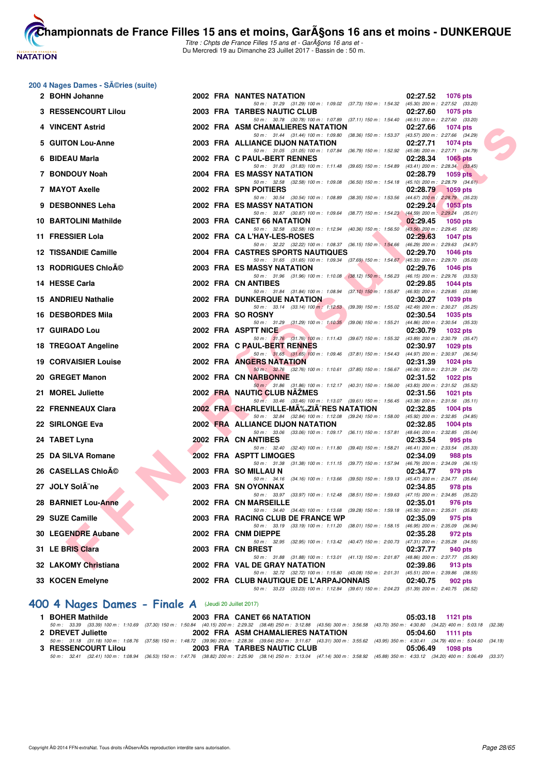# **NATATION FRANÇAISE**

**[Cham](http://www.ffnatation.fr/webffn/index.php)pionnats de France Filles 15 ans et moins, GarA§ons 16 ans et moins - DUNKERQUE** Titre : Chpts de France Filles 15 ans et - GarA§ons 16 ans et -

Du Mercredi 19 au Dimanche 23 Juillet 2017 - Bassin de : 50 m.

#### **200 4 Nages Dames - Séries (suite)**

| 2 BOHN Johanne               |  | 2002 FRA NANTES NATATION                                                                                                             | 02:27.52 | 1076 pts                                   |
|------------------------------|--|--------------------------------------------------------------------------------------------------------------------------------------|----------|--------------------------------------------|
| 3 RESSENCOURT Lilou          |  | 50 m: 31.29 (31.29) 100 m: 1:09.02 (37.73) 150 m: 1:54.32 (45.30) 200 m: 2:27.52 (33.20)<br>2003 FRA TARBES NAUTIC CLUB              | 02:27.60 | <b>1075 pts</b>                            |
| 4 VINCENT Astrid             |  | 50 m: 30.78 (30.78) 100 m: 1:07.89 (37.11) 150 m: 1:54.40 (46.51) 200 m: 2:27.60 (33.20)<br>2002 FRA ASM CHAMALIERES NATATION        | 02:27.66 | 1074 pts                                   |
|                              |  | 50 m: 31.44 (31.44) 100 m: 1:09.80 (38.36) 150 m: 1:53.37 (43.57) 200 m: 2:27.66 (34.29)                                             |          |                                            |
| 5 GUITON Lou-Anne            |  | 2003 FRA ALLIANCE DIJON NATATION<br>50 m: 31.05 (31.05) 100 m: 1:07.84 (36.79) 150 m: 1:52.92 (45.08) 200 m: 2:27.71 (34.79)         | 02:27.71 | <b>1074 pts</b>                            |
| 6 BIDEAU Marla               |  | 2002 FRA C PAUL-BERT RENNES                                                                                                          | 02:28.34 | 1065 pts                                   |
| 7 BONDOUY Noah               |  | 50 m: 31.83 (31.83) 100 m: 1:11.48 (39.65) 150 m: 1:54.89 (43.41) 200 m: 2:28.34 (33.45)<br>2004 FRA ES MASSY NATATION               | 02:28.79 | 1059 pts                                   |
|                              |  | 50 m: 32.58 (32.58) 100 m: 1:09.08 (36.50) 150 m: 1:54.18 (45.10) 200 m: 2:28.79 (34.61)                                             |          |                                            |
| 7 MAYOT Axelle               |  | 2002 FRA SPN POITIERS<br>50 m: 30.54 (30.54) 100 m: 1:08.89 (38.35) 150 m: 1:53.56 (44.67) 200 m: 2:28.79 (35.23)                    | 02:28.79 | <b>1059 pts</b>                            |
| 9 DESBONNES Leha             |  | 2002 FRA ES MASSY NATATION                                                                                                           | 02:29.24 | $1053$ pts                                 |
| <b>10 BARTOLINI Mathilde</b> |  | 50 m: 30.87 (30.87) 100 m: 1:09.64 (38.77) 150 m: 1:54.23 (44.59) 200 m: 2:29.24 (35.01)<br>2003 FRA CANET 66 NATATION               | 02:29.45 | 1050 pts                                   |
|                              |  | 50 m: 32.58 (32.58) 100 m: 1:12.94 (40.36) 150 m: 1:56.50 (43.56) 200 m: 2:29.45 (32.95)                                             |          |                                            |
| 11 FRESSIER Lola             |  | 2002 FRA CA L'HAY-LES-ROSES<br>50 m: 32.22 (32.22) 100 m: 1:08.37 (36.15) 150 m: 1:54.66 (46.29) 200 m: 2:29.63 (34.97)              | 02:29.63 | <b>1047 pts</b>                            |
| 12 TISSANDIE Camille         |  | 2004 FRA CASTRES SPORTS NAUTIQUES                                                                                                    | 02:29.70 | 1046 pts                                   |
| 13 RODRIGUES Chloé           |  | 50 m: 31.65 (31.65) 100 m: 1:09.34 (37.69) 150 m: 1:54.67 (45.33) 200 m: 2:29.70 (35.03)<br>2003 FRA ES MASSY NATATION               | 02:29.76 | <b>1046 pts</b>                            |
|                              |  | 50 m: 31.96 (31.96) 100 m: 1:10.08 (38.12) 150 m: 1:56.23 (46.15) 200 m: 2:29.76 (33.53)                                             |          |                                            |
| 14 HESSE Carla               |  | 2002 FRA CN ANTIBES<br>50 m: 31.84 (31.84) 100 m: 1:08.94 (37.10) 150 m: 1:55.87 (46.93) 200 m: 2:29.85 (33.98)                      | 02:29.85 | 1044 pts                                   |
| 15 ANDRIEU Nathalie          |  | <b>2002 FRA DUNKERQUE NATATION</b>                                                                                                   | 02:30.27 | 1039 pts                                   |
| 16 DESBORDES Mila            |  | 50 m : 33.14 (33.14) 100 m : 1:12.53 (39.39) 150 m : 1:55.02 (42.49) 200 m : 2:30.27 (35.25)<br>2003 FRA SO ROSNY                    | 02:30.54 | 1035 pts                                   |
|                              |  | 50 m: 31.29 (31.29) 100 m: 1:10.35 (39.06) 150 m: 1:55.21 (44.86) 200 m: 2:30.54 (35.33)                                             |          |                                            |
| 17 GUIRADO Lou               |  | 2002 FRA ASPTT NICE<br>50 m: 31.76 (31.76) 100 m: 1:11.43 (39.67) 150 m: 1:55.32 (43.89) 200 m: 2:30.79 (35.47)                      | 02:30.79 | 1032 pts                                   |
| 18 TREGOAT Angeline          |  | 2002 FRA C PAUL-BERT RENNES                                                                                                          | 02:30.97 | 1029 pts                                   |
| <b>19 CORVAISIER Louise</b>  |  | 50 m: 31.65 (31.65) 100 m: 1:09.46 (37.81) 150 m: 1:54.43 (44.97) 200 m: 2:30.97 (36.54)<br>2002 FRA ANGERS NATATION                 | 02:31.39 | 1024 pts                                   |
|                              |  | 50 m: 32.76 (32.76) 100 m: 1:10.61 (37.85) 150 m: 1:56.67 (46.06) 200 m: 2:31.39 (34.72)                                             |          |                                            |
| 20 GREGET Manon              |  | 2002 FRA CN NARBONNE<br>50 m: 31.86 (31.86) 100 m: 1:12.17 (40.31) 150 m: 1:56.00 (43.83) 200 m: 2:31.52 (35.52)                     | 02:31.52 | 1022 pts                                   |
| 21 MOREL Juliette            |  | 2002 FRA NAUTIC CLUB NAZMES                                                                                                          | 02:31.56 | <b>1021 pts</b>                            |
| 22 FRENNEAUX Clara           |  | 50 m: 33.46 (33.46) 100 m: 1:13.07 (39.61) 150 m: 1:56.45 (43.38) 200 m: 2:31.56 (35.11)<br>2002 FRA CHARLEVILLE-MA‰ZIA^RES NATATION | 02:32.85 | 1004 pts                                   |
|                              |  | 50 m: 32.84 (32.84) 100 m: 1:12.08 (39.24) 150 m: 1:58.00 (45.92) 200 m: 2:32.85 (34.85)                                             |          |                                            |
| 22 SIRLONGE Eva              |  | 2002 FRA ALLIANCE DIJON NATATION<br>50 m: 33.06 (33.06) 100 m: 1:09.17 (36.11) 150 m: 1:57.81 (48.64) 200 m: 2:32.85 (35.04)         | 02:32.85 | 1004 pts                                   |
| 24 TABET Lyna                |  | 2002 FRA CN ANTIBES                                                                                                                  | 02:33.54 | 995 pts                                    |
| 25 DA SILVA Romane           |  | 50 m: 32.40 (32.40) 100 m: 1:11.80 (39.40) 150 m: 1:58.21 (46.41) 200 m: 2:33.54 (35.33)<br>2002 FRA ASPTT LIMOGES                   | 02:34.09 | 988 pts                                    |
|                              |  | 50 m: 31.38 (31.38) 100 m: 1:11.15 (39.77) 150 m: 1:57.94 (46.79) 200 m: 2:34.09 (36.15)                                             |          |                                            |
| 26 CASELLAS ChloA©           |  | 2003 FRA SO MILLAU N<br>50 m: 34.16 (34.16) 100 m: 1:13.66 (39.50) 150 m: 1:59.13 (45.47) 200 m: 2:34.77 (35.64)                     | 02:34.77 | 979 pts                                    |
| 27 JOLY SolÂ"ne              |  | 2003 FRA SNOYONNAX                                                                                                                   | 02:34.85 | 978 pts                                    |
| 28 BARNIET Lou-Anne          |  | 50 m: 33.97 (33.97) 100 m: 1:12.48 (38.51) 150 m: 1:59.63 (47.15) 200 m: 2:34.85 (35.22)<br>2002 FRA CN MARSEILLE                    | 02:35.01 | 976 pts                                    |
|                              |  | 50 m: 34.40 (34.40) 100 m: 1:13.68 (39.28) 150 m: 1:59.18 (45.50) 200 m: 2:35.01 (35.83)                                             |          |                                            |
| 29 SUZE Camille              |  | 2003 FRA RACING CLUB DE FRANCE WP<br>50 m: 33.19 (33.19) 100 m: 1:11.20 (38.01) 150 m: 1:58.15 (46.95) 200 m: 2:35.09 (36.94)        | 02:35.09 | 975 pts                                    |
| 30 LEGENDRE Aubane           |  | 2002 FRA CNM DIEPPE                                                                                                                  | 02:35.28 | 972 pts                                    |
| 31 LE BRIS Clara             |  | 50 m: 32.95 (32.95) 100 m: 1:13.42 (40.47) 150 m: 2:00.73 (47.31) 200 m: 2:35.28 (34.55)<br>2003 FRA CN BREST                        | 02:37.77 | 940 pts                                    |
|                              |  | 50 m : 31.88 (31.88) 100 m : 1:13.01 (41.13) 150 m : 2:01.87 (48.86) 200 m : 2:37.77 (35.90)                                         |          |                                            |
| 32 LAKOMY Christiana         |  | 2002 FRA VAL DE GRAY NATATION<br>50 m : 32.72 (32.72) 100 m : 1:15.80 (43.08) 150 m : 2:01.31                                        | 02:39.86 | 913 pts<br>(45.51) 200 m : 2:39.86 (38.55) |
| 33 KOCEN Emelyne             |  | 2002 FRA  CLUB NAUTIQUE DE L'ARPAJONNAIS                                                                                             | 02:40.75 | 902 pts                                    |
|                              |  | 50 m : 33.23 (33.23) 100 m : 1:12.84 (39.61) 150 m : 2:04.23 (51.39) 200 m : 2:40.75 (36.52)                                         |          |                                            |

# **[400 4 Nages Dames - Finale A](http://www.ffnatation.fr/webffn/resultats.php?idact=nat&go=epr&idcpt=47485&idepr=42)** (Jeudi 20 Juillet 2017)

| <b>BOHER Mathilde</b>      | 2003 FRA CANET 66 NATATION                                                                                                                                                                   | 05:03.18 1121 pts |
|----------------------------|----------------------------------------------------------------------------------------------------------------------------------------------------------------------------------------------|-------------------|
|                            | 50 m : 33.39 (33.39) 100 m : 1:10.69 (37.30) 150 m : 1:50.84 (40.15) 200 m : 2:29.32 (38.48) 250 m : 3:12.88 (43.56) 300 m : 3:56.58 (43.70) 350 m : 4:30.80 (34.22) 400 m : 5:03.18 (32.38) |                   |
| 2 DREVET Juliette          | 2002 FRA ASM CHAMALIERES NATATION                                                                                                                                                            | 05:04.60 1111 pts |
|                            | 50 m: 31.18 (31.18) 100 m: 1:08.76 (37.58) 150 m: 1:48.72 (39.96) 200 m: 2:28.36 (39.64) 250 m: 3:11.67 (43.31) 300 m: 3:55.62 (43.95) 350 m: 4:30.41 (34.79) 400 m: 5:04.60 (34.19)         |                   |
| <b>3 RESSENCOURT Lilou</b> | 2003 FRA TARBES NAUTIC CLUB                                                                                                                                                                  | 05:06.49 1098 pts |
|                            | 50 m : 32.41 (32.41) 100 m : 1:08.94 (36.53) 150 m : 1:47.76 (38.82) 200 m : 2:25.90 (38.14) 250 m : 3:13.04 (47.14) 300 m : 3:58.92 (45.88) 350 m : 4:33.12 (34.20) 400 m : 5:06.49 (33.37) |                   |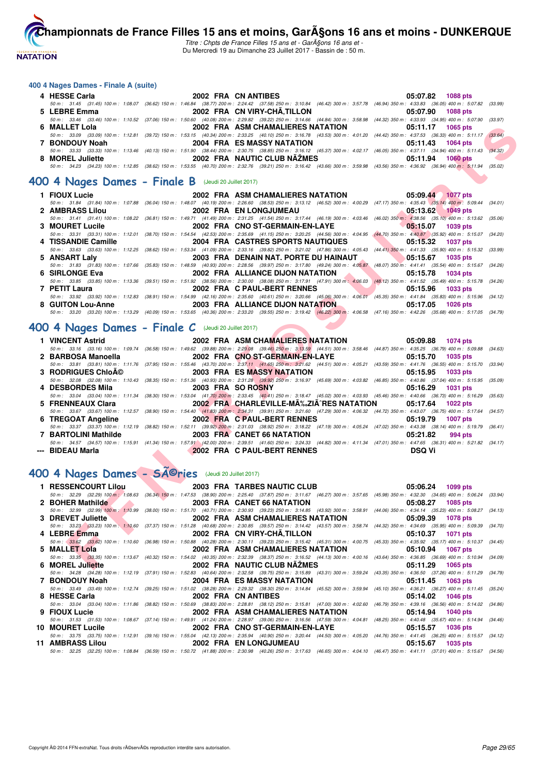

Titre : Chpts de France Filles 15 ans et - GarA§ons 16 ans et -Du Mercredi 19 au Dimanche 23 Juillet 2017 - Bassin de : 50 m.

#### **400 4 Nages Dames - Finale A (suite)**

| 4 HESSE Carla                        | 2002 FRA CN ANTIBES                                                                                                                                                                          | 05:07.82 1088 pts      |
|--------------------------------------|----------------------------------------------------------------------------------------------------------------------------------------------------------------------------------------------|------------------------|
| 50 m : 31.45 (31.45) 100 m : 1:08.07 | (36.62) 150 m : 1:46.84 (38.77) 200 m : 2:24.42 (37.58) 250 m : 3:10.84 (46.42) 300 m : 3:57.78 (46.94) 350 m : 4:33.83 (36.05) 400 m : 5:07.82 (33.99)                                      |                        |
| 5 LEBRE Emma                         | 2002 FRA CN VIRY-CHÂ, TILLON                                                                                                                                                                 | 05:07.90 1088 pts      |
| 50 m : 33.46 (33.46) 100 m : 1:10.52 | (37.06) 150 m : 1:50.60 (40.08) 200 m : 2:29.82 (39.22) 250 m : 3:14.66 (44.84) 300 m : 3:58.98 (44.32) 350 m : 4:33.93 (34.95) 400 m : 5:07.90 (33.97)                                      |                        |
| 6 MALLET Lola                        | 2002 FRA ASM CHAMALIERES NATATION                                                                                                                                                            | 05:11.17<br>1065 pts   |
|                                      | 50 m: 33.09 (33.09) 100 m: 1:12.81 (39.72) 150 m: 1:53.15 (40.34) 200 m: 2:33.25 (40.10) 250 m: 3:16.78 (43.53) 300 m: 4:01.20 (44.42) 350 m: 4:37.53 (36.33) 400 m: 5:11.17 (33.64)         |                        |
| 7 BONDOUY Noah                       | 2004 FRA ES MASSY NATATION                                                                                                                                                                   | 05:11.43 1064 pts      |
|                                      | 50 m: 33.33 (33.33) 100 m: 1:13.46 (40.13) 150 m: 1:51.90 (38.44) 200 m: 2:30.75 (38.85) 250 m: 3:16.12 (45.37) 300 m: 4:02.17 (46.05) 350 m: 4:37.11 (34.94) 400 m: 5:11.43 (34.32)         |                        |
| 8 MOREL Juliette                     | 2002 FRA NAUTIC CLUB NÃŽMES                                                                                                                                                                  | 05:11.94<br>$1060$ pts |
|                                      | 50 m : 34.23 (34.23) 100 m : 1:12.85 (38.62) 150 m : 1:53.55 (40.70) 200 m : 2:32.76 (39.21) 250 m : 3:16.42 (43.66) 300 m : 3:59.98 (43.56) 350 m : 4:36.92 (36.94) 400 m : 5:11.94 (35.02) |                        |

#### **[400 4 Nages Dames - Finale B](http://www.ffnatation.fr/webffn/resultats.php?idact=nat&go=epr&idcpt=47485&idepr=42)** (Jeudi 20 Juillet 2017)

| 6 | MALLET Lola                                                |                   | 2002 FRA ASM CHAMALIERES NATATION                                                                                                                                                                                          | $05:11.17$ 1065 pts         |         |
|---|------------------------------------------------------------|-------------------|----------------------------------------------------------------------------------------------------------------------------------------------------------------------------------------------------------------------------|-----------------------------|---------|
|   |                                                            |                   | 50 m: 33.09 (33.09) 100 m: 1:12.81 (39.72) 150 m: 1:53.15 (40.34) 200 m: 2:33.25 (40.10) 250 m: 3:16.78 (43.53) 300 m: 4:01.20 (44.42) 350 m: 4:37.53 (36.33) 400 m: 5:11.17 (33.64)                                       |                             |         |
|   | 7 BONDOUY Noah                                             |                   | 2004 FRA ES MASSY NATATION<br>50 m: 33.33 (33.33) 100 m: 1:13.46 (40.13) 150 m: 1:51.90 (38.44) 200 m: 2:30.75 (38.85) 250 m: 3:16.12 (45.37) 300 m: 4:02.17 (46.05) 350 m: 4:37.11 (34.94) 400 m: 5:11.43 (34.32)         | 05:11.43<br><b>1064 pts</b> |         |
|   | 8 MOREL Juliette                                           |                   | 2002 FRA NAUTIC CLUB NAZMES                                                                                                                                                                                                | 05:11.94<br>1060 pts        |         |
|   |                                                            |                   | 50 m : 34.23 (34.23) 100 m : 1:12.85 (38.62) 150 m : 1:53.55 (40.70) 200 m : 2:32.76 (39.21) 250 m : 3:16.42 (43.66) 300 m : 3:59.98 (43.56) 350 m : 4:36.92 (36.94) 400 m : 5:11.94 (35.02)                               |                             |         |
|   |                                                            |                   |                                                                                                                                                                                                                            |                             |         |
|   | <b>00 4 Nages Dames - Finale B</b> (Jeudi 20 Juillet 2017) |                   |                                                                                                                                                                                                                            |                             |         |
|   | 1 FIOUX Lucie                                              |                   | 2002 FRA ASM CHAMALIERES NATATION                                                                                                                                                                                          | 05:09.44 1077 pts           |         |
|   |                                                            |                   | 50 m : 31.84 (31.84) 100 m : 1:07.88 (36.04) 150 m : 1:48.07 (40.19) 200 m : 2:26.60 (38.53) 250 m : 3:13.12 (46.52) 300 m : 4:00.29 (47.17) 350 m : 4:35.43 (35.14) 400 m : 5:09.44 (34.01)                               |                             |         |
|   | 2 AMBRASS Lilou                                            |                   | 2002 FRA EN LONGJUMEAU                                                                                                                                                                                                     | 05:13.62<br>1049 pts        |         |
|   |                                                            |                   | 50 m: 31.41 (31.41) 100 m: 1:08.22 (36.81) 150 m: 1:49.71 (41.49) 200 m: 2:31.25 (41.54) 250 m: 3:17.44 (46.19) 300 m: 4:03.46 (46.02) 350 m: 4:38.56 (35.10) 400 m: 5:13.62 (35.06)                                       |                             |         |
|   | 3 MOURET Lucile                                            |                   | 2002 FRA CNO ST-GERMAIN-EN-LAYE                                                                                                                                                                                            | 05:15.07<br>1039 pts        |         |
|   | 4 TISSANDIE Camille                                        |                   | 50 m: 33.31 (33.31) 100 m: 1:12.01 (38.70) 150 m: 1:54.54 (42.53) 200 m: 2:35.69 (41.15) 250 m: 3:20.25 (44.56) 300 m: 4:04.95 (44.70) 350 m: 4:40.87 (35.92) 400 m: 5:15.07 (34.20)<br>2004 FRA CASTRES SPORTS NAUTIQUES  | 05:15.32<br>1037 pts        |         |
|   |                                                            |                   | 50 m: 33.63 (33.63) 100 m: 1:12.25 (38.62) 150 m: 1:53.34 (41.09) 200 m: 2:33.16 (39.82) 250 m: 3:21.02 (47.86) 300 m: 4:05.43 (44.41) 350 m: 4:41.33 (35.90) 400 m: 5:15.32 (33.99)                                       |                             |         |
|   | 5 ANSART Laly                                              |                   | 2003 FRA DENAIN NAT. PORTE DU HAINAUT                                                                                                                                                                                      | 05:15.67<br><b>1035 pts</b> |         |
|   |                                                            |                   | 50 m: 31.83 (31.83) 100 m: 1:07.66 (35.83) 150 m: 1:48.59 (40.93) 200 m: 2:28.56 (39.97) 250 m: 3:17.80 (49.24) 300 m: 4:05.87 (48.07) 350 m: 4:41.41 (35.54) 400 m: 5:15.67 (34.26)                                       |                             |         |
|   | 6 SIRLONGE Eva                                             |                   | 2002 FRA ALLIANCE DIJON NATATION                                                                                                                                                                                           | 05:15.78<br><b>1034 pts</b> |         |
|   |                                                            |                   | 50 m: 33.85 (33.85) 100 m: 1:13.36 (39.51) 150 m: 1:51.92 (38.56) 200 m: 2:30.00 (38.08) 250 m: 3:17.91 (47.91) 300 m: 4:06.03 (48.12) 350 m: 4:41.52 (35.49) 400 m: 5:15.78 (34.26)                                       |                             |         |
|   | 7 PETIT Laura                                              |                   | 2002 FRA C PAUL-BERT RENNES<br>50 m: 33.92 (33.92) 100 m: 1:12.83 (38.91) 150 m: 1:54.99 (42.16) 200 m: 2:35.60 (40.61) 250 m: 3:20.66 (45.06) 300 m: 4:06.01 (45.35) 350 m: 4:41.84 (35.83) 400 m: 5:15.96 (34.12)        | 05:15.96<br><b>1033 pts</b> |         |
|   | 8 GUITON Lou-Anne                                          |                   | 2003 FRA ALLIANCE DIJON NATATION                                                                                                                                                                                           | 05:17.05<br><b>1026 pts</b> |         |
|   |                                                            |                   | 50 m: 33.20 (33.20) 100 m: 1:13.29 (40.09) 150 m: 1:53.65 (40.36) 200 m: 2:33.20 (39.55) 250 m: 3:19.42 (46.22) 300 m: 4:06.58 (47.16) 350 m: 4:42.26 (35.68) 400 m: 5:17.05 (34.79)                                       |                             |         |
|   |                                                            |                   |                                                                                                                                                                                                                            |                             |         |
|   | 00 4 Nages Dames - Finale $C$ (Jeudi 20 Juillet 2017)      |                   |                                                                                                                                                                                                                            |                             |         |
|   | 1 VINCENT Astrid                                           |                   | 2002 FRA ASM CHAMALIERES NATATION                                                                                                                                                                                          | 05:09.88<br><b>1074 pts</b> |         |
|   |                                                            |                   |                                                                                                                                                                                                                            |                             |         |
|   |                                                            |                   | 50 m: 33.16 (33.16) 100 m: 1:09.74 (36.58) 150 m: 1:49.62 (39.88) 200 m: 2:29.08 (39.46) 250 m: 3:13.59 (44.51) 300 m: 3:58.46 (44.87) 350 m: 4:35.25 (36.79) 400 m: 5:09.88 (34.63)                                       |                             |         |
|   | 2 BARBOSA Manoella                                         |                   | 2002 FRA CNO ST-GERMAIN-EN-LAYE                                                                                                                                                                                            | 05:15.70<br><b>1035 pts</b> |         |
|   |                                                            |                   | 50 m: 33.81 (33.81) 100 m: 1:11.76 (37.95) 150 m: 1:55.46 (43.70) 200 m: 2:37.11 (41.65) 250 m: 3:21.62 (44.51) 300 m: 4:05.21 (43.59) 350 m: 4:41.76 (36.55) 400 m: 5:15.70 (33.94)                                       |                             |         |
|   | <b>3 RODRIGUES ChloA©</b>                                  |                   | 2003 FRA ES MASSY NATATION                                                                                                                                                                                                 | 05:15.95<br>1033 pts        |         |
|   |                                                            |                   | 50 m: 32.08 (32.08) 100 m: 1:10.43 (38.35) 150 m: 1:51.36 (40.93) 200 m: 2:31.28 (39.92) 250 m: 3:16.97 (45.69) 300 m: 4:03.82 (46.85) 350 m: 4:40.86 (37.04) 400 m: 5:15.95 (35.09)                                       |                             |         |
|   | 4 DESBORDES Mila                                           | 2003 FRA SO ROSNY |                                                                                                                                                                                                                            | 05:16.29<br><b>1031 pts</b> |         |
|   | 5 FRENNEAUX Clara                                          |                   | 50 m: 33.04 (33.04) 100 m: 1:11.34 (38.30) 150 m: 1:53.04 (41.70) 200 m: 2:33.45 (40.41) 250 m: 3:18.47 (45.02) 300 m: 4:03.93 (45.46) 350 m: 4:40.66 (36.73) 400 m: 5:16.29<br>2002 FRA CHARLEVILLE-M‰ZIÂ^RES NATATION    | 05:17.64<br><b>1022 pts</b> | (35.63) |
|   |                                                            |                   | 50 m: 33.67 (33.67) 100 m: 1:12.57 (38.90) 150 m: 1:54.40 (41.83) 200 m: 2:34.31 (39.91) 250 m: 3:21.60 (47.29) 300 m: 4:06.32 (44.72) 350 m: 4:43.07 (36.75) 400 m: 5:17.64 (34.57)                                       |                             |         |
|   | 6 TREGOAT Angeline                                         |                   | 2002 FRA C PAUL-BERT RENNES                                                                                                                                                                                                | 05:19.79<br><b>1007 pts</b> |         |
|   |                                                            |                   | 50 m: 33.37 (33.37) 100 m: 1:12.19 (38.82) 150 m: 1:52.11 (39.92) 200 m: 2:31.03 (38.92) 250 m: 3:18.22 (47.19) 300 m: 4:05.24 (47.02) 350 m: 4:43.38 (38.14) 400 m: 5:19.79 (36.41)                                       |                             |         |
|   | 7 BARTOLINI Mathilde                                       |                   | 2003 FRA CANET 66 NATATION                                                                                                                                                                                                 | 05:21.82<br>994 pts         |         |
|   |                                                            |                   | 50 m: 34.57 (34.57) 100 m: 1:15.91 (41.34) 150 m: 1:57.91 (42.00) 200 m: 2:39.51 (41.60) 250 m: 3:24.33 (44.82) 300 m: 4:11.34 (47.01) 350 m: 4:47.65 (36.31) 400 m: 5:21.82 (34.17)                                       |                             |         |
|   | -- BIDEAU Marla                                            |                   | 2002 FRA C PAUL-BERT RENNES                                                                                                                                                                                                | <b>DSQ Vi</b>               |         |
|   |                                                            |                   |                                                                                                                                                                                                                            |                             |         |
|   | 00 4 Nages Dames - SA©ries (Jeudi 20 Juillet 2017)         |                   |                                                                                                                                                                                                                            |                             |         |
|   |                                                            |                   |                                                                                                                                                                                                                            |                             |         |
|   | 1 RESSENCOURT Lilou                                        |                   | <b>2003 FRA TARBES NAUTIC CLUB</b><br>50 m: 32.29 (32.29) 100 m: 1:08.63 (36.34) 150 m: 1:47.53 (38.90) 200 m: 2:25.40 (37.87) 250 m: 3:11.67 (46.27) 300 m: 3:57.65 (45.98) 350 m: 4:32.30 (34.65) 400 m: 5:06.24 (33.94) | 05:06.24<br>1099 pts        |         |
|   | 2 BOHER Mathilde                                           |                   | 2003 FRA CANET 66 NATATION                                                                                                                                                                                                 | 05:08.27<br>1085 pts        |         |
|   |                                                            |                   | 50 m: 32.99 (32.99) 100 m: 1:10.99 (38.00) 150 m: 1:51.70 (40.71) 200 m: 2:30.93 (39.23) 250 m: 3:14.85 (43.92) 300 m: 3:58.91 (44.06) 350 m: 4:34.14 (35.23) 400 m: 5:08.27 (34.13)                                       |                             |         |
|   | 3 DREVET Juliette                                          |                   | 2002 FRA ASM CHAMALIERES NATATION                                                                                                                                                                                          | 05:09.39<br><b>1078 pts</b> |         |
|   |                                                            |                   | 50 m: 33.23 (33.23) 100 m: 1:10.60 (37.37) 150 m: 1:51.28 (40.68) 200 m: 2:30.85 (39.57) 250 m: 3:14.42 (43.57) 300 m: 3:58.74 (44.32) 350 m: 4:34.69 (35.95) 400 m: 5:09.39 (34.70)                                       |                             |         |
|   | 4 LEBRE Emma                                               |                   | 2002 FRA CN VIRY-CHA.TILLON                                                                                                                                                                                                | 05:10.37<br>1071 pts        |         |
|   | 5 MALLET Lola                                              |                   | 50 m: 33.62 (33.62) 100 m: 1:10.60 (36.98) 150 m: 1:50.88 (40.28) 200 m: 2:30.11 (39.23) 250 m: 3:15.42 (45.31) 300 m: 4:00.75 (45.33) 350 m: 4:35.92 (35.17) 400 m: 5:10.37 (34.45)<br>2002 FRA ASM CHAMALIERES NATATION  | 05:10.94<br><b>1067 pts</b> |         |
|   | 6 MOREL Juliette                                           |                   | 50 m: 33.35 (33.35) 100 m: 1:13.67 (40.32) 150 m: 1:54.02 (40.35) 200 m: 2:32.39 (38.37) 250 m: 3:16.52 (44.13) 300 m: 4:00.16 (43.64) 350 m: 4:36.85 (36.69) 400 m: 5:10.94 (34.09)<br>2002 FRA NAUTIC CLUB NAZMES        | 05:11.29                    |         |

#### **[400 4 Nages Dames - Finale C](http://www.ffnatation.fr/webffn/resultats.php?idact=nat&go=epr&idcpt=47485&idepr=42)** (Jeudi 20 Juillet 2017)

| 1 VINCENT Astrid     | 2002 FRA ASM CHAMALIERES NATATION | 05:09.88 1074 pts                                                                                                                                                                    |          |
|----------------------|-----------------------------------|--------------------------------------------------------------------------------------------------------------------------------------------------------------------------------------|----------|
|                      |                                   | 50 m: 33.16 (33.16) 100 m: 1:09.74 (36.58) 150 m: 1:49.62 (39.88) 200 m: 2:29.08 (39.46) 250 m: 3:13.59 (44.51) 300 m: 3:58.46 (44.87) 350 m: 4:35.25 (36.79) 400 m: 5:09.88 (34.63) |          |
| 2 BARBOSA Manoella   | 2002 FRA CNO ST-GERMAIN-EN-LAYE   | 05:15.70 1035 pts                                                                                                                                                                    |          |
|                      |                                   | 50 m: 33.81 (33.81) 100 m: 1:11.76 (37.95) 150 m: 1:55.46 (43.70) 200 m: 2:37.11 (41.65) 250 m: 3:21.62 (44.51) 300 m: 4:05.21 (43.59) 350 m: 4:41.76 (36.55) 400 m: 5:15.70 (33.94) |          |
| 3 RODRIGUES Chloĩ    | <b>2003 FRA ES MASSY NATATION</b> | 05:15.95 1033 pts                                                                                                                                                                    |          |
|                      |                                   | 50 m: 32.08 (32.08) 100 m: 1:10.43 (38.35) 150 m: 1:51.36 (40.93) 200 m: 2:31.28 (39.92) 250 m: 3:16.97 (45.69) 300 m: 4:03.82 (46.85) 350 m: 4:40.86 (37.04) 400 m: 5:15.95 (35.09) |          |
| 4 DESBORDES Mila     | 2003 FRA SO ROSNY                 | 05:16.29 1031 pts                                                                                                                                                                    |          |
|                      |                                   | 50 m: 33.04 (33.04) 100 m: 1:11.34 (38.30) 150 m: 1:53.04 (41.70) 200 m: 2:33.45 (40.41) 250 m: 3:18.47 (45.02) 300 m: 4:03.93 (45.46) 350 m: 4:40.66 (36.73) 400 m: 5:16.29 (35.63) |          |
| 5 FRENNEAUX Clara    |                                   | 2002 FRA CHARLEVILLE-MA‰ZIA^RES NATATION 05:17.64                                                                                                                                    | 1022 pts |
|                      |                                   | 50 m: 33.67 (33.67) 100 m: 1:12.57 (38.90) 150 m: 1:54.40 (41.83) 200 m: 2:34.31 (39.91) 250 m: 3:21.60 (47.29) 300 m: 4:06.32 (44.72) 350 m: 4:43.07 (36.75) 400 m: 5:17.64 (34.57) |          |
| 6 TREGOAT Angeline   | 2002 FRA C PAUL-BERT RENNES       | 05:19.79                                                                                                                                                                             | 1007 pts |
|                      |                                   | 50 m: 33.37 (33.37) 100 m: 1:12.19 (38.82) 150 m: 1:52.11 (39.92) 200 m: 2:31.03 (38.92) 250 m: 3:18.22 (47.19) 300 m: 4:05.24 (47.02) 350 m: 4:43.38 (38.14) 400 m: 5:19.79 (36.41) |          |
| 7 BARTOLINI Mathilde | 2003 FRA CANET 66 NATATION        | 05:21.82                                                                                                                                                                             | 994 pts  |
|                      |                                   | 50 m: 34.57 (34.57) 100 m: 1:15.91 (41.34) 150 m: 1:57.91 (42.00) 200 m: 2:39.51 (41.60) 250 m: 3:24.33 (44.82) 300 m: 4:11.34 (47.01) 350 m: 4:47.65 (36.31) 400 m: 5:21.82 (34.17) |          |
| --- BIDEAU Marla     | 2002 FRA C PAUL-BERT RENNES       | DSQ Vi                                                                                                                                                                               |          |

# **[400 4 Nages Dames - Séries](http://www.ffnatation.fr/webffn/resultats.php?idact=nat&go=epr&idcpt=47485&idepr=42)** (Jeudi 20 Juillet 2017)

| 1 RESSENCOURT Lilou | 2003 FRA TARBES NAUTIC CLUB                                                                                                                                                                 | 05:06.24<br>1099 pts        |
|---------------------|---------------------------------------------------------------------------------------------------------------------------------------------------------------------------------------------|-----------------------------|
|                     | 50 m : 32.29 (32.29) 100 m : 1:08.63 (36.34) 150 m : 1:47.53 (38.90) 200 m : 2:25.40 (37.87) 250 m : 3:11.67 (46.27) 300 m : 3:57.65 (45.98) 350 m : 4:32.30 (34.65) 400 m : 5:06.24 (33.94 |                             |
| 2 BOHER Mathilde    | 2003 FRA CANET 66 NATATION                                                                                                                                                                  | 05:08.27<br>1085 pts        |
|                     | 50 m : 32.99 (32.99) 100 m : 1:10.99 (38.00) 150 m : 1:51.70 (40.71) 200 m : 2:30.93 (39.23) 250 m : 3:14.85 (43.92) 300 m : 3:58.91 (44.06) 350 m : 4:34.14 (35.23) 400 m : 5:08.27 (34.13 |                             |
| 3 DREVET Juliette   | 2002 FRA ASM CHAMALIERES NATATION                                                                                                                                                           | 05:09.39<br>1078 pts        |
|                     | 50 m : 33.23 (33.23) 100 m : 1:10.60 (37.37) 150 m : 1:51.28 (40.68) 200 m : 2:30.85 (39.57) 250 m : 3:14.42 (43.57) 300 m : 3:58.74 (44.32) 350 m : 4:34.69 (35.95) 400 m : 5:09.39 (34.70 |                             |
| 4 LEBRE Emma        | 2002 FRA CN VIRY-CHA.TILLON                                                                                                                                                                 | 05:10.37<br><b>1071 pts</b> |
|                     | 50 m: 33.62 (33.62) 100 m: 1:10.60 (36.98) 150 m: 1:50.88 (40.28) 200 m: 2:30.11 (39.23) 250 m: 3:15.42 (45.31) 300 m: 4:00.75 (45.33) 350 m: 4:35.92 (35.17) 400 m: 5:10.37 (34.45         |                             |
| 5 MALLET Lola       | 2002 FRA ASM CHAMALIERES NATATION                                                                                                                                                           | 05:10.94<br>1067 pts        |
|                     | 50 m: 33.35 (33.35) 100 m: 1:13.67 (40.32) 150 m: 1:54.02 (40.35) 200 m: 2:32.39 (38.37) 250 m: 3:16.52 (44.13) 300 m: 4:00.16 (43.64) 350 m: 4:36.85 (36.69) 400 m: 5:10.94 (34.09         |                             |
| 6 MOREL Juliette    | 2002 FRA NAUTIC CLUB NÄŽMES                                                                                                                                                                 | 05:11.29<br>$1065$ pts      |
|                     | 50 m: 34.28 (34.28) 100 m: 1:12.19 (37.91) 150 m: 1:52.83 (40.64) 200 m: 2:32.58 (39.75) 250 m: 3:15.89 (43.31) 300 m: 3:59.24 (43.35) 350 m: 4:36.50 (37.26) 400 m: 5:11.29 (34.79         |                             |
| 7 BONDOUY Noah      | <b>2004 FRA ES MASSY NATATION</b>                                                                                                                                                           | 05:11.45<br>1063 pts        |
|                     | 50 m: 33.49 (33.49) 100 m: 1:12.74 (39.25) 150 m: 1:51.02 (38.28) 200 m: 2:29.32 (38.30) 250 m: 3:14.84 (45.52) 300 m: 3:59.94 (45.10) 350 m: 4:36.21 (36.27) 400 m: 5:11.45 (35.24)        |                             |
| 8 HESSE Carla       | 2002 FRA CN ANTIBES                                                                                                                                                                         | 05:14.02<br>1046 pts        |
|                     | 50 m : 33.04 (33.04) 100 m : 1:11.86 (38.82) 150 m : 1:50.69 (38.83) 200 m : 2:28.81 (38.12) 250 m : 3:15.81 (47.00) 300 m : 4:02.60 (46.79) 350 m : 4:39.16 (36.56) 400 m : 5:14.02 (34.86 |                             |
| 9 FIOUX Lucie       | 2002 FRA ASM CHAMALIERES NATATION                                                                                                                                                           | 05:14.94<br><b>1040 pts</b> |
|                     | 50 m: 31.53 (31.53) 100 m: 1:08.67 (37.14) 150 m: 1:49.91 (41.24) 200 m: 2:28.97 (39.06) 250 m: 3:16.56 (47.59) 300 m: 4:04.81 (48.25) 350 m: 4:40.48 (35.67) 400 m: 5:14.94 (34.46         |                             |
| 10 MOURET Lucile    | 2002 FRA CNO ST-GERMAIN-EN-LAYE                                                                                                                                                             | 05:15.57<br><b>1036 pts</b> |
|                     | 50 m: 33.75 (33.75) 100 m: 1:12.91 (39.16) 150 m: 1:55.04 (42.13) 200 m: 2:35.94 (40.90) 250 m: 3:20.44 (44.50) 300 m: 4:05.20 (44.76) 350 m: 4:41.45 (36.25) 400 m: 5:15.57 (34.12         |                             |
| 11 AMBRASS Lilou    | <b>2002 FRA EN LONGJUMEAU</b>                                                                                                                                                               | 05:15.67<br>1035 pts        |
|                     | 50 m: 32.25 (32.25) 100 m: 1:08.84 (36.59) 150 m: 1:50.72 (41.88) 200 m: 2:30.98 (40.26) 250 m: 3:17.63 (46.65) 300 m: 4:04.10 (46.47) 350 m: 4:41.11 (37.01) 400 m: 5:15.67 (34.56         |                             |
|                     |                                                                                                                                                                                             |                             |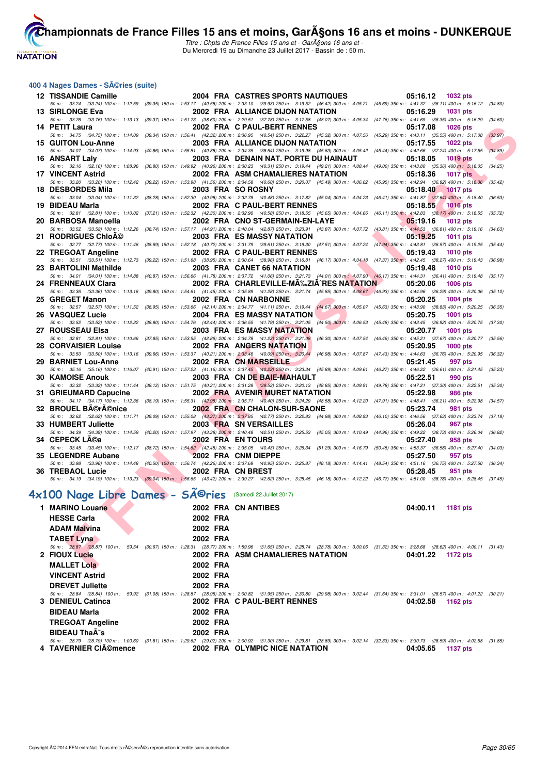

Titre : Chpts de France Filles 15 ans et - GarA§ons 16 ans et -Du Mercredi 19 au Dimanche 23 Juillet 2017 - Bassin de : 50 m.

#### **400 4 Nages Dames - Séries (suite)**

| 12 TISSANDIE Camille      | 2004 FRA CASTRES SPORTS NAUTIQUES<br>05:16.12<br>1032 pts                                                                                                                                                                                               |         |
|---------------------------|---------------------------------------------------------------------------------------------------------------------------------------------------------------------------------------------------------------------------------------------------------|---------|
|                           | 50 m: 33.24 (33.24) 100 m: 1:12.59 (39.35) 150 m: 1:53.17 (40.58) 200 m: 2:33.10 (39.93) 250 m: 3:19.52 (46.42) 300 m: 4:05.21 (45.69) 350 m: 4:41.32 (36.11) 400 m: 5:16.12 (34.80)                                                                    |         |
| 13 SIRLONGE Eva           | 2002 FRA ALLIANCE DIJON NATATION<br>05:16.29<br><b>1031 pts</b><br>50 m: 33.76 (33.76) 100 m: 1:13.13 (39.37) 150 m: 1:51.73 (38.60) 200 m: 2:29.51 (37.78) 250 m: 3:17.58 (48.07) 300 m: 4:05.34 (47.76) 350 m: 4:41.69 (36.35) 400 m: 5:16.29 (34.60) |         |
| 14 PETIT Laura            | 2002 FRA C PAUL-BERT RENNES<br><b>1026 pts</b><br>05:17.08                                                                                                                                                                                              |         |
|                           | 50 m: 34.75 (34.75) 100 m: 1:14.09 (39.34) 150 m: 1:56.41 (42.32) 200 m: 2:36.95 (40.54) 250 m: 3:22.27 (45.32) 300 m: 4:07.56 (45.29) 350 m: 4:43.11 (35.55) 400 m: 5:17.08 (33.97)                                                                    |         |
| <b>15 GUITON Lou-Anne</b> | 2003 FRA ALLIANCE DIJON NATATION<br>05:17.55<br><b>1022 pts</b><br>50 m: 34.07 (34.07) 100 m: 1:14.93 (40.86) 150 m: 1:55.81 (40.88) 200 m: 2:34.35 (38.54) 250 m: 3:19.98 (45.63) 300 m: 4:05.42 (45.44) 350 m: 4:42.66 (37.24) 400 m: 5:17.55 (34.89) |         |
| 16 ANSART Laly            | 2003 FRA DENAIN NAT. PORTE DU HAINAUT<br>05:18.05<br><b>1019 pts</b>                                                                                                                                                                                    |         |
|                           | 50 m : 32.16 (32.16) 100 m : 1:08.96 (36.80) 150 m : 1:49.92 (40.96) 200 m : 2:30.23 (40.31) 250 m : 3:19.44 (49.21) 300 m : 4:08.44 (49.00) 350 m : 4:43.80 (35.36) 400 m : 5:18.05 (34.25)                                                            |         |
| 17 VINCENT Astrid         | 2002 FRA ASM CHAMALIERES NATATION<br>05:18.36<br><b>1017 pts</b>                                                                                                                                                                                        |         |
| 18 DESBORDES Mila         | 50 m : 33.20 (33.20) 100 m : 1:12.42 (39.22) 150 m : 1:53.98 (41.56) 200 m : 2:34.58 (40.60) 250 m : 3:20.07 (45.49) 300 m : 4:06.02 (45.95) 350 m : 4:42.94 (36.92) 400 m : 5:18.36 (35.42)<br>2003 FRA SO ROSNY<br>05:18.40<br><b>1017 pts</b>        |         |
|                           | 50 m: 33.04 (33.04) 100 m: 1:11.32 (38.28) 150 m: 1:52.30 (40.98) 200 m: 2:32.78 (40.48) 250 m: 3:17.82 (45.04) 300 m: 4:04.23 (46.41) 350 m: 4:41.87 (37.64) 400 m: 5:18.40 (36.53)                                                                    |         |
| 19 BIDEAU Marla           | 2002 FRA C PAUL-BERT RENNES<br>05:18.55<br><b>1016 pts</b>                                                                                                                                                                                              |         |
|                           | 50 m: 32.81 (32.81) 100 m: 1:10.02 (37.21) 150 m: 1:52.32 (42.30) 200 m: 2:32.90 (40.58) 250 m: 3:18.55 (45.65) 300 m: 4:04.66 (46.11) 350 m: 4:42.83 (38.17) 400 m: 5:18.55 (35.72)                                                                    |         |
| 20 BARBOSA Manoella       | 2002 FRA CNO ST-GERMAIN-EN-LAYE<br>05:19.16<br><b>1012 pts</b><br>50 m: 33.52 (33.52) 100 m: 1:12.26 (38.74) 150 m: 1:57.17 (44.91) 200 m: 2:40.04 (42.87) 250 m: 3:23.91 (43.87) 300 m: 4:07.72 (43.81) 350 m: 4:44.53 (36.81) 400 m: 5:19.16 (34.63)  |         |
| 21 RODRIGUES ChloA©       | 2003 FRA ES MASSY NATATION<br>05:19.25<br><b>1011 pts</b>                                                                                                                                                                                               |         |
|                           | 50 m: 32.77 (32.77) 100 m: 1:11.46 (38.69) 150 m: 1:52.18 (40.72) 200 m: 2:31.79 (39.61) 250 m: 3:19.30 (47.51) 300 m: 4:07.24 (47.94) 350 m: 4:43.81 (36.57) 400 m: 5:19.25 (35.44)                                                                    |         |
| 22 TREGOAT Angeline       | 2002 FRA C PAUL-BERT RENNES<br><b>1010 pts</b><br>05:19.43                                                                                                                                                                                              |         |
| 23 BARTOLINI Mathilde     | 50 m: 33.51 (33.51) 100 m: 1:12.73 (39.22) 150 m: 1:51.68 (38.95) 200 m: 2:30.64 (38.96) 250 m: 3:16.81 (46.17) 300 m: 4:04.18 (47.37) 350 m: 4:42.45 (38.27) 400 m: 5:19.43 (36.98)<br>2003 FRA CANET 66 NATATION<br>05:19.48<br>1010 pts              |         |
|                           | 50 m: 34.01 (34.01) 100 m: 1:14.88 (40.87) 150 m: 1:56.66 (41.78) 200 m: 2:37.72 (41.06) 250 m: 3:21.73 (44.01) 300 m: 4:07.90 (46.17) 350 m: 4:44.31 (36.41) 400 m: 5:19.48 (35.17)                                                                    |         |
| 24 FRENNEAUX Clara        | 2002 FRA CHARLEVILLE-MA‰ZIA^RES NATATION<br>05:20.06<br><b>1006 pts</b>                                                                                                                                                                                 |         |
|                           | 50 m: 33.36 (33.36) 100 m: 1:13.16 (39.80) 150 m: 1:54.61 (41.45) 200 m: 2:35.89 (41.28) 250 m: 3:21.74 (45.85) 300 m: 4:08.67 (46.93) 350 m: 4:44.96 (36.29) 400 m: 5:20.06 (35.10)                                                                    |         |
| 25 GREGET Manon           | 2002 FRA CN NARBONNE<br>05:20.25<br><b>1004 pts</b><br>50 m: 32.57 (32.57) 100 m: 1:11.52 (38.95) 150 m: 1:53.66 (42.14) 200 m: 2:34.77 (41.11) 250 m: 3:19.44 (44.67) 300 m: 4:05.07 (45.63) 350 m: 4:43.90 (38.83) 400 m: 5:20.25 (36.35)             |         |
| 26 VASQUEZ Lucie          | <b>2004 FRA ES MASSY NATATION</b><br>05:20.75<br><b>1001 pts</b>                                                                                                                                                                                        |         |
|                           | 50 m: 33.52 (33.52) 100 m: 1:12.32 (38.80) 150 m: 1:54.76 (42.44) 200 m: 2:36.55 (41.79) 250 m: 3:21.05 (44.50) 300 m: 4:06.53 (45.48) 350 m: 4:43.45 (36.92) 400 m: 5:20.75 (37.30)                                                                    |         |
| 27 ROUSSEAU Elsa          | <b>2003 FRA ES MASSY NATATION</b><br>05:20.77<br><b>1001 pts</b>                                                                                                                                                                                        |         |
| 28 CORVAISIER Louise      | 50 m: 32.81 (32.81) 100 m: 1:10.66 (37.85) 150 m: 1:53.55 (42.89) 200 m: 2:34.78 (41.23) 250 m: 3:21.08 (46.30) 300 m: 4:07.54 (46.46) 350 m: 4:45.21 (37.67) 400 m: 5:20.77 (35.56)<br>2002 FRA ANGERS NATATION<br>05:20.95<br><b>1000 pts</b>         |         |
|                           | 50 m : 33.50 (33.50) 100 m : 1:13.16 (39.66) 150 m : 1:53.37 (40.21) 200 m : 2:33.46 (40.09) 250 m : 3:20.44 (46.98) 300 m : 4:07.87 (47.43) 350 m : 4:44.63 (36.76) 400 m : 5:20.95 (36.32)                                                            |         |
| 29 BARNIET Lou-Anne       | 2002 FRA CN MARSEILLE<br>05:21.45<br>997 pts                                                                                                                                                                                                            |         |
| <b>30 KAMOISE Anouk</b>   | 50 m: 35.16 (35.16) 100 m: 1:16.07 (40.91) 150 m: 1:57.23 (41.16) 200 m: 2:37.45 (40.22) 250 m: 3:23.34 (45.89) 300 m: 4:09.61 (46.27) 350 m: 4:46.22 (36.61) 400 m: 5:21.45 (35.23)<br>2003 FRA CN DE BAIE-MAHAULT<br>05:22.51<br>990 pts              |         |
|                           | 50 m : 33.32 (33.32) 100 m : 1:11.44 (38.12) 150 m : 1:51.75 (40.31) 200 m : 2:31.28 (39.53) 250 m : 3:20.13 (48.85) 300 m : 4:09.91<br>(49.78) 350 m : 4:47.21 (37.30) 400 m : 5:22.51                                                                 | (35.30) |
| 31 GRIEUMARD Capucine     | <b>2002 FRA AVENIR MURET NATATION</b><br>05:22.98<br><b>986 pts</b>                                                                                                                                                                                     |         |
|                           | 50 m: 34.17 (34.17) 100 m: 1:12.36 (38.19) 150 m: 1:55.31 (42.95) 200 m: 2:35.71 (40.40) 250 m: 3:24.29 (48.58) 300 m: 4:12.20 (47.91) 350 m: 4:48.41 (36.21) 400 m: 5:22.98 (34.57)                                                                    |         |
| 32 BROUEL BA©rA©nice      | 2002 FRA CN CHALON-SUR-SAONE<br>05:23.74<br>981 pts<br>50 m: 32.62 (32.62) 100 m: 1:11.71 (39.09) 150 m: 1:55.08 (43.37) 200 m: 2:37.85 (42.77) 250 m: 3:22.83 (44.98) 300 m: 4:08.93 (46.10) 350 m: 4:46.56 (37.63) 400 m: 5:23.74 (37.18)             |         |
| 33 HUMBERT Juliette       | 2003 FRA SN VERSAILLES<br>05:26.04<br><b>967 pts</b>                                                                                                                                                                                                    |         |
|                           | 50 m: 34.39 (34.39) 100 m: 1:14.59 (40.20) 150 m: 1:57.97 (43.38) 200 m: 2:40.48 (42.51) 250 m: 3:25.53 (45.05) 300 m: 4:10.49 (44.96) 350 m: 4:49.22 (38.73) 400 m: 5:26.04 (36.82)                                                                    |         |
| 34 CEPECK Lĩa             | 2002 FRA EN TOURS<br>05:27.40<br>958 pts                                                                                                                                                                                                                |         |
| 35 LEGENDRE Aubane        | 50 m: 33.45 (33.45) 100 m: 1:12.17 (38.72) 150 m: 1:54.62 (42.45) 200 m: 2:35.05 (40.43) 250 m: 326.34 (51.29) 300 m: 4:16.79 (50.45) 350 m: 4:53.37 (36.58) 400 m: 5:27.40 (34.03)<br>2002 FRA CNM DIEPPE<br>05:27.50<br>957 pts                       |         |
|                           | 50 m: 33.98 (33.98) 100 m: 1:14.48 (40.50) 150 m: 1:56.74 (42.26) 200 m: 2:37.69 (40.95) 250 m: 3:25.87 (48.18) 300 m: 4:14.41 (48.54) 350 m: 4:51.16 (36.75) 400 m: 5:27.50 (36.34)                                                                    |         |
| 36 TREBAOL Lucie          | 2002 FRA CN BREST<br>05:28.45<br>951 pts                                                                                                                                                                                                                |         |
|                           | 50 m: 34.19 (34.19) 100 m: 1:13.23 (39.04) 150 m: 1:56.65 (43.42) 200 m: 2:39.27 (42.62) 250 m: 3:25.45 (46.18) 300 m: 4:12.22 (46.77) 350 m: 4:51.00 (38.78) 400 m: 5:28.45 (37.45)                                                                    |         |
|                           | 4x100 Nage Libre Dames - SÃ <sup>©</sup> ries (Samedi 22 Juillet 2017)                                                                                                                                                                                  |         |
|                           |                                                                                                                                                                                                                                                         |         |
| 1 MARINO Louane           | 2002 FRA CN ANTIBES<br>04:00.11<br>1181 pts                                                                                                                                                                                                             |         |
| <b>HESSE Carla</b>        | 2002 FRA                                                                                                                                                                                                                                                |         |
| <b>ADAM Malvina</b>       | 2002 FRA                                                                                                                                                                                                                                                |         |
| <b>TABET Lyna</b>         | 2002 FRA                                                                                                                                                                                                                                                |         |
| 2 FIOUX Lucie             | 50 m: 28.87 (28.87) 100 m: 59.54 (30.67) 150 m: 1:28.31 (28.77) 200 m: 1:59.96 (31.65) 250 m: 2:28.74 (28.78) 300 m: 3:00.06 (31.32) 350 m: 3:28.68 (28.62) 400 m: 4:00.11 (31.43)<br>2002 FRA ASM CHAMALIERES NATATION<br>04:01.22<br>1172 pts         |         |
|                           |                                                                                                                                                                                                                                                         |         |
| <b>MALLET Lola</b>        | 2002 FRA                                                                                                                                                                                                                                                |         |

| 1 MARINO Louane         |          | 2002 FRA CN ANTIBES                                                                                                                                                                  | 04:00.11<br>1181 pts |
|-------------------------|----------|--------------------------------------------------------------------------------------------------------------------------------------------------------------------------------------|----------------------|
| <b>HESSE Carla</b>      | 2002 FRA |                                                                                                                                                                                      |                      |
| <b>ADAM Malvina</b>     | 2002 FRA |                                                                                                                                                                                      |                      |
| <b>TABET Lyna</b>       | 2002 FRA |                                                                                                                                                                                      |                      |
|                         |          | 50 m: 28.87 (28.87) 100 m: 59.54 (30.67) 150 m: 1:28.31 (28.77) 200 m: 1:59.96 (31.65) 250 m: 2:28.74 (28.78) 300 m: 3:00.06 (31.32) 350 m: 3:28.68 (28.62) 400 m: 4:00.11 (31.43)   |                      |
| 2 FIOUX Lucie           |          | 2002 FRA ASM CHAMALIERES NATATION                                                                                                                                                    | 04:01.22<br>1172 pts |
| <b>MALLET Lola</b>      | 2002 FRA |                                                                                                                                                                                      |                      |
| <b>VINCENT Astrid</b>   | 2002 FRA |                                                                                                                                                                                      |                      |
| <b>DREVET Juliette</b>  | 2002 FRA |                                                                                                                                                                                      |                      |
|                         |          | 50 m: 28.84 (28.84) 100 m: 59.92 (31.08) 150 m: 1:28.87 (28.95) 200 m: 2:00.82 (31.95) 250 m: 2:30.80 (29.98) 300 m: 3:02.44 (31.64) 350 m: 3:31.01 (28.57) 400 m: 4:01.22 (30.21)   |                      |
| 3 DENIEUL Catinca       |          | 2002 FRA C PAUL-BERT RENNES                                                                                                                                                          | 04:02.58<br>1162 pts |
| <b>BIDEAU Marla</b>     | 2002 FRA |                                                                                                                                                                                      |                      |
| <b>TREGOAT Angeline</b> | 2002 FRA |                                                                                                                                                                                      |                      |
| <b>BIDEAU Thaà s</b>    | 2002 FRA |                                                                                                                                                                                      |                      |
|                         |          | 50 m: 28.79 (28.79) 100 m: 1:00.60 (31.81) 150 m: 1:29.62 (29.02) 200 m: 2:00.92 (31.30) 250 m: 2:29.81 (28.89) 300 m: 3:02.14 (32.33) 350 m: 3:30.73 (28.59) 400 m: 4:02.58 (31.85) |                      |
| 4 TAVERNIER CIAO mence  |          | 2002 FRA OLYMPIC NICE NATATION                                                                                                                                                       | 04:05.65<br>1137 pts |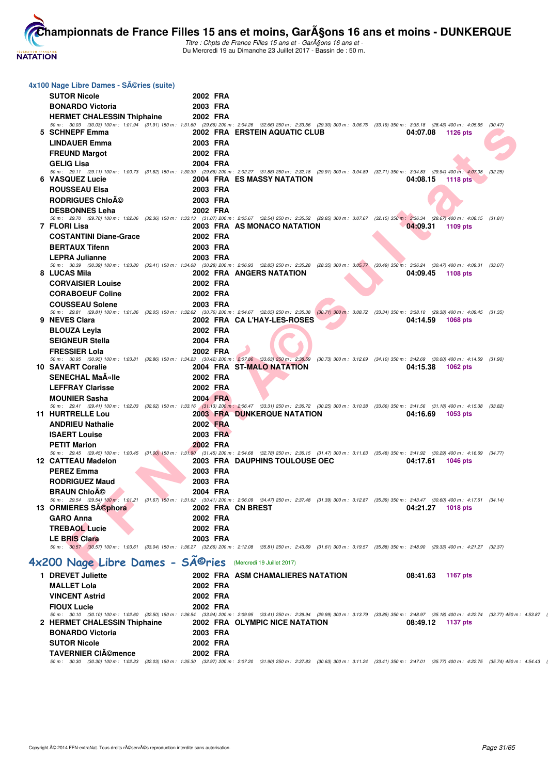

J.

**[Cham](http://www.ffnatation.fr/webffn/index.php)pionnats de France Filles 15 ans et moins, GarA§ons 16 ans et moins - DUNKERQUE** 

Titre : Chpts de France Filles 15 ans et - GarA§ons 16 ans et -Du Mercredi 19 au Dimanche 23 Juillet 2017 - Bassin de : 50 m.

| 4x100 Nage Libre Dames - SA©ries (suite)                                 |          |                                                                                                                                                                                                                                                       |
|--------------------------------------------------------------------------|----------|-------------------------------------------------------------------------------------------------------------------------------------------------------------------------------------------------------------------------------------------------------|
| <b>SUTOR Nicole</b>                                                      | 2002 FRA |                                                                                                                                                                                                                                                       |
| <b>BONARDO Victoria</b>                                                  | 2003 FRA |                                                                                                                                                                                                                                                       |
| <b>HERMET CHALESSIN Thiphaine</b>                                        | 2002 FRA |                                                                                                                                                                                                                                                       |
|                                                                          |          | 50 m: 30.03 (30.03) 100 m: 1:01.94 (31.91) 150 m: 1:31.60 (29.66) 200 m: 2:04.26 (32.66) 250 m: 2:33.56 (29.30) 300 m: 3:06.75 (33.19) 350 m: 3:35.18 (28.43) 400 m: 4:05.65 (30.47)                                                                  |
| 5 SCHNEPF Emma                                                           |          | 2002 FRA ERSTEIN AQUATIC CLUB<br>04:07.08<br>1126 pts                                                                                                                                                                                                 |
| <b>LINDAUER Emma</b>                                                     | 2003 FRA |                                                                                                                                                                                                                                                       |
| <b>FREUND Margot</b>                                                     | 2002 FRA |                                                                                                                                                                                                                                                       |
| <b>GELIG Lisa</b>                                                        | 2004 FRA |                                                                                                                                                                                                                                                       |
| 6 VASQUEZ Lucie                                                          |          | 50 m : 29.11 (29.11) 100 m : 1:00.73 (31.62) 150 m : 1:30.39 (29.66) 200 m : 2:02.27 (31.88) 250 m : 2:32.18 (29.91) 300 m : 3:04.89 (32.71) 350 m : 3:34.83 (29.94) 400 m : 4:07.08<br>(32.25)<br>2004 FRA ES MASSY NATATION<br>04:08.15<br>1118 pts |
| <b>ROUSSEAU Elsa</b>                                                     | 2003 FRA |                                                                                                                                                                                                                                                       |
| <b>RODRIGUES ChloAO</b>                                                  | 2003 FRA |                                                                                                                                                                                                                                                       |
|                                                                          |          |                                                                                                                                                                                                                                                       |
| <b>DESBONNES Leha</b>                                                    | 2002 FRA | 50 m: 29.70 (29.70) 100 m: 1:02.06 (32.36) 150 m: 1:33.13 (31.07) 200 m: 2:05.67 (32.54) 250 m: 2:35.52 (29.85) 300 m: 3:07.67 (32.15) 350 m: 3:36.34 (28.67) 400 m: 4:08.15 (31.81)                                                                  |
| 7 FLORI Lisa                                                             |          | 2003 FRA AS MONACO NATATION<br>04:09.31<br>1109 pts                                                                                                                                                                                                   |
| <b>COSTANTINI Diane-Grace</b>                                            | 2002 FRA |                                                                                                                                                                                                                                                       |
| <b>BERTAUX Tifenn</b>                                                    | 2003 FRA |                                                                                                                                                                                                                                                       |
| <b>LEPRA Julianne</b>                                                    | 2003 FRA |                                                                                                                                                                                                                                                       |
|                                                                          |          | 50 m : 30.39 (30.39) 100 m : 1:03.80 (33.41) 150 m : 1:34.08 (30.28) 200 m : 2:06.93 (32.85) 250 m : 2:35.28 (28.35) 300 m : 3:05.77 (30.49) 350 m : 3:36.24 (30.47) 400 m : 4:09.31 (33.07)                                                          |
| 8 LUCAS Mila                                                             |          | 2002 FRA ANGERS NATATION<br>04:09.45<br>1108 pts                                                                                                                                                                                                      |
| <b>CORVAISIER Louise</b>                                                 | 2002 FRA |                                                                                                                                                                                                                                                       |
| <b>CORABOEUF Coline</b>                                                  | 2002 FRA |                                                                                                                                                                                                                                                       |
| <b>COUSSEAU Solene</b>                                                   | 2003 FRA |                                                                                                                                                                                                                                                       |
| 9 NEVES Clara                                                            |          | 50 m: 29.81 (29.81) 100 m: 1:01.86 (32.05) 150 m: 1:32.62 (30.76) 200 m: 2:04.67 (32.05) 250 m: 2:35.38 (30.71) 300 m: 3:08.72 (33.34) 350 m: 3:38.10 (29.38) 400 m: 4:09.45 (31.35)<br>2002 FRA CA L'HAY-LES-ROSES<br>04:14.59<br>1068 pts           |
| <b>BLOUZA Leyla</b>                                                      | 2002 FRA |                                                                                                                                                                                                                                                       |
| <b>SEIGNEUR Stella</b>                                                   | 2004 FRA |                                                                                                                                                                                                                                                       |
| <b>FRESSIER Lola</b>                                                     | 2002 FRA |                                                                                                                                                                                                                                                       |
|                                                                          |          | 50 m : 30.95 (30.95) 100 m : 1:03.81 (32.86) 150 m : 1:34.23 (30.42) 200 m : 2:07.86 (33.63) 250 m : 2:38.59 (30.73) 300 m : 3:12.69 (34.10) 350 m : 3:42.69 (30.00) 400 m : 4:14.59 (31.90)                                                          |
| 10 SAVART Coralie                                                        |          | 2004 FRA ST-MALO NATATION<br>04:15.38<br>1062 pts                                                                                                                                                                                                     |
| <b>SENECHAL MaA«Ile</b>                                                  | 2002 FRA |                                                                                                                                                                                                                                                       |
| <b>LEFFRAY Clarisse</b>                                                  | 2002 FRA |                                                                                                                                                                                                                                                       |
| <b>MOUNIER Sasha</b>                                                     | 2004 FRA |                                                                                                                                                                                                                                                       |
|                                                                          |          | 50 m: 29.41 (29.41) 100 m: 1:02.03 (32.62) 150 m: 1:33.16 (31.13) 200 m: 2:06.47 (33.31) 250 m: 2:36.72 (30.25) 300 m: 3:10.38 (33.66) 350 m: 3:41.56 (31.18) 400 m: 4:15.38 (33.82)                                                                  |
| 11 HURTRELLE Lou                                                         |          | <b>2003 FRA DUNKERQUE NATATION</b><br>04:16.69<br>1053 pts                                                                                                                                                                                            |
| <b>ANDRIEU Nathalie</b>                                                  | 2002 FRA |                                                                                                                                                                                                                                                       |
| <b>ISAERT Louise</b>                                                     | 2003 FRA |                                                                                                                                                                                                                                                       |
| <b>PETIT Marion</b>                                                      | 2002 FRA |                                                                                                                                                                                                                                                       |
| 12 CATTEAU Madelon                                                       |          | 50 m: 29.45 (29.45) 100 m: 1:00.45 (31.00) 150 m: 1:31.90 (31.45) 200 m: 2:04.68 (32.78) 250 m: 2:36.15 (31.47) 300 m: 3:11.63 (35.48) 350 m: 3:41.92 (30.29) 400 m: 4:16.69 (34.77)<br>2003 FRA DAUPHINS TOULOUSE OEC<br>04:17.61<br><b>1046 pts</b> |
| <b>PEREZ Emma</b>                                                        | 2003 FRA |                                                                                                                                                                                                                                                       |
| <b>RODRIGUEZ Maud</b>                                                    | 2003 FRA |                                                                                                                                                                                                                                                       |
| <b>BRAUN Chloĩ</b>                                                       | 2004 FRA |                                                                                                                                                                                                                                                       |
|                                                                          |          | 50 m: 29.54 (29.54) 100 m: 1:01.21 (31.67) 150 m: 1:31.62 (30.41) 200 m: 2:06.09 (34.47) 250 m: 2:37.48 (31.39) 300 m: 3:12.87 (35.39) 350 m: 3:43.47 (30.60) 400 m: 4:17.61 (34.14)                                                                  |
| 13 ORMIERES SA©phora                                                     |          | 2002 FRA CN BREST<br>04:21.27 1018 pts                                                                                                                                                                                                                |
| <b>GARO Anna</b>                                                         | 2002 FRA |                                                                                                                                                                                                                                                       |
| <b>TREBAOL Lucie</b>                                                     | 2002 FRA |                                                                                                                                                                                                                                                       |
| <b>LE BRIS Clara</b>                                                     | 2003 FRA |                                                                                                                                                                                                                                                       |
|                                                                          |          | 50 m: 30.57 (30.57) 100 m: 1:03.61 (33.04) 150 m: 1:36.27 (32.66) 200 m: 2:12.08 (35.81) 250 m: 2:43.69 (31.61) 300 m: 3:19.57 (35.88) 350 m: 3:48.90 (29.33) 400 m: 4:21.27 (32.37)                                                                  |
| 4x200 Nage Libre Dames - SÃ <sup>@</sup> ries (Mercredi 19 Juillet 2017) |          |                                                                                                                                                                                                                                                       |
| 1 DREVET Juliette                                                        |          | 2002 FRA ASM CHAMALIERES NATATION<br>08:41.63<br>1167 pts                                                                                                                                                                                             |
| <b>MALLET Lola</b>                                                       | 2002 FRA |                                                                                                                                                                                                                                                       |
| <b>VINCENT Astrid</b>                                                    | 2002 FRA |                                                                                                                                                                                                                                                       |
| <b>FIOUX Lucie</b>                                                       | 2002 FRA |                                                                                                                                                                                                                                                       |
|                                                                          |          | 50 m : 30.10 (30.10) 100 m : 1:02.60 (32.50) 150 m : 1:36.54 (33.94) 200 m : 2:09.95 (33.41) 250 m : 2:39.94 (29.99) 300 m : 3:13.79 (33.85) 350 m : 3:48.97 (35.18) 400 m : 4:22.74 (33.77) 450 m : 4:53.87                                          |
| 2 HERMET CHALESSIN Thiphaine                                             |          | 2002 FRA OLYMPIC NICE NATATION<br>08:49.12 1137 pts                                                                                                                                                                                                   |
| <b>BONARDO Victoria</b>                                                  | 2003 FRA |                                                                                                                                                                                                                                                       |
| <b>SUTOR Nicole</b>                                                      | 2002 FRA |                                                                                                                                                                                                                                                       |
| <b>TAVERNIER CIémence</b>                                                | 2002 FRA |                                                                                                                                                                                                                                                       |

**TAVERNIER CI©mence 2002 FRA**<br>50 m: 30.30 {30.30) 100 m: 1:02.33 {32.03) 150 m: 1:35.30 (32.97) 200 m: 2:07.20 (31.90) 250 m: 2:37.83 (30.63) 300 m: 3:11.24 (33.41) 350 m: 3:47.01 (35.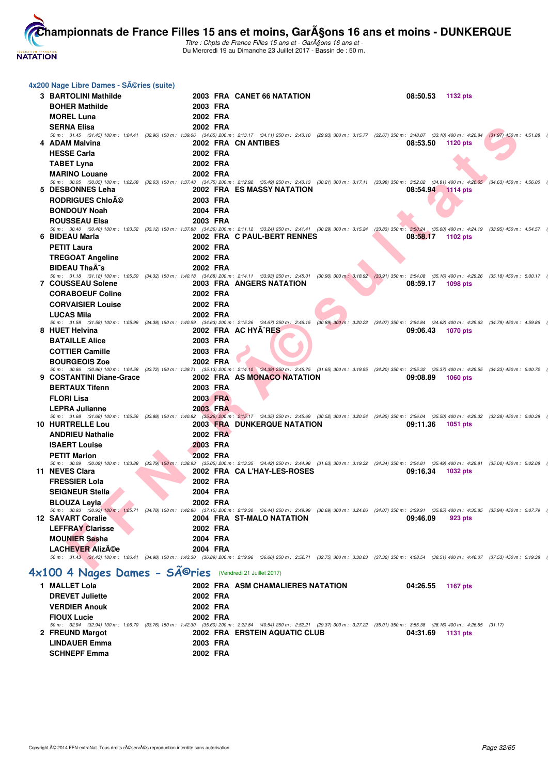

Titre : Chpts de France Filles 15 ans et - GarA§ons 16 ans et -Du Mercredi 19 au Dimanche 23 Juillet 2017 - Bassin de : 50 m.

| 4x200 Nage Libre Dames - Séries (suite)                  |                 |                                                                                                                                                                                                     |                      |  |
|----------------------------------------------------------|-----------------|-----------------------------------------------------------------------------------------------------------------------------------------------------------------------------------------------------|----------------------|--|
| 3 BARTOLINI Mathilde                                     |                 | 2003 FRA CANET 66 NATATION                                                                                                                                                                          | 08:50.53<br>1132 pts |  |
| <b>BOHER Mathilde</b>                                    | 2003 FRA        |                                                                                                                                                                                                     |                      |  |
| <b>MOREL Luna</b>                                        | 2002 FRA        |                                                                                                                                                                                                     |                      |  |
| <b>SERNA Elisa</b>                                       | 2002 FRA        |                                                                                                                                                                                                     |                      |  |
|                                                          |                 | 50 m: 31.45 (31.45) 100 m: 1:04.41 (32.96) 150 m: 1:39.06 (34.65) 200 m: 2:13.17 (34.11) 250 m: 2:43.10 (29.93) 300 m: 3:15.77 (32.67) 350 m: 3:48.87 (33.10) 400 m: 4:20.84 (31.97) 450 m: 4:51.88 |                      |  |
| 4 ADAM Malvina                                           |                 | 2002 FRA CN ANTIBES                                                                                                                                                                                 | 08:53.50<br>1120 pts |  |
| <b>HESSE Carla</b>                                       | 2002 FRA        |                                                                                                                                                                                                     |                      |  |
| <b>TABET Lyna</b>                                        | 2002 FRA        |                                                                                                                                                                                                     |                      |  |
| <b>MARINO Louane</b>                                     | 2002 FRA        | 50 m: 30.05 (30.05) 100 m: 1:02.68 (32.63) 150 m: 1:37.43 (34.75) 200 m: 2:12.92 (35.49) 250 m: 2:43.13 (30.21) 300 m: 3:17.11 (33.98) 350 m: 3:52.02 (34.91) 400 m: 4:26.65 (34.63) 450 m: 4:56.00 |                      |  |
| 5 DESBONNES Leha                                         |                 | 2002 FRA ES MASSY NATATION                                                                                                                                                                          | 08:54.94 1114 pts    |  |
| <b>RODRIGUES Chloĩ</b>                                   | 2003 FRA        |                                                                                                                                                                                                     |                      |  |
| <b>BONDOUY Noah</b>                                      | 2004 FRA        |                                                                                                                                                                                                     |                      |  |
| <b>ROUSSEAU Elsa</b>                                     | 2003 FRA        |                                                                                                                                                                                                     |                      |  |
|                                                          |                 | 50 m: 30.40 (30.40) 100 m: 1:03.52 (33.12) 150 m: 1:37.88 (34.36) 200 m: 2:11.12 (33.24) 250 m: 2:41.41 (30.29) 300 m: 3:15.24 (33.83) 350 m: 3:50.24 (35.00) 400 m: 4:24.19 (33.95) 450 m: 4:54.57 |                      |  |
| 6 BIDEAU Marla                                           |                 | 2002 FRA C PAUL-BERT RENNES                                                                                                                                                                         | 08:58.17<br>1102 pts |  |
| <b>PETIT Laura</b>                                       | 2002 FRA        |                                                                                                                                                                                                     |                      |  |
| <b>TREGOAT Angeline</b>                                  | 2002 FRA        |                                                                                                                                                                                                     |                      |  |
| <b>BIDEAU ThaA<sup>-</sup>s</b>                          | 2002 FRA        | 50 m: 31.18 (31.18) 100 m: 1:05.50 (34.32) 150 m: 1:40.18 (34.68) 200 m: 2:14.11 (33.93) 250 m: 2:45.01 (30.90) 300 m: 3:18.92 (33.91) 350 m: 3:54.08 (35.16) 400 m: 4:29.26 (35.18) 450 m: 5:00.17 |                      |  |
| 7 COUSSEAU Solene                                        |                 | 2003 FRA ANGERS NATATION                                                                                                                                                                            | 08:59.17<br>1098 pts |  |
| <b>CORABOEUF Coline</b>                                  | 2002 FRA        |                                                                                                                                                                                                     |                      |  |
| <b>CORVAISIER Louise</b>                                 | 2002 FRA        |                                                                                                                                                                                                     |                      |  |
| <b>LUCAS Mila</b>                                        | 2002 FRA        |                                                                                                                                                                                                     |                      |  |
|                                                          |                 | 50 m: 31.58 (31.58) 100 m: 1:05.96 (34.38) 150 m: 1:40.59 (34.63) 200 m: 2:15.26 (34.67) 250 m: 2:46.15 (30.89) 300 m: 3:20.22 (34.07) 350 m: 3:54.84 (34.62) 400 m: 4:29.63 (34.79) 450 m: 4:59.86 |                      |  |
| 8 HUET Helvina                                           |                 | 2002 FRA AC HYA^RES                                                                                                                                                                                 | 09:06.43<br>1070 pts |  |
| <b>BATAILLE Alice</b>                                    | 2003 FRA        |                                                                                                                                                                                                     |                      |  |
| <b>COTTIER Camille</b>                                   | 2003 FRA        |                                                                                                                                                                                                     |                      |  |
| <b>BOURGEOIS Zoe</b>                                     | 2002 FRA        | 50 m: 30.86 (30.86) 100 m: 1:04.58 (33.72) 150 m: 1:39.71 (35.13) 200 m: 2:14.10 (34.39) 250 m: 2:45.75 (31.65) 300 m: 3:19.95 (34.20) 350 m: 3:55.32 (35.37) 400 m: 4:29.55 (34.23) 450 m: 5:00.72 |                      |  |
| 9 COSTANTINI Diane-Grace                                 |                 | 2002 FRA AS MONACO NATATION                                                                                                                                                                         | 09:08.89<br>1060 pts |  |
| <b>BERTAUX Tifenn</b>                                    | 2003 FRA        |                                                                                                                                                                                                     |                      |  |
| <b>FLORI Lisa</b>                                        | 2003 FRA        |                                                                                                                                                                                                     |                      |  |
| <b>LEPRA Julianne</b>                                    | 2003 FRA        |                                                                                                                                                                                                     |                      |  |
|                                                          |                 | 50 m: 31.68 (31.68) 100 m: 1:05.56 (33.88) 150 m: 1:40.82 (35.26) 200 m: 2:15.17 (34.35) 250 m: 2:45.69 (30.52) 300 m: 3:20.54 (34.85) 350 m: 3:56.04 (35.50) 400 m: 4:29.32 (33.28) 450 m: 5:00.38 |                      |  |
| 10 HURTRELLE Lou                                         |                 | <b>2003 FRA DUNKERQUE NATATION</b>                                                                                                                                                                  | 09:11.36<br>1051 pts |  |
| <b>ANDRIEU Nathalie</b>                                  | 2002 FRA        |                                                                                                                                                                                                     |                      |  |
| <b>ISAERT Louise</b>                                     | 2003 FRA        |                                                                                                                                                                                                     |                      |  |
| <b>PETIT Marion</b>                                      | <b>2002 FRA</b> | 50 m: 30.09 (30.09) 100 m: 1:03.88 (33.79) 150 m: 1:38.93 (35.05) 200 m: 2:13.35 (34.42) 250 m: 2:44.98 (31.63) 300 m: 3:19.32 (34.34) 350 m: 3:54.81 (35.49) 400 m: 4:29.81 (35.00) 450 m: 5:02.08 |                      |  |
| 11 NEVES Clara                                           |                 | 2002 FRA CAL'HAY-LES-ROSES                                                                                                                                                                          | 09:16.34<br>1032 pts |  |
| <b>FRESSIER Lola</b>                                     | 2002 FRA        |                                                                                                                                                                                                     |                      |  |
| <b>SEIGNEUR Stella</b>                                   | 2004 FRA        |                                                                                                                                                                                                     |                      |  |
| BLOUZA Leyla                                             | 2002 FRA        |                                                                                                                                                                                                     |                      |  |
|                                                          |                 | 50 m: 30.93 (30.93) 100 m: 1:05.71 (34.78) 150 m: 1:42.86 (37.15) 200 m: 2:19.30 (36.44) 250 m: 2:49.99 (30.69) 300 m: 3:24.06 (34.07) 350 m: 3:59.91 (35.85) 400 m: 4:35.85 (35.94) 450 m: 5:07.79 |                      |  |
| <b>12 SAVART Coralie</b>                                 |                 | 2004 FRA ST-MALO NATATION                                                                                                                                                                           | 09:46.09<br>923 pts  |  |
| <b>LEFFRAY Clarisse</b>                                  | 2002 FRA        |                                                                                                                                                                                                     |                      |  |
| <b>MOUNIER Sasha</b>                                     | 2004 FRA        |                                                                                                                                                                                                     |                      |  |
| <b>LACHEVER AlizA©e</b>                                  | 2004 FRA        | 50 m: 31.43 (31.43) 100 m: 1:06.41 (34.98) 150 m: 1:43.30 (36.89) 200 m: 2:19.96 (36.66) 250 m: 2:52.71 (32.75) 300 m: 3:30.03 (37.32) 350 m: 4:08.54 (38.51) 400 m: 4:46.07 (37.53) 450 m: 5:19.38 |                      |  |
|                                                          |                 |                                                                                                                                                                                                     |                      |  |
| 4x100 4 Nages Dames - SA@ries (Vendredi 21 Juillet 2017) |                 |                                                                                                                                                                                                     |                      |  |
| 1 MALLET Lola                                            |                 | 2002 FRA ASM CHAMALIERES NATATION                                                                                                                                                                   | 04:26.55<br>1167 pts |  |
|                                                          |                 |                                                                                                                                                                                                     |                      |  |

| <b>DREVET Juliette</b> | 2002 FRA                                                                                                                                                                             |                      |
|------------------------|--------------------------------------------------------------------------------------------------------------------------------------------------------------------------------------|----------------------|
| <b>VERDIER Anouk</b>   | 2002 FRA                                                                                                                                                                             |                      |
| <b>FIOUX Lucie</b>     | 2002 FRA                                                                                                                                                                             |                      |
|                        | 50 m: 32.94 (32.94) 100 m: 1:06.70 (33.76) 150 m: 1:42.30 (35.60) 200 m: 2:22.84 (40.54) 250 m: 2:52.21 (29.37) 300 m: 3:27.22 (35.01) 350 m: 3:55.38 (28.16) 400 m: 4:26.55 (31.17) |                      |
| 2 FREUND Margot        | 2002 FRA ERSTEIN AQUATIC CLUB                                                                                                                                                        | 04:31.69<br>1131 pts |
| <b>LINDAUER Emma</b>   | 2003 FRA                                                                                                                                                                             |                      |
| <b>SCHNEPF Emma</b>    | 2002 FRA                                                                                                                                                                             |                      |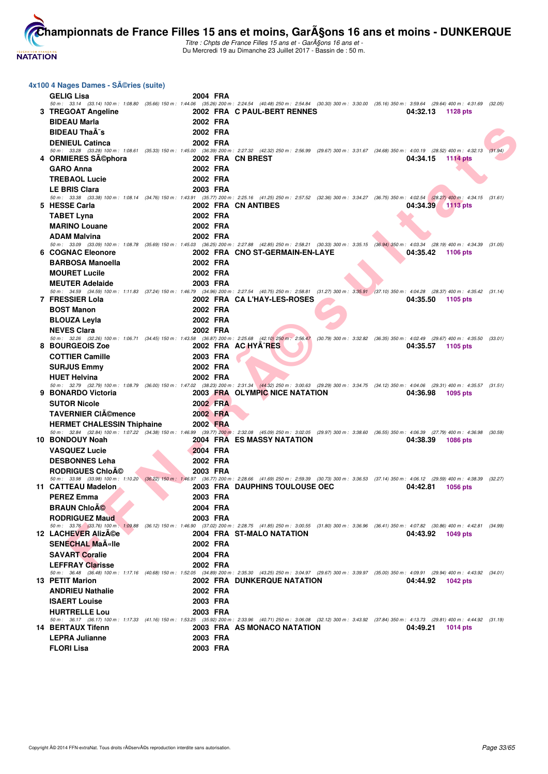

Titre : Chpts de France Filles 15 ans et - GarA§ons 16 ans et -Du Mercredi 19 au Dimanche 23 Juillet 2017 - Bassin de : 50 m.

| 4x100 4 Nages Dames - Séries (suite) |                   |                                                                                                                                                                                                                        |                             |  |
|--------------------------------------|-------------------|------------------------------------------------------------------------------------------------------------------------------------------------------------------------------------------------------------------------|-----------------------------|--|
| <b>GELIG Lisa</b>                    | 2004 FRA          |                                                                                                                                                                                                                        |                             |  |
|                                      |                   | 50 m: 33.14 (33.14) 100 m: 1:08.80 (35.66) 150 m: 1:44.06 (35.26) 200 m: 2:24.54 (40.48) 250 m: 2:54.84 (30.30) 300 m: 3:30.00 (35.16) 350 m: 3:59.64 (29.64) 400 m: 4:31.69 (32.05)                                   |                             |  |
| 3 TREGOAT Angeline                   |                   | 2002 FRA C PAUL-BERT RENNES                                                                                                                                                                                            | 04:32.13<br>1128 pts        |  |
| <b>BIDEAU Marla</b>                  | 2002 FRA          |                                                                                                                                                                                                                        |                             |  |
| <b>BIDEAU ThaA's</b>                 | 2002 FRA          |                                                                                                                                                                                                                        |                             |  |
| <b>DENIEUL Catinca</b>               | 2002 FRA          | 50 m: 33.28 (33.28) 100 m: 1:08.61 (35.33) 150 m: 1:45.00 (36.39) 200 m: 2:27.32 (42.32) 250 m: 2:56.99 (29.67) 300 m: 3:31.67 (34.68) 350 m: 4:00.19 (28.52) 400 m: 4:32.13 (31.94)                                   |                             |  |
| 4 ORMIERES SA©phora                  | 2002 FRA CN BREST |                                                                                                                                                                                                                        | 04:34.15<br><b>1114 pts</b> |  |
| <b>GARO Anna</b>                     | 2002 FRA          |                                                                                                                                                                                                                        |                             |  |
| <b>TREBAOL Lucie</b>                 | 2002 FRA          |                                                                                                                                                                                                                        |                             |  |
| <b>LE BRIS Clara</b>                 | 2003 FRA          |                                                                                                                                                                                                                        |                             |  |
|                                      |                   | 50 m: 33.38 (33.38) 100 m: 1:08.14 (34.76) 150 m: 1:43.91 (35.77) 200 m: 2:5.16 (41.25) 250 m: 2:57.52 (32.36) 300 m: 3:34.27 (36.75) 350 m: 4:02.54 (28.27) 400 m: 4:34.15 (31.61)                                    |                             |  |
| 5 HESSE Carla                        |                   | 2002 FRA CN ANTIBES                                                                                                                                                                                                    | 04:34.39<br>1113 pts        |  |
| <b>TABET Lyna</b>                    | 2002 FRA          |                                                                                                                                                                                                                        |                             |  |
| <b>MARINO Louane</b>                 | 2002 FRA          |                                                                                                                                                                                                                        |                             |  |
| <b>ADAM Malvina</b>                  | 2002 FRA          | 50 m: 33.09 (33.09) 100 m: 1:08.78 (35.69) 150 m: 1:45.03 (36.25) 200 m: 2:27.88 (42.85) 250 m: 2:58.21 (30.33) 300 m: 3:35.15 (36.94) 350 m: 4:03.34 (28.19) 400 m: 4:34.39 (31.05)                                   |                             |  |
| 6 COGNAC Eleonore                    |                   | 2002 FRA CNO ST-GERMAIN-EN-LAYE                                                                                                                                                                                        | 04:35.42<br><b>1106 pts</b> |  |
| <b>BARBOSA Manoella</b>              | 2002 FRA          |                                                                                                                                                                                                                        |                             |  |
| <b>MOURET Lucile</b>                 | 2002 FRA          |                                                                                                                                                                                                                        |                             |  |
| <b>MEUTER Adelaide</b>               | 2003 FRA          |                                                                                                                                                                                                                        |                             |  |
|                                      |                   | 50 m: 34.59 (34.59) 100 m: 1:11.83 (37.24) 150 m: 1:46.79 (34.96) 200 m: 2:27.54 (40.75) 250 m: 2:58.81 (31.27) 300 m: 3:35.91 (37.10) 350 m: 4:04.28 (28.37) 400 m: 4:35.42 (31.14)                                   |                             |  |
| 7 FRESSIER Lola                      |                   | 2002 FRA CAL'HAY-LES-ROSES                                                                                                                                                                                             | 04:35.50<br>1105 pts        |  |
| <b>BOST Manon</b>                    | 2002 FRA          |                                                                                                                                                                                                                        |                             |  |
| <b>BLOUZA Leyla</b>                  | 2002 FRA          |                                                                                                                                                                                                                        |                             |  |
| <b>NEVES Clara</b>                   | 2002 FRA          | 50 m: 32.26 (32.26) 100 m: 1:06.71 (34.45) 150 m: 1:43.58 (36.87) 200 m: 2:25.68 (42.10) 250 m: 2:56.47 (30.79) 300 m: 3:32.82 (36.35) 350 m: 4:02.49 (29.67) 400 m: 4:35.50 (33.01)                                   |                             |  |
| 8 BOURGEOIS Zoe                      |                   | 2002 FRA AC HYA^RES                                                                                                                                                                                                    | 04:35.57<br>1105 pts        |  |
| <b>COTTIER Camille</b>               | 2003 FRA          |                                                                                                                                                                                                                        |                             |  |
| <b>SURJUS Emmy</b>                   | 2002 FRA          |                                                                                                                                                                                                                        |                             |  |
| <b>HUET Helvina</b>                  | 2002 FRA          |                                                                                                                                                                                                                        |                             |  |
| 9 BONARDO Victoria                   |                   | 50 m: 32.79 (32.79) 100 m: 1:08.79 (36.00) 150 m: 1:47.02 (38.23) 200 m: 2:31.34 (44.32) 250 m: 3:00.63 (29.29) 300 m: 3:34.75 (34.12) 350 m: 4:04.06 (29.31) 400 m: 4:35.57 (31.51)<br>2003 FRA OLYMPIC NICE NATATION | 04:36.98<br>1095 pts        |  |
| <b>SUTOR Nicole</b>                  | 2002 FRA          |                                                                                                                                                                                                                        |                             |  |
| <b>TAVERNIER CIémence</b>            | 2002 FRA          |                                                                                                                                                                                                                        |                             |  |
| <b>HERMET CHALESSIN Thiphaine</b>    | 2002 FRA          |                                                                                                                                                                                                                        |                             |  |
|                                      |                   | 50 m: 32.84 (32.84) 100 m: 1:07.22 (34.38) 150 m: 1:46.99 (39.77) 200 m: 2:32.08 (45.09) 250 m: 3:02.05 (29.97) 300 m: 3:38.60 (36.55) 350 m: 4:06.39 (27.79) 400 m: 4:36.98 (30.59)                                   |                             |  |
| 10 BONDOUY Noah                      |                   | <b>2004 FRA ES MASSY NATATION</b>                                                                                                                                                                                      | 04:38.39<br><b>1086 pts</b> |  |
| <b>VASQUEZ Lucie</b>                 | 2004 FRA          |                                                                                                                                                                                                                        |                             |  |
| <b>DESBONNES Leha</b>                | 2002 FRA          |                                                                                                                                                                                                                        |                             |  |
| <b>RODRIGUES ChloA©</b>              | 2003 FRA          | 50 m: 33.98 (33.98) 100 m: 1:10.20 (36.22) 150 m: 1:46.97 (36.77) 200 m: 2:28.66 (41.69) 250 m: 2:59.39 (30.73) 300 m: 3:36.53 (37.14) 350 m: 4:06.12 (29.59) 400 m: 4:38.39 (32.27)                                   |                             |  |
| 11 CATTEAU Madelon                   |                   | 2003 FRA DAUPHINS TOULOUSE OEC                                                                                                                                                                                         | 04:42.81<br><b>1056 pts</b> |  |
| <b>PEREZ Emma</b>                    | 2003 FRA          |                                                                                                                                                                                                                        |                             |  |
| <b>BRAUN ChloAO</b>                  | 2004 FRA          |                                                                                                                                                                                                                        |                             |  |
| <b>RODRIGUEZ Maud</b>                | 2003 FRA          |                                                                                                                                                                                                                        |                             |  |
|                                      |                   | 50 m: 33.76 (33.76) 100 m: 1:09.88 (36.12) 150 m: 1:46.90 (37.02) 200 m: 2:28.75 (41.85) 250 m: 3:00.55 (31.80) 300 m: 3:36.96 (36.41) 350 m: 4:07.82 (30.86) 400 m: 4:42.81 (34.99)                                   |                             |  |
| 12 LACHEVER AlizACe                  |                   | 2004 FRA ST-MALO NATATION                                                                                                                                                                                              | 04:43.92 1049 pts           |  |
| <b>SENECHAL MaA«lle</b>              | 2002 FRA          |                                                                                                                                                                                                                        |                             |  |
| <b>SAVART Coralie</b>                | 2004 FRA          |                                                                                                                                                                                                                        |                             |  |
| <b>LEFFRAY Clarisse</b>              | 2002 FRA          | 50 m: 36.48 (36.48) 100 m: 1:17.16 (40.68) 150 m: 1:52.05 (34.89) 200 m: 2:35.30 (43.25) 250 m: 3:04.97 (29.67) 300 m: 3:39.97 (35.00) 350 m: 4:09.91 (29.94) 400 m: 4:43.92 (34.01)                                   |                             |  |
| 13 PETIT Marion                      |                   | <b>2002 FRA DUNKERQUE NATATION</b>                                                                                                                                                                                     | 04:44.92 1042 pts           |  |
| <b>ANDRIEU Nathalie</b>              | 2002 FRA          |                                                                                                                                                                                                                        |                             |  |
| <b>ISAERT Louise</b>                 | 2003 FRA          |                                                                                                                                                                                                                        |                             |  |
| <b>HURTRELLE Lou</b>                 | 2003 FRA          |                                                                                                                                                                                                                        |                             |  |
| <b>14 BERTAUX Tifenn</b>             |                   | 50 m: 36.17 (36.17) 100 m: 1:17.33 (41.16) 150 m: 1:53.25 (35.92) 200 m: 2:33.96 (40.71) 250 m: 3:06.08 (32.12) 300 m: 3:43.92 (37.84) 350 m: 4:13.73 (29.81) 400 m: 4:44.92 (31.19)                                   |                             |  |
| <b>LEPRA Julianne</b>                | 2003 FRA          | 2003 FRA AS MONACO NATATION                                                                                                                                                                                            | 04:49.21<br>1014 pts        |  |
| <b>FLORI Lisa</b>                    | 2003 FRA          |                                                                                                                                                                                                                        |                             |  |
|                                      |                   |                                                                                                                                                                                                                        |                             |  |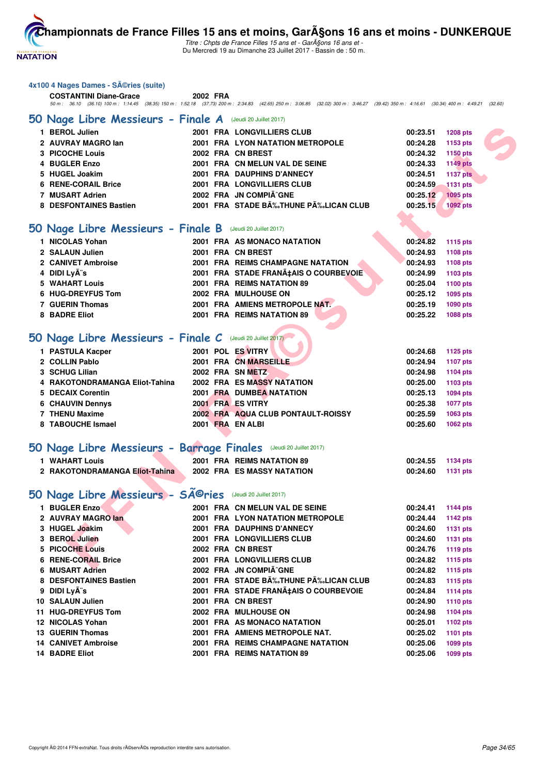

Titre : Chpts de France Filles 15 ans et - GarA§ons 16 ans et -Du Mercredi 19 au Dimanche 23 Juillet 2017 - Bassin de : 50 m.

| 4x100 4 Nages Dames - SA©ries (suite) |  |  |  |
|---------------------------------------|--|--|--|
|---------------------------------------|--|--|--|

| <b>COSTANTINI Diane-Grace</b>                                                                                                                                | 2002 FRA |  |                                     |  |
|--------------------------------------------------------------------------------------------------------------------------------------------------------------|----------|--|-------------------------------------|--|
| 50 m : 36.10 (36.10) 100 m : 1:14.45 (38.35) 150 m : 1:52.18 (37.73) 200 m : 2:34.83 (42.65) 250 m : 3:06.85 (32.02) 300 m : 3:46.27 (39.42) 350 m : 4:16.61 |          |  | $(30.34)$ 400 m : 4:49.21 $(32.60)$ |  |

#### **[50 Nage Libre Messieurs - Finale A](http://www.ffnatation.fr/webffn/resultats.php?idact=nat&go=epr&idcpt=47485&idepr=51)** (Jeudi 20 Juillet 2017)

| 1 BEROL Julien                                                    |  | 2001 FRA LONGVILLIERS CLUB            | 00:23.51                  | <b>1208 pts</b> |
|-------------------------------------------------------------------|--|---------------------------------------|---------------------------|-----------------|
| 2 AUVRAY MAGRO lan                                                |  | 2001 FRA LYON NATATION METROPOLE      | 00:24.28                  | 1153 pts        |
| 3 PICOCHE Louis                                                   |  | 2002 FRA CN BREST                     | 00:24.32                  | 1150 pts        |
| 4 BUGLER Enzo                                                     |  | 2001 FRA CN MELUN VAL DE SEINE        | 00:24.33                  | <b>1149 pts</b> |
| 5 HUGEL Joakim                                                    |  | 2001 FRA DAUPHINS D'ANNECY            | 00:24.51                  | <b>1137 pts</b> |
| 6 RENE-CORAIL Brice                                               |  | 2001 FRA LONGVILLIERS CLUB            | 00:24.59                  | <b>1131 pts</b> |
| 7 MUSART Adrien                                                   |  | 2002 FRA JN COMPIÂ^GNE                | 00:25.12                  | 1095 pts        |
| 8 DESFONTAINES Bastien                                            |  | 2001 FRA STADE BĉTHUNE PĉLICAN CLUB   | 00:25.15                  | <b>1092 pts</b> |
|                                                                   |  |                                       |                           |                 |
| 50 Nage Libre Messieurs - Finale B (Jeudi 20 Juillet 2017)        |  |                                       |                           |                 |
| 1 NICOLAS Yohan                                                   |  | 2001 FRA AS MONACO NATATION           | 00:24.82                  | 1115 pts        |
| 2 SALAUN Julien                                                   |  | 2001 FRA CN BREST                     | 00:24.93                  | 1108 pts        |
| 2 CANIVET Ambroise                                                |  | 2001 FRA REIMS CHAMPAGNE NATATION     | 00:24.93                  | 1108 pts        |
| 4 DIDI Lyà s                                                      |  | 2001 FRA STADE FRANA‡AIS O COURBEVOIE | 00:24.99                  | 1103 pts        |
| 5 WAHART Louis                                                    |  | 2001 FRA REIMS NATATION 89            | 00:25.04                  | 1100 pts        |
| 6 HUG-DREYFUS Tom                                                 |  | 2002 FRA MULHOUSE ON                  | 00:25.12                  | 1095 pts        |
| 7 GUERIN Thomas                                                   |  | 2001 FRA AMIENS METROPOLE NAT.        | 00:25.19                  | 1090 pts        |
| 8 BADRE Eliot                                                     |  | 2001 FRA REIMS NATATION 89            | 00:25.22                  | 1088 pts        |
|                                                                   |  |                                       |                           |                 |
| 50 Nage Libre Messieurs - Finale C (Jeudi 20 Juillet 2017)        |  |                                       |                           |                 |
| 1 PASTULA Kacper                                                  |  | 2001 POL ES VITRY                     | 00:24.68                  | 1125 pts        |
| 2 COLLIN Pablo                                                    |  | 2001 FRA CN MARSEILLE                 | 00:24.94                  | 1107 pts        |
| 3 SCHUG Lilian                                                    |  | 2002 FRA SN METZ                      | 00:24.98                  | 1104 pts        |
| 4 RAKOTONDRAMANGA Eliot-Tahina                                    |  | 2002 FRA ES MASSY NATATION            | 00:25.00                  | 1103 pts        |
| 5 DECAIX Corentin                                                 |  | 2001 FRA DUMBEA NATATION              | 00:25.13                  | <b>1094 pts</b> |
| <b>6 CHAUVIN Dennys</b>                                           |  | 2001 FRA ES VITRY                     | 00:25.38                  | 1077 pts        |
| 7 THENU Maxime                                                    |  | 2002 FRA AQUA CLUB PONTAULT-ROISSY    | 00:25.59                  | 1063 pts        |
| 8 TABOUCHE Ismael                                                 |  | 2001 FRA EN ALBI                      | 00:25.60                  | 1062 pts        |
|                                                                   |  |                                       |                           |                 |
| 50 Nage Libre Messieurs - Barrage Finales (Jeudi 20 Juillet 2017) |  |                                       |                           |                 |
| 1 WAHART Louis                                                    |  | 2001 FRA REIMS NATATION 89            | 00:24.55                  | 1134 pts        |
| 2 RAKOTONDRAMANGA Eliot-Tahina                                    |  | 2002 FRA ES MASSY NATATION            | 00:24.60                  | <b>1131 pts</b> |
|                                                                   |  |                                       |                           |                 |
| 50 Nage Libre Messieurs - Séries                                  |  | (Jeudi 20 Juillet 2017)               |                           |                 |
| 1 BUGLER Enzo                                                     |  | 2001 FRA CN MELUN VAL DE SEINE        | 00:24.41                  | 1144 pts        |
| 2 AUVRAY MAGRO lan                                                |  | 2001 FRA LYON NATATION METROPOLE      | 00:24.44                  | 1142 pts        |
| 3 HUGEL Joakim                                                    |  | 2001 FRA DAUPHINS D'ANNECY            | 00:24.60                  | 1131 pts        |
| 3 BEROL Julien                                                    |  | 2001 FRA LONGVILLIERS CLUB            | 00:24.60                  | <b>1131 pts</b> |
| 5 PICOCHE Louis                                                   |  | 2002 FRA CN BREST                     | 00:24.76                  | 1119 pts        |
| <b>6 RENE-CORAIL Brice</b>                                        |  | <b>2001 FRA LONGVILLIERS CLUB</b>     | 00:24.82                  | 1115 pts        |
| $C$ MUCADT A $\overline{A}$                                       |  | $0.000$ FBA IN OOMBLÃ^OMF             | $0.0.0100 \times 10^{-1}$ |                 |

#### **[50 Nage Libre Messieurs - Finale B](http://www.ffnatation.fr/webffn/resultats.php?idact=nat&go=epr&idcpt=47485&idepr=51)** (Jeudi 20 Juillet 2017)

| 1 NICOLAS Yohan    |  | 2001 FRA AS MONACO NATATION           | 00:24.82 | 1115 pts |
|--------------------|--|---------------------------------------|----------|----------|
| 2 SALAUN Julien    |  | 2001 FRA CN BREST                     | 00:24.93 | 1108 pts |
| 2 CANIVET Ambroise |  | 2001 FRA REIMS CHAMPAGNE NATATION     | 00:24.93 | 1108 pts |
| 4 DIDI Lyès        |  | 2001 FRA STADE FRANA‡AIS O COURBEVOIE | 00:24.99 | 1103 pts |
| 5 WAHART Louis     |  | 2001 FRA REIMS NATATION 89            | 00:25.04 | 1100 pts |
| 6 HUG-DREYFUS Tom  |  | 2002 FRA MULHOUSE ON                  | 00:25.12 | 1095 pts |
| 7 GUERIN Thomas    |  | 2001 FRA AMIENS METROPOLE NAT.        | 00:25.19 | 1090 pts |
| 8 BADRE Eliot      |  | 2001 FRA REIMS NATATION 89            | 00:25.22 | 1088 pts |
|                    |  |                                       |          |          |

# **50 Nage Libre Messieurs - Finale C** (Jeudi 20 Juillet 2017)

| 1 PASTULA Kacper               |  | 2001 POL ES VITRY                  | 00:24.68 | 1125 pts |
|--------------------------------|--|------------------------------------|----------|----------|
| 2 COLLIN Pablo                 |  | 2001 FRA CN MARSEILLE              | 00:24.94 | 1107 pts |
| 3 SCHUG Lilian                 |  | 2002 FRA SN METZ                   | 00:24.98 | 1104 pts |
| 4 RAKOTONDRAMANGA Eliot-Tahina |  | 2002 FRA ES MASSY NATATION         | 00:25.00 | 1103 pts |
| 5 DECAIX Corentin              |  | 2001 FRA DUMBEA NATATION           | 00:25.13 | 1094 pts |
| <b>6 CHAUVIN Dennys</b>        |  | 2001 FRA ES VITRY                  | 00:25.38 | 1077 pts |
| 7 THENU Maxime                 |  | 2002 FRA AQUA CLUB PONTAULT-ROISSY | 00:25.59 | 1063 pts |
| 8 TABOUCHE Ismael              |  | 2001 FRA EN ALBI                   | 00:25.60 | 1062 pts |

#### **[50 Nage Libre Messieurs - Barrage Finales](http://www.ffnatation.fr/webffn/resultats.php?idact=nat&go=epr&idcpt=47485&idepr=51)** (Jeudi 20 Juillet 2017)

| <b>WAHART Louis</b>            | 2001 FRA REIMS NATATION 89        | 00:24.55 | 1134 pts |
|--------------------------------|-----------------------------------|----------|----------|
| 2 RAKOTONDRAMANGA Eliot-Tahina | <b>2002 FRA ES MASSY NATATION</b> | 00:24.60 | 1131 pts |

# 50 Nage Libre Messieurs - SÃ<sup>@</sup>ries (Jeudi 20 Juillet 2017)

| 1 BUGLER Enzo              |  | 2001 FRA CN MELUN VAL DE SEINE           | 00:24.41 | <b>1144 pts</b> |
|----------------------------|--|------------------------------------------|----------|-----------------|
| 2 AUVRAY MAGRO lan         |  | 2001 FRA LYON NATATION METROPOLE         | 00:24.44 | <b>1142 pts</b> |
| 3 HUGEL Joakim             |  | 2001 FRA DAUPHINS D'ANNECY               | 00:24.60 | <b>1131 pts</b> |
| 3 BEROL Julien             |  | 2001 FRA LONGVILLIERS CLUB               | 00:24.60 | <b>1131 pts</b> |
| 5 PICOCHE Louis            |  | 2002 FRA CN BREST                        | 00:24.76 | <b>1119 pts</b> |
| <b>6 RENE-CORAIL Brice</b> |  | 2001 FRA LONGVILLIERS CLUB               | 00:24.82 | 1115 pts        |
| 6 MUSART Adrien            |  | 2002 FRA JN COMPIÃ^GNE                   | 00:24.82 | 1115 pts        |
| 8 DESFONTAINES Bastien     |  | 2001 FRA STADE BÉTHUNE PÉLICAN CLUB      | 00:24.83 | 1115 pts        |
| 9 DIDI Lyès                |  | 2001 FRA STADE FRANA‡AIS O COURBEVOIE    | 00:24.84 | <b>1114 pts</b> |
| 10 SALAUN Julien           |  | 2001 FRA CN BREST                        | 00:24.90 | <b>1110 pts</b> |
| <b>11 HUG-DREYFUS Tom</b>  |  | 2002 FRA MULHOUSE ON                     | 00:24.98 | 1104 pts        |
| 12 NICOLAS Yohan           |  | 2001 FRA AS MONACO NATATION              | 00:25.01 | 1102 pts        |
| 13 GUERIN Thomas           |  | 2001 FRA AMIENS METROPOLE NAT.           | 00:25.02 | 1101 pts        |
| <b>14 CANIVET Ambroise</b> |  | <b>2001 FRA REIMS CHAMPAGNE NATATION</b> | 00:25.06 | 1099 pts        |
| <b>14 BADRE Eliot</b>      |  | 2001 FRA REIMS NATATION 89               | 00:25.06 | 1099 pts        |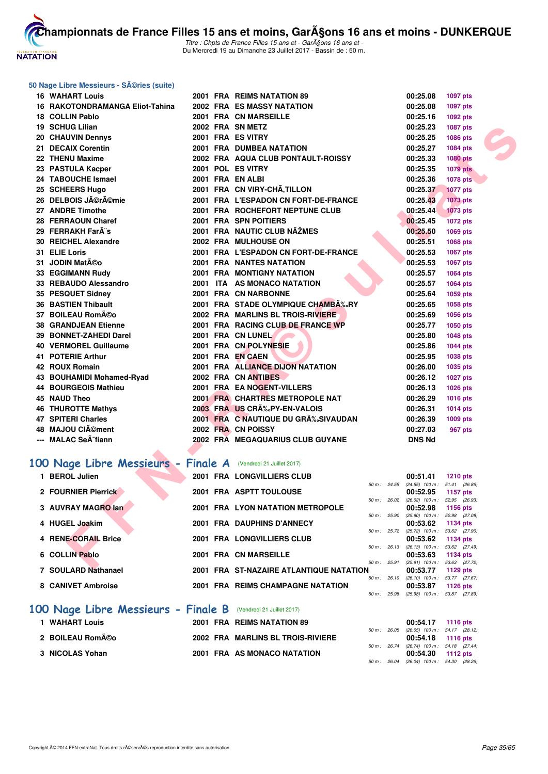

Titre : Chpts de France Filles 15 ans et - GarA§ons 16 ans et -Du Mercredi 19 au Dimanche 23 Juillet 2017 - Bassin de : 50 m.

#### **50 Nage Libre Messieurs - Séries (suite)**

| <b>16 WAHART Louis</b>                                        |  | 2001 FRA REIMS NATATION 89                      |              | 00:25.08                                               | <b>1097 pts</b> |  |
|---------------------------------------------------------------|--|-------------------------------------------------|--------------|--------------------------------------------------------|-----------------|--|
| 16 RAKOTONDRAMANGA Eliot-Tahina                               |  | 2002 FRA ES MASSY NATATION                      |              | 00:25.08                                               | 1097 pts        |  |
| 18 COLLIN Pablo                                               |  | 2001 FRA CN MARSEILLE                           |              | 00:25.16                                               | 1092 pts        |  |
| 19 SCHUG Lilian                                               |  | 2002 FRA SN METZ                                |              | 00:25.23                                               | <b>1087 pts</b> |  |
| 20 CHAUVIN Dennys                                             |  | 2001 FRA ES VITRY                               |              | 00:25.25                                               | 1086 pts        |  |
| 21 DECAIX Corentin                                            |  | 2001 FRA DUMBEA NATATION                        |              | 00:25.27                                               | 1084 pts        |  |
| 22 THENU Maxime                                               |  | 2002 FRA AQUA CLUB PONTAULT-ROISSY              |              | 00:25.33                                               | <b>1080 pts</b> |  |
| 23 PASTULA Kacper                                             |  | 2001 POL ES VITRY                               |              | 00:25.35                                               | <b>1079 pts</b> |  |
| 24 TABOUCHE Ismael                                            |  | 2001 FRA EN ALBI                                |              | 00:25.36                                               | <b>1078 pts</b> |  |
| 25 SCHEERS Hugo                                               |  | 2001 FRA CN VIRY-CHA, TILLON                    |              | 00:25.37                                               | <b>1077 pts</b> |  |
| 26 DELBOIS Jérémie                                            |  | 2001 FRA L'ESPADON CN FORT-DE-FRANCE            |              | 00:25.43                                               | 1073 pts        |  |
| 27 ANDRE Timothe                                              |  | 2001 FRA ROCHEFORT NEPTUNE CLUB                 |              | 00:25.44                                               | <b>1073 pts</b> |  |
| 28 FERRAOUN Charef                                            |  | 2001 FRA SPN POITIERS                           |              | 00:25.45                                               | 1072 pts        |  |
| 29 FERRAKH FarÂ"s                                             |  | 2001 FRA NAUTIC CLUB NAZMES                     |              | 00:25.50                                               | 1069 pts        |  |
| 30 REICHEL Alexandre                                          |  | 2002 FRA MULHOUSE ON                            |              | 00:25.51                                               | 1068 pts        |  |
| 31 ELIE Loris                                                 |  | 2001 FRA L'ESPADON CN FORT-DE-FRANCE            |              | 00:25.53                                               | 1067 pts        |  |
| 31 JODIN Matéo                                                |  | <b>2001 FRA NANTES NATATION</b>                 |              | 00:25.53                                               | 1067 pts        |  |
| 33 EGGIMANN Rudy                                              |  | 2001 FRA MONTIGNY NATATION                      |              | 00:25.57                                               | <b>1064 pts</b> |  |
| 33 REBAUDO Alessandro                                         |  | 2001 ITA AS MONACO NATATION                     |              | 00:25.57                                               | <b>1064 pts</b> |  |
| 35 PESQUET Sidney                                             |  | 2001 FRA CN NARBONNE                            |              | 00:25.64                                               | 1059 pts        |  |
| <b>36 BASTIEN Thibault</b>                                    |  | 2001 FRA STADE OLYMPIQUE CHAMBA‰RY              |              | 00:25.65                                               | 1058 pts        |  |
| 37 BOILEAU Rom©o                                              |  | 2002 FRA MARLINS BL TROIS-RIVIERE               |              | 00:25.69                                               | 1056 pts        |  |
| <b>38 GRANDJEAN Etienne</b>                                   |  | 2001 FRA RACING CLUB DE FRANCE WP               |              | 00:25.77                                               | 1050 pts        |  |
| 39 BONNET-ZAHEDI Darel                                        |  | 2001 FRA CN LUNEL                               |              | 00:25.80                                               | 1048 pts        |  |
| <b>40 VERMOREL Guillaume</b>                                  |  | 2001 FRA CN POLYNESIE                           |              | 00:25.86                                               | <b>1044 pts</b> |  |
| 41 POTERIE Arthur                                             |  | 2001 FRA EN CAEN                                |              | 00:25.95                                               | 1038 pts        |  |
| 42 ROUX Romain                                                |  | 2001 FRA ALLIANCE DIJON NATATION                |              | 00:26.00                                               | 1035 pts        |  |
| 43 BOUHAMIDI Mohamed-Ryad                                     |  | 2002 FRA CN ANTIBES                             |              | 00:26.12                                               | <b>1027 pts</b> |  |
| 44 BOURGEOIS Mathieu                                          |  | 2001 FRA EA NOGENT-VILLERS                      |              | 00:26.13                                               | 1026 pts        |  |
| 45 NAUD Theo                                                  |  | 2001 FRA CHARTRES METROPOLE NAT                 |              | 00:26.29                                               | 1016 pts        |  |
| <b>46 THUROTTE Mathys</b>                                     |  | 2003 FRA US CRA%PY-EN-VALOIS                    |              | 00:26.31                                               | 1014 pts        |  |
| <b>47 SPITERI Charles</b>                                     |  | 2001 FRA C NAUTIQUE DU GR‰SIVAUDAN              |              | 00:26.39                                               | 1009 pts        |  |
| 48 MAJOU CIément                                              |  | 2002 FRA CN POISSY                              |              | 00:27.03                                               | 967 pts         |  |
| --- MALAC SeA <sup>-</sup> fiann                              |  | 2002 FRA MEGAQUARIUS CLUB GUYANE                |              | <b>DNS Nd</b>                                          |                 |  |
|                                                               |  |                                                 |              |                                                        |                 |  |
| 00 Nage Libre Messieurs - Finale A (Vendredi 21 Juillet 2017) |  |                                                 |              |                                                        |                 |  |
| 1 BEROL Julien                                                |  | <b>2001 FRA LONGVILLIERS CLUB</b>               |              | 00:51.41                                               | <b>1210 pts</b> |  |
| 2 FOURNIER Pierrick                                           |  | 2001 FRA ASPTT TOULOUSE                         |              | 50 m: 24.55 (24.55) 100 m: 51.41 (26.86)               |                 |  |
|                                                               |  |                                                 | 50 m: 26.02  | 00:52.95<br>$(26.02)$ 100 m : 52.95 $(26.93)$          | <b>1157 pts</b> |  |
| 3 AUVRAY MAGRO lan                                            |  | 2001 FRA LYON NATATION METROPOLE                |              | 00:52.98                                               | 1156 pts        |  |
|                                                               |  |                                                 | 50 m : 25.90 | $(25.90)$ 100 m : 52.98 $(27.08)$                      |                 |  |
| 4 HUGEL Joakim                                                |  | 2001 FRA DAUPHINS D'ANNECY                      | 50 m: 25.72  | 00:53.62<br>$(25.72)$ 100 m : 53.62 $(27.90)$          | 1134 pts        |  |
| 4 RENE-CORAIL Brice                                           |  | 2001 FRA LONGVILLIERS CLUB                      |              | 00:53.62                                               | 1134 pts        |  |
| 6 COLLIN Pablo                                                |  | 2001 FRA CN MARSEILLE                           |              | 50 m: 26.13 (26.13) 100 m: 53.62 (27.49)               |                 |  |
|                                                               |  |                                                 |              | 00:53.63<br>50 m : 25.91 (25.91) 100 m : 53.63 (27.72) | 1134 pts        |  |
| <b>EXAMPLE AREA MARGARET</b>                                  |  | <b>0004 FBA OT NAZAIDE ATI ANTIQUE NATATION</b> |              | 00.5077                                                | $1100 -$        |  |

#### [100 Nage Libre Messieurs - Finale A](http://www.ffnatation.fr/webffn/resultats.php?idact=nat&go=epr&idcpt=47485&idepr=52) (Vendredi 21 Juillet 2017)

| 1 BEROL Julien      |  | 2001 FRA LONGVILLIERS CLUB               |                        |                | 00:51.41                          | <b>1210 pts</b> |
|---------------------|--|------------------------------------------|------------------------|----------------|-----------------------------------|-----------------|
|                     |  |                                          | 50 m: 24.55            |                | $(24.55)$ 100 m : 51.41 $(26.86)$ |                 |
| 2 FOURNIER Pierrick |  | 2001 FRA ASPTT TOULOUSE                  |                        |                | 00:52.95                          | 1157 pts        |
|                     |  |                                          | $50 m$ : 26.02         |                | (26.02) 100 m : 52.95 (26.93)     |                 |
| 3 AUVRAY MAGRO lan  |  | 2001 FRA LYON NATATION METROPOLE         |                        |                | 00:52.98                          | 1156 pts        |
|                     |  |                                          |                        | 50 m: 25.90    | $(25.90)$ 100 m : 52.98 $(27.08)$ |                 |
| 4 HUGEL Joakim      |  | 2001 FRA DAUPHINS D'ANNECY               |                        |                | 00:53.62                          | 1134 pts        |
|                     |  |                                          |                        | $50 m$ : 25.72 | $(25.72)$ 100 m : 53.62 $(27.90)$ |                 |
| 4 RENE-CORAIL Brice |  | 2001 FRA LONGVILLIERS CLUB               |                        |                | $00:53.62$ 1134 pts               |                 |
|                     |  |                                          | $50 \text{ m}$ : 26.13 |                | (26.13) 100 m: 53.62 (27.49)      |                 |
| 6 COLLIN Pablo      |  | 2001 FRA CN MARSEILLE                    |                        |                | 00:53.63                          | 1134 pts        |
|                     |  |                                          | 50 m: 25.91            |                | (25.91) 100 m: 53.63 (27.72)      |                 |
| 7 SOULARD Nathanael |  | 2001 FRA ST-NAZAIRE ATLANTIQUE NATATION  |                        |                | 00:53.77                          | 1129 pts        |
|                     |  |                                          |                        | $50 m$ : 26.10 | (26.10) 100 m: 53.77 (27.67)      |                 |
| 8 CANIVET Ambroise  |  | <b>2001 FRA REIMS CHAMPAGNE NATATION</b> |                        |                | 00:53.87                          | 1126 pts        |
|                     |  |                                          | $50 \text{ m}$ : 25.98 |                | (25.98) 100 m : 53.87 (27.89)     |                 |
|                     |  |                                          |                        |                |                                   |                 |

# **[100 Nage Libre Messieurs - Finale B](http://www.ffnatation.fr/webffn/resultats.php?idact=nat&go=epr&idcpt=47485&idepr=52)** (Vendredi 21 Juillet 2017)

| <b>WAHART Louis</b> |  | 2001 FRA REIMS NATATION 89        |  | 00:54.17 1116 pts                          |  |
|---------------------|--|-----------------------------------|--|--------------------------------------------|--|
|                     |  |                                   |  | 50 m: 26.05 (26.05) 100 m: 54.17 (28.12)   |  |
| 2 BOILEAU Rom©o     |  | 2002 FRA MARLINS BL TROIS-RIVIERE |  | 00:54.18 1116 pts                          |  |
|                     |  |                                   |  | 50 m: 26.74 (26.74) 100 m: 54.18 (27.44)   |  |
| 3 NICOLAS Yohan     |  | 2001 FRA AS MONACO NATATION       |  | 00:54.30 1112 pts                          |  |
|                     |  |                                   |  | 50 m : 26.04 (26.04) 100 m : 54.30 (28.26) |  |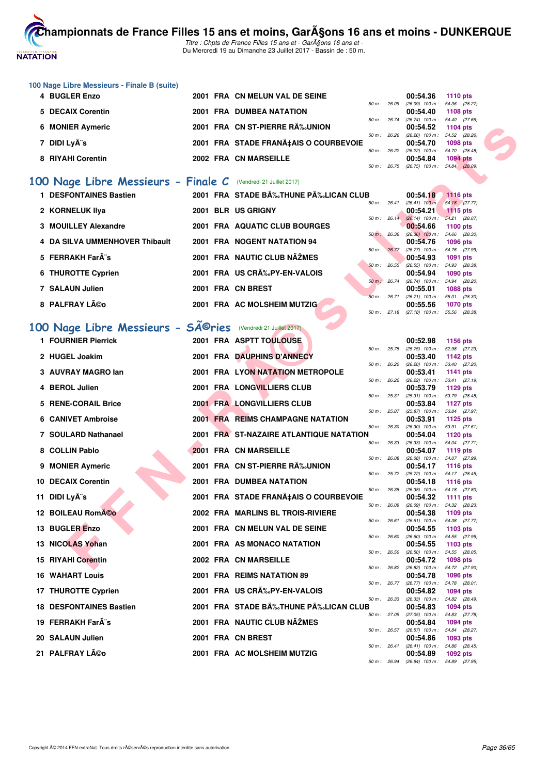

Titre : Chpts de France Filles 15 ans et - GarA§ons 16 ans et -Du Mercredi 19 au Dimanche 23 Juillet 2017 - Bassin de : 50 m.

| 100 Nage Libre Messieurs - Finale B (suite) |  |                                       |                |                              |            |
|---------------------------------------------|--|---------------------------------------|----------------|------------------------------|------------|
| 4 BUGLER Enzo                               |  | 2001 FRA CN MELUN VAL DE SEINE        |                | 00:54.36                     | 1110 $pts$ |
|                                             |  |                                       | $50 m$ : 26.09 | (26.09) 100 m : 54.36 (28.27 |            |
| 5 DECAIX Corentin                           |  | <b>2001 FRA DUMBEA NATATION</b>       |                | 00:54.40                     | 1108 $pts$ |
|                                             |  |                                       | $50 m$ : 26.74 | (26.74) 100 m : 54.40 (27.66 |            |
| 6 MONIER Aymeric                            |  | 2001 FRA CN ST-PIERRE RA‰UNION        |                | 00:54.52                     | 1104 pts   |
|                                             |  |                                       | $50 m$ : 26.26 | (26.26) 100 m : 54.52 (28.26 |            |
| 7 DIDI Ly¨s                                 |  | 2001 FRA STADE FRANA‡AIS O COURBEVOIE |                | 00:54.70                     | 1098 pts   |
|                                             |  |                                       | $50 m$ : 26.22 | (26.22) 100 m: 54.70 (28.48) |            |
| 8 RIYAHI Corentin                           |  | 2002 FRA CN MARSEILLE                 |                | 00:54.84                     | $1094$ pts |
|                                             |  |                                       | $50 m$ : 26.75 | (26.75) 100 m : 54.84 (28.09 |            |

#### **[100 Nage Libre Messieurs - Finale C](http://www.ffnatation.fr/webffn/resultats.php?idact=nat&go=epr&idcpt=47485&idepr=52)** (Vendredi 21 Juillet 2017)

| 1 DESFONTAINES Bastien         |  | 2001 FRA STADE B‰THUNE P‰LICAN CLUB |                        |       | 00:54.18                     | $1116$ pts      |  |
|--------------------------------|--|-------------------------------------|------------------------|-------|------------------------------|-----------------|--|
|                                |  |                                     | $50 \text{ m}$ : 26.41 |       | $(26.41)$ 100 m :            | 54.18 (27.77)   |  |
| 2 KORNELUK IIya                |  | 2001 BLR US GRIGNY                  |                        |       | 00:54.21                     | $1115$ pts      |  |
|                                |  |                                     | $50 m$ : 26.14         |       | $(26.14)$ 100 m :            | 54.21 (28.07)   |  |
| 3 MOUILLEY Alexandre           |  | 2001 FRA AQUATIC CLUB BOURGES       |                        |       | 00:54.66                     | 1100 $pts$      |  |
|                                |  |                                     | 50 m: 26.36            |       | $(26.36)$ 100 m :            | 54.66 (28.30)   |  |
| 4 DA SILVA UMMENHOVER Thibault |  | 2001 FRA NOGENT NATATION 94         |                        |       | 00:54.76                     | <b>1096 pts</b> |  |
|                                |  |                                     | 50 m : 26.77           |       | $(26.77)$ 100 m :            | 54.76 (27.99)   |  |
| 5 FERRAKH Farà s               |  | 2001 FRA NAUTIC CLUB NAŽMES         |                        |       | 00:54.93                     | 1091 $pts$      |  |
|                                |  |                                     | 50 m: 26.55            |       | $(26.55)$ 100 m :            | 54.93 (28.38)   |  |
| 6 THUROTTE Cyprien             |  | 2001 FRA US CRA%PY-EN-VALOIS        |                        |       | 00:54.94                     | $1090$ pts      |  |
|                                |  |                                     | $50 m$ :               | 26.74 | $(26.74)$ 100 m :            | 54.94 (28.20)   |  |
| 7 SALAUN Julien                |  | 2001 FRA CN BREST                   |                        |       | 00:55.01                     | <b>1088 pts</b> |  |
|                                |  |                                     | $50 m$ :               | 26.71 | $(26.71)$ 100 m :            | 55.01 (28.30)   |  |
| 8 PALFRAY Léo                  |  | 2001 FRA AC MOLSHEIM MUTZIG         |                        |       | 00:55.56                     | <b>1070 pts</b> |  |
|                                |  |                                     | 50 m: 27.18            |       | (27.18) 100 m: 55.56 (28.38) |                 |  |

### 100 Nage Libre Messieurs - SA<sup>©</sup>ries (Vendredi 21 Juillet 2017)

| 6 MONIER Aymeric                                              |  | 2001 FRA CN ST-PIERRE RA‰UNION          |                | 00:54.52                                               | <b>1104 pts</b>           |  |
|---------------------------------------------------------------|--|-----------------------------------------|----------------|--------------------------------------------------------|---------------------------|--|
| 7 DIDI Lyà s                                                  |  | 2001 FRA STADE FRANA‡AIS O COURBEVOIE   | 50 m: 26.26    | $(26.26)$ 100 m : 54.52 $(28.26)$<br>00:54.70          | <b>1098 pts</b>           |  |
| 8 RIYAHI Corentin                                             |  | 2002 FRA CN MARSEILLE                   | 50 m: 26.22    | (26.22) 100 m: 54.70 (28.48)<br>00:54.84               | <b>1094 pts</b>           |  |
|                                                               |  |                                         | 50 m : 26.75   | $(26.75)$ 100 m : 54.84 $(28.09)$                      |                           |  |
| 00 Nage Libre Messieurs - Finale C (Vendredi 21 Juillet 2017) |  |                                         |                |                                                        |                           |  |
| 1 DESFONTAINES Bastien                                        |  | 2001 FRA STADE BĉTHUNE PĉLICAN CLUB     |                | 00:54.18                                               | <b>1116 pts</b>           |  |
| 2 KORNELUK IIya                                               |  | 2001 BLR US GRIGNY                      | 50 m : 26.41   | $(26.41)$ 100 m : 54.18 $(27.77)$<br>00:54.21          | <b>1115 pts</b>           |  |
| 3 MOUILLEY Alexandre                                          |  | 2001 FRA AQUATIC CLUB BOURGES           |                | 50 m: 26.14 (26.14) 100 m:<br>00:54.66                 | 54.21 (28.07)<br>1100 pts |  |
| 4 DA SILVA UMMENHOVER Thibault                                |  | 2001 FRA NOGENT NATATION 94             | 50 m : 26.36   | $(26.36)$ 100 m : 54.66 $(28.30)$<br>00:54.76          | 1096 pts                  |  |
|                                                               |  |                                         | 50 m : 26.77   | (26.77) 100 m: 54.76 (27.99)                           |                           |  |
| 5 FERRAKH Far¨s                                               |  | 2001 FRA NAUTIC CLUB NAŽMES             | $50 m$ : 26.55 | 00:54.93<br>(26.55) 100 m: 54.93 (28.38)               | 1091 pts                  |  |
| 6 THUROTTE Cyprien                                            |  | 2001 FRA US CRA%PY-EN-VALOIS            | 50 m : 26.74   | 00:54.94<br>(26.74) 100 m: 54.94 (28.20)               | 1090 pts                  |  |
| 7 SALAUN Julien                                               |  | 2001 FRA CN BREST                       |                | 00:55.01                                               | 1088 pts                  |  |
| 8 PALFRAY Léo                                                 |  | 2001 FRA AC MOLSHEIM MUTZIG             | 50 m: 26.71    | $(26.71)$ 100 m : 55.01 (28.30)<br>00:55.56            | 1070 pts                  |  |
|                                                               |  |                                         |                | 50 m: 27.18 (27.18) 100 m: 55.56 (28.38)               |                           |  |
| 00 Nage Libre Messieurs - Séries (Vendredi 21 Juillet 2017)   |  |                                         |                |                                                        |                           |  |
| 1 FOURNIER Pierrick                                           |  | 2001 FRA ASPTT TOULOUSE                 |                | 00:52.98                                               | 1156 pts                  |  |
| 2 HUGEL Joakim                                                |  | 2001 FRA DAUPHINS D'ANNECY              |                | 50 m: 25.75 (25.75) 100 m: 52.98 (27.23)<br>00:53.40   | <b>1142 pts</b>           |  |
| 3 AUVRAY MAGRO lan                                            |  | 2001 FRA LYON NATATION METROPOLE        | 50 m : 26.20   | $(26.20)$ 100 m : 53.40 $(27.20)$<br>00:53.41          | 1141 pts                  |  |
| 4 BEROL Julien                                                |  | <b>2001 FRA LONGVILLIERS CLUB</b>       |                | 50 m: 26.22 (26.22) 100 m: 53.41 (27.19)               | 1129 pts                  |  |
|                                                               |  |                                         | 50 m : 25.31   | 00:53.79<br>(25.31) 100 m: 53.79 (28.48)               |                           |  |
| 5 RENE-CORAIL Brice                                           |  | 2001 FRA LONGVILLIERS CLUB              | 50 m : 25.87   | 00:53.84<br>$(25.87)$ 100 m : 53.84 $(27.97)$          | 1127 pts                  |  |
| 6 CANIVET Ambroise                                            |  | 2001 FRA REIMS CHAMPAGNE NATATION       | 50 m : 26.30   | 00:53.91<br>$(26.30)$ 100 m : 53.91 $(27.61)$          | 1125 pts                  |  |
| 7 SOULARD Nathanael                                           |  | 2001 FRA ST-NAZAIRE ATLANTIQUE NATATION |                | 00:54.04                                               | <b>1120 pts</b>           |  |
| 8 COLLIN Pablo                                                |  | 2001 FRA CN MARSEILLE                   | 50 m: 26.33    | $(26.33)$ 100 m : 54.04 $(27.71)$<br>00:54.07          | 1119 pts                  |  |
| 9 MONIER Aymeric                                              |  | 2001 FRA CN ST-PIERRE RÉUNION           | 50 m: 26.08    | (26.08) 100 m : 54.07 (27.99)<br>00:54.17              | <b>1116 pts</b>           |  |
| <b>10 DECAIX Corentin</b>                                     |  | <b>2001 FRA DUMBEA NATATION</b>         |                | 50 m: 25.72 (25.72) 100 m: 54.17 (28.45)               |                           |  |
|                                                               |  |                                         | 50 m : 26.38   | 00:54.18<br>$(26.38)$ 100 m : 54.18 $(27.80)$          | <b>1116 pts</b>           |  |
| 11 DIDI Lyà s                                                 |  | 2001 FRA STADE FRANA‡AIS O COURBEVOIE   | 50 m : 26.09   | 00:54.32<br>$(26.09)$ 100 m : 54.32 $(28.23)$          | 1111 pts                  |  |
| 12 BOILEAU RomA©o                                             |  | 2002 FRA MARLINS BL TROIS-RIVIERE       |                | 00:54.38                                               | 1109 pts                  |  |
| <b>13 BUGLER Enzo</b>                                         |  | 2001 FRA CN MELUN VAL DE SEINE          | 50 m: 26.61    | (26.61) 100 m: 54.38 (27.77)<br>00:54.55               | 1103 pts                  |  |
| 13 NICOLAS Yohan                                              |  | 2001 FRA AS MONACO NATATION             |                | 50 m : 26.60 (26.60) 100 m : 54.55 (27.95)<br>00:54.55 | 1103 pts                  |  |
| <b>15 RIYAHI Corentin</b>                                     |  | 2002 FRA CN MARSEILLE                   |                | 50 m : 26.50 (26.50) 100 m : 54.55 (28.05)<br>00:54.72 | 1098 pts                  |  |
|                                                               |  |                                         |                | 50 m: 26.82 (26.82) 100 m: 54.72 (27.90)               |                           |  |
| <b>16 WAHART Louis</b>                                        |  | 2001 FRA REIMS NATATION 89              |                | 00:54.78<br>50 m: 26.77 (26.77) 100 m: 54.78 (28.01)   | <b>1096 pts</b>           |  |
| 17 THUROTTE Cyprien                                           |  | 2001 FRA US CRA%PY-EN-VALOIS            |                | 00:54.82<br>50 m : 26.33 (26.33) 100 m : 54.82 (28.49) | 1094 pts                  |  |
| <b>18 DESFONTAINES Bastien</b>                                |  | 2001 FRA STADE BÉTHUNE PÉLICAN CLUB     |                | 00:54.83                                               | 1094 pts                  |  |
| 19 FERRAKH Far¨s                                              |  | 2001 FRA NAUTIC CLUB NAŽMES             |                | 50 m: 27.05 (27.05) 100 m: 54.83 (27.78)<br>00:54.84   | 1094 pts                  |  |
| 20 SALAUN Julien                                              |  | 2001 FRA CN BREST                       | 50 m : 26.57   | $(26.57)$ 100 m : 54.84 $(28.27)$<br>00:54.86          | 1093 pts                  |  |
| 21 PALFRAY Léo                                                |  |                                         |                | 50 m: 26.41 (26.41) 100 m: 54.86 (28.45)               |                           |  |
|                                                               |  | 2001 FRA AC MOLSHEIM MUTZIG             |                | 00:54.89<br>50 m; 26.94 (26.94) 100 m; 54.89 (27.95)   | 1092 pts                  |  |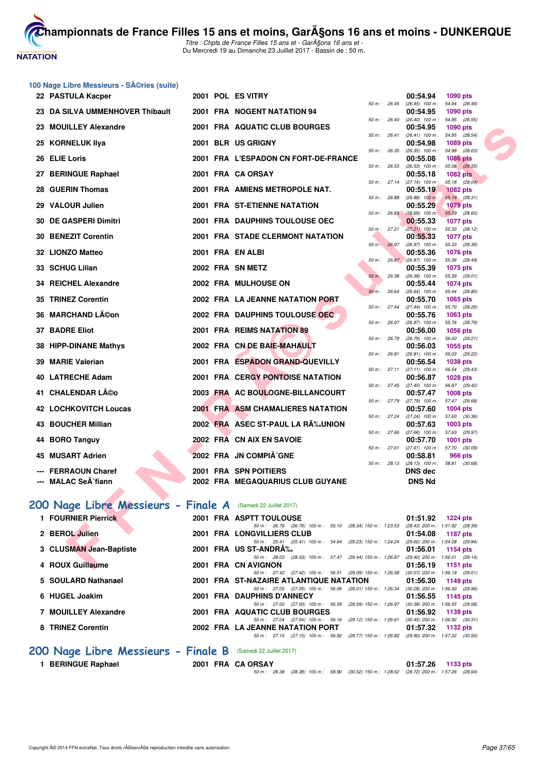

Titre : Chpts de France Filles 15 ans et - GarA§ons 16 ans et -Du Mercredi 19 au Dimanche 23 Juillet 2017 - Bassin de : 50 m.

| 100 Nage Libre Messieurs - Séries (suite) |
|-------------------------------------------|
| 22 PASTULA Kacper                         |

| 22 PASTULA Kacper                                           |  | 2001 POL ES VITRY                                                                                               |                        | 00:54.94<br>1090 pts                                                       |  |
|-------------------------------------------------------------|--|-----------------------------------------------------------------------------------------------------------------|------------------------|----------------------------------------------------------------------------|--|
| 23 DA SILVA UMMENHOVER Thibault                             |  | 2001 FRA NOGENT NATATION 94                                                                                     |                        | 50 m: 26.45 (26.45) 100 m: 54.94 (28.49)<br>00:54.95<br>1090 pts           |  |
| 23 MOUILLEY Alexandre                                       |  | 2001 FRA AQUATIC CLUB BOURGES                                                                                   | 50 m: 26.40            | $(26.40)$ 100 m : 54.95 $(28.55)$<br>00:54.95<br><b>1090 pts</b>           |  |
|                                                             |  |                                                                                                                 | 50 m: 26.41            | (26.41) 100 m: 54.95 (28.54)                                               |  |
| 25 KORNELUK Ilya                                            |  | 2001 BLR US GRIGNY                                                                                              | 50 m : 26.35           | 00:54.98<br>1089 pts<br>54.98 (28.63)<br>$(26.35)$ 100 m :                 |  |
| 26 ELIE Loris                                               |  | 2001 FRA L'ESPADON CN FORT-DE-FRANCE                                                                            |                        | 00:55.08<br><b>1086 pts</b>                                                |  |
| 27 BERINGUE Raphael                                         |  | 2001 FRA CA ORSAY                                                                                               | 50 m: 26.53            | $(26.53)$ 100 m : 55.08 $(28.55)$<br>00:55.18<br><b>1082 pts</b>           |  |
| 28 GUERIN Thomas                                            |  | 2001 FRA AMIENS METROPOLE NAT.                                                                                  |                        | 50 m: 27.14 (27.14) 100 m:<br>55.18 (28.04)<br>00:55.19<br><b>1082 pts</b> |  |
|                                                             |  |                                                                                                                 | 50 m : 26.88           | $(26.88)$ 100 m :<br>55.19 (28.31)                                         |  |
| 29 VALOUR Julien                                            |  | 2001 FRA ST-ETIENNE NATATION                                                                                    |                        | 00:55.29<br><b>1079 pts</b><br>50 m : 26.69 (26.69) 100 m : 55.29 (28.60)  |  |
| 30 DE GASPERI Dimitri                                       |  | 2001 FRA DAUPHINS TOULOUSE OEC                                                                                  |                        | 00:55.33<br><b>1077 pts</b>                                                |  |
| 30 BENEZIT Corentin                                         |  | <b>2001 FRA STADE CLERMONT NATATION</b>                                                                         | 50 m: 27.21            | (27.21) 100 m: 55.33 (28.12)<br>00:55.33<br>1077 pts                       |  |
|                                                             |  |                                                                                                                 | 50 m: 26.97            | $(26.97)$ 100 m : 55.33 $(28.36)$                                          |  |
| 32 LIONZO Matteo                                            |  | 2001 FRA EN ALBI                                                                                                |                        | 00:55.36<br><b>1076 pts</b><br>50 m : 26.87 (26.87) 100 m : 55.36 (28.49)  |  |
| 33 SCHUG Lilian                                             |  | 2002 FRA SN METZ                                                                                                |                        | 00:55.39<br><b>1075 pts</b>                                                |  |
| 34 REICHEL Alexandre                                        |  | 2002 FRA MULHOUSE ON                                                                                            | 50 m: 26.38            | $(26.38)$ 100 m : 55.39 $(29.01)$<br>00:55.44                              |  |
|                                                             |  |                                                                                                                 | 50 m: 26.64            | <b>1074 pts</b><br>$(26.64)$ 100 m : 55.44 $(28.80)$                       |  |
| 35 TRINEZ Corentin                                          |  | 2002 FRA LA JEANNE NATATION PORT                                                                                |                        | 00:55.70<br>1065 pts                                                       |  |
| 36 MARCHAND LA©on                                           |  | 2002 FRA DAUPHINS TOULOUSE OEC                                                                                  | 50 m: 27.44            | (27.44) 100 m: 55.70 (28.26)<br>00:55.76<br><b>1063 pts</b>                |  |
|                                                             |  |                                                                                                                 | 50 m: 26.97            | (26.97) 100 m: 55.76 (28.79)                                               |  |
| 37 BADRE Eliot                                              |  | 2001 FRA REIMS NATATION 89                                                                                      | $50 \text{ m}$ : 26.79 | 00:56.00<br>1056 pts<br>$(26.79)$ 100 m : 56.00 $(29.21)$                  |  |
| 38 HIPP-DINANE Mathys                                       |  | 2002 FRA CN DE BAIE-MAHAULT                                                                                     |                        | 00:56.03<br>1055 pts                                                       |  |
| 39 MARIE Valerian                                           |  | 2001 FRA ESPADON GRAND-QUEVILLY                                                                                 | 50 m: 26.81            | $(26.81)$ 100 m : 56.03 $(29.22)$<br>00:56.54<br>1038 pts                  |  |
|                                                             |  |                                                                                                                 | 50 m: 27.11            | $(27.11)$ 100 m : 56.54 $(29.43)$                                          |  |
| 40 LATRECHE Adam                                            |  | 2001 FRA CERGY PONTOISE NATATION                                                                                | 50 m: 27.45            | 00:56.87<br><b>1028 pts</b><br>(27.45) 100 m : 56.87 (29.42)               |  |
| 41   CHALENDAR Léo                                          |  | 2003 FRA AC BOULOGNE-BILLANCOURT                                                                                |                        | 00:57.47<br><b>1008 pts</b>                                                |  |
| <b>42 LOCHKOVITCH Loucas</b>                                |  | 2001 FRA ASM CHAMALIERES NATATION                                                                               | 50 m : 27.79           | $(27.79)$ 100 m : 57.47 $(29.68)$                                          |  |
|                                                             |  |                                                                                                                 | $50 m$ : 27.24         | 00:57.60<br><b>1004 pts</b><br>$(27.24)$ 100 m : 57.60 $(30.36)$           |  |
| 43 BOUCHER Millian                                          |  | 2002 FRA ASEC ST-PAUL LA RA%JUNION                                                                              |                        | 00:57.63<br>1003 pts                                                       |  |
| 44 BORO Tanguy                                              |  | 2002 FRA CN AIX EN SAVOIE                                                                                       | 50 m: 27.66            | $(27.66)$ 100 m : 57.63 $(29.97)$<br>00:57.70<br><b>1001 pts</b>           |  |
|                                                             |  |                                                                                                                 | 50 m: 27.61            | $(27.61)$ 100 m : 57.70<br>(30.09)                                         |  |
| 45 MUSART Adrien                                            |  | 2002 FRA JN COMPIÄ^GNE                                                                                          |                        | 00:58.81<br>966 pts<br>50 m: 28.13 (28.13) 100 m: 58.81 (30.68)            |  |
| --- FERRAOUN Charef                                         |  | 2001 FRA SPN POITIERS                                                                                           |                        | <b>DNS dec</b>                                                             |  |
| --- MALAC SeA <sup>-</sup> fiann                            |  | 2002 FRA MEGAQUARIUS CLUB GUYANE                                                                                |                        | <b>DNS Nd</b>                                                              |  |
|                                                             |  |                                                                                                                 |                        |                                                                            |  |
| 00 Nage Libre Messieurs - Finale A (Samedi 22 Juillet 2017) |  |                                                                                                                 |                        |                                                                            |  |
| 1 FOURNIER Pierrick                                         |  | 2001 FRA ASPTT TOULOUSE                                                                                         |                        | 01:51.92<br>1224 pts                                                       |  |
|                                                             |  | 50 m: 26.76 (26.76) 100 m: 55.10 (28.34) 150 m: 1:23.53 (28.43) 200 m: 1:51.92 (28.39)                          |                        |                                                                            |  |
| 2 BEROL Julien                                              |  | 2001 FRA LONGVILLIERS CLUB                                                                                      |                        | 01:54.08<br>1187 pts                                                       |  |
| 3 CLUSMAN Jean-Baptiste                                     |  | 50 m: 25.41 (25.41) 100 m: 54.64 (29.23) 150 m: 1:24.24 (29.60) 200 m: 1:54.08 (29.84)<br>2001 FRA US ST-ANDRA% |                        | 01:56.01<br>1154 pts                                                       |  |
|                                                             |  | 50 m: 28.03 (28.03) 100 m: 57.47 (29.44) 150 m: 1:26.87 (29.40) 200 m: 1:56.01 (29.14)                          |                        |                                                                            |  |
| 4 ROUX Guillaume                                            |  | 2001 FRA CN AVIGNON                                                                                             |                        | 01:56.19<br>1151 pts                                                       |  |

# 200 Nage Libre Messieurs - Finale A

|          |       |                               | ruu plu                      |  |
|----------|-------|-------------------------------|------------------------------|--|
| $50 m$ : | 26.45 | $(26.45)$ 100 m :             | 54.94<br>(28.49)             |  |
|          |       | 00:54.95                      | 1090 pts                     |  |
| $50 m$ : | 26.40 | (26.40)<br>$100 m$ :          | (28.55)<br>54.95             |  |
|          |       | 00:54.95                      | 1090 pts                     |  |
| $50 m$ : | 26.41 | $(26.41)$ 100 m :             | 54.95<br>(28.54)             |  |
|          |       | 00:54.98                      | 1089 pts                     |  |
| $50 m$ : | 26.35 | $(26.35)$ 100 m :             | 54.98<br>(28.63)             |  |
|          |       | 00:55.08                      | 1086 pts                     |  |
| $50 m$ : | 26.53 | $(26.53)$ 100 m :             | 55.08<br>(28.55)             |  |
|          |       | 00:55.18                      | <b>1082 pts</b>              |  |
| $50 m$ : | 27.14 | $(27.14)$ 100 m :             | 55.18<br>(28.04)             |  |
|          |       | 00:55.19                      | 1082 pts                     |  |
| $50 m$ : | 26.88 | $(26.88)$ 100 m :             | 55.19<br>(28.31)             |  |
|          |       | 00:55.29                      | <b>1079 pts</b>              |  |
| $50 m$ : | 26.69 | $(26.69)$ 100 m:              | (28.60)<br>55.29             |  |
|          |       | 00:55.33                      | 1077 pts                     |  |
| $50 m$ : | 27.21 | $(27.21)$ 100 m :             | (28.12)<br>55.33             |  |
|          |       | 00:55.33                      | 1077 pts                     |  |
| $50 m$ : | 26.97 | $(26.97)$ 100 m :             | 55.33<br>(28.36)             |  |
|          |       | 00:55.36                      | 1076 pts                     |  |
| $50 m$ : | 26.87 | $(26.87)$ 100 m :             | 55.36<br>(28.49)             |  |
|          |       | 00:55.39                      | 1075 pts                     |  |
| $50 m$ : | 26.38 | $(26.38)$ 100 m :             | 55.39<br>(29.01)             |  |
|          | 26.64 | 00:55.44                      | 1074 pts                     |  |
| $50 m$ : |       | $(26.64)$ 100 m :<br>00:55.70 | 55.44<br>(28.80)             |  |
| $50 m$ : | 27.44 | $(27.44)$ 100 m :             | 1065 pts<br>55.70<br>(28.26) |  |
|          |       | 00:55.76                      | 1063 pts                     |  |
| $50 m$ : | 26.97 | $(26.97)$ 100 m :             | 55.76<br>(28.79)             |  |
|          |       | 00:56.00                      | 1056 pts                     |  |
| $50 m$ : | 26.79 | $(26.79)$ 100 m :             | 56.00<br>(29.21)             |  |
|          |       | 00:56.03                      | 1055 pts                     |  |
| $50 m$ : | 26.81 | $(26.81)$ 100 m :             | 56.03<br>(29.22)             |  |
|          |       | 00:56.54                      | 1038 pts                     |  |
| $50 m$ : | 27.11 | $(27.11)$ 100 m :             | 56.54<br>(29.43)             |  |
|          |       | 00:56.87                      | 1028 pts                     |  |
| $50 m$ : | 27.45 | $(27.45)$ 100 m :             | 56.87<br>(29.42)             |  |
|          |       | 00:57.47                      | 1008 pts                     |  |
| $50 m$ : | 27.79 | $(27.79)$ 100 m :             | (29.68)<br>57.47             |  |
|          |       | 00:57.60                      | 1004 pts                     |  |
| $50 m$ : | 27.24 | $(27.24)$ 100 m :             | 57.60<br>(30.36)             |  |
|          |       | 00:57.63                      | 1003 pts                     |  |
| $50 m$ : | 27.66 | $(27.66)$ 100 m :             | 57.63<br>(29.97)             |  |
|          |       | 00:57.70                      | 1001<br>pts                  |  |
| $50 m$ : | 27.61 | $(27.61)$ 100 m :             | 57.70<br>(30.09)             |  |
|          |       | 00:58.81                      | <b>966 pts</b>               |  |
| $50 m$ : | 28.13 | $(28.13)$ 100 m :             | 58.81<br>(30.68)             |  |
|          |       | DNS dec                       |                              |  |
|          |       | <b>DNS Nd</b>                 |                              |  |

| 200 Nage Libre Messieurs - Finale A (Samedi 22 Juillet 2017) |                                                                                                              |          |                                     |
|--------------------------------------------------------------|--------------------------------------------------------------------------------------------------------------|----------|-------------------------------------|
| 1 FOURNIER Pierrick                                          | 2001 FRA ASPTT TOULOUSE                                                                                      | 01:51.92 | 1224 pts                            |
|                                                              | 50 m: 26.76 (26.76) 100 m: 55.10 (28.34) 150 m: 1:23.53                                                      |          | (28.43) 200 m : 1:51.92 (28.39)     |
| 2 BEROL Julien                                               | 2001 FRA LONGVILLIERS CLUB                                                                                   | 01:54.08 | 1187 pts                            |
|                                                              | 50 m: 25.41 (25.41) 100 m: 54.64 (29.23) 150 m: 1:24.24                                                      |          | $(29.60)$ 200 m : 1:54.08 $(29.84)$ |
| 3 CLUSMAN Jean-Baptiste                                      | 2001 FRA US ST-ANDRA%                                                                                        | 01:56.01 | <b>1154 pts</b>                     |
|                                                              | 50 m: 28.03 (28.03) 100 m: 57.47 (29.44) 150 m: 1:26.87                                                      |          | $(29.40)$ 200 m : 1:56.01 $(29.14)$ |
| 4 ROUX Guillaume                                             | 2001 FRA CN AVIGNON                                                                                          | 01:56.19 | 1151 $pts$                          |
|                                                              | 50 m: 27.42 (27.42) 100 m: 56.51 (29.09) 150 m: 1:26.58                                                      |          | $(30.07)$ 200 m : 1:56.19 $(29.61)$ |
| 5 SOULARD Nathanael                                          | 2001 FRA ST-NAZAIRE ATLANTIQUE NATATION                                                                      | 01:56.30 | 1149 $pts$                          |
|                                                              | 50 m: 27.05 (27.05) 100 m: 56.06 (29.01) 150 m: 1:26.34                                                      |          | $(30.28)$ 200 m : 1:56.30 $(29.96)$ |
| 6 HUGEL Joakim                                               | 2001 FRA DAUPHINS D'ANNECY                                                                                   | 01:56.55 | 1145 $pts$                          |
|                                                              | 50 m: 27.00 (27.00) 100 m: 56.59<br>$(29.59)$ 150 m : 1:26.97                                                |          | $(30.38)$ 200 m : 1:56.55 $(29.58)$ |
| 7 MOUILLEY Alexandre                                         | 2001 FRA AQUATIC CLUB BOURGES                                                                                | 01:56.92 | 1139 $pts$                          |
|                                                              | (29.12) 150 m : 1:26.61<br>50 m: 27.04 (27.04) 100 m: 56.16                                                  |          | $(30.45)$ 200 m : 1:56.92 $(30.31)$ |
| 8 TRINEZ Corentin                                            | 2002 FRA LA JEANNE NATATION PORT                                                                             | 01:57.32 | 1132 pts                            |
|                                                              | (29.77) 150 m : 1:26.82 (29.90) 200 m : 1:57.32 (30.50)<br>$(27.15)$ 100 m : 56.92<br>$50 \text{ m}$ : 27.15 |          |                                     |
|                                                              |                                                                                                              |          |                                     |

# **[200 Nage Libre Messieurs - Finale B](http://www.ffnatation.fr/webffn/resultats.php?idact=nat&go=epr&idcpt=47485&idepr=53)** (Samedi 22 Juillet 2017)

| 1 BERINGUE Raphael |
|--------------------|
|--------------------|

**1 BERINGUE Raphael 2001 FRA CA ORSAY 01:57.26 1133 pts**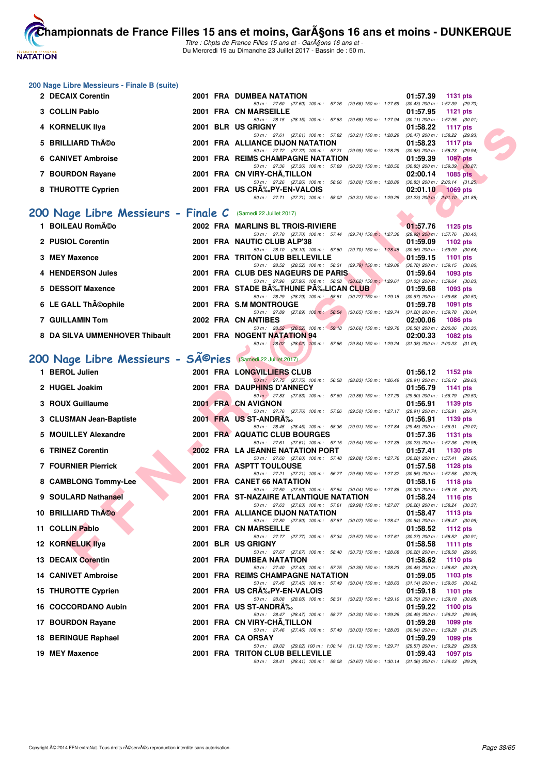

Titre : Chpts de France Filles 15 ans et - GarA§ons 16 ans et -Du Mercredi 19 au Dimanche 23 Juillet 2017 - Bassin de : 50 m.

| 200 Nage Libre Messieurs - Finale B (suite)                              |  |                                                                                                                                             |                                                               |
|--------------------------------------------------------------------------|--|---------------------------------------------------------------------------------------------------------------------------------------------|---------------------------------------------------------------|
| 2 DECAIX Corentin                                                        |  | 2001 FRA DUMBEA NATATION<br>50 m: 27.60 (27.60) 100 m: 57.26 (29.66) 150 m: 1:27.69 (30.43) 200 m: 1:57.39 (29.70)                          | 01:57.39<br><b>1131 pts</b>                                   |
| 3 COLLIN Pablo                                                           |  | 2001 FRA CN MARSEILLE                                                                                                                       | 01:57.95<br>1121 $pts$                                        |
| 4 KORNELUK IIya                                                          |  | 50 m: 28.15 (28.15) 100 m: 57.83 (29.68) 150 m: 1:27.94 (30.11) 200 m: 1:57.95 (30.01)<br>2001 BLR US GRIGNY                                | 01:58.22<br>1117 $pts$                                        |
| 5 BRILLIARD Théo                                                         |  | 50 m: 27.61 (27.61) 100 m: 57.82 (30.21) 150 m: 1:28.29 (30.47) 200 m: 1:58.22 (29.93)<br><b>2001 FRA ALLIANCE DIJON NATATION</b>           | 01:58.23<br>1117 $pts$                                        |
| <b>6 CANIVET Ambroise</b>                                                |  | 50 m: 27.72 (27.72) 100 m: 57.71 (29.99) 150 m: 1:28.29 (30.58) 200 m: 1:58.23 (29.94)<br>2001 FRA REIMS CHAMPAGNE NATATION                 | 01:59.39<br>1097 pts                                          |
| 7 BOURDON Rayane                                                         |  | 50 m: 27.36 (27.36) 100 m: 57.69 (30.33) 150 m: 1:28.52 (30.83) 200 m: 1:59.39 (30.87)<br>2001 FRA CN VIRY-CHA, TILLON                      | 02:00.14<br><b>1085 pts</b>                                   |
| 8 THUROTTE Cyprien                                                       |  | 50 m: 27.26 (27.26) 100 m: 58.06 (30.80) 150 m: 1:28.89 (30.83) 200 m: 2:00.14 (31.25)<br>2001 FRA US CRA%PY-EN-VALOIS                      | 02:01.10<br><b>1069 pts</b>                                   |
|                                                                          |  | 50 m: 27.71 (27.71) 100 m: 58.02 (30.31) 150 m: 1:29.25 (31.23) 200 m: 2:01.10 (31.85)                                                      |                                                               |
| 200 Nage Libre Messieurs - Finale C (Samedi 22 Juillet 2017)             |  |                                                                                                                                             |                                                               |
| 1 BOILEAU Roméo                                                          |  | 2002 FRA MARLINS BL TROIS-RIVIERE                                                                                                           | 01:57.76<br>1125 $pts$                                        |
| 2 PUSIOL Corentin                                                        |  | 50 m: 27.70 (27.70) 100 m: 57.44 (29.74) 150 m: 1:27.36 (29.92) 200 m: 1:57.76 (30.40)<br>2001 FRA NAUTIC CLUB ALP'38                       | 01:59.09<br>1102 $pts$                                        |
| 3 MEY Maxence                                                            |  | 50 m: 28.10 (28.10) 100 m: 57.80 (29.70) 150 m: 1:28.45 (30.65) 200 m: 1:59.09 (30.64)<br>2001 FRA TRITON CLUB BELLEVILLE                   | 01:59.15<br>1101 pts                                          |
| 4 HENDERSON Jules                                                        |  | 50 m: 28.52 (28.52) 100 m: 58.31 (29.79) 150 m: 1:29.09 (30.78) 200 m: 1:59.15 (30.06)<br>2001 FRA CLUB DES NAGEURS DE PARIS                | 01:59.64<br>1093 pts                                          |
| 5 DESSOIT Maxence                                                        |  | 50 m : 27.96 (27.96) 100 m : 58.58 (30.62) 150 m : 1:29.61 (31.03) 200 m : 1:59.64 (30.03)<br><b>2001 FRA STADE BA%JHUNE PA%JLICAN CLUB</b> |                                                               |
|                                                                          |  | 50 m: 28.29 (28.29) 100 m: 58.51 (30.22) 150 m: 1:29.18 (30.67) 200 m: 1:59.68 (30.50)                                                      | 01:59.68<br>1093 $pts$                                        |
| 6 LE GALL Théophile                                                      |  | 2001 FRA S.M MONTROUGE<br>50 m: 27.89 (27.89) 100 m: 58.54 (30.65) 150 m: 1:29.74 (31.20) 200 m: 1:59.78 (30.04)                            | 01:59.78<br>1091 pts                                          |
| 7 GUILLAMIN Tom                                                          |  | 2002 FRA CN ANTIBES<br>50 m : 28.52 (28.52) 100 m : 59.18 (30.66) 150 m : 1:29.76 (30.58) 200 m : 2:00.06 (30.30)                           | 02:00.06<br><b>1086 pts</b>                                   |
| 8 DA SILVA UMMENHOVER Thibault                                           |  | 2001 FRA NOGENT NATATION 94                                                                                                                 | 02:00.33<br>1082 pts                                          |
|                                                                          |  | 50 m: 28.02 (28.02) 100 m: 57.86 (29.84) 150 m: 1:29.24 (31.38) 200 m: 2:00.33 (31.09)                                                      |                                                               |
| 200 Nage Libre Messieurs - SÃ <sup>©</sup> ries (Samedi 22 Juillet 2017) |  |                                                                                                                                             |                                                               |
| 1 BEROL Julien                                                           |  | 2001 FRA LONGVILLIERS CLUB<br>50 m: 27.75 (27.75) 100 m: 56.58 (28.83) 150 m: 1:26.49 (29.91) 200 m: 1:56.12 (29.63)                        | 01:56.12<br>1152 pts                                          |
| 2 HUGEL Joakim                                                           |  | 2001 FRA DAUPHINS D'ANNECY                                                                                                                  | 01:56.79<br>1141 pts                                          |
| 3 ROUX Guillaume                                                         |  | 50 m : 27.83 (27.83) 100 m : 57.69 (29.86) 150 m : 1:27.29 (29.60) 200 m : 1:56.79 (29.50)<br>2001 FRA CN AVIGNON                           | 01:56.91<br>1139 pts                                          |
| 3 CLUSMAN Jean-Baptiste                                                  |  | 50 m: 27.76 (27.76) 100 m: 57.26 (29.50) 150 m: 1:27.17 (29.91) 200 m: 1:56.91 (29.74)<br>2001 FRA US ST-ANDRA%                             | 01:56.91<br>1139 pts                                          |
| 5 MOUILLEY Alexandre                                                     |  | 50 m: 28.45 (28.45) 100 m: 58.36 (29.91) 150 m: 1:27.84 (29.48) 200 m: 1:56.91 (29.07)<br>2001 FRA AQUATIC CLUB BOURGES                     | 01:57.36<br>1131 pts                                          |
| 6 TRINEZ Corentin                                                        |  | 50 m: 27.61 (27.61) 100 m: 57.15 (29.54) 150 m: 1:27.38 (30.23) 200 m: 1:57.36 (29.98)<br>2002 FRA LA JEANNE NATATION PORT                  | 01:57.41<br>1130 pts                                          |
|                                                                          |  | 50 m: 27.60 (27.60) 100 m: 57.48 (29.88) 150 m: 1:27.76 (30.28) 200 m: 1:57.41 (29.65)                                                      |                                                               |
| 7 FOURNIER Pierrick                                                      |  | 2001 FRA ASPTT TOULOUSE<br>50 m: 27.21 (27.21) 100 m: 56.77 (29.56) 150 m: 1:27.32 (30.55) 200 m: 1:57.58 (30.26)                           | 01:57.58<br>1128 pts                                          |
| 8 CAMBLONG Tommy-Lee                                                     |  | 2001 FRA CANET 66 NATATION<br>50 m: 27.50 (27.50) 100 m: 57.54 (30.04) 150 m: 1:27.86 (30.32) 200 m: 1:58.16 (30.30)                        | 01:58.16<br>1118 pts                                          |
| <b>SOULARD Nathanael</b>                                                 |  | 2001 FRA ST-NAZAIRE ATLANTIQUE NATATION                                                                                                     | <b>1116 pts</b><br>01:58.24                                   |
| 10 BRILLIARD ThAOO                                                       |  | 50 m: 27.63 (27.63) 100 m: 57.61 (29.98) 150 m: 1:27.87<br>2001 FRA ALLIANCE DIJON NATATION                                                 | $(30.26)$ 200 m : 1:58.24 $(30.37)$<br>01:58.47<br>1113 pts   |
| 11 COLLIN Pablo                                                          |  | 50 m: 27.80 (27.80) 100 m: 57.87 (30.07) 150 m: 1:28.41<br>2001 FRA CN MARSEILLE                                                            | (30.54) 200 m : 1:58.47 (30.06)<br>01:58.52<br>1112 pts       |
| 12 KORNELUK IIya                                                         |  | 50 m: 27.77 (27.77) 100 m: 57.34 (29.57) 150 m: 1:27.61<br>2001 BLR US GRIGNY                                                               | (30.27) 200 m: 1:58.52 (30.91)<br>01:58.58<br><b>1111 pts</b> |
|                                                                          |  | 50 m: 27.67 (27.67) 100 m: 58.40 (30.73) 150 m: 1:28.68                                                                                     | $(30.28)$ 200 m : 1:58.58 $(29.90)$                           |
| <b>13 DECAIX Corentin</b>                                                |  | 2001 FRA DUMBEA NATATION<br>50 m: 27.40 (27.40) 100 m: 57.75 (30.35) 150 m: 1:28.23 (30.48) 200 m: 1:58.62 (30.39)                          | 01:58.62<br><b>1110 pts</b>                                   |
| <b>14 CANIVET Ambroise</b>                                               |  | 2001 FRA REIMS CHAMPAGNE NATATION<br>50 m: 27.45 (27.45) 100 m: 57.49 (30.04) 150 m: 1:28.63                                                | 01:59.05<br>1103 pts<br>$(31.14)$ 200 m : 1:59.05 $(30.42)$   |
| 15 THUROTTE Cyprien                                                      |  | 2001 FRA US CRA%PY-EN-VALOIS                                                                                                                | 01:59.18<br>1101 pts                                          |
| 16 COCCORDANO Aubin                                                      |  | 50 m : 28.08 (28.08) 100 m : 58.31 (30.23) 150 m : 1:29.10 (30.79) 200 m : 1:59.18 (30.08)<br>2001 FRA US ST-ANDRA%                         | 01:59.22<br>1100 pts                                          |
| 17 BOURDON Rayane                                                        |  | 50 m: 28.47 (28.47) 100 m: 58.77 (30.30) 150 m: 1:29.26 (30.49) 200 m: 1:59.22 (29.96)<br>2001 FRA CN VIRY-CHA, TILLON                      | 01:59.28<br>1099 pts                                          |
| 18 BERINGUE Raphael                                                      |  | 50 m: 27.46 (27.46) 100 m: 57.49 (30.03) 150 m: 1:28.03 (30.54) 200 m: 1:59.28 (31.25)<br>2001 FRA CA ORSAY                                 | 01:59.29<br>1099 pts                                          |
| 19 MEY Maxence                                                           |  | 50 m: 29.02 (29.02) 100 m: 1:00.14 (31.12) 150 m: 1:29.71 (29.57) 200 m: 1:59.29 (29.58)<br>2001 FRA TRITON CLUB BELLEVILLE                 | 01:59.43<br>1097 pts                                          |
|                                                                          |  | 50 m: 28.41 (28.41) 100 m: 59.08 (30.67) 150 m: 1:30.14 (31.06) 200 m: 1:59.43 (29.29)                                                      |                                                               |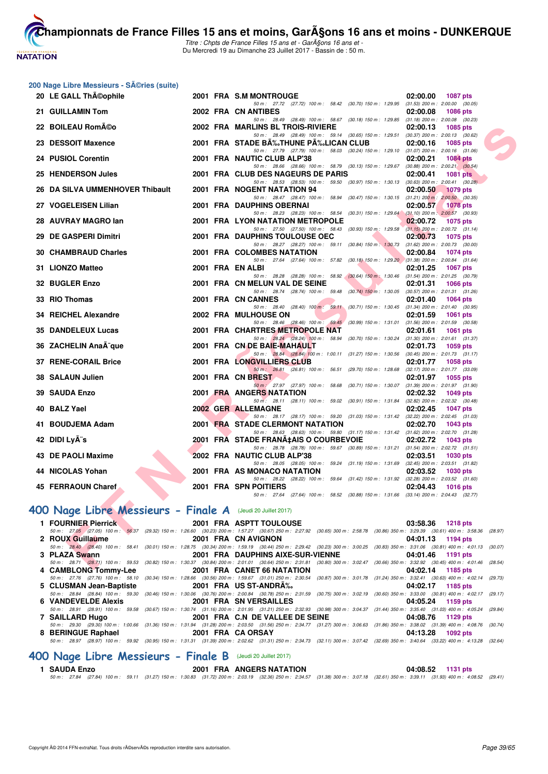

Titre : Chpts de France Filles 15 ans et - GarA§ons 16 ans et -Du Mercredi 19 au Dimanche 23 Juillet 2017 - Bassin de : 50 m.

#### **200 Nage Libre Messieurs - Séries (suite)**

| 20 LE GALL ThA©ophile                                      |  | 2001 FRA S.M MONTROUGE                                                                                                                                                             | 02:00.00<br>1087 pts                                               |
|------------------------------------------------------------|--|------------------------------------------------------------------------------------------------------------------------------------------------------------------------------------|--------------------------------------------------------------------|
| 21 GUILLAMIN Tom                                           |  | 50 m: 27.72 (27.72) 100 m: 58.42 (30.70) 150 m: 1:29.95<br>2002 FRA CN ANTIBES                                                                                                     | $(31.53)$ 200 m : 2:00.00 $(30.05)$<br>02:00.08<br><b>1086 pts</b> |
|                                                            |  | 50 m: 28.49 (28.49) 100 m: 58.67 (30.18) 150 m: 1:29.85 (31.18) 200 m: 2:00.08 (30.23)                                                                                             |                                                                    |
| 22 BOILEAU Rom©o                                           |  | 2002 FRA MARLINS BL TROIS-RIVIERE                                                                                                                                                  | 02:00.13<br>1085 pts                                               |
| 23 DESSOIT Maxence                                         |  | 50 m: 28.49 (28.49) 100 m: 59.14 (30.65) 150 m: 1:29.51 (30.37) 200 m: 2:00.13 (30.62)<br>2001 FRA STADE BA‰THUNE PA‰LICAN CLUB                                                    | 02:00.16<br><b>1085 pts</b>                                        |
|                                                            |  | 50 m: 27.79 (27.79) 100 m: 58.03 (30.24) 150 m: 1:29.10 (31.07) 200 m: 2:00.16 (31.06)                                                                                             |                                                                    |
| 24 PUSIOL Corentin                                         |  | 2001 FRA NAUTIC CLUB ALP'38                                                                                                                                                        | 02:00.21<br><b>1084 pts</b>                                        |
|                                                            |  | 50 m: 28.66 (28.66) 100 m: 58.79 (30.13) 150 m: 1:29.67 (30.88) 200 m: 2:00.21 (30.54)                                                                                             |                                                                    |
| 25 HENDERSON Jules                                         |  | 2001 FRA CLUB DES NAGEURS DE PARIS                                                                                                                                                 | 02:00.41<br><b>1081 pts</b>                                        |
|                                                            |  | 50 m: 28.53 (28.53) 100 m: 59.50 (30.97) 150 m: 1:30.13 (30.63) 200 m: 2:00.41 (30.28)                                                                                             |                                                                    |
| 26 DA SILVA UMMENHOVER Thibault                            |  | 2001 FRA NOGENT NATATION 94<br>50 m: 28.47 (28.47) 100 m: 58.94 (30.47) 150 m: 1.30.15 (31.21) 200 m: 2.00.50 (30.35)                                                              | 02:00.50<br><b>1079 pts</b>                                        |
| 27 VOGELEISEN Lilian                                       |  | 2001 FRA DAUPHINS OBERNAI                                                                                                                                                          | 02:00.57<br><b>1078 pts</b>                                        |
|                                                            |  | 50 m: 28.23 (28.23) 100 m: 58.54 (30.31) 150 m: 1:29.64 (31.10) 200 m: 2:00.57 (30.93)                                                                                             |                                                                    |
| 28 AUVRAY MAGRO lan                                        |  | 2001 FRA LYON NATATION METROPOLE                                                                                                                                                   | 02:00.72<br><b>1075 pts</b>                                        |
|                                                            |  | 50 m: 27.50 (27.50) 100 m: 58.43 (30.93) 150 m: 1:29.58 (31.15) 200 m: 2:00.72 (31.14)                                                                                             |                                                                    |
| 29 DE GASPERI Dimitri                                      |  | <b>2001 FRA DAUPHINS TOULOUSE OEC</b>                                                                                                                                              | 02:00.73<br>1075 pts                                               |
|                                                            |  | 50 m: 28.27 (28.27) 100 m: 59.11 (30.84) 150 m: 1:30.73 (31.62) 200 m: 2:00.73 (30.00)                                                                                             |                                                                    |
| <b>30 CHAMBRAUD Charles</b>                                |  | 2001 FRA COLOMBES NATATION<br>50 m: 27.64 (27.64) 100 m: 57.82 (30.18) 150 m: 1:29.20 (31.38) 200 m: 2:00.84 (31.64)                                                               | 02:00.84<br><b>1074 pts</b>                                        |
| 31 LIONZO Matteo                                           |  | 2001 FRA EN ALBI                                                                                                                                                                   | 02:01.25<br><b>1067 pts</b>                                        |
|                                                            |  | 50 m: 28.28 (28.28) 100 m: 58.92 (30.64) 150 m: 1:30.46                                                                                                                            | $(31.54)$ 200 m : 2:01.25 $(30.79)$                                |
| 32 BUGLER Enzo                                             |  | 2001 FRA CN MELUN VAL DE SEINE                                                                                                                                                     | 02:01.31<br><b>1066 pts</b>                                        |
|                                                            |  | 50 m: 28.74 (28.74) 100 m: 59.48 (30.74) 150 m: 1:30.05 (30.57) 200 m: 2:01.31 (31.26)                                                                                             |                                                                    |
| 33 RIO Thomas                                              |  | 2001 FRA CN CANNES                                                                                                                                                                 | 02:01.40<br><b>1064 pts</b>                                        |
| 34 REICHEL Alexandre                                       |  | 50 m: 28.40 (28.40) 100 m: 59.11 (30.71) 150 m: 1:30.45 (31.34) 200 m: 2:01.40 (30.95)<br>2002 FRA MULHOUSE ON                                                                     |                                                                    |
|                                                            |  | 50 m: 28.46 (28.46) 100 m: 59.45 (30.99) 150 m: 1.31.01 (31.56) 200 m: 2.01.59 (30.58)                                                                                             | 02:01.59<br><b>1061 pts</b>                                        |
| <b>35 DANDELEUX Lucas</b>                                  |  | 2001 FRA CHARTRES METROPOLE NAT                                                                                                                                                    | 02:01.61<br><b>1061 pts</b>                                        |
|                                                            |  | 50 m: 28.24 (28.24) 100 m: 58.94 (30.70) 150 m: 1:30.24 (31.30) 200 m: 2:01.61 (31.37)                                                                                             |                                                                    |
| 36 ZACHELIN AnaÄ-que                                       |  | 2001 FRA CN DE BAIE-MAHAULT                                                                                                                                                        | 02:01.73<br>1059 pts                                               |
|                                                            |  | 50 m: 28.84 (28.84) 100 m: 1:00.11 (31.27) 150 m: 1:30.56 (30.45) 200 m: 2:01.73 (31.17)                                                                                           |                                                                    |
| <b>37 RENE-CORAIL Brice</b>                                |  | 2001 FRA LONGVILLIERS CLUB                                                                                                                                                         | 02:01.77<br><b>1058 pts</b>                                        |
| 38 SALAUN Julien                                           |  | 50 m: 26.81 (26.81) 100 m: 56.51 (29.70) 150 m: 1:28.68 (32.17) 200 m: 2:01.77 (33.09)<br>2001 FRA CN BREST                                                                        | 02:01.97<br>1055 pts                                               |
|                                                            |  | 50 m: 27.97 (27.97) 100 m: 58.68 (30.71) 150 m: 1:30.07                                                                                                                            | $(31.39)$ 200 m : 2:01.97 $(31.90)$                                |
| <b>39 SAUDA Enzo</b>                                       |  | 2001 FRA ANGERS NATATION                                                                                                                                                           | 02:02.32<br>1049 pts                                               |
|                                                            |  | 50 m: 28.11 (28.11) 100 m: 59.02 (30.91) 150 m: 1:31.84 (32.82) 200 m: 2:02.32 (30.48)                                                                                             |                                                                    |
| 40 BALZ Yael                                               |  | 2002 GER ALLEMAGNE                                                                                                                                                                 | 02:02.45<br><b>1047 pts</b>                                        |
|                                                            |  | 50 m: 28.17 (28.17) 100 m: 59.20 (31.03) 150 m: 1:31.42 (32.22) 200 m: 2:02.45 (31.03)                                                                                             |                                                                    |
| 41 BOUDJEMA Adam                                           |  | 2001 FRA STADE CLERMONT NATATION                                                                                                                                                   | 02:02.70<br>1043 pts                                               |
| 42 DIDI LyA"s                                              |  | 50 m: 28.63 (28.63) 100 m: 59.80 (31.17) 150 m: 1.31.42 (31.62) 200 m: 2.02.70 (31.28)<br>2001 FRA STADE FRANA‡AIS O COURBEVOIE                                                    | 02:02.72<br>1043 pts                                               |
|                                                            |  | 50 m: 28.78 (28.78) 100 m: 59.67 (30.89) 150 m: 1:31.21 (31.54) 200 m: 2:02.72 (31.51)                                                                                             |                                                                    |
| 43 DE PAOLI Maxime                                         |  | 2002 FRA NAUTIC CLUB ALP'38                                                                                                                                                        | 02:03.51<br><b>1030 pts</b>                                        |
|                                                            |  | 50 m: 28.05 (28.05) 100 m: 59.24 (31.19) 150 m: 1.31.69 (32.45) 200 m: 2.03.51 (31.82)                                                                                             |                                                                    |
| 44 NICOLAS Yohan                                           |  | 2001 FRA AS MONACO NATATION                                                                                                                                                        | 02:03.52<br><b>1030 pts</b>                                        |
|                                                            |  | 50 m: 28.22 (28.22) 100 m: 59.64 (31.42) 150 m: 1:31.92 (32.28) 200 m: 2:03.52 (31.60)                                                                                             |                                                                    |
| 45 FERRAOUN Charef                                         |  | 2001 FRA SPN POITIERS                                                                                                                                                              | 02:04.43<br><b>1016 pts</b>                                        |
|                                                            |  | 50 m: 27.64 (27.64) 100 m: 58.52 (30.88) 150 m: 1:31.66 (33.14) 200 m: 2:04.43 (32.77)                                                                                             |                                                                    |
| OO Nage Libre Messieurs - Finale A (Jeudi 20 Juillet 2017) |  |                                                                                                                                                                                    |                                                                    |
| 1 FOURNIER Pierrick                                        |  | 2001 FRA ASPTT TOULOUSE                                                                                                                                                            | 03:58.36<br>1218 pts                                               |
|                                                            |  | 50 m: 27.05 (27.05) 100 m: 56.37 (29.32) 150 m: 1:26.60 (30.23) 200 m: 1:57.27 (30.67) 250 m: 2:27.92 (30.65) 300 m: 2:58.78 (30.86) 350 m: 3:29.39 (30.61) 400 m: 3:58.36 (28.97) |                                                                    |
| 2 ROUX Guillaume                                           |  | 2001 FRA CN AVIGNON                                                                                                                                                                | 04:01.13<br>1194 pts                                               |
|                                                            |  | 50 m: 28.40 (28.40) 100 m: 58.41 (30.01) 150 m: 1:28.75 (30.34) 200 m: 1:59.19 (30.44) 250 m: 2:29.42 (30.23) 300 m: 3:00.25 (30.83) 350 m: 3:31.06 (30.81) 400 m: 4:01.13 (30.07) |                                                                    |
| 3 PLAZA Swann                                              |  | 2001 FRA DAUPHINS AIXE-SUR-VIENNE                                                                                                                                                  | 04:01.46<br>1191 pts                                               |
|                                                            |  | 50 m: 28.71 (28.71) 100 m: 59.53 (30.82) 150 m: 1:30.37 (30.84) 200 m: 2:01.01 (30.64) 250 m: 2:31.81 (30.80) 300 m: 3:02.47 (30.66) 350 m: 3:32.92 (30.45) 400 m: 4:01.46 (28.54) | $0.4.00 \pm 1.0$<br><b>AMOR</b> ALL                                |

# **[400 Nage Libre Messieurs - Finale A](http://www.ffnatation.fr/webffn/resultats.php?idact=nat&go=epr&idcpt=47485&idepr=54)** (Jeudi 20 Juillet 2017)

| 1 FOURNIER Pierrick | 2001 FRA ASPTT TOULOUSE                         | 03:58.36 1218 pts                                                                                                                                                                          |
|---------------------|-------------------------------------------------|--------------------------------------------------------------------------------------------------------------------------------------------------------------------------------------------|
|                     |                                                 | 50 m: 27.05 (27.05) 100 m: 56.37 (29.32) 150 m: 1:26.60 (30.23) 200 m: 1:57.27 (30.67) 250 m: 2:27.92 (30.65) 300 m: 2:58.78 (30.86) 350 m: 3:29.39 (30.61) 400 m: 3:58.36 (28.97)         |
| 2 ROUX Guillaume    | 2001 FRA CN AVIGNON                             | 04:01.13 1194 pts                                                                                                                                                                          |
|                     |                                                 | 50 m: 28.40 (28.40) 100 m: 58.41 (30.01) 150 m: 1:28.75 (30.34) 200 m: 1:59.19 (30.44) 250 m: 2:29.42 (30.23) 300 m: 3:00.25 (30.83) 350 m: 3:31.06 (30.81) 400 m: 4:01.13 (30.07)         |
| 3 PLAZA Swann       |                                                 |                                                                                                                                                                                            |
|                     |                                                 | 50 m: 28.71 (28.71) 100 m: 59.53 (30.82) 150 m: 1:30.37 (30.84) 200 m: 2:01.01 (30.64) 250 m: 2:31.81 (30.80) 300 m: 3:02.47 (30.66) 350 m: 3:32.92 (30.45) 400 m: 4:01.46 (28.54)         |
|                     | 4 CAMBLONG Tommy-Lee 2001 FRA CANET 66 NATATION | 04:02.14 1185 pts                                                                                                                                                                          |
|                     |                                                 | 50 m: 27.76 (27.76) 100 m: 58.10 (30.34) 150 m: 1:28.66 (30.56) 200 m: 1:59.67 (31.01) 250 m: 2:30.54 (30.87) 300 m: 3:01.78 (31.24) 350 m: 3:32.41 (30.63) 400 m: 4:02.14 (29.73)         |
|                     | 5 CLUSMAN Jean-Baptiste 2001 FRA US ST-ANDRA‰   | 04:02.17 1185 pts                                                                                                                                                                          |
|                     |                                                 | 50 m: 28.84 (28.84) 100 m: 59.30 (30.46) 150 m: 1:30.06 (30.76) 200 m: 2:00.84 (30.78) 250 m: 2:31.59 (30.75) 300 m: 3:02.19 (30.60) 350 m: 3:33.00 (30.81) 400 m: 4:02.17 (29.17)         |
|                     |                                                 | 04:05.24 1159 pts                                                                                                                                                                          |
|                     |                                                 | 50 m : 28.91 (28.91) 100 m : 59.58 (30.67) 150 m : 1:30.74 (31.16) 200 m : 2:01.95 (31.21) 250 m : 2:32.93 (30.98) 300 m : 3:04.37 (31.44) 350 m : 3:35.40 (31.03) 400 m : 4:05.24 (29.84) |
|                     |                                                 | 1129 pts                                                                                                                                                                                   |
|                     |                                                 | 50 m: 29.30 (29.30) 100 m: 1:00.66 (31.36) 150 m: 1:31.94 (31.28) 200 m: 2:03.50 (31.56) 250 m: 2:34.77 (31.27) 300 m: 3:06.63 (31.86) 350 m: 3:38.02 (31.39) 400 m: 4:08.76 (30.74)       |
|                     | 8 BERINGUE Raphael 2001 FRA CA ORSAY            | 04:13.28 1092 pts                                                                                                                                                                          |
|                     |                                                 | 50 m : 28.97 (28.97) 100 m : 59.92 (30.95) 150 m : 1:31.31 (31.39) 200 m : 2:02.62 (31.31) 250 m : 2:34.73 (32.11) 300 m : 3:07.42 (32.69) 350 m : 3:40.64 (33.22) 400 m : 4:13.28 (32.64) |
|                     |                                                 |                                                                                                                                                                                            |

# **[400 Nage Libre Messieurs - Finale B](http://www.ffnatation.fr/webffn/resultats.php?idact=nat&go=epr&idcpt=47485&idepr=54)** (Jeudi 20 Juillet 2017)

| 1 SAUDA Enzo |  |                                                                                                                                                                                    | <b>2001 FRA ANGERS NATATION</b> |  | 04:08.52 1131 pts |  |
|--------------|--|------------------------------------------------------------------------------------------------------------------------------------------------------------------------------------|---------------------------------|--|-------------------|--|
|              |  | 50 m: 27.84 (27.84) 100 m: 59.11 (31.27) 150 m: 1:30.83 (31.72) 200 m: 2:03.19 (32.36) 250 m: 2:34.57 (31.38) 300 m: 3:07.18 (32.61) 350 m: 3:39.11 (31.93) 400 m: 4:08.52 (29.41) |                                 |  |                   |  |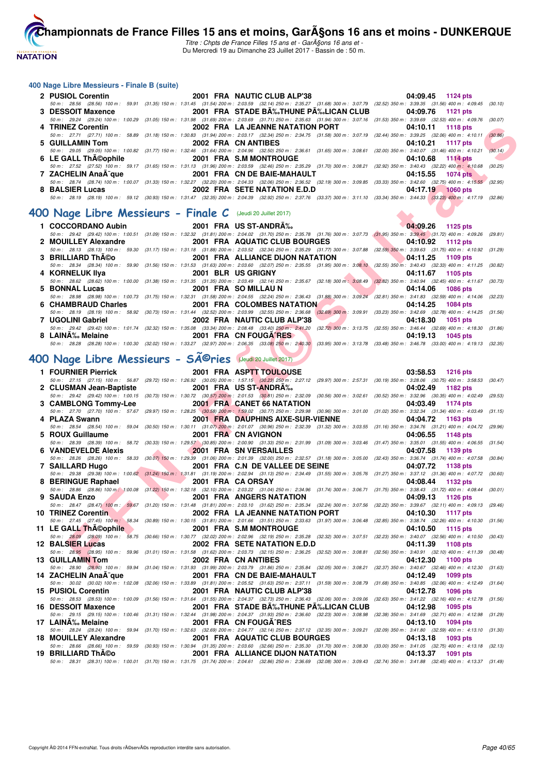

Titre : Chpts de France Filles 15 ans et - Garçons 16 ans et -Du Mercredi 19 au Dimanche 23 Juillet 2017 - Bassin de : 50 m.

#### **400 Nage Libre Messieurs - Finale B (suite)**

|                                                                                                                 | 2 PUSIOL Corentin 2001 FRA NAUTIC CLUB ALP'38                                                                                                                                                | 04:09.45 1124 pts                        |
|-----------------------------------------------------------------------------------------------------------------|----------------------------------------------------------------------------------------------------------------------------------------------------------------------------------------------|------------------------------------------|
|                                                                                                                 | 50 m: 28.56 (28.56) 100 m: 59.91 (31.35) 150 m: 1:31.45 (31.54) 200 m: 2:03.59 (32.14) 250 m: 2:35.27 (31.68) 300 m: 3:07.79 (32.52) 350 m: 3:39.35 (31.56) 400 m: 4:09.45 (30.10)           |                                          |
| 3 DESSOIT Maxence                                                                                               | 2001 FRA STADE BA%JHUNE PA%LICAN CLUB 04:09.76 1121 pts                                                                                                                                      |                                          |
|                                                                                                                 | 50 m : 29.24 (29.24) 100 m : 1:00.29 (31.05) 150 m : 1:31.98 (31.69) 200 m : 2:03.69 (31.71) 250 m : 2:35.63 (31.94) 300 m : 3:07.16 (31.53) 350 m : 3:39.69 (32.53) 400 m : 4:09.76 (30.07) |                                          |
| 4 TRINEZ Corentin                                                                                               | 2002 FRA LA JEANNE NATATION PORT 04:10.11 1118 pts                                                                                                                                           |                                          |
|                                                                                                                 | 50 m: 27.71 (27.71) 100 m: 58.89 (31.18) 150 m: 1:30.83 (31.94) 200 m: 2:03.17 (32.34) 250 m: 2:34.75 (31.58) 300 m: 3:07.19 (32.44) 350 m: 3:39.25 (32.06) 400 m: 4:10.11                   | (30.86)                                  |
| 5 GUILLAMIN Tom                                                                                                 | 2002 FRA CN ANTIBES                                                                                                                                                                          | 04:10.21 1117 pts                        |
|                                                                                                                 | 50 m: 29.05 (29.05) 100 m: 1:00.82 (31.77) 150 m: 1:32.46 (31.64) 200 m: 2:04.96 (32.50) 250 m: 2:36.61 (31.65) 300 m: 3:08.61 (32.00) 350 m: 3:40.07 (31.46) 400 m: 4:10.21                 | (30.14)                                  |
|                                                                                                                 |                                                                                                                                                                                              | $04:10.68$ 1114 pts<br><b>STATISTICS</b> |
|                                                                                                                 | 50 m : 27.52 (27.52) 100 m : 59.17 (31.65) 150 m : 1:31.13 (31.96) 200 m : 2:03.59 (32.46) 250 m : 2:35.29 (31.70) 300 m : 3:08.21 (32.92) 350 m : 3:40.43 (32.22) 400 m : 4:10.68 (30.25)   |                                          |
| 7 ZACHELIN AnaÄ <sup>-</sup> que                                                                                | 2001 FRA CN DE BAIE-MAHAULT                                                                                                                                                                  | 04:15.55 1074 pts                        |
|                                                                                                                 | 50 m : 28.74 (28.74) 100 m : 1:00.07 (31.33) 150 m : 1:32.27 (32.20) 200 m : 2:04.33 (32.06) 250 m : 2:36.52 (32.19) 300 m : 3:09.85 (33.33) 350 m : 3:42.60 (32.75) 400 m : 4:15.55 (32.95) |                                          |
| 8 BALSIER Lucas                                                                                                 | 2002 FRA SETE NATATION E.D.D                                                                                                                                                                 | 04:17.19 1060 pts                        |
|                                                                                                                 | 50 m : 28.19 (28.19) 100 m : 59.12 (30.93) 150 m : 1:31.47 (32.35) 200 m : 2:04.39 (32.92) 250 m : 2:37.76 (33.37) 300 m : 3:11.10 (33.34) 350 m : 3:44.33 (33.28) 400 m : 4:17.19 (32.86)   |                                          |
| the contract of the contract of the contract of the contract of the contract of the contract of the contract of |                                                                                                                                                                                              |                                          |

#### **[400 Nage Libre Messieurs - Finale C](http://www.ffnatation.fr/webffn/resultats.php?idact=nat&go=epr&idcpt=47485&idepr=54)** (Jeudi 20 Juillet 2017)

| 1 COCCORDANO Aubin                                                                                                                                                                                                             | 2001 FRA US ST-ANDRÉ                                                                                                                                                                                                          |                                                                                                                         | $04:09.26$ 1125 pts  |
|--------------------------------------------------------------------------------------------------------------------------------------------------------------------------------------------------------------------------------|-------------------------------------------------------------------------------------------------------------------------------------------------------------------------------------------------------------------------------|-------------------------------------------------------------------------------------------------------------------------|----------------------|
|                                                                                                                                                                                                                                | 50 m: 29.42 (29.42) 100 m: 1:00.51 (31.09) 150 m: 1:32.32 (31.81) 200 m: 2:04.02 (31.70) 250 m: 2:35.78 (31.76) 300 m: 3:07.73 (31.95) 350 m: 3:39.45 (31.72) 400 m: 4:09.26 (29.81)                                          |                                                                                                                         |                      |
| 2 MOUILLEY Alexandre                                                                                                                                                                                                           | 2001 FRA AQUATIC CLUB BOURGES 04:10.92 1112 pts                                                                                                                                                                               |                                                                                                                         |                      |
|                                                                                                                                                                                                                                | 50 m: 28.13 (28.13) 100 m: 59.30 (31.17) 150 m: 1:31.18 (31.88) 200 m: 2:03.52 (32.34) 250 m: 2:35.29 (31.77) 300 m: 3:07.88 (32.59) 350 m: 3:39.63 (31.75) 400 m: 4:10.92 (31.29)                                            |                                                                                                                         |                      |
| 3 BRILLIARD Th©o                                                                                                                                                                                                               | 2001 FRA ALLIANCE DIJON NATATION 64:11.25 1109 pts                                                                                                                                                                            |                                                                                                                         |                      |
|                                                                                                                                                                                                                                | 50 m : 28.34 (28.34) 100 m : 59.90 (31.56) 150 m : 1:31.53 (31.63) 200 m : 2:03.60 (32.07) 250 m : 2:35.55 (31.95) 300 m : 3:08.10 (32.55) 350 m : 3:40.43 (32.33) 400 m : 4:11.25 (30.82)                                    |                                                                                                                         |                      |
| 4 KORNELUK IIya                                                                                                                                                                                                                | 2001 BLR US GRIGNY AND THE STATE OF THE STATE OF THE STATE OF THE STATE OF THE STATE OF THE STATE OF THE STATE                                                                                                                |                                                                                                                         | 04:11.67 1105 pts    |
|                                                                                                                                                                                                                                | 50 m : 28.62 (28.62) 100 m : 1:00.00 (31.38) 150 m : 1:31.35 (31.35) 200 m : 2:03.49 (32.14) 250 m : 2:35.67 (32.18) 300 m : 3:08.49 (32.82) 350 m : 3:40.94 (32.45) 400 m : 4:11.67 (30.73)                                  |                                                                                                                         |                      |
| 5 BONNAL Lucas                                                                                                                                                                                                                 | 2001 FRA SO MILLAU N                                                                                                                                                                                                          | <u>and the second second second second second second second second second second second second second second second</u> | 04:14.06 1086 pts    |
|                                                                                                                                                                                                                                | 50 m: 28.98 (28.98) 100 m: 1:00.73 (31.75) 150 m: 1:32.31 (31.58) 200 m: 2:04.55 (32.24) 250 m: 2:36.43 (31.88) 300 m: 3:09.24 (32.81) 350 m: 3:41.83 (32.59) 400 m: 4:14.06 (32.23)                                          |                                                                                                                         |                      |
| 6 CHAMBRAUD Charles                                                                                                                                                                                                            | 2001 FRA COLOMBES NATATION                                                                                                                                                                                                    |                                                                                                                         | 04:14.25 1084 pts    |
|                                                                                                                                                                                                                                | 50 m: 28.19 (28.19) 100 m: 58.92 (30.73) 150 m: 1:31.44 (32.52) 200 m: 2:03.99 (32.55) 250 m: 2:36.68 (32.69) 300 m: 3:09.91 (33.23) 350 m: 3:42.69 (32.78) 400 m: 4:14.25 (31.56)                                            |                                                                                                                         |                      |
| 7 UGOLINI Gabriel                                                                                                                                                                                                              | 2002 FRA NAUTIC CLUB ALP'38                                                                                                                                                                                                   |                                                                                                                         | 04:18.30<br>1051 pts |
|                                                                                                                                                                                                                                | 50 m: 29.42 (29.42) 100 m: 1:01.74 (32.32) 150 m: 1:35.08 (33.34) 200 m: 2:08.48 (33.40) 250 m: 2:41.20 (32.72) 300 m: 3:13.75 (32.55) 350 m: 3:46.44 (32.69) 400 m: 4:18.30 (31.86)                                          |                                                                                                                         |                      |
| 8 LAINA‰ Melaine and the control of the control of the control of the control of the control of the control of the control of the control of the control of the control of the control of the control of the control of the co | 2001 FRA CN FOUGA RESAULT AND THE STATE OF THE STATE OF THE STATE OF THE STATE OF THE STATE OF THE STATE OF THE STATE OF THE STATE OF THE STATE OF THE STATE OF THE STATE OF THE STATE OF THE STATE OF THE STATE OF THE STATE |                                                                                                                         | 04:19.13 1045 pts    |
|                                                                                                                                                                                                                                | 50 m: 28.28 (28.28) 100 m: 1:00.30 (32.02) 150 m: 1:33.27 (32.97) 200 m: 2:06.35 (33.08) 250 m: 2:40.30 (33.95) 300 m: 3:13.78 (33.48) 350 m: 3:46.78 (33.00) 400 m: 4:19.13 (32.35)                                          |                                                                                                                         |                      |

#### **[400 Nage Libre Messieurs - Séries](http://www.ffnatation.fr/webffn/resultats.php?idact=nat&go=epr&idcpt=47485&idepr=54)** (Jeudi 20 Juillet 2017)

**EXAMPLE 12 AND THE SET IN A MUNITIES AND THE AND THE SET IN A SUBARU IN THE SET IN A SUBARU IN A REPORT OF THE SET IN A REPORT OF THE SET IN A REPORT OF THE SET IN A REPORT OF THE SET IN A REPORT OF THE SET IN A REPORT 1 FOURNIER Pierrick** 2001 FRA ASPTT TOULOUSE 03:58.53 1216 pts<br>50 m : 27.15 (27.15 100 m : 56.67 (29.72) 150 m : 1:26.92 (30.05) 200 m : 1:57.15 (30.23) 250m : 227.12 (29.97) 300 m : 257.31 (30.19) 350 m : 3:26.06 (30.75) 50 m : 27.15 (27.15) 100 m : 56.87 (29.72) 150 m : 1:26.92 (30.05) 200 m : 1:57.15 (30.23) 250 m : 2:27.12 (29.97) 300 m : 2:57.31 (30.19) 350 m : 3:28.06 (30.75) 400 m : 3:58.53 (30.47) **2 CLUSMAN Jean-Baptiste 2001 FRA US ST-ANDRÉ 04:02.49 1182 pts** 50 m : 29.42 (29.42) 100 m : 1:00.15 (30.73) 150 m : 1:30.72 (30.57) 200 m : 2:01.53 (30.81) 250 m : 2:32.09 (30.56) 300 m : 3:02.61 (30.52) 350 m : 3:32.96 (30.35) 400 m : 4:02.49 (29.53)<br>**CAMBLONG Tommv-Lee** 2001 FRA CAN **3 CAMBLONG Tommy-Lee** 2001 FRA CANET 66 NATATION 04:03.49 1174 pts 02.52.29 1174 pts 02:0361 pts 02:0361 pts 02:0361 pts 02:0361 pts 02:0361 pts 02:0361 pts 02:0361 pts 02:0361 pts 02:0361 pts 02:0361 pts 02:0361 pts 02:0 50 m : 27.70 (27.70) 100 m : 57.67 (29.97) 150 m : 1:28.25 (30.58) 200 m : 1:59.02 (30.77) 250 m : 2:29.98 (30.96) 300 m : 3:01.00 (31.02) 350 m : 3:32.34 (31.34) 400 m : 4:03.49 (31.15) **4 PLAZA Swann 2001 FRA DAUPHINS AIXE-SUR-VIENNE 04:04.72 1163 pts** 50 m : 28.54 (28.54) 100 m : 59.04 (30.50) 150 m : 1:30.11 (31.07) 200 m : 2:01.07 (30.96) 250 m : 2:32.39 (31.32) 300 m : 3:03.55 (31.16) 350 m : 3:34.76 (31.21) 400 m : 4:04.72 (29.96) **5 ROUX Guillaume 2001 FRA CN AVIGNON 04:06.55 1148 pts** 50 m : 28.39 (28.39) 100 m : 58.72 (30.33) 150 m : 1:29.57 (30.85) 200 m : 2:00.90 (31.33) 250 m : 2:31.99 (31.09) 300 m : 3:03.46 (31.47) 350 m : 3:35.01 (31.55) 400 m : 4:06.55 (31.54)<br>**VANDFVFI DF Alexis 1139 pts 11 6 VANDEVELDE Alexis 2001 FRA SN VERSAILLES 04:07.58 1139 pts** 50 m : 28.26 (28.26) 100 m : 58.33 (30.07) 150 m : 1:29.39 (31.06) 200 m : 2:01.39 (32.00) 250 m : 2:32.57 (31.18) 300 m : 3:05.00 (32.43) 350 m : 3:36.74 (31.74) 400 m : 4:07.58 (30.84) **7 SAILLARD Hugo 2001 FRA C.N DE VALLEE DE SEINE 04:07.72 1138 pts** 50 m : 29.38 (29.38) 100 m : 1:00.62 (31.24) 150 m : 1:31.81 (31.19) 200 m : 2:02.94 (31.13) 250 m : 2:34.49 (31.55) 300 m : 3:05.76 (31.27) 350 m : 3:37.12 (31.36) 400 m : 4:07.72 (30.60) **8 BERINGUE Raphael 2001 FRA CA ORSAY 04:08.44 1132 pts** 50 m : 28.86 (28.86) 100 m : 3:00.08 (31.22) 150 m : 1:32.18 (32.10) 200 m : 2:03.22 (31.04) 250 m : 2:34.96 (31.74) 300 m : 3:06.71 (31.75) 350 m : 3:38.43 (31.72) 400 m : 4:08.44 (30.01)<br>9 SAUDA Enzo **1126** pts **2001 FRA ANGERS NATATION 04:09.13 1126 pts** 50 m : 28.47 (28.47) 100 m : 59.67 (31.20) 150 m : 1:31.48 (31.81) 200 m : 2:03.10 (31.62) 250 m : 2:35.34 (32.24) 300 m : 3:07.56 (32.22) 350 m : 3:39.67 (32.11) 400 m : 4:09.13 (29.46) **10 TRINEZ Corentin 2002 FRA LA JEANNE NATATION PORT 04:10.30 1117 pts** 50 m : 27.45 (27.45) 100 m : 58.34 (30.89) 150 m : 1:30.15 (31.81) 200 m : 2:01.66 (31.51) 250 m : 2:33.63 (31.97) 300 m : 3:06.48 (32.85) 350 m : 3:38.74 (32.26) 400 m : 4:10.30 (31.56) **11 LE GALL Théophile 2001 FRA S.M MONTROUGE 04:10.50 1115 pts**<br>50 m : 28.09 (28.09) 100 m : 58.75 (30.66) 150 m : 1:30.77 (32.02) 200 m : 2:02.96 (32.19) 250 m : 2:35.28 (32.32) 300 m : 3:07.51 (32.23) 350 m : 3:40.07 (3 50 m : 28.09 (28.09) 100 m : 58.75 (30.66) 150 m : 1:30.77 (32.02) 200 m : 2:02.96 (32.19) 250 m : 2:35.28 (32.32) 300 m : 3:07.51 (32.23) 350 m : 3:40.07 (32.56) 400 m : 4:10.50 (30.43) **12 BALSIER Lucas 2002 FRA SETE NATATION E.D.D 04:11.39 1108 pts** 50 m : 28.95 (28.95) 100 m : 59.96 (31.01) 150 m : 1:31.58 (31.62) 200 m : 2:03.73 (32.15) 250 m : 2:36.25 (32.52) 300 m : 3:08.81 (32.56) 350 m : 3:40.91 (32.56) 350 m : 3:40.91 (32.56) 350 m : 3:40.91 (32.56) 200 m : 3:3 **13 GUILLAMIN Tom 2002 FRA CN ANTIBES 04:12.30 1100 pts** 50 m : 28.90 (28.90) 100 m : 59.94 (31.04) 150 m : 1:31.93 (31.99) 200 m : 2:03.79 (31.86) 250 m : 2:35.84 (32.05) 300 m : 3:08.21 (32.37) 350 m : 3:40.67 **14 ZACHELIN AnaÃ<sup>-</sup>que 2001 FRA CN DE BAIE-MAHAULT 61.59 300 m : 3:08.79 (31.68) 350 m : 30.02 (30.02) 100 m : 1:02.08 (32.06) 150 m : 1:02.08 (32.06) 150 m : 1:02.08 (30.02) 100 m : 1:02.08 (32.06) 150 m : 2:05.52 (31.68** 50 m : 30.02 (30.02) 100 m : 1:02.08 (32.06) 150 m : 1:33.89 (31.81) 200 m : 2:05.52 (31.63) 250 m : 2:37.11 (31.59) 300 m : 3:08.79 (31.68) 350 m : 3:40.85 (32.06) 400 m : 4:12.49 (31.64) **15 PUSIOL Corentin 2001 FRA NAUTIC CLUB ALP'38 04:12.78 1096 pts** 50 m : 28.53 (28.53) 100 m : 1:00.09 (31.56) 150 m : 1:31.64 (31.55) 200 m : 2:04.37 (32.73) 250 m : 2:36.43 (32.06) 300 m : 3:09.06 (32.63) 350 m : 3:41.22 (32.16) 400 m : 4:12.78 (31.56) **16 DESSOIT Maxence 2001 FRA STADE BÃ%JHUNE PÃ%LICAN CLUB 04:12.98 1095 pts**<br>50 m : 29.15 (29.15) 100 m : 1:00.46 (31.31) 150 m : 1:32.44 (31.98) 200 m : 2:04.37 (31.93) 250 m : 2:36.60 (32.23) 300 m : 3:08.98 (32.38) 50 m : 29.15 (29.15) 100 m : 1:00.46 (31.31) 150 m : 1:32.44 (31.98) 200 m : 2:04.37 (31.93) 250 m : 2:36.60 (32.23) 300 m : 3:08.98 (32.38) 350 m : 3:41.69 (32.71) 400 m : 4:12.98 (31.29) **17 LAINÉ Melaine 2001 FRA CN FOUGÈRES 04:13.10 1094 pts** 50 m : 28.24 (28.24) 100 m : 59.94 (31.70) 150 m : 1:32.63 (32.69) 200 m : 2:04.77 (32.14) 250 m : 3:37.12 (32.35) 300 m : 3:09.21 (32.09) 350 m : 3:41.80 (32.59) 400 m : 4:13.10 (31.30)<br>MOUILLEY Alexandre 2001 FRA AQUATIC **18 MOUILLEY Alexandre 18:13.18 PTS** 2001 FRA AQUATIC CLUB BOURGES 50 m : 28.66 (28.66) 100 m : 59.59 (30.93) 150 m : 1:30.94 (31.35) 200 m : 2:03.60 (32.66) 250 m : 2:35.30 (31.70) 300 m : 3:08.30 (33.00) 350 m : 3:41.05 (32.75) 400 m : 4:13.18 (32.13)<br>19 BRILLIARD Théo **2001 FRA ALLIANCE DIJON NATATION** 50 m : 28.31 (28.31) 100 m : 1:00.01 (31.70) 150 m : 1:31.75 (31.74) 200 m : 2:04.61 (32.86) 250 m : 2:36.69 (32.08) 300 m : 3:09.43 (32.74) 350 m : 3:41.88 (32.45) 400 m : 4:13.37 (31.49)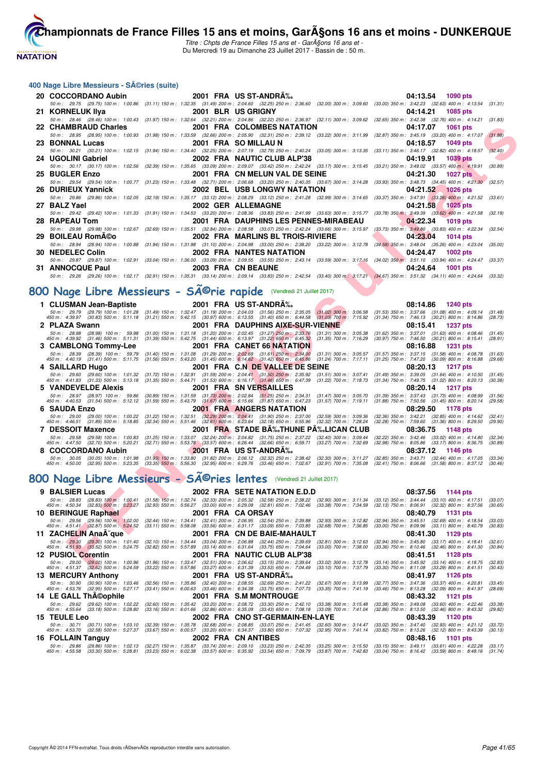**NATATION** 

**[Cham](http://www.ffnatation.fr/webffn/index.php)pionnats de France Filles 15 ans et moins, GarA§ons 16 ans et moins - DUNKERQUE** 

Titre : Chpts de France Filles 15 ans et - GarA§ons 16 ans et -Du Mercredi 19 au Dimanche 23 Juillet 2017 - Bassin de : 50 m.

#### **400 Nage Libre Messieurs - Séries (suite)**

| 20 COCCORDANO Aubin 2001 FRA US ST-ANDRA%. |                           |                                                                                                                                                                                              | 04:13.54 1090 pts      |
|--------------------------------------------|---------------------------|----------------------------------------------------------------------------------------------------------------------------------------------------------------------------------------------|------------------------|
|                                            |                           | 50 m: 29.75 (29.75) 100 m: 1:00.86 (31.11) 150 m: 1:32.35 (31.49) 200 m: 2:04.60 (32.25) 250 m: 2:36.60 (32.00) 300 m: 3:09.60 (33.00) 350 m: 3:42.23 (32.63) 400 m: 4:13.54 (31.31)         |                        |
| 21 KORNELUK IIya                           |                           | 2001 BLR US GRIGNY                                                                                                                                                                           | 04:14.21<br>1085 pts   |
|                                            |                           | 50 m: 28.46 (28.46) 100 m: 1:00.43 (31.97) 150 m: 1:32.64 (32.21) 200 m: 2:04.86 (32.22) 250 m: 2:36.97 (32.11) 300 m: 3:09.62 (32.65) 350 m: 3:42.38 (32.76) 400 m: 4:14.21 (31.83)         |                        |
|                                            |                           |                                                                                                                                                                                              | 04:17.07<br>$1061$ pts |
|                                            |                           | 50 m: 28.95 (28.95) 100 m: 1:00.93 (31.98) 150 m: 1:33.59 (32.66) 200 m: 2:05.90 (32.31) 250 m: 2:39.12 (33.22) 300 m: 3:11.99 (32.87) 350 m: 3:45.19 (33.20) 400 m: 4:17.07 (31.88)         |                        |
| 23 BONNAL Lucas                            |                           | 2001 FRA SO MILLAU N                                                                                                                                                                         | 04:18.57 1049 pts      |
|                                            |                           | 50 m: 30.21 (30.21) 100 m: 1:02.15 (31.94) 150 m: 1:34.40 (32.25) 200 m: 2:07.19 (32.79) 250 m: 2:40.24 (33.05) 300 m: 3:13.35 (33.11) 350 m: 3:46.17 (32.82) 400 m: 4:18.57                 | (32.40)                |
| 24 UGOLINI Gabriel                         |                           | 2002 FRA NAUTIC CLUB ALP'38                                                                                                                                                                  | 04:19.91<br>1039 pts   |
|                                            |                           | 50 m: 30.17 (30.17) 100 m: 1:02.56 (32.39) 150 m: 1:35.65 (33.09) 200 m: 2:09.07 (33.42) 250 m: 2:42.24 (33.17) 300 m: 3:15.45 (33.21) 350 m: 3:49.02 (33.57) 400 m: 4:19.91 (30.89)         |                        |
| 25 BUGLER Enzo                             |                           | 2001 FRA CN MELUN VAL DE SEINE                                                                                                                                                               | 04:21.30 1027 pts      |
|                                            |                           | 50 m: 29.54 (29.54) 100 m: 1:00.77 (31.23) 150 m: 1:33.48 (32.71) 200 m: 2:06.68 (33.20) 250 m: 2:40.35 (33.67) 300 m: 3:14.28 (33.93) 350 m: 3:48.73 (34.45) 400 m: 4:21.30 (32.57)         |                        |
| 26 DURIEUX Yannick                         |                           | <b>2002 BEL USB LONGWY NATATION</b>                                                                                                                                                          | 04:21.52 1026 pts      |
|                                            |                           | 50 m : 29.86 (29.86) 100 m : 1:02.05 (32.19) 150 m : 1:35.17 (33.12) 200 m : 2:08.29 (33.12) 250 m : 2:41.28 (32.99) 300 m : 3:14.65 (33.37) 350 m : 3:47.91 (33.26) 400 m : 4:21.52 (33.61) |                        |
| 27 BALZ Yael                               |                           | 2002 GER ALLEMAGNE                                                                                                                                                                           | 04:21.58 1025 pts      |
|                                            |                           | 50 m: 29.42 (29.42) 100 m: 1:01.33 (31.91) 150 m: 1:34.53 (33.20) 200 m: 2:08.36 (33.83) 250 m: 2:41.99 (33.63) 300 m: 3:15.77 (33.78) 350 m: 3:49.39 (33.62) 400 m: 4:21.58 (32.19)         |                        |
| 28 RAPEAU Tom                              |                           | 2001 FRA DAUPHINS LES PENNES-MIRABEAU                                                                                                                                                        | 04:22.34 1019 pts      |
|                                            |                           | 50 m : 29.98 (29.98) 100 m : 1:02.67 (32.69) 150 m : 1:35.51 (32.84) 200 m : 2:08.58 (33.07) 250 m : 2:42.24 (33.66) 300 m : 3:15.97 (33.73) 350 m : 3:49.80 (33.83) 400 m : 4:22.34 (32.54) |                        |
| 29 BOILEAU RomA©o                          |                           | <b>2002 FRA MARLINS BL TROIS-RIVIERE</b>                                                                                                                                                     | 04:23.04 1014 pts      |
|                                            |                           | 50 m: 28.94 (28.94) 100 m: 1:00.88 (31.94) 150 m: 1:31.98 (31.10) 200 m: 2:04.98 (33.00) 250 m: 2:38.20 (33.22) 300 m: 3:12.78 (34.58) 350 m: 3:48.04 (35.26) 400 m: 4:23.04 (35.00)         |                        |
| 30 NEDELEC Colin                           |                           | <b>2002 FRA NANTES NATATION</b>                                                                                                                                                              | 04:24.47 1002 pts      |
|                                            |                           | 50 m: 29.87 (29.87) 100 m: 1:02.91 (33.04) 150 m: 1:36.00 (33.09) 200 m: 2:09.55 (33.55) 250 m: 2:43.14 (33.59) 300 m: 3:17.16 (34.02) 350 m: 3:51.10 (33.94) 400 m: 4:24.47 (33.37)         |                        |
| 31 ANNOCQUE Paul                           | <b>2003 FRA CN BEAUNE</b> |                                                                                                                                                                                              | 04:24.64 1001 pts      |
|                                            |                           | 50 m: 29.26 (29.26) 100 m: 1:02.17 (32.91) 150 m: 1:35.31 (33.14) 200 m: 2:09.14 (33.83) 250 m: 2:42.54 (33.40) 300 m: 3:17.21 (34.67) 350 m: 3:51.32 (34.11) 400 m: 4:24.64 (33.32)         |                        |
|                                            |                           |                                                                                                                                                                                              |                        |

# 800 Nage Libre Messieurs - SÃ<sup>©</sup>rie rapide (Vendredi 21 Juillet 2017)

|    | 22   CHAMBRAUD Charles                                                                                          | 2001 FRA COLOMBES NATATION                                                                                                                                                                                                                                                                                                                                                                      | 04:17.07<br>1061 pts                                                                                       |                    |
|----|-----------------------------------------------------------------------------------------------------------------|-------------------------------------------------------------------------------------------------------------------------------------------------------------------------------------------------------------------------------------------------------------------------------------------------------------------------------------------------------------------------------------------------|------------------------------------------------------------------------------------------------------------|--------------------|
|    |                                                                                                                 | 50 m: 28.95 (28.95) 100 m: 1:00.93 (31.98) 150 m: 1:33.59 (32.66) 200 m: 2:05.90 (32.31) 250 m: 2:39.12 (33.22) 300 m: 3:11.99 (32.87) 350 m: 3:45.19 (33.20) 400 m: 4:17.07                                                                                                                                                                                                                    |                                                                                                            | (31.88)            |
|    | 23   BONNAL Lucas                                                                                               | 2001 FRA SO MILLAU N                                                                                                                                                                                                                                                                                                                                                                            | 04:18.57<br><b>1049 pts</b>                                                                                |                    |
|    | 24 UGOLINI Gabriel                                                                                              | 50 m: 30.21 (30.21) 100 m: 1:02.15 (31.94) 150 m: 1:34.40 (32.25) 200 m: 2:07.19 (32.79) 250 m: 2:40.24 (33.05) 300 m: 3:13.35 (33.11) 350 m: 3:46.17 (32.82) 400 m: 4:18.57<br>2002 FRA NAUTIC CLUB ALP'38                                                                                                                                                                                     | <b>1039 pts</b><br>04:19.91                                                                                | (32.40)            |
|    |                                                                                                                 | 50 m: 30.17 (30.17) 100 m: 1:02.56 (32.39) 150 m: 1:35.65 (33.09) 200 m: 2:09.07 (33.42) 250 m: 2:42.24 (33.17) 300 m: 3:15.45 (33.21) 350 m: 3:49.02 (33.57) 400 m: 4:19.91 (30.89)                                                                                                                                                                                                            |                                                                                                            |                    |
|    | 25 BUGLER Enzo                                                                                                  | 2001 FRA CN MELUN VAL DE SEINE                                                                                                                                                                                                                                                                                                                                                                  | 04:21.30<br><b>1027 pts</b>                                                                                |                    |
|    |                                                                                                                 | 50 m : 29.54 (29.54) 100 m : 1:00.77 (31.23) 150 m : 1:33.48 (32.71) 200 m : 2:06.68 (33.20) 250 m : 2:40.35 (33.67) 300 m : 3:14.28 (33.93) 350 m : 3:48.73 (34.45) 400 m : 4:21.30 (32.57)                                                                                                                                                                                                    |                                                                                                            |                    |
| 26 | <b>DURIEUX Yannick</b>                                                                                          | <b>2002 BEL USB LONGWY NATATION</b>                                                                                                                                                                                                                                                                                                                                                             | 04:21.52<br><b>1026 pts</b>                                                                                |                    |
|    |                                                                                                                 | 50 m: 29.86 (29.86) 100 m: 1:02.05 (32.19) 150 m: 1:35.17 (33.12) 200 m: 2:08.29 (33.12) 250 m: 2:41.28 (32.99) 300 m: 3:14.65 (33.37) 350 m: 3:47.91 (33.26) 400 m: 4:21.52 (33.61)                                                                                                                                                                                                            |                                                                                                            |                    |
|    | 27 BALZ Yael                                                                                                    | <b>2002 GER ALLEMAGNE</b>                                                                                                                                                                                                                                                                                                                                                                       | 04:21.58<br><b>1025 pts</b>                                                                                |                    |
|    |                                                                                                                 | 50 m: 29.42 (29.42) 100 m: 1:01.33 (31.91) 150 m: 1:34.53 (33.20) 200 m: 2:08.36 (33.83) 250 m: 2:41.99 (33.63) 300 m: 3:15.77 (33.78) 350 m; 3:49.39 (33.62) 400 m: 4:21.58 (32.19)                                                                                                                                                                                                            |                                                                                                            |                    |
|    | 28 RAPEAU Tom                                                                                                   | 2001 FRA DAUPHINS LES PENNES-MIRABEAU                                                                                                                                                                                                                                                                                                                                                           | 04:22.34<br><b>1019 pts</b>                                                                                |                    |
| 29 | <b>BOILEAU RomA©o</b>                                                                                           | 50 m : 29.98 (29.98) 100 m : 1:02.67 (32.69) 150 m : 1:35.51 (32.84) 200 m : 2:08.58 (33.07) 250 m : 2:42.24 (33.66) 300 m : 3:15.97 (33.73) 350 m : 3:49.80 (33.83) 400 m : 4:22.34<br>2002 FRA MARLINS BL TROIS-RIVIERE                                                                                                                                                                       | 04:23.04<br><b>1014 pts</b>                                                                                | (32.54)            |
|    |                                                                                                                 | 50 m : 28.94 (28.94) 100 m : 1:00.88 (31.94) 150 m : 1:31.98 (31.10) 200 m : 2:04.98 (33.00) 250 m : 2:38.20 (33.22) 300 m : 3:12.78 (34.58) 350 m : 3:48.04 (35.26) 400 m : 4:23.04 (35.00)                                                                                                                                                                                                    |                                                                                                            |                    |
|    | 30 NEDELEC Colin                                                                                                | 2002 FRA NANTES NATATION                                                                                                                                                                                                                                                                                                                                                                        | 04:24.47<br><b>1002 pts</b>                                                                                |                    |
|    |                                                                                                                 | 50 m: 29.87 (29.87) 100 m: 1:02.91 (33.04) 150 m: 1:36.00 (33.09) 200 m: 2:09.55 (33.55) 250 m: 2:43.14 (33.59) 300 m: 3:17.16 (34.02) 350 m: 3:51.10 (33.94) 400 m: 4:24.47 (33.37)                                                                                                                                                                                                            |                                                                                                            |                    |
|    | 31 ANNOCQUE Paul                                                                                                | 2003 FRA CN BEAUNE                                                                                                                                                                                                                                                                                                                                                                              | 04:24.64<br><b>1001 pts</b>                                                                                |                    |
|    |                                                                                                                 | 50 m: 29.26 (29.26) 100 m: 1:02.17 (32.91) 150 m: 1:35.31 (33.14) 200 m: 2:09.14 (33.83) 250 m: 2:42.54 (33.40) 300 m: 3:17.21 (34.67) 350 m: 3:51.32 (34.11) 400 m: 4:24.64 (33.32)                                                                                                                                                                                                            |                                                                                                            |                    |
|    |                                                                                                                 |                                                                                                                                                                                                                                                                                                                                                                                                 |                                                                                                            |                    |
|    | 00 Nage Libre Messieurs - Série rapide                                                                          | (Vendredi 21 Juillet 2017)                                                                                                                                                                                                                                                                                                                                                                      |                                                                                                            |                    |
|    | 1 CLUSMAN Jean-Baptiste                                                                                         | 2001 FRA US ST-ANDRA‰                                                                                                                                                                                                                                                                                                                                                                           | 08:14.86<br>1240 pts                                                                                       |                    |
|    |                                                                                                                 | 50 m : 29.79 (29.79) 100 m : 1:01.28 (31.49) 150 m : 1:32.47 (31.19) 200 m : 2:04.03 (31.56) 250 m : 2:35.05 (31.02) 300 m : 3:05.58 (31.53) 350 m : 3:37.66 (31.08) 400 m : 4:09.14 (31.48) 400 m : 4:09.14 (31.48) 400 m : 4                                                                                                                                                                  |                                                                                                            |                    |
|    |                                                                                                                 |                                                                                                                                                                                                                                                                                                                                                                                                 |                                                                                                            |                    |
|    | 2 PLAZA Swann                                                                                                   | 2001 FRA DAUPHINS AIXE-SUR-VIENNE<br>50 m : 28.98 (28.98) 100 m : 59.98 (31.00) 150 m : 1:31.18 (31.20) 200 m : 2:02.45 (31.27) 250 m : 2:33.76 (31.31) 300 m : 3:05.38                                                                                                                                                                                                                         | 08:15.41<br>1237 pts<br>(31.62) 350 m : 3:37.01 (31.63) 400 m : 4:08.46                                    | (31.45)            |
|    |                                                                                                                 | 450 m : 4:39.92 (31.46) 500 m : 5:11.31 (31.39) 550 m : 5:42.75 (31.44) 600 m : 6:13.97 (31.22) 650 m : 6:45.32 (31.35) 700 m : 7:16.29                                                                                                                                                                                                                                                         | $(30.97)$ 750 m : 7:46.50<br>$(30.21)$ 800 m : 8:15.41                                                     | (28.91)            |
|    | 3 CAMBLONG Tommy-Lee                                                                                            | 2001 FRA CANET 66 NATATION                                                                                                                                                                                                                                                                                                                                                                      | 08:16.88<br>1231 pts                                                                                       |                    |
|    |                                                                                                                 | 50 m : 28.39 (28.39) 100 m : 59.79 (31.40) 150 m : 1:31.08 (31.29) 200 m : 2:02.69 (31.61) 250 m : 2:34.00 (31.31) 300 m : 3:05.57 (31.57) 350 m : 3:37.15 (31.58) 400 m : 4:08.78<br>450 m : 4:40.19 (31.41) 500 m : 5:11.75 (31.56) 550 m : 5:43.20 (31.45) 600 m : 6:14.62 (31.42) 650 m : 6:45.86 (31.24) 700 m : 7:17.11 (31.25) 750 m : 7:47.20 (30.09) 800 m : 8:16.88                   |                                                                                                            | (31.63)<br>(29.68) |
|    | 4 SAILLARD Hugo                                                                                                 | 2001 FRA C.N DE VALLEE DE SEINE                                                                                                                                                                                                                                                                                                                                                                 | 08:20.13<br>1217 pts                                                                                       |                    |
|    |                                                                                                                 | 50 m :   29.60   (29.60) 100 m :  1.01.32   (31.72) 150 m :  1.32.91   (31.59) 200 m :  2.04.41   (31.59) 250 m :  2.35.92   (31.51) 300 m :  3.07.41   (31.49) 350 m :  3.39.05   (31.64) 400 m :  4.10.50<br>450 m :  4.41.83                                                                                                                                                                 |                                                                                                            | (31.45)            |
|    |                                                                                                                 |                                                                                                                                                                                                                                                                                                                                                                                                 |                                                                                                            | (30.38)            |
|    | 5 VANDEVELDE Alexis                                                                                             | 2001 FRA SNVERSAILLES                                                                                                                                                                                                                                                                                                                                                                           | 08:20.14<br>1217 pts                                                                                       |                    |
|    |                                                                                                                 | 50 m : 28.97 (28.97) 100 m : 59.86 (30.89) 150 m : 1:31.59 (31.73) 200 m : 2:02.84 (31.25) 250 m : 2:34.31 (31.47) 300 m : 3:05.70<br>450 m : 4:40.53 (31.54) 500 m : 5:12.12 (31.59) 550 m : 5:43.79 (31.67) 600 m : 6:15.66 (31.87) 650 m : 6:47.23 (31.57) 700 m : 7:19.11                                                                                                                   | $(31.39)$ 350 m : 3:37.43 $(31.73)$ 400 m : 4:08.99<br>$(31.88)$ 750 m : 7:50.56 $(31.45)$ 800 m : 8:20.14 | (31.56)<br>(29.58) |
|    | 6 SAUDA Enzo                                                                                                    | <b>2001 FRA ANGERS NATATION</b>                                                                                                                                                                                                                                                                                                                                                                 | 08:29.50<br>1178 pts                                                                                       |                    |
|    |                                                                                                                 | 50 m : 29.00 (29.00) 100 m : 1:00.22 (31.22) 150 m : 1:32.51 (32.29) 200 m : 2:04.41 (31.90) 250 m : 2:37.00 (32.59) 300 m : 3:09.36<br>450 m : 4:46.51 (31.89) 500 m : 5:18.85 (32.34) 550 m : 5:51.46 (32.61) 600 m : 6:23.64 (                                                                                                                                                               | (32.36) 350 m: 3:42.21 (32.85) 400 m: 4:14.62                                                              | (32.41)            |
|    |                                                                                                                 | 2001 FRA STADE BA‰THUNE PA‰LICAN CLUB                                                                                                                                                                                                                                                                                                                                                           | $(32.28)$ 750 m : 7:59.60<br>$(31.36)$ 800 m : 8:29.50                                                     | (29.90)            |
|    | <b>7 DESSOIT Maxence</b>                                                                                        | 50 m : 29.58 (29.58) 100 m : 1:00.83 (31.25) 150 m : 1:33.07 (32.24) 200 m : 2:04.82 (31.75) 250 m : 2:37.22 (32.40) 300 m : 3:09.44                                                                                                                                                                                                                                                            | 08:36.75<br>1148 pts<br>$(32.22)$ 350 m : 3:42.46 $(33.02)$ 400 m : 4:14.80                                | (32.34)            |
|    |                                                                                                                 | 450 m : 4:47.50 (32.70) 500 m : 5:20.21 (32.71) 550 m : 5:53.78 (33.57) 600 m : 6:26.44 (32.66) 650 m : 6:59.71 (33.27) 700 m : 7:32.69                                                                                                                                                                                                                                                         | (32.98) 750 m : 8:05.86 (33.17) 800 m : 8:36.75                                                            | (30.89)            |
|    | 8 COCCORDANO Aubin                                                                                              | 2001 FRA US ST-ANDRA%                                                                                                                                                                                                                                                                                                                                                                           | 08:37.12<br>1146 pts                                                                                       |                    |
|    |                                                                                                                 | 50 m : 30.05 (30.05) 100 m : 1:01.98 (31.93) 150 m : 1:33.80 (31.82) 200 m : 2:06.12 (32.32) 250 m : 2:38.42 (32.30) 300 m : 3:11.27<br>450 m : 4:50.00 (32.95) 500 m : 5:23.35 (33.35) 550 m : 5:56.30 (32.95) 600 m : 6:29.76 (33.46) 650 m : 7:02.67 (32.91) 700 m : 7:35.08                                                                                                                 | (32.85) 350 m: 3:43.71 (32.44) 400 m: 4:17.05<br>$(32.41)$ 750 m : 8:06.66 $(31.58)$ 800 m : 8:37.12       | (33.34)<br>(30.46) |
|    |                                                                                                                 |                                                                                                                                                                                                                                                                                                                                                                                                 |                                                                                                            |                    |
|    |                                                                                                                 | 00 Nage Libre Messieurs - SÃ <sup>©</sup> ries lentes (Vendredi 21 Juillet 2017)                                                                                                                                                                                                                                                                                                                |                                                                                                            |                    |
|    |                                                                                                                 |                                                                                                                                                                                                                                                                                                                                                                                                 |                                                                                                            |                    |
| 9  | <b>BALSIER Lucas</b>                                                                                            | 2002 FRA SETE NATATION E.D.D                                                                                                                                                                                                                                                                                                                                                                    | 08:37.56<br>1144 pts                                                                                       |                    |
|    |                                                                                                                 | 50 m: 28.83 (28.83) 100 m: 1:00.41 (31.58) 150 m: 1:32.74 (32.33) 200 m: 2:05.32 (32.58) 250 m: 2:38.22 (32.90) 300 m: 3:11.34 (33.12) 350 m: 3:44.44 (33.10) 400 m: 4:17.51<br>450 m : 4:50.34 (32.83) 500 m : 5:23.27 (32.93) 550 m : 5:56.27 (33.00) 600 m : 6:29.08 (32.81) 650 m : 7:02.46 (33.38) 700 m : 7:34.59 (32.13) 750 m : 8:06.91 (32.32) 800 m : 8:07.56                         |                                                                                                            | (33.07)<br>(30.65) |
|    | <b>10 BERINGUE Raphael</b>                                                                                      | 2001 FRA CA ORSAY                                                                                                                                                                                                                                                                                                                                                                               | 08:40.79<br>1131 pts                                                                                       |                    |
|    |                                                                                                                 | 50 m : 29.56 (29.56) 100 m : 1:02.00 (32.44) 150 m : 1:34.41 (32.41) 200 m : 2:06.95 (32.54) 250 m : 2:39.88 (32.93) 300 m : 3:12.82                                                                                                                                                                                                                                                            | $(32.94)$ 350 m : 3:45.51 $(32.69)$ 400 m : 4:18.54                                                        | (33.03)            |
|    |                                                                                                                 | 450 m : 4:51.41 (32.87) 500 m : 5:24.52 (33.11) 550 m : 5:58.08 (33.56) 600 m : 6:31.17 (33.09) 650 m : 7:03.85 (32.68) 700 m : 7:36.85                                                                                                                                                                                                                                                         | (33.00) 750 m : 8:09.96 (33.11) 800 m : 8:40.79                                                            | (30.83)            |
|    | 11 ZACHELIN AnaA <sup>-</sup> que                                                                               | 2001 FRA CN DE BAIE-MAHAULT<br>50 m : (29.30 (29.30) 100 m : 1:01.40 (32.10) 150 m : 1:34.44 (33.04) 200 m : 2:06.88 (32.44) 250 m : 2:39.69 (32.81) 300 m : 3:12.63                                                                                                                                                                                                                            | 08:41.30<br>1129 pts<br>(32.94) 350 m : 3:45.80 (33.17) 400 m : 4:18.41                                    | (32.61)            |
|    | 450 m : 4:51.93 (33.52) 500 m : 5:24.75 (32.82) 550 m : 5:57.89 (33.14) 600 m : 6:31.64 (33.75) 650 m : 7:04.64 | $(33.00)$ 700 m : 7:38.00                                                                                                                                                                                                                                                                                                                                                                       | $(33.36)$ 750 m : 8:10.46 $(32.46)$ 800 m : 8:41.30                                                        | (30.84)            |
|    | 12 PUSIOL Corentin                                                                                              | 2001 FRA NAUTIC CLUB ALP'38                                                                                                                                                                                                                                                                                                                                                                     | 08:41.51<br>1128 pts                                                                                       |                    |
|    |                                                                                                                 | 50 m : 29.00 (29.00) 100 m : 1:00.96 (31.96) 150 m : 1:33.47 (32.51) 200 m : 2:06.62 (33.15) 250 m : 2:39.64 (33.02) 300 m : 3:12.78 (33.14) 350 m : 3:45.92 (33.14) 400 m : 4:18.75 (32.83)<br>450 m : 4:51.37 (32.62) 500 m : 5:24.59 (33.22) 550 m : 5:57.86 (33.27) 600 m : 6:31.39 (33.53) 650 m : 7:04.49 (33.10) 700 m : 7:37.79 (33.30) 750 m : 8:11.08 (33.29) 800 m : 8:41.51 (30.43) |                                                                                                            |                    |
|    |                                                                                                                 |                                                                                                                                                                                                                                                                                                                                                                                                 |                                                                                                            |                    |

# 800 Nage Libre Messieurs - SÃ<sup>©</sup>ries lentes (Vendredi 21 Juillet 2017)

| 9 BALSIER Lucas                                                                                                                                                                         |                                                                                                                                                                                                                 |  |                     | 2002 FRA SETE NATATION E.D.D                                                                                                                                                                                                                                                                                        |                                                                                                 |                                                 | 08:37.56 | 1144 pts          |                    |
|-----------------------------------------------------------------------------------------------------------------------------------------------------------------------------------------|-----------------------------------------------------------------------------------------------------------------------------------------------------------------------------------------------------------------|--|---------------------|---------------------------------------------------------------------------------------------------------------------------------------------------------------------------------------------------------------------------------------------------------------------------------------------------------------------|-------------------------------------------------------------------------------------------------|-------------------------------------------------|----------|-------------------|--------------------|
| 50 m : 28.83<br>450 m : 4:50.34                                                                                                                                                         | $(32.83)$ 500 m : 5:23.27                                                                                                                                                                                       |  |                     | (28.83) 100 m: 1:00.41 (31.58) 150 m: 1:32.74 (32.33) 200 m: 2:05.32 (32.58) 250 m: 2:38.22 (32.90) 300 m: 3:11.34 (33.12) 350 m: 3:44.44 (33.10) 400 m: 4:17.51<br>(32.93) 550 m : 5:56.27 (33.00) 600 m : 6:29.08 (32.81) 650 m : 7:02.46 (33.38) 700 m : 7:34.59 (32.13) 750 m : 8:06.91 (32.32) 800 m : 8:37.56 |                                                                                                 |                                                 |          |                   | (33.07)<br>(30.65) |
| 10 BERINGUE Raphael                                                                                                                                                                     |                                                                                                                                                                                                                 |  | 2001 FRA CA ORSAY   |                                                                                                                                                                                                                                                                                                                     |                                                                                                 |                                                 |          | 08:40.79 1131 pts |                    |
| 450 m : 4:51.41 (32.87) 500 m : 5:24.52                                                                                                                                                 | 50 m : 29.56 (29.56) 100 m : 1.02.00                                                                                                                                                                            |  |                     | (32.44) 150 m : 1:34.41 (32.41) 200 m : 2:06.95 (32.54) 250 m : 2:39.88 (32.93) 300 m : 3:12.82 (32.94) 350 m : 3:45.51 (32.69) 400 m : 4:18.54<br>(33.11) 550 m : 5:58.08 (33.56) 600 m : 6:31.17 (33.09) 650 m : 7:03.85 (32.68) 700 m : 7:36.85 (33.00) 750 m : 8:09.96 (33.11) 800 m : 8:40.79                  |                                                                                                 |                                                 |          |                   | (33.03)<br>(30.83) |
| 11 ZACHELIN AnaA <sup>-</sup> que                                                                                                                                                       |                                                                                                                                                                                                                 |  |                     | 2001 FRA CN DE BAIE-MAHAULT                                                                                                                                                                                                                                                                                         |                                                                                                 |                                                 |          | 08:41.30 1129 pts |                    |
| 450 m : 4:51.93 (33.52) 500 m : 5:24.75 (32.82) 550 m : 5:57.89 (33.14) 600 m : 6:31.64 (33.75) 650 m : 7:04.64 (33.00) 700 m : 7:38.00 (33.36) 750 m : 8:10.46 (32.46) 800 m : 8:41.30 | 50 m : 29.30 (29.30) 100 m : 1:01.40 (32.10) 150 m : 1:34.44 (33.04) 200 m : 2:06.88                                                                                                                            |  |                     | (32.44) 250 m : 2:39.69 (32.81) 300 m : 3:12.63 (32.94) 350 m : 3:45.80 (33.17) 400 m : 4:18.41                                                                                                                                                                                                                     |                                                                                                 |                                                 |          |                   | (32.61)<br>(30.84) |
| 12 PUSIOL Corentin                                                                                                                                                                      |                                                                                                                                                                                                                 |  |                     | 2001 FRA NAUTIC CLUB ALP'38                                                                                                                                                                                                                                                                                         |                                                                                                 |                                                 |          | 08:41.51 1128 pts |                    |
| 450 m : 4:51.37 (32.62) 500 m : 5:24.59                                                                                                                                                 | 50 m : 29.00 (29.00) 100 m : 1:00.96 (31.96) 150 m : 1:33.47 (32.51) 200 m : 2:06.62                                                                                                                            |  |                     | (33.15) 250 m : 2:39.64<br>$(33.22)$ 550 m : 5:57.86 $(33.27)$ 600 m : 6:31.39 $(33.53)$ 650 m : 7:04.49                                                                                                                                                                                                            | (33.02) 300 m: 3:12.78 (33.14) 350 m: 3:45.92 (33.14) 400 m: 4:18.75<br>(33.10) 700 m : 7:37.79 | (33.30) 750 m : 8:11.08 (33.29) 800 m : 8:41.51 |          |                   | (32.83)<br>(30.43) |
| <b>13 MERCURY Anthony</b>                                                                                                                                                               |                                                                                                                                                                                                                 |  |                     | 2001 FRA US ST-ANDRA%                                                                                                                                                                                                                                                                                               |                                                                                                 |                                                 |          | 08:41.97 1126 pts |                    |
| 450 m : 4:53.76 (32.95) 500 m : 5:27.17                                                                                                                                                 | 50 m : 30.90 (30.90) 100 m : 1:03.46 (32.56) 150 m : 1:35.86 (32.40) 200 m : 2:08.55 (32.69) 250 m : 2:41.22 (32.67) 300 m : 3:13.99 (32.77) 350 m : 3:47.36 (33.37) 400 m : 4:20.81                            |  |                     | (33.41) 550 m: 6:00.63 (33.46) 600 m: 6:34.38 (33.75) 650 m: 7:07.73 (33.35) 700 m: 7:41.19 (33.46) 750 m: 8:13.28 (32.09) 800 m: 8:41.97                                                                                                                                                                           |                                                                                                 |                                                 |          |                   | (33.45)<br>(28.69) |
| 14 LE GALL ThA©ophile                                                                                                                                                                   |                                                                                                                                                                                                                 |  |                     | 2001 FRA S.M MONTROUGE                                                                                                                                                                                                                                                                                              |                                                                                                 |                                                 |          | 08:43.32 1121 pts |                    |
| 450 m : 4:55.64                                                                                                                                                                         | 50 m : 29.62 (29.62) 100 m : 1:02.22 (32.60) 150 m : 1:35.42 (33.20) 200 m : 2:08.72 (33.30) 250 m : 2:42.10 (33.38) 300 m : 3:15.48 (33.38) 350 m : 3:49.08 (33.60) 400 m : 4:22.46                            |  |                     | (33.18) 500 m : 5:28.80 (33.16) 550 m : 6:01.66 (32.86) 600 m : 6:35.09 (33.43) 650 m : 7:08.18 (33.09) 700 m : 7:41.04 (32.86) 750 m : 8:13.50 (32.46) 800 m : 8:43.32                                                                                                                                             |                                                                                                 |                                                 |          |                   | (33.38)<br>(29.82) |
| 15 TEULE Leo                                                                                                                                                                            |                                                                                                                                                                                                                 |  |                     | 2002 FRA CNO ST-GERMAIN-EN-LAYE                                                                                                                                                                                                                                                                                     |                                                                                                 |                                                 |          | 08:43.39 1120 pts |                    |
| 450 m : 4:53.70                                                                                                                                                                         | 50 m : 30.71 (30.71) 100 m : 1:03.10 (32.39) 150 m : 1:35.78 (32.68) 200 m : 2:08.85 (33.07) 250 m : 2:41.45 (32.60) 300 m : 3:14.47 (33.02) 350 m : 3:47.40 (32.93) 400 m : 4:21.12<br>(32.58) 500 m : 5:27.37 |  |                     | (33.67) 550 m : 6:00.57 (33.20) 600 m : 6:34.37 (33.80) 650 m : 7:07.32 (32.95) 700 m : 7:41.14 (33.82) 750 m : 8:13.26 (32.12) 800 m : 8:43.39                                                                                                                                                                     |                                                                                                 |                                                 |          |                   | (33.72)<br>(30.13) |
| 16 FOLLAIN Tanguy                                                                                                                                                                       |                                                                                                                                                                                                                 |  | 2002 FRA CN ANTIBES |                                                                                                                                                                                                                                                                                                                     |                                                                                                 |                                                 | 08:48.16 | 1101 pts          |                    |
|                                                                                                                                                                                         | 50 m : 29.86 (29.86) 100 m : 1:02.13 (32.27) 150 m : 1:35.87 (33.74) 200 m : 2:09.10 (33.23) 250 m : 2:42.35 (33.25) 300 m : 3:15.50 (33.15) 350 m : 3:49.11 (33.61) 400 m : 4:22.28                            |  |                     |                                                                                                                                                                                                                                                                                                                     |                                                                                                 |                                                 |          |                   | (33.17)            |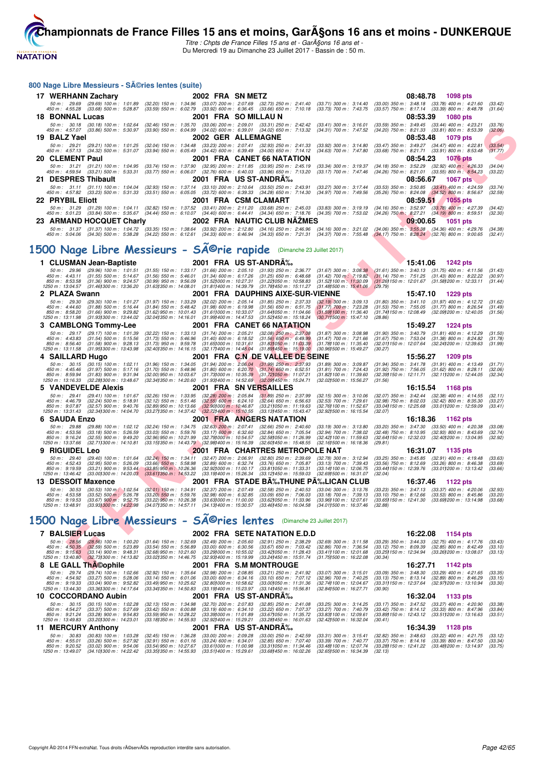**NATATION** 

[Cham](http://www.ffnatation.fr/webffn/index.php)pionnats de France Filles 15 ans et moins, GarASons 16 ans et moins - DUNKERQUE Titre : Chpts de France Filles 15 ans et - Gar $\widetilde{A}$ gons 16 ans et -

Du Mercredi 19 au Dimanche 23 Juillet 2017 - Bassin de : 50 m.

#### **F F N - R é s u l t a t s** 800 Nage Libre Messieurs - Séries lentes (suite) **17 WERHANN Zachary 2002 FRA SN METZ** 82.20) 2002 **FRA SN METZ** 50 m: 2:07.69 pts 86 m: 29.69 (29.69) 100 m: 1:01.89 (32.20) 150 m: 1:34.96 (33.07) 200 m: 2:07.69 (32.23) 250 m: 2:41.40 (33.71) 300 m: 3:14.40 (33.00) 350 m 50 m : 29.69 (29.69) 100 m : 1:01.89 (32.20) 150 m : 1:34.96 (33.07) 200 m (32.73) 250 m : 2:41.40 (33.71) 300 m : 3:14.40 (33.00) 350 m : 3:48.18 (33.78) 400 m : 4:21.60 (33.42)<br>450 m : 4:55. **18 BONNAL Lucas 2001 FRA SO MILLAU N 08:53.39 1080 pts** 50 m; 30.18 (30.18) 100 m; 1:02.64 (32.46) 150 m; 1:35.70 (33.06) 200 m; 2:09.01 (33.31) 250 m; 2:42.42 (33.41) 300 m; 3:16.01 (33.58) 350 m; 3:49.45 (33.48) 400 m; 4:57.07 (33.86) 500 m; 4:25.29 (33.41) 400 m; 4: **19 BALZ Yael 2002 GER ALLEMAGNE 08:53.48 1079 pts** 50 m: 29.21 (29.21) 100 m: 1:01.25 (32.04) 150 m: 1:34.48 (33.23) 200 m: 2:07.41 (32.93) 250 m: 2:41.33 (33.92) 300 m: 3:14.80 (33.47) 350 m: 3:49.27 (34.47) 400 m: 4:22.81 (33.54)<br>450 m: 4:57.13 (34.32) 500 m: 5:31.07 (33 **20 CLEMENT Paul 2001 FRA CANET 66 NATATION** 2001 54.23 1076 pts<br>
50 m: 31.21 (31.21) 100 m: 1:04.95 (33.74) 150 m: 1:37.90 (32.95) 200 m: 2:11.85 (33.95) 250 m: 2:45.19 (33.4) 300 m: 3:19.37 (34.18) 350 m: 3:52.29 (32.92) 50 m; 31.21 (31.21) 100 m; 1:04.95 (33.74) 150 m; 1:37.90 (32.95) 200 m; 2:11.85 (33.95) 250 m; 3:31) 300 m; 3:19.37 (34.18) 350 m; 3:52.29 (33.92) 400 m; 4:59.24 (33.21) 500 m; 4:23.31 (33.55) 300 m; 4:59 a00 m; 4:59 a00 21 DESPRES Thibault 2001 FRA US ST-ANDRA‰<br>50 m: 31.11 (31.50.67 1067 pts) 100 m: 31.744 (31.53) 350 m: 24.39 (31.60 m; 24.39 (31.60 m; 31.744 (31.53) 350 m; 31.744<br>450 m: 457.82 (33.23) 500 m: 5:31.33 (33.51) 550 m: 6:05.0 **22 PRYBIL Eliott 2001 FRA CSM CLAMART 2008 23.83)** 300 m: 31.29 (33.78) 4005 pts 59.81 (1055 pts 50 m: 31.29 (31.29) 100 m: 1:04.11 (32.82) 150 m: 1:37.52 (33.41) 2001 FRA CSM CLAMART **60 m: 2:45.03** (33.83) 300 m: 50 m; 31.29 (31.29) 100 m; 1:04.11 (32.82) 150 m; 1:37.52 (33.41) 200 m; 2:11.20 (33.68) 300 m; 3:31.90 m; 3:19.19 360 m; 3:2.97 (33.79) 400 m; 3:51.9 900 m; 4:27.21 (33.79) 400 m; 4:27.21 (34.19) 500 m; 4:27.21 (34.19) 50 **23 ARMAND HOCQUET Charly 2002 FRA NAUTIC CLUB NÃŽMES 09:00.65 1051 pts** 50 m : 31.37 (31.37) 100 m : 1.04.72 (33.35) 150 m : 1.38.64 (33.92) 200 m 2.16.96 (34.16) 250 m (34.16) 300 m : 3:21.02 (34.06) 350 m : 3:55.38 (34.36) 400 m : 4:29.76 (34.38)<br>450 m : 5:0 1500 Nage Libre Messieurs - SÃ<sup>©</sup>rie rapide (Dimanche 23 Juillet 2017) **1 CLUSMAN Jean-Baptiste 2001 FRA US ST-ANDRÃ%**<br>
50 m: 29.96 (29.96) 100 m: 1:01.51 (31.55) 150 m: 1:33.17 (31.66) 200 m: 2:05.10 (31.93) 250 m: 2:36.77 (31.67) 300 m: 3:08.38 (31.61) 350 m: 3:41.06 1242 pts<br>
450 m: 435.11 50 m : 29.96 (29.96) 100 m : 1:01.51 (31.55) 150 m : 1:33.17 (31.66) 200 m : 2:05.10 (31.93) 250 m : 2:06.77 (31.67) 300 m : 3:06.38 (31.61) 350 m : 3:40.13 (31.75) 400 m : 4:11.56 (31.43)<br>450 m : 4:43.11 (31.55) 500 m : 5 **2 PLAZA Swann** 2001 FRA DAUPHINS AIXE-SUR-VIENNE 15:47.10 1229 pts<br>
50 m: 29.30 (29.30) 100 m: 1:01.27 (31.97) 150 m: 1:33.29 (32.02) 200 m: 2:05.14 (31.85) 250 m: 2:37.33 (32.19) 300 m: 3:09.13 (31.80) 350 m: 3:41.10 (31 50 m: 29.30 (29.30) 100 m: 1:01.27 (31.97) 150 m: 1:33.29 (32.02) 200 m: 2:05.14 (31.85) 250 m: 2:37.33 (32.19) 300 m: 3:09.13 (31.80) 350 m: 3:41.10 (31.97) 400 m: 4:12.72 (31.62)<br>450 m: 4:44.60 (31.88) 500 m: 5:16.44 (31 850 m : 8:58.20 (31.66) 900 m : 9:29.82 (31.62)950 m : 10:01.43 (31.611000 m : 10:33.07 (31.64)050 m : 11:04.66 (31.56)100 m : 11:36.40 (31.741150 m : 12:08.49 (32.091200 m : 12:40.05 (31.56)<br>1250 m : 13:11.98 (31.931300 m **3 CAMBLONG Tommy-Lee 2001 FRA CANET 66 NATATION** 15:49.27 1224 pts<br>  $50 \text{ m}$ : 29.17 (29.17) 100 m: 1:01.39 (32.22) 150 m: 1:33.13 (31.74) 200 m: 2:05.21 (32.08) 250 m; 2:37.08 (31.87) 300 m: 3:08.98 (31.90) 350 m: 3:40. 50 m : 29.17 (29.17) 100 m : 1:01.39 (32.22) 150 m : 1:33.13 (31.74) 200 m : 2:05.21 (32.08) 250 m - 2:37.08 (31.87) 300 m : 3:08.98 (31.90) 350 m : 3:40.79 (31.81) 400 m : 4:12.29 (31.50)<br>450 m : 4:43.83 (31.58) 900 m : 5 **4 SAILLARD Hugo** 2001 FRA C.N DE VALLEE DE SEINE 15:56.27 1209 pts<br>
50 m: 30.15 (30.15) 100 m: 1:02.11 (31.96) 150 m: 1:34.05 (31.94) 200 m: 2:06.04 (31.99) 250 m: 2:37.93 (31.89) 300 m: 3:09.87 (31.94) 350 m: 3:41.78 (31 50 m : 30.15 (30.15) 100 m : 1:02.11 (31.96) 150 m : 1:34.05 (31.94) 200 m : 2:06.04 (31.99) 250 m : 2:37.93 (31.89) 300 m : 3:09.87 (31.94) 350 m : 3:41.78 (31.91) 400 m : 4:13.49 (31.71)<br>1950 m : 4:45.46 (31.82) 900 m : **5 VANDEVELDE Alexis** 2001 FRA SN VERSAILLES 16:15.54 1168 pts<br>50 m: 29.41 (29.41) 100 m: 1:01.67 (32.26) 150 m: 1:33.95 (32.28) 200 m: 2:05.84 (31.89) 250 m: 2:37.99 (32.15) 300 m: 3:10.06 (32.07) 350 m: 3:42.44 (32.38) 4 50 m : 29.41 (29.41) 100 m : 1.01.67 (32.26) 150 m : 1.33.95 (32.28) 200 m : 2.05.84 (31.89) 250 m : 2.37.99 (32.15) 300 m : 3:10.06 (32.07) 350 m : 3:42.44 (32.38) 400 m : 4:14.55 (32.11)<br>450 m : 4 -850 m: 9:07.87 (32.57) 900 m: 9:40.76 (32.89) 950 m: 10:13.66 (32.87) 466.87 (33.21) 050 m: 11:31.87 (32.41) 00 m: 12:07100 m: 12:05.68 (33.011200 m: 12:5.09 (33.41)<br>1250 m: 13:31.43 (32.341300 m: 14:04.70 (33.271350 m: 1 **6 SAUDA Enzo**<br> **6 SAUDA Enzo** (29.88) 100 m: 1:02.12 (32.24) 150 m: 1:34.75 (32.63) 200 m: 2:07.41 (32.66) 250 m: 2:40.60 (33.19) 300 m: 3:13.80 (33.20) 350 m: 3:47.30 (33.50) 400 m: 4:20.38<br>
450 m: 4:53.56 (33.18) 500 m: 50 m : 29.88 (29.88) 100 m : 1:02.12 (32.24) 150 m : 1:34.75 (32.63) 200 m : 2:07.41 (32.66) 250 m : 2:40.60 (33.19) 300 m : 3:13.80 (33.20) 350 m : 3:47.30 (33.50) 400 m : 4:20.38 (33.08)<br>450 m : 4:53.56 (33.18) 500 m : 5 **9 RIGUIDEL Leo 2010** 100 m: 1:01.64 (32.24) 150 m: 1:34.11 (32.47) 200 m: 2:06.91 (32.80) 250 m: 2:36.99 (32.78) 300 m: 3:12.94 (33.25) 350 m: 3:45.85 (32.91) 400 m: 4:19.48<br>450 m: 4:52.43 (32.95) 500 m: 5:26.09 (32.86) 5 50 m : 29.40 (29.40) 100 m : 1:01.64 (32.24) 150 m : 1:34.11 (32.47) 200 m : 2:06.91 (32.80) 250 m : 2:39.69 (32.78) 300 m : 3:12.94 (33.25) 350 m : 3:45.85 (32.91) 400 m : 4:19.48 (33.63)<br>450 m : 4:52.43 (32.95) 500 m : 5 **13 DESSOIT Maxence 2001 FRA STADE BÃ%-THUNE PÃ%-LICAN CLUB 16:37.46 1122 pts**<br> **13 DESSOIT Maxence 20.53** (30.53) 100 m; 1:02.54 (32.01) 150 m; 1:34.91 (32.37) 200 m; 2:07.49 (32.58) 250 m; 2:40.53 (30.04) 300 m; 50 m : 30.53 (30.53) 100 m 1.02.54 (32.01) 150 m : 1:34.91 (32.37) 200 m : 2:07.49 (32.58) 250 m : 2:40.53 (33.04) 300 m : 3:13.76 (33.23) 350 m : 3:47.13 (33.37) 400 m : 4:20.06 (32.93<br>450 m : 4:53.58 (33.52) 500 m : 5:25 1500 Nage Libre Messieurs - SÃ<sup>©</sup>ries lentes (Dimanche 23 Juillet 2017) **7 BALSIER Lucas** 2002 FRA SETE NATATION E.D.D 16:22.08 152.08 1154 pts<br> *50 m*: 28.56 (28.56) 100 m: 1:00.20 (31.64) 150 m: 1:32.69 (32.49) 200 m: 2:05.60 (32.91) 250 m: 2:38.29 (32.69) 300 m: 3:11.58 (33.29) 350 m: 3:44. 50 m : 2656 (28.56) 100 m : 1:0020 (31.64) 150 m : 1:32.69 (32.49) 200 m : 2:05.60 (32.91) 250 m : 2:38.29 (32.69) 300 m : 3:11.58 (33.29) 350 m : 3:44.33 (32.75) 400 m : 4:17.76 (33.43<br>450 m : 4:50.35 (32.59) 500 m : 5:23 **8 LE GALL Thế©ophile 2001 FRA S.M MONTROUGE 16:27.71 1142 pts**<br>  $50 \text{ m}$ : 29.74 (29.74) 100 m: 1:02.66 (32.92) 150 m: 1:35.64 (32.98) 200 m: 2:08.85 (33.21) 250 m: 2:41.92 (33.07) 300 m: 3:15.01 (33.09) 350 m: 3:48.30 (3 50 m : 29.74 (29.74) 100 m : 1:02.66 (32.92) 150 m : 1:35.64 (32.98) 200 m : 2:08.85 (33.21) 250 m : 2:41.92 (33.07) 300 m : 3:15.01 (33.09) 350 m : 3:48.30 (33.29) 400 m : 4:21.65 (33.35)<br>450 m : 4:54.92 (33.27) 500 m : 5 **10 COCORDANO Aubin** 10226 (32.92) 150 m : 1:35.64 (32.98) 200 m : 2:08.85 (33.21) 250 m : 2:41.92 (33.07) 300 m : 3:15.01 (33.09) 350 m : 3:48.30 (33.29) 400 m : 4:21.65<br>
450 m : 4:54.92 (33.27) 500 m : 52.28 (33.14) 550 50 m : 40.15 (30.15) 100 m : 1.02.28 (32.13) 150 m : 1.34.98 (32.70) 200 m : 2:07.83 (32.85) 250 m : 2:41.08 (33.25) 300 m : 3:14.25 (33.17) 350 m : 3:47.52 (33.27) 400 m : 4:20.90 (33.38)<br>450 m : 4:54.27 (33.37) 500 m : 5 **11 MERCURY Anthony 2001 FRA US ST-ANDRÉ 16:34.39 1128 pts** 50 m : 30.83 (30.83) 100 m : 1:03.28 (32.45) 150 m : 1:36.28 (33.00) 200 m : 2:09.28 (33.00) 250 m : 2:45.59 (33.31) 300 m : 3:15.41 (32.82) 350 m : 3:48.63 (33.22) 400 m : 4:21.75 (33.12)<br>450 m : 4:55.01 (33.26) 500 m : 5 50 m : 30.83 (30.83) 100 m : 1:03.28 (32.45) 150 m : 1:36.28 (33.00) 200 m : 2:09.28 (33.00) 250 m : 2:42.59 (33.31) 300 m : 3:15.41 (32.82) 350 m : 3:48.63 (33.22) 400 m : 4:21.75 (33.12)<br>450 m : 4:55.01 (33.26) 500 m : 5 850 m : 9:20.52 (33.02) 900 m : 9:54.06 (33.54)950 m : 10:27.67 (33.611000 m : 11:00.98 (33.311050 m : 11:34.46 (33.481100 m : 12:07.74 (33.281150 m : 12:41.22 (33.481200 m : 13:14.97 (33.75)<br>1250 m : 13:49.07 (34.101300 m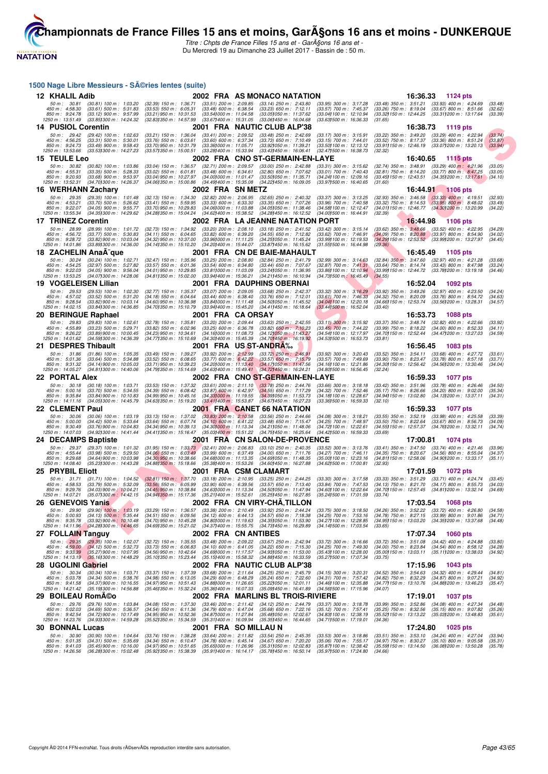

Titre : Chpts de France Filles 15 ans et - GarA§ons 16 ans et -Du Mercredi 19 au Dimanche 23 Juillet 2017 - Bassin de : 50 m.

|     | 1500 Nage Libre Messieurs - SA©ries lentes (suite)                     |                                                                                                                 |                                                                                                                |                                                                                                                |  |                                                                                                                       |                                                                                                              |                                                                                               |          |                                                                                                          |                               |
|-----|------------------------------------------------------------------------|-----------------------------------------------------------------------------------------------------------------|----------------------------------------------------------------------------------------------------------------|----------------------------------------------------------------------------------------------------------------|--|-----------------------------------------------------------------------------------------------------------------------|--------------------------------------------------------------------------------------------------------------|-----------------------------------------------------------------------------------------------|----------|----------------------------------------------------------------------------------------------------------|-------------------------------|
|     | 12 KHALIL Adib                                                         |                                                                                                                 |                                                                                                                |                                                                                                                |  | 2002 FRA AS MONACO NATATION                                                                                           |                                                                                                              |                                                                                               |          | 16:36.33 1124 pts                                                                                        |                               |
|     | 50 m: 30.81<br>450 m: 4:58.30<br>850 m : 9:24.78                       | $(30.81)$ 100 m : 1:03.20<br>$(33.61)$ 500 m : 5:31.83<br>$(33.12)$ 900 m : 9:57.99                             | $(32.39)$ 150 m : 1:36.71<br>$(33.53)$ 550 m : 6:05.31<br>(33.21) 950 m : 10:31.53<br>(32.83) 350 m : 14:57.99 | $(33.51)$ 200 m : 2:09.85<br>$(33.48)$ 600 m : 6:38.54<br>(33.541000 m: 11:04.58<br>(33.67) 400 m : 15:31.05   |  | $(33.14)$ 250 m : 2:43.80<br>$(33.23)$ 650 m : 7:12.11<br>(33.051050 m : 11:37.62                                     | (33.95) 300 m : 3:17.28<br>(33.57) 700 m : 7:45.37<br>(33.04) 100 m : 12:10.94<br>(33.631500 m: 16:36.33     | $(33.48)$ 350 m : 3:51.21<br>$(33.26)$ 750 m : 8:19.04<br>(33.32) 150 m : 12:44.25            |          | $(33.93)$ 400 m : 4:24.69<br>$(33.67)$ 800 m : 8:51.66<br>(33.311200 m: 13:17.64                         | (33.48)<br>(32.62)<br>(33.39) |
|     | 1250 m : 13:51.49<br><b>14 PUSIOL Corentin</b>                         | (33.85) 300 m : 14:24.32                                                                                        |                                                                                                                |                                                                                                                |  | (33.06)450 m : 16.04.68<br>2001 FRA NAUTIC CLUB ALP'38                                                                |                                                                                                              | (31.65)                                                                                       | 16:38.73 | 1119 pts                                                                                                 |                               |
|     | 50 m : 29.42<br>450 m: 4:56.25<br>850 m : 9:24.73<br>1250 m : 13:53.66 | $(29.42)$ 100 m : 1:02.63<br>$(33.31)$ 500 m : 5:30.01<br>$(33.49)$ 900 m : 9:58.43<br>(33.53) 300 m : 14:27.23 | $(33.21)$ 150 m : 1:36.04<br>$(33.76)$ 550 m : 6:03.61<br>(33.70) 950 m : 10:31.79<br>(33.57) 350 m : 15:00.51 | $(33.41)$ 200 m : 2:09.52<br>$(33.60)$ 600 m : 6:37.34<br>(33.36) 000 m : 11:05.71<br>(33.28) 400 m : 15:33.94 |  | $(33.48)$ 250 m : 2:42.69<br>$(33.73)$ 650 m : 7:10.49<br>(33.921050 m: 11:39.21<br>$(33.43)450 \text{ m}$ : 16:06.41 | $(33.17)$ 300 m : 3:15.91<br>(33.15) 700 m : 7:44.01<br>(33.50) 100 m : 12:13.12<br>(32.47) 500 m : 16:38.73 | $(33.22)$ 350 m : 3:49.20<br>$(33.52)$ 750 m : 8:17.37<br>(33.91) 150 m : 12:46.19<br>(32.32) |          | $(33.29)$ 400 m : 4:22.94<br>$(33.36)$ 800 m : 8.51.24<br>$(33.07)200 \text{ m}$ : 13:20.13              | (33.74)<br>(33.87)<br>(33.94) |
|     | 15 TEULE Leo                                                           |                                                                                                                 |                                                                                                                |                                                                                                                |  | 2002 FRA CNO ST-GERMAIN-EN-LAYE                                                                                       |                                                                                                              |                                                                                               | 16:40.65 | 1115 pts                                                                                                 |                               |
|     | 50 m : 30.82                                                           | $(30.82)$ 100 m : 1:03.86                                                                                       | $(33.04)$ 150 m : 1:36.57                                                                                      | (32.71) 200 m : 2:09.57                                                                                        |  | $(33.00)$ 250 m : 2:42.88                                                                                             | $(33.31)$ 300 m : 3:15.62                                                                                    | $(32.74)$ 350 m : 3:48.91                                                                     |          | $(33.29)$ 400 m : 4:21.96                                                                                | (33.05)                       |
|     | 450 m : 4:55.31<br>850 m : 9:20.93                                     | $(33.35)$ 500 m : 5:28.33<br>$(33.68)$ 900 m : 9:53.97                                                          | $(33.02)$ 550 m : 6:01.81<br>(33.04) 950 m : 10:27.97                                                          | $(33.48)$ 600 m : 6:34.61<br>$(34.00)000 \text{ m}$ : 11:01.47                                                 |  | $(32.80)$ 650 m : 7:07.62<br>(33.50) 050 m: 11:35.71                                                                  | (33.01) 700 m : 7:40.43<br>(34.24) 100 m : 12:09.16                                                          | $(32.81)$ 750 m : 8:14.20<br>$(33.451150 \text{ m} : 12.43.51)$                               |          | $(33.77)$ 800 m : 8:47.25<br>$(34.351200 \text{ m} : 13.17.61)$                                          | (33.05)<br>(34.10)            |
|     | 1250 m : 13:52.31                                                      | (34.701300 m : 14:26.37                                                                                         | $(34.061350 \text{ m} : 15.00.86)$                                                                             | $(34.491400 \text{ m} : 15.35.08)$                                                                             |  | (34.22) 450 m : 16:09.05                                                                                              | (33.971500 m: 16:40.65                                                                                       | (31.60)                                                                                       |          |                                                                                                          |                               |
|     | 16 WERHANN Zachary                                                     |                                                                                                                 |                                                                                                                | 2002 FRA SN METZ                                                                                               |  |                                                                                                                       |                                                                                                              |                                                                                               | 16:44.91 | <b>1106 pts</b>                                                                                          |                               |
|     | 50 m: 29.35<br>450 m : 4:53.21                                         | $(29.35)$ 100 m : 1:01.48<br>$(33.70)$ 500 m : 5:26.62                                                          | (32.13) 150 m : 1:34.30<br>$(33.41)$ 550 m : 5:59.95                                                           | $(32.82)$ 200 m : 2:06.95<br>$(33.33)$ 600 m : 6:33.30                                                         |  | $(32.65)$ 250 m : 2:40.32<br>$(33.35)$ 650 m : 7:07.26                                                                | $(33.37)$ 300 m : 3:13.25<br>$(33.96)$ 700 m : 7:40.58                                                       | $(32.93)$ 350 m : 3:46.58<br>$(33.32)$ 750 m : 8:14.53                                        |          | $(33.33)$ 400 m : 4:19.51<br>$(33.95)$ 800 m : 8:48.02                                                   | (32.93)<br>(33.49)            |
|     | 850 m : 9:22.07<br>1250 m: 13:55.34                                    | $(34.05)$ 900 m : 9:55.77<br>(34.351300 m : 14:29.62)                                                           | (33.70) 950 m : 10:29.83<br>(34.28) 350 m : 15:04.24                                                           | (34.06) 000 m: 11:03.88<br>(34.62) 400 m : 15:38.52                                                            |  | (34.051050 m: 11:38.46)<br>(34.28) 450 m : 16:12.52                                                                   | (34.58) 100 m : 12:12.47<br>(34.00) 500 m : 16:44.91                                                         | (32.39)                                                                                       |          | (34.011150 m: 12:46.77 (34.301200 m: 13:20.99)                                                           | (34.22)                       |
|     | 17 TRINEZ Corentin                                                     |                                                                                                                 |                                                                                                                |                                                                                                                |  | 2002 FRA LA JEANNE NATATION PORT                                                                                      |                                                                                                              |                                                                                               | 16:44.98 | <b>1106 pts</b>                                                                                          |                               |
|     | 50 m : 28.99                                                           | $(28.99)$ 100 m : 1:01.72                                                                                       | $(32.73)$ 150 m : 1:34.92                                                                                      | $(33.20)$ 200 m : 2:08.10                                                                                      |  | $(33.18)$ 250 m : 2:41.52                                                                                             | $(33.42)$ 300 m : 3:15.14                                                                                    | $(33.62)$ 350 m : 3:48.66                                                                     |          | $(33.52)$ 400 m : 4:22.95                                                                                | (34.29)                       |
|     | 450 m : 4:56.72<br>850 m : 9:28.72                                     | $(33.77)$ 500 m : 5:30.83<br>(33.82) 900 m : 10:03.04                                                           | $(34.11)$ 550 m : 6:04.65<br>(34.32) 950 m : 10:37.00                                                          | $(33.82)$ 600 m : 6:39.20<br>(33.96) 000 m: 11:11.25                                                           |  | $(34.55)$ 650 m : 7:12.82<br>(34.25) 050 m: 11:45.24                                                                  | (33.62) 700 m : 7:46.91<br>(33.99) 100 m : 12:19.53                                                          |                                                                                               |          | $(34.09)$ 750 m : 8:20.88 $(33.97)$ 800 m : 8:54.90<br>(34.29) 150 m : 12:53.52 (33.99) 200 m : 13:27.97 | (34.02)<br>(34.45)            |
|     | 1250 m : 14:01.86                                                      | (33.89) 300 m : 14:36.00                                                                                        | (34.141350 m : 15:10.20                                                                                        | (34.20) 400 m : 15:44.07                                                                                       |  | (33.87) 450 m : 16:15.62                                                                                              | (31.551500 m: 16:44.98                                                                                       | (29.36)                                                                                       |          |                                                                                                          |                               |
| 18. |                                                                        | <b>ZACHELIN AnaA-que</b>                                                                                        |                                                                                                                |                                                                                                                |  | 2001 FRA CN DE BAIE-MAHAULT                                                                                           |                                                                                                              |                                                                                               | 16:45.49 | 1105 pts                                                                                                 |                               |
|     | 50 m : 30.24<br>450 m: 4:54.25                                         | $(30.24)$ 100 m : 1:02.71<br>$(32.97)$ 500 m : 5:27.82                                                          | $(32.47)$ 150 m : 1:35.96<br>$(33.57)$ 550 m : 6:01.36                                                         | $(33.25)$ 200 m : 2:08.80<br>$(33.54)$ 600 m : 6:34.80                                                         |  | $(32.84)$ 250 m : 2:41.79<br>$(33.44)$ 650 m : 7:07.67                                                                | $(32.99)$ 300 m : 3:14.63<br>$(32.87)$ 700 m : 7:41.31                                                       | $(32.84)$ 350 m $\therefore$ 3:47.60<br>$(33.64)$ 750 m : 8:14.74                             |          | $(32.97)$ 400 m : 4:21.28<br>$(33.43)$ 800 m : 8:47.98                                                   | (33.68)<br>(33.24)            |
|     | 850 m : 9:22.03<br>1250 m: 13:53.25                                    | $(34.05)$ 900 m : 9:56.04<br>(34.071300 m : 14:28.06)                                                           | $(34.01)$ 950 m : 10:29.85<br>(34.811350 m : 15:02.00                                                          | (33.811000 m: 11.03.09<br>(33.941400 m : 15:36.21                                                              |  | (33.24) 050 m: 11:36.95<br>(34.21) 450 m: 16:10.94                                                                    | (33.86) 100 m : 12:10.94<br>(34.731500 m: 16:45.49)                                                          | (33.99) 150 m : 12:44.72<br>(34.55)                                                           |          | (33.78) 200 m : 13:19.18                                                                                 | (34.46)                       |
|     | 19 VOGELEISEN Lilian                                                   |                                                                                                                 |                                                                                                                |                                                                                                                |  | 2001 FRA DAUPHINS OBERNAI                                                                                             |                                                                                                              |                                                                                               | 16:52.04 | 1092 pts                                                                                                 |                               |
|     | $50 m$ : 29.53                                                         | $(29.53)$ 100 m : 1:02.30                                                                                       | (32.77) 150 m : 1:35.37                                                                                        | $(33.07)$ 200 m : 2:09.05                                                                                      |  | $(33.68)$ 250 m : 2:42.37                                                                                             | (33.32) 300 m : 3:16.29                                                                                      | $(33.92)$ 350 m : 3:49.26                                                                     |          | $(32.97)$ 400 m : 4:23.50                                                                                | (34.24)                       |
|     | 450 m : 4:57.02<br>850 m : 9:28.54                                     | $(33.52)$ 500 m : 5:31.20<br>$(33.82)$ 900 m : 10:03.14                                                         | $(34.18)$ 550 m : 6:04.64<br>(34.60) 950 m : 10:36.98                                                          | $(33.44)$ 600 m : 6:38.40<br>(33.841000 m: 11:11.48)                                                           |  | $(33.76)$ 650 m : 7:12.01<br>(34.50) 050 m : 11:45.52                                                                 | $(33.61)$ 700 m : 7:46.33<br>(34.041100 m: 12:20.18)                                                         | $(34.32)$ 750 m : 8:20.09<br>(34.66) 150 m : 12:53.74                                         |          | $(33.76)$ 800 m : 8:54.72<br>(33.56) 200 m : 13:28.31                                                    | (34.63)<br>(34.57)            |
|     | 1250 m : 14:02.15                                                      | $(33.84)300 \text{ m}$ : 14:36.85                                                                               | (34.701350 m : 15:10.79                                                                                        | (33.941400 m : 15:45.20                                                                                        |  | (34.41) 450 m : 16:18.64                                                                                              | (33.44) 500 m : 16:52.04                                                                                     | (33.40)                                                                                       |          |                                                                                                          |                               |
|     | 20 BERINGUE Raphael                                                    |                                                                                                                 |                                                                                                                | 2001 FRA CAORSAY                                                                                               |  |                                                                                                                       |                                                                                                              |                                                                                               | 16:53.73 | <b>1088 pts</b>                                                                                          |                               |
|     | 50 m: 29.83<br>450 m : 4:55.89                                         | $(29.83)$ 100 m : 1:02.61<br>$(33.23)$ 500 m : 5:29.71                                                          | $(32.78)$ 150 m : 1:35.81<br>$(33.82)$ 550 m : 6:02.96                                                         | $(33.20)$ 200 m : 2:09.44<br>$(33.25)$ 600 m : 6:36.78                                                         |  | $(33.63)$ 250 m : 2:42.55<br>$(33.82)$ 650 m : 7:10.23                                                                | $(33.11)$ 300 m : 3:15.92<br>$(33.45)$ 700 m : 7:44.22                                                       | $(33.37)$ 350 m : 3:48.74<br>$(33.99)$ 750 m : 8:18.22                                        |          | $(32.82)$ 400 m : 4:22.66<br>$(34.00)$ 800 m : 8:52.33                                                   | (33.92)<br>(34.11)            |
|     | 850 m: 9:26.22<br>1250 m: 14:01.62                                     | (33.89) 900 m : 10:00.45<br>(34.59) 300 m : 14:36.39                                                            | (34.23) 950 m : 10:34.61<br>(34.77) 350 m : 15:10.69                                                           | (34.16) 000 m : 11:08.73<br>(34.30) 400 m : 15:45.39                                                           |  | (34.121050 m : 11:43.27<br>(34.70) 450 m : 16:19.92                                                                   | (34.54) 100 m : 12:17.97<br>(34.53) 500 m : 16:53.73                                                         | (34.70) 150 m : 12:52.44<br>(33.81)                                                           |          | (34.47) 200 m : 13:27.03                                                                                 | (34.59)                       |
| 21. | <b>DESPRES Thibault</b>                                                |                                                                                                                 |                                                                                                                |                                                                                                                |  | 2001 FRA US-ST-ANDRA‰                                                                                                 |                                                                                                              |                                                                                               | 16:56.45 | 1083 pts                                                                                                 |                               |
|     | 50 m: 31.86                                                            | $(31.86)$ 100 m : 1:05.35                                                                                       | (33.49) 150 m : 1:39.27                                                                                        | $(33.92)$ 200 m : 2:12.99                                                                                      |  | $(33.72)$ 250 m : 2:46.91                                                                                             | $(33.92)$ 300 m : 3:20.43                                                                                    | (33.52) 350 m : 3:54.11                                                                       |          | $(33.68)$ 400 m : 4:27.72                                                                                | (33.61)                       |
|     | 450 m : 5:01.36<br>850 m: 9:31.32                                      | $(33.64)$ 500 m : 5:34.88<br>$(34.14)$ 900 m : 10:05.03                                                         | $(33.52)$ 550 m : 6:08.65<br>(33.71) 950 m : 10:39.23                                                          | $(33.77)$ 600 m : 6:42.22                                                                                      |  | $(33.57)$ 650 m : 7:15.79<br>(34.201000 m: 11:13.40 (34.171050 m: 11:47.56)                                           | (33.57) 700 m : 7:49.69<br>(34.16) 100 m : 12:21.86                                                          | $(33.90)$ 750 m : 8:23.47                                                                     |          | $(33.78)$ 800 m : 8:57.18<br>(34.30) 150 m : 12:56.42 (34.56) 200 m : 13:30.46                           | (33.71)<br>(34.04)            |
|     | 1250 m: 14:05.27                                                       | (34.811300 m: 14:40.06                                                                                          | (34.791350 m : 15:14.69                                                                                        |                                                                                                                |  | (34.631400 m : 15:49.41 (34.721450 m : 16:24.21)                                                                      | (34.80) 500 m : 16:56.45                                                                                     | (32.24)                                                                                       |          |                                                                                                          |                               |
|     | 22 PORTAL Alex<br>50 m: 30.18                                          | $(30.18)$ 100 m : 1:03.71                                                                                       | $(33.53)$ 150 m : 1:37.32                                                                                      | $(33.61)$ 200 m : 2:11.10                                                                                      |  | 2002 FRA CNO ST-GERMAIN-EN-LAYE                                                                                       |                                                                                                              |                                                                                               | 16:59.33 | <b>1077 pts</b>                                                                                          | (34.50)                       |
|     | 450 m : 5:00.16                                                        | $(33.70)$ 500 m : 5:34.55                                                                                       | $(34.39)$ 550 m : 6:08.42                                                                                      | $(33.87)$ 600 m : 6:42.97                                                                                      |  | $(33.78)$ 250 m : 2:44.76<br>$(34.55)$ 650 m : 7:17.29                                                                | $(33.66)$ 300 m : 3:18.18<br>(34.32) 700 m : 7:52.46                                                         | $(33.42)$ 350 m : 3:51.96<br>$(35.17)$ 750 m : 8:26.66                                        |          | $(33.78)$ 400 m : 4:26.46<br>$(34.20)$ 800 m : 9:02.00                                                   | (35.34)                       |
|     | 850 m : 9:35.84<br>1250 m : 14:11.16                                   | $(33.84)$ 900 m : 10:10.83<br>(34.05) 300 m : 14:45.79                                                          | (34.99) 950 m : 10:45.16<br>(34.63) 350 m : 15:19.20                                                           | (34.33) 000 m: 11:19.55<br>(33.411400 m : 15:53.87                                                             |  | (34.39) 050 m : 11:53.73<br>(34.67) 450 m : 16:27.23                                                                  | (34.18) 100 m : 12:28.67<br>(33.36) 500 m : 16:59.33                                                         | (34.94) 150 m : 13:02.80<br>(32.10)                                                           |          | $(34.13)200 \text{ m}$ : 13:37.11                                                                        | (34.31)                       |
|     | 22 CLEMENT Paul                                                        |                                                                                                                 |                                                                                                                |                                                                                                                |  | 2001 FRA CANET 66 NATATION                                                                                            |                                                                                                              |                                                                                               | 16:59.33 | <b>1077 pts</b>                                                                                          |                               |
|     | 50 m: 30.06                                                            | $(30.06)$ 100 m : 1:03.19                                                                                       | $(33.13)$ 150 m : 1:37.02                                                                                      | $(33.83)$ 200 m : 2:10.58                                                                                      |  | $(33.56)$ 250 m : 2:44.66                                                                                             | $(34.08)$ 300 m : 3:18.21                                                                                    | $(33.55)$ 350 m : 3:52.19                                                                     |          | $(33.98)$ 400 m : 4:25.58                                                                                | (33.39)                       |
|     | 450 m : 5:00.00<br>850 m: 9:30.49                                      | $(34.42)$ 500 m : 5:33.64<br>$(33.76)$ 900 m : 10:04.83                                                         | $(33.64)$ 550 m : 6:07.74<br>(34.34) 950 m : 10:39.13                                                          | $(34.10)$ 600 m : 6:41.22<br>(34.301000 m: 11:13.34)                                                           |  | $(33.48)$ 650 m : 7:15.47<br>(34.211050 m: 11:48.06                                                                   | $(34.25)$ 700 m : 7:48.97<br>(34.72) 100 m : 12:22.61                                                        | $(33.50)$ 750 m : 8:22.64<br>(34.55) 150 m : 12:57.37                                         |          | $(33.67)$ 800 m : 8:56.73<br>(34.76) 200 m : 13:32.11                                                    | (34.09)<br>(34.74)            |
|     | 1250 m: 14:07.03                                                       | (34.92) 300 m : 14:41.44                                                                                        | (34.411350 m : 15:16.47                                                                                        | (35.03) 400 m : 15:51.22                                                                                       |  | (34.75) 450 m : 16:25.64                                                                                              | (34.42) 500 m : 16:59.33                                                                                     | (33.69)                                                                                       |          |                                                                                                          |                               |
|     | 24 DECAMPS Baptiste<br>50 m: 29.37                                     | $(29.37)$ 100 m : 1:01.32                                                                                       | $(31.95)$ 150 m : 1:33.73                                                                                      | $(32.41)$ 200 m : 2:06.83                                                                                      |  | 2001 FRA CN SALON-DE-PROVENCE<br>$(33.10)$ 250 m : 2:40.35                                                            | $(33.52)$ 300 m : 3:13.76                                                                                    | $(33.41)$ 350 m : 3:47.50                                                                     | 17:00.81 | <b>1074 pts</b><br>$(33.74)$ 400 m : 4:21.46                                                             | (33.96)                       |
|     | 450 m: 4:55.44                                                         | $(33.98)$ 500 m : 5:29.50                                                                                       | $(34.06)$ 550 m : 6:03.49                                                                                      | $(33.99)$ 600 m : 6:37.49                                                                                      |  | $(34.00)$ 650 m : 7:11.76                                                                                             | $(34.27)$ 700 m : 7:46.11                                                                                    | $(34.35)$ 750 m : 8:20.67                                                                     |          | $(34.56)$ 800 m : 8:55.04                                                                                | (34.37)                       |
|     | 850 m: 9:29.68<br>1250 m: 14:08.40                                     | $(34.64)$ 900 m : 10:03.98<br>(35.231300 m: 14:43.28)                                                           | $(34.30)$ 950 m : 10:38.66<br>(34.881350 m : 15:18.66)                                                         | (34.681000 m: 11:13.35)<br>(35.38) 400 m : 15:53.26                                                            |  | (34.69) 050 m: 11:48.35<br>(34.601450 m : 16:27.88)                                                                   | (35.00) 100 m : 12:23.16<br>(34.62) 500 m : 17:00.81                                                         | $(34.81)150 \text{ m}: 12.58.06$<br>(32.93)                                                   |          | (34.901200 m: 13:33.17                                                                                   | (35.11)                       |
|     | 25 PRYBIL Eliott                                                       |                                                                                                                 |                                                                                                                | 2001 FRA CSM CLAMART                                                                                           |  |                                                                                                                       |                                                                                                              |                                                                                               | 17:01.59 | 1072 pts                                                                                                 |                               |
|     | 50 m : 31.71<br>450 m : 4:58.53                                        | $(31.71)$ 100 m : 1:04.52<br>(33.79) 500 m : 5:32.09                                                            | $(32.81)$ 150 m : 1:37.70<br>$(33.56)$ 550 m : 6:05.99                                                         | $(33.18)$ 200 m : 2:10.95<br>$(33.90)$ 600 m : 6:39.56                                                         |  | $(33.25)$ 250 m : 2:44.25<br>$(33.57)$ 650 m : 7:13.40                                                                | $(33.30)$ 300 m : 3:17.58<br>$(33.84)$ 700 m : 7:47.53                                                       | (33.33) 350 m : 3:51.29<br>(34.13) 750 m : 8:21.70                                            |          | $(33.71)$ 400 m : 4:24.74<br>$(34.17)$ 800 m : 8:55.73                                                   | (33.45)<br>(34.03)            |
|     | 850 m : 9:29.76                                                        | $(34.03)$ 900 m : 10:04.21                                                                                      | (34,45) 950 m : 10:38.84                                                                                       | $(34.63)000 \text{ m}$ : 11:13.34                                                                              |  | (34.501050 m : 11:47.94)                                                                                              | (34.60) 100 m : 12:22.64                                                                                     |                                                                                               |          | (34.70) 150 m: 12:57.45 (34.81) 200 m: 13:32.14                                                          | (34.69)                       |
|     |                                                                        | 250 m : 14:07.21 (35.07) 300 m : 14:42.15                                                                       |                                                                                                                |                                                                                                                |  | (34.94) 350 m : 15:17.36 (35.21) 400 m : 15:52.61 (35.25) 450 m : 16:27.85<br>2002 FRA CN VIRY-CHA, TILLON            | (35.241500 m : 17:01.59                                                                                      |                                                                                               |          | <b>1068 pts</b>                                                                                          |                               |
|     | 26 GENEVOIS Yanis<br>50 m : 29.90                                      | $(29.90)$ 100 m : 1:03.19                                                                                       | $(33.29)$ 150 m : 1:36.57                                                                                      | $(33.38)$ 200 m : 2:10.49                                                                                      |  | $(33.92)$ 250 m : 2:44.24                                                                                             | $(33.75)$ 300 m : 3:18.50                                                                                    | $(34.26)$ 350 m : 3:52.22                                                                     | 17:03.54 | $(33.72)$ 400 m : 4:26.80                                                                                | (34.58)                       |
|     | 450 m : 5:00.93<br>850 m : 9:35.78                                     | $(34.13)$ 500 m : 5:35.44<br>$(33.92)$ 900 m : 10:10.48                                                         | $(34.51)$ 550 m : 6:09.56<br>(34.70) 950 m : 10:45.28                                                          | $(34.12)$ 600 m : 6:44.13<br>$(34.801000 \text{ m} : 11:19.63)$                                                |  | $(34.57)$ 650 m : 7:18.38<br>(34.35) 050 m : 11:53.90                                                                 | $(34.25)$ 700 m : 7:53.16<br>(34.27) 100 m : 12:28.85                                                        | $(34.78)$ 750 m : 8:27.15                                                                     |          | $(33.99)$ 800 m : 9:01.86<br>(34.95) 150 m : 13:03.20 (34.35) 200 m : 13:37.68                           | (34.71)                       |
|     |                                                                        | 1250 m: 14:11.96 (34.281300 m: 14:46.65)                                                                        | (34.69) 350 m : 15:21.02                                                                                       |                                                                                                                |  | (34.37) 400 m: 15:55.75 (34.73) 450 m: 16:29.89                                                                       | (34.141500 m: 17:03.54                                                                                       | (33.65)                                                                                       |          |                                                                                                          | (34.48)                       |
|     | 27 FOLLAIN Tanguy                                                      |                                                                                                                 |                                                                                                                | 2002 FRA CN ANTIBES                                                                                            |  |                                                                                                                       |                                                                                                              |                                                                                               | 17:07.34 | <b>1060 pts</b>                                                                                          |                               |
|     | 50 m : 29.35<br>450 m : 4:59.00                                        | $(29.35)$ 100 m : 1:02.07<br>$(34.12)$ 500 m : 5:32.73                                                          | (32.72) 150 m : 1:35.55<br>$(33.73)$ 550 m : 6:06.83                                                           | $(33.48)$ 200 m : 2:09.22<br>$(34.10)$ 600 m : 6:41.05                                                         |  | $(33.67)$ 250 m : 2:42.94<br>$(34.22)$ 650 m : 7:15.30                                                                | $(33.72)$ 300 m : 3:16.66<br>$(34.25)$ 700 m : 7:49.30                                                       | $(33.72)$ 350 m : $3.51.08$<br>$(34.00)$ 750 m : 8:23.84                                      |          | $(34.42)$ 400 m : 4:24.88<br>$(34.54)$ 800 m : 8:58.12                                                   | (33.80)<br>(34.28)            |
|     | 850 m : 9:33.39                                                        | $(35.27)$ 900 m : 10:07.95                                                                                      | (34.56) 950 m : 10:42.64                                                                                       | (34.691000 m: 11:17.57                                                                                         |  | (34.93) 050 m : 11:53.00                                                                                              | (35.43) 100 m : 12:28.00                                                                                     |                                                                                               |          | (35.00) 150 m: 13:03.11 (35.11) 200 m: 13:38.03                                                          | (34.92)                       |
|     | 28 UGOLINI Gabriel                                                     | 1250 m: 14:13.19 (35.16) 300 m: 14:48.29                                                                        | (35.101350 m : 15:23.44                                                                                        | (35.151400 m: 15:58.32)                                                                                        |  | (34.88) 450 m : 16:33.59<br>2002 FRA NAUTIC CLUB ALP'38                                                               | (35.271500 m: 17:07.34                                                                                       | (33.75)                                                                                       | 17:15.96 | 1043 pts                                                                                                 |                               |
|     | 50 m : 30.34                                                           | $(30.34)$ 100 m : 1:03.71                                                                                       | $(33.37)$ 150 m : 1:37.39                                                                                      | $(33.68)$ 200 m : 2:11.64                                                                                      |  | $(34.25)$ 250 m : 2:45.79                                                                                             | $(34.15)$ 300 m : 3:20.31                                                                                    |                                                                                               |          | (34.52) 350 m: 3:54.63 (34.32) 400 m: 4:29.44                                                            | (34.81)                       |
|     | 450 m : 5:03.78                                                        | $(34.34)$ 500 m : 5:38.76                                                                                       | $(34.98)$ 550 m : 6:13.05<br>$(34.97)$ 950 m : 10:51.43                                                        | $(34.29)$ 600 m : 6:48.29                                                                                      |  | $(35.24)$ 650 m : 7:22.60                                                                                             | $(34.31)$ 700 m : 7:57.42                                                                                    | $(34.82)$ 750 m : 8:32.29                                                                     |          | $(34.87)$ 800 m : 9:07.21                                                                                | (34.92)                       |
|     | 850 m: 9:41.58<br>1250 m : 14:21.42                                    | $(34.37)$ 900 m : 10:16.55<br>(35.191300 m: 14:56.88                                                            | (35.46) 350 m : 15:32.24                                                                                       | (34.88) 000 m: 11:26.65<br>(35.36) 400 m : 16:07.33                                                            |  | (35.22) 050 m: 12:01.11<br>$(35.091450 \text{ m} : 16:41.89)$                                                         | (34.46) 100 m : 12:35.88<br>$(34.561500 \text{ m} : 17.15.96)$                                               | (34.771150 m : 13:10.76<br>(34.07)                                                            |          | (34.88) 200 m : 13:46.23                                                                                 | (35.47)                       |
|     | 29 BOILEAU RomA©o                                                      |                                                                                                                 |                                                                                                                |                                                                                                                |  | 2002 FRA MARLINS BL TROIS-RIVIERE                                                                                     |                                                                                                              |                                                                                               | 17:19.01 | <b>1037 pts</b>                                                                                          |                               |
|     | 50 m: 29.76<br>450 m : 5:02.03                                         | (29.76) 100 m : 1:03.84<br>$(34.69)$ 500 m : 5:36.57                                                            | $(34.08)$ 150 m : 1:37.30<br>$(34.54)$ 550 m : 6:11.36                                                         | $(33.46)$ 200 m : 2:11.42<br>$(34.79)$ 600 m : 6:47.04                                                         |  | $(34.12)$ 250 m : 2:44.79<br>$(35.68)$ 650 m : 7:22.16                                                                | $(33.37)$ 300 m : 3:18.78<br>$(35.12)$ 700 m : 7:57.41                                                       | $(33.99)$ 350 m : 3:52.86<br>$(35.25)$ 750 m : 8:32.56                                        |          | $(34.08)$ 400 m : 4:27.34<br>$(35.15)$ 800 m : 9:07.82                                                   | (34.48)<br>(35.26)            |
|     | 850 m : 9:42.54                                                        | $(34.72)$ 900 m : 10:17.49                                                                                      | (34.95) 950 m : 10:52.36                                                                                       | (34.87) 000 m : 11:27.84                                                                                       |  | (35.48) 050 m : 12:02.67                                                                                              | (34.83) 100 m : 12:38.19                                                                                     | (35.52) 150 m : 13:13.22                                                                      |          | (35.03) 200 m : 13:48.83                                                                                 | (35.61)                       |
|     | 1250 m : 14:23.76<br>30 BONNAL Lucas                                   | (34.93) 300 m : 14:59.28                                                                                        | (35.52) 350 m : 15:34.59                                                                                       | (35.311400 m : 16:09.94<br>2001 FRA SO MILLAU N                                                                |  | (35.35) 450 m : 16:44.65                                                                                              | (34.711500 m: 17:19.01                                                                                       | (34.36)                                                                                       | 17:24.80 | 1025 pts                                                                                                 |                               |
|     | 50 m : 30.90                                                           | $(30.90)$ 100 m : 1:04.64                                                                                       | $(33.74)$ 150 m : 1:38.28                                                                                      | $(33.64)$ 200 m : 2:11.82                                                                                      |  | $(33.54)$ 250 m : 2:45.35                                                                                             | $(33.53)$ 300 m : 3:18.86                                                                                    | $(33.51)$ 350 m : 3:53.10                                                                     |          | $(34.24)$ 400 m : 4:27.04                                                                                | (33.94)                       |
|     | 450 m : 5:01.35<br>850 m : 9:41.03                                     | $(34.31)$ 500 m : 5:35.69<br>$(35.45)$ 900 m : 10:16.00                                                         | (34.34) 550 m : 6:10.47<br>(34.97) 950 m : 10:51.65                                                            | $(34.78)$ 600 m : 6:45.14<br>$(35.65)000 \text{ m}$ : 11:26.96                                                 |  | $(34.67)$ 650 m : 7:20.20<br>(35.311050 m: 12:02.83                                                                   | (35.06) 700 m : 7:55.17<br>(35.87) 100 m : 12:38.42                                                          | $(34.97)$ 750 m : 8:30.27<br>(35.59) 150 m : 13:14.50                                         |          | $(35.10)$ 800 m : 9:05.58<br>(36.08) 200 m : 13:50.28                                                    | (35.31)<br>(35.78)            |
|     | 1250 m : 14:26.56                                                      | (36.281300 m : 15:02.48                                                                                         | (35.921350 m : 15:38.39                                                                                        |                                                                                                                |  | (35.911400 m: 16:14.17 (35.781450 m: 16:50.14)                                                                        | (35.971500 m : 17:24.80                                                                                      | (34.66)                                                                                       |          |                                                                                                          |                               |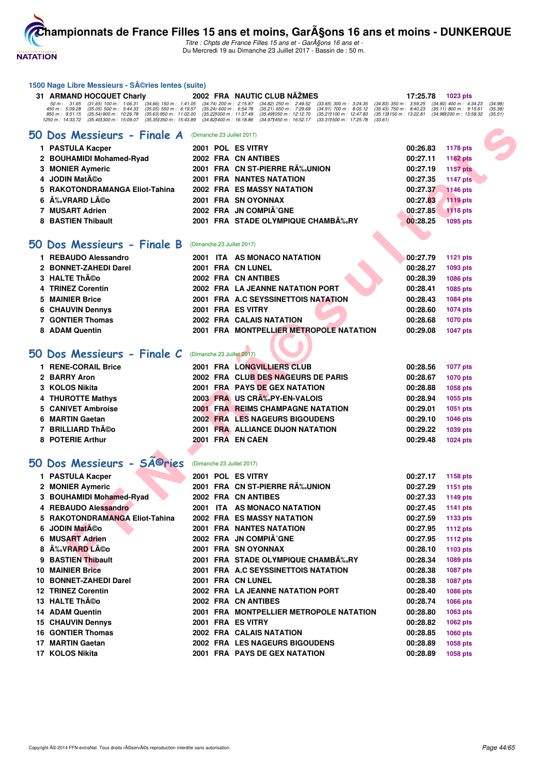

1500 Nage Libre Messieurs - Séries lentes (suite)

Titre : Chpts de France Filles 15 ans et - GarA§ons 16 ans et -Du Mercredi 19 au Dimanche 23 Juillet 2017 - Bassin de : 50 m.

| 31 ARMAND HOCQUET Charly                                                                                                     |                                                                                                                                                                                                                                                                                                                                                                                                                                                                                                                                                                                                                                                                                                                                                                                                                                                                                                                                                                                                                                                                                                                               |                                                                                                                 |                                                                                                                                                                                                                                | 17:25.78                                                                                                                                                                                                                                                                                                                                                                                                                                                                                                                                                                                                                                                                                                                                                                                                                                                                                                                                                                                                                                                                                                                                                                                                                                                                                                                                                                                                                                                              | 1023 pts                                                                                                                                                                                                                                                                             |
|------------------------------------------------------------------------------------------------------------------------------|-------------------------------------------------------------------------------------------------------------------------------------------------------------------------------------------------------------------------------------------------------------------------------------------------------------------------------------------------------------------------------------------------------------------------------------------------------------------------------------------------------------------------------------------------------------------------------------------------------------------------------------------------------------------------------------------------------------------------------------------------------------------------------------------------------------------------------------------------------------------------------------------------------------------------------------------------------------------------------------------------------------------------------------------------------------------------------------------------------------------------------|-----------------------------------------------------------------------------------------------------------------|--------------------------------------------------------------------------------------------------------------------------------------------------------------------------------------------------------------------------------|-----------------------------------------------------------------------------------------------------------------------------------------------------------------------------------------------------------------------------------------------------------------------------------------------------------------------------------------------------------------------------------------------------------------------------------------------------------------------------------------------------------------------------------------------------------------------------------------------------------------------------------------------------------------------------------------------------------------------------------------------------------------------------------------------------------------------------------------------------------------------------------------------------------------------------------------------------------------------------------------------------------------------------------------------------------------------------------------------------------------------------------------------------------------------------------------------------------------------------------------------------------------------------------------------------------------------------------------------------------------------------------------------------------------------------------------------------------------------|--------------------------------------------------------------------------------------------------------------------------------------------------------------------------------------------------------------------------------------------------------------------------------------|
| 50 m: 31.65<br>$(31.65)$ 100 m : 1:06.31<br>$(35.05)$ 500 m : 5:44.33<br>(35.54) 900 m : 10:26.78<br>(35.401300 m: 15:09.07) |                                                                                                                                                                                                                                                                                                                                                                                                                                                                                                                                                                                                                                                                                                                                                                                                                                                                                                                                                                                                                                                                                                                               |                                                                                                                 | $(34.82)$ 250 m : 2:49.52<br>$(33.65)$ 300 m : 3:24.35<br>$(35.21)$ 650 m : 7:29.69<br>$(34.91)$ 700 m : 8:05.12<br>(35.49) 050 m : 12:12.70<br>(35.21) 100 m : 12:47.83<br>(34.971450 m : 16:52.17<br>(33.311500 m: 17:25.78) | $(35.43)$ 750 m : 8:40.23<br>(35.13) 150 m : 13:22.81                                                                                                                                                                                                                                                                                                                                                                                                                                                                                                                                                                                                                                                                                                                                                                                                                                                                                                                                                                                                                                                                                                                                                                                                                                                                                                                                                                                                                 | (34.98)<br>$(35.11)$ 800 m : 9:15.61<br>(35.38)<br>(34.98) 200 m : 13:58.32<br>(35.51)                                                                                                                                                                                               |
|                                                                                                                              |                                                                                                                                                                                                                                                                                                                                                                                                                                                                                                                                                                                                                                                                                                                                                                                                                                                                                                                                                                                                                                                                                                                               |                                                                                                                 |                                                                                                                                                                                                                                |                                                                                                                                                                                                                                                                                                                                                                                                                                                                                                                                                                                                                                                                                                                                                                                                                                                                                                                                                                                                                                                                                                                                                                                                                                                                                                                                                                                                                                                                       |                                                                                                                                                                                                                                                                                      |
|                                                                                                                              |                                                                                                                                                                                                                                                                                                                                                                                                                                                                                                                                                                                                                                                                                                                                                                                                                                                                                                                                                                                                                                                                                                                               |                                                                                                                 |                                                                                                                                                                                                                                | 00:26.83                                                                                                                                                                                                                                                                                                                                                                                                                                                                                                                                                                                                                                                                                                                                                                                                                                                                                                                                                                                                                                                                                                                                                                                                                                                                                                                                                                                                                                                              | 1178 pts                                                                                                                                                                                                                                                                             |
|                                                                                                                              |                                                                                                                                                                                                                                                                                                                                                                                                                                                                                                                                                                                                                                                                                                                                                                                                                                                                                                                                                                                                                                                                                                                               |                                                                                                                 |                                                                                                                                                                                                                                | 00:27.11                                                                                                                                                                                                                                                                                                                                                                                                                                                                                                                                                                                                                                                                                                                                                                                                                                                                                                                                                                                                                                                                                                                                                                                                                                                                                                                                                                                                                                                              | <b>1162 pts</b>                                                                                                                                                                                                                                                                      |
|                                                                                                                              |                                                                                                                                                                                                                                                                                                                                                                                                                                                                                                                                                                                                                                                                                                                                                                                                                                                                                                                                                                                                                                                                                                                               |                                                                                                                 |                                                                                                                                                                                                                                | 00:27.19                                                                                                                                                                                                                                                                                                                                                                                                                                                                                                                                                                                                                                                                                                                                                                                                                                                                                                                                                                                                                                                                                                                                                                                                                                                                                                                                                                                                                                                              | <b>1157 pts</b>                                                                                                                                                                                                                                                                      |
|                                                                                                                              |                                                                                                                                                                                                                                                                                                                                                                                                                                                                                                                                                                                                                                                                                                                                                                                                                                                                                                                                                                                                                                                                                                                               |                                                                                                                 |                                                                                                                                                                                                                                | 00:27.35                                                                                                                                                                                                                                                                                                                                                                                                                                                                                                                                                                                                                                                                                                                                                                                                                                                                                                                                                                                                                                                                                                                                                                                                                                                                                                                                                                                                                                                              | <b>1147 pts</b>                                                                                                                                                                                                                                                                      |
|                                                                                                                              |                                                                                                                                                                                                                                                                                                                                                                                                                                                                                                                                                                                                                                                                                                                                                                                                                                                                                                                                                                                                                                                                                                                               |                                                                                                                 |                                                                                                                                                                                                                                | 00:27.37                                                                                                                                                                                                                                                                                                                                                                                                                                                                                                                                                                                                                                                                                                                                                                                                                                                                                                                                                                                                                                                                                                                                                                                                                                                                                                                                                                                                                                                              | <b>1146 pts</b>                                                                                                                                                                                                                                                                      |
|                                                                                                                              |                                                                                                                                                                                                                                                                                                                                                                                                                                                                                                                                                                                                                                                                                                                                                                                                                                                                                                                                                                                                                                                                                                                               |                                                                                                                 |                                                                                                                                                                                                                                | 00:27.83                                                                                                                                                                                                                                                                                                                                                                                                                                                                                                                                                                                                                                                                                                                                                                                                                                                                                                                                                                                                                                                                                                                                                                                                                                                                                                                                                                                                                                                              | <b>1119 pts</b>                                                                                                                                                                                                                                                                      |
|                                                                                                                              |                                                                                                                                                                                                                                                                                                                                                                                                                                                                                                                                                                                                                                                                                                                                                                                                                                                                                                                                                                                                                                                                                                                               |                                                                                                                 |                                                                                                                                                                                                                                | 00:27.85                                                                                                                                                                                                                                                                                                                                                                                                                                                                                                                                                                                                                                                                                                                                                                                                                                                                                                                                                                                                                                                                                                                                                                                                                                                                                                                                                                                                                                                              | <b>1118 pts</b>                                                                                                                                                                                                                                                                      |
|                                                                                                                              |                                                                                                                                                                                                                                                                                                                                                                                                                                                                                                                                                                                                                                                                                                                                                                                                                                                                                                                                                                                                                                                                                                                               |                                                                                                                 |                                                                                                                                                                                                                                | 00:28.25                                                                                                                                                                                                                                                                                                                                                                                                                                                                                                                                                                                                                                                                                                                                                                                                                                                                                                                                                                                                                                                                                                                                                                                                                                                                                                                                                                                                                                                              | 1095 pts                                                                                                                                                                                                                                                                             |
|                                                                                                                              |                                                                                                                                                                                                                                                                                                                                                                                                                                                                                                                                                                                                                                                                                                                                                                                                                                                                                                                                                                                                                                                                                                                               |                                                                                                                 |                                                                                                                                                                                                                                |                                                                                                                                                                                                                                                                                                                                                                                                                                                                                                                                                                                                                                                                                                                                                                                                                                                                                                                                                                                                                                                                                                                                                                                                                                                                                                                                                                                                                                                                       |                                                                                                                                                                                                                                                                                      |
|                                                                                                                              |                                                                                                                                                                                                                                                                                                                                                                                                                                                                                                                                                                                                                                                                                                                                                                                                                                                                                                                                                                                                                                                                                                                               |                                                                                                                 |                                                                                                                                                                                                                                |                                                                                                                                                                                                                                                                                                                                                                                                                                                                                                                                                                                                                                                                                                                                                                                                                                                                                                                                                                                                                                                                                                                                                                                                                                                                                                                                                                                                                                                                       | <b>1121 pts</b>                                                                                                                                                                                                                                                                      |
|                                                                                                                              |                                                                                                                                                                                                                                                                                                                                                                                                                                                                                                                                                                                                                                                                                                                                                                                                                                                                                                                                                                                                                                                                                                                               |                                                                                                                 |                                                                                                                                                                                                                                |                                                                                                                                                                                                                                                                                                                                                                                                                                                                                                                                                                                                                                                                                                                                                                                                                                                                                                                                                                                                                                                                                                                                                                                                                                                                                                                                                                                                                                                                       |                                                                                                                                                                                                                                                                                      |
|                                                                                                                              |                                                                                                                                                                                                                                                                                                                                                                                                                                                                                                                                                                                                                                                                                                                                                                                                                                                                                                                                                                                                                                                                                                                               |                                                                                                                 |                                                                                                                                                                                                                                |                                                                                                                                                                                                                                                                                                                                                                                                                                                                                                                                                                                                                                                                                                                                                                                                                                                                                                                                                                                                                                                                                                                                                                                                                                                                                                                                                                                                                                                                       | 1093 pts                                                                                                                                                                                                                                                                             |
|                                                                                                                              |                                                                                                                                                                                                                                                                                                                                                                                                                                                                                                                                                                                                                                                                                                                                                                                                                                                                                                                                                                                                                                                                                                                               |                                                                                                                 |                                                                                                                                                                                                                                |                                                                                                                                                                                                                                                                                                                                                                                                                                                                                                                                                                                                                                                                                                                                                                                                                                                                                                                                                                                                                                                                                                                                                                                                                                                                                                                                                                                                                                                                       | 1086 pts                                                                                                                                                                                                                                                                             |
|                                                                                                                              |                                                                                                                                                                                                                                                                                                                                                                                                                                                                                                                                                                                                                                                                                                                                                                                                                                                                                                                                                                                                                                                                                                                               |                                                                                                                 |                                                                                                                                                                                                                                |                                                                                                                                                                                                                                                                                                                                                                                                                                                                                                                                                                                                                                                                                                                                                                                                                                                                                                                                                                                                                                                                                                                                                                                                                                                                                                                                                                                                                                                                       | 1085 pts<br><b>1084 pts</b>                                                                                                                                                                                                                                                          |
|                                                                                                                              |                                                                                                                                                                                                                                                                                                                                                                                                                                                                                                                                                                                                                                                                                                                                                                                                                                                                                                                                                                                                                                                                                                                               |                                                                                                                 |                                                                                                                                                                                                                                |                                                                                                                                                                                                                                                                                                                                                                                                                                                                                                                                                                                                                                                                                                                                                                                                                                                                                                                                                                                                                                                                                                                                                                                                                                                                                                                                                                                                                                                                       |                                                                                                                                                                                                                                                                                      |
|                                                                                                                              |                                                                                                                                                                                                                                                                                                                                                                                                                                                                                                                                                                                                                                                                                                                                                                                                                                                                                                                                                                                                                                                                                                                               |                                                                                                                 |                                                                                                                                                                                                                                |                                                                                                                                                                                                                                                                                                                                                                                                                                                                                                                                                                                                                                                                                                                                                                                                                                                                                                                                                                                                                                                                                                                                                                                                                                                                                                                                                                                                                                                                       | <b>1074 pts</b>                                                                                                                                                                                                                                                                      |
|                                                                                                                              |                                                                                                                                                                                                                                                                                                                                                                                                                                                                                                                                                                                                                                                                                                                                                                                                                                                                                                                                                                                                                                                                                                                               |                                                                                                                 |                                                                                                                                                                                                                                |                                                                                                                                                                                                                                                                                                                                                                                                                                                                                                                                                                                                                                                                                                                                                                                                                                                                                                                                                                                                                                                                                                                                                                                                                                                                                                                                                                                                                                                                       | <b>1070 pts</b>                                                                                                                                                                                                                                                                      |
|                                                                                                                              |                                                                                                                                                                                                                                                                                                                                                                                                                                                                                                                                                                                                                                                                                                                                                                                                                                                                                                                                                                                                                                                                                                                               |                                                                                                                 |                                                                                                                                                                                                                                |                                                                                                                                                                                                                                                                                                                                                                                                                                                                                                                                                                                                                                                                                                                                                                                                                                                                                                                                                                                                                                                                                                                                                                                                                                                                                                                                                                                                                                                                       | <b>1047 pts</b>                                                                                                                                                                                                                                                                      |
|                                                                                                                              |                                                                                                                                                                                                                                                                                                                                                                                                                                                                                                                                                                                                                                                                                                                                                                                                                                                                                                                                                                                                                                                                                                                               |                                                                                                                 |                                                                                                                                                                                                                                |                                                                                                                                                                                                                                                                                                                                                                                                                                                                                                                                                                                                                                                                                                                                                                                                                                                                                                                                                                                                                                                                                                                                                                                                                                                                                                                                                                                                                                                                       |                                                                                                                                                                                                                                                                                      |
|                                                                                                                              |                                                                                                                                                                                                                                                                                                                                                                                                                                                                                                                                                                                                                                                                                                                                                                                                                                                                                                                                                                                                                                                                                                                               |                                                                                                                 |                                                                                                                                                                                                                                | 00:28.56                                                                                                                                                                                                                                                                                                                                                                                                                                                                                                                                                                                                                                                                                                                                                                                                                                                                                                                                                                                                                                                                                                                                                                                                                                                                                                                                                                                                                                                              | <b>1077 pts</b>                                                                                                                                                                                                                                                                      |
|                                                                                                                              |                                                                                                                                                                                                                                                                                                                                                                                                                                                                                                                                                                                                                                                                                                                                                                                                                                                                                                                                                                                                                                                                                                                               |                                                                                                                 |                                                                                                                                                                                                                                | 00:28.67                                                                                                                                                                                                                                                                                                                                                                                                                                                                                                                                                                                                                                                                                                                                                                                                                                                                                                                                                                                                                                                                                                                                                                                                                                                                                                                                                                                                                                                              | <b>1070 pts</b>                                                                                                                                                                                                                                                                      |
|                                                                                                                              |                                                                                                                                                                                                                                                                                                                                                                                                                                                                                                                                                                                                                                                                                                                                                                                                                                                                                                                                                                                                                                                                                                                               |                                                                                                                 |                                                                                                                                                                                                                                | 00:28.88                                                                                                                                                                                                                                                                                                                                                                                                                                                                                                                                                                                                                                                                                                                                                                                                                                                                                                                                                                                                                                                                                                                                                                                                                                                                                                                                                                                                                                                              | 1058 pts                                                                                                                                                                                                                                                                             |
|                                                                                                                              |                                                                                                                                                                                                                                                                                                                                                                                                                                                                                                                                                                                                                                                                                                                                                                                                                                                                                                                                                                                                                                                                                                                               |                                                                                                                 |                                                                                                                                                                                                                                | 00:28.94                                                                                                                                                                                                                                                                                                                                                                                                                                                                                                                                                                                                                                                                                                                                                                                                                                                                                                                                                                                                                                                                                                                                                                                                                                                                                                                                                                                                                                                              | 1055 pts                                                                                                                                                                                                                                                                             |
|                                                                                                                              |                                                                                                                                                                                                                                                                                                                                                                                                                                                                                                                                                                                                                                                                                                                                                                                                                                                                                                                                                                                                                                                                                                                               |                                                                                                                 |                                                                                                                                                                                                                                | 00:29.01                                                                                                                                                                                                                                                                                                                                                                                                                                                                                                                                                                                                                                                                                                                                                                                                                                                                                                                                                                                                                                                                                                                                                                                                                                                                                                                                                                                                                                                              | 1051 pts                                                                                                                                                                                                                                                                             |
|                                                                                                                              |                                                                                                                                                                                                                                                                                                                                                                                                                                                                                                                                                                                                                                                                                                                                                                                                                                                                                                                                                                                                                                                                                                                               |                                                                                                                 |                                                                                                                                                                                                                                | 00:29.10                                                                                                                                                                                                                                                                                                                                                                                                                                                                                                                                                                                                                                                                                                                                                                                                                                                                                                                                                                                                                                                                                                                                                                                                                                                                                                                                                                                                                                                              | <b>1046 pts</b>                                                                                                                                                                                                                                                                      |
|                                                                                                                              |                                                                                                                                                                                                                                                                                                                                                                                                                                                                                                                                                                                                                                                                                                                                                                                                                                                                                                                                                                                                                                                                                                                               |                                                                                                                 |                                                                                                                                                                                                                                | 00:29.22                                                                                                                                                                                                                                                                                                                                                                                                                                                                                                                                                                                                                                                                                                                                                                                                                                                                                                                                                                                                                                                                                                                                                                                                                                                                                                                                                                                                                                                              | 1039 pts                                                                                                                                                                                                                                                                             |
|                                                                                                                              |                                                                                                                                                                                                                                                                                                                                                                                                                                                                                                                                                                                                                                                                                                                                                                                                                                                                                                                                                                                                                                                                                                                               |                                                                                                                 |                                                                                                                                                                                                                                | 00:29.48                                                                                                                                                                                                                                                                                                                                                                                                                                                                                                                                                                                                                                                                                                                                                                                                                                                                                                                                                                                                                                                                                                                                                                                                                                                                                                                                                                                                                                                              | <b>1024 pts</b>                                                                                                                                                                                                                                                                      |
|                                                                                                                              |                                                                                                                                                                                                                                                                                                                                                                                                                                                                                                                                                                                                                                                                                                                                                                                                                                                                                                                                                                                                                                                                                                                               |                                                                                                                 |                                                                                                                                                                                                                                |                                                                                                                                                                                                                                                                                                                                                                                                                                                                                                                                                                                                                                                                                                                                                                                                                                                                                                                                                                                                                                                                                                                                                                                                                                                                                                                                                                                                                                                                       |                                                                                                                                                                                                                                                                                      |
| <b>SA</b> ©ries                                                                                                              |                                                                                                                                                                                                                                                                                                                                                                                                                                                                                                                                                                                                                                                                                                                                                                                                                                                                                                                                                                                                                                                                                                                               |                                                                                                                 |                                                                                                                                                                                                                                |                                                                                                                                                                                                                                                                                                                                                                                                                                                                                                                                                                                                                                                                                                                                                                                                                                                                                                                                                                                                                                                                                                                                                                                                                                                                                                                                                                                                                                                                       |                                                                                                                                                                                                                                                                                      |
|                                                                                                                              |                                                                                                                                                                                                                                                                                                                                                                                                                                                                                                                                                                                                                                                                                                                                                                                                                                                                                                                                                                                                                                                                                                                               |                                                                                                                 |                                                                                                                                                                                                                                | 00:27.17                                                                                                                                                                                                                                                                                                                                                                                                                                                                                                                                                                                                                                                                                                                                                                                                                                                                                                                                                                                                                                                                                                                                                                                                                                                                                                                                                                                                                                                              | 1158 pts                                                                                                                                                                                                                                                                             |
|                                                                                                                              |                                                                                                                                                                                                                                                                                                                                                                                                                                                                                                                                                                                                                                                                                                                                                                                                                                                                                                                                                                                                                                                                                                                               |                                                                                                                 |                                                                                                                                                                                                                                | 00:27.29                                                                                                                                                                                                                                                                                                                                                                                                                                                                                                                                                                                                                                                                                                                                                                                                                                                                                                                                                                                                                                                                                                                                                                                                                                                                                                                                                                                                                                                              | <b>1151 pts</b>                                                                                                                                                                                                                                                                      |
|                                                                                                                              |                                                                                                                                                                                                                                                                                                                                                                                                                                                                                                                                                                                                                                                                                                                                                                                                                                                                                                                                                                                                                                                                                                                               |                                                                                                                 |                                                                                                                                                                                                                                | 00:27.33                                                                                                                                                                                                                                                                                                                                                                                                                                                                                                                                                                                                                                                                                                                                                                                                                                                                                                                                                                                                                                                                                                                                                                                                                                                                                                                                                                                                                                                              | 1149 pts                                                                                                                                                                                                                                                                             |
|                                                                                                                              |                                                                                                                                                                                                                                                                                                                                                                                                                                                                                                                                                                                                                                                                                                                                                                                                                                                                                                                                                                                                                                                                                                                               |                                                                                                                 |                                                                                                                                                                                                                                | 00:27.45                                                                                                                                                                                                                                                                                                                                                                                                                                                                                                                                                                                                                                                                                                                                                                                                                                                                                                                                                                                                                                                                                                                                                                                                                                                                                                                                                                                                                                                              | 1141 pts                                                                                                                                                                                                                                                                             |
|                                                                                                                              |                                                                                                                                                                                                                                                                                                                                                                                                                                                                                                                                                                                                                                                                                                                                                                                                                                                                                                                                                                                                                                                                                                                               |                                                                                                                 |                                                                                                                                                                                                                                | 00:27.59                                                                                                                                                                                                                                                                                                                                                                                                                                                                                                                                                                                                                                                                                                                                                                                                                                                                                                                                                                                                                                                                                                                                                                                                                                                                                                                                                                                                                                                              | 1133 pts                                                                                                                                                                                                                                                                             |
|                                                                                                                              |                                                                                                                                                                                                                                                                                                                                                                                                                                                                                                                                                                                                                                                                                                                                                                                                                                                                                                                                                                                                                                                                                                                               |                                                                                                                 |                                                                                                                                                                                                                                | 00:27.95                                                                                                                                                                                                                                                                                                                                                                                                                                                                                                                                                                                                                                                                                                                                                                                                                                                                                                                                                                                                                                                                                                                                                                                                                                                                                                                                                                                                                                                              | <b>1112 pts</b>                                                                                                                                                                                                                                                                      |
|                                                                                                                              |                                                                                                                                                                                                                                                                                                                                                                                                                                                                                                                                                                                                                                                                                                                                                                                                                                                                                                                                                                                                                                                                                                                               |                                                                                                                 |                                                                                                                                                                                                                                | 00:27.95                                                                                                                                                                                                                                                                                                                                                                                                                                                                                                                                                                                                                                                                                                                                                                                                                                                                                                                                                                                                                                                                                                                                                                                                                                                                                                                                                                                                                                                              | <b>1112 pts</b>                                                                                                                                                                                                                                                                      |
|                                                                                                                              |                                                                                                                                                                                                                                                                                                                                                                                                                                                                                                                                                                                                                                                                                                                                                                                                                                                                                                                                                                                                                                                                                                                               |                                                                                                                 |                                                                                                                                                                                                                                | 00:28.10                                                                                                                                                                                                                                                                                                                                                                                                                                                                                                                                                                                                                                                                                                                                                                                                                                                                                                                                                                                                                                                                                                                                                                                                                                                                                                                                                                                                                                                              | 1103 pts                                                                                                                                                                                                                                                                             |
|                                                                                                                              |                                                                                                                                                                                                                                                                                                                                                                                                                                                                                                                                                                                                                                                                                                                                                                                                                                                                                                                                                                                                                                                                                                                               |                                                                                                                 |                                                                                                                                                                                                                                | 00:28.34                                                                                                                                                                                                                                                                                                                                                                                                                                                                                                                                                                                                                                                                                                                                                                                                                                                                                                                                                                                                                                                                                                                                                                                                                                                                                                                                                                                                                                                              | 1089 pts                                                                                                                                                                                                                                                                             |
|                                                                                                                              |                                                                                                                                                                                                                                                                                                                                                                                                                                                                                                                                                                                                                                                                                                                                                                                                                                                                                                                                                                                                                                                                                                                               |                                                                                                                 |                                                                                                                                                                                                                                | 00:28.38                                                                                                                                                                                                                                                                                                                                                                                                                                                                                                                                                                                                                                                                                                                                                                                                                                                                                                                                                                                                                                                                                                                                                                                                                                                                                                                                                                                                                                                              | <b>1087 pts</b>                                                                                                                                                                                                                                                                      |
|                                                                                                                              |                                                                                                                                                                                                                                                                                                                                                                                                                                                                                                                                                                                                                                                                                                                                                                                                                                                                                                                                                                                                                                                                                                                               |                                                                                                                 |                                                                                                                                                                                                                                | 00:28.38                                                                                                                                                                                                                                                                                                                                                                                                                                                                                                                                                                                                                                                                                                                                                                                                                                                                                                                                                                                                                                                                                                                                                                                                                                                                                                                                                                                                                                                              | <b>1087 pts</b>                                                                                                                                                                                                                                                                      |
|                                                                                                                              |                                                                                                                                                                                                                                                                                                                                                                                                                                                                                                                                                                                                                                                                                                                                                                                                                                                                                                                                                                                                                                                                                                                               |                                                                                                                 |                                                                                                                                                                                                                                | 00:28.40                                                                                                                                                                                                                                                                                                                                                                                                                                                                                                                                                                                                                                                                                                                                                                                                                                                                                                                                                                                                                                                                                                                                                                                                                                                                                                                                                                                                                                                              | <b>1086 pts</b>                                                                                                                                                                                                                                                                      |
|                                                                                                                              |                                                                                                                                                                                                                                                                                                                                                                                                                                                                                                                                                                                                                                                                                                                                                                                                                                                                                                                                                                                                                                                                                                                               |                                                                                                                 |                                                                                                                                                                                                                                | 00:28.74                                                                                                                                                                                                                                                                                                                                                                                                                                                                                                                                                                                                                                                                                                                                                                                                                                                                                                                                                                                                                                                                                                                                                                                                                                                                                                                                                                                                                                                              | <b>1066 pts</b>                                                                                                                                                                                                                                                                      |
|                                                                                                                              |                                                                                                                                                                                                                                                                                                                                                                                                                                                                                                                                                                                                                                                                                                                                                                                                                                                                                                                                                                                                                                                                                                                               |                                                                                                                 |                                                                                                                                                                                                                                |                                                                                                                                                                                                                                                                                                                                                                                                                                                                                                                                                                                                                                                                                                                                                                                                                                                                                                                                                                                                                                                                                                                                                                                                                                                                                                                                                                                                                                                                       | 1063 pts                                                                                                                                                                                                                                                                             |
|                                                                                                                              |                                                                                                                                                                                                                                                                                                                                                                                                                                                                                                                                                                                                                                                                                                                                                                                                                                                                                                                                                                                                                                                                                                                               |                                                                                                                 |                                                                                                                                                                                                                                |                                                                                                                                                                                                                                                                                                                                                                                                                                                                                                                                                                                                                                                                                                                                                                                                                                                                                                                                                                                                                                                                                                                                                                                                                                                                                                                                                                                                                                                                       | <b>1062 pts</b>                                                                                                                                                                                                                                                                      |
|                                                                                                                              |                                                                                                                                                                                                                                                                                                                                                                                                                                                                                                                                                                                                                                                                                                                                                                                                                                                                                                                                                                                                                                                                                                                               |                                                                                                                 |                                                                                                                                                                                                                                |                                                                                                                                                                                                                                                                                                                                                                                                                                                                                                                                                                                                                                                                                                                                                                                                                                                                                                                                                                                                                                                                                                                                                                                                                                                                                                                                                                                                                                                                       | <b>1060 pts</b>                                                                                                                                                                                                                                                                      |
|                                                                                                                              |                                                                                                                                                                                                                                                                                                                                                                                                                                                                                                                                                                                                                                                                                                                                                                                                                                                                                                                                                                                                                                                                                                                               |                                                                                                                 |                                                                                                                                                                                                                                |                                                                                                                                                                                                                                                                                                                                                                                                                                                                                                                                                                                                                                                                                                                                                                                                                                                                                                                                                                                                                                                                                                                                                                                                                                                                                                                                                                                                                                                                       |                                                                                                                                                                                                                                                                                      |
| 17 MARTIN Gaetan                                                                                                             |                                                                                                                                                                                                                                                                                                                                                                                                                                                                                                                                                                                                                                                                                                                                                                                                                                                                                                                                                                                                                                                                                                                               |                                                                                                                 | 2002 FRA LES NAGEURS BIGOUDENS                                                                                                                                                                                                 | 00:28.89                                                                                                                                                                                                                                                                                                                                                                                                                                                                                                                                                                                                                                                                                                                                                                                                                                                                                                                                                                                                                                                                                                                                                                                                                                                                                                                                                                                                                                                              | 1058 pts                                                                                                                                                                                                                                                                             |
|                                                                                                                              | 450 m : 5:09.28<br>850 m : 9:51.15<br>1250 m: 14:33.72<br>50 Dos Messieurs - Finale A<br>1 PASTULA Kacper<br>2 BOUHAMIDI Mohamed-Ryad<br><b>MONIER Aymeric</b><br><b>JODIN Matéo</b><br>RAKOTONDRAMANGA Eliot-Tahina<br>ÉVRARD Léo<br>7 MUSART Adrien<br>8 BASTIEN Thibault<br>50 Dos Messieurs - Finale B<br>1 REBAUDO Alessandro<br>2 BONNET-ZAHEDI Darel<br>3 HALTE Théo<br><b>TRINEZ Corentin</b><br><b>MAINIER Brice</b><br><b>CHAUVIN Dennys</b><br>7 GONTIER Thomas<br>8 ADAM Quentin<br>50 Dos Messieurs - Finale C<br>1 RENE-CORAIL Brice<br>2 BARRY Aron<br><b>KOLOS Nikita</b><br>4 THUROTTE Mathys<br><b>CANIVET Ambroise</b><br><b>MARTIN Gaetan</b><br><b>BRILLIARD Théo</b><br>8 POTERIE Arthur<br>Dos Messieurs -<br><b>PASTULA Kacper</b><br>2 MONIER Aymeric<br>3 BOUHAMIDI Mohamed-Ryad<br>4 REBAUDO Alessandro<br>5 RAKOTONDRAMANGA Eliot-Tahina<br>6 JODIN Matéo<br>6 MUSART Adrien<br>8 A‰VRARD Léo<br>9 BASTIEN Thibault<br><b>10 MAINIER Brice</b><br>10 BONNET-ZAHEDI Darel<br><b>12 TRINEZ Corentin</b><br>13 HALTE Th©o<br><b>14 ADAM Quentin</b><br><b>15 CHAUVIN Dennys</b><br>16 GONTIER Thomas | $(34.66)$ 150 m : 1:41.05<br>$(35.05)$ 550 m : 6:19.57<br>$(35.63)$ 950 m : 11:02.00<br>(35.351350 m : 15:43.89 |                                                                                                                                                                                                                                | 2002 FRA NAUTIC CLUB NAZMES<br>$(34.74)$ 200 m : 2:15.87<br>$(35.24)$ 600 m : 6:54.78<br>(35.22) 000 m: 11:37.49<br>$(34.82)400 \text{ m}$ : 16:18.86<br>(Dimanche 23 Juillet 2017)<br>2001 POL ES VITRY<br>2002 FRA CN ANTIBES<br>2001 FRA CN ST-PIERRE RA‰UNION<br><b>2001 FRA NANTES NATATION</b><br>2002 FRA ES MASSY NATATION<br>2001 FRA SN OYONNAX<br>2002 FRA JN COMPIÃ^GNE<br>2001 FRA STADE OLYMPIQUE CHAMB‰RY<br>(Dimanche 23 Juillet 2017)<br>2001 ITA AS MONACO NATATION<br>2001 FRA CN LUNEL<br>2002 FRA CN ANTIBES<br>2002 FRA LA JEANNE NATATION PORT<br>2001 FRA A.C SEYSSINETTOIS NATATION<br>2001 FRA ES VITRY<br>2002 FRA CALAIS NATATION<br>(Dimanche 23 Juillet 2017)<br><b>2001 FRA LONGVILLIERS CLUB</b><br>2002 FRA CLUB DES NAGEURS DE PARIS<br><b>2001 FRA PAYS DE GEX NATATION</b><br>2003 FRA US CRA%PY-EN-VALOIS<br><b>2001 FRA REIMS CHAMPAGNE NATATION</b><br><b>2002 FRA LES NAGEURS BIGOUDENS</b><br>2001 FRA ALLIANCE DIJON NATATION<br>2001 FRA EN CAEN<br>(Dimanche 23 Juillet 2017)<br>2001 POL ES VITRY<br>2001 FRA CN ST-PIERRE RÉUNION<br>2002 FRA CN ANTIBES<br>2001 ITA AS MONACO NATATION<br>2002 FRA ES MASSY NATATION<br><b>2001 FRA NANTES NATATION</b><br>2002 FRA JN COMPIÃ^GNE<br>2001 FRA SN OYONNAX<br>2001 FRA STADE OLYMPIQUE CHAMBA‰RY<br>2001 FRA A.C SEYSSINETTOIS NATATION<br>2001 FRA CN LUNEL<br>2002 FRA LA JEANNE NATATION PORT<br>2002 FRA CN ANTIBES<br>2001 FRA ES VITRY<br>2002 FRA CALAIS NATATION | (34.83) 350 m : 3:59.25 (34.90) 400 m : 4:34.23<br>(33.61)<br>00:27.79<br>00:28.27<br>00:28.39<br>00:28.41<br>00:28.43<br>00:28.60<br>00:28.68<br>2001 FRA MONTPELLIER METROPOLE NATATION<br>00:29.08<br>2001 FRA MONTPELLIER METROPOLE NATATION<br>00:28.80<br>00:28.82<br>00:28.85 |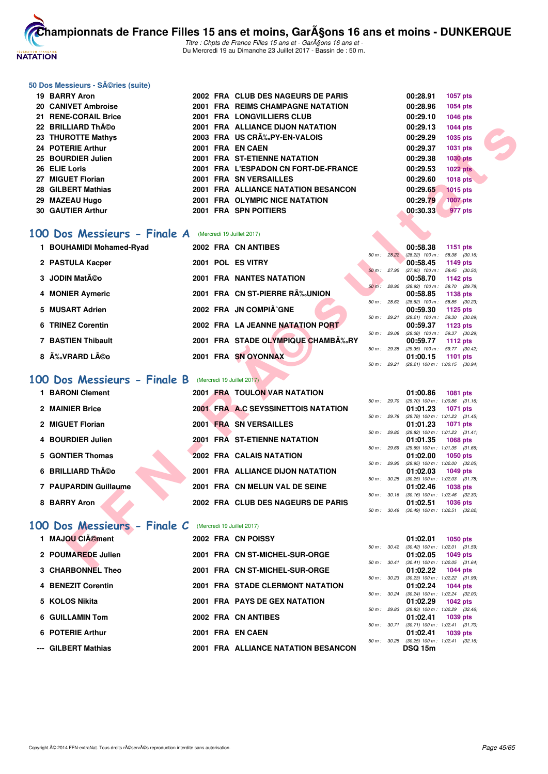

Titre : Chpts de France Filles 15 ans et - Garçons 16 ans et -Du Mercredi 19 au Dimanche 23 Juillet 2017 - Bassin de : 50 m.

#### **50 Dos Messieurs - Séries (suite)**

| 19 BARRY Aron            |  | 2002 FRA CLUB DES NAGEURS DE PARIS       | 00:28.91 | 1057 pts        |
|--------------------------|--|------------------------------------------|----------|-----------------|
| 20 CANIVET Ambroise      |  | <b>2001 FRA REIMS CHAMPAGNE NATATION</b> | 00:28.96 | 1054 pts        |
| 21 RENE-CORAIL Brice     |  | 2001 FRA LONGVILLIERS CLUB               | 00:29.10 | 1046 pts        |
| 22 BRILLIARD Théo        |  | 2001 FRA ALLIANCE DIJON NATATION         | 00:29.13 | 1044 pts        |
| 23 THUROTTE Mathys       |  | 2003 FRA US CRA‰PY-EN-VALOIS             | 00:29.29 | 1035 pts        |
| 24 POTERIE Arthur        |  | 2001 FRA EN CAEN                         | 00:29.37 | 1031 pts        |
| 25 BOURDIER Julien       |  | 2001 FRA ST-ETIENNE NATATION             | 00:29.38 | 1030 pts        |
| 26 ELIE Loris            |  | 2001 FRA L'ESPADON CN FORT-DE-FRANCE     | 00:29.53 | <b>1022 pts</b> |
| 27 MIGUET Florian        |  | 2001 FRA SN VERSAILLES                   | 00:29.60 | <b>1018 pts</b> |
| 28 GILBERT Mathias       |  | 2001 FRA ALLIANCE NATATION BESANCON      | 00:29.65 | <b>1015 pts</b> |
| 29 MAZEAU Hugo           |  | 2001 FRA OLYMPIC NICE NATATION           | 00:29.79 | 1007 pts        |
| <b>30 GAUTIER Arthur</b> |  | 2001 FRA SPN POITIERS                    | 00:30.33 | 977 pts         |

#### **[100 Dos Messieurs - Finale A](http://www.ffnatation.fr/webffn/resultats.php?idact=nat&go=epr&idcpt=47485&idepr=62)** (Mercredi 19 Juillet 2017)

| 1 BOUHAMIDI Mohamed-Ryad  |                   | 2002 FRA CN ANTIBES               |             |       | 00:58.38                                      | 1151 pts   |  |
|---------------------------|-------------------|-----------------------------------|-------------|-------|-----------------------------------------------|------------|--|
|                           |                   |                                   | 50 m :      | 28.22 | $(28.22)$ 100 m :                             | 58.38 (30. |  |
| 2 PASTULA Kacper          | 2001 POL ES VITRY |                                   |             |       | 00:58.45                                      | 1149 pts   |  |
|                           |                   |                                   | $50 m$ :    | 27.95 | $(27.95)$ 100 m :                             | 58.45 (30. |  |
| 3 JODIN Matéo             |                   | <b>2001 FRA NANTES NATATION</b>   |             |       | 00:58.70                                      | 1142 pts   |  |
|                           |                   |                                   | $50 m$ :    | 28.92 | $(28.92)$ 100 m :                             | 58.70 (29. |  |
| 4 MONIER Aymeric          |                   | 2001 FRA CN ST-PIERRE RÉUNION     |             |       | 00:58.85                                      | 1138 pts   |  |
|                           |                   |                                   | 50 m :      | 28.62 | $(28.62)$ 100 m :                             | 58.85 (30. |  |
| 5 MUSART Adrien           |                   | 2002 FRA JN COMPIÃ^GNE            |             |       | 00:59.30                                      | 1125 pts   |  |
|                           |                   |                                   | 50 m: 29.21 |       | $(29.21)$ 100 m :                             | 59.30 (30. |  |
| 6 TRINEZ Corentin         |                   | 2002 FRA LA JEANNE NATATION PORT  |             |       | 00:59.37                                      | 1123 pts   |  |
|                           |                   |                                   | 50 m: 29.08 |       | $(29.08)$ 100 m :                             | 59.37 (30. |  |
| <b>7 BASTIEN Thibault</b> |                   | 2001 FRA STADE OLYMPIQUE CHAMBÉRY |             |       | 00:59.77                                      | 1112 pts   |  |
|                           |                   |                                   | 50 m :      | 29.35 | $(29.35)$ 100 m :                             | 59.77 (30. |  |
| 8 A‰VRARD Léo             |                   | 2001 FRA SN OYONNAX               |             |       | 01:00.15<br>$F0 - 0001$ (00.01) 100 $- 1.001$ | 1101 pts   |  |
|                           |                   |                                   |             |       |                                               |            |  |

#### **[100 Dos Messieurs - Finale B](http://www.ffnatation.fr/webffn/resultats.php?idact=nat&go=epr&idcpt=47485&idepr=62)** (Mercredi 19 Juillet 2017)

| 22 BRILLIARD ThA©o                                            |  | 2001 FRA ALLIANCE DIJON NATATION     |                | 00:29.13<br>1044 pts                                                      |  |
|---------------------------------------------------------------|--|--------------------------------------|----------------|---------------------------------------------------------------------------|--|
| 23 THUROTTE Mathys                                            |  | 2003 FRA US CRA%PY-EN-VALOIS         |                | 00:29.29<br>1035 pts                                                      |  |
| 24 POTERIE Arthur                                             |  | 2001 FRA EN CAEN                     |                | 00:29.37<br>1031 pts                                                      |  |
| 25 BOURDIER Julien                                            |  | 2001 FRA ST-ETIENNE NATATION         |                | 1030 pts<br>00:29.38                                                      |  |
| 26 ELIE Loris                                                 |  | 2001 FRA L'ESPADON CN FORT-DE-FRANCE |                | 00:29.53<br><b>1022 pts</b>                                               |  |
| 27 MIGUET Florian                                             |  | 2001 FRA SN VERSAILLES               |                | 00:29.60<br>1018 pts                                                      |  |
| 28 GILBERT Mathias                                            |  | 2001 FRA ALLIANCE NATATION BESANCON  |                | 00:29.65<br><b>1015 pts</b>                                               |  |
| 29 MAZEAU Hugo                                                |  | 2001 FRA OLYMPIC NICE NATATION       |                | 00:29.79<br>1007 pts                                                      |  |
| 30 GAUTIER Arthur                                             |  | 2001 FRA SPN POITIERS                |                | 00:30.33<br>977 pts                                                       |  |
|                                                               |  |                                      |                |                                                                           |  |
| OO Dos Messieurs - Finale A (Mercredi 19 Juillet 2017)        |  |                                      |                |                                                                           |  |
| 1 BOUHAMIDI Mohamed-Ryad                                      |  | 2002 FRA CN ANTIBES                  |                | 00:58.38<br><b>1151 pts</b>                                               |  |
| 2 PASTULA Kacper                                              |  | 2001 POL ES VITRY                    |                | 50 m : 28.22 (28.22) 100 m : 58.38 (30.16)<br>00:58.45<br>1149 pts        |  |
|                                                               |  |                                      | 50 m: 27.95    | $(27.95)$ 100 m : 58.45 $(30.50)$                                         |  |
| 3 JODIN Matéo                                                 |  | <b>2001 FRA NANTES NATATION</b>      |                | 00:58.70<br>1142 pts                                                      |  |
| 4 MONIER Aymeric                                              |  | 2001 FRA CN ST-PIERRE R‰UNION        |                | 50 m: 28.92 (28.92) 100 m: 58.70 (29.78)<br>00:58.85                      |  |
|                                                               |  |                                      | 50 m: 28.62    | 1138 pts<br>$(28.62)$ 100 m : 58.85 $(30.23)$                             |  |
| 5 MUSART Adrien                                               |  | 2002 FRA JN COMPIÃ^GNE               |                | 00:59.30<br>1125 pts                                                      |  |
| 6 TRINEZ Corentin                                             |  | 2002 FRA LA JEANNE NATATION PORT     | 50 m : 29.21   | $(29.21)$ 100 m : 59.30 $(30.09)$                                         |  |
|                                                               |  |                                      | 50 m : 29.08   | 00:59.37<br>1123 pts<br>(29.08) 100 m: 59.37 (30.29)                      |  |
| <b>7 BASTIEN Thibault</b>                                     |  | 2001 FRA STADE OLYMPIQUE CHAMBA‰RY   |                | 00:59.77<br>1112 $pts$                                                    |  |
| 8 A‰VRARD Léo                                                 |  |                                      | $50 m$ : 29.35 | (29.35) 100 m : 59.77 (30.42)                                             |  |
|                                                               |  | 2001 FRA SN OYONNAX                  |                | 01:00.15<br><b>1101 pts</b><br>50 m: 29.21 (29.21) 100 m: 1:00.15 (30.94) |  |
|                                                               |  |                                      |                |                                                                           |  |
| <b>00 Dos Messieurs - Finale B</b> (Mercredi 19 Juillet 2017) |  |                                      |                |                                                                           |  |
| 1 BARONI Clement                                              |  | 2001 FRA TOULON VAR NATATION         |                | 01:00.86<br><b>1081 pts</b>                                               |  |
|                                                               |  |                                      |                | 50 m : 29.70 (29.70) 100 m : 1:00.86 (31.16)                              |  |
| 2 MAINIER Brice                                               |  | 2001 FRA A.C SEYSSINETTOIS NATATION  | 50 m : 29.78   | 01:01.23<br><b>1071 pts</b><br>(29.78) 100 m : 1:01.23 (31.45)            |  |
| 2 MIGUET Florian                                              |  | 2001 FRA SN VERSAILLES               |                | 01:01.23<br><b>1071 pts</b>                                               |  |
|                                                               |  |                                      | 50 m: 29.82    | (29.82) 100 m: 1:01.23 (31.41)                                            |  |
| 4 BOURDIER Julien                                             |  | 2001 FRA ST-ETIENNE NATATION         | 50 m : 29.69   | 01:01.35<br><b>1068 pts</b><br>$(29.69)$ 100 m : 1:01.35 $(31.66)$        |  |
| 5 GONTIER Thomas                                              |  | 2002 FRA CALAIS NATATION             |                | 01:02.00<br>1050 pts                                                      |  |
|                                                               |  |                                      | 50 m : 29.95   | $(29.95)$ 100 m : 1:02.00 $(32.05)$                                       |  |
| 6 BRILLIARD Th©o                                              |  | 2001 FRA ALLIANCE DIJON NATATION     | 50 m : 30.25   | 01:02.03<br><b>1049 pts</b><br>$(30.25)$ 100 m : 1:02.03 $(31.78)$        |  |
| <b>7 PAUPARDIN Guillaume</b>                                  |  | 2001 FRA CN MELUN VAL DE SEINE       |                | 01:02.46<br>1038 pts                                                      |  |
|                                                               |  |                                      |                | 50 m : 30.16 (30.16) 100 m : 1:02.46 (32.30)                              |  |
| 8 BARRY Aron                                                  |  | 2002 FRA CLUB DES NAGEURS DE PARIS   | 50 m : 30.49   | 01:02.51<br><b>1036 pts</b><br>$(30.49)$ 100 m : 1:02.51 $(32.02)$        |  |
| OO Dos Messieurs - Finale C (Mercredi 19 Juillet 2017)        |  |                                      |                |                                                                           |  |
|                                                               |  |                                      |                |                                                                           |  |
| 1 MAJOU CIément                                               |  | 2002 FRA CN POISSY                   |                | 01:02.01<br><b>1050 pts</b>                                               |  |
| 2 POUMAREDE Julien                                            |  | 2001 FRA CN ST-MICHEL-SUR-ORGE       |                | 50 m: 30.42 (30.42) 100 m: 1:02.01 (31.59)<br>01:02.05<br>1049 pts        |  |
|                                                               |  |                                      |                | 50 m: 30.41 (30.41) 100 m: 1:02.05 (31.64)                                |  |
| <b>COURDDOMNEL TESS</b>                                       |  | 0004 FBA ON CT MIQUEL CUB OBOE       |                | $0.4.0000$ $0.4044$                                                       |  |

# **[100 Dos Messieurs - Finale C](http://www.ffnatation.fr/webffn/resultats.php?idact=nat&go=epr&idcpt=47485&idepr=62)** (Mercredi 19 Juillet 2017)

| 1 MAJOU CIément     |  | 2002 FRA CN POISSY                  |        |                          | 01:02.01                                         | 1050 pts |  |
|---------------------|--|-------------------------------------|--------|--------------------------|--------------------------------------------------|----------|--|
| 2 POUMAREDE Julien  |  | 2001 FRA CN ST-MICHEL-SUR-ORGE      |        | $50 \text{ m}$ : $30.42$ | $(30.42)$ 100 m : 1:02.01 $(31.$<br>01:02.05     | 1049 pts |  |
| 3 CHARBONNEL Theo   |  | 2001 FRA CN ST-MICHEL-SUR-ORGE      |        | 50 m: 30.41              | $(30.41)$ 100 m : 1:02.05 (31.<br>01:02.22       | 1044 pts |  |
| 4 BENEZIT Corentin  |  | 2001 FRA STADE CLERMONT NATATION    | 50 m : | 30.23                    | $(30.23)$ 100 m : 1:02.22 $(31.$<br>01:02.24     | 1044 pts |  |
| 5 KOLOS Nikita      |  | 2001 FRA PAYS DE GEX NATATION       |        | $50 \text{ m}$ : $30.24$ | $(30.24)$ 100 m : 1:02.24 $(32.$<br>01:02.29     | 1042 pts |  |
| 6 GUILLAMIN Tom     |  | 2002 FRA CN ANTIBES                 |        | 50 m : 29.83             | (29.83) 100 m : 1:02.29 (32.<br>01:02.41         | 1039 pts |  |
| 6 POTERIE Arthur    |  | 2001 FRA EN CAEN                    |        | 50 m: 30.71              | $(30.71)$ 100 m : 1:02.41 $(31.$<br>01:02.41     | 1039 pts |  |
| --- GILBERT Mathias |  | 2001 FRA ALLIANCE NATATION BESANCON | 50 m : | 30.25                    | $(30.25)$ 100 m : 1:02.41 (32.<br><b>DSQ 15m</b> |          |  |
|                     |  |                                     |        |                          |                                                  |          |  |

|                        |       | 00:58.38          | <b>1151 pts</b>     |
|------------------------|-------|-------------------|---------------------|
| 50 m: 28.22            |       | $(28.22)$ 100 m : | 58.38 (30.16)       |
|                        |       | 00:58.45          | 1149 pts            |
| $50 m$ : 27.95         |       | $(27.95)$ 100 m : | 58.45 (30.50)       |
|                        |       | 00:58.70          | <b>1142 pts</b>     |
| $50 \text{ m}$ : 28.92 |       | $(28.92)$ 100 m : | 58.70 (29.78)       |
|                        |       | 00:58.85          | <b>1138 pts</b>     |
| 50 m: 28.62            |       | $(28.62)$ 100 m : | 58.85 (30.23)       |
|                        |       | 00:59.30          | 1125 pts            |
| $50 m$ : 29.21         |       | $(29.21)$ 100 m : | 59.30 (30.09)       |
|                        |       | 00:59.37          | 1123 $pts$          |
| 50 m: 29.08            |       | $(29.08)$ 100 m : | 59.37 (30.29)       |
|                        |       | 00:59.77          | 1112 $pts$          |
| $50 m$ :               | 29.35 | $(29.35)$ 100 m : | 59.77 (30.42)       |
|                        |       | 01:00.15          | 1101 pts            |
| $50 m$ :               | 29.21 | (29.21) 100 m :   | $1:00.15$ $(30.94)$ |

|                  | 01:00.86                            | <b>1081 pts</b>     |  |
|------------------|-------------------------------------|---------------------|--|
| $50 m$ : 29.70   | $(29.70)$ 100 m :                   | $1:00.86$ $(31.16)$ |  |
|                  | 01:01.23                            | 1071 pts            |  |
| 50 m : 29.78     | $(29.78)$ 100 m :                   | $1:01.23$ $(31.45)$ |  |
|                  | 01:01.23                            | 1071 pts            |  |
| $50 m$ : 29.82   | $(29.82)$ 100 m :                   | $1:01.23$ $(31.41)$ |  |
|                  | 01:01.35                            | 1068 pts            |  |
| 50 m : 29.69     | $(29.69)$ 100 m :                   | $1:01.35$ $(31.66)$ |  |
|                  | 01:02.00                            | 1050 pts            |  |
| $50 m$ : 29.95   | $(29.95)$ 100 m :                   | $1:02.00$ $(32.05)$ |  |
|                  | 01:02.03 1049 pts                   |                     |  |
| $50 m$ : $30.25$ | $(30.25)$ 100 m :                   | 1:02.03 (31.78)     |  |
|                  | 01:02.46                            | 1038 pts            |  |
| 50 m: 30.16      | $(30.16)$ 100 m : 1:02.46 $(32.30)$ |                     |  |
|                  | 01:02.51 1036 pts                   |                     |  |
| 50 m : 30.49     | (30.49) 100 m :                     | 1:02.51 (32.02)     |  |

|                  |       | 01:02.01                            | <b>1050 pts</b>     |  |
|------------------|-------|-------------------------------------|---------------------|--|
| $50 m$ : $30.42$ |       | $(30.42)$ 100 m :                   | $1:02.01$ $(31.59)$ |  |
|                  |       | 01:02.05                            | 1049 pts            |  |
| 50 m: 30.41      |       | $(30.41)$ 100 m :                   | $1:02.05$ $(31.64)$ |  |
|                  |       | 01:02.22                            | 1044 pts            |  |
| 50 m: 30.23      |       | $(30.23)$ 100 m :                   | 1:02.22 (31.99)     |  |
|                  |       | 01:02.24                            | 1044 pts            |  |
| 50 m: 30.24      |       | $(30.24)$ 100 m :                   | 1:02.24 (32.00)     |  |
|                  |       | 01:02.29                            | 1042 pts            |  |
| 50 m: 29.83      |       | $(29.83)$ 100 m :                   | $1:02.29$ $(32.46)$ |  |
|                  |       | 01:02.41 1039 pts                   |                     |  |
| $50 m$ : $30.71$ |       | $(30.71)$ 100 m :                   | $1:02.41$ $(31.70)$ |  |
|                  |       | 01:02.41 1039 pts                   |                     |  |
| 50 m :           | 30.25 | $(30.25)$ 100 m : 1:02.41 $(32.16)$ |                     |  |
|                  |       | <b>DSQ 15m</b>                      |                     |  |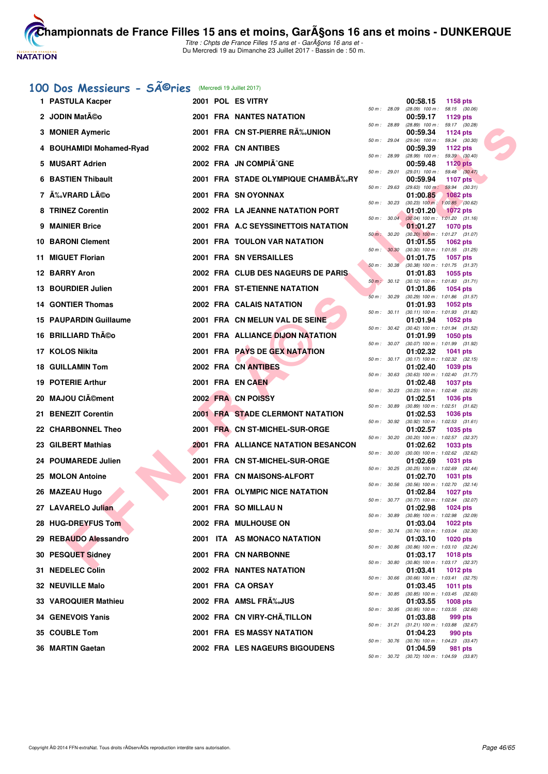

# 100 Dos Messieurs - SÃ<sup>©</sup>ries (Mercredi 19 Juillet 2017)

| 1 PASTULA Kacper          |  | 2001 POL ES VITRY                          |              | 00:58.15<br>1158 pts                                               |
|---------------------------|--|--------------------------------------------|--------------|--------------------------------------------------------------------|
| 2 JODIN Matéo             |  | 2001 FRA NANTES NATATION                   | 50 m : 28.09 | $(28.09)$ 100 m : 58.15 $(30.06)$<br>00:59.17<br>1129 pts          |
| 3 MONIER Aymeric          |  | 2001 FRA CN ST-PIERRE RÉUNION              | 50 m: 28.89  | (28.89) 100 m: 59.17 (30.28)<br>00:59.34<br><b>1124 pts</b>        |
| 4 BOUHAMIDI Mohamed-Ryad  |  | 2002 FRA CN ANTIBES                        | 50 m : 29.04 | (29.04) 100 m: 59.34 (30.30)<br>00:59.39<br>1122 $pts$             |
| 5 MUSART Adrien           |  | 2002 FRA JN COMPIÃ^GNE                     | 50 m : 28.99 | $(28.99)$ 100 m : 59.39 $(30.40)$<br>00:59.48<br><b>1120 pts</b>   |
| <b>6 BASTIEN Thibault</b> |  | 2001 FRA STADE OLYMPIQUE CHAMBA‰RY         | 50 m : 29.01 | $(29.01)$ 100 m : 59.48 $(30.47)$<br>00:59.94<br>1107 $pts$        |
| 7 ÉVRARD Léo              |  | 2001 FRA SN OYONNAX                        | 50 m : 29.63 | $(29.63)$ 100 m : 59.94 $(30.31)$<br>01:00.85<br><b>1082 pts</b>   |
| 8 TRINEZ Corentin         |  | 2002 FRA LA JEANNE NATATION PORT           | 50 m: 30.23  | $(30.23)$ 100 m : 1:00.85 $(30.62)$<br>01:01.20<br><b>1072 pts</b> |
| 9 MAINIER Brice           |  | 2001 FRA A.C SEYSSINETTOIS NATATION        | 50 m: 30.04  | $(30.04)$ 100 m : 1:01.20 $(31.16)$<br>01:01.27<br><b>1070 pts</b> |
| <b>10 BARONI Clement</b>  |  | 2001 FRA TOULON VAR NATATION               | 50 m: 30.20  | $(30.20)$ 100 m : 1:01.27 $(31.07)$<br>01:01.55<br>1062 pts        |
| 11 MIGUET Florian         |  | 2001 FRA SN VERSAILLES                     | 50 m : 30.30 | $(30.30)$ 100 m : 1:01.55 $(31.25)$<br>01:01.75<br>1057 pts        |
| 12 BARRY Aron             |  | 2002 FRA CLUB DES NAGEURS DE PARIS         | 50 m: 30.38  | (30.38) 100 m: 1:01.75 (31.37)<br>01:01.83<br>1055 pts             |
| 13 BOURDIER Julien        |  | 2001 FRA ST-ETIENNE NATATION               | 50 m : 30.12 | $(30.12)$ 100 m : 1:01.83 $(31.71)$<br>01:01.86<br>1054 pts        |
| 14 GONTIER Thomas         |  | 2002 FRA CALAIS NATATION                   | 50 m: 30.29  | $(30.29)$ 100 m : 1:01.86 $(31.57)$<br>01:01.93<br>1052 pts        |
| 15 PAUPARDIN Guillaume    |  | 2001 FRA CN MELUN VAL DE SEINE             | 50 m: 30.11  | (30.11) 100 m: 1:01.93 (31.82)<br>01:01.94<br>1052 pts             |
| 16 BRILLIARD Théo         |  | 2001 FRA ALLIANCE DIJON NATATION           |              | 50 m: 30.42 (30.42) 100 m: 1:01.94 (31.52)<br>01:01.99<br>1050 pts |
| 17 KOLOS Nikita           |  | 2001 FRA PAYS DE GEX NATATION              |              | 50 m: 30.07 (30.07) 100 m: 1:01.99 (31.92)<br>01:02.32<br>1041 pts |
| <b>18 GUILLAMIN Tom</b>   |  | 2002 FRA CN ANTIBES                        |              | 50 m: 30.17 (30.17) 100 m: 1:02.32 (32.15)<br>01:02.40<br>1039 pts |
| 19 POTERIE Arthur         |  | 2001 FRA EN CAEN                           | 50 m : 30.63 | $(30.63)$ 100 m : 1:02.40 $(31.77)$<br>01:02.48<br><b>1037 pts</b> |
| 20 MAJOU CIément          |  | 2002 FRA CN POISSY                         | 50 m: 30.23  | (30.23) 100 m: 1:02.48 (32.25)<br>01:02.51<br><b>1036 pts</b>      |
| 21 BENEZIT Corentin       |  | <b>2001 FRA STADE CLERMONT NATATION</b>    | 50 m : 30.89 | $(30.89)$ 100 m : 1:02.51 $(31.62)$<br>01:02.53<br><b>1036 pts</b> |
| 22 CHARBONNEL Theo        |  | 2001 FRA CN ST-MICHEL-SUR-ORGE             | 50 m: 30.92  | $(30.92)$ 100 m : 1:02.53 $(31.61)$<br>01:02.57<br>1035 pts        |
| 23 GILBERT Mathias        |  | <b>2001 FRA ALLIANCE NATATION BESANCON</b> | 50 m : 30.20 | $(30.20)$ 100 m : 1:02.57 $(32.37)$<br>01:02.62<br>1033 pts        |
| 24 POUMAREDE Julien       |  | 2001 FRA CN ST-MICHEL-SUR-ORGE             | 50 m : 30.00 | (30.00) 100 m: 1:02.62 (32.62)<br>01:02.69<br><b>1031 pts</b>      |
| 25 MOLON Antoine          |  | 2001 FRA CN MAISONS-ALFORT                 | 50 m : 30.25 | $(30.25)$ 100 m : 1:02.69 $(32.44)$<br>01:02.70<br><b>1031 pts</b> |
| 26 MAZEAU Hugo            |  | 2001 FRA OLYMPIC NICE NATATION             | 50 m: 30.56  | $(30.56)$ 100 m : 1:02.70 $(32.14)$<br>01:02.84<br><b>1027 pts</b> |
| 27 LAVARELO Julian        |  | 2001 FRA SO MILLAU N                       |              | 50 m: 30.77 (30.77) 100 m: 1:02.84 (32.07)<br>01:02.98<br>1024 pts |
| 28 HUG-DREYFUS Tom        |  | 2002 FRA MULHOUSE ON                       | 50 m : 30.89 | (30.89) 100 m : 1:02.98 (32.09)<br>01:03.04<br>1022 pts            |
| 29 REBAUDO Alessandro     |  | 2001 ITA AS MONACO NATATION                | 50 m : 30.74 | $(30.74)$ 100 m : 1:03.04 $(32.30)$<br><b>1020 pts</b><br>01:03.10 |
| 30 PESQUET Sidney         |  | 2001 FRA CN NARBONNE                       | 50 m : 30.86 | $(30.86)$ 100 m : 1:03.10 $(32.24)$<br>01:03.17<br><b>1018 pts</b> |
| 31 NEDELEC Colin          |  | <b>2002 FRA NANTES NATATION</b>            | 50 m : 30.80 | (30.80) 100 m: 1:03.17 (32.37)<br>01:03.41<br>1012 pts             |
| 32 NEUVILLE Malo          |  | 2001 FRA CA ORSAY                          | 50 m : 30.66 | $(30.66)$ 100 m : 1:03.41 $(32.75)$<br>01:03.45<br><b>1011 pts</b> |
| 33 VAROQUIER Mathieu      |  | 2002 FRA AMSL FRA%JUS                      | 50 m : 30.85 | $(30.85)$ 100 m : 1:03.45 $(32.60)$<br>01:03.55<br><b>1008 pts</b> |
| 34 GENEVOIS Yanis         |  | 2002 FRA CN VIRY-CHÃ, TILLON               | 50 m : 30.95 | $(30.95)$ 100 m : 1:03.55 $(32.60)$<br>01:03.88<br>999 pts         |
| 35 COUBLE Tom             |  | <b>2001 FRA ES MASSY NATATION</b>          |              | 50 m: 31.21 (31.21) 100 m: 1:03.88 (32.67)<br>01:04.23<br>990 pts  |
| 36 MARTIN Gaetan          |  | 2002 FRA LES NAGEURS BIGOUDENS             |              | 50 m: 30.76 (30.76) 100 m: 1:04.23 (33.47)<br>01:04.59<br>981 pts  |
|                           |  |                                            |              |                                                                    |

|          |       | 00:58.15                      | 1158 pts                   |         |
|----------|-------|-------------------------------|----------------------------|---------|
| 50 m :   | 28.09 | $(28.09)$ 100 m :<br>00:59.17 | 58.15<br>1129 pts          | (30.06) |
| 50 m :   | 28.89 | $(28.89)$ 100 m :             | 59.17                      | (30.28) |
| 50 m :   | 29.04 | 00:59.34<br>$(29.04)$ 100 m : | 1124 pts<br>59.34          | (30.30) |
|          |       | 00:59.39                      | 1122 pts                   |         |
| 50 m :   | 28.99 | $(28.99)$ 100 m :             | 59.39                      | (30.40) |
| 50 m :   | 29.01 | 00:59.48<br>$(29.01)$ 100 m : | <b>1120 pts</b><br>59.48   | (30.47) |
|          |       | 00:59.94                      | 1107 pts                   |         |
| $50 m$ : | 29.63 | $(29.63)$ 100 m :<br>01:00.85 | 59.94<br>1082 pts          | (30.31) |
| $50 m$ : | 30.23 | $(30.23)$ 100 m :             | $1:00.85$ (30.62)          |         |
|          |       | 01:01.20                      | <b>1072 pts</b>            |         |
| $50 m$ : | 30.04 | $(30.04) 100 m$ :<br>01:01.27 | 1:01.20<br>1070 pts        | (31.16) |
| $50 m$ : | 30.20 | $(30.20)$ 100 m :             | 1:01.27                    | (31.07) |
| 50 m :   | 30.30 | 01:01.55<br>$(30.30)$ 100 m : | 1062 pts<br>1:01.55        | (31.25) |
|          |       | 01:01.75                      | 1057 pts                   |         |
| $50 m$ : | 30.38 | $(30.38)$ 100 m :             | 1:01.75                    | (31.37) |
| $50 m$ : | 30.12 | 01:01.83<br>$(30.12)$ 100 m : | 1055 pts<br>1:01.83        | (31.71) |
|          |       | 01:01.86                      | 1054 pts                   |         |
| $50 m$ : | 30.29 | $(30.29)$ 100 m :<br>01:01.93 | 1:01.86<br>1052 pts        | (31.57) |
| $50 m$ : | 30.11 | (30.11) 100 m :               | 1:01.93                    | (31.82) |
|          |       | 01:01.94                      | 1052 pts                   |         |
| $50 m$ : | 30.42 | $(30.42)$ 100 m :<br>01:01.99 | 1:01.94<br>1050 pts        | (31.52) |
| 50 m:    | 30.07 | $(30.07)$ 100 m :             | 1:01.99                    | (31.92) |
| 50 m :   | 30.17 | 01:02.32<br>$(30.17) 100 m$ : | 1041 pts<br>1:02.32        | (32.15) |
|          |       | 01:02.40                      | 1039 pts                   |         |
| 50 m :   | 30.63 | $(30.63)$ 100 m :<br>01:02.48 | 1:02.40                    | (31.77) |
| 50 m :   | 30.23 | $(30.23)$ 100 m :             | 1037 pts<br>1:02.48        | (32.25) |
|          |       | 01:02.51                      | 1036 pts                   |         |
| 50 m :   | 30.89 | (30.89) 100 m :<br>01:02.53   | 1:02.51<br>1036 pts        | (31.62) |
| 50 m :   | 30.92 | $(30.92)$ 100 m :             | 1:02.53                    | (31.61) |
| 50 m :   | 30.20 | 01:02.57<br>$(30.20)$ 100 m : | 1035 pts<br>1:02.57        | (32.37) |
|          |       | 01:02.62                      | 1033 pts                   |         |
| 50 m :   | 30.00 | $(30.00)$ 100 m :             | 1:02.62                    | (32.62) |
| $50 m$ : | 30.25 | 01:02.69<br>$(30.25)$ 100 m : | 1031 pts<br>1:02.69        | (32.44) |
|          |       | 01:02.70                      | 1031 pts                   |         |
| 50 m :   | 30.56 | $(30.56)$ 100 m :<br>01:02.84 | 1:02.70<br>1027 pts        | (32.14) |
| 50 m :   | 30.77 | $(30.77)$ 100 m :             | 1:02.84                    | (32.07) |
| 50 m :   | 30.89 | 01:02.98<br>$(30.89)$ 100 m : | 1024 pts<br>1:02.98        | (32.09) |
|          |       | 01:03.04                      | 1022 pts                   |         |
| 50 m :   | 30.74 | $(30.74)$ 100 m :             | 1:03.04                    | (32.30) |
| $50 m$ : | 30.86 | 01:03.10<br>$(30.86)$ 100 m : | 1020 pts<br>1:03.10        | (32.24) |
|          |       | 01:03.17                      | 1018 pts                   |         |
| $50 m$ : | 30.80 | $(30.80)$ 100 m :<br>01:03.41 | 1:03.17<br><b>1012 pts</b> | (32.37) |
| $50 m$ : | 30.66 | $(30.66)$ 100 m :             | 1:03.41                    | (32.75) |
| $50 m$ : |       | 01:03.45                      | 1011 pts                   | (32.60) |
|          | 30.85 | (30.85) 100 m :<br>01:03.55   | 1:03.45<br>1008 pts        |         |
| $50 m$ : | 30.95 | $(30.95)$ 100 m :             | 1:03.55                    | (32.60) |
| 50 m :   | 31.21 | 01:03.88<br>$(31.21)$ 100 m : | 999 pts<br>1:03.88         | (32.67) |
|          |       | 01:04.23                      | 990 pts                    |         |
| $50 m$ : | 30.76 | $(30.76)$ 100 m :<br>01:04.59 | 1:04.23<br>981 pts         | (33.47) |
| $50 m$ : | 30.72 | (30.72) 100 m :               | 1:04.59                    | (33.87) |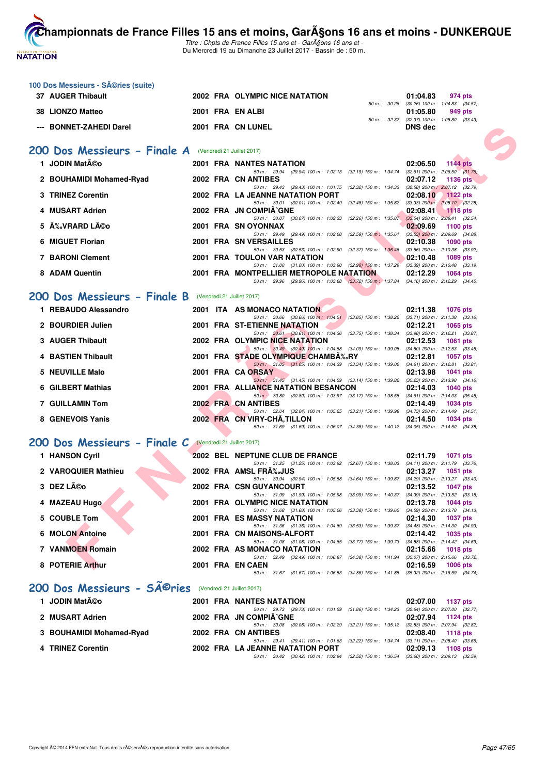

Titre : Chpts de France Filles 15 ans et - GarA§ons 16 ans et -Du Mercredi 19 au Dimanche 23 Juillet 2017 - Bassin de : 50 m.

| 100 Dos Messieurs - Séries (suite)                      |  |                                                                                                                                        |             |                                                                    |
|---------------------------------------------------------|--|----------------------------------------------------------------------------------------------------------------------------------------|-------------|--------------------------------------------------------------------|
| 37 AUGER Thibault                                       |  | 2002 FRA OLYMPIC NICE NATATION                                                                                                         | 50 m: 30.26 | 01:04.83<br>974 pts<br>$(30.26)$ 100 m : 1:04.83 $(34.57)$         |
| 38 LIONZO Matteo                                        |  | 2001 FRA EN ALBI                                                                                                                       |             | 01:05.80<br>949 pts                                                |
| --- BONNET-ZAHEDI Darel                                 |  | 2001 FRA CN LUNEL                                                                                                                      |             | 50 m: 32.37 (32.37) 100 m: 1:05.80 (33.43)<br><b>DNS</b> dec       |
|                                                         |  |                                                                                                                                        |             |                                                                    |
| 200 Dos Messieurs - Finale A (Vendredi 21 Juillet 2017) |  |                                                                                                                                        |             |                                                                    |
| 1 JODIN Matéo                                           |  | 2001 FRA NANTES NATATION                                                                                                               |             | <b>1144 pts</b><br>02:06.50                                        |
| 2 BOUHAMIDI Mohamed-Ryad                                |  | 50 m: 29.94 (29.94) 100 m: 1:02.13 (32.19) 150 m: 1:34.74 (32.61) 200 m: 2:06.50 (31.76)<br>2002 FRA CN ANTIBES                        |             | 02:07.12<br><b>1136 pts</b>                                        |
| 3 TRINEZ Corentin                                       |  | 50 m: 29.43 (29.43) 100 m: 1.01.75 (32.32) 150 m: 1.34.33 (32.58) 200 m: 2.07.12 (32.79)<br><b>2002 FRA LA JEANNE NATATION PORT</b>    |             | 02:08.10<br><b>1122 pts</b>                                        |
| 4 MUSART Adrien                                         |  | 50 m: 30.01 (30.01) 100 m: 1:02.49 (32.48) 150 m: 1:35.82<br>2002 FRA JN COMPIA^GNE                                                    |             | $(33.33)$ 200 m : 2:08.10 $(32.28)$<br>02:08.41 1118 pts           |
| 5 ÉVRARD Léo                                            |  | 50 m: 30.07 (30.07) 100 m: 1:02.33 (32.26) 150 m: 1:35.87 (33.54) 200 m: 2:08.41 (32.54)                                               |             |                                                                    |
|                                                         |  | 2001 FRA SN OYONNAX<br>50 m: 29.49 (29.49) 100 m: 1:02.08 (32.59) 150 m: 1:35.61                                                       |             | 02:09.69<br>1100 pts<br>$(33.53)$ 200 m : 2:09.69 $(34.08)$        |
| 6 MIGUET Florian                                        |  | 2001 FRA SN VERSAILLES<br>50 m: 30.53 (30.53) 100 m: 1:02.90 (32.37) 150 m: 1:36.46                                                    |             | 02:10.38<br>1090 pts<br>$(33.56)$ 200 m : 2:10.38 $(33.92)$        |
| <b>7 BARONI Clement</b>                                 |  | <b>2001 FRA TOULON VAR NATATION</b><br>50 m: 31.00 (31.00) 100 m: 1:03.90 (32.90) 150 m: 1:37.29 (33.39) 200 m: 2:10.48 (33.19)        |             | 02:10.48<br>1089 pts                                               |
| 8 ADAM Quentin                                          |  | 2001 FRA MONTPELLIER METROPOLE NATATION                                                                                                |             | 02:12.29<br><b>1064 pts</b>                                        |
|                                                         |  | 50 m: 29.96 (29.96) 100 m: 1:03.68 (33.72) 150 m: 1:37.84 (34.16) 200 m: 2:12.29 (34.45)                                               |             |                                                                    |
| 200 Dos Messieurs - Finale B (Vendredi 21 Juillet 2017) |  |                                                                                                                                        |             |                                                                    |
| 1 REBAUDO Alessandro                                    |  | 2001 ITA AS MONACO NATATION<br>50 m: 30.66 (30.66) 100 m: 1:04.51 (33.85) 150 m: 1:38.22 (33.71) 200 m: 2:11.38 (33.16)                |             | 02:11.38<br>1076 pts                                               |
| 2 BOURDIER Julien                                       |  | 2001 FRA ST-ETIENNE NATATION<br>50 m: 30.61 (30.61) 100 m: 1:04.36 (33.75) 150 m: 1:38.34 (33.98) 200 m: 2:12.21 (33.87)               |             | 02:12.21<br><b>1065 pts</b>                                        |
| 3 AUGER Thibault                                        |  | 2002 FRA OLYMPIC NICE NATATION                                                                                                         |             | 02:12.53<br><b>1061 pts</b>                                        |
| 4 BASTIEN Thibault                                      |  | 50 m: 30.49 (30.49) 100 m: 1:04.58 (34.09) 150 m: 1:39.08 (34.50) 200 m: 2:12.53 (33.45)<br>2001 FRA STADE OLYMPIQUE CHAMBA‰RY         |             | 02:12.81<br><b>1057 pts</b>                                        |
| 5 NEUVILLE Malo                                         |  | 50 m: 31.05 (31.05) 100 m: 1:04.39 (33.34) 150 m: 1:39.00 (34.61) 200 m: 2:12.81 (33.81)<br>2001 FRA CA ORSAY                          |             | 02:13.98<br>1041 pts                                               |
| 6 GILBERT Mathias                                       |  | 50 m: 31.45 (31.45) 100 m: 1:04.59 (33.14) 150 m: 1:39.82 (35.23) 200 m: 2:13.98 (34.16)<br><b>2001 FRA ALLIANCE NATATION BESANCON</b> |             |                                                                    |
|                                                         |  | 50 m : 30.80 (30.80) 100 m : 1:03.97 (33.17) 150 m : 1:38.58 (34.61) 200 m : 2:14.03 (35.45)                                           |             | 02:14.03<br><b>1040 pts</b>                                        |
| 7 GUILLAMIN Tom                                         |  | 2002 FRA CN ANTIBES<br>50 m: 32.04 (32.04) 100 m: 1:05.25 (33.21) 150 m: 1:39.98 (34.73) 200 m: 2:14.49 (34.51)                        |             | 02:14.49<br>1034 pts                                               |
| 8 GENEVOIS Yanis                                        |  | 2002 FRA CN VIRY-CHA, TILLON<br>50 m: 31.69 (31.69) 100 m: 1:06.07 (34.38) 150 m: 1:40.12 (34.05) 200 m: 2:14.50 (34.38)               |             | 02:14.50<br><b>1034 pts</b>                                        |
|                                                         |  |                                                                                                                                        |             |                                                                    |
| 200 Dos Messieurs - Finale C (Vendredi 21 Juillet 2017) |  |                                                                                                                                        |             |                                                                    |
| 1 HANSON Cyril                                          |  | 2002 BEL NEPTUNE CLUB DE FRANCE<br>50 m: 31.25 (31.25) 100 m: 1:03.92 (32.67) 150 m: 1:38.03 (34.11) 200 m: 2:11.79 (33.76)            |             | 02:11.79<br><b>1071 pts</b>                                        |
| 2 VAROQUIER Mathieu                                     |  | 2002 FRA AMSL FRA‰JUS<br>50 m: 30.94 (30.94) 100 m: 1:05.58 (34.64) 150 m: 1:39.87 (34.29) 200 m: 2:13.27 (33.40)                      |             | 02:13.27<br>1051 pts                                               |
| 3 DEZ Léo<br><b>A</b>                                   |  | <b>2002 FRA CSN GUYANCOURT</b><br>50 m: 31.99 (31.99) 100 m: 1:05.98 (33.99) 150 m: 1:40.37 (34.39) 200 m: 2:13.52 (33.15)             |             | 02:13.52<br>1047 pts                                               |
| 4 MAZEAU Hugo                                           |  | 2001 FRA OLYMPIC NICE NATATION                                                                                                         |             | 02:13.78<br>1044 pts                                               |
| 5 COUBLE Tom                                            |  | 50 m: 31.68 (31.68) 100 m: 1:05.06 (33.38) 150 m: 1:39.65 (34.59) 200 m: 2:13.78 (34.13)<br><b>2001 FRA ES MASSY NATATION</b>          |             | 02:14.30<br><b>1037 pts</b>                                        |
| 6 MOLON Antoine                                         |  | 50 m: 31.36 (31.36) 100 m: 1.04.89 (33.53) 150 m: 1.39.37 (34.48) 200 m: 2.14.30 (34.93)<br>2001 FRA CN MAISONS-ALFORT                 |             | 02:14.42<br>1035 pts                                               |
| 7 VANMOEN Romain                                        |  | 50 m: 31.08 (31.08) 100 m: 1:04.85 (33.77) 150 m: 1:39.73<br>2002 FRA AS MONACO NATATION                                               |             | $(34.88)$ 200 m : 2:14.42 $(34.69)$<br>02:15.66<br><b>1018 pts</b> |
|                                                         |  | 50 m: 32.49 (32.49) 100 m: 1:06.87 (34.38) 150 m: 1:41.94 (35.07) 200 m: 2:15.66 (33.72)                                               |             |                                                                    |
| 8 POTERIE Arthur                                        |  | 2001 FRA EN CAEN<br>50 m: 31.67 (31.67) 100 m: 1:06.53 (34.86) 150 m: 1:41.85 (35.32) 200 m: 2:16.59 (34.74)                           |             | 02:16.59<br><b>1006 pts</b>                                        |
| 200 Dos Messieurs - SÃ <sup>©</sup> ries                |  | (Vendredi 21 Juillet 2017)                                                                                                             |             |                                                                    |
| 1 JODIN Matéo                                           |  | 2001 FRA NANTES NATATION                                                                                                               |             | 02:07.00<br><b>1137 pts</b>                                        |
|                                                         |  | 50 m: 29.73 (29.73) 100 m: 1:01.59 (31.86) 150 m: 1:34.23 (32.64) 200 m: 2:07.00 (32.77)                                               |             |                                                                    |
| 2 MUSART Adrien                                         |  | 2002 FRA JN COMPIA^GNE<br>50 m: 30.08 (30.08) 100 m: 1:02.29 (32.21) 150 m: 1:35.12 (32.83) 200 m: 2:07.94 (32.82)                     |             | 02:07.94<br>1124 pts                                               |
| 3 BOUHAMIDI Mohamed-Ryad                                |  | 2002 FRA CN ANTIBES<br>50 m: 29.41 (29.41) 100 m: 1:01.63 (32.22) 150 m: 1:34.74 (33.11) 200 m: 2:08.40 (33.66)                        |             | 02:08.40<br><b>1118 pts</b>                                        |
| 4 TRINEZ Corentin                                       |  | 2002 FRA LA JEANNE NATATION PORT<br>50 m: 30.42 (30.42) 100 m: 1:02.94 (32.52) 150 m: 1:36.54 (33.60) 200 m: 2:09.13 (32.59)           |             | 02:09.13<br>1108 $pts$                                             |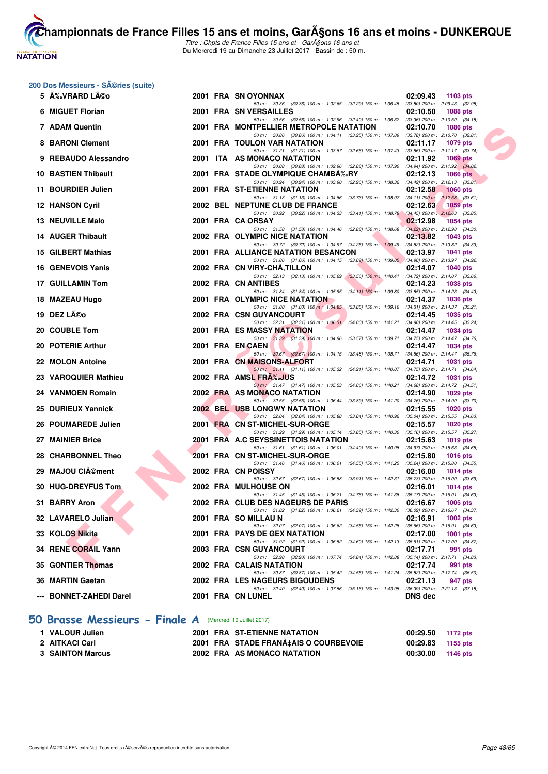# **NATATION FRANÇAISE**

**[Cham](http://www.ffnatation.fr/webffn/index.php)pionnats de France Filles 15 ans et moins, GarA§ons 16 ans et moins - DUNKERQUE** 

Titre : Chpts de France Filles 15 ans et - GarA§ons 16 ans et -Du Mercredi 19 au Dimanche 23 Juillet 2017 - Bassin de : 50 m.

#### 200 Dos Messieurs - Séries (suite)

| 5 A‰VRARD LA©o          |  | 2001 FRA SN OYONNAX                                                                                                                 | 02:09.43 1103 pts           |
|-------------------------|--|-------------------------------------------------------------------------------------------------------------------------------------|-----------------------------|
| 6 MIGUET Florian        |  | 50 m: 30.36 (30.36) 100 m: 1:02.65 (32.29) 150 m: 1:36.45 (33.80) 200 m: 2:09.43 (32.98)<br>2001 FRA SN VERSAILLES                  | 02:10.50<br>1088 pts        |
| 7 ADAM Quentin          |  | 50 m: 30.56 (30.56) 100 m: 1:02.96 (32.40) 150 m: 1:36.32 (33.36) 200 m: 2:10.50 (34.18)<br>2001 FRA MONTPELLIER METROPOLE NATATION | 02:10.70<br>1086 pts        |
| 8 BARONI Clement        |  | 50 m: 30.86 (30.86) 100 m: 1:04.11 (33.25) 150 m: 1:37.89 (33.78) 200 m: 2:10.70 (32.81)<br><b>2001 FRA TOULON VAR NATATION</b>     | 02:11.17<br>1079 pts        |
| 9 REBAUDO Alessandro    |  | 50 m: 31.21 (31.21) 100 m: 1:03.87 (32.66) 150 m: 1:37.43 (33.56) 200 m: 2:11.17 (33.74)<br>2001 ITA AS MONACO NATATION             | 02:11.92<br>1069 pts        |
| 10 BASTIEN Thibault     |  | 50 m: 30.08 (30.08) 100 m: 1:02.96 (32.88) 150 m: 1:37.90 (34.94) 200 m: 2:11.92 (34.02)<br>2001 FRA STADE OLYMPIQUE CHAMBA‰RY      | 02:12.13<br>1066 $pts$      |
| 11 BOURDIER Julien      |  | 50 m: 30.94 (30.94) 100 m: 1:03.90 (32.96) 150 m: 1:38.32 (34.42) 200 m: 2:12.13 (33.81)<br>2001 FRA ST-ETIENNE NATATION            | 02:12.58<br><b>1060 pts</b> |
| 12 HANSON Cyril         |  | 50 m: 31.13 (31.13) 100 m: 1:04.86 (33.73) 150 m: 1:38.97 (34.11) 200 m: 2:12.58 (33.61)<br>2002 BEL NEPTUNE CLUB DE FRANCE         | 02:12.63<br><b>1059 pts</b> |
| 13 NEUVILLE Malo        |  | 50 m: 30.92 (30.92) 100 m: 1:04.33 (33.41) 150 m: 1:38.78 (34.45) 200 m: 2:12.63 (33.85)<br>2001 FRA CA ORSAY                       | 02:12.98<br>1054 pts        |
| 14 AUGER Thibault       |  | 50 m: 31.58 (31.58) 100 m: 1:04.46 (32.88) 150 m: 1:38.68 (34.22) 200 m: 2:12.98 (34.30)<br>2002 FRA OLYMPIC NICE NATATION          | 02:13.82<br>1043 pts        |
| 15 GILBERT Mathias      |  | 50 m: 30.72 (30.72) 100 m: 1:04.97 (34.25) 150 m: 1:39.49 (34.52) 200 m: 2:13.82 (34.33)<br>2001 FRA ALLIANCE NATATION BESANCON     | 02:13.97<br>1041 pts        |
| 16 GENEVOIS Yanis       |  | 50 m: 31.06 (31.06) 100 m: 1:04.15 (33.09) 150 m: 1:39.05 (34.90) 200 m: 2:13.97 (34.92)<br>2002 FRA CN VIRY-CHA, TILLON            | 02:14.07<br><b>1040 pts</b> |
|                         |  | 50 m: 32.13 (32.13) 100 m: 1:05.69 (33.56) 150 m: 1:40.41 (34.72) 200 m: 2:14.07 (33.66)                                            |                             |
| 17 GUILLAMIN Tom        |  | 2002 FRA CN ANTIBES<br>50 m: 31.84 (31.84) 100 m: 1:05.95 (34.11) 150 m: 1:39.80 (33.85) 200 m: 2:14.23 (34.43)                     | 02:14.23<br>1038 pts        |
| 18 MAZEAU Hugo          |  | 2001 FRA OLYMPIC NICE NATATION<br>50 m: 31.00 (31.00) 100 m: 1:04.85 (33.85) 150 m: 1:39.16 (34.31) 200 m: 2:14.37 (35.21)          | 02:14.37<br>1036 pts        |
| 19 DEZ Léo              |  | 2002 FRA CSN GUYANCOURT                                                                                                             | 02:14.45<br>1035 pts        |
| 20 COUBLE Tom           |  | 50 m: 32.31 (32.31) 100 m: 1:06.31 (34.00) 150 m: 1:41.21 (34.90) 200 m: 2:14.45 (33.24)<br>2001 FRA ES MASSY NATATION              | 02:14.47<br>1034 pts        |
| 20 POTERIE Arthur       |  | 50 m: 31.39 (31.39) 100 m: 1:04.96 (33.57) 150 m: 1:39.71 (34.75) 200 m: 2:14.47 (34.76)<br>2001 FRA EN CAEN                        | 02:14.47<br>1034 pts        |
| 22 MOLON Antoine        |  | 50 m: 30.67 (30.67) 100 m: 1:04.15 (33.48) 150 m: 1:38.71 (34.56) 200 m: 2:14.47 (35.76)<br>2001 FRA CN MAISONS-ALFORT              | 02:14.71<br><b>1031 pts</b> |
| 23 VAROQUIER Mathieu    |  | 50 m: 31.11 (31.11) 100 m: 1:05.32 (34.21) 150 m: 1:40.07 (34.75) 200 m: 2:14.71 (34.64)<br>2002 FRA AMSL FRA‰JUS                   | 02:14.72<br>1031 pts        |
| 24 VANMOEN Romain       |  | 50 m : 31.47 (31.47) 100 m : 1:05.53 (34.06) 150 m : 1:40.21 (34.68) 200 m : 2:14.72 (34.51)<br>2002 FRA AS MONACO NATATION         | 02:14.90<br>1029 pts        |
|                         |  | 50 m: 32.55 (32.55) 100 m: 1:06.44 (33.89) 150 m: 1:41.20 (34.76) 200 m: 2:14.90 (33.70)                                            |                             |
| 25 DURIEUX Yannick      |  | <b>2002 BEL USB LONGWY NATATION</b><br>50 m: 32.04 (32.04) 100 m: 1:05.88 (33.84) 150 m: 1:40.92 (35.04) 200 m: 2:15.55 (34.63)     | 02:15.55<br><b>1020 pts</b> |
| 26 POUMAREDE Julien     |  | 2001 FRA CN ST-MICHEL-SUR-ORGE<br>50 m: 31.29 (31.29) 100 m: 1:05.14 (33.85) 150 m: 1:40.30 (35.16) 200 m: 2:15.57 (35.27)          | 02:15.57<br>1020 pts        |
| 27 MAINIER Brice        |  | 2001 FRA A.C SEYSSINETTOIS NATATION<br>50 m: 31.61 (31.61) 100 m: 1:06.01 (34.40) 150 m: 1:40.98 (34.97) 200 m: 2:15.63 (34.65)     | 02:15.63<br>1019 pts        |
| 28 CHARBONNEL Theo      |  | 2001 FRA CN ST-MICHEL-SUR-ORGE                                                                                                      | 02:15.80<br>1016 pts        |
| 29 MAJOU CIément        |  | 50 m: 31.46 (31.46) 100 m: 1:06.01 (34.55) 150 m: 1:41.25 (35.24) 200 m: 2:15.80 (34.55)<br>2002 FRA CN POISSY                      | 02:16.00<br>1014 pts        |
| 30 HUG-DREYFUS Tom      |  | 50 m: 32.67 (32.67) 100 m: 1:06.58 (33.91) 150 m: 1:42.31 (35.73) 200 m: 2:16.00 (33.69)<br>2002 FRA MULHOUSE ON                    | 02:16.01<br>1014 pts        |
| 31 BARRY Aron           |  | 50 m: 31.45 (31.45) 100 m: 1:06.21 (34.76) 150 m: 1:41.38 (35.17) 200 m: 2:16.01 (34.63)<br>2002 FRA CLUB DES NAGEURS DE PARIS      | 02:16.67<br>1005 pts        |
|                         |  | 50 m: 31.82 (31.82) 100 m: 1:06.21 (34.39) 150 m: 1:42.30 (36.09) 200 m: 2:16.67 (34.37)                                            |                             |
| 32 LAVARELO Julian      |  | 2001 FRA SO MILLAU N<br>50 m: 32.07 (32.07) 100 m: 1:06.62 (34.55) 150 m: 1:42.28 (35.66) 200 m: 2:16.91 (34.63)                    | 02:16.91<br>1002 $pts$      |
| 33 KOLOS Nikita         |  | 2001 FRA PAYS DE GEX NATATION<br>50 m: 31.92 (31.92) 100 m: 1:06.52 (34.60) 150 m: 1:42.13 (35.61) 200 m: 2:17.00 (34.87)           | 02:17.00<br>1001 pts        |
| 34 RENE CORAIL Yann     |  | 2003 FRA CSN GUYANCOURT                                                                                                             | 02:17.71<br>991 pts         |
| 35 GONTIER Thomas       |  | 50 m: 32.90 (32.90) 100 m: 1:07.74 (34.84) 150 m: 1:42.88 (35.14) 200 m: 2:17.71 (34.83)<br>2002 FRA CALAIS NATATION                | 02:17.74<br>991 pts         |
| 36 MARTIN Gaetan        |  | 50 m: 30.87 (30.87) 100 m: 1:05.42 (34.55) 150 m: 1:41.24 (35.82) 200 m: 2:17.74 (36.50)<br>2002 FRA LES NAGEURS BIGOUDENS          | 02:21.13<br>947 pts         |
| --- BONNET-ZAHEDI Darel |  | 50 m: 32.40 (32.40) 100 m: 1:07.56 (35.16) 150 m: 1:43.95 (36.39) 200 m: 2:21.13 (37.18)<br>2001 FRA CN LUNEL                       | DNS dec                     |
|                         |  |                                                                                                                                     |                             |

#### **[50 Brasse Messieurs - Finale A](http://www.ffnatation.fr/webffn/resultats.php?idact=nat&go=epr&idcpt=47485&idepr=71)** (Mercredi 19 Juillet 2017)

| <b>VALOUR Julien</b>    |  | 2001 FRA ST-ETIENNE NATATION         | 00:29.50 | 1172 pts |
|-------------------------|--|--------------------------------------|----------|----------|
| 2 AITKACI Carl          |  | 2001 FRA STADE FRANÇAIS O COURBEVOIE | 00:29.83 | 1155 pts |
| <b>3 SAINTON Marcus</b> |  | 2002 FRA AS MONACO NATATION          | 00:30.00 | 1146 pts |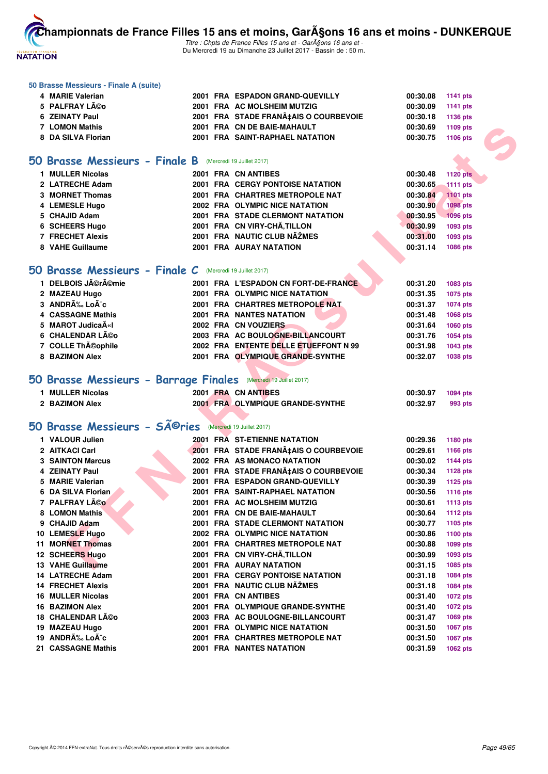

Titre : Chpts de France Filles 15 ans et - GarA§ons 16 ans et -Du Mercredi 19 au Dimanche 23 Juillet 2017 - Bassin de : 50 m.

#### **50 Brasse Messieurs - Finale A (suite)**

| 4 MARIE Valerian   | 2001 FRA ESPADON GRAND-QUEVILLY      | 00:30.08<br>1141 pts |
|--------------------|--------------------------------------|----------------------|
| 5 PALFRAY Léo      | 2001 FRA AC MOLSHEIM MUTZIG          | 00:30.09<br>1141 pts |
| 6 ZEINATY Paul     | 2001 FRA STADE FRANÇAIS O COURBEVOIE | 00:30.18<br>1136 pts |
| 7 LOMON Mathis     | 2001 FRA CN DE BAIE-MAHAULT          | 00:30.69<br>1109 pts |
| 8 DA SILVA Florian | 2001 FRA SAINT-RAPHAEL NATATION      | 00:30.75<br>1106 pts |
|                    |                                      |                      |

#### **[50 Brasse Messieurs - Finale B](http://www.ffnatation.fr/webffn/resultats.php?idact=nat&go=epr&idcpt=47485&idepr=71)** (Mercredi 19 Juillet 2017)

| 1 MULLER Nicolas | 2001 FRA CN ANTIBES                     | <b>1120 pts</b><br>00:30.48 |
|------------------|-----------------------------------------|-----------------------------|
| 2 LATRECHE Adam  | <b>2001 FRA CERGY PONTOISE NATATION</b> | 00:30.65<br><b>1111 pts</b> |
| 3 MORNET Thomas  | 2001 FRA CHARTRES METROPOLE NAT         | 1101 pts<br>00:30.84        |
| 4 LEMESLE Hugo   | 2002 FRA OLYMPIC NICE NATATION          | <b>1098 pts</b><br>00:30.90 |
| 5 CHAJID Adam    | <b>2001 FRA STADE CLERMONT NATATION</b> | 1096 pts<br>00:30.95        |
| 6 SCHEERS Hugo   | 2001 FRA CN VIRY-CHÃ.TILLON             | 00:30.99<br>1093 pts        |
| 7 FRECHET Alexis | 2001 FRA NAUTIC CLUB NAŽMES             | 00:31.00<br>1093 pts        |
| 8 VAHE Guillaume | <b>2001 FRA AURAY NATATION</b>          | 1086 pts<br>00:31.14        |

#### **[50 Brasse Messieurs - Finale C](http://www.ffnatation.fr/webffn/resultats.php?idact=nat&go=epr&idcpt=47485&idepr=71)** (Mercredi 19 Juillet 2017)

| <b>DELBOIS Jérémie</b>     |  | 2001 FRA L'ESPADON CN FORT-DE-FRANCE  | 00:31.20 | 1083 pts |
|----------------------------|--|---------------------------------------|----------|----------|
| 2 MAZEAU Hugo              |  | 2001 FRA OLYMPIC NICE NATATION        | 00:31.35 | 1075 pts |
| 3 ANDRÉ LoÃ <sup>-</sup> c |  | 2001 FRA CHARTRES METROPOLE NAT       | 00:31.37 | 1074 pts |
| 4 CASSAGNE Mathis          |  | <b>2001 FRA NANTES NATATION</b>       | 00:31.48 | 1068 pts |
| 5 MAROT Judica A«I         |  | 2002 FRA CN VOUZIERS                  | 00:31.64 | 1060 pts |
| 6 CHALENDAR Léo            |  | 2003 FRA AC BOULOGNE-BILLANCOURT      | 00:31.76 | 1054 pts |
| 7 COLLE Théophile          |  | 2002 FRA ENTENTE DELLE ETUEFFONT N 99 | 00:31.98 | 1043 pts |
| 8 BAZIMON Alex             |  | 2001 FRA OLYMPIQUE GRANDE-SYNTHE      | 00:32.07 | 1038 pts |
|                            |  |                                       |          |          |

#### **[50 Brasse Messieurs - Barrage Finales](http://www.ffnatation.fr/webffn/resultats.php?idact=nat&go=epr&idcpt=47485&idepr=71)** (Mercredi 19 Juillet 2017)

| <b>MULLER Nicolas</b> | 2001 FRA CN ANTIBES              | 00:30.97 | 1094 pts |
|-----------------------|----------------------------------|----------|----------|
| 2 BAZIMON Alex        | 2001 FRA OLYMPIQUE GRANDE-SYNTHE | 00:32.97 | 993 pts  |

# 50 Brasse Messieurs - SÃ<sup>©</sup>ries (Mercredi 19 Juillet 2017)

| <b>7 LOMON Mathis</b>                                                |  | 2001 FRA CN DE BAIE-MAHAULT             | 00:30.69 | 1109 pts        |  |
|----------------------------------------------------------------------|--|-----------------------------------------|----------|-----------------|--|
| 8 DA SILVA Florian                                                   |  | 2001 FRA SAINT-RAPHAEL NATATION         | 00:30.75 | 1106 pts        |  |
|                                                                      |  |                                         |          |                 |  |
| <b>O Brasse Messieurs - Finale B</b> (Mercredi 19 Juillet 2017)      |  |                                         |          |                 |  |
| 1 MULLER Nicolas                                                     |  | 2001 FRA CN ANTIBES                     | 00:30.48 | <b>1120 pts</b> |  |
| 2 LATRECHE Adam                                                      |  | <b>2001 FRA CERGY PONTOISE NATATION</b> | 00:30.65 | 1111 pts        |  |
| 3 MORNET Thomas                                                      |  | 2001 FRA CHARTRES METROPOLE NAT         | 00:30.84 | 1101 pts        |  |
| 4 LEMESLE Hugo                                                       |  | 2002 FRA OLYMPIC NICE NATATION          | 00:30.90 | <b>1098 pts</b> |  |
| 5 CHAJID Adam                                                        |  | 2001 FRA STADE CLERMONT NATATION        | 00:30.95 | 1096 pts        |  |
| 6 SCHEERS Hugo                                                       |  | 2001 FRA CN VIRY-CHÂ, TILLON            | 00:30.99 | 1093 pts        |  |
| <b>7 FRECHET Alexis</b>                                              |  | 2001 FRA NAUTIC CLUB NÃŽMES             | 00:31.00 | 1093 pts        |  |
| 8 VAHE Guillaume                                                     |  | <b>2001 FRA AURAY NATATION</b>          | 00:31.14 | 1086 pts        |  |
|                                                                      |  |                                         |          |                 |  |
| iO Brasse Messieurs - Finale C (Mercredi 19 Juillet 2017)            |  |                                         |          |                 |  |
|                                                                      |  |                                         |          |                 |  |
| 1 DELBOIS Jérémie                                                    |  | 2001 FRA L'ESPADON CN FORT-DE-FRANCE    | 00:31.20 | 1083 pts        |  |
| 2 MAZEAU Hugo                                                        |  | 2001 FRA OLYMPIC NICE NATATION          | 00:31.35 | 1075 pts        |  |
| 3 ANDRÉ Loà c                                                        |  | 2001 FRA CHARTRES METROPOLE NAT         | 00:31.37 | <b>1074 pts</b> |  |
| 4 CASSAGNE Mathis                                                    |  | <b>2001 FRA NANTES NATATION</b>         | 00:31.48 | 1068 pts        |  |
| 5 MAROT Judica A«I                                                   |  | 2002 FRA CN VOUZIERS                    | 00:31.64 | 1060 pts        |  |
| 6 CHALENDAR Léo                                                      |  | 2003 FRA AC BOULOGNE-BILLANCOURT        | 00:31.76 | 1054 pts        |  |
| 7 COLLE Théophile                                                    |  | 2002 FRA ENTENTE DELLE ETUEFFONT N 99   | 00:31.98 | 1043 pts        |  |
| 8 BAZIMON Alex                                                       |  | 2001 FRA OLYMPIQUE GRANDE-SYNTHE        | 00:32.07 | 1038 pts        |  |
| iO Brasse Messieurs - Barrage Finales (Mercredi 19 Juillet 2017)     |  |                                         |          |                 |  |
| 1 MULLER Nicolas                                                     |  | 2001 FRA CN ANTIBES                     | 00:30.97 | 1094 pts        |  |
| 2 BAZIMON Alex                                                       |  | 2001 FRA OLYMPIQUE GRANDE-SYNTHE        | 00:32.97 | 993 pts         |  |
|                                                                      |  |                                         |          |                 |  |
| O Brasse Messieurs - SÃ <sup>©</sup> ries (Mercredi 19 Juillet 2017) |  |                                         |          |                 |  |
| 1 VALOUR Julien                                                      |  | 2001 FRA ST-ETIENNE NATATION            | 00:29.36 | 1180 pts        |  |
| 2 AITKACI Carl                                                       |  | 2001 FRA STADE FRANA‡AIS O COURBEVOIE   | 00:29.61 | 1166 pts        |  |
| <b>3 SAINTON Marcus</b>                                              |  | 2002 FRA AS MONACO NATATION             | 00:30.02 | <b>1144 pts</b> |  |
| 4 ZEINATY Paul                                                       |  | 2001 FRA STADE FRANA‡AIS O COURBEVOIE   | 00:30.34 | 1128 pts        |  |
| 5 MARIE Valerian                                                     |  | 2001 FRA ESPADON GRAND-QUEVILLY         | 00:30.39 | <b>1125 pts</b> |  |
| 6 DA SILVA Florian                                                   |  | 2001 FRA SAINT-RAPHAEL NATATION         | 00:30.56 | <b>1116 pts</b> |  |
| 7 PALFRAY Léo                                                        |  | 2001 FRA AC MOLSHEIM MUTZIG             | 00:30.61 | <b>1113 pts</b> |  |
| 8 LOMON Mathis                                                       |  | 2001 FRA CN DE BAIE-MAHAULT             | 00:30.64 | <b>1112 pts</b> |  |
| 9 CHAJID Adam                                                        |  | 2001 FRA STADE CLERMONT NATATION        | 00:30.77 | 1105 pts        |  |
| 10 LEMESLE Hugo                                                      |  | 2002 FRA OLYMPIC NICE NATATION          | 00:30.86 | 1100 pts        |  |
| 11 MORNET Thomas                                                     |  | 2001 FRA CHARTRES METROPOLE NAT         | 00:30.88 | 1099 pts        |  |
| 12 SCHEERS Hugo                                                      |  | 2001 FRA CN VIRY-CHÂ, TILLON            | 00:30.99 | 1093 pts        |  |
| 13 VAHE Guillaume                                                    |  | <b>2001 FRA AURAY NATATION</b>          | 00:31.15 | 1085 pts        |  |
| 14 LATRECHE Adam                                                     |  | <b>2001 FRA CERGY PONTOISE NATATION</b> | 00:31.18 | 1084 pts        |  |
| <b>14 FRECHET Alexis</b>                                             |  | 2001 FRA NAUTIC CLUB NAŽMES             | 00:31.18 | 1084 pts        |  |
| <b>16 MULLER Nicolas</b>                                             |  | 2001 FRA CN ANTIBES                     | 00:31.40 | <b>1072 pts</b> |  |
| <b>16 BAZIMON Alex</b>                                               |  | 2001 FRA OLYMPIQUE GRANDE-SYNTHE        | 00:31.40 | <b>1072 pts</b> |  |
| 18 CHALENDAR Léo                                                     |  | 2003 FRA AC BOULOGNE-BILLANCOURT        | 00:31.47 | 1069 pts        |  |
| 19 MAZEAU Hugo                                                       |  | 2001 FRA OLYMPIC NICE NATATION          | 00:31.50 | 1067 pts        |  |
| 19 ANDRÉ LoÃ~c                                                       |  | 2001 FRA CHARTRES METROPOLE NAT         | 00:31.50 | 1067 pts        |  |
| 21 CASSAGNE Mathis                                                   |  | 2001 FRA NANTES NATATION                | 00:31.59 | 1062 pts        |  |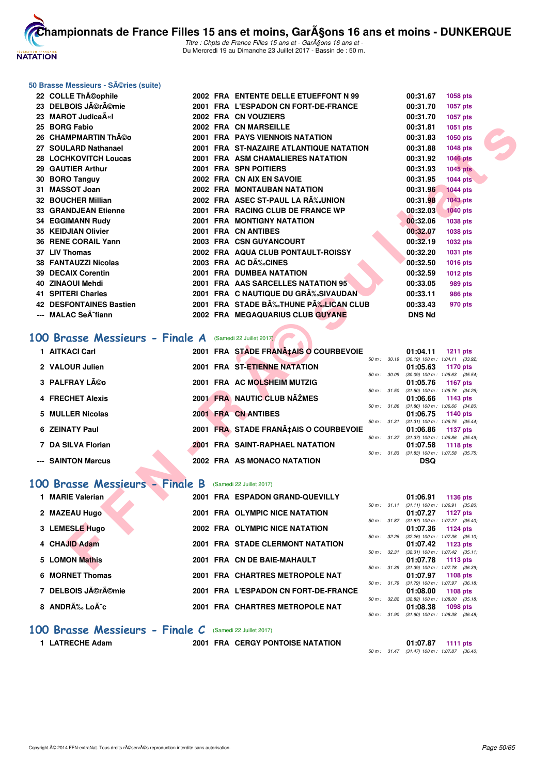

Titre : Chpts de France Filles 15 ans et - Garçons 16 ans et -Du Mercredi 19 au Dimanche 23 Juillet 2017 - Bassin de : 50 m.

#### **50 Brasse Messieurs - Séries (suite)**

| 22 COLLE ThA©ophile                                     |  | 2002 FRA ENTENTE DELLE ETUEFFONT N 99   |              | 00:31.67                                                 | 1058 pts        |  |
|---------------------------------------------------------|--|-----------------------------------------|--------------|----------------------------------------------------------|-----------------|--|
| 23 DELBOIS Jĩrĩmie                                      |  | 2001 FRA L'ESPADON CN FORT-DE-FRANCE    |              | 00:31.70                                                 | 1057 pts        |  |
| 23 MAROT JudicaA«I                                      |  | 2002 FRA CN VOUZIERS                    |              | 00:31.70                                                 | 1057 pts        |  |
| 25 BORG Fabio                                           |  | 2002 FRA CN MARSEILLE                   |              | 00:31.81                                                 | 1051 pts        |  |
| 26 CHAMPMARTIN Théo                                     |  | <b>2001 FRA PAYS VIENNOIS NATATION</b>  |              | 00:31.83                                                 | 1050 pts        |  |
| 27 SOULARD Nathanael                                    |  | 2001 FRA ST-NAZAIRE ATLANTIQUE NATATION |              | 00:31.88                                                 | <b>1048 pts</b> |  |
| 28 LOCHKOVITCH Loucas                                   |  | 2001 FRA ASM CHAMALIERES NATATION       |              | 00:31.92                                                 | <b>1046 pts</b> |  |
| 29 GAUTIER Arthur                                       |  | 2001 FRA SPN POITIERS                   |              | 00:31.93                                                 | <b>1045 pts</b> |  |
| 30 BORO Tanguy                                          |  | 2002 FRA CN AIX EN SAVOIE               |              | 00:31.95                                                 | <b>1044 pts</b> |  |
| 31 MASSOT Joan                                          |  | <b>2002 FRA MONTAUBAN NATATION</b>      |              | 00:31.96                                                 | <b>1044 pts</b> |  |
| 32 BOUCHER Millian                                      |  | 2002 FRA ASEC ST-PAUL LA RA‰UNION       |              | 00:31.98                                                 | <b>1043 pts</b> |  |
| <b>33 GRANDJEAN Etienne</b>                             |  | 2001 FRA RACING CLUB DE FRANCE WP       |              | 00:32.03                                                 | <b>1040 pts</b> |  |
| <b>34 EGGIMANN Rudy</b>                                 |  | 2001 FRA MONTIGNY NATATION              |              | 00:32.06                                                 | 1038 pts        |  |
| 35 KEIDJIAN Olivier                                     |  | 2001 FRA CN ANTIBES                     |              | 00:32.07                                                 | <b>1038 pts</b> |  |
| 36 RENE CORAIL Yann                                     |  | 2003 FRA CSN GUYANCOURT                 |              | 00:32.19                                                 | <b>1032 pts</b> |  |
| 37 LIV Thomas                                           |  | 2002 FRA AQUA CLUB PONTAULT-ROISSY      |              | 00:32.20                                                 | 1031 pts        |  |
| 38 FANTAUZZI Nicolas                                    |  | 2003 FRA AC DÉCINES                     |              | 00:32.50                                                 | 1016 pts        |  |
| 39 DECAIX Corentin                                      |  | 2001 FRA DUMBEA NATATION                |              | 00:32.59                                                 | 1012 pts        |  |
| 40 ZINAOUI Mehdi                                        |  | 2001 FRA AAS SARCELLES NATATION 95      |              | 00:33.05                                                 | 989 pts         |  |
| 41 SPITERI Charles                                      |  | 2001 FRA C NAUTIQUE DU GR‰SIVAUDAN      |              | 00:33.11                                                 | <b>986 pts</b>  |  |
| <b>42 DESFONTAINES Bastien</b>                          |  | 2001 FRA STADE B‰THUNE P‰LICAN CLUB     |              | 00:33.43                                                 | 970 pts         |  |
| --- MALAC SeÂ <sup>-</sup> fiann                        |  | 2002 FRA MEGAQUARIUS CLUB GUYANE        |              | <b>DNS Nd</b>                                            |                 |  |
|                                                         |  |                                         |              |                                                          |                 |  |
| 00 Brasse Messieurs - Finale A (Samedi 22 Juillet 2017) |  |                                         |              |                                                          |                 |  |
| 1 AITKACI Carl                                          |  | 2001 FRA STADE FRANA‡AIS O COURBEVOIE   |              | 01:04.11                                                 |                 |  |
|                                                         |  |                                         | 50 m : 30.19 | $(30.19)$ 100 m : 1:04.11 $(33.92)$                      | <b>1211 pts</b> |  |
| 2 VALOUR Julien                                         |  | 2001 FRA ST-ETIENNE NATATION            |              | 01:05.63                                                 | 1170 pts        |  |
| 3 PALFRAY Léo                                           |  | 2001 FRA AC MOLSHEIM MUTZIG             |              | 50 m : 30.09 (30.09) 100 m : 1:05.63 (35.54)<br>01:05.76 | <b>1167 pts</b> |  |
|                                                         |  |                                         |              | 50 m: 31.50 (31.50) 100 m: 1:05.76 (34.26)               |                 |  |
| <b>4 FRECHET Alexis</b>                                 |  | 2001 FRA NAUTIC CLUB NAŽMES             |              | 01:06.66                                                 | 1143 pts        |  |
| 5 MULLER Nicolas                                        |  | 2001 FRA CN ANTIBES                     |              | 50 m: 31.86 (31.86) 100 m: 1:06.66 (34.80)<br>01:06.75   | 1140 pts        |  |
|                                                         |  |                                         | 50 m : 31.31 | $(31.31)$ 100 m : 1:06.75 $(35.44)$                      |                 |  |
| <b>6 ZEINATY Paul</b>                                   |  | 2001 FRA STADE FRANA‡AIS O COURBEVOIE   |              | 01:06.86                                                 | <b>1137 pts</b> |  |
| 7 DA SILVA Florian                                      |  | <b>2001 FRA SAINT-RAPHAEL NATATION</b>  |              | 50 m: 31.37 (31.37) 100 m: 1:06.86 (35.49)<br>01:07.58   | <b>1118 pts</b> |  |
|                                                         |  |                                         |              | 50 m: 31.83 (31.83) 100 m: 1:07.58 (35.75)               |                 |  |
| --- SAINTON Marcus                                      |  | 2002 FRA AS MONACO NATATION             |              | <b>DSQ</b>                                               |                 |  |
|                                                         |  |                                         |              |                                                          |                 |  |
| 00 Brasse Messieurs - Finale B                          |  | (Samedi 22 Juillet 2017)                |              |                                                          |                 |  |
| 1 MARIE Valerian                                        |  | 2001 FRA ESPADON GRAND-QUEVILLY         |              | 01:06.91                                                 | 1136 pts        |  |
|                                                         |  |                                         |              | 50 m: 31.11 (31.11) 100 m: 1:06.91 (35.80)               |                 |  |
| 2 MAZEAU Hugo                                           |  | 2001 FRA OLYMPIC NICE NATATION          |              | 01:07.27<br>50 m: 31.87 (31.87) 100 m: 1:07.27 (35.40)   | 1127 pts        |  |
| 3 LEMESLE Hugo                                          |  | 2002 FRA OLYMPIC NICE NATATION          |              | 01:07.36                                                 | 1124 pts        |  |
|                                                         |  |                                         | 50 m : 32.26 | $(32.26)$ 100 m : 1:07.36 $(35.10)$                      |                 |  |
| 4 CHAJID Adam                                           |  | 2001 FRA STADE CLERMONT NATATION        |              | 01:07.42<br>50 m: 32.31 (32.31) 100 m: 1:07.42 (35.11)   | 1123 pts        |  |
| 5 LOMON Mathis                                          |  | 2001 FRA CN DE BAIE-MAHAULT             |              | 01:07.78                                                 | 1113 pts        |  |
|                                                         |  |                                         |              |                                                          |                 |  |

#### **[100 Brasse Messieurs - Finale A](http://www.ffnatation.fr/webffn/resultats.php?idact=nat&go=epr&idcpt=47485&idepr=72)** (Samedi 22 Juillet 2017)

| 1 AITKACI Carl     |  | 2001 FRA STADE FRANA‡AIS O COURBEVOIE |                          | 01:04.11                                                   | 1211 $pts$ |
|--------------------|--|---------------------------------------|--------------------------|------------------------------------------------------------|------------|
| 2 VALOUR Julien    |  | 2001 FRA ST-ETIENNE NATATION          | $50 \text{ m}$ : $30.19$ | $(30.19)$ 100 m : 1:04.11 $(33.92)$<br>$01:05.63$ 1170 pts |            |
|                    |  |                                       | 50 m: 30.09              | $(30.09)$ 100 m : 1:05.63 $(35.54)$                        |            |
| 3 PALFRAY Léo      |  | 2001 FRA AC MOLSHEIM MUTZIG           | 50 m: 31.50              | 01:05.76 1167 pts<br>$(31.50)$ 100 m : 1:05.76 $(34.26)$   |            |
| 4 FRECHET Alexis   |  | 2001 FRA NAUTIC CLUB NAŽMES           | 50 m: 31.86              | $01:06.66$ 1143 pts<br>$(31.86)$ 100 m : 1:06.66 $(34.80)$ |            |
| 5 MULLER Nicolas   |  | 2001 FRA CN ANTIBES                   |                          | 01:06.75 1140 pts                                          |            |
| 6 ZEINATY Paul     |  | 2001 FRA STADE FRANA‡AIS O COURBEVOIE | 50 m: 31.31              | $(31.31)$ 100 m : 1:06.75 $(35.44)$<br>01:06.86 1137 pts   |            |
|                    |  |                                       | 50 m: 31.37              | (31.37) 100 m: 1:06.86 (35.49)                             |            |
| 7 DA SILVA Florian |  | 2001 FRA SAINT-RAPHAEL NATATION       | $50 \text{ m}$ : 31.83   | 01:07.58 1118 pts<br>$(31.83)$ 100 m : 1:07.58 $(35.75)$   |            |
| --- SAINTON Marcus |  | 2002 FRA AS MONACO NATATION           |                          | <b>DSQ</b>                                                 |            |

#### **[100 Brasse Messieurs - Finale B](http://www.ffnatation.fr/webffn/resultats.php?idact=nat&go=epr&idcpt=47485&idepr=72)** (Samedi 22 Juillet 2017)

| <b>MARIE Valerian</b> | 2001 FRA ESPADON GRAND-QUEVILLY      |                          | 01:06.91<br>1136 pts                                          |
|-----------------------|--------------------------------------|--------------------------|---------------------------------------------------------------|
| 2 MAZEAU Hugo         | 2001 FRA OLYMPIC NICE NATATION       | $50 \text{ m}$ : 31.11   | $(31.11)$ 100 m : 1:06.91 $(35.80)$<br>01:07.27<br>1127 pts   |
| 3 LEMESLE Hugo        | 2002 FRA OLYMPIC NICE NATATION       | $50 m$ : $31.87$         | $(31.87)$ 100 m : 1:07.27 $(35.40)$<br>01:07.36<br>1124 $pts$ |
| 4 CHAJID Adam         | 2001 FRA STADE CLERMONT NATATION     | $50 \text{ m}$ : 32.26   | $(32.26)$ 100 m : 1:07.36 $(35.10)$<br>01:07.42<br>1123 pts   |
| 5 LOMON Mathis        | 2001 FRA CN DE BAIE-MAHAULT          | 50 m: 32.31              | $(32.31)$ 100 m : 1:07.42 $(35.11)$<br>01:07.78<br>1113 $pts$ |
| 6 MORNET Thomas       | 2001 FRA CHARTRES METROPOLE NAT      | 50 m: 31.39              | $(31.39)$ 100 m : 1:07.78 $(36.39)$<br>01:07.97<br>1108 pts   |
| 7 DELBOIS Jérémie     | 2001 FRA L'ESPADON CN FORT-DE-FRANCE | 50 m: 31.79              | $(31.79)$ 100 m : 1:07.97 $(36.18)$<br>01:08.00<br>1108 pts   |
| 8 ANDRÉ Loà c         | 2001 FRA CHARTRES METROPOLE NAT      | $50 \text{ m}$ : $32.82$ | $(32.82)$ 100 m : 1:08.00 $(35.18)$<br>01:08.38<br>1098 pts   |
|                       |                                      | 50 m : 31.90             | $(31.90)$ 100 m : 1:08.38 $(36.48)$                           |

#### **[100 Brasse Messieurs - Finale C](http://www.ffnatation.fr/webffn/resultats.php?idact=nat&go=epr&idcpt=47485&idepr=72)** (Samedi 22 Juillet 2017)

**1 LATRECHE Adam 2001 FRA CERGY PONTOISE NATATION 01:07.87 1111 pts**

50 m : 31.47 (31.47) 100 m : 1:07.87 (36.40)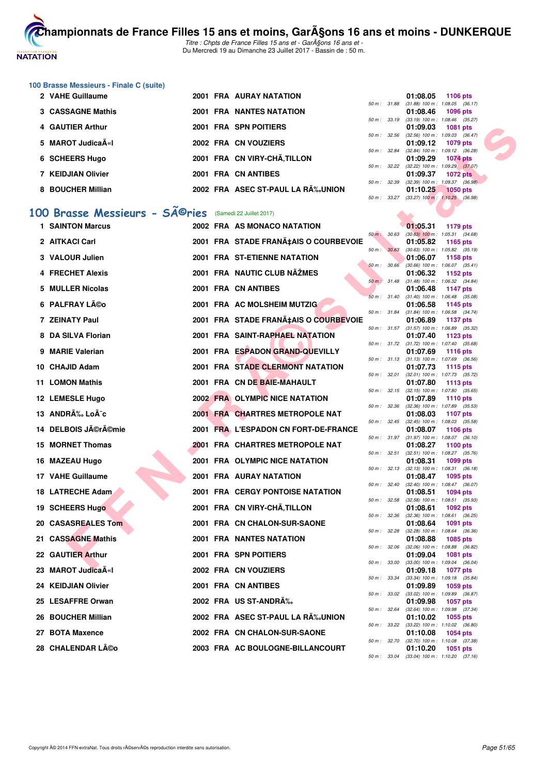

**100 Brasse Messieurs - Finale C (suite)**

| 2 VAHE Guillaume         |  | <b>2001 FRA AURAY NATATION</b>   |                          | 01:08.05                                                          | 1106 pts        |  |
|--------------------------|--|----------------------------------|--------------------------|-------------------------------------------------------------------|-----------------|--|
|                          |  |                                  | 50 m: 31.88              | $(31.88)$ 100 m : 1:08.05 (36.                                    |                 |  |
| <b>3 CASSAGNE Mathis</b> |  | <b>2001 FRA NANTES NATATION</b>  |                          | 01:08.46                                                          | 1096 pts        |  |
|                          |  |                                  | $50 \text{ m}$ : 33.19   | $(33.19)$ 100 m : 1:08.46 $(35.$                                  |                 |  |
| 4 GAUTIER Arthur         |  | 2001 FRA SPN POITIERS            |                          | 01:09.03                                                          | 1081 pts        |  |
|                          |  |                                  | 50 m: 32.56              | $(32.56)$ 100 m : 1:09.03 (36.                                    |                 |  |
| 5 MAROT Judica A«I       |  | 2002 FRA CN VOUZIERS             |                          | 01:09.12 1079 pts                                                 |                 |  |
|                          |  |                                  | $50 \text{ m}$ : 32.84   | $(32.84)$ 100 m : 1:09.12 (36.                                    |                 |  |
| 6 SCHEERS Hugo           |  | 2001 FRA CN VIRY-CHÃ.TILLON      |                          | 01:09.29                                                          | 1074 pts        |  |
|                          |  |                                  | $50 \text{ m}$ : $32.22$ | (32.22) 100 m : 1:09.29 (37.                                      |                 |  |
| 7 KEIDJIAN Olivier       |  | 2001 FRA CN ANTIBES              |                          | 01:09.37                                                          | <b>1072 pts</b> |  |
|                          |  |                                  | $50 \text{ m}$ : 32.39   | $(32.39)$ 100 m : 1:09.37 (36.                                    |                 |  |
| 8 BOUCHER Millian        |  | 2002 FRA ASEC ST-PAUL LA RÉUNION |                          | 01:10.25                                                          | 1050 pts        |  |
|                          |  |                                  |                          | $50 \text{ m}$ $33.27$ $(33.27)$ $100 \text{ m}$ $1.10.25$ $(36)$ |                 |  |

# 100 Brasse Messieurs - SÃ<sup>©</sup>ries (Samedi 22 Juillet 2017)

| 4 GAUTIER Arthur                           |  | 2001 FRA SPN POITIERS                   |              | 01:09.03 | <b>1081 pts</b>                                        |  |
|--------------------------------------------|--|-----------------------------------------|--------------|----------|--------------------------------------------------------|--|
| 5 MAROT JudicaA«I                          |  | 2002 FRA CN VOUZIERS                    | 50 m: 32.56  | 01:09.12 | $(32.56)$ 100 m : 1:09.03 $(36.47)$<br>1079 pts        |  |
| 6 SCHEERS Hugo                             |  | 2001 FRA CN VIRY-CHA, TILLON            | 50 m : 32.84 | 01:09.29 | $(32.84)$ 100 m : 1:09.12 $(36.28)$<br><b>1074 pts</b> |  |
|                                            |  |                                         | 50 m: 32.22  |          | $(32.22)$ 100 m : 1:09.29 $(37.07)$                    |  |
| 7 KEIDJIAN Olivier                         |  | 2001 FRA CN ANTIBES                     | 50 m : 32.39 | 01:09.37 | <b>1072 pts</b><br>$(32.39)$ 100 m : 1:09.37 $(36.98)$ |  |
| 8 BOUCHER Millian                          |  | 2002 FRA ASEC ST-PAUL LA R‰UNION        | 50 m : 33.27 | 01:10.25 | <b>1050 pts</b><br>$(33.27)$ 100 m : 1:10.25 $(36.98)$ |  |
|                                            |  |                                         |              |          |                                                        |  |
| 00 Brasse Messieurs - SÃ <sup>©</sup> ries |  | (Samedi 22 Juillet 2017)                |              |          |                                                        |  |
| <b>1 SAINTON Marcus</b>                    |  | 2002 FRA AS MONACO NATATION             | 50 m : 30.63 | 01:05.31 | 1179 pts<br>$(30.63)$ 100 m : 1:05.31 $(34.68)$        |  |
| 2 AITKACI Carl                             |  | 2001 FRA STADE FRANA‡AIS O COURBEVOIE   | 50 m : 30.63 | 01:05.82 | 1165 pts<br>$(30.63)$ 100 m : 1:05.82 $(35.19)$        |  |
| 3 VALOUR Julien                            |  | 2001 FRA ST-ETIENNE NATATION            | 50 m: 30.66  | 01:06.07 | 1158 pts<br>$(30.66)$ 100 m : 1:06.07 $(35.41)$        |  |
| 4 FRECHET Alexis                           |  | 2001 FRA NAUTIC CLUB NAŽMES             | 50 m : 31.48 | 01:06.32 | 1152 pts<br>$(31.48)$ 100 m : 1:06.32 $(34.84)$        |  |
| 5 MULLER Nicolas                           |  | 2001 FRA CN ANTIBES                     |              | 01:06.48 | <b>1147 pts</b>                                        |  |
| 6 PALFRAY Léo                              |  | 2001 FRA AC MOLSHEIM MUTZIG             | 50 m: 31.40  | 01:06.58 | $(31.40)$ 100 m : 1:06.48 $(35.08)$<br>1145 pts        |  |
|                                            |  |                                         | 50 m : 31.84 |          | $(31.84)$ 100 m : 1:06.58 $(34.74)$                    |  |
| 7 ZEINATY Paul                             |  | 2001 FRA STADE FRANA‡AIS O COURBEVOIE   | 50 m: 31.57  | 01:06.89 | 1137 pts<br>$(31.57)$ 100 m : 1:06.89 $(35.32)$        |  |
| 8 DA SILVA Florian                         |  | 2001 FRA SAINT-RAPHAEL NATATION         |              | 01:07.40 | 1123 pts                                               |  |
| 9 MARIE Valerian                           |  | 2001 FRA ESPADON GRAND-QUEVILLY         | 50 m: 31.72  | 01:07.69 | $(31.72)$ 100 m : 1:07.40 $(35.68)$<br><b>1116 pts</b> |  |
| 10 CHAJID Adam                             |  | <b>2001 FRA STADE CLERMONT NATATION</b> | 50 m: 31.13  | 01:07.73 | $(31.13)$ 100 m : 1:07.69 $(36.56)$<br>1115 pts        |  |
| <b>11 LOMON Mathis</b>                     |  | 2001 FRA CN DE BAIE-MAHAULT             | 50 m: 32.01  | 01:07.80 | (32.01) 100 m: 1:07.73 (35.72)<br>1113 pts             |  |
|                                            |  |                                         |              |          | 50 m: 32.15 (32.15) 100 m: 1:07.80 (35.65)             |  |
| 12 LEMESLE Hugo                            |  | 2002 FRA OLYMPIC NICE NATATION          | 50 m: 32.36  | 01:07.89 | <b>1110 pts</b><br>$(32.36)$ 100 m : 1:07.89 $(35.53)$ |  |
| 13 ANDRÉ LoÃ <sup>-</sup> c                |  | 2001 FRA CHARTRES METROPOLE NAT         | 50 m: 32.45  | 01:08.03 | 1107 pts<br>$(32.45)$ 100 m : 1:08.03 $(35.58)$        |  |
| 14 DELBOIS Jérémie                         |  | 2001 FRA L'ESPADON CN FORT-DE-FRANCE    |              | 01:08.07 | <b>1106 pts</b>                                        |  |
| 15 MORNET Thomas                           |  | <b>2001 FRA CHARTRES METROPOLE NAT</b>  | 50 m: 31.97  | 01:08.27 | $(31.97)$ 100 m : 1:08.07 $(36.10)$<br>1100 pts        |  |
| 16 MAZEAU Hugo                             |  | 2001 FRA OLYMPIC NICE NATATION          | 50 m: 32.51  | 01:08.31 | $(32.51)$ 100 m : 1:08.27 $(35.76)$<br>1099 pts        |  |
| 17 VAHE Guillaume                          |  | <b>2001 FRA AURAY NATATION</b>          | 50 m : 32.13 | 01:08.47 | $(32.13)$ 100 m : 1:08.31 $(36.18)$                    |  |
|                                            |  |                                         | 50 m : 32.40 |          | 1095 pts<br>$(32.40)$ 100 m : 1:08.47 $(36.07)$        |  |
| 18 LATRECHE Adam                           |  | <b>2001 FRA CERGY PONTOISE NATATION</b> | 50 m: 32.58  | 01:08.51 | <b>1094 pts</b><br>$(32.58)$ 100 m : 1:08.51 $(35.93)$ |  |
| 19 SCHEERS Hugo                            |  | 2001 FRA CN VIRY-CHÃ, TILLON            |              | 01:08.61 | 1092 pts                                               |  |
| 20 CASASREALES Tom                         |  | 2001 FRA CN CHALON-SUR-SAONE            | 50 m: 32.36  | 01:08.64 | $(32.36)$ 100 m : 1:08.61 $(36.25)$<br>1091 pts        |  |
| 21 CASSAGNE Mathis                         |  | 2001 FRA NANTES NATATION                |              | 01:08.88 | 50 m: 32.28 (32.28) 100 m: 1:08.64 (36.36)<br>1085 pts |  |
| 22 GAUTIER Arthur                          |  | 2001 FRA SPN POITIERS                   | 50 m: 32.06  | 01:09.04 | (32.06) 100 m : 1:08.88 (36.82)<br>1081 pts            |  |
| 23 MAROT JudicaA«I                         |  | 2002 FRA CN VOUZIERS                    | 50 m : 33.00 | 01:09.18 | $(33.00)$ 100 m : 1:09.04 $(36.04)$<br><b>1077 pts</b> |  |
| 24 KEIDJIAN Olivier                        |  | 2001 FRA CN ANTIBES                     | 50 m : 33.34 | 01:09.89 | (33.34) 100 m: 1:09.18 (35.84)<br>1059 pts             |  |
| 25 LESAFFRE Orwan                          |  | 2002 FRA US ST-ANDRA%                   | 50 m: 33.02  | 01:09.98 | $(33.02)$ 100 m : 1:09.89 $(36.87)$<br><b>1057 pts</b> |  |
|                                            |  |                                         | 50 m : 32.64 |          | $(32.64)$ 100 m : 1:09.98 $(37.34)$                    |  |
| 26 BOUCHER Millian                         |  | 2002 FRA ASEC ST-PAUL LA R‰UNION        | 50 m: 33.22  | 01:10.02 | 1055 pts<br>$(33.22)$ 100 m : 1:10.02 $(36.80)$        |  |
| 27 BOTA Maxence                            |  | 2002 FRA CN CHALON-SUR-SAONE            | 50 m : 32.70 | 01:10.08 | 1054 pts<br>(32.70) 100 m: 1:10.08 (37.38)             |  |
| 28 CHALENDAR Léo                           |  | 2003 FRA AC BOULOGNE-BILLANCOURT        |              | 01:10.20 | 1051 pts                                               |  |

|             |       | 01:08.05                            | 1106 pts            |  |
|-------------|-------|-------------------------------------|---------------------|--|
| $50 m$ :    | 31.88 | $(31.88) 100 m$ :                   | $1:08.05$ (36.17)   |  |
|             |       | 01:08.46                            | <b>1096 pts</b>     |  |
| $50 m$ :    | 33.19 | $(33.19)$ 100 m :                   | 1:08.46 (35.27)     |  |
|             |       | 01:09.03                            | <b>1081 pts</b>     |  |
| 50 m: 32.56 |       | $(32.56)$ 100 m :                   | 1:09.03 (36.47)     |  |
|             |       | 01:09.12 1079 pts                   |                     |  |
| 50 m: 32.84 |       | $(32.84)$ 100 m :                   | $1:09.12$ $(36.28)$ |  |
|             |       | 01:09.29 1074 pts                   |                     |  |
| 50 m :      | 32.22 | $(32.22)$ 100 m : 1:09.29 $(37.07)$ |                     |  |
|             |       | 01:09.37                            | <b>1072 pts</b>     |  |
| 50 m :      | 32.39 | $(32.39)$ 100 m : 1:09.37 $(36.98)$ |                     |  |
|             |       | 01:10.25 1050 pts                   |                     |  |
| $50 m$ :    | 33.27 | $(33.27)$ 100 m : 1:10.25 $(36.98)$ |                     |  |
|             |       |                                     |                     |  |

|    |          |       | 01:05.31                      | 1179 pts                          |
|----|----------|-------|-------------------------------|-----------------------------------|
|    | $50 m$ : | 30.63 | $(30.63) 100 m$ :             | 1:05.31<br>(34.68)                |
| ١E |          |       | 01:05.82                      | 1165 pts                          |
|    | $50 m$ : | 30.63 | $(30.63)$ 100 m :             | 1:05.82<br>(35.19)                |
|    |          |       | 01:06.07                      | 1158 pts                          |
|    | $50 m$ : | 30.66 | $(30.66)$ 100 m :             | 1:06.07<br>(35.41)                |
|    |          |       | 01:06.32                      | 1152 pts                          |
|    | $50 m$ : | 31.48 | $(31.48) 100 m$ :             | 1:06.32<br>(34.84)                |
|    |          |       | 01:06.48                      | 1147 pts                          |
|    | $50 m$ : | 31.40 | $(31.40) 100 m$ :             | (35.08)<br>1:06.48                |
|    |          |       | 01:06.58                      | 1145 pts                          |
|    | $50 m$ : | 31.84 | $(31.84) 100 m$ :             | 1:06.58<br>(34.74)                |
| ١E |          |       | 01:06.89                      | 1137 pts                          |
|    | $50 m$ : | 31.57 | $(31.57) 100 m$ :             | 1:06.89<br>(35.32)                |
|    |          |       | 01:07.40                      | 1123 pts                          |
|    | $50 m$ : | 31.72 | $(31.72)$ 100 m :             | 1:07.40<br>(35.68)                |
|    |          |       | 01:07.69                      | <b>1116 pts</b>                   |
|    | $50 m$ : | 31.13 | $(31.13) 100 m$ :             | 1:07.69<br>(36.56)                |
|    |          |       | 01:07.73                      | 1115 pts                          |
|    | $50 m$ : | 32.01 | $(32.01)$ 100 m :             | 1:07.73<br>(35.72)                |
|    | $50 m$ : | 32.15 | 01:07.80<br>$(32.15)$ 100 m : | 1113 pts<br>(35.65)               |
|    |          |       | 01:07.89                      | 1:07.80                           |
|    | $50 m$ : | 32.36 | $(32.36)$ 100 m :             | 1110 pts<br>1:07.89<br>(35.53)    |
|    |          |       | 01:08.03                      | 1107 pts                          |
|    | $50 m$ : | 32.45 | $(32.45)$ 100 m :             | 1:08.03<br>(35.58)                |
|    |          |       | 01:08.07                      | 1106 pts                          |
|    | $50 m$ : | 31.97 | $(31.97) 100 m$ :             | 1:08.07<br>(36.10)                |
|    |          |       | 01:08.27                      | 1100 pts                          |
|    | $50 m$ : | 32.51 | $(32.51)$ 100 m :             | 1:08.27<br>(35.76)                |
|    |          |       | 01:08.31                      | 1099 pts                          |
|    | $50 m$ : | 32.13 | $(32.13) 100 m$ :             | 1:08.31<br>(36.18)                |
|    |          |       | 01:08.47                      | 1095 pts                          |
|    | $50 m$ : | 32.40 | $(32.40)$ 100 m :             | 1:08.47<br>(36.07)                |
|    |          |       | 01:08.51                      | 1094 pts                          |
|    | $50 m$ : | 32.58 | $(32.58)$ 100 m :             | 1:08.51<br>(35.93)                |
|    |          |       | 01:08.61                      | 1092 pts                          |
|    | $50 m$ : | 32.36 | $(32.36)$ 100 m :             | (36.25)<br>1:08.61                |
|    |          |       | 01:08.64                      | 1091<br>pts                       |
|    | $50 m$ : | 32.28 | $(32.28) 100 m$ :             | 1:08.64<br>(36.36)                |
|    |          |       | 01:08.88                      | 1085<br>pts                       |
|    | $50 m$ : | 32.06 | $(32.06)$ 100 m :             | 1:08.88<br>(36.82)                |
|    |          |       | 01:09.04                      | 1081 pts                          |
|    | $50 m$ : | 33.00 | $(33.00)$ 100 m :             | 1:09.04<br>(36.04)                |
|    |          |       | 01:09.18                      | 1077<br>pts                       |
|    | $50 m$ : | 33.34 | $(33.34) 100 m$ :             | 1:09.18<br>(35.84)                |
|    |          |       | 01:09.89                      | 1059<br>pts                       |
|    | $50 m$ : | 33.02 | $(33.02)$ 100 m :             | 1:09.89<br>(36.87)                |
|    |          |       | 01:09.98                      | 1057<br>pts                       |
|    | $50 m$ : | 32.64 | $(32.64) 100 m$ :             | (37.34)<br>1:09.98                |
|    |          |       | 01:10.02                      | 1055<br>pts                       |
|    | $50 m$ : | 33.22 | $(33.22)$ 100 m :             | 1:10.02<br>(36.80)                |
|    | $50 m$ : | 32.70 | 01:10.08<br>$(32.70)$ 100 m : | 1054 pts<br>1:10.08<br>(37.38)    |
|    |          |       | 01:10.20                      |                                   |
|    | $50 m$ : | 33.04 | $(33.04)$ 100 m :             | 1051<br>pts<br>1:10.20<br>(37.16) |
|    |          |       |                               |                                   |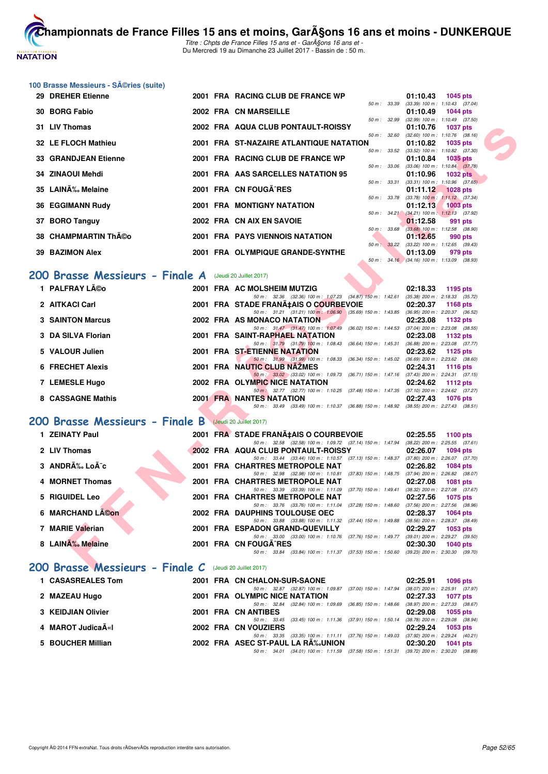

Titre : Chpts de France Filles 15 ans et - GarA§ons 16 ans et -Du Mercredi 19 au Dimanche 23 Juillet 2017 - Bassin de : 50 m.

| 100 Brasse Messieurs - SA©ries (suite) |  |  |  |
|----------------------------------------|--|--|--|
|----------------------------------------|--|--|--|

| 29 DREHER Etienne                                         |  | 2001 FRA RACING CLUB DE FRANCE WP                                                                                                 | 01:10.43<br>1045 pts                                               |
|-----------------------------------------------------------|--|-----------------------------------------------------------------------------------------------------------------------------------|--------------------------------------------------------------------|
| 30 BORG Fabio                                             |  | 50 m: 33.39<br>2002 FRA CN MARSEILLE                                                                                              | $(33.39)$ 100 m : 1:10.43 $(37.04)$<br>01:10.49<br><b>1044 pts</b> |
| 31 LIV Thomas                                             |  | 50 m: 32.99<br>2002 FRA AQUA CLUB PONTAULT-ROISSY                                                                                 | $(32.99)$ 100 m : 1:10.49 $(37.50)$                                |
|                                                           |  | 50 m: 32.60                                                                                                                       | 01:10.76<br><b>1037 pts</b><br>$(32.60)$ 100 m : 1:10.76 $(38.16)$ |
| 32 LE FLOCH Mathieu                                       |  | 2001 FRA ST-NAZAIRE ATLANTIQUE NATATION<br>50 m: 33.52                                                                            | 01:10.82<br>1035 pts                                               |
| <b>33 GRANDJEAN Etienne</b>                               |  | 2001 FRA RACING CLUB DE FRANCE WP                                                                                                 | $(33.52)$ 100 m : 1:10.82 $(37.30)$<br>01:10.84<br>1035 pts        |
| 34 ZINAOUI Mehdi                                          |  | 50 m : 33.06<br>2001 FRA AAS SARCELLES NATATION 95                                                                                | $(33.06)$ 100 m : 1:10.84 $(37.78)$<br>01:10.96<br><b>1032 pts</b> |
|                                                           |  | 50 m: 33.31                                                                                                                       | $(33.31)$ 100 m : 1:10.96 $(37.65)$                                |
| 35 LAINÉ Melaine                                          |  | 2001 FRA CN FOUGA RES<br>50 m : 33.78                                                                                             | 01:11.12<br><b>1028 pts</b><br>$(33.78)$ 100 m : 1:11.12 $(37.34)$ |
| 36 EGGIMANN Rudy                                          |  | 2001 FRA MONTIGNY NATATION                                                                                                        | 01:12.13<br>$1003$ pts                                             |
| 37 BORO Tanguy                                            |  | $50 m$ : $34.21$<br>2002 FRA CN AIX EN SAVOIE                                                                                     | $(34.21)$ 100 m : 1:12.13 $(37.92)$<br>01:12.58<br>991 pts         |
|                                                           |  | 50 m : 33.68                                                                                                                      | $(33.68)$ 100 m : 1:12.58 $(38.90)$                                |
| 38 CHAMPMARTIN Théo                                       |  | 2001 FRA PAYS VIENNOIS NATATION<br>50 m: 33.22                                                                                    | 01:12.65<br>990 pts                                                |
| <b>39 BAZIMON Alex</b>                                    |  | 2001 FRA OLYMPIQUE GRANDE-SYNTHE                                                                                                  | (33.22) 100 m: 1:12.65 (39.43)<br>01:13.09<br>979 pts              |
|                                                           |  |                                                                                                                                   | 50 m : 34.16 (34.16) 100 m : 1:13.09 (38.93)                       |
| 200 Brasse Messieurs - Finale A (Jeudi 20 Juillet 2017)   |  |                                                                                                                                   |                                                                    |
| 1 PALFRAY Léo                                             |  | 2001 FRA AC MOLSHEIM MUTZIG                                                                                                       | 02:18.33<br>1195 pts                                               |
|                                                           |  | 50 m: 32.36 (32.36) 100 m: 1:07.23 (34.87) 150 m: 1:42.61 (35.38) 200 m: 2:18.33 (35.72)                                          |                                                                    |
| 2 AITKACI Carl                                            |  | 2001 FRA STADE FRANA‡AIS O COURBEVOIE<br>50 m: 31.21 (31.21) 100 m: 1:06.90 (35.69) 150 m: 1:43.85 (36.95) 200 m: 2:20.37 (36.52) | 02:20.37<br><b>1168 pts</b>                                        |
| <b>3 SAINTON Marcus</b>                                   |  | 2002 FRA AS MONACO NATATION                                                                                                       | 02:23.08<br>1132 pts                                               |
| 3 DA SILVA Florian                                        |  | 50 m: 31.47 (31.47) 100 m: 1:07.49 (36.02) 150 m: 1:44.53<br>2001 FRA SAINT-RAPHAEL NATATION                                      | $(37.04)$ 200 m : 2:23.08 $(38.55)$<br>02:23.08<br>1132 pts        |
|                                                           |  | 50 m: 31.79 (31.79) 100 m: 1:08.43 (36.64) 150 m: 1:45.31                                                                         | $(36.88)$ 200 m : 2:23.08 $(37.77)$                                |
| 5 VALOUR Julien                                           |  | 2001 FRA ST-ETIENNE NATATION<br>50 m : 31.99 (31.99) 100 m : 1:08.33 (36.34) 150 m : 1:45.02                                      | 02:23.62<br>1125 pts<br>$(36.69)$ 200 m : 2:23.62 $(38.60)$        |
| <b>6 FRECHET Alexis</b>                                   |  | 2001 FRA NAUTIC CLUB NAZMES                                                                                                       | 02:24.31<br>1116 pts                                               |
| 7 LEMESLE Hugo                                            |  | 50 m : 33.02 (33.02) 100 m : 1:09.73 (36.71) 150 m : 1:47.16 (37.43) 200 m : 2:24.31 (37.15)<br>2002 FRA OLYMPIC NICE NATATION    | 02:24.62<br>1112 pts                                               |
|                                                           |  | 50 m : 32.77 (32.77) 100 m : 1:10.25 (37.48) 150 m : 1:47.35 (37.10) 200 m : 2:24.62 (37.27)                                      |                                                                    |
| 8 CASSAGNE Mathis                                         |  | <b>2001 FRA NANTES NATATION</b><br>50 m: 33.49 (33.49) 100 m: 1:10.37 (36.88) 150 m: 1:48.92 (38.55) 200 m: 2:27.43 (38.51)       | 02:27.43<br><b>1076 pts</b>                                        |
|                                                           |  |                                                                                                                                   |                                                                    |
| 200 Brasse Messieurs - Finale B                           |  | (Jeudi 20 Juillet 2017)                                                                                                           |                                                                    |
| 1 ZEINATY Paul                                            |  | 2001 FRA STADE FRANA‡AIS O COURBEVOIE                                                                                             | 02:25.55<br>1100 $pts$                                             |
| 2 LIV Thomas                                              |  | 50 m : 32.58 (32.58) 100 m : 1:09.72 (37.14) 150 m : 1:47.94<br>2002 FRA AQUA CLUB PONTAULT-ROISSY                                | $(38.22)$ 200 m : 2:25.55 $(37.61)$<br>02:26.07<br>1094 pts        |
|                                                           |  | 50 m: 33.44 (33.44) 100 m: 1:10.57 (37.13) 150 m: 1:48.37 (37.80) 200 m: 2:26.07 (37.70)                                          |                                                                    |
| 3 ANDRÉ LoÃ <sup>-</sup> c                                |  | 2001 FRA CHARTRES METROPOLE NAT<br>50 m: 32.98 (32.98) 100 m: 1:10.81<br>$(37.83)$ 150 m : 1:48.75                                | 02:26.82<br><b>1084 pts</b><br>(37.94) 200 m : 2:26.82 (38.07)     |
| 4 MORNET Thomas                                           |  | 2001 FRA CHARTRES METROPOLE NAT                                                                                                   | 02:27.08<br><b>1081 pts</b>                                        |
| 5 RIGUIDEL Leo                                            |  | 50 m: 33.39 (33.39) 100 m: 1:11.09 (37.70) 150 m: 1:49.41<br>2001 FRA CHARTRES METROPOLE NAT                                      | (38.32) 200 m : 2:27.08 (37.67)<br>02:27.56<br><b>1075 pts</b>     |
|                                                           |  | 50 m : 33.76 (33.76) 100 m : 1:11.04 (37.28) 150 m : 1:48.60                                                                      | $(37.56)$ 200 m : 2:27.56 $(38.96)$                                |
| 6 MARCHAND LACON                                          |  | 2002 FRA DAUPHINS TOULOUSE OEC<br>50 m: 33.88 (33.88) 100 m: 1:11.32 (37.44) 150 m: 1:49.88 (38.56) 200 m: 2:28.37 (38.49)        | 02:28.37<br><b>1064 pts</b>                                        |
| 7 MARIE Valerian                                          |  | 2001 FRA ESPADON GRAND-QUEVILLY                                                                                                   | 02:29.27<br>1053 pts                                               |
| 8 LAINA‰ Melaine                                          |  | 50 m: 33.00 (33.00) 100 m: 1:10.76 (37.76) 150 m: 1:49.77 (39.01) 200 m: 2:29.27 (39.50)<br>2001 FRA CN FOUGA^RES                 |                                                                    |
|                                                           |  | 50 m: 33.84 (33.84) 100 m: 1:11.37 (37.53) 150 m: 1:50.60 (39.23) 200 m: 2:30.30 (39.70)                                          | 02:30.30<br><b>1040 pts</b>                                        |
| $POO$ Brasse Messieurs - Finale C (Jeudi 20 Juillet 2017) |  |                                                                                                                                   |                                                                    |

#### **[200 Brasse Messieurs - Finale A](http://www.ffnatation.fr/webffn/resultats.php?idact=nat&go=epr&idcpt=47485&idepr=73)** (Jeudi 20 Juillet 2017)

| 1 PALFRAY Léo           |  | 2001 FRA AC MOLSHEIM MUTZIG                                                              |                           | 02:18.33 | 1195 pts                            |
|-------------------------|--|------------------------------------------------------------------------------------------|---------------------------|----------|-------------------------------------|
|                         |  | 50 m: 32.36 (32.36) 100 m: 1:07.23 (34.87) 150 m: 1:42.61                                |                           |          | $(35.38)$ 200 m : 2:18.33 $(35.72)$ |
| 2 AITKACI Carl          |  | 2001 FRA STADE FRANA‡AIS O COURBEVOIE                                                    |                           | 02:20.37 | 1168 $pts$                          |
|                         |  | 50 m: 31.21 (31.21) 100 m: 1:06.90 (35.69) 150 m: 1:43.85                                |                           |          | $(36.95)$ 200 m : 2:20.37 $(36.52)$ |
| <b>3 SAINTON Marcus</b> |  | 2002 FRA AS MONACO NATATION                                                              |                           | 02:23.08 | 1132 pts                            |
|                         |  | 50 m: 31.47 (31.47) 100 m: 1:07.49                                                       | $(36.02)$ 150 m : 1:44.53 |          | $(37.04)$ 200 m : 2:23.08 $(38.55)$ |
| 3 DA SILVA Florian      |  | 2001 FRA SAINT-RAPHAEL NATATION                                                          |                           | 02:23.08 | 1132 pts                            |
|                         |  | 50 m: 31.79 (31.79) 100 m: 1:08.43                                                       | $(36.64)$ 150 m : 1:45.31 |          | $(36.88)$ 200 m : 2:23.08 $(37.77)$ |
| 5 VALOUR Julien         |  | 2001 FRA ST-ETIENNE NATATION                                                             |                           | 02:23.62 | 1125 pts                            |
|                         |  | 50 m: 31.99 (31.99) 100 m: 1:08.33                                                       | (36.34) 150 m : 1:45.02   |          | $(36.69)$ 200 m : 2:23.62 $(38.60)$ |
| 6 FRECHET Alexis        |  | 2001 FRA NAUTIC CLUB NAZMES                                                              |                           | 02:24.31 | 1116 pts                            |
|                         |  | 50 m : 33.02 (33.02) 100 m : 1:09.73                                                     | $(36.71)$ 150 m : 1:47.16 |          | $(37.43)$ 200 m : 2:24.31 $(37.15)$ |
| 7 LEMESLE Hugo          |  | 2002 FRA OLYMPIC NICE NATATION                                                           |                           | 02:24.62 | 1112 pts                            |
|                         |  | 50 m : 32.77 (32.77) 100 m : 1:10.25 (37.48) 150 m : 1:47.35                             |                           |          | $(37.10)$ 200 m : 2:24.62 $(37.27)$ |
| 8 CASSAGNE Mathis       |  | <b>2001 FRA NANTES NATATION</b>                                                          |                           | 02:27.43 | 1076 pts                            |
|                         |  | 50 m: 33.49 (33.49) 100 m: 1:10.37 (36.88) 150 m: 1:48.92 (38.55) 200 m: 2:27.43 (38.51) |                           |          |                                     |

#### **[200 Brasse Messieurs - Finale B](http://www.ffnatation.fr/webffn/resultats.php?idact=nat&go=epr&idcpt=47485&idepr=73)** (Jeudi 20 Juillet 2017)

| 1 ZEINATY Paul                                          |  | 2001 FRA STADE FRANA‡AIS O COURBEVOIE                           |                           | 02:25.55 | 1100 $pts$                          |
|---------------------------------------------------------|--|-----------------------------------------------------------------|---------------------------|----------|-------------------------------------|
|                                                         |  | 50 m: 32.58 (32.58) 100 m: 1:09.72 (37.14) 150 m: 1:47.94       |                           |          | $(38.22)$ 200 m : 2:25.55 $(37.61)$ |
| 2 LIV Thomas                                            |  | 2002 FRA AQUA CLUB PONTAULT-ROISSY                              |                           | 02:26.07 | <b>1094 pts</b>                     |
|                                                         |  | 50 m: 33.44 (33.44) 100 m: 1:10.57 (37.13) 150 m: 1:48.37       |                           |          | $(37.80)$ 200 m : 2:26.07 $(37.70)$ |
| 3 ANDRÉ Loà c                                           |  | 2001 FRA CHARTRES METROPOLE NAT                                 |                           | 02:26.82 | <b>1084 pts</b>                     |
|                                                         |  | 50 m: 32.98 (32.98) 100 m: 1:10.81 (37.83) 150 m: 1:48.75       |                           |          | $(37.94)$ 200 m : 2:26.82 $(38.07)$ |
| 4 MORNET Thomas                                         |  | 2001 FRA CHARTRES METROPOLE NAT                                 |                           | 02:27.08 | <b>1081 pts</b>                     |
|                                                         |  | 50 m: 33.39 (33.39) 100 m: 1:11.09                              | (37.70) 150 m : 1:49.41   |          | (38.32) 200 m : 2:27.08 (37.67)     |
| 5 RIGUIDEL Leo                                          |  | 2001 FRA CHARTRES METROPOLE NAT                                 |                           | 02:27.56 | 1075 pts                            |
|                                                         |  | 50 m: 33.76 (33.76) 100 m: 1:11.04                              | $(37.28)$ 150 m : 1:48.60 |          | $(37.56)$ 200 m : 2:27.56 $(38.96)$ |
| 6 MARCHAND LACON                                        |  | <b>2002 FRA DAUPHINS TOULOUSE OEC</b>                           |                           | 02:28.37 | 1064 pts                            |
|                                                         |  | 50 m: 33.88 (33.88) 100 m: 1:11.32 (37.44) 150 m: 1:49.88       |                           |          | (38.56) 200 m : 2:28.37 (38.49)     |
| 7 MARIE Valerian                                        |  | 2001 FRA ESPADON GRAND-QUEVILLY                                 |                           | 02:29.27 | $1053$ pts                          |
|                                                         |  | 50 m: 33.00 (33.00) 100 m: 1:10.76 (37.76) 150 m: 1:49.77       |                           |          | (39.01) 200 m : 2:29.27 (39.50)     |
| 8 LAINA‰ Melaine                                        |  | 2001 FRA CN FOUGA RES                                           |                           | 02:30.30 | 1040 $pts$                          |
|                                                         |  | (33.84) 100 m : 1:11.37 (37.53) 150 m : 1:50.60<br>50 m : 33.84 |                           |          | $(39.23)$ 200 m : 2:30.30 $(39.70)$ |
| 200 Brasse Messieurs - Finale C (Jeudi 20 Juillet 2017) |  |                                                                 |                           |          |                                     |
| 1 CASASREALES Tom                                       |  | 2001 FRA CN CHALON-SUR-SAONE                                    |                           | 02:25.91 | 1096 pts                            |

|                    |  |                                    |  | 50 m : 32.87 (32.87) 100 m : 1:09.87 (37.00) 150 m : 1:47.94 (38.07) 200 m : 2:25.91 (37.97) |                     |  |
|--------------------|--|------------------------------------|--|----------------------------------------------------------------------------------------------|---------------------|--|
| 2 MAZEAU Hugo      |  | 2001 FRA OLYMPIC NICE NATATION     |  |                                                                                              | 02:27.33 1077 pts   |  |
|                    |  |                                    |  | 50 m : 32.84 (32.84) 100 m : 1:09.69 (36.85) 150 m : 1:48.66 (38.97) 200 m : 2:27.33 (38.67) |                     |  |
| 3 KEIDJIAN Olivier |  | 2001 FRA CN ANTIBES                |  |                                                                                              | $02:29.08$ 1055 pts |  |
|                    |  |                                    |  | 50 m : 33.45 (33.45) 100 m : 1:11.36 (37.91) 150 m : 1:50.14 (38.78) 200 m : 2:29.08 (38.94) |                     |  |
| 4  MAROT JudicaëI  |  | 2002 FRA CN VOUZIERS               |  |                                                                                              | $02:29.24$ 1053 pts |  |
|                    |  |                                    |  | 50 m: 33.35 (33.35) 100 m: 1:11.11 (37.76) 150 m: 1:49.03 (37.92) 200 m: 2:29.24 (40.21)     |                     |  |
| 5 BOUCHER Millian  |  | 2002 FRA ASEC ST-PAUL LA RA%JUNION |  |                                                                                              | 02:30.20 1041 pts   |  |
|                    |  |                                    |  | 50 m : 34.01 (34.01) 100 m : 1:11.59 (37.58) 150 m : 1:51.31 (39.72) 200 m : 2:30.20 (38.89) |                     |  |
|                    |  |                                    |  |                                                                                              |                     |  |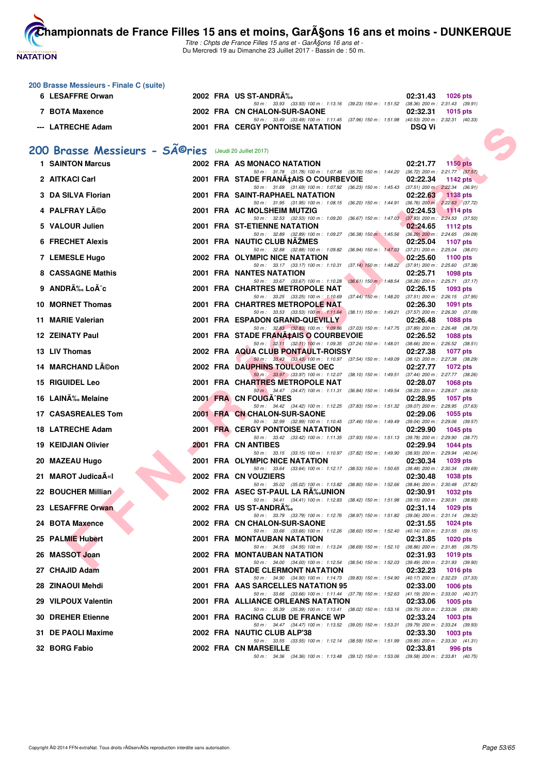**NATATION FRANÇAISE** 

**200 Brasse Messieurs - Finale C (suite)**

```
Championnats de France Filles 15 ans et moins, GarA§ons 16 ans et moins - DUNKERQUE
```
Titre : Chpts de France Filles 15 ans et - GarA§ons 16 ans et -Du Mercredi 19 au Dimanche 23 Juillet 2017 - Bassin de : 50 m.

|     | 6 LESAFFRE Orwan                                                    |  | 2002 FRA US ST-ANDRA‰                                                                                                                 | 02:31.43<br>1026 pts                                           |
|-----|---------------------------------------------------------------------|--|---------------------------------------------------------------------------------------------------------------------------------------|----------------------------------------------------------------|
|     | 7 BOTA Maxence                                                      |  | 50 m: 33.93 (33.93) 100 m: 1:13.16 (39.23) 150 m: 1:51.52 (38.36) 200 m: 2:31.43 (39.91)<br>2002 FRA CN CHALON-SUR-SAONE              | 02:32.31<br><b>1015 pts</b>                                    |
|     | --- LATRECHE Adam                                                   |  | 50 m: 33.49 (33.49) 100 m: 1:11.45 (37.96) 150 m: 1:51.98 (40.53) 200 m: 2:32.31 (40.33)<br><b>2001 FRA CERGY PONTOISE NATATION</b>   | <b>DSQ Vi</b>                                                  |
|     |                                                                     |  |                                                                                                                                       |                                                                |
|     | 200 Brasse Messieurs - SÃ <sup>©</sup> ries (Jeudi 20 Juillet 2017) |  |                                                                                                                                       |                                                                |
|     | <b>1 SAINTON Marcus</b>                                             |  | 2002 FRA AS MONACO NATATION                                                                                                           | 02:21.77 1150 pts                                              |
|     | 2 AITKACI Carl                                                      |  | 50 m: 31.78 (31.78) 100 m: 1:07.48 (35.70) 150 m: 1:44.20 (36.72) 200 m: 2:21.77 (37.57)<br>2001 FRA STADE FRANA‡AIS O COURBEVOIE     | 02:22.34<br>1142 $pts$                                         |
|     | <b>DA SILVA Florian</b>                                             |  | 50 m: 31.69 (31.69) 100 m: 1:07.92 (36.23) 150 m: 1:45.43 (37.51) 200 m: 2:22.34 (36.91)<br>2001 FRA SAINT-RAPHAEL NATATION           | 02:22.63<br><b>1138 pts</b>                                    |
|     | <b>PALFRAY Léo</b>                                                  |  | 50 m: 31.95 (31.95) 100 m: 1:08.15 (36.20) 150 m: 1:44.91 (36.76) 200 m: 2:22.63 (37.72)<br>2001 FRA AC MOLSHEIM MUTZIG               | 02:24.53<br>$1114$ pts                                         |
|     | <b>VALOUR Julien</b>                                                |  | 50 m : 32.53 (32.53) 100 m : 1:09.20 (36.67) 150 m : 1:47.03<br>2001 FRA ST-ETIENNE NATATION                                          | $(37.83)$ 200 m : 2:24.53 $(37.50)$<br>02:24.65<br>1112 $pts$  |
|     |                                                                     |  | 50 m: 32.89 (32.89) 100 m: 1:09.27 (36.38) 150 m: 1:45.56 (36.29) 200 m: 2:24.65 (39.09)                                              |                                                                |
|     | <b>6 FRECHET Alexis</b>                                             |  | 2001 FRA NAUTIC CLUB NAZMES<br>50 m: 32.88 (32.88) 100 m: 1:09.82 (36.94) 150 m: 1:47.03 (37.21) 200 m: 2:25.04 (38.01)               | 02:25.04<br>1107 pts                                           |
|     | 7 LEMESLE Hugo                                                      |  | 2002 FRA OLYMPIC NICE NATATION<br>50 m: 33.17 (33.17) 100 m: 1:10.31 (37.14) 150 m: 1:48.22 (37.91) 200 m: 2:25.60 (37.38)            | 02:25.60<br>1100 pts                                           |
|     | 8 CASSAGNE Mathis                                                   |  | <b>2001 FRA NANTES NATATION</b><br>50 m: 33.67 (33.67) 100 m: 1:10.28 (36.61) 150 m: 1:48.54 (38.26) 200 m: 2:25.71 (37.17)           | 02:25.71<br>1098 pts                                           |
| 9   | ANDRÉ LoÃ <sup>-</sup> c                                            |  | <b>2001 FRA CHARTRES METROPOLE NAT</b>                                                                                                | 02:26.15<br>1093 pts                                           |
|     | 10 MORNET Thomas                                                    |  | 50 m: 33.25 (33.25) 100 m: 1:10.69 (37.44) 150 m: 1:48.20 (37.51) 200 m: 2:26.15 (37.95)<br>2001 FRA CHARTRES METROPOLE NAT           | 02:26.30<br>1091 pts                                           |
|     | 11 MARIE Valerian                                                   |  | 50 m : 33.53 (33.53) 100 m : 1:11.64 (38.11) 150 m : 1:49.21<br><b>2001 FRA ESPADON GRAND-QUEVILLY</b>                                | (37.57) 200 m : 2:26.30 (37.09)<br>02:26.48<br><b>1088 pts</b> |
|     | <b>12 ZEINATY Paul</b>                                              |  | 50 m: 32.83 (32.83) 100 m: 1:09.86 (37.03) 150 m: 1:47.75 (37.89) 200 m: 2:26.48 (38.73)<br>2001 FRA STADE FRANA‡AIS O COURBEVOIE     | 02:26.52<br>1088 pts                                           |
|     | 13 LIV Thomas                                                       |  | 50 m: 32.11 (32.11) 100 m: 1:09.35 (37.24) 150 m: 1:48.01 (38.66) 200 m: 2:26.52 (38.51)<br>2002 FRA AQUA CLUB PONTAULT-ROISSY        | 02:27.38<br><b>1077 pts</b>                                    |
|     |                                                                     |  | 50 m : 33.43 (33.43) 100 m : 1:10.97 (37.54) 150 m : 1:49.09 (38.12) 200 m : 2:27.38 (38.29)                                          |                                                                |
| 14. | <b>MARCHAND Lĩon</b>                                                |  | <b>2002 FRA DAUPHINS TOULOUSE OEC</b><br>50 m : 33.97 (33.97) 100 m : 1:12.07 (38.10) 150 m : 1:49.51 (37.44) 200 m : 2:27.77 (38.26) | 02:27.77<br><b>1072 pts</b>                                    |
|     | 15 RIGUIDEL Leo                                                     |  | 2001 FRA CHARTRES METROPOLE NAT<br>50 m : 34.47 (34.47) 100 m : 1:11.31 (36.84) 150 m : 1:49.54 (38.23) 200 m : 2:28.07 (38.53)       | 02:28.07<br>1068 pts                                           |
|     | 16 LAINÉ Melaine                                                    |  | 2001 FRA CN FOUGA RES<br>50 m: 34.42 (34.42) 100 m: 1:12.25 (37.83) 150 m: 1:51.32 (39.07) 200 m: 2:28.95 (37.63)                     | 02:28.95<br><b>1057 pts</b>                                    |
|     | 17 CASASREALES Tom                                                  |  | 2001 FRA CN CHALON-SUR-SAONE                                                                                                          | 02:29.06<br>1055 $pts$                                         |
|     | 18 LATRECHE Adam                                                    |  | 50 m: 32.99 (32.99) 100 m: 1:10.45 (37.46) 150 m: 1:49.49 (39.04) 200 m: 2:29.06 (39.57)<br><b>2001 FRA CERGY PONTOISE NATATION</b>   | 02:29.90<br>1045 pts                                           |
| 19  | <b>KEIDJIAN Olivier</b>                                             |  | 50 m: 33.42 (33.42) 100 m: 1:11.35 (37.93) 150 m: 1:51.13 (39.78) 200 m: 2:29.90 (38.77)<br>2001 FRA CN ANTIBES                       | 02:29.94<br><b>1044 pts</b>                                    |
|     | 20 MAZEAU Hugo                                                      |  | 50 m: 33.15 (33.15) 100 m: 1:10.97 (37.82) 150 m: 1:49.90 (38.93) 200 m: 2:29.94 (40.04)<br>2001 FRA OLYMPIC NICE NATATION            | 02:30.34<br>1039 pts                                           |
| 21. | <b>MAROT JudicaA«I</b>                                              |  | 50 m: 33.64 (33.64) 100 m: 1:12.17 (38.53) 150 m: 1:50.65 (38.48) 200 m: 2:30.34 (39.69)<br>2002 FRA CN VOUZIERS                      | 02:30.48<br>1038 pts                                           |
|     |                                                                     |  | 50 m : 35.02 (35.02) 100 m : 1:13.82 (38.80) 150 m : 1:52.66 (38.84) 200 m : 2:30.48 (37.82)                                          |                                                                |
|     | 22 BOUCHER Millian                                                  |  | 2002 FRA ASEC ST-PAUL LA RA‰UNION<br>50 m: 34.41 (34.41) 100 m: 1:12.83 (38.42) 150 m: 1:51.98 (39.15) 200 m: 2:30.91 (38.93)         | 02:30.91<br>1032 pts                                           |
|     | 23 LESAFFRE Orwan                                                   |  | 2002 FRA US ST-ANDRA‰<br>50 m: 33.79 (33.79) 100 m: 1:12.76 (38.97) 150 m: 1:51.82 (39.06) 200 m: 2:31.14 (39.32)                     | 1029 pts<br>02:31.14                                           |
|     | 24 BOTA Maxence                                                     |  | 2002 FRA CN CHALON-SUR-SAONE<br>50 m: 33.66 (33.66) 100 m: 1:12.26 (38.60) 150 m: 1:52.40 (40.14) 200 m: 2:31.55 (39.15)              | 02:31.55<br>1024 pts                                           |
| 25. | <b>PALMIE Hubert</b>                                                |  | 2001 FRA MONTAUBAN NATATION<br>50 m : 34.55 (34.55) 100 m : 1:13.24 (38.69) 150 m : 1:52.10                                           | 02:31.85<br>1020 pts<br>$(38.86)$ 200 m : 2:31.85 $(39.75)$    |
|     | 26 MASSOT Joan                                                      |  | 2002 FRA MONTAUBAN NATATION                                                                                                           | 02:31.93<br>1019 pts                                           |
|     | 27 CHAJID Adam                                                      |  | 50 m : 34.00 (34.00) 100 m : 1:12.54 (38.54) 150 m : 1:52.03 (39.49) 200 m : 2:31.93 (39.90)<br>2001 FRA STADE CLERMONT NATATION      | 02:32.23<br><b>1016 pts</b>                                    |
|     | 28 ZINAOUI Mehdi                                                    |  | 50 m: 34.90 (34.90) 100 m: 1:14.73 (39.83) 150 m: 1:54.90 (40.17) 200 m: 2:32.23 (37.33)<br>2001 FRA AAS SARCELLES NATATION 95        | 02:33.00<br>1006 pts                                           |
|     | 29 VILPOUX Valentin                                                 |  | 50 m : 33.66 (33.66) 100 m : 1:11.44 (37.78) 150 m : 1:52.63 (41.19) 200 m : 2:33.00 (40.37)<br>2001 FRA ALLIANCE ORLEANS NATATION    | 02:33.06<br>1005 pts                                           |
|     |                                                                     |  | 50 m : 35.39 (35.39) 100 m : 1:13.41 (38.02) 150 m : 1:53.16                                                                          | $(39.75)$ 200 m : 2:33.06 $(39.90)$                            |
| 30. | <b>DREHER Etienne</b>                                               |  | 2001 FRA RACING CLUB DE FRANCE WP<br>50 m : 34.47 (34.47) 100 m : 1:13.52 (39.05) 150 m : 1:53.31                                     | 02:33.24<br>$1003$ pts<br>(39.79) 200 m : 2:33.24 (39.93)      |
|     | 31 DE PAOLI Maxime                                                  |  | 2002 FRA NAUTIC CLUB ALP'38<br>50 m: 33.55 (33.55) 100 m: 1:12.14 (38.59) 150 m: 1:51.99 (39.85) 200 m: 2:33.30 (41.31)               | 02:33.30<br>$1003$ pts                                         |
|     | 32 BORG Fabio                                                       |  | 2002 FRA CN MARSEILLE<br>50 m: 34.36 (34.36) 100 m: 1:13.48 (39.12) 150 m: 1:53.06 (39.58) 200 m: 2:33.81 (40.75)                     | 02:33.81<br>996 pts                                            |
|     |                                                                     |  |                                                                                                                                       |                                                                |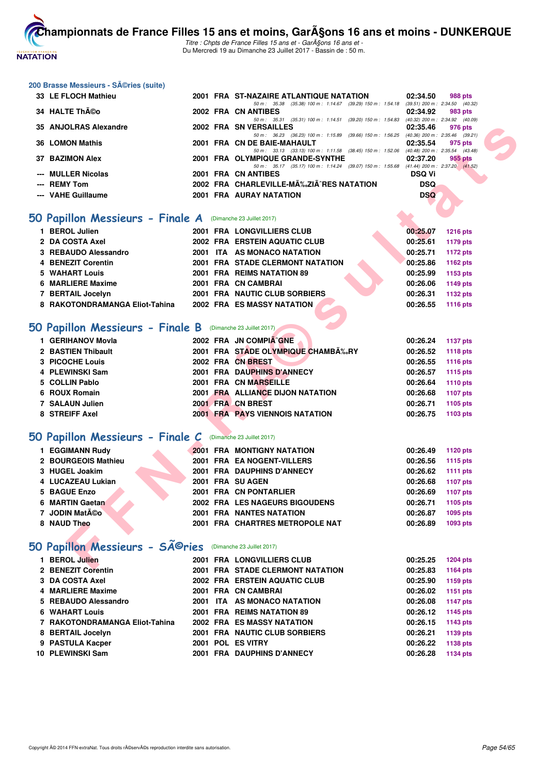

Titre : Chpts de France Filles 15 ans et - GarA§ons 16 ans et -Du Mercredi 19 au Dimanche 23 Juillet 2017 - Bassin de : 50 m.

#### **200 Brasse Messieurs - Séries (suite)**

| 33 LE FLOCH Mathieu   |  | 2001 FRA ST-NAZAIRE ATLANTIQUE NATATION                      | 02:34.50   | 988 pts                             |
|-----------------------|--|--------------------------------------------------------------|------------|-------------------------------------|
|                       |  | (35.38) 100 m: 1:14.67 (39.29) 150 m: 1:54.18<br>50 m: 35.38 |            | $(39.51)$ 200 m : 2:34.50 $(40.32)$ |
| 34 HALTE Théo         |  | 2002 FRA CN ANTIBES                                          | 02:34.92   | 983 pts                             |
|                       |  | 50 m: 35.31 (35.31) 100 m: 1:14.51 (39.20) 150 m: 1:54.83    |            | $(40.32)$ 200 m : 2:34.92 $(40.09)$ |
| 35 ANJOLRAS Alexandre |  | 2002 FRA SN VERSAILLES                                       | 02:35.46   | 976 pts                             |
|                       |  | 50 m: 36.23 (36.23) 100 m: 1:15.89 (39.66) 150 m: 1:56.25    |            | $(40.36)$ 200 m : 2:35.46 $(39.21)$ |
| 36 LOMON Mathis       |  | 2001 FRA CN DE BAIE-MAHAULT                                  | 02:35.54   | 975 pts                             |
|                       |  | 50 m: 33.13 (33.13) 100 m: 1:11.58 (38.45) 150 m: 1:52.06    |            | $(40.48)$ 200 m : 2:35.54 $(43.48)$ |
| 37 BAZIMON Alex       |  | 2001 FRA OLYMPIQUE GRANDE-SYNTHE                             | 02:37.20   | 955 pts                             |
|                       |  | 50 m: 35.17 (35.17) 100 m: 1:14.24 (39.07) 150 m: 1:55.68    |            | $(41.44)$ 200 m : 2:37.20 $(41.52)$ |
| --- MULLER Nicolas    |  | 2001 FRA CN ANTIBES                                          | DSQ Vi     |                                     |
| --- REMY Tom          |  | 2002 FRA CHARLEVILLE-MÉZIÃ^RES NATATION                      | <b>DSQ</b> |                                     |
| --- VAHE Guillaume    |  | <b>2001 FRA AURAY NATATION</b>                               | <b>DSQ</b> |                                     |

#### **50 Papillon Messieurs - Finale A** (Dimanche 23 Juillet 2017)

| 35 ANJOLRAS Alexandre                                                  |  | 2002 FRA SN VERSAILLES                                                                                                       | 02:35.46      | 976 pts                                        |
|------------------------------------------------------------------------|--|------------------------------------------------------------------------------------------------------------------------------|---------------|------------------------------------------------|
| <b>36 LOMON Mathis</b>                                                 |  | 50 m: 36.23 (36.23) 100 m: 1:15.89 (39.66) 150 m: 1:56.25<br>2001 FRA CN DE BAIE-MAHAULT                                     | 02:35.54      | $(40.36)$ 200 m : 2:35.46 $(39.21)$<br>975 pts |
|                                                                        |  | 50 m: 33.13 (33.13) 100 m: 1:11.58 (38.45) 150 m: 1:52.06 (40.48) 200 m: 2:35.54 (43.48)                                     |               |                                                |
| 37 BAZIMON Alex                                                        |  | 2001 FRA OLYMPIQUE GRANDE-SYNTHE<br>50 m: 35.17 (35.17) 100 m: 1:14.24 (39.07) 150 m: 1:55.68 (41.44) 200 m: 2:37.20 (41.52) | 02:37.20      | 955 pts                                        |
| --- MULLER Nicolas                                                     |  | 2001 FRA CN ANTIBES                                                                                                          | <b>DSQ Vi</b> |                                                |
| --- REMY Tom                                                           |  | 2002 FRA CHARLEVILLE-MÉZIÃ^RES NATATION                                                                                      | <b>DSQ</b>    |                                                |
| --- VAHE Guillaume                                                     |  | 2001 FRA AURAY NATATION                                                                                                      | <b>DSQ</b>    |                                                |
|                                                                        |  |                                                                                                                              |               |                                                |
| O Papillon Messieurs - Finale A (Dimanche 23 Juillet 2017)             |  |                                                                                                                              |               |                                                |
| 1 BEROL Julien                                                         |  | 2001 FRA LONGVILLIERS CLUB                                                                                                   | 00:25.07      | <b>1216 pts</b>                                |
| 2 DA COSTA Axel                                                        |  | 2002 FRA ERSTEIN AQUATIC CLUB                                                                                                | 00:25.61      | 1179 pts                                       |
| 3 REBAUDO Alessandro                                                   |  | 2001 ITA AS MONACO NATATION                                                                                                  | 00:25.71      | <b>1172 pts</b>                                |
| 4 BENEZIT Corentin                                                     |  | 2001 FRA STADE CLERMONT NATATION                                                                                             | 00:25.86      | 1162 pts                                       |
| 5 WAHART Louis                                                         |  | 2001 FRA REIMS NATATION 89                                                                                                   | 00:25.99      | 1153 pts                                       |
| 6 MARLIERE Maxime                                                      |  | 2001 FRA CN CAMBRAI                                                                                                          | 00:26.06      | 1149 pts                                       |
| 7 BERTAIL Jocelyn                                                      |  | 2001 FRA NAUTIC CLUB SORBIERS                                                                                                | 00:26.31      | 1132 pts                                       |
| 8 RAKOTONDRAMANGA Eliot-Tahina                                         |  | 2002 FRA ES MASSY NATATION                                                                                                   | 00:26.55      | 1116 pts                                       |
|                                                                        |  |                                                                                                                              |               |                                                |
| O Papillon Messieurs - Finale B (Dimanche 23 Juillet 2017)             |  |                                                                                                                              |               |                                                |
| 1 GERIHANOV Movla                                                      |  | 2002 FRA JN COMPIA GNE                                                                                                       | 00:26.24      | <b>1137 pts</b>                                |
| 2 BASTIEN Thibault                                                     |  | 2001 FRA STADE OLYMPIQUE CHAMBÉRY                                                                                            | 00:26.52      | <b>1118 pts</b>                                |
| 3 PICOCHE Louis                                                        |  | 2002 FRA CN BREST                                                                                                            | 00:26.55      | 1116 pts                                       |
| 4 PLEWINSKI Sam                                                        |  | 2001 FRA DAUPHINS D'ANNECY                                                                                                   | 00:26.57      | 1115 pts                                       |
| 5 COLLIN Pablo                                                         |  | 2001 FRA CN MARSEILLE                                                                                                        | 00:26.64      | 1110 pts                                       |
| 6 ROUX Romain                                                          |  | 2001 FRA ALLIANCE DIJON NATATION                                                                                             | 00:26.68      | 1107 pts                                       |
| 7 SALAUN Julien                                                        |  | 2001 FRA CN BREST                                                                                                            | 00:26.71      | 1105 pts                                       |
| 8 STREIFF Axel                                                         |  | 2001 FRA PAYS VIENNOIS NATATION                                                                                              | 00:26.75      | 1103 pts                                       |
|                                                                        |  |                                                                                                                              |               |                                                |
| O Papillon Messieurs - Finale C                                        |  | (Dimanche 23 Juillet 2017)                                                                                                   |               |                                                |
| 1 EGGIMANN Rudy                                                        |  | <b>2001 FRA MONTIGNY NATATION</b>                                                                                            | 00:26.49      | 1120 pts                                       |
| 2 BOURGEOIS Mathieu                                                    |  | 2001 FRA EA NOGENT-VILLERS                                                                                                   | 00:26.56      | 1115 pts                                       |
| 3 HUGEL Joakim                                                         |  | <b>2001 FRA DAUPHINS D'ANNECY</b>                                                                                            | 00:26.62      | <b>1111 pts</b>                                |
| 4 LUCAZEAU Lukian                                                      |  | 2001 FRA SU AGEN                                                                                                             | 00:26.68      | 1107 pts                                       |
| 5 BAGUE Enzo                                                           |  | 2001 FRA CN PONTARLIER                                                                                                       | 00:26.69      | 1107 pts                                       |
| 6 MARTIN Gaetan                                                        |  | 2002 FRA LES NAGEURS BIGOUDENS                                                                                               | 00:26.71      | 1105 pts                                       |
| 7 JODIN Matéo                                                          |  | <b>2001 FRA NANTES NATATION</b>                                                                                              | 00:26.87      | 1095 pts                                       |
| 8 NAUD Theo                                                            |  | 2001 FRA CHARTRES METROPOLE NAT                                                                                              | 00:26.89      | 1093 pts                                       |
|                                                                        |  |                                                                                                                              |               |                                                |
| O Papillon Messieurs - SÃ <sup>©</sup> ries (Dimanche 23 Juillet 2017) |  |                                                                                                                              |               |                                                |
| 1 BEROL Julien                                                         |  | 2001 FRA LONGVILLIERS CLUB                                                                                                   | 00:25.25      | <b>1204 pts</b>                                |
| $0.05$ DEMEDIT $0.000$                                                 |  | 0001 FDA CTADE OI FRIANT NATATION                                                                                            | 00.0500       | <b>CONSTRUCTION</b>                            |

# **50 Papillon Messieurs - Finale B** (Dimanche 23 Juillet 2017)

| 1 GERIHANOV Movia  |  | 2002 FRA JN COMPIA GNE                 | 00:26.24 | <b>1137 pts</b> |
|--------------------|--|----------------------------------------|----------|-----------------|
| 2 BASTIEN Thibault |  | 2001 FRA STADE OLYMPIQUE CHAMBÉRY      | 00:26.52 | <b>1118 pts</b> |
| 3 PICOCHE Louis    |  | 2002 FRA CN BREST                      | 00:26.55 | <b>1116 pts</b> |
| 4 PLEWINSKI Sam    |  | 2001 FRA DAUPHINS D'ANNECY             | 00:26.57 | 1115 pts        |
| 5 COLLIN Pablo     |  | 2001 FRA CN MARSEILLE                  | 00:26.64 | 1110 pts        |
| 6 ROUX Romain      |  | 2001 FRA ALLIANCE DIJON NATATION       | 00:26.68 | 1107 pts        |
| 7 SALAUN Julien    |  | 2001 FRA CN BREST                      | 00:26.71 | 1105 pts        |
| 8 STREIFF Axel     |  | <b>2001 FRA PAYS VIENNOIS NATATION</b> | 00:26.75 | 1103 pts        |

#### **[50 Papillon Messieurs - Finale C](http://www.ffnatation.fr/webffn/resultats.php?idact=nat&go=epr&idcpt=47485&idepr=81)** (Dimanche 23 Juillet 2017)

| <b>EGGIMANN Rudy</b> |  | <b>2001 FRA MONTIGNY NATATION</b> | 00:26.49 | 1120 pts |
|----------------------|--|-----------------------------------|----------|----------|
| 2 BOURGEOIS Mathieu  |  | 2001 FRA EA NOGENT-VILLERS        | 00:26.56 | 1115 pts |
| 3 HUGEL Joakim       |  | 2001 FRA DAUPHINS D'ANNECY        | 00:26.62 | 1111 pts |
| 4 LUCAZEAU Lukian    |  | 2001 FRA SU AGEN                  | 00:26.68 | 1107 pts |
| 5 BAGUE Enzo         |  | 2001 FRA CN PONTARLIER            | 00:26.69 | 1107 pts |
| 6 MARTIN Gaetan      |  | 2002 FRA LES NAGEURS BIGOUDENS    | 00:26.71 | 1105 pts |
| 7 JODIN Matéo        |  | <b>2001 FRA NANTES NATATION</b>   | 00:26.87 | 1095 pts |
| 8 NAUD Theo          |  | 2001 FRA CHARTRES METROPOLE NAT   | 00:26.89 | 1093 pts |
|                      |  |                                   |          |          |

# **50 Papillon Messieurs - Séries** (Dimanche 23 Juillet 2017)

| 1 BEROL Julien                 |  | 2001 FRA LONGVILLIERS CLUB              | 00:25.25 | <b>1204 pts</b> |
|--------------------------------|--|-----------------------------------------|----------|-----------------|
| 2 BENEZIT Corentin             |  | <b>2001 FRA STADE CLERMONT NATATION</b> | 00:25.83 | 1164 pts        |
| 3 DA COSTA Axel                |  | <b>2002 FRA ERSTEIN AQUATIC CLUB</b>    | 00:25.90 | 1159 pts        |
| 4 MARLIERE Maxime              |  | 2001 FRA CN CAMBRAI                     | 00:26.02 | 1151 pts        |
| 5 REBAUDO Alessandro           |  | 2001 ITA AS MONACO NATATION             | 00:26.08 | 1147 pts        |
| 6 WAHART Louis                 |  | 2001 FRA REIMS NATATION 89              | 00:26.12 | 1145 pts        |
| 7 RAKOTONDRAMANGA Eliot-Tahina |  | 2002 FRA ES MASSY NATATION              | 00:26.15 | 1143 pts        |
| 8 BERTAIL Jocelyn              |  | 2001 FRA NAUTIC CLUB SORBIERS           | 00:26.21 | 1139 pts        |
| 9 PASTULA Kacper               |  | 2001 POL ES VITRY                       | 00:26.22 | 1138 pts        |
| 10 PLEWINSKI Sam               |  | 2001 FRA DAUPHINS D'ANNECY              | 00:26.28 | 1134 pts        |
|                                |  |                                         |          |                 |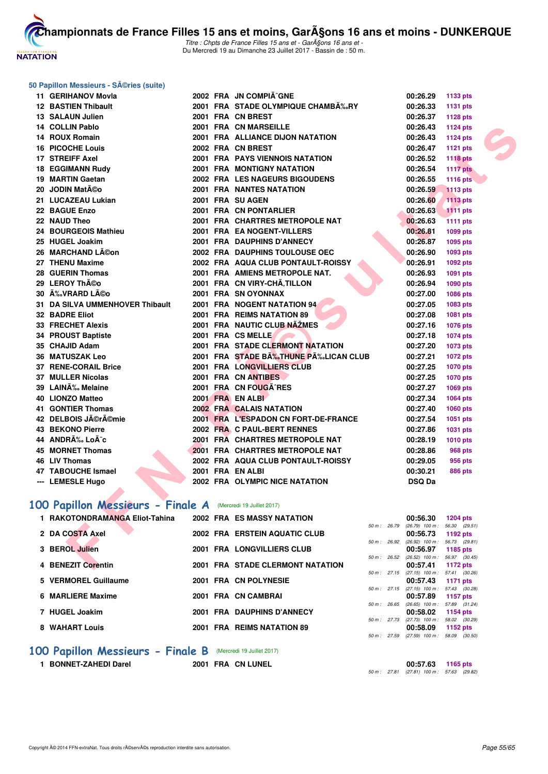

Titre : Chpts de France Filles 15 ans et - GarA§ons 16 ans et -Du Mercredi 19 au Dimanche 23 Juillet 2017 - Bassin de : 50 m.

#### **50 Papillon Messieurs - Séries (suite)**

| 11 GERIHANOV Movla                                          |  | 2002 FRA JN COMPIÄ^GNE               |              | 00:26.29                            | 1133 pts            |
|-------------------------------------------------------------|--|--------------------------------------|--------------|-------------------------------------|---------------------|
| 12 BASTIEN Thibault                                         |  | 2001 FRA STADE OLYMPIQUE CHAMBĉRY    |              | 00:26.33                            | 1131 pts            |
| <b>13 SALAUN Julien</b>                                     |  | 2001 FRA CN BREST                    |              | 00:26.37                            | 1128 pts            |
| 14 COLLIN Pablo                                             |  | 2001 FRA CN MARSEILLE                |              | 00:26.43                            | 1124 pts            |
| 14 ROUX Romain                                              |  | 2001 FRA ALLIANCE DIJON NATATION     |              | 00:26.43                            | <b>1124 pts</b>     |
| <b>16 PICOCHE Louis</b>                                     |  | 2002 FRA CN BREST                    |              | 00:26.47                            | 1121 pts            |
| 17 STREIFF Axel                                             |  | 2001 FRA PAYS VIENNOIS NATATION      |              | 00:26.52                            | <b>1118 pts</b>     |
| <b>18 EGGIMANN Rudy</b>                                     |  | 2001 FRA MONTIGNY NATATION           |              | 00:26.54                            | <b>1117 pts</b>     |
| 19 MARTIN Gaetan                                            |  | 2002 FRA LES NAGEURS BIGOUDENS       |              | 00:26.55                            | 1116 pts            |
| 20 JODIN Matéo                                              |  | <b>2001 FRA NANTES NATATION</b>      |              | 00:26.59                            | <b>1113 pts</b>     |
| 21 LUCAZEAU Lukian                                          |  | 2001 FRA SU AGEN                     |              | 00:26.60                            | <b>1113 pts</b>     |
| 22 BAGUE Enzo                                               |  | 2001 FRA CN PONTARLIER               |              | 00:26.63                            | <b>1111 pts</b>     |
| 22 NAUD Theo                                                |  | 2001 FRA CHARTRES METROPOLE NAT      |              | 00:26.63                            | 1111 pts            |
| 24 BOURGEOIS Mathieu                                        |  | 2001 FRA EA NOGENT-VILLERS           |              | 00:26.81                            | 1099 pts            |
| 25 HUGEL Joakim                                             |  | 2001 FRA DAUPHINS D'ANNECY           |              | 00:26.87                            | 1095 pts            |
| 26 MARCHAND Lĩon                                            |  | 2002 FRA DAUPHINS TOULOUSE OEC       |              | 00:26.90                            | 1093 pts            |
| 27 THENU Maxime                                             |  | 2002 FRA AQUA CLUB PONTAULT-ROISSY   |              | 00:26.91                            | 1092 pts            |
| 28 GUERIN Thomas                                            |  | 2001 FRA AMIENS METROPOLE NAT.       |              | 00:26.93                            | 1091 pts            |
| 29 LEROY Théo                                               |  | 2001 FRA CN VIRY-CHÂ, TILLON         |              | 00:26.94                            | 1090 pts            |
| 30 ÉVRARD Léo                                               |  | 2001 FRA SN OYONNAX                  |              | 00:27.00                            | 1086 pts            |
| 31 DA SILVA UMMENHOVER Thibault                             |  | 2001 FRA NOGENT NATATION 94          |              | 00:27.05                            | 1083 pts            |
| <b>32 BADRE Eliot</b>                                       |  | 2001 FRA REIMS NATATION 89           |              | 00:27.08                            | 1081 pts            |
| <b>33 FRECHET Alexis</b>                                    |  | 2001 FRA NAUTIC CLUB NAŽMES          |              | 00:27.16                            | 1076 pts            |
| <b>34 PROUST Baptiste</b>                                   |  | 2001 FRA CS MELLE                    |              | 00:27.18                            | 1074 pts            |
| 35 CHAJID Adam                                              |  | 2001 FRA STADE CLERMONT NATATION     |              | 00:27.20                            | 1073 pts            |
| <b>36 MATUSZAK Leo</b>                                      |  | 2001 FRA STADE B‰THUNE P‰LICAN CLUB  |              | 00:27.21                            | 1072 pts            |
| 37 RENE-CORAIL Brice                                        |  | 2001 FRA LONGVILLIERS CLUB           |              | 00:27.25                            | 1070 pts            |
| 37 MULLER Nicolas                                           |  | 2001 FRA CN ANTIBES                  |              | 00:27.25                            | <b>1070 pts</b>     |
| 39 LAINÉ Melaine                                            |  | 2001 FRA CN FOUGA RES                |              | 00:27.27                            | 1069 pts            |
| 40 LIONZO Matteo                                            |  | 2001 FRA EN ALBI                     |              | 00:27.34                            | 1064 pts            |
| <b>41 GONTIER Thomas</b>                                    |  | 2002 FRA CALAIS NATATION             |              | 00:27.40                            | 1060 pts            |
| 42 DELBOIS Jérémie                                          |  | 2001 FRA L'ESPADON CN FORT-DE-FRANCE |              | 00:27.54                            | 1051 pts            |
| <b>43 BEKONO Pierre</b>                                     |  | 2002 FRA C PAUL-BERT RENNES          |              | 00:27.86                            | 1031 pts            |
| 44 ANDRÉ LoÃ <sup>-</sup> c                                 |  | 2001 FRA CHARTRES METROPOLE NAT      |              | 00:28.19                            | 1010 pts            |
| 45 MORNET Thomas                                            |  | 2001 FRA CHARTRES METROPOLE NAT      |              | 00:28.86                            | <b>968 pts</b>      |
| 46 LIV Thomas                                               |  | 2002 FRA AQUA CLUB PONTAULT-ROISSY   |              | 00:29.05                            | 956 pts             |
| 47 TABOUCHE Ismael                                          |  | 2001 FRA EN ALBI                     |              | 00:30.21                            | <b>886 pts</b>      |
| --- LEMESLE Hugo                                            |  | 2002 FRA OLYMPIC NICE NATATION       |              | <b>DSQ Da</b>                       |                     |
|                                                             |  |                                      |              |                                     |                     |
| 00 Papillon Messieurs - Finale A (Mercredi 19 Juillet 2017) |  |                                      |              |                                     |                     |
| 1 RAKOTONDRAMANGA Eliot-Tahina                              |  | 2002 FRA ES MASSY NATATION           |              | 00:56.30                            | <b>1204 pts</b>     |
| 2 DA COSTA Axel                                             |  |                                      | 50 m : 26.79 | $(26.79)$ 100 m :                   | 56.30<br>(29.51)    |
|                                                             |  | <b>2002 FRA ERSTEIN AQUATIC CLUB</b> | 50 m : 26.92 | 00:56.73<br>$(26.92)$ 100 m : 56.73 | 1192 pts<br>(29.81) |
| 3 BEROL Julien                                              |  | <b>2001 FRA LONGVILLIERS CLUB</b>    |              | 00:56.97                            | 1185 pts            |
| 4 BENEZIT Corentin                                          |  | 2001 FRA STADE CLERMONT NATATION     | 50 m: 26.52  | $(26.52)$ 100 m : 56.97             | (30.45)             |
|                                                             |  |                                      |              | 00:57.41                            | 1172 pts            |

# [100 Papillon Messieurs - Finale A](http://www.ffnatation.fr/webffn/resultats.php?idact=nat&go=epr&idcpt=47485&idepr=82) (Mercredi 19 Juillet 2017)

| 1 RAKOTONDRAMANGA Eliot-Tahina | 2002 FRA ES MASSY NATATION              |                        |                | 00:56.30                       | 1204 pts        |
|--------------------------------|-----------------------------------------|------------------------|----------------|--------------------------------|-----------------|
|                                |                                         | $50 m$ : 26.79         |                | $(26.79)$ 100 m :              | 56.30 (29.51    |
| 2 DA COSTA Axel                | 2002 FRA ERSTEIN AQUATIC CLUB           |                        |                | 00:56.73                       | 1192 $pts$      |
|                                |                                         | $50 \text{ m}$ : 26.92 |                | $(26.92)$ 100 m :              | 56.73 (29.81    |
| 3 BEROL Julien                 | 2001 FRA LONGVILLIERS CLUB              |                        |                | 00:56.97                       | 1185 pts        |
|                                |                                         | $50 \text{ m}$ : 26.52 |                | $(26.52)$ 100 m :              | 56.97 (30.45    |
| 4 BENEZIT Corentin             | <b>2001 FRA STADE CLERMONT NATATION</b> |                        |                | 00:57.41                       | 1172 pts        |
|                                |                                         | $50 m$ : 27.15         |                | $(27.15)$ 100 m :              | 57.41 (30.26    |
| 5 VERMOREL Guillaume           | 2001 FRA CN POLYNESIE                   |                        |                | 00:57.43                       | 1171 $pts$      |
|                                |                                         |                        | $50 m$ : 27.15 | $(27.15)$ 100 m :              | 57.43 (30.28    |
| 6 MARLIERE Maxime              | 2001 FRA CN CAMBRAI                     |                        |                | 00:57.89                       | 1157 $pts$      |
|                                |                                         | $50 m$ : 26.65         |                | $(26.65)$ 100 m :              | 57.89 (31.24    |
| 7 HUGEL Joakim                 | 2001 FRA DAUPHINS D'ANNECY              |                        |                | 00:58.02                       | <b>1154 pts</b> |
|                                |                                         |                        | 50 m: 27.73    | $(27.73)$ 100 m :              | 58.02 (30.29    |
| 8 WAHART Louis                 | 2001 FRA REIMS NATATION 89              |                        |                | 00:58.09                       | 1152 $pts$      |
|                                |                                         | $50 \text{ m}$ : 27.59 |                | $(27.59)$ 100 m : 58.09 (30.50 |                 |

# **100 Papillon Messieurs - Finale B** (Mercredi 19 Juillet 2017)<br>**1 BONNET-ZAHEDI Darel** 2001 FRA CN LUNEL

**1 BONNET-ZAHEDI Darel 2001 FRA CN LUNEL 00:57.63 1165 pts** 50 m : 27.81 (27.81) 100 m : 57.63 (29.82)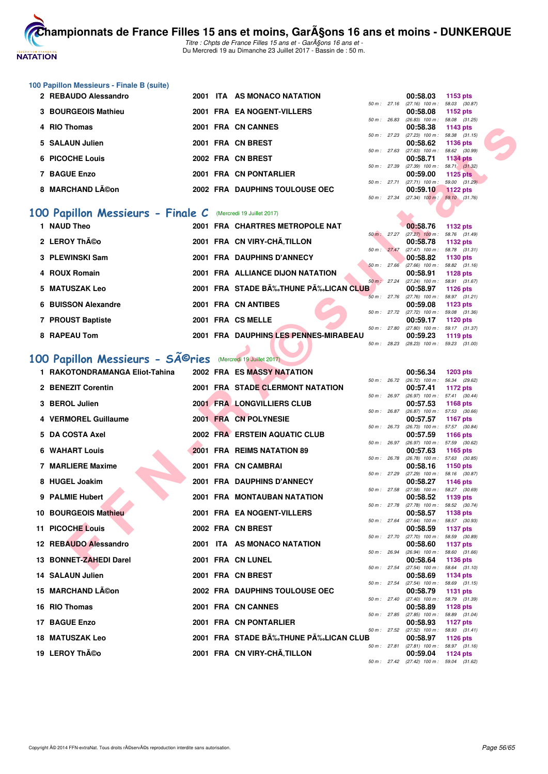

# **100 Papillon Messieurs - Finale B (suite)**

| 2 REBAUDO Alessandro | 2001 ITA AS MONACO NATATION    |                        |             | 00:58.03                          | 1153 $pts$   |
|----------------------|--------------------------------|------------------------|-------------|-----------------------------------|--------------|
|                      |                                | $50 \text{ m}$ : 27.16 |             | $(27.16)$ 100 m :                 | 58.03 (30.87 |
| 3 BOURGEOIS Mathieu  | 2001 FRA EA NOGENT-VILLERS     |                        |             | 00:58.08                          | 1152 pts     |
|                      |                                | 50 m: 26.83            |             | $(26.83)$ 100 m : 58.08 $(31.25)$ |              |
| 4 RIO Thomas         | 2001 FRA CN CANNES             |                        |             | 00:58.38                          | 1143 pts     |
|                      |                                |                        | 50 m: 27.23 | $(27.23)$ 100 m : 58.38 $(31.15)$ |              |
| 5 SALAUN Julien      | 2001 FRA CN BREST              |                        |             | 00:58.62 1136 pts                 |              |
|                      |                                | 50 m: 27.63            |             | $(27.63)$ 100 m : 58.62 $(30.99)$ |              |
| 6 PICOCHE Louis      | 2002 FRA CN BREST              |                        |             | 00:58.71 1134 pts                 |              |
|                      |                                | $50 \text{ m}$ : 27.39 |             | $(27.39)$ 100 m : 58.71 $(31.32)$ |              |
| 7 BAGUE Enzo         | 2001 FRA CN PONTARLIER         |                        |             | 00:59.00                          | 1125 $pts$   |
|                      |                                | $50 m$ : 27.71         |             | $(27.71)$ 100 m : 59.00 $(31.29)$ |              |
| 8 MARCHAND Léon      | 2002 FRA DAUPHINS TOULOUSE OEC |                        |             | 00:59.10                          | $1122$ pts   |
|                      |                                |                        |             |                                   |              |

#### **[100 Papillon Messieurs - Finale C](http://www.ffnatation.fr/webffn/resultats.php?idact=nat&go=epr&idcpt=47485&idepr=82)** (Mercredi 19 Juillet 2017)

| 1 NAUD Theo         |  | 2001 FRA CHARTRES METROPOLE NAT       |                        | 00:58.76                                      | 1132 pts                    |
|---------------------|--|---------------------------------------|------------------------|-----------------------------------------------|-----------------------------|
|                     |  |                                       | 50 m: 27.27            | $(27.27)$ 100 m :                             | 58.76 (31.49)               |
| 2 LEROY Théo        |  | 2001 FRA CN VIRY-CHÃ.TILLON           | $50 \text{ m}$ : 27.47 | 00:58.78<br>$(27.47)$ 100 m :                 | 1132 pts<br>58.78 (31.31)   |
| 3 PLEWINSKI Sam     |  | 2001 FRA DAUPHINS D'ANNECY            |                        | 00:58.82                                      | 1130 $pts$                  |
|                     |  |                                       | 50 m: 27.66            | $(27.66)$ 100 m :                             | 58.82 (31.16)               |
| 4 ROUX Romain       |  | 2001 FRA ALLIANCE DIJON NATATION      | $50 \text{ m}$ : 27.24 | 00:58.91<br>$(27.24)$ 100 m :                 | 1128 $pts$<br>58.91 (31.67) |
| 5 MATUSZAK Leo      |  | 2001 FRA STADE BÉTHUNE PÉLICAN CLUB   |                        | 00:58.97                                      | 1126 $pts$                  |
| 6 BUISSON Alexandre |  | 2001 FRA CN ANTIBES                   | 50 m: 27.76            | $(27.76)$ 100 m :                             | 58.97 (31.21)               |
|                     |  |                                       | $50 \text{ m}$ : 27.72 | 00:59.08<br>$(27.72)$ 100 m :                 | 1123 $pts$<br>59.08 (31.36) |
| 7 PROUST Baptiste   |  | 2001 FRA CS MELLE                     |                        | 00:59.17                                      | 1120 $pts$                  |
|                     |  |                                       | 50 m: 27.80            | $(27.80)$ 100 m :                             | 59.17 (31.37)               |
| 8 RAPEAU Tom        |  | 2001 FRA DAUPHINS LES PENNES-MIRABEAU | 50 m: 28.23            | 00:59.23<br>$(28.23)$ 100 m : 59.23 $(31.00)$ | 1119 $pts$                  |

# 100 Papillon Messieurs - SÃ<sup>@</sup>ries (Mercredi 19 Juillet 2017)

| 4 RIO Thomas                                              |  | 2001 FRA CN CANNES                    |              | 00:58.38                                               | 1143 pts                         |  |
|-----------------------------------------------------------|--|---------------------------------------|--------------|--------------------------------------------------------|----------------------------------|--|
| 5 SALAUN Julien                                           |  | 2001 FRA CN BREST                     | 50 m : 27.23 | $(27.23)$ 100 m : 58.38 $(31.15)$<br>00:58.62          | 1136 pts                         |  |
| 6 PICOCHE Louis                                           |  | 2002 FRA CN BREST                     | 50 m: 27.63  | $(27.63)$ 100 m : 58.62 $(30.99)$<br>00:58.71          | <b>1134 pts</b>                  |  |
|                                                           |  |                                       | 50 m : 27.39 | $(27.39)$ 100 m : 58.71 $(31.32)$                      |                                  |  |
| <b>7 BAGUE Enzo</b>                                       |  | 2001 FRA CN PONTARLIER                |              | 00:59.00<br>50 m: 27.71 (27.71) 100 m:                 | <b>1125 pts</b><br>59.00 (31.29) |  |
| 8 MARCHAND Léon                                           |  | 2002 FRA DAUPHINS TOULOUSE OEC        |              | 00:59.10                                               | <b>1122 pts</b>                  |  |
|                                                           |  |                                       |              | 50 m: 27.34 (27.34) 100 m:                             | 59.10 (31.76)                    |  |
| 00 Papillon Messieurs - Finale C                          |  | (Mercredi 19 Juillet 2017)            |              |                                                        |                                  |  |
| 1 NAUD Theo                                               |  | 2001 FRA CHARTRES METROPOLE NAT       |              | 00:58.76                                               | <b>1132 pts</b>                  |  |
| 2 LEROY Théo                                              |  | 2001 FRA CN VIRY-CHÂ, TILLON          |              | 50 m: 27.27 (27.27) 100 m: 58.76 (31.49)<br>00:58.78   | 1132 pts                         |  |
| 3 PLEWINSKI Sam                                           |  | 2001 FRA DAUPHINS D'ANNECY            | 50 m : 27.47 | $(27.47)$ 100 m : 58.78 $(31.31)$<br>00:58.82          | 1130 pts                         |  |
| 4 ROUX Romain                                             |  | 2001 FRA ALLIANCE DIJON NATATION      | 50 m: 27.66  | $(27.66)$ 100 m : 58.82 $(31.16)$<br>00:58.91          | 1128 pts                         |  |
| 5 MATUSZAK Leo                                            |  | 2001 FRA STADE BÉTHUNE PÉLICAN CLUB   | 50 m : 27.24 | $(27.24)$ 100 m : 58.91 $(31.67)$<br>00:58.97          | 1126 pts                         |  |
|                                                           |  |                                       |              | 50 m: 27.76 (27.76) 100 m: 58.97 (31.21)               |                                  |  |
| <b>6 BUISSON Alexandre</b>                                |  | 2001 FRA CN ANTIBES                   |              | 00:59.08<br>50 m : 27.72 (27.72) 100 m : 59.08 (31.36) | 1123 pts                         |  |
| 7 PROUST Baptiste                                         |  | 2001 FRA CS MELLE                     |              | 00:59.17                                               | <b>1120 pts</b>                  |  |
|                                                           |  |                                       | 50 m: 27.80  | $(27.80)$ 100 m : 59.17 $(31.37)$                      |                                  |  |
| 8 RAPEAU Tom                                              |  | 2001 FRA DAUPHINS LES PENNES-MIRABEAU | 50 m: 28.23  | 00:59.23<br>$(28.23)$ 100 m : 59.23 $(31.00)$          | 1119 pts                         |  |
| 00 Papillon Messieurs - Sîries (Mercredi 19 Juillet 2017) |  |                                       |              |                                                        |                                  |  |
| 1 RAKOTONDRAMANGA Eliot-Tahina                            |  | <b>2002 FRA ES MASSY NATATION</b>     |              | 00:56.34                                               | <b>1203 pts</b>                  |  |
|                                                           |  |                                       |              | 50 m: 26.72 (26.72) 100 m: 56.34 (29.62)               |                                  |  |
| 2 BENEZIT Corentin                                        |  | 2001 FRA STADE CLERMONT NATATION      |              | 00:57.41<br>50 m: 26.97 (26.97) 100 m: 57.41 (30.44)   | 1172 pts                         |  |
| 3 BEROL Julien                                            |  | 2001 FRA LONGVILLIERS CLUB            |              | 00:57.53                                               | 1168 pts                         |  |
| 4 VERMOREL Guillaume                                      |  | 2001 FRA CN POLYNESIE                 | 50 m : 26.87 | $(26.87)$ 100 m : 57.53 $(30.66)$<br>00:57.57          | 1167 pts                         |  |
| 5 DA COSTA Axel                                           |  | 2002 FRA ERSTEIN AQUATIC CLUB         | 50 m : 26.73 | (26.73) 100 m: 57.57 (30.84)<br>00:57.59               | 1166 pts                         |  |
| <b>6 WAHART Louis</b>                                     |  | 2001 FRA REIMS NATATION 89            | 50 m : 26.97 | (26.97) 100 m: 57.59 (30.62)<br>00:57.63               | 1165 pts                         |  |
|                                                           |  |                                       | 50 m : 26.78 | (26.78) 100 m : 57.63 (30.85)                          |                                  |  |
| 7 MARLIERE Maxime                                         |  | 2001 FRA CN CAMBRAI                   |              | 00:58.16<br>50 m: 27.29 (27.29) 100 m: 58.16 (30.87)   | 1150 pts                         |  |
| 8 HUGEL Joakim                                            |  | <b>2001 FRA DAUPHINS D'ANNECY</b>     |              | 00:58.27                                               | <b>1146 pts</b>                  |  |
| 9 PALMIE Hubert                                           |  | 2001 FRA MONTAUBAN NATATION           | 50 m : 27.58 | $(27.58)$ 100 m : 58.27 $(30.69)$<br>00:58.52          | 1139 pts                         |  |
|                                                           |  |                                       |              | 50 m : 27.78 (27.78) 100 m :                           | 58.52 (30.74)                    |  |
| 10 BOURGEOIS Mathieu                                      |  | 2001 FRA EA NOGENT-VILLERS            | 50 m : 27.64 | 00:58.57<br>(27.64) 100 m: 58.57 (30.93)               | <b>1138 pts</b>                  |  |
| <b>11 PICOCHE Louis</b>                                   |  | 2002 FRA CN BREST                     |              | 00:58.59                                               | 1137 pts                         |  |
| 12 REBAUDO Alessandro                                     |  | 2001 ITA AS MONACO NATATION           |              | 50 m: 27.70 (27.70) 100 m: 58.59 (30.89)<br>00:58.60   | 1137 pts                         |  |
| 13 BONNET-ZAHEDI Darel                                    |  | 2001 FRA CN LUNEL                     |              | 50 m : 26.94 (26.94) 100 m : 58.60 (31.66)<br>00:58.64 | 1136 pts                         |  |
|                                                           |  |                                       |              | 50 m: 27.54 (27.54) 100 m: 58.64 (31.10)               |                                  |  |
| 14 SALAUN Julien                                          |  | 2001 FRA CN BREST                     |              | 00:58.69<br>50 m: 27.54 (27.54) 100 m: 58.69 (31.15)   | 1134 pts                         |  |
| 15 MARCHAND Lĩon                                          |  | 2002 FRA DAUPHINS TOULOUSE OEC        |              | 00:58.79                                               | 1131 pts                         |  |
| 16 RIO Thomas                                             |  | 2001 FRA CN CANNES                    |              | 50 m: 27.40 (27.40) 100 m: 58.79 (31.39)<br>00:58.89   | 1128 pts                         |  |
| 17 BAGUE Enzo                                             |  | 2001 FRA CN PONTARLIER                |              | 50 m: 27.85 (27.85) 100 m: 58.89 (31.04)<br>00:58.93   | 1127 pts                         |  |
| <b>18 MATUSZAK Leo</b>                                    |  | 2001 FRA STADE BÉTHUNE PÉLICAN CLUB   |              | 50 m: 27.52 (27.52) 100 m: 58.93 (31.41)<br>00:58.97   | 1126 pts                         |  |
|                                                           |  |                                       |              | 50 m: 27.81 (27.81) 100 m: 58.97 (31.16)               |                                  |  |
| 19 LEROY Théo                                             |  | 2001 FRA CN VIRY-CHÃ, TILLON          |              | 00:59.04<br>50 m : 27.42 (27.42) 100 m : 59.04 (31.62) | <b>1124 pts</b>                  |  |
|                                                           |  |                                       |              |                                                        |                                  |  |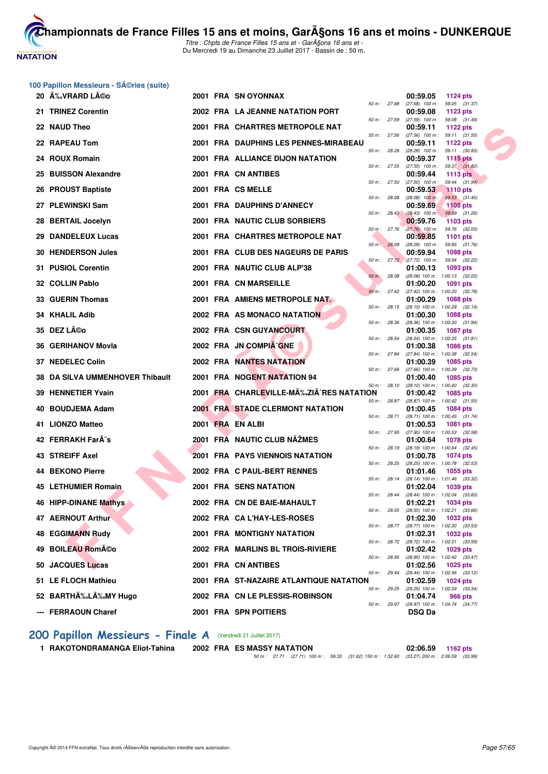

**[Cham](http://www.ffnatation.fr/webffn/index.php)pionnats de France Filles 15 ans et moins, GarA§ons 16 ans et moins - DUNKERQUE** Titre : Chpts de France Filles 15 ans et - GarA§ons 16 ans et -

Du Mercredi 19 au Dimanche 23 Juillet 2017 - Bassin de : 50 m.

| 100 Papillon Messieurs - SA©ries (suite) |  |  |  |
|------------------------------------------|--|--|--|
|------------------------------------------|--|--|--|

| 20 A‰VRARD LA©o                 |  | 2001 FRA SN OYONNAX                       |              |              | 00:59.05                                                 | 1124 pts                         |  |
|---------------------------------|--|-------------------------------------------|--------------|--------------|----------------------------------------------------------|----------------------------------|--|
| 21 TRINEZ Corentin              |  | 2002 FRA LA JEANNE NATATION PORT          | 50 m : 27.68 |              | $(27.68)$ 100 m : 59.05 $(31.37)$<br>00:59.08            | 1123 pts                         |  |
| 22 NAUD Theo                    |  | 2001 FRA CHARTRES METROPOLE NAT           | 50 m : 27.59 |              | $(27.59)$ 100 m : 59.08 $(31.49)$<br>00:59.11            | 1122 $pts$                       |  |
| 22 RAPEAU Tom                   |  | 2001 FRA DAUPHINS LES PENNES-MIRABEAU     | 50 m : 27.56 |              | $(27.56)$ 100 m : 59.11 $(31.55)$<br>00:59.11            | 1122 $pts$                       |  |
|                                 |  |                                           | 50 m : 28.28 |              | $(28.28)$ 100 m : 59.11 $(30.83)$                        |                                  |  |
| 24 ROUX Romain                  |  | 2001 FRA ALLIANCE DIJON NATATION          | 50 m : 27.55 |              | 00:59.37<br>$(27.55)$ 100 m : 59.37 $(31.82)$            | 1115 $pts$                       |  |
| 25 BUISSON Alexandre            |  | 2001 FRA CN ANTIBES                       | 50 m : 27.50 |              | 00:59.44<br>$(27.50)$ 100 m : 59.44 $(31.94)$            | 1113 pts                         |  |
| 26 PROUST Baptiste              |  | 2001 FRA CS MELLE                         |              |              | 00:59.53                                                 | <b>1110 pts</b>                  |  |
| 27 PLEWINSKI Sam                |  | 2001 FRA DAUPHINS D'ANNECY                | 50 m : 28.08 |              | $(28.08)$ 100 m :<br>00:59.69                            | 59.53 (31.45)<br><b>1105 pts</b> |  |
| 28 BERTAIL Jocelyn              |  | 2001 FRA NAUTIC CLUB SORBIERS             |              |              | 50 m : 28.43 (28.43) 100 m : 59.69 (31.26)<br>00:59.76   | 1103 pts                         |  |
| 29 DANDELEUX Lucas              |  | 2001 FRA CHARTRES METROPOLE NAT           | 50 m : 27.76 |              | $(27.76)$ 100 m : 59.76 $(32.00)$<br>00:59.85            | <b>1101 pts</b>                  |  |
| <b>30 HENDERSON Jules</b>       |  | 2001 FRA CLUB DES NAGEURS DE PARIS        | 50 m: 28.09  |              | $(28.09)$ 100 m : 59.85 $(31.76)$<br>00:59.94            | 1098 pts                         |  |
|                                 |  |                                           |              |              | 50 m: 27.72 (27.72) 100 m: 59.94 (32.22)                 |                                  |  |
| 31 PUSIOL Corentin              |  | 2001 FRA NAUTIC CLUB ALP'38               | 50 m : 28.08 |              | 01:00.13<br>$(28.08)$ 100 m : 1:00.13 $(32.05)$          | 1093 pts                         |  |
| 32 COLLIN Pablo                 |  | 2001 FRA CN MARSEILLE                     |              |              | 01:00.20                                                 | 1091 pts                         |  |
| 33 GUERIN Thomas                |  | 2001 FRA AMIENS METROPOLE NAT.            |              |              | 50 m : 27.42 (27.42) 100 m : 1:00.20 (32.78)<br>01:00.29 | <b>1088 pts</b>                  |  |
| 34 KHALIL Adib                  |  | 2002 FRA AS MONACO NATATION               |              | 50 m : 28.15 | $(28.15)$ 100 m : 1:00.29 $(32.14)$<br>01:00.30          | <b>1088 pts</b>                  |  |
| 35 DEZ Léo                      |  | 2002 FRA CSN GUYANCOURT                   | 50 m: 28.36  |              | $(28.36)$ 100 m : 1:00.30 $(31.94)$<br>01:00.35          | 1087 pts                         |  |
| 36 GERIHANOV Movla              |  | 2002 FRA JN COMPIA^GNE                    | 50 m: 28.54  |              | (28.54) 100 m: 1:00.35 (31.81)<br>01:00.38               | <b>1086 pts</b>                  |  |
| 37 NEDELEC Colin                |  | <b>2002 FRA NANTES NATATION</b>           | 50 m : 27.84 |              | (27.84) 100 m: 1:00.38 (32.54)<br>01:00.39               | 1085 pts                         |  |
| 38 DA SILVA UMMENHOVER Thibault |  | 2001 FRA NOGENT NATATION 94               | 50 m : 27.66 |              | (27.66) 100 m : 1:00.39 (32.73)<br>01:00.40              | 1085 pts                         |  |
|                                 |  | 2001 FRA CHARLEVILLE-MAZ ZIA RES NATATION | 50 m : 28.10 |              | (28.10) 100 m : 1:00.40 (32.30)                          |                                  |  |
| 39 HENNETIER Yvain              |  |                                           | 50 m : 28.87 |              | 01:00.42<br>(28.87) 100 m: 1:00.42 (31.55)               | 1085 pts                         |  |
| 40 BOUDJEMA Adam                |  | <b>2001 FRA STADE CLERMONT NATATION</b>   | 50 m : 28.71 |              | 01:00.45<br>$(28.71)$ 100 m : 1:00.45 $(31.74)$          | 1084 pts                         |  |
| 41 LIONZO Matteo                |  | 2001 FRA EN ALBI                          |              |              | 01:00.53                                                 | <b>1081 pts</b>                  |  |
| 42 FERRAKH FarA"s               |  | 2001 FRA NAUTIC CLUB NAŽMES               | 50 m : 27.95 |              | $(27.95)$ 100 m : 1:00.53 $(32.58)$<br>01:00.64          | <b>1078 pts</b>                  |  |
| <b>43 STREIFF Axel</b>          |  | 2001 FRA PAYS VIENNOIS NATATION           | 50 m : 28.19 |              | (28.19) 100 m: 1:00.64 (32.45)<br>01:00.78               | 1074 pts                         |  |
|                                 |  |                                           | 50 m : 28.25 |              | (28.25) 100 m : 1:00.78 (32.53)                          |                                  |  |
| 44 BEKONO Pierre                |  | 2002 FRA C PAUL-BERT RENNES               | 50 m : 28.14 |              | 01:01.46<br>(28.14) 100 m : 1:01.46 (33.32)              | 1055 pts                         |  |
| <b>45 LETHUMIER Romain</b>      |  | <b>2001 FRA SENS NATATION</b>             | 50 m : 28.44 |              | 01:02.04<br>$(28.44)$ 100 m : 1:02.04 $(33.60)$          | 1039 pts                         |  |
| 46 HIPP-DINANE Mathys           |  | 2002 FRA CN DE BAIE-MAHAULT               |              |              | 01:02.21                                                 | <b>1034 pts</b>                  |  |
| 47 AERNOUT Arthur               |  | 2002 FRA CA L'HAY-LES-ROSES               |              |              | 50 m : 28.55 (28.55) 100 m : 1:02.21 (33.66)<br>01:02.30 | 1032 pts                         |  |
| <b>48 EGGIMANN Rudy</b>         |  | <b>2001 FRA MONTIGNY NATATION</b>         | 50 m : 28.77 |              | $(28.77)$ 100 m : 1:02.30 $(33.53)$<br>01:02.31          | 1032 pts                         |  |
| 49 BOILEAU Roméo                |  | 2002 FRA MARLINS BL TROIS-RIVIERE         |              |              | 50 m : 28.72 (28.72) 100 m : 1:02.31 (33.59)<br>01:02.42 | 1029 pts                         |  |
| 50 JACQUES Lucas                |  | 2001 FRA CN ANTIBES                       |              |              | 50 m: 28.95 (28.95) 100 m: 1:02.42 (33.47)<br>01:02.56   | 1025 pts                         |  |
| 51 LE FLOCH Mathieu             |  | 2001 FRA ST-NAZAIRE ATLANTIQUE NATATION   |              | 50 m : 29.44 | (29.44) 100 m: 1:02.56 (33.12)<br>01:02.59               | 1024 pts                         |  |
|                                 |  |                                           |              |              | 50 m: 29.25 (29.25) 100 m: 1:02.59 (33.34)               |                                  |  |
| 52 BARTHÉLÉMY Hugo              |  | 2002 FRA CN LE PLESSIS-ROBINSON           |              |              | 01:04.74<br>50 m: 29.97 (29.97) 100 m: 1:04.74 (34.77)   | 966 pts                          |  |
| --- FERRAOUN Charef             |  | <b>2001 FRA SPN POITIERS</b>              |              |              | <b>DSQ Da</b>                                            |                                  |  |

#### [200 Papillon Messieurs - Finale A](http://www.ffnatation.fr/webffn/resultats.php?idact=nat&go=epr&idcpt=47485&idepr=83) (Vendredi 21 Juillet 2017)

**1 RAKOTONDRAMANGA Eliot-Tahina 2002 FRA ES MASSY NATATION 02:06.59 1162 pts**

50 m : 27.71 (27.71) 100 m : 59.33 (31.62) 150 m : 1:32.60 (33.27) 200 m : 2:06.59 (33.99)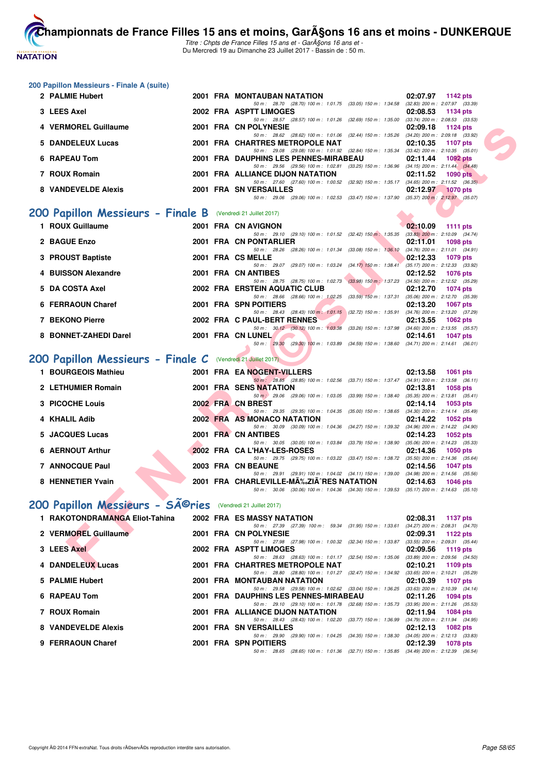

Titre : Chpts de France Filles 15 ans et - GarA§ons 16 ans et -Du Mercredi 19 au Dimanche 23 Juillet 2017 - Bassin de : 50 m.

| 200 Papillon Messieurs - Finale A (suite |  |  |  |
|------------------------------------------|--|--|--|
|------------------------------------------|--|--|--|

| 200 Papillon Messieurs - Finale A (suite)                    |  |                                                                                                                                          |                                                                    |
|--------------------------------------------------------------|--|------------------------------------------------------------------------------------------------------------------------------------------|--------------------------------------------------------------------|
| 2 PALMIE Hubert                                              |  | 2001 FRA MONTAUBAN NATATION                                                                                                              | 02:07.97 1142 pts                                                  |
| 3 LEES Axel                                                  |  | 50 m: 28.70 (28.70) 100 m: 1:01.75 (33.05) 150 m: 1:34.58 (32.83) 200 m: 2:07.97 (33.39)<br>2002 FRA ASPTT LIMOGES                       | 02:08.53<br>1134 pts                                               |
|                                                              |  | 50 m: 28.57 (28.57) 100 m: 1:01.26 (32.69) 150 m: 1:35.00 (33.74) 200 m: 2:08.53 (33.53)                                                 |                                                                    |
| <b>VERMOREL Guillaume</b>                                    |  | 2001 FRA CN POLYNESIE<br>50 m: 28.62 (28.62) 100 m: 1:01.06 (32.44) 150 m: 1:35.26 (34.20) 200 m: 2:09.18 (33.92)                        | 02:09.18<br>1124 $pts$                                             |
| <b>DANDELEUX Lucas</b><br>5                                  |  | 2001 FRA CHARTRES METROPOLE NAT                                                                                                          | 02:10.35<br>1107 pts                                               |
| <b>RAPEAU Tom</b><br>6                                       |  | 50 m: 29.08 (29.08) 100 m: 1:01.92 (32.84) 150 m: 1:35.34 (33.42) 200 m: 2:10.35 (35.01)<br>2001 FRA DAUPHINS LES PENNES-MIRABEAU        | $1092$ pts<br>02:11.44                                             |
|                                                              |  | 50 m: 29.56 (29.56) 100 m: 1:02.81 (33.25) 150 m: 1:36.96 (34.15) 200 m: 2:11.44 (34.48)                                                 |                                                                    |
| 7 ROUX Romain                                                |  | 2001 FRA ALLIANCE DIJON NATATION<br>50 m: 27.60 (27.60) 100 m: 1:00.52 (32.92) 150 m: 1:35.17 (34.65) 200 m: 2:11.52 (36.35)             | 02:11.52<br><b>1090 pts</b>                                        |
| 8 VANDEVELDE Alexis                                          |  | 2001 FRA SN VERSAILLES                                                                                                                   | 02:12.97<br>$1070$ pts                                             |
|                                                              |  | 50 m: 29.06 (29.06) 100 m: 1:02.53 (33.47) 150 m: 1:37.90 (35.37) 200 m: 2:12.97 (35.07)                                                 |                                                                    |
| 200 Papillon Messieurs - Finale B (Vendredi 21 Juillet 2017) |  |                                                                                                                                          |                                                                    |
| 1 ROUX Guillaume                                             |  | 2001 FRA CN AVIGNON                                                                                                                      | 02:10.09<br>1111 $pts$                                             |
|                                                              |  | 50 m: 29.10 (29.10) 100 m: 1:01.52 (32.42) 150 m: 1:35.35 (33.83) 200 m: 2:10.09 (34.74)                                                 |                                                                    |
| 2 BAGUE Enzo                                                 |  | 2001 FRA CN PONTARLIER<br>50 m: 28.26 (28.26) 100 m: 1:01.34 (33.08) 150 m: 1:36.10 (34.76) 200 m: 2:11.01 (34.91)                       | 02:11.01<br>1098 pts                                               |
| <b>PROUST Baptiste</b><br>3                                  |  | 2001 FRA CS MELLE                                                                                                                        | 02:12.33<br>1079 pts                                               |
| <b>BUISSON Alexandre</b>                                     |  | 50 m: 29.07 (29.07) 100 m: 1:03.24 (34.17) 150 m: 1:38.41<br>2001 FRA CN ANTIBES                                                         | $(35.17)$ 200 m : 2:12.33 $(33.92)$<br>02:12.52<br><b>1076 pts</b> |
|                                                              |  | 50 m: 28.75 (28.75) 100 m: 1:02.73 (33.98) 150 m: 1:37.23 (34.50) 200 m: 2:12.52 (35.29)                                                 |                                                                    |
| <b>DA COSTA Axel</b><br>5                                    |  | 2002 FRA ERSTEIN AQUATIC CLUB<br>50 m: 28.66 (28.66) 100 m: 1:02.25 (33.59) 150 m: 1:37.31                                               | 02:12.70<br>1074 pts<br>$(35.06)$ 200 m : 2:12.70 $(35.39)$        |
| <b>FERRAOUN Charef</b><br>6                                  |  | 2001 FRA SPN POITIERS                                                                                                                    | 02:13.20<br><b>1067 pts</b>                                        |
| 7 BEKONO Pierre                                              |  | 50 m: 28.43 (28.43) 100 m: 1:01.15 (32.72) 150 m: 1:35.91 (34.76) 200 m: 2:13.20 (37.29)                                                 |                                                                    |
|                                                              |  | 2002 FRA C PAUL-BERT RENNES<br>50 m: 30.12 (30.12) 100 m: 1:03.38 (33.26) 150 m: 1:37.98 (34.60) 200 m: 2:13.55 (35.57)                  | 02:13.55<br>1062 pts                                               |
| <b>BONNET-ZAHEDI Darel</b><br>8                              |  | 2001 FRA CN LUNEL                                                                                                                        | 02:14.61<br>1047 pts                                               |
|                                                              |  | 50 m : 29.30 (29.30) 100 m : 1:03.89 (34.59) 150 m : 1:38.60 (34.71) 200 m : 2:14.61 (36.01)                                             |                                                                    |
| 200 Papillon Messieurs - Finale C (Vendredi 21 Juillet 2017) |  |                                                                                                                                          |                                                                    |
| 1 BOURGEOIS Mathieu                                          |  | 2001 FRA EA NOGENT-VILLERS                                                                                                               | 02:13.58<br><b>1061 pts</b>                                        |
| 2 LETHUMIER Romain                                           |  | 50 m: 28.85 (28.85) 100 m: 1:02.56 (33.71) 150 m: 1:37.47 (34.91) 200 m: 2:13.58 (36.11)<br><b>2001 FRA SENS NATATION</b>                | 02:13.81<br><b>1058 pts</b>                                        |
|                                                              |  | 50 m : 29.06 (29.06) 100 m : 1:03.05 (33.99) 150 m : 1:38.40 (35.35) 200 m : 2:13.81 (35.41)                                             |                                                                    |
| <b>PICOCHE Louis</b>                                         |  | 2002 FRA CN BREST<br>50 m: 29.35 (29.35) 100 m: 1:04.35 (35.00) 150 m: 1:38.65 (34.30) 200 m: 2:14.14 (35.49)                            | 02:14.14<br>1053 pts                                               |
| <b>KHALIL Adib</b><br>4                                      |  | 2002 FRA AS MONACO NATATION                                                                                                              | 02:14.22<br>1052 pts                                               |
| <b>JACQUES Lucas</b><br>5                                    |  | 50 m: 30.09 (30.09) 100 m: 1:04.36 (34.27) 150 m: 1:39.32 (34.96) 200 m: 2:14.22 (34.90)<br>2001 FRA CN ANTIBES                          | 02:14.23<br>1052 pts                                               |
|                                                              |  | 50 m: 30.05 (30.05) 100 m: 1:03.84 (33.79) 150 m: 1:38.90 (35.06) 200 m: 2:14.23 (35.33)                                                 |                                                                    |
| <b>AERNOUT Arthur</b><br>6                                   |  | 2002 FRA CA L'HAY-LES-ROSES<br>50 m: 29.75 (29.75) 100 m: 1:03.22 (33.47) 150 m: 1:38.72 (35.50) 200 m: 2:14.36 (35.64)                  | 02:14.36<br>1050 pts                                               |
| 7 ANNOCQUE Paul                                              |  | 2003 FRA CN BEAUNE                                                                                                                       | 02:14.56<br><b>1047 pts</b>                                        |
| 8 HENNETIER Yvain                                            |  | 50 m : 29.91 (29.91) 100 m : 1:04.02 (34.11) 150 m : 1:39.00 (34.98) 200 m : 2:14.56 (35.56)<br>2001 FRA CHARLEVILLE-MA‰ZIA^RES NATATION | 02:14.63                                                           |
|                                                              |  | 50 m: 30.06 (30.06) 100 m: 1:04.36 (34.30) 150 m: 1:39.53 (35.17) 200 m: 2:14.63 (35.10)                                                 | 1046 pts                                                           |
| 200 Papillon Messieurs - Sîries (Vendredi 21 Juillet 2017)   |  |                                                                                                                                          |                                                                    |
|                                                              |  |                                                                                                                                          |                                                                    |
| 1 RAKOTONDRAMANGA Eliot-Tahina                               |  | <b>2002 FRA ES MASSY NATATION</b><br>50 m: 27.39 (27.39) 100 m: 59.34 (31.95) 150 m: 1:33.61                                             | 02:08.31<br>1137 pts<br>$(34.27)$ 200 m : 2:08.31 $(34.70)$        |
| 2 VERMOREL Guillaume                                         |  | 2001 FRA CN POLYNESIE                                                                                                                    | 02:09.31<br>1122 pts                                               |
| 3 LEES Axel                                                  |  | 50 m: 27.98 (27.98) 100 m: 1:00.32 (32.34) 150 m: 1:33.87 (33.55) 200 m: 2:09.31 (35.44)<br>2002 FRA ASPTT LIMOGES                       | 02:09.56<br>1119 pts                                               |
|                                                              |  | 50 m: 28.63 (28.63) 100 m: 1:01.17 (32.54) 150 m: 1:35.06                                                                                | $(33.89)$ 200 m : 2:09.56 $(34.50)$                                |
| 4 DANDELEUX Lucas                                            |  | 2001 FRA CHARTRES METROPOLE NAT                                                                                                          | 02:10.21<br>1109 pts                                               |
|                                                              |  | 50 m: 28.80 (28.80) 100 m: 1:01.27 (32.47) 150 m: 1:34.92 (33.65) 200 m: 2:10.21 (35.29)                                                 |                                                                    |

|                     |  | 50 m: 28.80 (28.80) 100 m: 1:01.27 (32.47) 150 m: 1:34.92 (33.65) 200 m: 2:10.21 (35.29 |
|---------------------|--|-----------------------------------------------------------------------------------------|
| 5 PALMIE Hubert     |  | <b>2001 FRA MONTAUBAN NATATION</b><br>02:10.39 1107 pts                                 |
|                     |  | 50 m: 29.58 (29.58) 100 m: 1:02.62 (33.04) 150 m: 1:36.25 (33.63) 200 m: 2:10.39 (34.14 |
| 6 RAPEAU Tom        |  | 2001 FRA DAUPHINS LES PENNES-MIRABEAU<br>02:11.26 1094 pts                              |
|                     |  | 50 m: 29.10 (29.10) 100 m: 1:01.78 (32.68) 150 m: 1:35.73 (33.95) 200 m: 2:11.26 (35.53 |
| 7 ROUX Romain       |  | 2001 FRA ALLIANCE DIJON NATATION<br>02:11.94 1084 pts                                   |
|                     |  | 50 m: 28.43 (28.43) 100 m: 1:02.20 (33.77) 150 m: 1:36.99 (34.79) 200 m: 2:11.94 (34.95 |
| 8 VANDEVELDE Alexis |  | 2001 FRA SN VERSAILLES<br>$02:12.13$ 1082 pts                                           |
|                     |  | 50 m: 29.90 (29.90) 100 m: 1:04.25 (34.35) 150 m: 1:38.30 (34.05) 200 m: 2:12.13 (33.83 |
| 9 FERRAOUN Charef   |  | 2001 FRA SPN POITIERS<br>02:12.39<br>1078 pts                                           |
|                     |  | 50 m: 28.65 (28.65) 100 m: 1:01.36 (32.71) 150 m: 1:35.85 (34.49) 200 m: 2:12.39 (36.54 |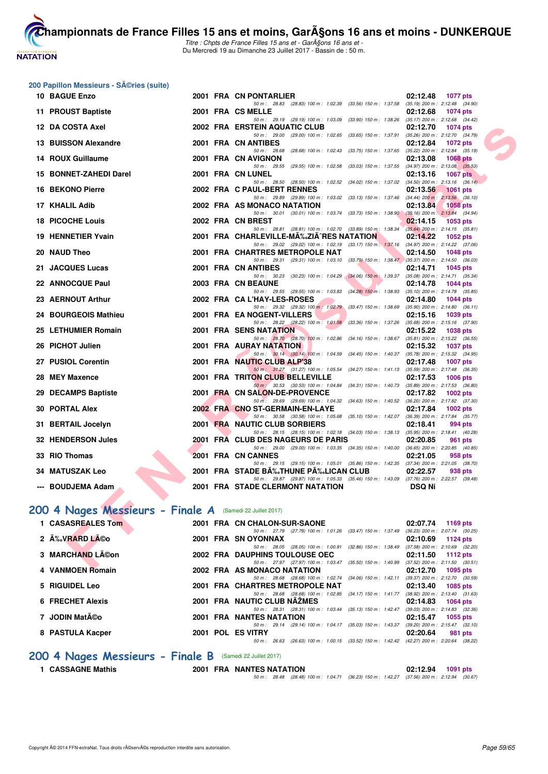

Titre : Chpts de France Filles 15 ans et - GarA§ons 16 ans et -Du Mercredi 19 au Dimanche 23 Juillet 2017 - Bassin de : 50 m.

#### **200 Papillon Messieurs - Séries (suite)**

| 10 BAGUE Enzo                                             |  |  | 2001 FRA CN PONTARLIER                                                                                                               | 02:12.48<br>1077 pts                                               |  |  |
|-----------------------------------------------------------|--|--|--------------------------------------------------------------------------------------------------------------------------------------|--------------------------------------------------------------------|--|--|
| 11 PROUST Baptiste                                        |  |  | 50 m: 28.83 (28.83) 100 m: 1:02.39 (33.56) 150 m: 1:37.58<br>2001 FRA CS MELLE                                                       | $(35.19)$ 200 m : 2:12.48 $(34.90)$<br>02:12.68<br><b>1074 pts</b> |  |  |
| 12 DA COSTA Axel                                          |  |  | 50 m: 29.19 (29.19) 100 m: 1:03.09 (33.90) 150 m: 1:38.26 (35.17) 200 m: 2:12.68 (34.42)<br>2002 FRA ERSTEIN AQUATIC CLUB            | 02:12.70<br>1074 pts                                               |  |  |
|                                                           |  |  | 50 m: 29.00 (29.00) 100 m: 1:02.65 (33.65) 150 m: 1:37.91 (35.26) 200 m: 2:12.70 (34.79)                                             |                                                                    |  |  |
| <b>13 BUISSON Alexandre</b>                               |  |  | 2001 FRA CN ANTIBES<br>50 m: 28.68 (28.68) 100 m: 1:02.43 (33.75) 150 m: 1:37.65                                                     | 02:12.84<br><b>1072 pts</b><br>(35.22) 200 m : 2:12.84 (35.19)     |  |  |
| 14 ROUX Guillaume                                         |  |  | 2001 FRA CN AVIGNON                                                                                                                  | 02:13.08<br><b>1068 pts</b>                                        |  |  |
| 15 BONNET-ZAHEDI Darel                                    |  |  | 50 m: 29.55 (29.55) 100 m: 1:02.58 (33.03) 150 m: 1:37.55 (34.97) 200 m: 2:13.08 (35.53)<br>2001 FRA CN LUNEL                        | 02:13.16<br><b>1067 pts</b>                                        |  |  |
|                                                           |  |  | 50 m: 28.50 (28.50) 100 m: 1:02.52 (34.02) 150 m: 1:37.02 (34.50) 200 m: 2:13.16 (36.14)                                             |                                                                    |  |  |
| 16 BEKONO Pierre                                          |  |  | 2002 FRA C PAUL-BERT RENNES<br>50 m: 29.89 (29.89) 100 m: 1:03.02 (33.13) 150 m: 1:37.46 (34.44) 200 m: 2:13.56 (36.10)              | 02:13.56<br><b>1061 pts</b>                                        |  |  |
| 17 KHALIL Adib                                            |  |  | 2002 FRA AS MONACO NATATION                                                                                                          | 02:13.84<br><b>1058 pts</b>                                        |  |  |
| <b>18 PICOCHE Louis</b>                                   |  |  | 50 m: 30.01 (30.01) 100 m: 1:03.74 (33.73) 150 m: 1:38.90 (35.16) 200 m: 2:13.84 (34.94)<br>2002 FRA CN BREST                        | 02:14.15<br>1053 pts                                               |  |  |
|                                                           |  |  | 50 m: 28.81 (28.81) 100 m: 1:02.70 (33.89) 150 m: 1:38.34 (35.64) 200 m: 2:14.15 (35.81)                                             |                                                                    |  |  |
| 19 HENNETIER Yvain                                        |  |  | 2001 FRA CHARLEVILLE-MA‰ZIA^RES NATATION<br>50 m: 29.02 (29.02) 100 m: 1:02.19 (33.17) 150 m: 1:37.16 (34.97) 200 m: 2:14.22 (37.06) | 02:14.22<br><b>1052 pts</b>                                        |  |  |
| 20 NAUD Theo                                              |  |  | 2001 FRA CHARTRES METROPOLE NAT                                                                                                      | 02:14.50<br><b>1048 pts</b>                                        |  |  |
|                                                           |  |  | 50 m: 29.31 (29.31) 100 m: 1:03.10 (33.79) 150 m: 1:38.47 (35.37) 200 m: 2:14.50 (36.03)                                             |                                                                    |  |  |
| 21 JACQUES Lucas                                          |  |  | 2001 FRA CN ANTIBES<br>50 m: 30.23 (30.23) 100 m: 1:04.29 (34.06) 150 m: 1:39.37 (35.08) 200 m: 2:14.71 (35.34)                      | 02:14.71<br><b>1045 pts</b>                                        |  |  |
| 22 ANNOCQUE Paul                                          |  |  | 2003 FRA CN BEAUNE                                                                                                                   | 02:14.78<br><b>1044 pts</b>                                        |  |  |
| 23 AERNOUT Arthur                                         |  |  | 50 m: 29.55 (29.55) 100 m: 1:03.83 (34.28) 150 m: 1:38.93 (35.10) 200 m: 2:14.78 (35.85)                                             |                                                                    |  |  |
|                                                           |  |  | 2002 FRA CA L'HAY-LES-ROSES<br>50 m: 29.32 (29.32) 100 m: 1:02.79 (33.47) 150 m: 1:38.69 (35.90) 200 m: 2:14.80 (36.11)              | 02:14.80<br>1044 pts                                               |  |  |
| 24 BOURGEOIS Mathieu                                      |  |  | 2001 FRA EA NOGENT-VILLERS                                                                                                           | 02:15.16<br>1039 pts                                               |  |  |
| 25 LETHUMIER Romain                                       |  |  | 50 m: 28.22 (28.22) 100 m: 1:01.58 (33.36) 150 m: 1:37.26 (35.68) 200 m: 2:15.16 (37.90)<br><b>2001 FRA SENS NATATION</b>            | 02:15.22<br><b>1038 pts</b>                                        |  |  |
|                                                           |  |  | 50 m: 28.70 (28.70) 100 m: 1:02.86 (34.16) 150 m: 1:38.67 (35.81) 200 m: 2:15.22 (36.55)                                             |                                                                    |  |  |
| 26 PICHOT Julien                                          |  |  | <b>2001 FRA AURAY NATATION</b>                                                                                                       | 02:15.32<br><b>1037 pts</b>                                        |  |  |
| 27 PUSIOL Corentin                                        |  |  | 50 m: 30.14 (30.14) 100 m: 1:04.59 (34.45) 150 m: 1:40.37 (35.78) 200 m: 2:15.32 (34.95)<br>2001 FRA NAUTIC CLUB ALP'38              | 02:17.48<br><b>1007 pts</b>                                        |  |  |
|                                                           |  |  | 50 m: 31.27 (31.27) 100 m: 1:05.54 (34.27) 150 m: 1:41.13 (35.59) 200 m: 2:17.48 (36.35)                                             |                                                                    |  |  |
| 28 MEY Maxence                                            |  |  | 2001 FRA TRITON CLUB BELLEVILLE<br>50 m : 30.53 (30.53) 100 m : 1:04.84 (34.31) 150 m : 1:40.73 (35.89) 200 m : 2:17.53 (36.80)      | 02:17.53<br>$1006$ pts                                             |  |  |
| 29 DECAMPS Baptiste                                       |  |  | 2001 FRA CN SALON-DE-PROVENCE                                                                                                        | 02:17.82<br><b>1002 pts</b>                                        |  |  |
| <b>30 PORTAL Alex</b>                                     |  |  | 50 m : 29.69 (29.69) 100 m : 1:04.32 (34.63) 150 m : 1:40.52 (36.20) 200 m : 2:17.82 (37.30)<br>2002 FRA CNO ST-GERMAIN-EN-LAYE      | 02:17.84<br><b>1002 pts</b>                                        |  |  |
|                                                           |  |  | 50 m: 30.58 (30.58) 100 m: 1:05.68 (35.10) 150 m: 1:42.07 (36.39) 200 m: 2:17.84 (35.77)                                             |                                                                    |  |  |
| 31 BERTAIL Jocelyn                                        |  |  | 2001 FRA NAUTIC CLUB SORBIERS                                                                                                        | 02:18.41<br>994 pts                                                |  |  |
| 32 HENDERSON Jules                                        |  |  | 50 m: 28.15 (28.15) 100 m: 1:02.18 (34.03) 150 m: 1:38.13 (35.95) 200 m: 2:18.41 (40.28)<br>2001 FRA CLUB DES NAGEURS DE PARIS       | 02:20.85<br>961 pts                                                |  |  |
|                                                           |  |  | 50 m: 29.00 (29.00) 100 m: 1:03.35 (34.35) 150 m: 1:40.00 (36.65) 200 m: 2:20.85 (40.85)                                             |                                                                    |  |  |
| 33 RIO Thomas                                             |  |  | 2001 FRA CN CANNES                                                                                                                   | 02:21.05<br>958 pts                                                |  |  |
| <b>34 MATUSZAK Leo</b>                                    |  |  | 50 m: 29.15 (29.15) 100 m: 1:05.01 (35.86) 150 m: 1:42.35 (37.34) 200 m: 2:21.05 (38.70)<br>2001 FRA STADE BĉTHUNE PĉLICAN CLUB      | 02:22.57<br>938 pts                                                |  |  |
| --- BOUDJEMA Adam                                         |  |  | 50 m: 29.87 (29.87) 100 m: 1:05.33 (35.46) 150 m: 1:43.09 (37.76) 200 m: 2:22.57 (39.48)<br><b>2001 FRA STADE CLERMONT NATATION</b>  | <b>DSQ Ni</b>                                                      |  |  |
|                                                           |  |  |                                                                                                                                      |                                                                    |  |  |
| 100 4 Nages Messieurs - Finale A (Samedi 22 Juillet 2017) |  |  |                                                                                                                                      |                                                                    |  |  |
| 1 CASASREALES Tom                                         |  |  | 2001 FRA CN CHALON-SUR-SAONE                                                                                                         | 02:07.74<br>1169 pts                                               |  |  |
|                                                           |  |  | 50 m: 27.79 (27.79) 100 m: 1:01.26 (33.47) 150 m: 1:37.49 (36.23) 200 m: 2:07.74 (30.25)                                             |                                                                    |  |  |
| 2 A% VRARD LA©o                                           |  |  | 2001 FRA SN OYONNAX<br>50 m: 28.05 (28.05) 100 m: 1:00.91 (32.86) 150 m: 1:38.49 (37.58) 200 m: 2:10.69 (32.20)                      | 02:10.69<br>1124 pts                                               |  |  |
| 3 MARCHAND LACon                                          |  |  | 2002 FRA DAUPHINS TOULOUSE OEC                                                                                                       | 02:11.50<br>1112 pts                                               |  |  |
| $\lambda$ , <i>VANIMATNI</i> Demotr                       |  |  | 50 m: 27.97 (27.97) 100 m: 1:03.47 (35.50) 150 m: 1:40.99 (37.52) 200 m: 2:11.50 (30.51)<br><b>0000 FBA AC MONAGO NATATION</b>       | $0.4070 - 4005$                                                    |  |  |
|                                                           |  |  |                                                                                                                                      |                                                                    |  |  |

# **[200 4 Nages Messieurs - Finale A](http://www.ffnatation.fr/webffn/resultats.php?idact=nat&go=epr&idcpt=47485&idepr=91)** (Samedi 22 Juillet 2017)

| 1 CASASREALES Tom | 2001 FRA CN CHALON-SUR-SAONE                                                                 | 02:07.74<br>1169 $pts$                                        |
|-------------------|----------------------------------------------------------------------------------------------|---------------------------------------------------------------|
| 2 ÉVRARD Léo      | (27.79) 100 m : 1:01.26 (33.47) 150 m : 1:37.49<br>50 m: 27.79<br>2001 FRA SN OYONNAX        | $(36.23)$ 200 m : 2:07.74 $(30.25)$<br>02:10.69<br>1124 $pts$ |
| 3 MARCHAND Léon   | 50 m: 28.05 (28.05) 100 m: 1:00.91 (32.86) 150 m: 1:38.49<br>2002 FRA DAUPHINS TOULOUSE OEC  | $(37.58)$ 200 m : 2:10.69 $(32.20)$<br>02:11.50<br>1112 $pts$ |
| 4 VANMOEN Romain  | 50 m: 27.97 (27.97) 100 m: 1:03.47 (35.50) 150 m: 1:40.99<br>2002 FRA AS MONACO NATATION     | $(37.52)$ 200 m : 2:11.50 $(30.51)$<br>02:12.70<br>1095 pts   |
| 5 RIGUIDEL Leo    | 50 m: 28.68 (28.68) 100 m: 1:02.74 (34.06) 150 m: 1:42.11<br>2001 FRA CHARTRES METROPOLE NAT | (39.37) 200 m : 2:12.70 (30.59)<br>02:13.40<br>1085 pts       |
| 6 FRECHET Alexis  | 50 m: 28.68 (28.68) 100 m: 1:02.85 (34.17) 150 m: 1:41.77<br>2001 FRA NAUTIC CLUB NAZMES     | $(38.92)$ 200 m : 2:13.40 $(31.63)$<br>02:14.83<br>1064 pts   |
| 7 JODIN Matéo     | 50 m: 28.31 (28.31) 100 m: 1:03.44 (35.13) 150 m: 1:42.47<br><b>2001 FRA NANTES NATATION</b> | $(39.03)$ 200 m : 2:14.83 $(32.36)$<br>02:15.47<br>1055 pts   |
| 8 PASTULA Kacper  | 50 m: 29.14 (29.14) 100 m: 1:04.17 (35.03) 150 m: 1:43.37<br>2001 POL ES VITRY               | (39.20) 200 m : 2:15.47 (32.10)<br>02:20.64<br>981 pts        |
|                   | (26.63) 100 m : 1:00.15 (33.52) 150 m : 1:42.42<br>26.63<br>50 m :                           | (42.27) 200 m : 2:20.64 (38.22)                               |

#### **[200 4 Nages Messieurs - Finale B](http://www.ffnatation.fr/webffn/resultats.php?idact=nat&go=epr&idcpt=47485&idepr=91)** (Samedi 22 Juillet 2017)

**1 CASSAGNE Mathis 2001 FRA NANTES NATATION 02:12.94 1091 pts**

50 m : 28.48 (28.48) 100 m : 1:04.71 (36.23) 150 m : 1:42.27 (37.56) 200 m : 2:12.94 (30.67)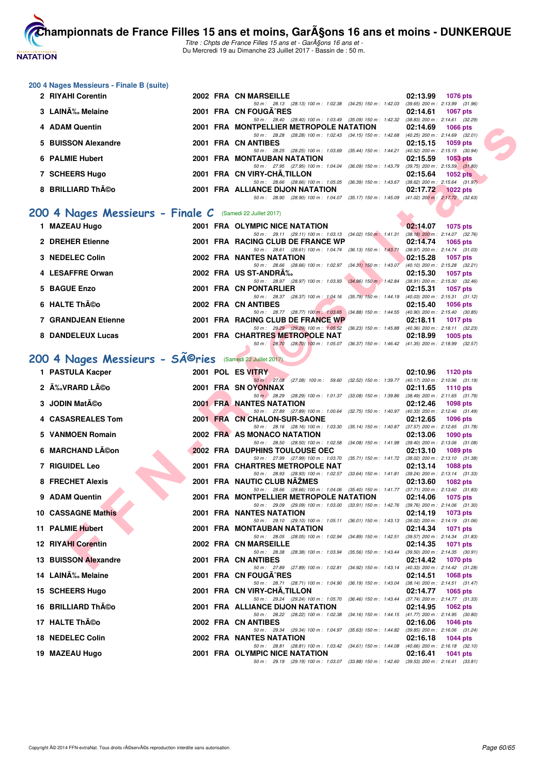

Titre : Chpts de France Filles 15 ans et - GarA§ons 16 ans et -Du Mercredi 19 au Dimanche 23 Juillet 2017 - Bassin de : 50 m.

#### **200 4 Nages Messieurs - Finale B (suite)**

| 2 RIYAHI Corentin   |  | 2002 FRA CN MARSEILLE                                                | 02:13.99 | <b>1076 pts</b>                     |
|---------------------|--|----------------------------------------------------------------------|----------|-------------------------------------|
|                     |  | 50 m: 28.13 (28.13) 100 m: 1:02.38 (34.25) 150 m: 1:42.03            |          | $(39.65)$ 200 m : 2:13.99 $(31.96)$ |
| 3 LAINÉ Melaine     |  | 2001 FRA CN FOUGA RES                                                | 02:14.61 | <b>1067 pts</b>                     |
|                     |  | 50 m : 28.40 (28.40) 100 m : 1:03.49 (35.09) 150 m : 1:42.32         |          | $(38.83)$ 200 m : 2:14.61 $(32.29)$ |
| 4 ADAM Quentin      |  | 2001 FRA MONTPELLIER METROPOLE NATATION                              |          | 02:14.69 1066 pts                   |
|                     |  | (28.28) 100 m : 1:02.43 (34.15) 150 m : 1:42.68<br>50 m : 28.28      |          | $(40.25)$ 200 m : 2:14.69 $(32.01)$ |
| 5 BUISSON Alexandre |  | 2001 FRA CN ANTIBES                                                  | 02:15.15 | 1059 pts                            |
|                     |  | 50 m: 28.25 (28.25) 100 m: 1:03.69 (35.44) 150 m: 1:44.21            |          | $(40.52)$ 200 m : 2:15.15 $(30.94)$ |
| 6 PALMIE Hubert     |  | <b>2001 FRA MONTAUBAN NATATION</b>                                   | 02:15.59 | 1053 pts                            |
|                     |  | 50 m: 27.95 (27.95) 100 m: 1:04.04 (36.09) 150 m: 1:43.79            |          | $(39.75)$ 200 m : 2:15.59 $(31.80)$ |
| 7 SCHEERS Hugo      |  | 2001 FRA CN VIRY-CHA, TILLON                                         | 02:15.64 | $1052$ pts                          |
|                     |  | 50 m: 28.66 (28.66) 100 m: 1:05.05 (36.39) 150 m: 1:43.67            |          | $(38.62)$ 200 m : 2:15.64 $(31.97)$ |
| 8 BRILLIARD Théo    |  | 2001 FRA ALLIANCE DIJON NATATION                                     | 02:17.72 | $1022$ pts                          |
|                     |  | (35.17) 150 m : 1:45.09<br>$(28.90)$ 100 m : 1:04.07<br>50 m : 28.90 |          | $(41.02)$ 200 m : 2:17.72 $(32.63)$ |
|                     |  |                                                                      |          |                                     |

# **[200 4 Nages Messieurs - Finale C](http://www.ffnatation.fr/webffn/resultats.php?idact=nat&go=epr&idcpt=47485&idepr=91)** (Samedi 22 Juillet 2017)

| 1 MAZEAU Hugo              |  | 2001 FRA OLYMPIC NICE NATATION                                                                 |                           | 02:14.07 | 1075 pts                                        |
|----------------------------|--|------------------------------------------------------------------------------------------------|---------------------------|----------|-------------------------------------------------|
|                            |  | 50 m: 29.11 (29.11) 100 m: 1:03.13 (34.02) 150 m: 1:41.31                                      |                           |          | $(38.18)$ 200 m : 2:14.07 $(32.76)$             |
| 2 DREHER Etienne           |  | 2001 FRA RACING CLUB DE FRANCE WP<br>50 m : 28.61 (28.61) 100 m : 1:04.74                      | $(36.13)$ 150 m : 1:43.71 | 02:14.74 | 1065 pts<br>$(38.97)$ 200 m : 2:14.74 $(31.03)$ |
| 3 NEDELEC Colin            |  | 2002 FRA NANTES NATATION                                                                       |                           | 02:15.28 | 1057 pts                                        |
| 4 LESAFFRE Orwan           |  | 50 m: 28.66 (28.66) 100 m: 1:02.97 (34.31) 150 m: 1:43.07<br>2002 FRA US ST-ANDRA%             |                           | 02:15.30 | (40.10) 200 m : 2:15.28 (32.21)<br>1057 pts     |
|                            |  | 50 m: 28.97 (28.97) 100 m: 1:03.93 (34.96) 150 m: 1:42.84                                      |                           |          | $(38.91)$ 200 m : 2:15.30 $(32.46)$             |
| 5 BAGUE Enzo               |  | 2001 FRA CN PONTARLIER                                                                         |                           | 02:15.31 | 1057 pts                                        |
| 6 HALTE Théo               |  | 50 m: 28.37 (28.37) 100 m: 1:04.16 (35.79) 150 m: 1:44.19<br>2002 FRA CN ANTIBES               |                           | 02:15.40 | $(40.03)$ 200 m : 2:15.31 $(31.12)$<br>1056 pts |
| <b>7 GRANDJEAN Etienne</b> |  | 50 m: 28.77 (28.77) 100 m: 1:03.65 (34.88) 150 m: 1:44.55<br>2001 FRA RACING CLUB DE FRANCE WP |                           | 02:18.11 | $(40.90)$ 200 m : 2:15.40 $(30.85)$<br>1017 pts |
| 8 DANDELEUX Lucas          |  | 50 m : 29.29 (29.29) 100 m : 1:05.52<br>2001 FRA CHARTRES METROPOLE NAT                        | $(36.23)$ 150 m : 1:45.88 | 02:18.99 | $(40.36)$ 200 m : 2:18.11 $(32.23)$<br>1005 pts |
|                            |  | 50 m : 28.70 (28.70) 100 m : 1:05.07                                                           | (36.37) 150 m : 1:46.42   |          | (41.35) 200 m : 2:18.99 (32.57)                 |

# 200 4 Nages Messieurs - SÃ<sup>©</sup>ries (Samedi 22 Juillet 2017)

| 4 ADAM Quentin                                           |  | 2001 FRA MONTPELLIER METROPOLE NATATION                                                                                             | 02:14.69 | 1066 pts          |
|----------------------------------------------------------|--|-------------------------------------------------------------------------------------------------------------------------------------|----------|-------------------|
| 5 BUISSON Alexandre                                      |  | 50 m: 28.28 (28.28) 100 m: 1:02.43 (34.15) 150 m: 1:42.68 (40.25) 200 m: 2:14.69 (32.01)<br>2001 FRA CN ANTIBES                     | 02:15.15 | 1059 pts          |
| <b>6 PALMIE Hubert</b>                                   |  | 50 m: 28.25 (28.25) 100 m: 1:03.69 (35.44) 150 m: 1:44.21 (40.52) 200 m: 2:15.15 (30.94)<br>2001 FRA MONTAUBAN NATATION             | 02:15.59 | 1053 pts          |
| 7 SCHEERS Hugo                                           |  | 50 m: 27.95 (27.95) 100 m: 1:04.04 (36.09) 150 m: 1:43.79 (39.75) 200 m: 2:15.59 (31.80)<br>2001 FRA CN VIRY-CHA, TILLON            | 02:15.64 | <b>1052 pts</b>   |
|                                                          |  | 50 m: 28.66 (28.66) 100 m: 1:05.05 (36.39) 150 m: 1:43.67 (38.62) 200 m: 2:15.64 (31.97)                                            |          |                   |
| 8 BRILLIARD Théo                                         |  | 2001 FRA ALLIANCE DIJON NATATION<br>50 m: 28.90 (28.90) 100 m: 1:04.07 (35.17) 150 m: 1:45.09 (41.02) 200 m: 2:17.72 (32.63)        |          | 02:17.72 1022 pts |
| 00 4 Nages Messieurs - Finale C (Samedi 22 Juillet 2017) |  |                                                                                                                                     |          |                   |
| 1 MAZEAU Hugo                                            |  | 2001 FRA OLYMPIC NICE NATATION                                                                                                      | 02:14.07 | <b>1075 pts</b>   |
| 2 DREHER Etienne                                         |  | 50 m: 29.11 (29.11) 100 m: 1:03.13 (34.02) 150 m: 1:41.31 (38.18) 200 m: 2:14.07 (32.76)<br>2001 FRA RACING CLUB DE FRANCE WP       | 02:14.74 | 1065 pts          |
|                                                          |  | 50 m: 28.61 (28.61) 100 m: 1:04.74 (36.13) 150 m: 1:43.71 (38.97) 200 m: 2:14.74 (31.03)                                            |          |                   |
| 3 NEDELEC Colin                                          |  | 2002 FRA NANTES NATATION<br>50 m: 28.66 (28.66) 100 m: 1:02.97 (34.31) 150 m: 1:43.07 (40.10) 200 m: 2:15.28 (32.21)                | 02:15.28 | 1057 pts          |
| 4 LESAFFRE Orwan                                         |  | 2002 FRA US ST-ANDRA%<br>50 m: 28.97 (28.97) 100 m: 1:03.93 (34.96) 150 m: 1:42.84 (38.91) 200 m: 2:15.30 (32.46)                   | 02:15.30 | 1057 pts          |
| 5 BAGUE Enzo                                             |  | 2001 FRA CN PONTARLIER                                                                                                              | 02:15.31 | 1057 pts          |
| 6 HALTE Théo                                             |  | 50 m: 28.37 (28.37) 100 m: 1:04.16 (35.79) 150 m: 1:44.19 (40.03) 200 m: 2:15.31 (31.12)<br>2002 FRA CN ANTIBES                     | 02:15.40 | 1056 pts          |
| 7 GRANDJEAN Etienne                                      |  | 50 m: 28.77 (28.77) 100 m: 1:03.65 (34.88) 150 m: 1:44.55 (40.90) 200 m: 2:15.40 (30.85)<br>2001 FRA RACING CLUB DE FRANCE WP       | 02:18.11 | 1017 pts          |
|                                                          |  | 50 m: 29.29 (29.29) 100 m: 1:05.52 (36.23) 150 m: 1:45.88 (40.36) 200 m: 2:18.11 (32.23)                                            |          |                   |
| 8 DANDELEUX Lucas                                        |  | 2001 FRA CHARTRES METROPOLE NAT                                                                                                     | 02:18.99 | 1005 pts          |
|                                                          |  | 50 m: 28.70 (28.70) 100 m: 1:05.07 (36.37) 150 m: 1:46.42 (41.35) 200 m: 2:18.99 (32.57)                                            |          |                   |
| 00 4 Nages Messieurs - Séries (Samedi 22 Juillet 2017)   |  |                                                                                                                                     |          |                   |
| 1 PASTULA Kacper                                         |  | 2001 POL ES VITRY                                                                                                                   |          | 02:10.96 1120 pts |
| 2 ÉVRARD Léo                                             |  | 50 m: 27.08 (27.08) 100 m: 59.60 (32.52) 150 m: 1:39.77 (40.17) 200 m: 2:10.96 (31.19)<br>2001 FRA SN OYONNAX                       | 02:11.65 | 1110 pts          |
| 3 JODIN MatA©o                                           |  | 50 m : 28.29 (28.29) 100 m : 1:01.37 (33.08) 150 m : 1:39.86 (38.49) 200 m : 2:11.65 (31.79)<br><b>2001 FRA NANTES NATATION</b>     | 02:12.46 | 1098 pts          |
| 4 CASASREALES Tom                                        |  | 50 m: 27.89 (27.89) 100 m: 1:00.64 (32.75) 150 m: 1:40.97 (40.33) 200 m: 2:12.46 (31.49)<br>2001 FRA CN CHALON-SUR-SAONE            | 02:12.65 | 1096 pts          |
|                                                          |  | 50 m: 28.16 (28.16) 100 m: 1:03.30 (35.14) 150 m: 1:40.87 (37.57) 200 m: 2:12.65 (31.78)                                            |          |                   |
| 5 VANMOEN Romain                                         |  | 2002 FRA AS MONACO NATATION<br>50 m: 28.50 (28.50) 100 m: 1:02.58 (34.08) 150 m: 1:41.98 (39.40) 200 m: 2:13.06 (31.08)             | 02:13.06 | 1090 pts          |
| 6 MARCHAND Léon                                          |  | <b>2002 FRA DAUPHINS TOULOUSE OEC</b><br>50 m: 27.99 (27.99) 100 m: 1:03.70 (35.71) 150 m: 1:41.72 (38.02) 200 m: 2:13.10 (31.38)   | 02:13.10 | 1089 pts          |
| 7 RIGUIDEL Leo                                           |  | <b>2001 FRA CHARTRES METROPOLE NAT</b>                                                                                              | 02:13.14 | 1088 pts          |
| 8 FRECHET Alexis                                         |  | 50 m: 28.93 (28.93) 100 m: 1:02.57 (33.64) 150 m: 1:41.81 (39.24) 200 m: 2:13.14 (31.33)<br>2001 FRA NAUTIC CLUB NAZMES             | 02:13.60 | 1082 pts          |
|                                                          |  | 50 m: 28.66 (28.66) 100 m: 1:04.06 (35.40) 150 m: 1:41.77 (37.71) 200 m: 2:13.60 (31.83)                                            |          |                   |
| 9 ADAM Quentin                                           |  | 2001 FRA MONTPELLIER METROPOLE NATATION<br>50 m: 29.09 (29.09) 100 m: 1:03.00 (33.91) 150 m: 1:42.76 (39.76) 200 m: 2:14.06 (31.30) | 02:14.06 | 1075 pts          |
| 10 CASSAGNE Mathis                                       |  | <b>2001 FRA NANTES NATATION</b>                                                                                                     | 02:14.19 | 1073 pts          |
| 11 PALMIE Hubert                                         |  | 50 m: 29.10 (29.10) 100 m: 1:05.11 (36.01) 150 m: 1:43.13 (38.02) 200 m: 2:14.19 (31.06)<br>2001 FRA MONTAUBAN NATATION             |          | 02:14.34 1071 pts |
| <b>12 RIYAHI Corentin</b>                                |  | 50 m: 28.05 (28.05) 100 m: 1:02.94 (34.89) 150 m: 1:42.51 (39.57) 200 m: 2:14.34 (31.83)<br>2002 FRA CN MARSEILLE                   |          | 02:14.35 1071 pts |
| 13 BUISSON Alexandre                                     |  | 50 m: 28.38 (28.38) 100 m: 1:03.94 (35.56) 150 m: 1:43.44 (39.50) 200 m: 2:14.35 (30.91)<br>2001 FRA CN ANTIBES                     |          | 02:14.42 1070 pts |
| 14 LAINÉ Melaine                                         |  | 50 m: 27.89 (27.89) 100 m: 1:02.81 (34.92) 150 m: 1:43.14 (40.33) 200 m: 2:14.42 (31.28)                                            |          |                   |
|                                                          |  | 2001 FRA CN FOUGA^RES<br>50 m: 28.71 (28.71) 100 m: 1:04.90 (36.19) 150 m: 1:43.04 (38.14) 200 m: 2:14.51 (31.47)                   | 02:14.51 | 1068 pts          |
| 15 SCHEERS Hugo                                          |  | 2001 FRA CN VIRY-CHA.TILLON<br>50 m: 29.24 (29.24) 100 m: 1:05.70 (36.46) 150 m: 1:43.44 (37.74) 200 m: 2:14.77 (31.33)             |          | 02:14.77 1065 pts |
| 16 BRILLIARD Th©o                                        |  | 2001 FRA ALLIANCE DIJON NATATION<br>50 m: 28.22 (28.22) 100 m: 1:02.38 (34.16) 150 m: 1:44.15 (41.77) 200 m: 2:14.95 (30.80)        | 02:14.95 | 1062 pts          |
| 17 HALTE Théo                                            |  | 2002 FRA CN ANTIBES                                                                                                                 | 02:16.06 | 1046 pts          |
| 18 NEDELEC Colin                                         |  | 50 m: 29.34 (29.34) 100 m: 1:04.97 (35.63) 150 m: 1:44.82 (39.85) 200 m: 2:16.06 (31.24)<br>2002 FRA NANTES NATATION                | 02:16.18 | 1044 pts          |
|                                                          |  | 50 m: 28.81 (28.81) 100 m: 1:03.42 (34.61) 150 m: 1:44.08 (40.66) 200 m: 2:16.18 (32.10)                                            |          |                   |
| 19 MAZEAU Hugo                                           |  | 2001 FRA OLYMPIC NICE NATATION<br>50 m: 29.19 (29.19) 100 m: 1:03.07 (33.88) 150 m: 1:42.60 (39.53) 200 m: 2:16.41 (33.81)          | 02:16.41 | 1041 pts          |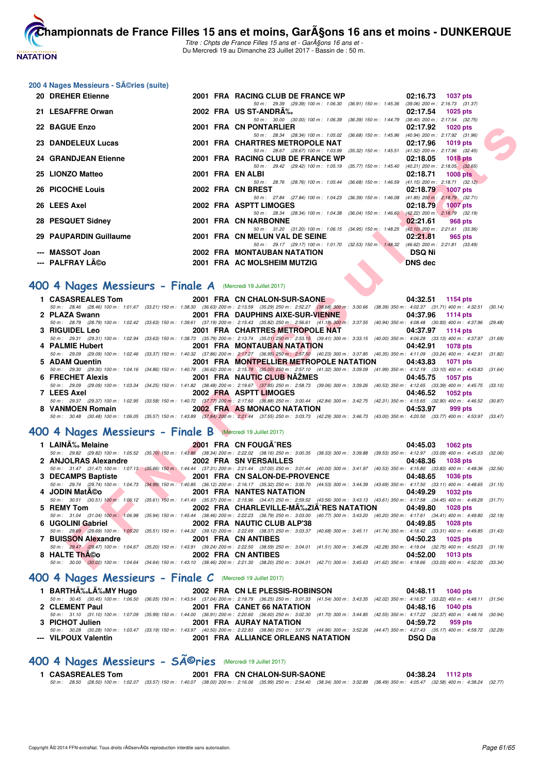

Titre : Chpts de France Filles 15 ans et - GarA§ons 16 ans et -Du Mercredi 19 au Dimanche 23 Juillet 2017 - Bassin de : 50 m.

#### **200 4 Nages Messieurs - Séries (suite)**

| 20 DREHER Etienne                                                 |  | 2001 FRA RACING CLUB DE FRANCE WP<br>02:16.73<br><b>1037 pts</b>                                                                                                                                                                                          |         |
|-------------------------------------------------------------------|--|-----------------------------------------------------------------------------------------------------------------------------------------------------------------------------------------------------------------------------------------------------------|---------|
| 21 LESAFFRE Orwan                                                 |  | 50 m: 29.39 (29.39) 100 m: 1:06.30 (36.91) 150 m: 1:45.36<br>$(39.06)$ 200 m : 2:16.73 $(31.37)$<br>2002 FRA US ST-ANDRA%<br>02:17.54<br><b>1025 pts</b>                                                                                                  |         |
| 22 BAGUE Enzo                                                     |  | 50 m: 30.00 (30.00) 100 m: 1:06.39 (36.39) 150 m: 1:44.79 (38.40) 200 m: 2:17.54 (32.75)<br>2001 FRA CN PONTARLIER<br>02:17.92<br><b>1020 pts</b>                                                                                                         |         |
| 23 DANDELEUX Lucas                                                |  | 50 m: 28.34 (28.34) 100 m: 1:05.02 (36.68) 150 m: 1:45.96 (40.94) 200 m: 2:17.92 (31.96)<br>2001 FRA CHARTRES METROPOLE NAT<br>02:17.96<br>1019 pts                                                                                                       |         |
| <b>24 GRANDJEAN Etienne</b>                                       |  | 50 m: 28.67 (28.67) 100 m: 1:03.99 (35.32) 150 m: 1:45.51<br>$(41.52)$ 200 m : 2:17.96 $(32.45)$<br>2001 FRA RACING CLUB DE FRANCE WP<br>02:18.05<br>1018 $pts$                                                                                           |         |
| 25 LIONZO Matteo                                                  |  | 50 m: 29.42 (29.42) 100 m: 1:05.19 (35.77) 150 m: 1:45.40 (40.21) 200 m: 2:18.05 (32.65)<br>2001 FRA EN ALBI<br><b>1008 pts</b><br>02:18.71                                                                                                               |         |
| 26 PICOCHE Louis                                                  |  | 50 m: 28.76 (28.76) 100 m: 1:05.44 (36.68) 150 m: 1:46.59<br>$(41.15)$ 200 m : 2:18.71 $(32.12)$<br>2002 FRA CN BREST<br>02:18.79<br><b>1007 pts</b>                                                                                                      |         |
| 26 LEES Axel                                                      |  | 50 m: 27.84 (27.84) 100 m: 1:04.23 (36.39) 150 m: 1:46.08 (41.85) 200 m: 2:18.79 (32.71)<br>2002 FRA ASPTT LIMOGES<br>02:18.79<br><b>1007 pts</b>                                                                                                         |         |
| 28 PESQUET Sidney                                                 |  | 50 m: 28.34 (28.34) 100 m: 1:04.38 (36.04) 150 m: 1:46.60<br>$(42.22)$ 200 m : 2:18.79 (32.19)<br>2001 FRA CN NARBONNE<br>02:21.61<br>968 pts                                                                                                             |         |
| 29 PAUPARDIN Guillaume                                            |  | 50 m: 31.20 (31.20) 100 m: 1:06.15 (34.95) 150 m: 1:48.25 (42.10) 200 m: 2:21.61 (33.36)<br>2001 FRA CN MELUN VAL DE SEINE<br>02:21.81<br>965 pts                                                                                                         |         |
| --- MASSOT Joan                                                   |  | 50 m: 29.17 (29.17) 100 m: 1:01.70 (32.53) 150 m: 1:48.32 (46.62) 200 m: 2:21.81 (33.49)<br><b>2002 FRA MONTAUBAN NATATION</b><br><b>DSQ Ni</b>                                                                                                           |         |
| ---   PALFRAY Léo                                                 |  | 2001 FRA AC MOLSHEIM MUTZIG<br><b>DNS</b> dec                                                                                                                                                                                                             |         |
| <b>00 4 Nages Messieurs - Finale A</b> (Mercredi 19 Juillet 2017) |  |                                                                                                                                                                                                                                                           |         |
| 1 CASASREALES Tom                                                 |  |                                                                                                                                                                                                                                                           |         |
|                                                                   |  | 2001 FRA CN CHALON-SUR-SAONE<br>04:32.51<br>1154 pts<br>50 m: 28.46 (28.46) 100 m: 1:01.67 (33.21) 150 m: 1:38.30 (36.63) 200 m: 2:13.59 (35.29) 250 m: 2:52.27 (38.68) 300 m: 3:30.66 (38.39) 350 m: 4:02.37 (31.71) 400 m: 4:32.51 (30.14)              |         |
| 2 PLAZA Swann                                                     |  | 2001 FRA DAUPHINS AIXE-SUR-VIENNE<br>04:37.96<br><b>1114 pts</b>                                                                                                                                                                                          |         |
|                                                                   |  | 50 m : 28.79 (28.79) 100 m : 1:02.42 (33.63) 150 m : 1:39.61 (37.19) 200 m : 2:15.43 (35.82) 250 m : 2:56.61 (41.18) 300 m : 3:37.55 (40.94) 350 m : 4:08.48 (30.93) 400 m : 4:37.96 (29.48)                                                              |         |
| <b>3 RIGUIDEL Leo</b>                                             |  | 2001 FRA CHARTRES METROPOLE NAT<br>04:37.97<br>1114 pts                                                                                                                                                                                                   |         |
|                                                                   |  | 50 m: 29.31 (29.31) 100 m: 1:02.94 (33.63) 150 m: 1:38.73 (35.79) 200 m: 2:13.74 (35.01) 250 m: 2:53.15 (39.41) 300 m: 3:33.15 (40.00) 350 m: 4:06.28 (33.13) 400 m: 4:37.97 (31.69)                                                                      |         |
| 4 PALMIE Hubert                                                   |  | <b>2001 FRA MONTAUBAN NATATION</b><br>04:42.91<br><b>1078 pts</b><br>50 m: 29.09 (29.09) 100 m: 1:02.46 (33.37) 150 m: 1:40.32 (37.86) 200 m: 2:17.27 (36.95) 250 m: 2:57.50 (40.23) 300 m: 3:37.85 (40.35) 350 m: 4:11.09 (33.24) 400 m: 4:42.91 (31.82) |         |
| 5 ADAM Quentin                                                    |  | 2001 FRA MONTPELLIER METROPOLE NATATION<br>04:43.83<br>1071 pts                                                                                                                                                                                           |         |
|                                                                   |  | 50 m : 29.30 (29.30) 100 m : 1:04.16 (34.86) 150 m : 1:40.78 (36.62) 200 m : 2:15.78 (35.00) 250 m : 2:57.10 (41.32) 300 m : 3:39.09 (41.99) 350 m : 4:12.19 (33.10) 400 m : 4:43.83 (31.64)                                                              |         |
| 6 FRECHET Alexis                                                  |  | 2001 FRA NAUTIC CLUB NAZMES<br>04:45.75<br>1057 pts                                                                                                                                                                                                       |         |
| 7 LEES Axel                                                       |  | 50 m : 29.09 (29.09) 100 m : 1:03.34 (34.25) 150 m : 1:41.82 (38.48) 200 m : 2:19.67 (37.85) 250 m : 2:58.73 (39.06) 300 m : 3:39.26 (40.53) 350 m : 4:12.65 (33.39) 400 m : 4:45.75<br>2002 FRA ASPTT LIMOGES<br>04:46.52<br><b>1052 pts</b>             | (33.10) |
|                                                                   |  | 50 m: 29.37 (29.37) 100 m: 1:02.95 (33.58) 150 m: 1:40.72 (37.77) 200 m: 2:17.60 (36.88) 250 m: 3:00.44 (42.84) 300 m: 3:42.75 (42.31) 350 m: 4:15.65 (32.90) 400 m: 4:46.52 (30.87)                                                                      |         |
| 8 VANMOEN Romain                                                  |  | 2002 FRA AS MONACO NATATION<br>04:53.97<br>999 pts                                                                                                                                                                                                        |         |
|                                                                   |  | 50 m: 30.48 (30.48) 100 m: 1:06.05 (35.57) 150 m: 1:43.89 (37.84) 200 m: 2:21.44 (37.55) 250 m: 3:03.73 (42.29) 300 m: 3:46.73 (43.00) 350 m: 4:20.50 (33.77) 400 m: 4:53.97 (33.47)                                                                      |         |
| 00 4 Nages Messieurs - Finale B (Mercredi 19 Juillet 2017)        |  |                                                                                                                                                                                                                                                           |         |
| 1 LAINA% Melaine                                                  |  | 2001 FRA CN FOUGA RES<br>04:45.03<br>1062 pts                                                                                                                                                                                                             |         |
|                                                                   |  | 50 m : 29.82 (29.82) 100 m : 1:05.52 (35.70) 150 m : 1:43.86 (38.34) 200 m : 2:22.02 (38.16) 250 m : 3:00.35 (38.33) 300 m : 3:39.88 (39.53) 350 m : 4:12.97 (33.09) 400 m : 4:45.03 (32.06)                                                              |         |
| 2 ANJOLRAS Alexandre                                              |  | 2002 FRA SN VERSAILLES<br>04:48.36<br><b>1038 pts</b>                                                                                                                                                                                                     |         |
| <b>Contract</b>                                                   |  | 50 m: 31.47 (31.47) 100 m: 1:07.13 (35.66) 150 m: 1:44.44 (37.31) 200 m: 2:21.44 (37.00) 250 m: 3:01.44 (40.00) 300 m: 3:41.97 (40.53) 350 m: 4:15.80 (33.83) 400 m: 4:48.36 (32.56)<br>2001 FRA CN SALON-DE-PROVENCE<br>04:48.65                         |         |
| 3 DECAMPS Baptiste                                                |  | 1036 pts<br>50 m: 29.74 (29.74) 100 m: 1:04.73 (34.99) 150 m: 1:40.85 (36.12) 200 m: 2:16.17 (35.32) 250 m: 3:00.70 (44.53) 300 m: 3:44.39 (43.69) 350 m: 4:17.50 (33.11) 400 m: 4:48.65 (31.15)                                                          |         |
| 4 JODIN MatA©o                                                    |  | <b>2001 FRA NANTES NATATION</b><br>04:49.29<br>1032 pts                                                                                                                                                                                                   |         |
|                                                                   |  | 50 m: 30.51 (30.51) 100 m: 1:06.12 (35.61) 150 m: 1:41.49 (35.37) 200 m: 2:15.96 (34.47) 250 m: 2:59.52 (43.56) 300 m: 3:43.13 (43.61) 350 m: 4:17.58 (34.45) 400 m: 4:49.29                                                                              | (31.71) |
| 5 REMY Tom                                                        |  | 2002 FRA CHARLEVILLE-MA‰ZIA^RES NATATION<br>04:49.80<br>1028 pts                                                                                                                                                                                          |         |
|                                                                   |  | 50 m: 31.04 (31.04) 100 m: 1.06.98 (35.94) 150 m: 1:45.44 (38.46) 200 m: 2:22.23 (36.79) 250 m: 3:03.00 (40.77) 300 m: 3:43.20 (40.20) 350 m: 4:17.61 (34.41) 400 m: 4:49.80 (32.19)                                                                      |         |
| 6 UGOLINI Gabriel                                                 |  | 2002 FRA NAUTIC CLUB ALP'38<br>04:49.85<br>1028 pts<br>50 m: 29.69 (29.69) 100 m: 1:05.20 (35.51) 150 m: 1:44.32 (39.12) 200 m: 2:22.69 (38.37) 250 m: 3:03.37 (40.68) 300 m: 3:45.11 (41.74) 350 m: 4:18.42 (33.31) 400 m: 4:49.85 (31.43)               |         |
| 7 BUISSON Alexandre                                               |  | 2001 FRA CN ANTIBES<br>04:50.23<br>1025 pts                                                                                                                                                                                                               |         |
|                                                                   |  | 50 m: 29.47 (29.47) 100 m: 1:04.67 (35.20) 150 m: 1:43.91 (39.24) 200 m: 2:22.50 (38.59) 250 m: 3:04.01 (41.51) 300 m: 3:46.29 (42.28) 350 m: 4:19.04 (32.75) 400 m: 4:50.23 (31.19)                                                                      |         |
| 8 HALTE ThA©o                                                     |  | 2002 FRA CN ANTIBES<br>04:52.00<br>1013 pts<br>50 m: 30.00 (30.00) 100 m: 1:04.64 (34.64) 150 m: 1:43.10 (38.46) 200 m: 2:21.30 (38.20) 250 m: 3:04.01 (42.71) 300 m: 3:45.63 (41.62) 350 m: 4:18.66 (33.03) 400 m: 4:52.00 (33.34)                       |         |
|                                                                   |  |                                                                                                                                                                                                                                                           |         |

#### **[400 4 Nages Messieurs - Finale A](http://www.ffnatation.fr/webffn/resultats.php?idact=nat&go=epr&idcpt=47485&idepr=92)** (Mercredi 19 Juillet 2017)

|                       |                                                   | 04:32.51 1154 pts                                                                                                                                                                            |
|-----------------------|---------------------------------------------------|----------------------------------------------------------------------------------------------------------------------------------------------------------------------------------------------|
|                       |                                                   | 50 m: 28.46 (28.46) 100 m: 1:01.67 (33.21) 150 m: 1:38.30 (36.63) 200 m: 2:13.59 (35.29) 250 m: 2:52.27 (38.68) 300 m: 3:30.66 (38.39) 350 m: 4:02.37 (31.71) 400 m: 4:32.51 (30.14)         |
| 2 PLAZA Swann         | 2001 FRA DAUPHINS AIXE-SUR-VIENNE                 | 04:37.96 1114 pts                                                                                                                                                                            |
|                       |                                                   | 50 m: 28.79 (28.79) 100 m: 1:02.42 (33.63) 150 m: 1:39.61 (37.19) 200 m: 2:15.43 (35.82) 250 m: 2:56.61 (41.18) 300 m: 3:37.55 (40.94) 350 m: 4:08.48 (30.93) 400 m: 4:37.96 (29.48)         |
| <b>3 RIGUIDEL Leo</b> | 2001 FRA CHARTRES METROPOLE NAT 04:37.97 1114 pts |                                                                                                                                                                                              |
|                       |                                                   | 50 m: 29.31 (29.31) 100 m: 1:02.94 (33.63) 150 m: 1:38.73 (35.79) 200 m: 2:13.74 (35.01) 250 m: 2:53.15 (39.41) 300 m: 3:33.15 (40.00) 350 m: 4:06.28 (33.13) 400 m: 4:37.97 (31.69)         |
| 4 PALMIE Hubert       | 2001 FRA MONTAUBAN NATATION                       | 04:42.91 1078 pts                                                                                                                                                                            |
|                       |                                                   | 50 m : 29.09 (29.09) 100 m : 1:02.46 (33.37) 150 m : 1:40.32 (37.86) 200 m : 2:17.27 (36.95) 250 m : 2:57.50 (40.23) 300 m : 3:37.85 (40.35) 350 m : 4:11.09 (33.24) 400 m : 4:42.91 (31.82) |
| 5 ADAM Quentin        | 2001 FRA MONTPELLIER METROPOLE NATATION 04:43.83  | 1071 pts                                                                                                                                                                                     |
|                       |                                                   | 50 m: 29.30 (29.30) 100 m: 1:04.16 (34.86) 150 m: 1:40.78 (36.62) 200 m: 2:15.78 (35.00) 250 m: 2:57.10 (41.32) 300 m: 3:39.09 (41.99) 350 m: 4:12.19 (33.10) 400 m: 4:43.83 (31.64)         |
| 6 FRECHET Alexis      | 2001 FRA NAUTIC CLUB NAZMES                       | 04:45.75 1057 pts                                                                                                                                                                            |
|                       |                                                   | 50 m: 29.09 (29.09) 100 m: 1:03.34 (34.25) 150 m: 1:41.82 (38.48) 200 m: 2:19.67 (37.85) 250 m: 2:58.73 (39.06) 300 m: 3:39.26 (40.53) 350 m: 4:12.65 (33.39) 400 m: 4:45.75 (33.10)         |
| 7 LEES Axel           | 2002 FRA ASPTT LIMOGES                            | 04:46.52 1052 pts                                                                                                                                                                            |
|                       |                                                   | 50 m: 29.37 (29.37) 100 m: 1:02.95 (33.58) 150 m: 1:40.72 (37.77) 200 m: 2:17.60 (36.88) 250 m: 3:00.44 (42.84) 300 m: 3:42.75 (42.31) 350 m: 4:15.65 (32.90) 400 m: 4:46.52 (30.87)         |
|                       | 8 VANMOEN Romain 2002 FRA AS MONACO NATATION      | 04:53.97<br>999 pts                                                                                                                                                                          |
|                       |                                                   | 50 m: 30.48 (30.48) 100 m: 1:06.05 (35.57) 150 m: 1:43.89 (37.84) 200 m: 2:21.44 (37.55) 250 m: 3:03.73 (42.29) 300 m: 3:46.73 (43.00) 350 m: 4:20.50 (33.77) 400 m: 4:53.97 (33.47)         |

# **[400 4 Nages Messieurs - Finale B](http://www.ffnatation.fr/webffn/resultats.php?idact=nat&go=epr&idcpt=47485&idepr=92)** (Mercredi 19 Juillet 2017)

| 1 LAINĉ Melaine      | 2001 FRA CN FOUGA^RES         | 04:45.03 1062 pts                                                                                                                                                                            |  |
|----------------------|-------------------------------|----------------------------------------------------------------------------------------------------------------------------------------------------------------------------------------------|--|
|                      |                               | 50 m : 29.82 (29.82) 100 m : 1:05.52 (35.70) 150 m : 1:43.86 (38.34) 200 m : 2:22.02 (38.16) 250 m : 3:00.35 (38.33) 300 m : 3:39.88 (39.53) 350 m : 4:12.97 (33.09) 400 m : 4:45.03 (32.06) |  |
| 2 ANJOLRAS Alexandre | 2002 FRA SN VERSAILLES        | 04:48.36 1038 pts                                                                                                                                                                            |  |
|                      |                               | 50 m: 31.47 (31.47) 100 m: 1:07.13 (35.66) 150 m: 1:44.44 (37.31) 200 m: 2:21.44 (37.00) 250 m: 3:01.44 (40.00) 300 m: 3:41.97 (40.53) 350 m: 4:15.80 (32.83) 400 m: 4:48.36 (32.56)         |  |
| 3 DECAMPS Baptiste   | 2001 FRA CN SALON-DE-PROVENCE | 04:48.65 1036 pts                                                                                                                                                                            |  |
|                      |                               | 50 m : 29.74 (29.74) 100 m : 1:04.73 (34.99) 150 m : 1:40.85 (36.12) 200 m : 2:16.17 (35.32) 250 m : 3:00.70 (44.53) 300 m : 3:44.39 (43.69) 350 m : 4:17.50 (33.11) 400 m : 4:48.65 (31.15) |  |
| 4 JODIN MatA©o       | 2001 FRA NANTES NATATION      | 04:49.29 1032 pts                                                                                                                                                                            |  |
|                      |                               | 50 m: 30.51 (30.51) 100 m: 1:06.12 (35.61) 150 m: 1:41.49 (35.37) 200 m: 2:15.96 (34.47) 250 m: 2:59.52 (43.56) 300 m: 3:43.13 (43.61) 350 m: 4:17.58 (34.45) 400 m: 4:49.29 (31.71)         |  |
|                      |                               |                                                                                                                                                                                              |  |
| 5 REMY Tom           |                               | 2002 FRA CHARLEVILLE-MA%.ZIA RES NATATION 04:49.80 1028 pts                                                                                                                                  |  |
|                      |                               | 50 m: 31.04 (31.04) 100 m: 1:06.98 (35.94) 150 m: 1:45.44 (38.46) 200 m: 2:22.23 (36.79) 250 m: 3:03.00 (40.77) 300 m: 3:43.20 (40.20) 350 m: 4:17.61 (34.41) 400 m: 4:49.80 (32.19)         |  |
| 6 UGOLINI Gabriel    | 2002 FRA NAUTIC CLUB ALP'38   | 04:49.85 1028 pts                                                                                                                                                                            |  |
|                      |                               | 50 m: 29.69 (29.69) 100 m: 1:05.20 (35.51) 150 m: 1:44.32 (39.12) 200 m: 2:22.69 (38.37) 250 m: 3:03.37 (40.68) 300 m: 3:45.11 (41.74) 350 m: 4:18.42 (33.31) 400 m: 4:49.85 (31.43)         |  |
| 7 BUISSON Alexandre  | 2001 FRA CN ANTIBES           | 04:50.23 1025 pts                                                                                                                                                                            |  |
|                      |                               | 50 m : 29.47 (29.47) 100 m : 1:04.67 (35.20) 150 m : 1:43.91 (39.24) 200 m : 2:22.50 (38.59) 250 m : 3:04.01 (41.51) 300 m : 3:46.29 (42.28) 350 m : 4:19.04 (32.75) 400 m : 4:50.23 (31.19) |  |
| 8 HALTE ThA©o        | 2002 FRA CN ANTIBES           | 04:52.00 1013 pts                                                                                                                                                                            |  |

#### **[400 4 Nages Messieurs - Finale C](http://www.ffnatation.fr/webffn/resultats.php?idact=nat&go=epr&idcpt=47485&idepr=92)** (Mercredi 19 Juillet 2017)

| 1 BARTHÉLÉMY Hugo    | 2002 FRA CN LE PLESSIS-ROBINSON                                                                                                                                                              | 04:48.11 1040 pts |
|----------------------|----------------------------------------------------------------------------------------------------------------------------------------------------------------------------------------------|-------------------|
|                      | 50 m: 30.45 (30.45) 100 m: 1:06.50 (36.05) 150 m: 1:43.54 (37.04) 200 m: 2:19.79 (36.25) 250 m: 3:01.33 (41.54) 300 m: 3:43.35 (42.02) 350 m: 4:16.57 (33.22) 400 m: 4:48.11 (31.54)         |                   |
| 2 CLEMENT Paul       | 2001 FRA CANET 66 NATATION                                                                                                                                                                   | 04:48.16 1040 pts |
|                      | 50 m: 31.10 (31.10) 100 m: 1:07.09 (35.99) 150 m: 1:44.00 (36.91) 200 m: 2:20.60 (36.60) 250 m: 3:02.30 (41.70) 300 m: 3:44.85 (42.55) 350 m: 4:17.22 (32.37) 400 m: 4:48.16 (30.94)         |                   |
| 3 PICHOT Julien      | <b>2001 FRA AURAY NATATION</b>                                                                                                                                                               | 04:59.72 959 pts  |
|                      | 50 m : 30.28 (30.28) 100 m : 1:03.47 (33.19) 150 m : 1:43.97 (40.50) 200 m : 2:22.83 (38.86) 250 m : 3:07.79 (44.96) 300 m : 3:52.26 (44.47) 350 m : 4:27.43 (35.17) 400 m : 4:59.72 (32.29) |                   |
| --- VILPOUX Valentin | 2001 FRA ALLIANCE ORLEANS NATATION                                                                                                                                                           | <b>DSQ Da</b>     |

# 400 4 Nages Messieurs - SÃ<sup>@</sup>ries (Mercredi 19 Juillet 2017)

|  | <b>CASASREALES Tom</b> |  | 2001 FRA CN CHALON-SUR-SAONE                                                                                                                                                                |  | 04:38.24 1112 pts |  |
|--|------------------------|--|---------------------------------------------------------------------------------------------------------------------------------------------------------------------------------------------|--|-------------------|--|
|  |                        |  | 50 m : 28.50 (28.50) 100 m : 1:02.07 (33.57) 150 m : 1:40.07 (38.00) 200 m : 2:16.06 (35.99) 250 m : 2:54.40 (38.34) 300 m : 3:32.89 (38.49) 350 m : 4:05.47 (32.58) 400 m : 4:38.24 (32.77 |  |                   |  |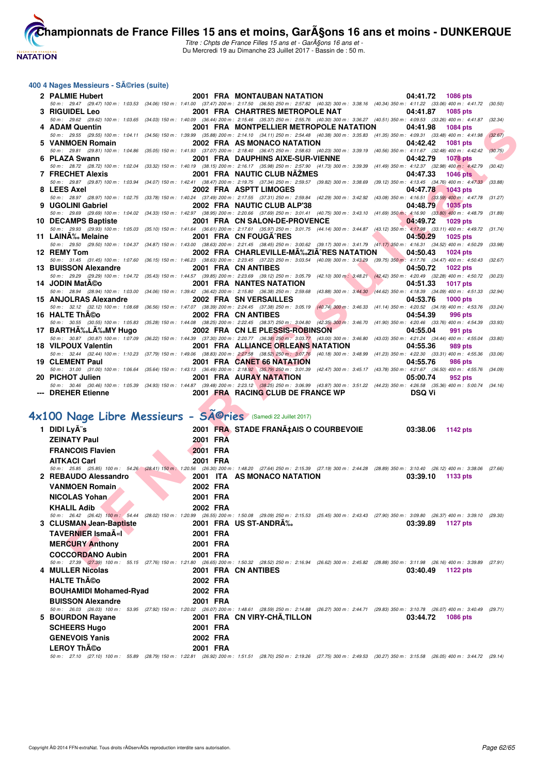

Titre : Chpts de France Filles 15 ans et - GarA§ons 16 ans et -Du Mercredi 19 au Dimanche 23 Juillet 2017 - Bassin de : 50 m.

#### **400 4 Nages Messieurs - Séries (suite)**

|    | 2 PALMIE Hubert                                             |                      | <b>2001 FRA MONTAUBAN NATATION</b>                                                                                                                                                                                                                  | 04:41.72<br>1086 pts           |         |
|----|-------------------------------------------------------------|----------------------|-----------------------------------------------------------------------------------------------------------------------------------------------------------------------------------------------------------------------------------------------------|--------------------------------|---------|
|    | <b>RIGUIDEL Leo</b>                                         |                      | 50 m: 29.47 (29.47) 100 m: 1:03.53 (34.06) 150 m: 1:41.00 (37.47) 200 m: 2:17.50 (36.50) 250 m: 2:57.82 (40.32) 300 m: 3:38.16 (40.34) 350 m: 4:11.22 (33.06) 400 m: 4:41.72 (30.50)<br>2001 FRA CHARTRES METROPOLE NAT                             | 04:41.87<br>1085 pts           |         |
|    |                                                             |                      | 50 m : 29.62 (29.62) 100 m : 1:03.65 (34.03) 150 m : 1:40.09 (36.44) 200 m : 2:15.46 (35.37) 250 m : 2:55.76 (40.30) 300 m : 3:36.27 (40.51) 350 m : 4:09.53 (33.26) 400 m : 4:41.87 (32.34)                                                        |                                |         |
|    | 4 ADAM Quentin                                              |                      | 2001 FRA MONTPELLIER METROPOLE NATATION                                                                                                                                                                                                             | 04:41.98<br><b>1084 pts</b>    |         |
|    |                                                             |                      | 50 m : 29.55 (29.55) 100 m : 1:04.11 (34.56) 150 m : 1:39.99 (35.88) 200 m : 2:14.10 (34.11) 250 m : 2:54.48 (40.38) 300 m : 3:35.83 (41.35) 350 m : 4:09.31 (33.48) 400 m : 4:41.98                                                                |                                | (32.67) |
| 5. | <b>VANMOEN Romain</b>                                       |                      | 2002 FRA AS MONACO NATATION                                                                                                                                                                                                                         | 04:42.42<br>1081 pts           |         |
|    | 6 PLAZA Swann                                               |                      | 50 m: 29.81 (29.81) 100 m: 1:04.86 (35.05) 150 m: 1:41.93 (37.07) 200 m: 2:18.40 (36.47) 250 m: 2:58.63 (40.23) 300 m: 3:39.19 (40.56) 350 m: 4:11.67 (32.48) 400 m: 4:42.42<br>2001 FRA DAUPHINS AIXE-SUR-VIENNE                                   | 04:42.79<br>1078 pts           | (30.75) |
|    |                                                             |                      | 50 m: 28.72 (28.72) 100 m: 1:02.04 (33.32) 150 m: 1:40.19 (38.15) 200 m: 2:16.17 (35.98) 250 m: 2:57.90 (41.73) 300 m: 3:39.39 (41.49) 350 m: 4:12.37 (32.98) 400 m: 4:42.79                                                                        |                                | (30.42) |
|    | <b>7 FRECHET Alexis</b>                                     |                      | 2001 FRA NAUTIC CLUB NAZMES                                                                                                                                                                                                                         | 04:47.33<br><b>1046 pts</b>    |         |
|    |                                                             |                      | 50 m : 29.87 (29.87) 100 m : 1:03.94 (34.07) 150 m : 1:42.41 (38.47) 200 m : 2:19.75 (37.34) 250 m : 2:59.57 (39.82) 300 m : 3:38.69 (39.12) 350 m : 4:13.45 (34.76) 400 m : 4:47.33 (33.88)                                                        |                                |         |
| 8  | <b>LEES Axel</b>                                            |                      | 2002 FRA ASPTT LIMOGES                                                                                                                                                                                                                              | 04:47.78<br><b>1043 pts</b>    |         |
|    | 9 UGOLINI Gabriel                                           |                      | 50 m: 28.97 (28.97) 100 m: 1:02.75 (33.78) 150 m: 1:40.24 (37.49) 200 m: 2:17.55 (37.31) 250 m: 2:59.84 (42.29) 300 m: 3:42.92 (43.08) 350 m: 4:16.51 (33.59) 400 m: 4:47.78 (31.27)<br>2002 FRA NAUTIC CLUB ALP'38                                 | 04:48.79<br>1035 pts           |         |
|    |                                                             |                      | 50 m: 29.69 (29.69) 100 m: 1:04.02 (34.33) 150 m: 1:42.97 (38.95) 200 m: 2:20.66 (37.69) 250 m: 3:01.41 (40.75) 300 m: 3:43.10 (41.69) 350 m: 4:16.90 (33.80) 400 m: 4:48.79 (31.89)                                                                |                                |         |
|    | 10 DECAMPS Baptiste                                         |                      | 2001 FRA CN SALON-DE-PROVENCE                                                                                                                                                                                                                       | 04:49.72<br>1029 pts           |         |
|    |                                                             |                      | 50 m: 29.93 (29.93) 100 m: 1:05.03 (35.10) 150 m: 1:41.64 (36.61) 200 m: 2:17.61 (35.97) 250 m: 3:01.75 (44.14) 300 m: 3:44.87 (43.12) 350 m: 4:17.98 (33.11) 400 m: 4:49.72 (31.74)                                                                |                                |         |
|    | 11 LAINA‰ Melaine                                           |                      | 2001 FRA CN FOUGA RES                                                                                                                                                                                                                               | 04:50.29<br><b>1025 pts</b>    |         |
|    | 12 REMY Tom                                                 |                      | 50 m: 29.50 (29.50) 100 m: 1:04.37 (34.87) 150 m: 1:43.00 (38.63) 200 m: 2:21.45 (38.45) 250 m: 3:00.62 (39.17) 300 m: 3:41.79 (41.17) 350 m: 4:16.31 (34.52) 400 m: 4:50.29 (33.98)<br>2002 FRA CHARLEVILLE-MA‰ZIA^RES NATATION                    | 04:50.43<br><b>1024 pts</b>    |         |
|    |                                                             |                      | 50 m: 31.45 (31.45) 100 m: 1:07.60 (36.15) 150 m: 1:46.23 (38.63) 200 m: 2:23.45 (37.22) 250 m: 3:03.54 (40.09) 300 m: 3:43.29 (39.75) 350 m: 4:17.76 (34.47) 400 m: 4:50.43 (32.67)                                                                |                                |         |
|    | 13 BUISSON Alexandre                                        |                      | 2001 FRA CN ANTIBES                                                                                                                                                                                                                                 | 04:50.72<br>1022 pts           |         |
|    |                                                             |                      | 50 m: 29.29 (29.29) 100 m: 1:04.72 (35.43) 150 m: 1:44.57 (39.85) 200 m: 2:23.69 (39.12) 250 m: 3:05.79 (42.10) 300 m: 3:48.21 (42.42) 350 m: 4:20.49 (32.28) 400 m: 4:50.72 (30.23)                                                                |                                |         |
|    | 14 JODIN MatA©o                                             |                      | 2001 FRA NANTES NATATION                                                                                                                                                                                                                            | $\sim$<br>04:51.33<br>1017 pts |         |
|    | 15 ANJOLRAS Alexandre                                       |                      | 50 m: 28.94 (28.94) 100 m: 1:03.00 (34.06) 150 m: 1:39.42 (36.42) 200 m: 2:15.80 (36.38) 250 m: 2:59.68 (43.88) 300 m: 3:44.30 (44.62) 350 m: 4:18.39 (34.09) 400 m: 4:51.33 (32.94)<br><b>2002 FRA SN VERSAILLES</b><br>$\mathcal{L}(\mathcal{L})$ | 04:53.76<br><b>1000 pts</b>    |         |
|    |                                                             |                      | 50 m : 32.12 (32.12) 100 m : 1:08.68 (36.56) 150 m : 1:47.07 (38.39) 200 m : 2:24.45 (37.38) 250 m : 3:05.19 (40.74) 300 m : 3:46.33 (41.14) 350 m : 4:20.52 (34.19) 400 m : 4:53.76                                                                |                                | (33.24) |
|    | 16 HALTE ThA©o                                              |                      | 2002 FRA CN ANTIBES                                                                                                                                                                                                                                 | 04:54.39<br>996 pts            |         |
|    |                                                             |                      | 50 m : 30.55 (30.55) 100 m : 1:05.83 (35.28) 150 m : 1:44.08 (38.25) 200 m : 2:22.45 (38.37) 250 m : 3:04.80 (42.35) 300 m : 3:46.70 (41.90) 350 m : 4:20.46 (33.76) 400 m : 4:54.39 (33.93)                                                        |                                |         |
|    | 17 BARTHA‰LA‰MY Hugo                                        |                      | 2002 FRA CN LE PLESSIS-ROBINSON                                                                                                                                                                                                                     | 04:55.04<br>991 pts            |         |
|    | 18 VILPOUX Valentin                                         |                      | 50 m: 30.87 (30.87) 100 m: 1:07.09 (36.22) 150 m: 1:44.39 (37.30) 200 m: 2:20.77 (36.38) 250 m: 3:03.77 (43.00) 300 m: 3:46.80 (43.03) 350 m: 4:21.24 (34.44) 400 m: 4:55.04<br>2001 FRA ALLIANCE ORLEANS NATATION                                  | 04:55.36<br>989 pts            | (33.80) |
|    |                                                             |                      | 50 m: 32.44 (32.44) 100 m: 1:10.23 (37.79) 150 m: 1:49.06 (38.83) 200 m: 2:27.58 (38.52) 250 m: 3:07.76 (40.18) 300 m: 3:48.99 (41.23) 350 m: 4:22.30 (33.31) 400 m: 4:55.36 (33.06)                                                                |                                |         |
|    | 19 CLEMENT Paul                                             |                      | 2001 FRA CANET 66 NATATION                                                                                                                                                                                                                          | 04:55.76<br><b>986 pts</b>     |         |
|    |                                                             |                      | 50 m: 31.00 (31.00) 100 m: 1:06.64 (35.64) 150 m: 1:43.13 (36.49) 200 m: 2:18.92 (35.79) 250 m: 3:01.39 (42.47) 300 m: 3:45.17 (43.78) 350 m: 4:21.67 (36.50) 400 m: 4:55.76 (34.09)                                                                |                                |         |
|    | 20 PICHOT Julien                                            |                      | <b>2001 FRA AURAY NATATION</b>                                                                                                                                                                                                                      | 05:00.74<br>952 pts            |         |
|    | --- DREHER Etienne                                          |                      | 50 m : 30.46 (30.46) 100 m : 1:05.39 (34.93) 150 m : 1:44.87 (39.48) 200 m : 2:23.12 (38.25) 250 m : 3:06.99 (43.87) 300 m : 3:51.22 (44.23) 350 m : 4:26.58 (35.36) 400 m : 5:00.74 (34.16)<br>2001 FRA RACING CLUB DE FRANCE WP                   | <b>DSQ Vi</b>                  |         |
|    |                                                             |                      |                                                                                                                                                                                                                                                     |                                |         |
|    |                                                             |                      |                                                                                                                                                                                                                                                     |                                |         |
|    | x100 Nage Libre Messieurs - Séries (Samedi 22 Juillet 2017) |                      |                                                                                                                                                                                                                                                     |                                |         |
|    | 1 DIDI LyÂ"s                                                |                      | 2001 FRA STADE FRANA‡AIS O COURBEVOIE                                                                                                                                                                                                               | 03:38.06<br>1142 pts           |         |
|    | <b>ZEINATY Paul</b>                                         | 2001 FRA             |                                                                                                                                                                                                                                                     |                                |         |
|    | <b>FRANCOIS Flavien</b>                                     | 2001 FRA             |                                                                                                                                                                                                                                                     |                                |         |
|    | <b>AITKACI Carl</b>                                         | 2001 FRA             |                                                                                                                                                                                                                                                     |                                |         |
|    |                                                             |                      | 50 m: 25.85 (25.85) 100 m: 54.26 (28.41) 150 m: 1:20.56 (26.30) 200 m: 1:48.20 (27.64) 250 m: 2:15.39 (27.19) 300 m: 2:44.28 (28.89) 350 m: 3:10.40 (26.12) 400 m: 3:38.06 (27.66)                                                                  |                                |         |
|    | 2 REBAUDO Alessandro                                        |                      | 2001 ITA AS MONACO NATATION                                                                                                                                                                                                                         | 03:39.10<br>1133 pts           |         |
|    | <b>VANMOEN Romain</b>                                       | 2002 FRA             |                                                                                                                                                                                                                                                     |                                |         |
|    | NICOLAS Yohan                                               | 2001 FRA             |                                                                                                                                                                                                                                                     |                                |         |
|    | <b>KHALIL Adib</b>                                          | 2002 FRA             |                                                                                                                                                                                                                                                     |                                |         |
|    |                                                             |                      | 50 m : 26.42 (26.42) 100 m : 54.44 (28.02) 150 m : 1:20.99 (26.55) 200 m : 1:50.08 (29.09) 250 m : 2:15.53 (25.45) 300 m : 2:43.43 (27.90) 350 m : 3:09.80 (26.37) 400 m : 3:39.10 (29.30)                                                          |                                |         |
|    | 3 CLUSMAN Jean-Baptiste                                     |                      | 2001 FRA US ST-ANDRA%                                                                                                                                                                                                                               | 03:39.89<br>1127 pts           |         |
|    | <b>TAVERNIER IsmaīI</b>                                     | 2001 FRA             |                                                                                                                                                                                                                                                     |                                |         |
|    | <b>MERCURY Anthony</b>                                      | 2001 FRA             |                                                                                                                                                                                                                                                     |                                |         |
|    | <b>COCCORDANO Aubin</b>                                     | 2001 FRA             |                                                                                                                                                                                                                                                     |                                |         |
|    |                                                             |                      | 50 m: 27.39 (27.39) 100 m: 55.15 (27.76) 150 m: 1:21.80 (26.65) 200 m: 1:50.32 (28.52) 250 m: 2:16.94 (26.62) 300 m: 2:45.82 (28.88) 350 m: 3:11.98 (26.16) 400 m: 3:39.89 (27.91)                                                                  |                                |         |
|    | <b>MULLED MARAGE</b>                                        | COOL FRA ON ANTIBECT |                                                                                                                                                                                                                                                     | 0.010, 0.010, 0.010, 0.000     |         |

# 4x100 Nage Libre Messieurs - SÃ<sup>O</sup>ries (Samedi 22 Juillet 2017)

| 1 DIDI Ly¨s                                                                                                                                                                        |          |                     | 2001 FRA STADE FRANA‡AIS O COURBEVOIE | 03:38.06 | 1142 pts        |         |
|------------------------------------------------------------------------------------------------------------------------------------------------------------------------------------|----------|---------------------|---------------------------------------|----------|-----------------|---------|
| <b>ZEINATY Paul</b>                                                                                                                                                                | 2001 FRA |                     |                                       |          |                 |         |
| <b>FRANCOIS Flavien</b>                                                                                                                                                            | 2001 FRA |                     |                                       |          |                 |         |
| <b>AITKACI Carl</b>                                                                                                                                                                | 2001 FRA |                     |                                       |          |                 |         |
| 50 m: 25.85 (25.85) 100 m: 54.26 (28.41) 150 m: 1:20.56 (26.30) 200 m: 1:48.20 (27.64) 250 m: 2:15.39 (27.19) 300 m: 2:44.28 (28.89) 350 m: 3:10.40 (26.12) 400 m: 3:38.06         |          |                     |                                       |          |                 | (27.66) |
| 2 REBAUDO Alessandro                                                                                                                                                               |          |                     | 2001 ITA AS MONACO NATATION           | 03:39.10 | 1133 pts        |         |
| <b>VANMOEN Romain</b>                                                                                                                                                              | 2002 FRA |                     |                                       |          |                 |         |
| <b>NICOLAS Yohan</b>                                                                                                                                                               | 2001 FRA |                     |                                       |          |                 |         |
| <b>KHALIL Adib</b>                                                                                                                                                                 | 2002 FRA |                     |                                       |          |                 |         |
| 50 m: 26.42 (26.42) 100 m: 54.44 (28.02) 150 m: 1:20.99 (26.55) 200 m: 1:50.08 (29.09) 250 m: 2:15.53 (25.45) 300 m: 2:43.43 (27.90) 350 m: 3:09.80 (26.37) 400 m: 3:39.10         |          |                     |                                       |          |                 | (29.30) |
| 3 CLUSMAN Jean-Baptiste                                                                                                                                                            |          |                     | 2001 FRA US ST-ANDRA%                 | 03:39.89 | <b>1127 pts</b> |         |
| <b>TAVERNIER IsmaA«I</b>                                                                                                                                                           | 2001 FRA |                     |                                       |          |                 |         |
| <b>MERCURY Anthony</b>                                                                                                                                                             | 2001 FRA |                     |                                       |          |                 |         |
| <b>COCCORDANO Aubin</b>                                                                                                                                                            | 2001 FRA |                     |                                       |          |                 |         |
| 50 m: 27.39 (27.39) 100 m: 55.15 (27.76) 150 m: 1:21.80 (26.65) 200 m: 1:50.32 (28.52) 250 m: 2:16.94 (26.62) 300 m: 2:45.82 (28.88) 350 m: 3:11.98 (26.16) 400 m: 3:39.89         |          |                     |                                       |          |                 | (27.91) |
| 4 MULLER Nicolas                                                                                                                                                                   |          | 2001 FRA CN ANTIBES |                                       | 03:40.49 | 1122 pts        |         |
| <b>HALTE Théo</b>                                                                                                                                                                  | 2002 FRA |                     |                                       |          |                 |         |
| <b>BOUHAMIDI Mohamed-Ryad</b>                                                                                                                                                      | 2002 FRA |                     |                                       |          |                 |         |
| <b>BUISSON Alexandre</b>                                                                                                                                                           | 2001 FRA |                     |                                       |          |                 |         |
| 50 m: 26.03 (26.03) 100 m: 53.95 (27.92) 150 m: 1:20.02 (26.07) 200 m: 1:48.61 (28.59) 250 m: 2:14.88 (26.27) 300 m: 2:44.71 (29.83) 350 m: 3:10.78 (26.07) 400 m: 3:40.49 (29.71) |          |                     |                                       |          |                 |         |
| 5 BOURDON Rayane                                                                                                                                                                   |          |                     | 2001 FRA CN VIRY-CHA, TILLON          | 03:44.72 | <b>1086 pts</b> |         |
| <b>SCHEERS Hugo</b>                                                                                                                                                                | 2001 FRA |                     |                                       |          |                 |         |
| <b>GENEVOIS Yanis</b>                                                                                                                                                              | 2002 FRA |                     |                                       |          |                 |         |
| <b>LEROY Théo</b>                                                                                                                                                                  | 2001 FRA |                     |                                       |          |                 |         |
| 50 m: 27.10 (27.10) 100 m: 55.89 (28.79) 150 m: 1:22.81 (26.92) 200 m: 1:51.51 (28.70) 250 m: 2:19.26 (27.75) 300 m: 2:49.53 (30.27) 350 m: 3:15.58 (26.05) 400 m: 3:44.72 (29.14) |          |                     |                                       |          |                 |         |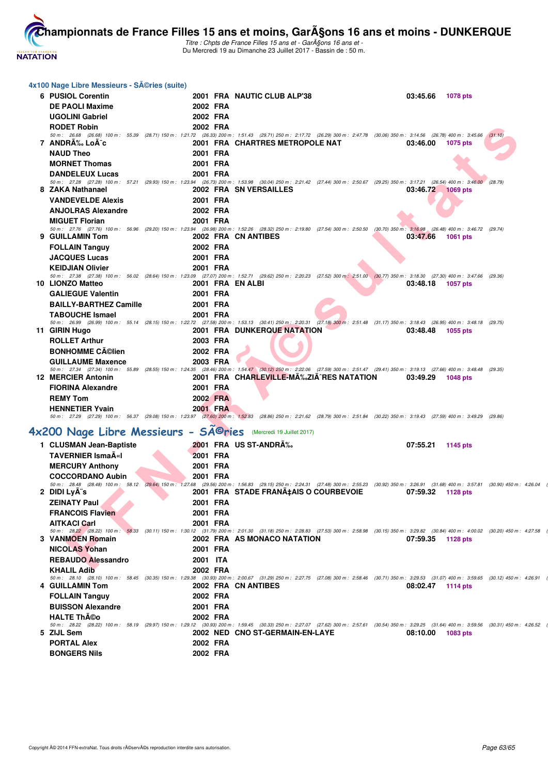

Titre : Chpts de France Filles 15 ans et - GarA§ons 16 ans et -Du Mercredi 19 au Dimanche 23 Juillet 2017 - Bassin de : 50 m.

| 4x100 Nage Libre Messieurs - Séries (suite)                    |                  |                                                                                                                                                                                                                                      |                             |         |
|----------------------------------------------------------------|------------------|--------------------------------------------------------------------------------------------------------------------------------------------------------------------------------------------------------------------------------------|-----------------------------|---------|
| 6 PUSIOL Corentin                                              |                  | 2001 FRA NAUTIC CLUB ALP'38                                                                                                                                                                                                          | 03:45.66<br><b>1078 pts</b> |         |
| <b>DE PAOLI Maxime</b>                                         | 2002 FRA         |                                                                                                                                                                                                                                      |                             |         |
| <b>UGOLINI Gabriel</b>                                         | 2002 FRA         |                                                                                                                                                                                                                                      |                             |         |
|                                                                |                  |                                                                                                                                                                                                                                      |                             |         |
| <b>RODET Robin</b>                                             | 2002 FRA         | 50 m: 26.68 (26.68) 100 m: 55.39 (28.71) 150 m: 1:21.72 (26.33) 200 m: 1:51.43 (29.71) 250 m: 2:17.72 (26.29) 300 m: 2:47.78 (30.06) 350 m: 3:14.56 (26.78) 400 m: 3:45.66                                                           |                             | (31.10) |
| 7 ANDRA‰ LoA-c                                                 |                  | 2001 FRA CHARTRES METROPOLE NAT                                                                                                                                                                                                      | 03:46.00<br>1075 pts        |         |
| <b>NAUD Theo</b>                                               | 2001 FRA         |                                                                                                                                                                                                                                      |                             |         |
| <b>MORNET Thomas</b>                                           | 2001 FRA         |                                                                                                                                                                                                                                      |                             |         |
| <b>DANDELEUX Lucas</b>                                         | 2001 FRA         |                                                                                                                                                                                                                                      |                             |         |
|                                                                |                  | 50 m : 27.28 (27.28) 100 m : 57.21 (29.93) 150 m : 1:23.94 (26.73) 200 m : 1:53.98 (30.04) 250 m : 2:21.42 (27.44) 300 m : 2:50.67 (29.25) 350 m : 3:17.21 (26.54) 400 m : 3:46.00 (28.79)                                           |                             |         |
| 8 ZAKA Nathanael                                               |                  | 2002 FRA SN VERSAILLES                                                                                                                                                                                                               | 03:46.72 1069 pts           |         |
| <b>VANDEVELDE Alexis</b>                                       | 2001 FRA         |                                                                                                                                                                                                                                      |                             |         |
| <b>ANJOLRAS Alexandre</b>                                      | 2002 FRA         |                                                                                                                                                                                                                                      |                             |         |
| <b>MIGUET Florian</b>                                          | 2001 FRA         |                                                                                                                                                                                                                                      |                             |         |
|                                                                |                  | 50 m: 27.76 (27.76) 100 m: 56.96 (29.20) 150 m: 1:23.94 (26.98) 200 m: 1:52.26 (28.32) 250 m: 2:19.80 (27.54) 300 m: 2:50.50 (30.70) 350 m: 3:16.98 (26.48) 400 m: 3:46.72 (29.74)                                                   |                             |         |
| 9 GUILLAMIN Tom                                                |                  | 2002 FRA CN ANTIBES                                                                                                                                                                                                                  | 03:47.66<br>1061 pts        |         |
| <b>FOLLAIN Tanguy</b>                                          | 2002 FRA         |                                                                                                                                                                                                                                      |                             |         |
| <b>JACQUES Lucas</b>                                           | 2001 FRA         |                                                                                                                                                                                                                                      |                             |         |
| <b>KEIDJIAN Olivier</b>                                        | 2001 FRA         | 50 m: 27.38 (27.38) 100 m: 56.02 (28.64) 150 m: 1:23.09 (27.07) 200 m: 1:52.71 (29.62) 250 m: 2:20.23 (27.52) 300 m: 2:51.00 (30.77) 350 m: 3:18.30 (27.30) 400 m: 3:47.66 (29.36)                                                   |                             |         |
| 10 LIONZO Matteo                                               | 2001 FRA EN ALBI |                                                                                                                                                                                                                                      | 03:48.18<br>1057 pts        |         |
| <b>GALIEGUE Valentin</b>                                       | 2001 FRA         |                                                                                                                                                                                                                                      |                             |         |
| <b>BAILLY-BARTHEZ Camille</b>                                  | 2001 FRA         |                                                                                                                                                                                                                                      |                             |         |
| <b>TABOUCHE Ismael</b>                                         | 2001 FRA         |                                                                                                                                                                                                                                      |                             |         |
|                                                                |                  | 50 m: 26.99 (26.99) 100 m: 55.14 (28.15) 150 m: 1:22.72 (27.58) 200 m: 1:53.13 (30.41) 250 m: 2:20.31 (27.18) 300 m: 2:51.48 (31.17) 350 m: 3:18.43 (26.95) 400 m: 3:48.18 (29.75)                                                   |                             |         |
| 11 GIRIN Hugo                                                  |                  | <b>2001 FRA DUNKERQUE NATATION</b>                                                                                                                                                                                                   | 03:48.48<br>1055 pts        |         |
| <b>ROLLET Arthur</b>                                           | 2003 FRA         |                                                                                                                                                                                                                                      |                             |         |
| <b>BONHOMME Célien</b>                                         | 2002 FRA         |                                                                                                                                                                                                                                      |                             |         |
| <b>GUILLAUME Maxence</b>                                       | 2003 FRA         |                                                                                                                                                                                                                                      |                             |         |
| 12 MERCIER Antonin                                             |                  | 50 m: 27.34 (27.34) 100 m: 55.89 (28.55) 150 m: 1:24.35 (28.46) 200 m: 1:54.47 (30.12) 250 m: 2:22.06 (27.59) 300 m: 2:51.47 (29.41) 350 m: 3:19.13 (27.66) 400 m: 3:48.48 (29.35)<br>2001 FRA CHARLEVILLE-MÉZIÃ^RES NATATION        | 03:49.29<br>1048 pts        |         |
| <b>FIORINA Alexandre</b>                                       | 2001 FRA         |                                                                                                                                                                                                                                      |                             |         |
| <b>REMY Tom</b>                                                | 2002 FRA         |                                                                                                                                                                                                                                      |                             |         |
| <b>HENNETIER Yvain</b>                                         | 2001 FRA         |                                                                                                                                                                                                                                      |                             |         |
|                                                                |                  | 50 m : 27.29 (27.29) 100 m : 56.37 (29.08) 150 m : 1:23.97 (27.60) 200 m : 1:52.83 (28.86) 250 m : 2:21.62 (28.79) 300 m : 2:51.84 (30.22) 350 m : 3:19.43 (27.59) 400 m : 3:49.29 (29.86)                                           |                             |         |
|                                                                |                  |                                                                                                                                                                                                                                      |                             |         |
| 4x200 Nage Libre Messieurs - Sîries (Mercredi 19 Juillet 2017) |                  |                                                                                                                                                                                                                                      |                             |         |
| 1 CLUSMAN Jean-Baptiste                                        |                  | 2001 FRA US ST-ANDRA%                                                                                                                                                                                                                | 07:55.21<br>1145 pts        |         |
| <b>TAVERNIER IsmaA«I</b>                                       | 2001 FRA         |                                                                                                                                                                                                                                      |                             |         |
| <b>MERCURY Anthony</b>                                         | 2001 FRA         |                                                                                                                                                                                                                                      |                             |         |
| <b>COCCORDANO Aubin</b>                                        | 2001 FRA         |                                                                                                                                                                                                                                      |                             |         |
|                                                                |                  | 50 m: 28.48 (28.48) 100 m: 58.12 (29.64) 150 m: 1:27.68 (29.56) 200 m: 1:56.83 (29.15) 250 m: 2:24.31 (27.48) 300 m: 2:55.23 (30.92) 350 m: 3:26.91 (31.68) 400 m: 3:57.81 (30.90) 450 m: 4:26.04                                    |                             |         |
| 2 DIDI LyÄ"s                                                   |                  | 2001 FRA STADE FRANA‡AIS O COURBEVOIE 07:59.32 1128 pts                                                                                                                                                                              |                             |         |
| <b>ZEINATY Paul</b>                                            | 2001 FRA         |                                                                                                                                                                                                                                      |                             |         |
| <b>FRANCOIS Flavien</b>                                        | 2001 FRA         |                                                                                                                                                                                                                                      |                             |         |
| <b>AITKACI Carl</b>                                            | 2001 FRA         | 50 m: 28.22 (28.22) 100 m: 58.33 (30.11) 150 m: 1:30.12 (31.79) 200 m: 2:01.30 (31.18) 250 m: 2:28.83 (27.53) 300 m: 2:58.98 (30.15) 350 m: 3:29.82 (30.84) 400 m: 4:00.02 (30.20) 450 m: 4:27.58                                    |                             |         |
| 3 VANMOEN Romain                                               |                  | 2002 FRA AS MONACO NATATION                                                                                                                                                                                                          | 07:59.35<br>1128 pts        |         |
| <b>NICOLAS Yohan</b>                                           | 2001 FRA         |                                                                                                                                                                                                                                      |                             |         |
| <b>REBAUDO Alessandro</b>                                      | 2001 ITA         |                                                                                                                                                                                                                                      |                             |         |
| <b>KHALIL Adib</b>                                             | 2002 FRA         |                                                                                                                                                                                                                                      |                             |         |
|                                                                |                  | 50 m: 28.10 (28.10) 100 m: 58.45 (30.35) 150 m: 1:29.38 (30.93) 200 m: 2:00.67 (31.29) 250 m: 2:27.75 (27.08) 300 m: 2:58.46 (30.71) 350 m: 3:29.53 (31.07) 400 m: 3:59.65 (30.12) 450 m: 4:26.91 (                                  |                             |         |
| 4 GUILLAMIN Tom                                                |                  | 2002 FRA CN ANTIBES                                                                                                                                                                                                                  | 08:02.47 1114 pts           |         |
| <b>FOLLAIN Tanguy</b>                                          | 2002 FRA         |                                                                                                                                                                                                                                      |                             |         |
| <b>BUISSON Alexandre</b>                                       | 2001 FRA         |                                                                                                                                                                                                                                      |                             |         |
| <b>HALTE Th©o</b>                                              | 2002 FRA         |                                                                                                                                                                                                                                      |                             |         |
| 5 ZIJL Sem                                                     |                  | 50 m: 28.22 (28.22) 100 m: 58.19 (29.97) 150 m: 1:29.12 (30.93) 200 m: 1:59.45 (30.33) 250 m: 2:27.07 (27.62) 300 m: 2:57.61 (30.54) 350 m: 3:29.25 (31.64) 400 m: 3:59.56 (30.31) 450 m: 4:26.52<br>2002 NED CNO ST-GERMAIN-EN-LAYE | 1083 pts                    |         |
| <b>PORTAL Alex</b>                                             |                  |                                                                                                                                                                                                                                      | 08:10.00                    |         |
|                                                                | 2002 FRA         |                                                                                                                                                                                                                                      |                             |         |
| <b>BONGERS Nils</b>                                            | 2002 FRA         |                                                                                                                                                                                                                                      |                             |         |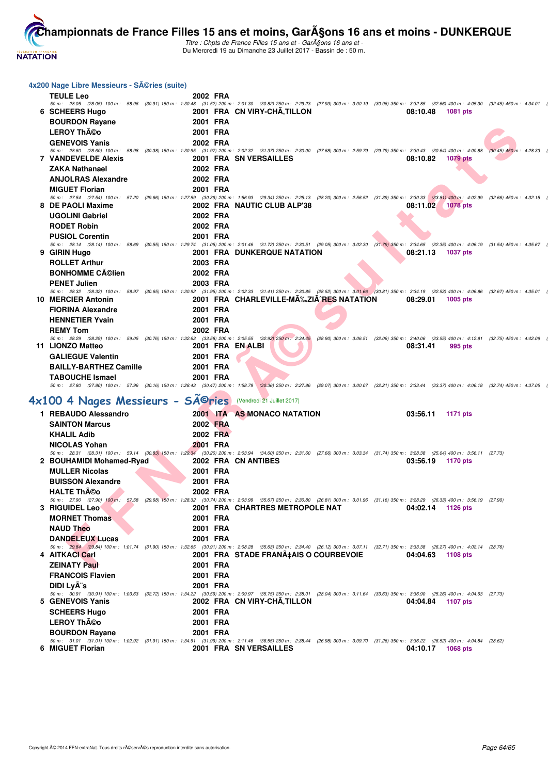

J.

Titre : Chpts de France Filles 15 ans et - GarA§ons 16 ans et -Du Mercredi 19 au Dimanche 23 Juillet 2017 - Bassin de : 50 m.

| 4x200 Nage Libre Messieurs - SA©ries (suite)                              |                  |                                                                                                                                                                                                                                                                 |
|---------------------------------------------------------------------------|------------------|-----------------------------------------------------------------------------------------------------------------------------------------------------------------------------------------------------------------------------------------------------------------|
| <b>TEULE Leo</b>                                                          | 2002 FRA         |                                                                                                                                                                                                                                                                 |
|                                                                           |                  | 50 m: 28.05 (28.05) 100 m: 58.96 (30.91) 150 m: 1:30.48 (31.52) 200 m: 2:01.30 (30.82) 250 m: 2:29.23 (27.93) 300 m: 3:00.19 (30.96) 350 m: 3:32.85 (32.66) 400 m: 4:05.30 (32.45) 450 m: 4:34.01                                                               |
| 6 SCHEERS Hugo                                                            |                  | 2001 FRA CN VIRY-CHA, TILLON<br>08:10.48<br><b>1081 pts</b>                                                                                                                                                                                                     |
| <b>BOURDON Rayane</b>                                                     | 2001 FRA         |                                                                                                                                                                                                                                                                 |
| <b>LEROY Théo</b>                                                         | 2001 FRA         |                                                                                                                                                                                                                                                                 |
| <b>GENEVOIS Yanis</b>                                                     | 2002 FRA         |                                                                                                                                                                                                                                                                 |
| <b>7 VANDEVELDE Alexis</b>                                                |                  | 50 m: 28.60 (28.60) 100 m: 58.98 (30.38) 150 m: 1:30.95 (31.97) 200 m: 2:02.32 (31.37) 250 m: 2:30.00 (27.68) 300 m: 2:59.79 (29.79) 350 m: 3:30.43 (30.64) 400 m: 4:00.88 (30.45) 450 m: 4:28.33<br>2001 FRA SN VERSAILLES<br>08:10.82<br>1079 pts             |
| <b>ZAKA Nathanael</b>                                                     | 2002 FRA         |                                                                                                                                                                                                                                                                 |
| <b>ANJOLRAS Alexandre</b>                                                 | 2002 FRA         |                                                                                                                                                                                                                                                                 |
| <b>MIGUET Florian</b>                                                     | 2001 FRA         |                                                                                                                                                                                                                                                                 |
|                                                                           |                  | 50 m: 27.54 (27.54) 100 m: 57.20 (29.66) 150 m: 1:27.59 (30.39) 200 m: 1:56.93 (29.34) 250 m: 2:25.13 (28.20) 300 m: 2:56.52 (31.39) 350 m: 3:30.33 (33.81) 400 m: 4:02.99 (32.66) 450 m: 4:32.15                                                               |
| 8 DE PAOLI Maxime                                                         |                  | 2002 FRA NAUTIC CLUB ALP'38<br>08:11.02<br>1078 pts                                                                                                                                                                                                             |
| <b>UGOLINI Gabriel</b>                                                    | 2002 FRA         |                                                                                                                                                                                                                                                                 |
| <b>RODET Robin</b>                                                        | 2002 FRA         |                                                                                                                                                                                                                                                                 |
| <b>PUSIOL Corentin</b>                                                    | 2001 FRA         |                                                                                                                                                                                                                                                                 |
| 9 GIRIN Hugo                                                              |                  | 50 m: 28.14 (28.14) 100 m: 58.69 (30.55) 150 m: 1:29.74 (31.05) 200 m: 2:01.46 (31.72) 250 m: 2:30.51 (29.05) 300 m: 3:02.30 (31.79) 350 m: 3:34.65 (32.35) 400 m: 4:06.19 (31.54) 450 m: 4:35.67<br><b>2001 FRA DUNKERQUE NATATION</b><br>08:21.13<br>1037 pts |
| <b>ROLLET Arthur</b>                                                      | 2003 FRA         |                                                                                                                                                                                                                                                                 |
| <b>BONHOMME Célien</b>                                                    | 2002 FRA         |                                                                                                                                                                                                                                                                 |
| <b>PENET Julien</b>                                                       | 2003 FRA         |                                                                                                                                                                                                                                                                 |
|                                                                           |                  | 50 m: 28.32 (28.32) 100 m: 58.97 (30.65) 150 m: 1:30.92 (31.95) 200 m: 2:02.33 (31.41) 250 m: 2:30.85 (28.52) 300 m: 3:01.66 (30.81) 350 m: 3:34.19 (32.53) 400 m: 4:06.86 (32.67) 450 m: 4:35.01                                                               |
| 10 MERCIER Antonin                                                        |                  | 2001 FRA CHARLEVILLE-MA‰ZIA^RES NATATION<br>08:29.01<br>1005 pts                                                                                                                                                                                                |
| <b>FIORINA Alexandre</b>                                                  | 2001 FRA         |                                                                                                                                                                                                                                                                 |
| <b>HENNETIER Yvain</b>                                                    | 2001 FRA         |                                                                                                                                                                                                                                                                 |
| <b>REMY Tom</b>                                                           | 2002 FRA         |                                                                                                                                                                                                                                                                 |
| 11 LIONZO Matteo                                                          | 2001 FRA EN ALBI | 50 m: 28.29 (28.29) 100 m: 59.05 (30.76) 150 m: 1:32.63 (33.58) 200 m: 2:05.55 (32.92) 250 m: 2:34.45 (28.90) 300 m: 3:06.51 (32.06) 350 m: 3:40.06 (33.55) 400 m: 4:12.81 (32.75) 450 m: 4:42.09<br>08:31.41<br>995 pts                                        |
| <b>GALIEGUE Valentin</b>                                                  | 2001 FRA         |                                                                                                                                                                                                                                                                 |
| <b>BAILLY-BARTHEZ Camille</b>                                             | 2001 FRA         |                                                                                                                                                                                                                                                                 |
| <b>TABOUCHE Ismael</b>                                                    | 2001 FRA         |                                                                                                                                                                                                                                                                 |
|                                                                           |                  | 50 m: 27.80 (27.80) 100 m: 57.96 (30.16) 150 m: 1:28.43 (30.47) 200 m: 1:58.79 (30.36) 250 m: 2:27.86 (29.07) 300 m: 3:00.07 (32.21) 350 m: 3:33.44 (33.37) 400 m: 4:06.18 (32.74) 450 m: 4:37.05                                                               |
|                                                                           |                  |                                                                                                                                                                                                                                                                 |
| 4x100 4 Nages Messieurs - SÃ <sup>©</sup> ries (Vendredi 21 Juillet 2017) |                  |                                                                                                                                                                                                                                                                 |
| 1 REBAUDO Alessandro                                                      |                  | 2001 ITA AS MONACO NATATION<br>03:56.11<br>1171 pts                                                                                                                                                                                                             |
| <b>SAINTON Marcus</b>                                                     | 2002 FRA         |                                                                                                                                                                                                                                                                 |
| <b>KHALIL Adib</b>                                                        | 2002 FRA         |                                                                                                                                                                                                                                                                 |
| <b>NICOLAS Yohan</b>                                                      | 2001 FRA         |                                                                                                                                                                                                                                                                 |
| 2 BOUHAMIDI Mohamed-Ryad                                                  |                  | 50 m: 28.31 (28.31) 100 m: 59.14 (30.83) 150 m: 1:29.34 (30.20) 200 m: 2:03.94 (34.60) 250 m: 2:31.60 (27.66) 300 m: 3:03.34 (31.74) 350 m: 3:28.38 (25.04) 400 m: 3:56.11 (27.73)<br>2002 FRA CN ANTIBES<br>03:56.19<br>1170 pts                               |
| <b>MULLER Nicolas</b>                                                     | 2001 FRA         |                                                                                                                                                                                                                                                                 |
| <b>BUISSON Alexandre</b>                                                  | 2001 FRA         |                                                                                                                                                                                                                                                                 |
| <b>HALTE Théo</b>                                                         | 2002 FRA         |                                                                                                                                                                                                                                                                 |
|                                                                           |                  | 50 m: 27.90 (27.90) 100 m: 57.58 (29.68) 150 m: 1:28.32 (30.74) 200 m: 2:03.99 (35.67) 250 m: 2:30.80 (26.81) 300 m: 3:01.96 (31.16) 350 m: 3:28.29 (26.33) 400 m: 3:56.19 (27.90)                                                                              |
| 3 RIGUIDEL Leo                                                            |                  | 2001 FRA CHARTRES METROPOLE NAT<br>04:02.14<br>1126 pts                                                                                                                                                                                                         |
| <b>MORNET Thomas</b>                                                      | 2001 FRA         |                                                                                                                                                                                                                                                                 |
| <b>NAUD Theo</b>                                                          | 2001 FRA         |                                                                                                                                                                                                                                                                 |
| <b>DANDELEUX Lucas</b>                                                    | 2001 FRA         |                                                                                                                                                                                                                                                                 |
| 4 AITKACI Carl                                                            |                  | 50 m: 29.84 (29.84) 100 m: 1:01.74 (31.90) 150 m: 1:32.65 (30.91) 200 m: 2:08.28 (35.63) 250 m: 2:34.40 (26.12) 300 m: 3:07.11 (32.71) 350 m: 3:33.38 (26.27) 400 m: 4:02.14 (28.76)<br>2001 FRA STADE FRANA‡AIS O COURBEVOIE<br>04:04.63<br>1108 pts           |
| <b>ZEINATY Paul</b>                                                       | 2001 FRA         |                                                                                                                                                                                                                                                                 |
| <b>FRANCOIS Flavien</b>                                                   | 2001 FRA         |                                                                                                                                                                                                                                                                 |
| <b>DIDI LyA<sup>"</sup>s</b>                                              | 2001 FRA         |                                                                                                                                                                                                                                                                 |
|                                                                           |                  | 50 m: 30.91 (30.91) 100 m: 1:03.63 (32.72) 150 m: 1:34.22 (30.59) 200 m: 2:09.97 (35.75) 250 m: 2:38.01 (28.04) 300 m: 3:11.64 (33.63) 350 m: 3:36.90 (25.26) 400 m: 4:04.63 (27.73)                                                                            |
| 5 GENEVOIS Yanis                                                          |                  | 2002 FRA CN VIRY-CHÂ, TILLON<br>04:04.84<br>1107 pts                                                                                                                                                                                                            |
| <b>SCHEERS Hugo</b>                                                       | 2001 FRA         |                                                                                                                                                                                                                                                                 |
| <b>LEROY Théo</b>                                                         | 2001 FRA         |                                                                                                                                                                                                                                                                 |
| <b>BOURDON Rayane</b>                                                     | 2001 FRA         |                                                                                                                                                                                                                                                                 |
| 6 MIGUET Florian                                                          |                  | 50 m: 31.01 (31.01) 100 m: 1:02.92 (31.91) 150 m: 1:34.91 (31.99) 200 m: 2:11.46 (36.55) 250 m: 2:38.44 (26.98) 300 m: 3:09.70 (31.26) 350 m: 3:36.22 (26.52) 400 m: 4:04.84 (28.62)<br>2001 FRA SN VERSAILLES<br>04:10.17<br><b>1068 pts</b>                   |
|                                                                           |                  |                                                                                                                                                                                                                                                                 |